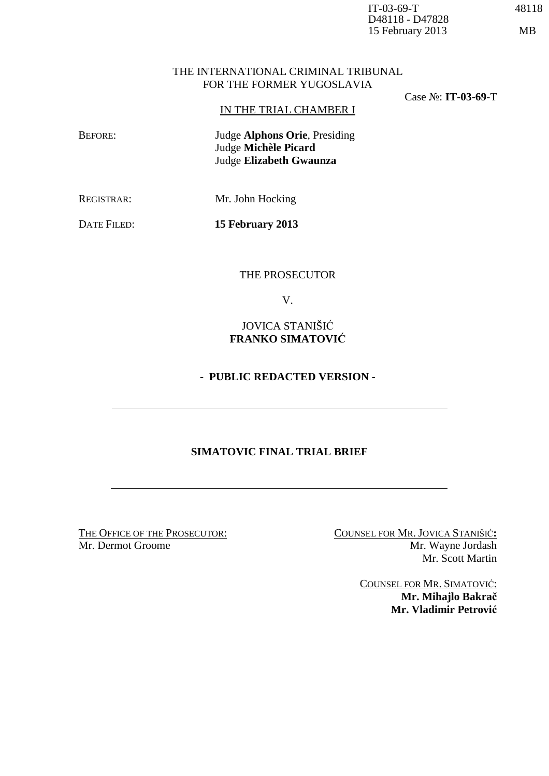#### THE INTERNATIONAL CRIMINAL TRIBUNAL FOR THE FORMER YUGOSLAVIA

Case №: **IT-03-69**-T

IN THE TRIAL CHAMBER I

 BEFORE: Judge **Alphons Orie**, Presiding Judge **Michèle Picard** Judge **Elizabeth Gwaunza** 

REGISTRAR: Mr. John Hocking

DATE FILED: **15 February 2013** 

THE PROSECUTOR

V.

JOVICA STANIŠIĆ **FRANKO SIMATOVIĆ**

# **- PUBLIC REDACTED VERSION -**

# **SIMATOVIC FINAL TRIAL BRIEF**

THE OFFICE OF THE PROSECUTOR: COUNSEL FOR MR. JOVICA STANIŠIĆ**:**<br>Mr. Dermot Groome Mr. Wavne Jordash Mr. Wayne Jordash Mr. Scott Martin

> COUNSEL FOR MR. SIMATOVIĆ: **Mr. Mihajlo Bakrač Mr. Vladimir Petrović**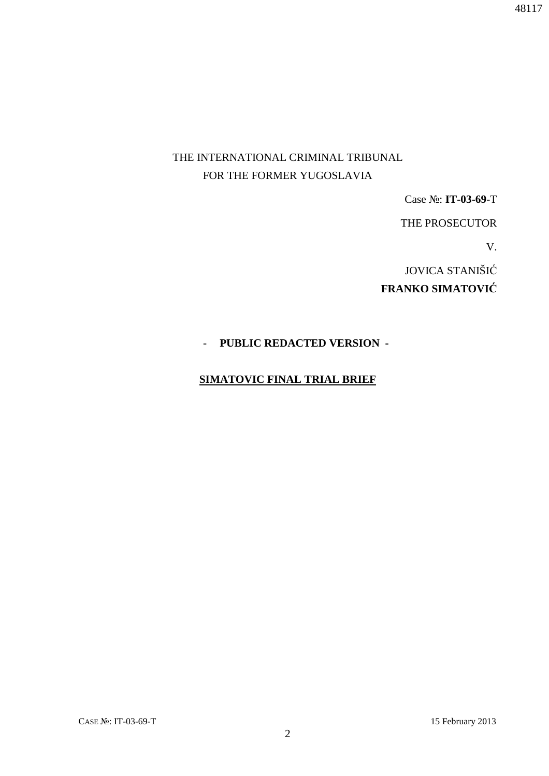# THE INTERNATIONAL CRIMINAL TRIBUNAL FOR THE FORMER YUGOSLAVIA

Case №: **IT-03-69**-T

THE PROSECUTOR

V.

 JOVICA STANIŠIĆ **FRANKO SIMATOVIĆ**

# - **PUBLIC REDACTED VERSION -**

# **SIMATOVIC FINAL TRIAL BRIEF**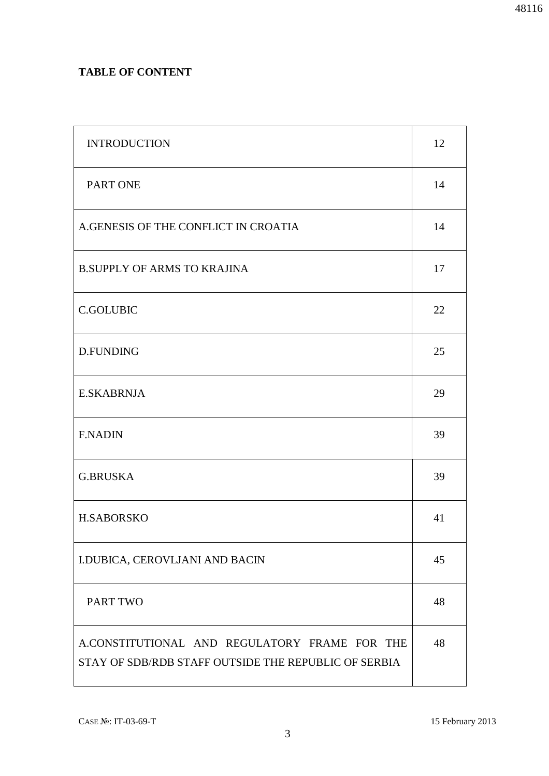# **TABLE OF CONTENT**

| <b>INTRODUCTION</b>                                                                                   | 12 |
|-------------------------------------------------------------------------------------------------------|----|
| PART ONE                                                                                              | 14 |
| A.GENESIS OF THE CONFLICT IN CROATIA                                                                  | 14 |
| <b>B.SUPPLY OF ARMS TO KRAJINA</b>                                                                    | 17 |
| <b>C.GOLUBIC</b>                                                                                      | 22 |
| D.FUNDING                                                                                             | 25 |
| <b>E.SKABRNJA</b>                                                                                     | 29 |
| <b>F.NADIN</b>                                                                                        | 39 |
| <b>G.BRUSKA</b>                                                                                       | 39 |
| <b>H.SABORSKO</b>                                                                                     | 41 |
| I.DUBICA, CEROVLJANI AND BACIN                                                                        | 45 |
| PART TWO                                                                                              | 48 |
| A.CONSTITUTIONAL AND REGULATORY FRAME FOR THE<br>STAY OF SDB/RDB STAFF OUTSIDE THE REPUBLIC OF SERBIA | 48 |

3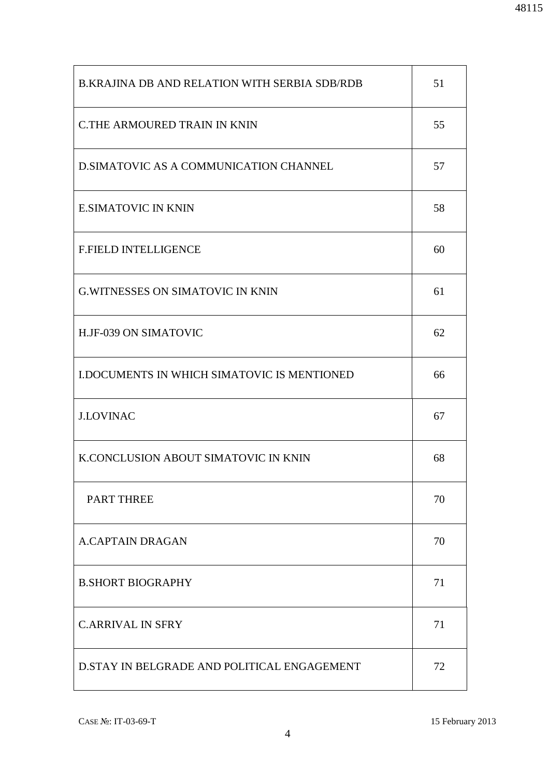| <b>B.KRAJINA DB AND RELATION WITH SERBIA SDB/RDB</b> | 51 |
|------------------------------------------------------|----|
| C.THE ARMOURED TRAIN IN KNIN                         | 55 |
| D. SIMATOVIC AS A COMMUNICATION CHANNEL              | 57 |
| <b>E.SIMATOVIC IN KNIN</b>                           | 58 |
| <b>F.FIELD INTELLIGENCE</b>                          | 60 |
| <b>G.WITNESSES ON SIMATOVIC IN KNIN</b>              | 61 |
| H.JF-039 ON SIMATOVIC                                | 62 |
| <b>I.DOCUMENTS IN WHICH SIMATOVIC IS MENTIONED</b>   | 66 |
| <b>J.LOVINAC</b>                                     | 67 |
| K.CONCLUSION ABOUT SIMATOVIC IN KNIN                 | 68 |
| <b>PART THREE</b>                                    | 70 |
| <b>A.CAPTAIN DRAGAN</b>                              | 70 |
| <b>B.SHORT BIOGRAPHY</b>                             | 71 |
| <b>C.ARRIVAL IN SFRY</b>                             | 71 |
| D.STAY IN BELGRADE AND POLITICAL ENGAGEMENT          | 72 |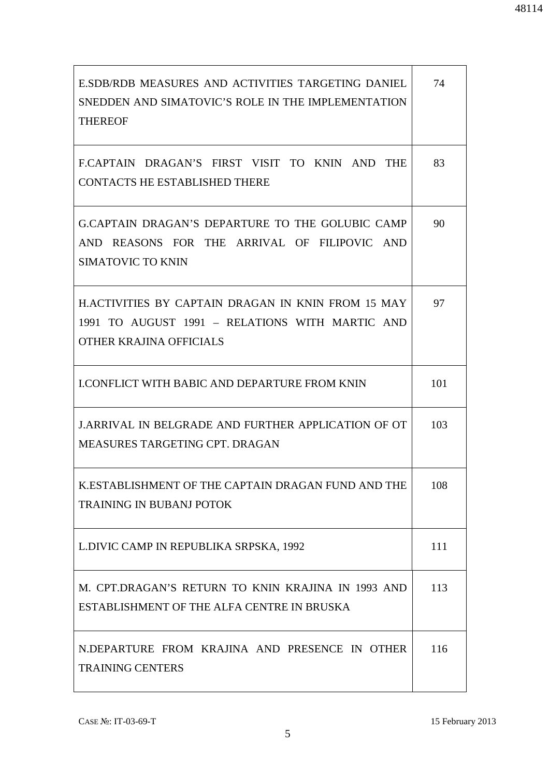| E.SDB/RDB MEASURES AND ACTIVITIES TARGETING DANIEL<br>SNEDDEN AND SIMATOVIC'S ROLE IN THE IMPLEMENTATION<br><b>THEREOF</b>              | 74  |
|-----------------------------------------------------------------------------------------------------------------------------------------|-----|
| ECAPTAIN DRAGAN'S FIRST VISIT TO KNIN AND THE<br><b>CONTACTS HE ESTABLISHED THERE</b>                                                   | 83  |
| G.CAPTAIN DRAGAN'S DEPARTURE TO THE GOLUBIC CAMP<br>AND REASONS FOR THE ARRIVAL OF FILIPOVIC AND<br><b>SIMATOVIC TO KNIN</b>            | 90  |
| <b>H.ACTIVITIES BY CAPTAIN DRAGAN IN KNIN FROM 15 MAY</b><br>1991 TO AUGUST 1991 - RELATIONS WITH MARTIC AND<br>OTHER KRAJINA OFFICIALS | 97  |
| <b>I.CONFLICT WITH BABIC AND DEPARTURE FROM KNIN</b>                                                                                    | 101 |
| <b>J.ARRIVAL IN BELGRADE AND FURTHER APPLICATION OF OT</b><br>MEASURES TARGETING CPT. DRAGAN                                            | 103 |
| K.ESTABLISHMENT OF THE CAPTAIN DRAGAN FUND AND THE<br><b>TRAINING IN BUBANJ POTOK</b>                                                   | 108 |
| L.DIVIC CAMP IN REPUBLIKA SRPSKA, 1992                                                                                                  | 111 |
| M. CPT.DRAGAN'S RETURN TO KNIN KRAJINA IN 1993 AND<br>ESTABLISHMENT OF THE ALFA CENTRE IN BRUSKA                                        | 113 |
| N.DEPARTURE FROM KRAJINA AND PRESENCE IN OTHER<br><b>TRAINING CENTERS</b>                                                               | 116 |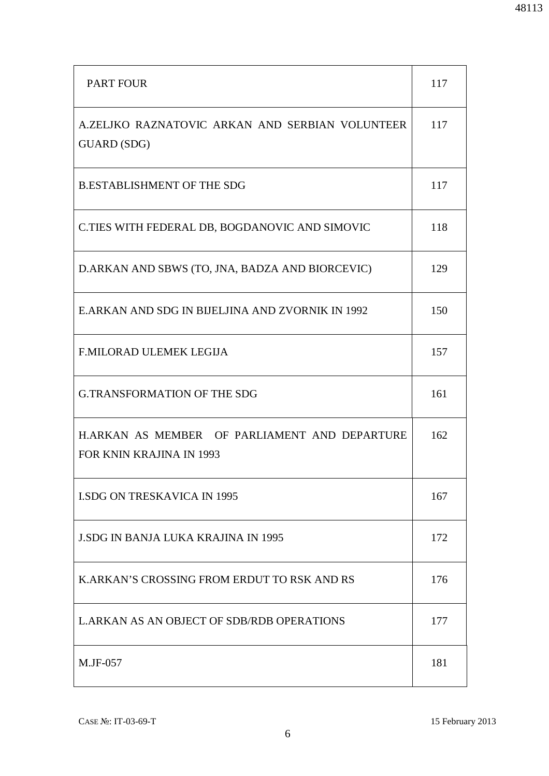| <b>PART FOUR</b>                                                                 | 117 |
|----------------------------------------------------------------------------------|-----|
| A.ZELIKO RAZNATOVIC ARKAN AND SERBIAN VOLUNTEER<br><b>GUARD</b> (SDG)            | 117 |
| <b>B.ESTABLISHMENT OF THE SDG</b>                                                | 117 |
| C.TIES WITH FEDERAL DB, BOGDANOVIC AND SIMOVIC                                   | 118 |
| D.ARKAN AND SBWS (TO, JNA, BADZA AND BIORCEVIC)                                  | 129 |
| E.ARKAN AND SDG IN BIJELJINA AND ZVORNIK IN 1992                                 | 150 |
| <b>F.MILORAD ULEMEK LEGIJA</b>                                                   | 157 |
| <b>G.TRANSFORMATION OF THE SDG</b>                                               | 161 |
| H.ARKAN AS MEMBER OF PARLIAMENT AND DEPARTURE<br><b>FOR KNIN KRAJINA IN 1993</b> | 162 |
| <b>LSDG ON TRESKAVICA IN 1995</b>                                                | 167 |
| <b>J.SDG IN BANJA LUKA KRAJINA IN 1995</b>                                       | 172 |
| K.ARKAN'S CROSSING FROM ERDUT TO RSK AND RS                                      | 176 |
| L.ARKAN AS AN OBJECT OF SDB/RDB OPERATIONS                                       | 177 |
| M.JF-057                                                                         | 181 |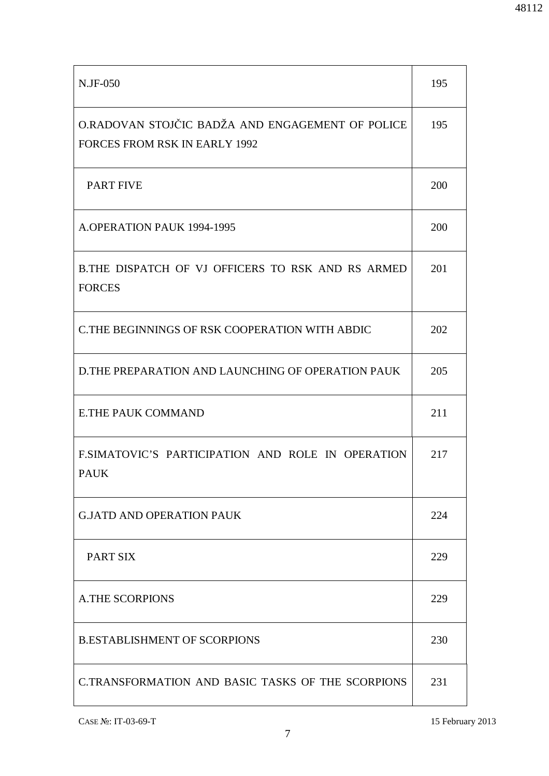| N.JF-050                                                                                 | 195 |
|------------------------------------------------------------------------------------------|-----|
| O.RADOVAN STOJČIC BADŽA AND ENGAGEMENT OF POLICE<br><b>FORCES FROM RSK IN EARLY 1992</b> | 195 |
| <b>PART FIVE</b>                                                                         | 200 |
| A.OPERATION PAUK 1994-1995                                                               | 200 |
| B.THE DISPATCH OF VJ OFFICERS TO RSK AND RS ARMED<br><b>FORCES</b>                       | 201 |
| C.THE BEGINNINGS OF RSK COOPERATION WITH ABDIC                                           | 202 |
| <b>D.THE PREPARATION AND LAUNCHING OF OPERATION PAUK</b>                                 | 205 |
| <b>E.THE PAUK COMMAND</b>                                                                | 211 |
| F.SIMATOVIC'S PARTICIPATION AND ROLE IN OPERATION<br><b>PAUK</b>                         | 217 |
| <b>G.JATD AND OPERATION PAUK</b>                                                         | 224 |
| PART SIX                                                                                 | 229 |
| <b>A.THE SCORPIONS</b>                                                                   | 229 |
| <b>B.ESTABLISHMENT OF SCORPIONS</b>                                                      | 230 |
| C.TRANSFORMATION AND BASIC TASKS OF THE SCORPIONS                                        | 231 |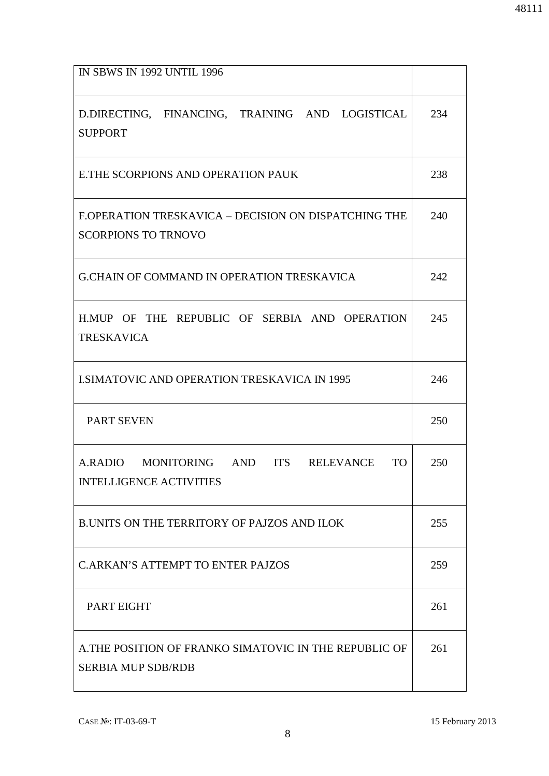| <b>IN SBWS IN 1992 UNTIL 1996</b>                                                   |     |
|-------------------------------------------------------------------------------------|-----|
| D.DIRECTING, FINANCING, TRAINING AND LOGISTICAL<br><b>SUPPORT</b>                   | 234 |
| E.THE SCORPIONS AND OPERATION PAUK                                                  | 238 |
| F.OPERATION TRESKAVICA – DECISION ON DISPATCHING THE<br><b>SCORPIONS TO TRNOVO</b>  | 240 |
| <b>G.CHAIN OF COMMAND IN OPERATION TRESKAVICA</b>                                   | 242 |
| H.MUP OF THE REPUBLIC OF SERBIA AND OPERATION<br><b>TRESKAVICA</b>                  | 245 |
| <b>I.SIMATOVIC AND OPERATION TRESKAVICA IN 1995</b>                                 | 246 |
| <b>PART SEVEN</b>                                                                   | 250 |
| A.RADIO MONITORING AND ITS RELEVANCE<br><b>TO</b><br><b>INTELLIGENCE ACTIVITIES</b> | 250 |
| <b>B.UNITS ON THE TERRITORY OF PAJZOS AND ILOK</b>                                  | 255 |
| <b>C.ARKAN'S ATTEMPT TO ENTER PAJZOS</b>                                            | 259 |
| PART EIGHT                                                                          | 261 |
| A.THE POSITION OF FRANKO SIMATOVIC IN THE REPUBLIC OF<br><b>SERBIA MUP SDB/RDB</b>  | 261 |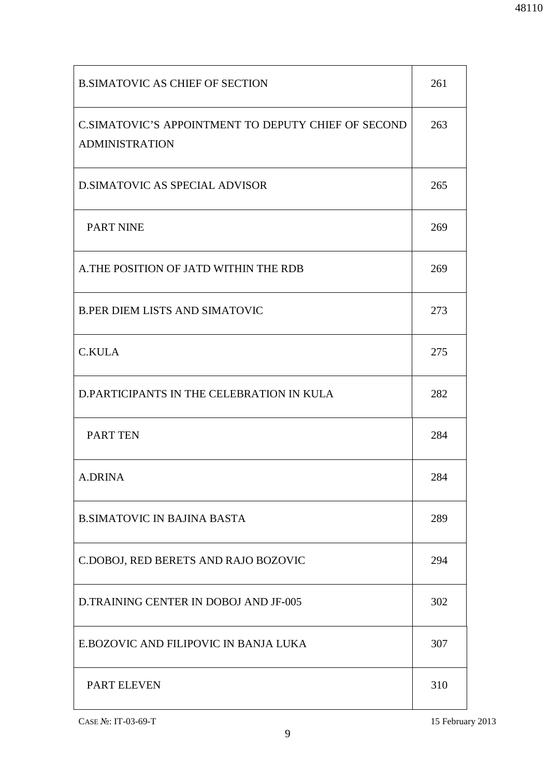| <b>B.SIMATOVIC AS CHIEF OF SECTION</b>                                       | 261 |
|------------------------------------------------------------------------------|-----|
| C.SIMATOVIC'S APPOINTMENT TO DEPUTY CHIEF OF SECOND<br><b>ADMINISTRATION</b> | 263 |
| <b>D.SIMATOVIC AS SPECIAL ADVISOR</b>                                        | 265 |
| <b>PART NINE</b>                                                             | 269 |
| A.THE POSITION OF JATD WITHIN THE RDB                                        | 269 |
| <b>B.PER DIEM LISTS AND SIMATOVIC</b>                                        | 273 |
| <b>C.KULA</b>                                                                | 275 |
| D.PARTICIPANTS IN THE CELEBRATION IN KULA                                    | 282 |
| <b>PART TEN</b>                                                              | 284 |
| <b>A.DRINA</b>                                                               | 284 |
| <b>B.SIMATOVIC IN BAJINA BASTA</b>                                           | 289 |
| C.DOBOJ, RED BERETS AND RAJO BOZOVIC                                         | 294 |
| D.TRAINING CENTER IN DOBOJ AND JF-005                                        | 302 |
| E.BOZOVIC AND FILIPOVIC IN BANJA LUKA                                        | 307 |
| <b>PART ELEVEN</b>                                                           | 310 |

CASE №: IT-03-69-T 15 February 2013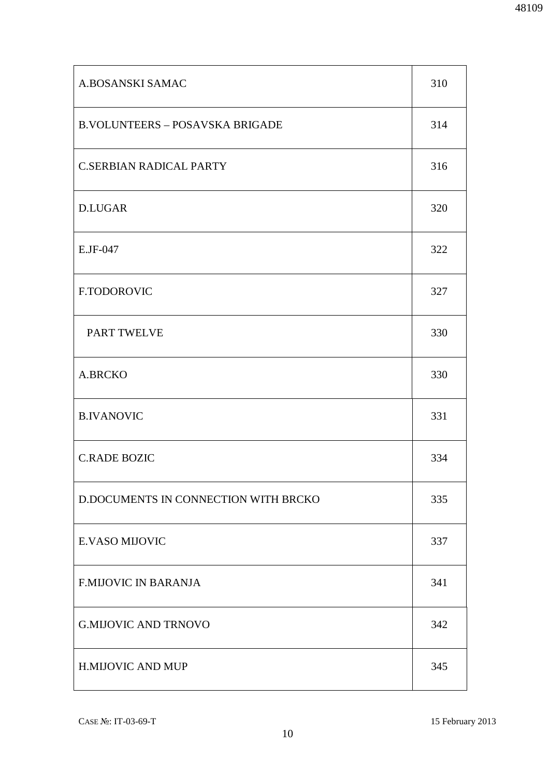| A.BOSANSKI SAMAC                       | 310 |
|----------------------------------------|-----|
| <b>B.VOLUNTEERS - POSAVSKA BRIGADE</b> | 314 |
| <b>C.SERBIAN RADICAL PARTY</b>         | 316 |
| <b>D.LUGAR</b>                         | 320 |
| E.JF-047                               | 322 |
| F.TODOROVIC                            | 327 |
| PART TWELVE                            | 330 |
| A.BRCKO                                | 330 |
| <b>B.IVANOVIC</b>                      | 331 |
| <b>C.RADE BOZIC</b>                    | 334 |
| D.DOCUMENTS IN CONNECTION WITH BRCKO   | 335 |
| <b>E.VASO MIJOVIC</b>                  | 337 |
| <b>F.MIJOVIC IN BARANJA</b>            | 341 |
| <b>G.MIJOVIC AND TRNOVO</b>            | 342 |
| H.MIJOVIC AND MUP                      | 345 |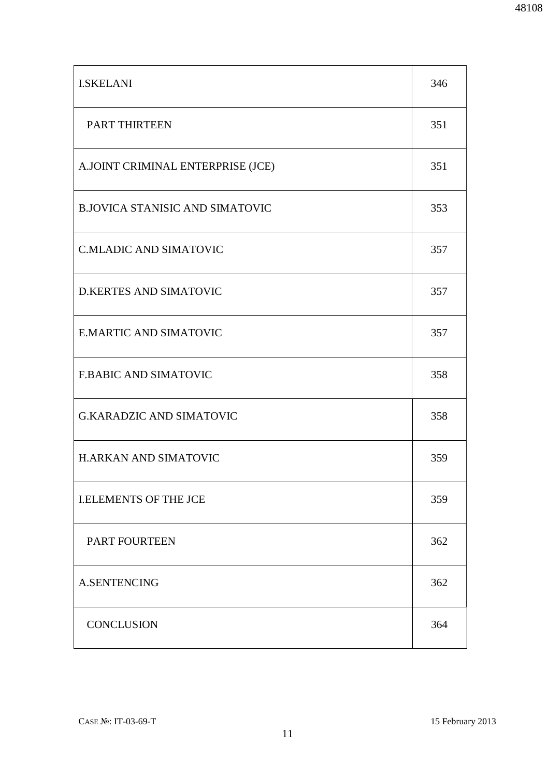| <b>I.SKELANI</b>                       | 346 |
|----------------------------------------|-----|
| PART THIRTEEN                          | 351 |
| A.JOINT CRIMINAL ENTERPRISE (JCE)      | 351 |
| <b>B.JOVICA STANISIC AND SIMATOVIC</b> | 353 |
| <b>C.MLADIC AND SIMATOVIC</b>          | 357 |
| <b>D.KERTES AND SIMATOVIC</b>          | 357 |
| <b>E.MARTIC AND SIMATOVIC</b>          | 357 |
| <b>F.BABIC AND SIMATOVIC</b>           | 358 |
| <b>G.KARADZIC AND SIMATOVIC</b>        | 358 |
| <b>H.ARKAN AND SIMATOVIC</b>           | 359 |
| <b>I.ELEMENTS OF THE JCE</b>           | 359 |
| PART FOURTEEN                          | 362 |
| <b>A.SENTENCING</b>                    | 362 |
| <b>CONCLUSION</b>                      | 364 |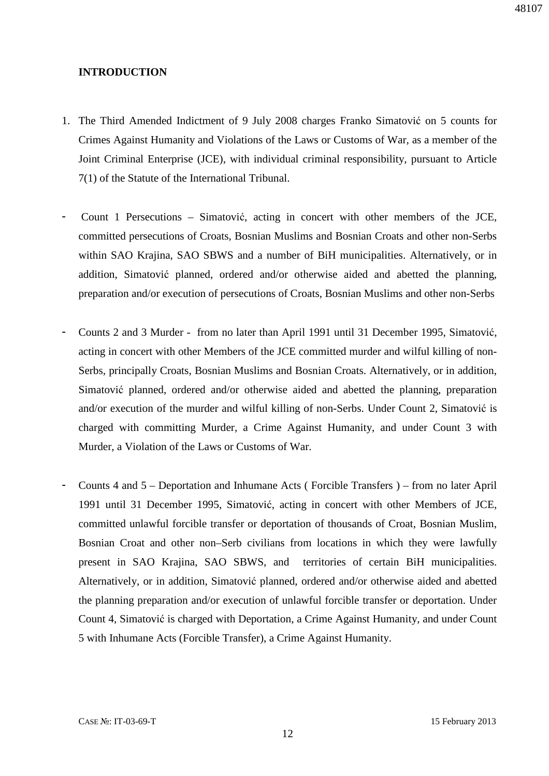#### **INTRODUCTION**

- 1. The Third Amended Indictment of 9 July 2008 charges Franko Simatović on 5 counts for Crimes Against Humanity and Violations of the Laws or Customs of War, as a member of the Joint Criminal Enterprise (JCE), with individual criminal responsibility, pursuant to Article 7(1) of the Statute of the International Tribunal.
- Count 1 Persecutions Simatović, acting in concert with other members of the JCE, committed persecutions of Croats, Bosnian Muslims and Bosnian Croats and other non-Serbs within SAO Krajina, SAO SBWS and a number of BiH municipalities. Alternatively, or in addition, Simatović planned, ordered and/or otherwise aided and abetted the planning, preparation and/or execution of persecutions of Croats, Bosnian Muslims and other non-Serbs
- Counts 2 and 3 Murder from no later than April 1991 until 31 December 1995, Simatović, acting in concert with other Members of the JCE committed murder and wilful killing of non-Serbs, principally Croats, Bosnian Muslims and Bosnian Croats. Alternatively, or in addition, Simatović planned, ordered and/or otherwise aided and abetted the planning, preparation and/or execution of the murder and wilful killing of non-Serbs. Under Count 2, Simatović is charged with committing Murder, a Crime Against Humanity, and under Count 3 with Murder, a Violation of the Laws or Customs of War.
- Counts 4 and 5 Deportation and Inhumane Acts ( Forcible Transfers ) from no later April 1991 until 31 December 1995, Simatović, acting in concert with other Members of JCE, committed unlawful forcible transfer or deportation of thousands of Croat, Bosnian Muslim, Bosnian Croat and other non–Serb civilians from locations in which they were lawfully present in SAO Krajina, SAO SBWS, and territories of certain BiH municipalities. Alternatively, or in addition, Simatović planned, ordered and/or otherwise aided and abetted the planning preparation and/or execution of unlawful forcible transfer or deportation. Under Count 4, Simatović is charged with Deportation, a Crime Against Humanity, and under Count 5 with Inhumane Acts (Forcible Transfer), a Crime Against Humanity.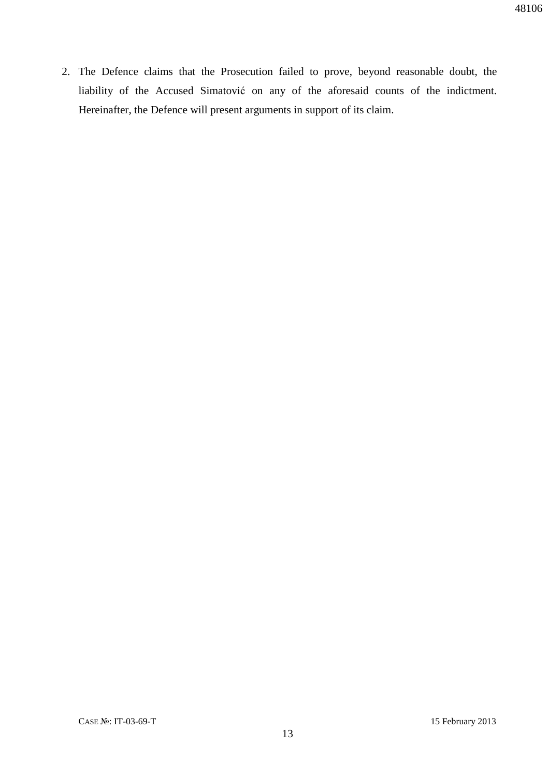2. The Defence claims that the Prosecution failed to prove, beyond reasonable doubt, the liability of the Accused Simatović on any of the aforesaid counts of the indictment. Hereinafter, the Defence will present arguments in support of its claim.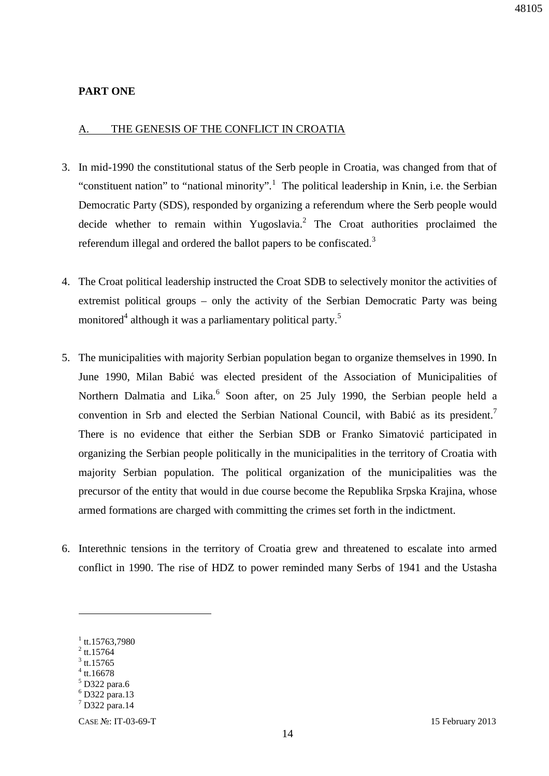### **PART ONE**

#### A. THE GENESIS OF THE CONFLICT IN CROATIA

- 3. In mid-1990 the constitutional status of the Serb people in Croatia, was changed from that of "constituent nation" to "national minority".<sup>1</sup> The political leadership in Knin, i.e. the Serbian Democratic Party (SDS), responded by organizing a referendum where the Serb people would decide whether to remain within Yugoslavia.<sup>2</sup> The Croat authorities proclaimed the referendum illegal and ordered the ballot papers to be confiscated. $3$
- 4. The Croat political leadership instructed the Croat SDB to selectively monitor the activities of extremist political groups – only the activity of the Serbian Democratic Party was being monitored<sup>4</sup> although it was a parliamentary political party.<sup>5</sup>
- 5. The municipalities with majority Serbian population began to organize themselves in 1990. In June 1990, Milan Babić was elected president of the Association of Municipalities of Northern Dalmatia and Lika.<sup>6</sup> Soon after, on 25 July 1990, the Serbian people held a convention in Srb and elected the Serbian National Council, with Babić as its president.<sup>7</sup> There is no evidence that either the Serbian SDB or Franko Simatović participated in organizing the Serbian people politically in the municipalities in the territory of Croatia with majority Serbian population. The political organization of the municipalities was the precursor of the entity that would in due course become the Republika Srpska Krajina, whose armed formations are charged with committing the crimes set forth in the indictment.
- 6. Interethnic tensions in the territory of Croatia grew and threatened to escalate into armed conflict in 1990. The rise of HDZ to power reminded many Serbs of 1941 and the Ustasha

 $1$  tt.15763,7980

 $^{2}$  tt.15764

 $3$  tt.15765 4 tt.16678

<sup>5</sup> D322 para.6

<sup>6</sup> D322 para.13

<sup>7</sup> D322 para.14

CASE №: IT-03-69-T 15 February 2013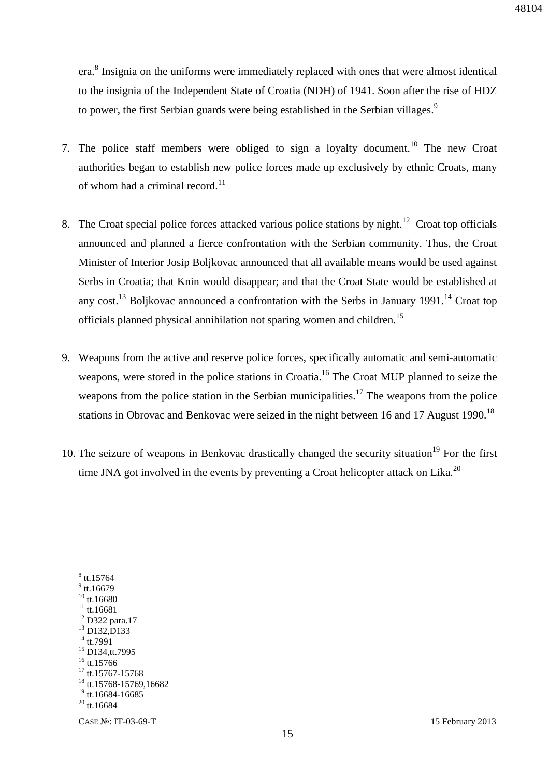era.<sup>8</sup> Insignia on the uniforms were immediately replaced with ones that were almost identical to the insignia of the Independent State of Croatia (NDH) of 1941. Soon after the rise of HDZ to power, the first Serbian guards were being established in the Serbian villages.<sup>9</sup>

- 7. The police staff members were obliged to sign a loyalty document.<sup>10</sup> The new Croat authorities began to establish new police forces made up exclusively by ethnic Croats, many of whom had a criminal record.<sup>11</sup>
- 8. The Croat special police forces attacked various police stations by night.<sup>12</sup> Croat top officials announced and planned a fierce confrontation with the Serbian community. Thus, the Croat Minister of Interior Josip Boljkovac announced that all available means would be used against Serbs in Croatia; that Knin would disappear; and that the Croat State would be established at any cost.<sup>13</sup> Bolikovac announced a confrontation with the Serbs in January 1991.<sup>14</sup> Croat top officials planned physical annihilation not sparing women and children.<sup>15</sup>
- 9. Weapons from the active and reserve police forces, specifically automatic and semi-automatic weapons, were stored in the police stations in Croatia.<sup>16</sup> The Croat MUP planned to seize the weapons from the police station in the Serbian municipalities.<sup>17</sup> The weapons from the police stations in Obrovac and Benkovac were seized in the night between 16 and 17 August 1990.<sup>18</sup>
- 10. The seizure of weapons in Benkovac drastically changed the security situation<sup>19</sup> For the first time JNA got involved in the events by preventing a Croat helicopter attack on Lika.<sup>20</sup>

 $^8$  tt.15764  $^9$  tt.16679  $10$  tt.16680  $11$  tt.16681 <sup>12</sup> D322 para.17  $13$  D<sub>132</sub>, D<sub>133</sub> <sup>14</sup> tt.7991 <sup>15</sup> D134,tt.7995  $16$  tt.15766  $17$  tt.15767-15768 <sup>18</sup> tt.15768-15769.16682 <sup>19</sup> tt.16684-16685  $20$  tt. 16684

 $\overline{a}$ 

CASE №: IT-03-69-T 15 February 2013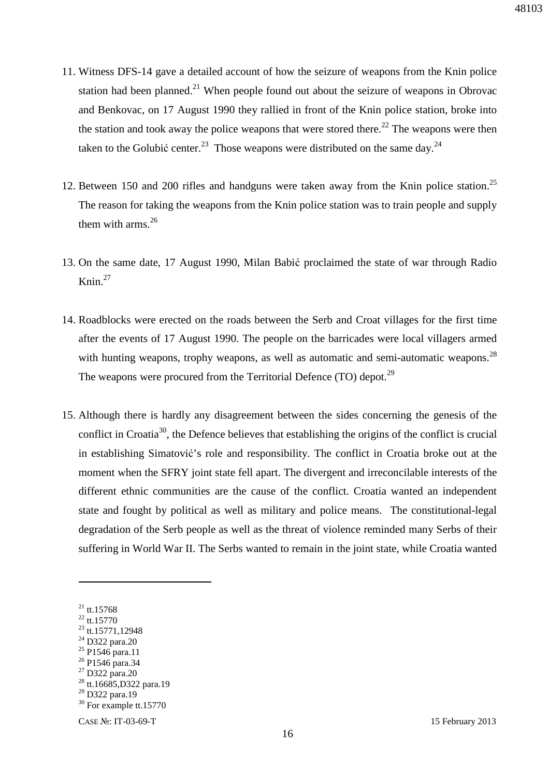- 11. Witness DFS-14 gave a detailed account of how the seizure of weapons from the Knin police station had been planned.<sup>21</sup> When people found out about the seizure of weapons in Obrovac and Benkovac, on 17 August 1990 they rallied in front of the Knin police station, broke into the station and took away the police weapons that were stored there.<sup>22</sup> The weapons were then taken to the Golubić center.<sup>23</sup> Those weapons were distributed on the same day.<sup>24</sup>
- 12. Between 150 and 200 rifles and handguns were taken away from the Knin police station.<sup>25</sup> The reason for taking the weapons from the Knin police station was to train people and supply them with arms. $^{26}$
- 13. On the same date, 17 August 1990, Milan Babić proclaimed the state of war through Radio Knin. $27$
- 14. Roadblocks were erected on the roads between the Serb and Croat villages for the first time after the events of 17 August 1990. The people on the barricades were local villagers armed with hunting weapons, trophy weapons, as well as automatic and semi-automatic weapons.<sup>28</sup> The weapons were procured from the Territorial Defence (TO) depot.<sup>29</sup>
- 15. Although there is hardly any disagreement between the sides concerning the genesis of the conflict in Croatia<sup>30</sup>, the Defence believes that establishing the origins of the conflict is crucial in establishing Simatović's role and responsibility. The conflict in Croatia broke out at the moment when the SFRY joint state fell apart. The divergent and irreconcilable interests of the different ethnic communities are the cause of the conflict. Croatia wanted an independent state and fought by political as well as military and police means. The constitutional-legal degradation of the Serb people as well as the threat of violence reminded many Serbs of their suffering in World War II. The Serbs wanted to remain in the joint state, while Croatia wanted

<sup>26</sup> P1546 para.34

 $21$  tt.15768

 $^{22}$  tt.15770

 $23$  tt.15771,12948

<sup>24</sup> D322 para.20

 $^{25}$  P1546 para.11

<sup>27</sup> D322 para.20

<sup>&</sup>lt;sup>28</sup> tt.16685,D322 para.19

<sup>&</sup>lt;sup>29</sup> D322 para.19

<sup>&</sup>lt;sup>30</sup> For example tt.15770

CASE №: IT-03-69-T 15 February 2013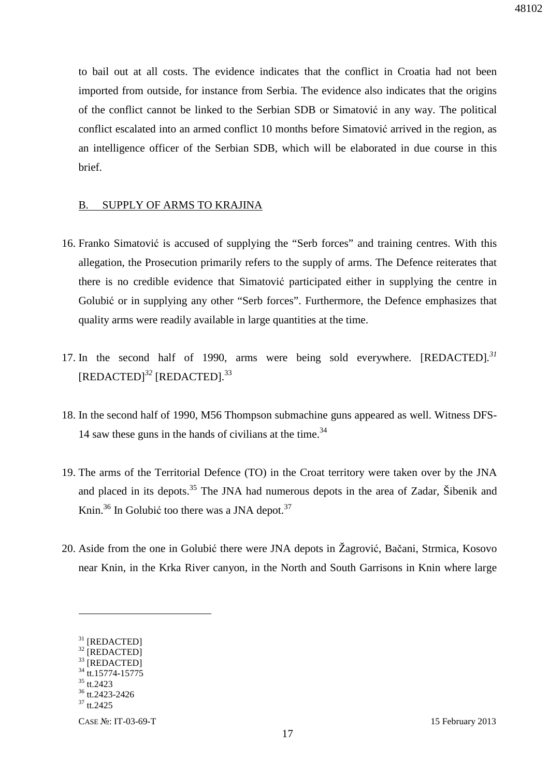to bail out at all costs. The evidence indicates that the conflict in Croatia had not been imported from outside, for instance from Serbia. The evidence also indicates that the origins of the conflict cannot be linked to the Serbian SDB or Simatović in any way. The political conflict escalated into an armed conflict 10 months before Simatović arrived in the region, as an intelligence officer of the Serbian SDB, which will be elaborated in due course in this brief.

#### B. SUPPLY OF ARMS TO KRAJINA

- 16. Franko Simatović is accused of supplying the "Serb forces" and training centres. With this allegation, the Prosecution primarily refers to the supply of arms. The Defence reiterates that there is no credible evidence that Simatović participated either in supplying the centre in Golubić or in supplying any other "Serb forces". Furthermore, the Defence emphasizes that quality arms were readily available in large quantities at the time.
- 17. In the second half of 1990, arms were being sold everywhere. [REDACTED]*. 31* [REDACTED]<sup>32</sup> [REDACTED].<sup>33</sup>
- 18. In the second half of 1990, M56 Thompson submachine guns appeared as well. Witness DFS-14 saw these guns in the hands of civilians at the time. $34$
- 19. The arms of the Territorial Defence (TO) in the Croat territory were taken over by the JNA and placed in its depots.<sup>35</sup> The JNA had numerous depots in the area of Zadar, Šibenik and Knin.<sup>36</sup> In Golubić too there was a JNA depot.<sup>37</sup>
- 20. Aside from the one in Golubić there were JNA depots in Žagrović, Bačani, Strmica, Kosovo near Knin, in the Krka River canyon, in the North and South Garrisons in Knin where large

 $\overline{a}$ 

CASE №: IT-03-69-T 15 February 2013

<sup>&</sup>lt;sup>31</sup> [REDACTED]  $32$  [REDACTED]

<sup>&</sup>lt;sup>33</sup> [REDACTED]

<sup>&</sup>lt;sup>34</sup> tt.15774-15775

 $35$  tt.2423

<sup>36</sup> tt.2423-2426

<sup>&</sup>lt;sup>37</sup> tt.2425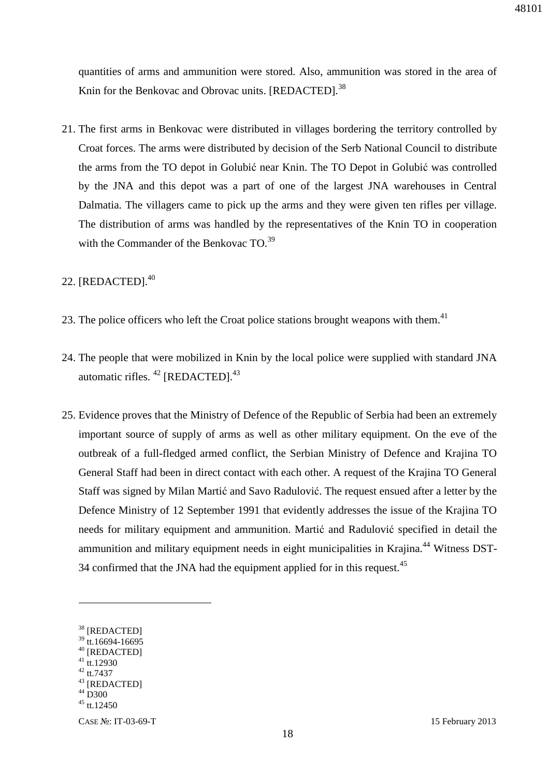48101

quantities of arms and ammunition were stored. Also, ammunition was stored in the area of Knin for the Benkovac and Obrovac units. [REDACTED]*.* 38

21. The first arms in Benkovac were distributed in villages bordering the territory controlled by Croat forces. The arms were distributed by decision of the Serb National Council to distribute the arms from the TO depot in Golubić near Knin. The TO Depot in Golubić was controlled by the JNA and this depot was a part of one of the largest JNA warehouses in Central Dalmatia. The villagers came to pick up the arms and they were given ten rifles per village. The distribution of arms was handled by the representatives of the Knin TO in cooperation with the Commander of the Benkovac  $TO^{39}$ 

# 22. [REDACTED].<sup>40</sup>

- 23. The police officers who left the Croat police stations brought weapons with them. $41$
- 24. The people that were mobilized in Knin by the local police were supplied with standard JNA automatic rifles. <sup>42</sup> [REDACTED].<sup>43</sup>
- 25. Evidence proves that the Ministry of Defence of the Republic of Serbia had been an extremely important source of supply of arms as well as other military equipment. On the eve of the outbreak of a full-fledged armed conflict, the Serbian Ministry of Defence and Krajina TO General Staff had been in direct contact with each other. A request of the Krajina TO General Staff was signed by Milan Martić and Savo Radulović. The request ensued after a letter by the Defence Ministry of 12 September 1991 that evidently addresses the issue of the Krajina TO needs for military equipment and ammunition. Martić and Radulović specified in detail the ammunition and military equipment needs in eight municipalities in Krajina.<sup>44</sup> Witness DST-34 confirmed that the JNA had the equipment applied for in this request.<sup>45</sup>

<sup>42</sup> tt.7437

<sup>&</sup>lt;sup>38</sup> [REDACTED]

 $39$  tt.16694-16695

<sup>40</sup> [REDACTED]  $41$  tt.12930

<sup>&</sup>lt;sup>43</sup> [REDACTED]

 $44\overline{D}300$ 

 $45$  tt. 12450

CASE №: IT-03-69-T 15 February 2013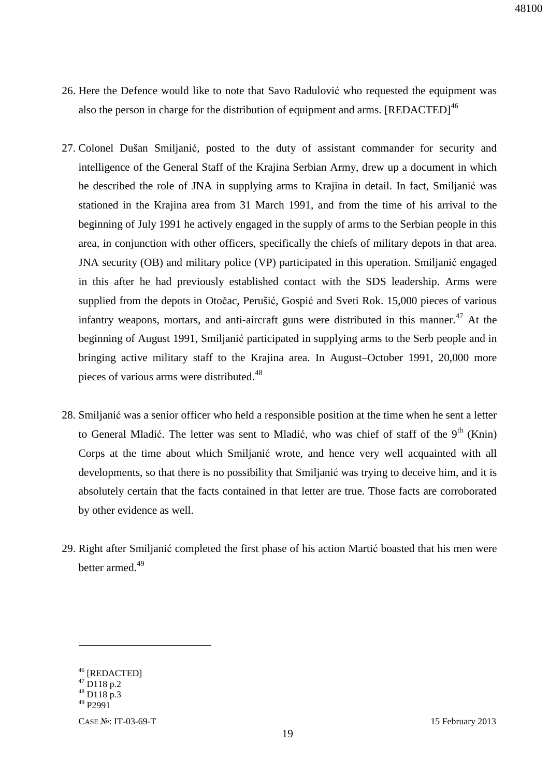- 26. Here the Defence would like to note that Savo Radulović who requested the equipment was also the person in charge for the distribution of equipment and arms. [REDACTED]<sup>46</sup>
- 27. Colonel Dušan Smiljanić, posted to the duty of assistant commander for security and intelligence of the General Staff of the Krajina Serbian Army, drew up a document in which he described the role of JNA in supplying arms to Krajina in detail. In fact, Smiljanić was stationed in the Krajina area from 31 March 1991, and from the time of his arrival to the beginning of July 1991 he actively engaged in the supply of arms to the Serbian people in this area, in conjunction with other officers, specifically the chiefs of military depots in that area. JNA security (OB) and military police (VP) participated in this operation. Smiljanić engaged in this after he had previously established contact with the SDS leadership. Arms were supplied from the depots in Otočac, Perušić, Gospić and Sveti Rok. 15,000 pieces of various infantry weapons, mortars, and anti-aircraft guns were distributed in this manner.<sup>47</sup> At the beginning of August 1991, Smiljanić participated in supplying arms to the Serb people and in bringing active military staff to the Krajina area. In August–October 1991, 20,000 more pieces of various arms were distributed.<sup>48</sup>
- 28. Smiljanić was a senior officer who held a responsible position at the time when he sent a letter to General Mladić. The letter was sent to Mladić, who was chief of staff of the  $9<sup>th</sup>$  (Knin) Corps at the time about which Smiljanić wrote, and hence very well acquainted with all developments, so that there is no possibility that Smiljanić was trying to deceive him, and it is absolutely certain that the facts contained in that letter are true. Those facts are corroborated by other evidence as well.
- 29. Right after Smiljanić completed the first phase of his action Martić boasted that his men were better armed.<sup>49</sup>

<sup>&</sup>lt;sup>46</sup> [REDACTED]

 $47$  D118 p.2  $^{48}$  D118 p.3

 $49$  P<sub>2991</sub>

CASE №: IT-03-69-T 15 February 2013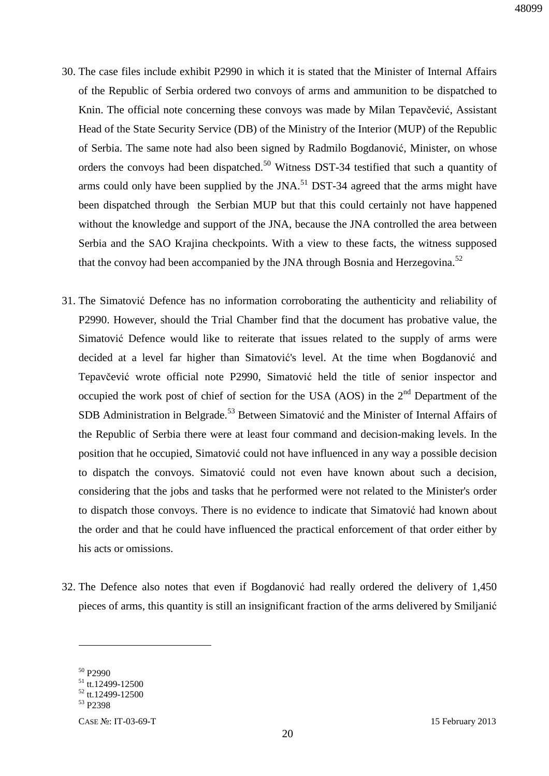- 30. The case files include exhibit P2990 in which it is stated that the Minister of Internal Affairs of the Republic of Serbia ordered two convoys of arms and ammunition to be dispatched to Knin. The official note concerning these convoys was made by Milan Tepavčević, Assistant Head of the State Security Service (DB) of the Ministry of the Interior (MUP) of the Republic of Serbia. The same note had also been signed by Radmilo Bogdanović, Minister, on whose orders the convoys had been dispatched.<sup>50</sup> Witness DST-34 testified that such a quantity of arms could only have been supplied by the JNA.<sup>51</sup> DST-34 agreed that the arms might have been dispatched through the Serbian MUP but that this could certainly not have happened without the knowledge and support of the JNA, because the JNA controlled the area between Serbia and the SAO Krajina checkpoints. With a view to these facts, the witness supposed that the convoy had been accompanied by the JNA through Bosnia and Herzegovina.<sup>52</sup>
- 31. The Simatović Defence has no information corroborating the authenticity and reliability of P2990. However, should the Trial Chamber find that the document has probative value, the Simatović Defence would like to reiterate that issues related to the supply of arms were decided at a level far higher than Simatović's level. At the time when Bogdanović and Tepavčević wrote official note P2990, Simatović held the title of senior inspector and occupied the work post of chief of section for the USA (AOS) in the  $2<sup>nd</sup>$  Department of the SDB Administration in Belgrade.<sup>53</sup> Between Simatović and the Minister of Internal Affairs of the Republic of Serbia there were at least four command and decision-making levels. In the position that he occupied, Simatović could not have influenced in any way a possible decision to dispatch the convoys. Simatović could not even have known about such a decision, considering that the jobs and tasks that he performed were not related to the Minister's order to dispatch those convoys. There is no evidence to indicate that Simatović had known about the order and that he could have influenced the practical enforcement of that order either by his acts or omissions.
- 32. The Defence also notes that even if Bogdanović had really ordered the delivery of 1,450 pieces of arms, this quantity is still an insignificant fraction of the arms delivered by Smiljanić

 $50 \text{ P}2990$ 

 $51$  tt.12499-12500

 $52$  tt.12499-12500

<sup>53</sup> P2398

CASE №: IT-03-69-T 15 February 2013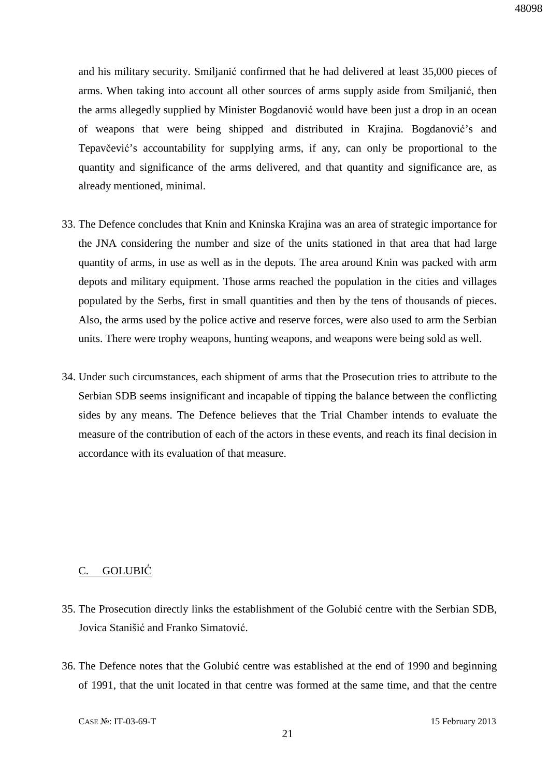and his military security. Smiljanić confirmed that he had delivered at least 35,000 pieces of arms. When taking into account all other sources of arms supply aside from Smiljanić, then the arms allegedly supplied by Minister Bogdanović would have been just a drop in an ocean of weapons that were being shipped and distributed in Krajina. Bogdanović's and Tepavčević's accountability for supplying arms, if any, can only be proportional to the quantity and significance of the arms delivered, and that quantity and significance are, as already mentioned, minimal.

- 33. The Defence concludes that Knin and Kninska Krajina was an area of strategic importance for the JNA considering the number and size of the units stationed in that area that had large quantity of arms, in use as well as in the depots. The area around Knin was packed with arm depots and military equipment. Those arms reached the population in the cities and villages populated by the Serbs, first in small quantities and then by the tens of thousands of pieces. Also, the arms used by the police active and reserve forces, were also used to arm the Serbian units. There were trophy weapons, hunting weapons, and weapons were being sold as well.
- 34. Under such circumstances, each shipment of arms that the Prosecution tries to attribute to the Serbian SDB seems insignificant and incapable of tipping the balance between the conflicting sides by any means. The Defence believes that the Trial Chamber intends to evaluate the measure of the contribution of each of the actors in these events, and reach its final decision in accordance with its evaluation of that measure.

### C. GOLUBIĆ

- 35. The Prosecution directly links the establishment of the Golubić centre with the Serbian SDB, Jovica Stanišić and Franko Simatović.
- 36. The Defence notes that the Golubić centre was established at the end of 1990 and beginning of 1991, that the unit located in that centre was formed at the same time, and that the centre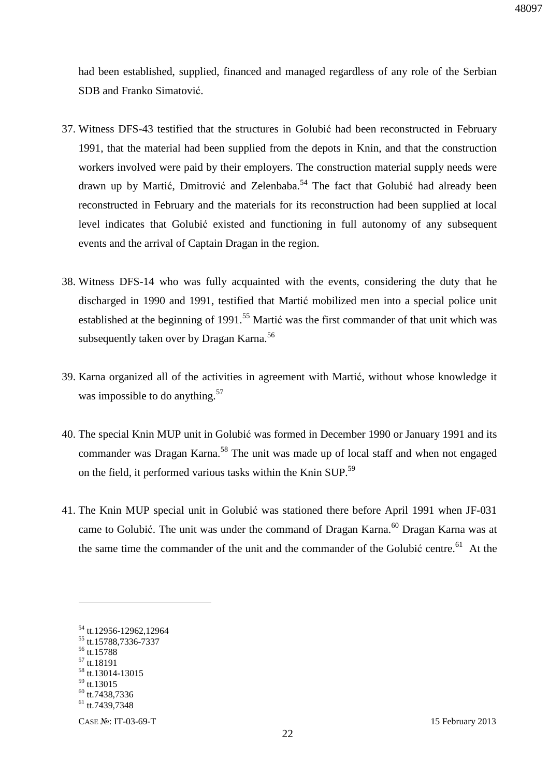had been established, supplied, financed and managed regardless of any role of the Serbian SDB and Franko Simatović.

- 37. Witness DFS-43 testified that the structures in Golubić had been reconstructed in February 1991, that the material had been supplied from the depots in Knin, and that the construction workers involved were paid by their employers. The construction material supply needs were drawn up by Martić, Dmitrović and Zelenbaba.<sup>54</sup> The fact that Golubić had already been reconstructed in February and the materials for its reconstruction had been supplied at local level indicates that Golubić existed and functioning in full autonomy of any subsequent events and the arrival of Captain Dragan in the region.
- 38. Witness DFS-14 who was fully acquainted with the events, considering the duty that he discharged in 1990 and 1991, testified that Martić mobilized men into a special police unit established at the beginning of  $1991$ <sup>55</sup> Martić was the first commander of that unit which was subsequently taken over by Dragan Karna.<sup>56</sup>
- 39. Karna organized all of the activities in agreement with Martić, without whose knowledge it was impossible to do anything.<sup>57</sup>
- 40. The special Knin MUP unit in Golubić was formed in December 1990 or January 1991 and its commander was Dragan Karna.<sup>58</sup> The unit was made up of local staff and when not engaged on the field, it performed various tasks within the Knin SUP.<sup>59</sup>
- 41. The Knin MUP special unit in Golubić was stationed there before April 1991 when JF-031 came to Golubić. The unit was under the command of Dragan Karna.<sup>60</sup> Dragan Karna was at the same time the commander of the unit and the commander of the Golubić centre.<sup>61</sup> At the

<sup>56</sup> tt.15788  $57$  tt.18191

 $\overline{a}$ 

 $59$  tt.13015

<sup>54</sup> tt.12956-12962,12964

<sup>&</sup>lt;sup>55</sup> tt.15788,7336-7337

<sup>58</sup> tt.13014-13015

 $60$  tt.7438,7336

 $61$  tt. 7439,7348

CASE №: IT-03-69-T 15 February 2013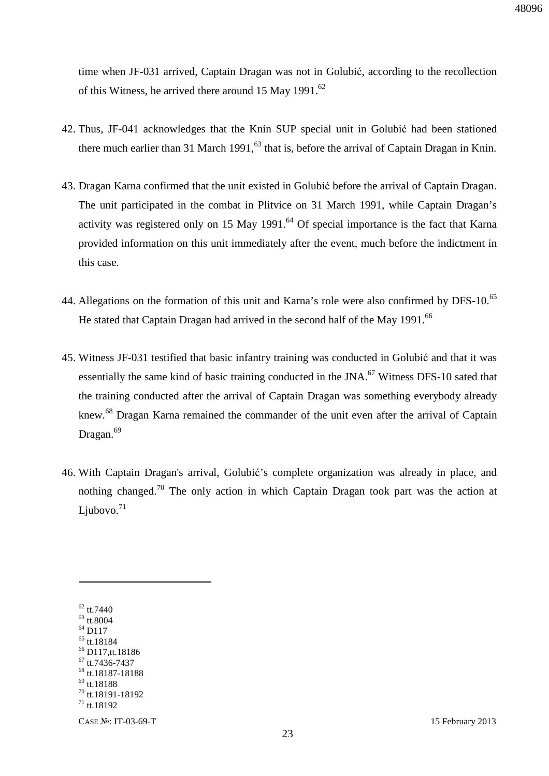time when JF-031 arrived, Captain Dragan was not in Golubić, according to the recollection of this Witness, he arrived there around 15 May 1991.<sup>62</sup>

- 42. Thus, JF-041 acknowledges that the Knin SUP special unit in Golubić had been stationed there much earlier than 31 March 1991,<sup>63</sup> that is, before the arrival of Captain Dragan in Knin.
- 43. Dragan Karna confirmed that the unit existed in Golubić before the arrival of Captain Dragan. The unit participated in the combat in Plitvice on 31 March 1991, while Captain Dragan's activity was registered only on 15 May 1991.<sup>64</sup> Of special importance is the fact that Karna provided information on this unit immediately after the event, much before the indictment in this case.
- 44. Allegations on the formation of this unit and Karna's role were also confirmed by DFS-10.<sup>65</sup> He stated that Captain Dragan had arrived in the second half of the May 1991.<sup>66</sup>
- 45. Witness JF-031 testified that basic infantry training was conducted in Golubić and that it was essentially the same kind of basic training conducted in the JNA.<sup>67</sup> Witness DFS-10 sated that the training conducted after the arrival of Captain Dragan was something everybody already knew.<sup>68</sup> Dragan Karna remained the commander of the unit even after the arrival of Captain Dragan.<sup>69</sup>
- 46. With Captain Dragan's arrival, Golubić's complete organization was already in place, and nothing changed.<sup>70</sup> The only action in which Captain Dragan took part was the action at Ljubovo. $71$

 $62$  tt.7440  $63$  tt.8004 <sup>64</sup> D117 tt.18184 D117,tt.18186 tt.7436-7437 tt.18187-18188 tt.18188 tt.18191-18192 tt. 18192

 $\overline{a}$ 

CASE №: IT-03-69-T 15 February 2013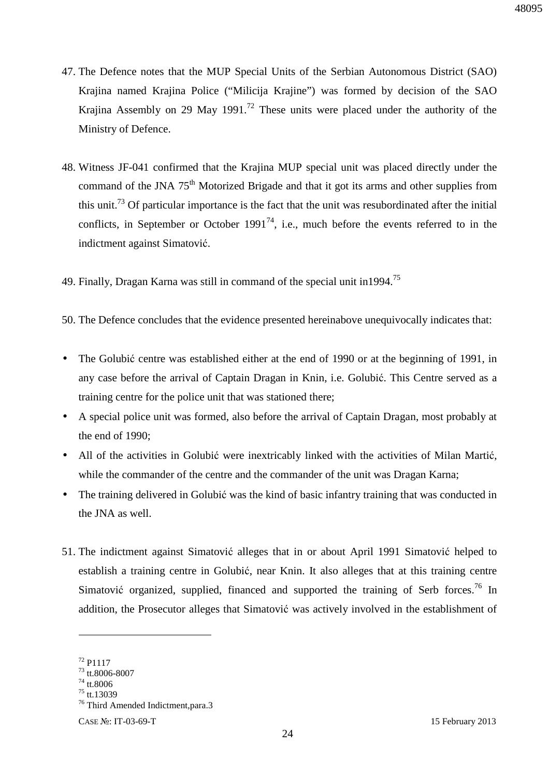- 47. The Defence notes that the MUP Special Units of the Serbian Autonomous District (SAO) Krajina named Krajina Police ("Milicija Krajine") was formed by decision of the SAO Krajina Assembly on 29 May 1991.<sup>72</sup> These units were placed under the authority of the Ministry of Defence.
- 48. Witness JF-041 confirmed that the Krajina MUP special unit was placed directly under the command of the JNA  $75<sup>th</sup>$  Motorized Brigade and that it got its arms and other supplies from this unit.<sup>73</sup> Of particular importance is the fact that the unit was resubordinated after the initial conflicts, in September or October 1991<sup>74</sup>, i.e., much before the events referred to in the indictment against Simatović.
- 49. Finally, Dragan Karna was still in command of the special unit in 1994.<sup>75</sup>
- 50. The Defence concludes that the evidence presented hereinabove unequivocally indicates that:
- The Golubić centre was established either at the end of 1990 or at the beginning of 1991, in any case before the arrival of Captain Dragan in Knin, i.e. Golubić. This Centre served as a training centre for the police unit that was stationed there;
- A special police unit was formed, also before the arrival of Captain Dragan, most probably at the end of 1990;
- All of the activities in Golubić were inextricably linked with the activities of Milan Martić, while the commander of the centre and the commander of the unit was Dragan Karna;
- The training delivered in Golubić was the kind of basic infantry training that was conducted in the JNA as well.
- 51. The indictment against Simatović alleges that in or about April 1991 Simatović helped to establish a training centre in Golubić, near Knin. It also alleges that at this training centre Simatović organized, supplied, financed and supported the training of Serb forces.<sup>76</sup> In addition, the Prosecutor alleges that Simatović was actively involved in the establishment of

 $72$  P1117

<sup>73</sup> tt.8006-8007

 $74$  tt.8006

<sup>75</sup> tt.13039

<sup>&</sup>lt;sup>76</sup> Third Amended Indictment, para.3

CASE №: IT-03-69-T 15 February 2013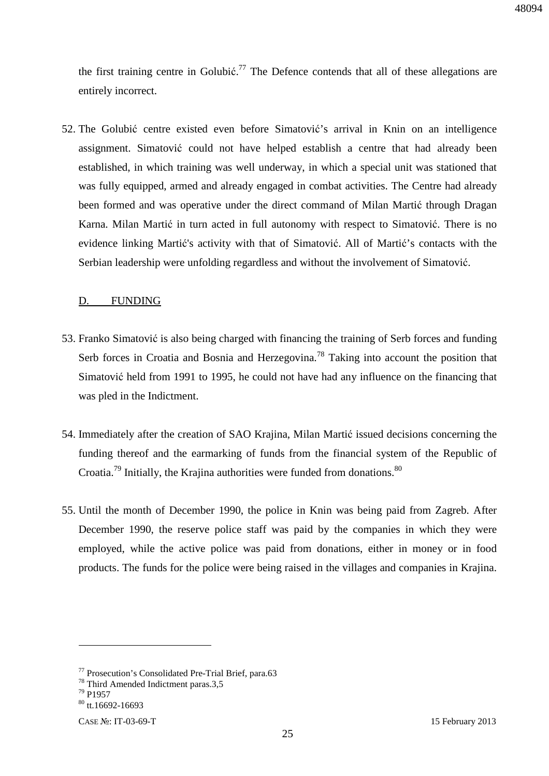the first training centre in Golubić.<sup>77</sup> The Defence contends that all of these allegations are entirely incorrect.

52. The Golubić centre existed even before Simatović's arrival in Knin on an intelligence assignment. Simatović could not have helped establish a centre that had already been established, in which training was well underway, in which a special unit was stationed that was fully equipped, armed and already engaged in combat activities. The Centre had already been formed and was operative under the direct command of Milan Martić through Dragan Karna. Milan Martić in turn acted in full autonomy with respect to Simatović. There is no evidence linking Martić's activity with that of Simatović. All of Martić's contacts with the Serbian leadership were unfolding regardless and without the involvement of Simatović.

#### D. FUNDING

- 53. Franko Simatović is also being charged with financing the training of Serb forces and funding Serb forces in Croatia and Bosnia and Herzegovina.<sup>78</sup> Taking into account the position that Simatović held from 1991 to 1995, he could not have had any influence on the financing that was pled in the Indictment.
- 54. Immediately after the creation of SAO Krajina, Milan Martić issued decisions concerning the funding thereof and the earmarking of funds from the financial system of the Republic of Croatia.<sup>79</sup> Initially, the Krajina authorities were funded from donations.<sup>80</sup>
- 55. Until the month of December 1990, the police in Knin was being paid from Zagreb. After December 1990, the reserve police staff was paid by the companies in which they were employed, while the active police was paid from donations, either in money or in food products. The funds for the police were being raised in the villages and companies in Krajina.

<sup>77</sup> Prosecution's Consolidated Pre-Trial Brief, para.63

<sup>&</sup>lt;sup>78</sup> Third Amended Indictment paras.3,5

<sup>79</sup> P1957

 $80$  tt. 16692-16693

CASE №: IT-03-69-T 15 February 2013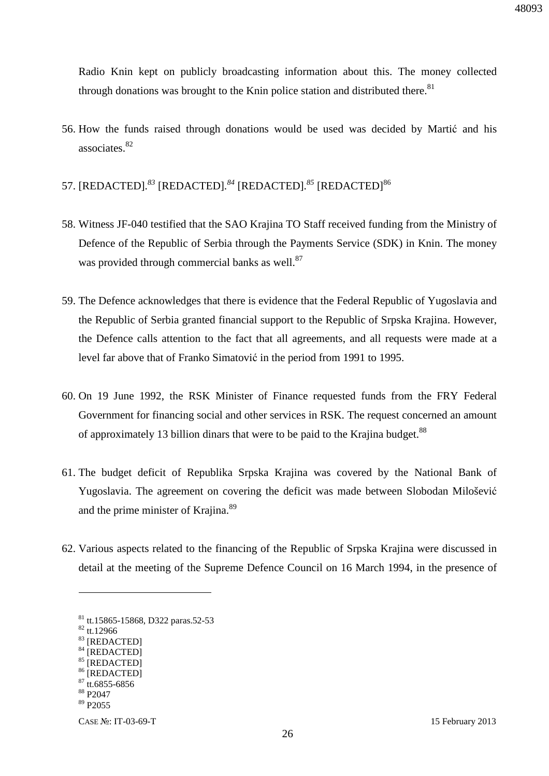Radio Knin kept on publicly broadcasting information about this. The money collected through donations was brought to the Knin police station and distributed there. $81$ 

- 56. How the funds raised through donations would be used was decided by Martić and his associates.<sup>82</sup>
- 57. [REDACTED]*. <sup>83</sup>* [REDACTED]*. <sup>84</sup>* [REDACTED]*. <sup>85</sup>* [REDACTED]<sup>86</sup>
- 58. Witness JF-040 testified that the SAO Krajina TO Staff received funding from the Ministry of Defence of the Republic of Serbia through the Payments Service (SDK) in Knin. The money was provided through commercial banks as well. $87$
- 59. The Defence acknowledges that there is evidence that the Federal Republic of Yugoslavia and the Republic of Serbia granted financial support to the Republic of Srpska Krajina. However, the Defence calls attention to the fact that all agreements, and all requests were made at a level far above that of Franko Simatović in the period from 1991 to 1995.
- 60. On 19 June 1992, the RSK Minister of Finance requested funds from the FRY Federal Government for financing social and other services in RSK. The request concerned an amount of approximately 13 billion dinars that were to be paid to the Krajina budget.<sup>88</sup>
- 61. The budget deficit of Republika Srpska Krajina was covered by the National Bank of Yugoslavia. The agreement on covering the deficit was made between Slobodan Milošević and the prime minister of Krajina.<sup>89</sup>
- 62. Various aspects related to the financing of the Republic of Srpska Krajina were discussed in detail at the meeting of the Supreme Defence Council on 16 March 1994, in the presence of

<sup>81</sup> tt.15865-15868, D322 paras.52-53

 $82$  tt.12966

<sup>83</sup> [REDACTED]

<sup>84 [</sup>REDACTED]

<sup>85 [</sup>REDACTED] <sup>86</sup> [REDACTED]

 $87$  tt.6855-6856

<sup>88</sup> P2047

<sup>89</sup> P2055

CASE №: IT-03-69-T 15 February 2013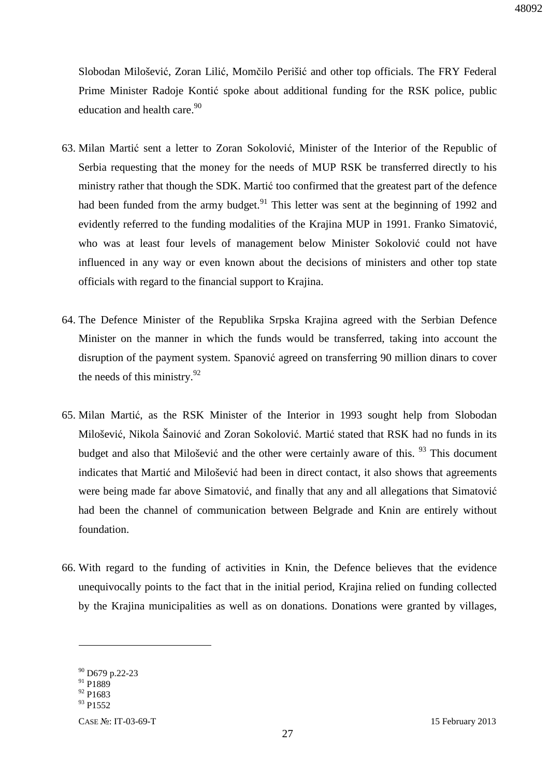Slobodan Milošević, Zoran Lilić, Momčilo Perišić and other top officials. The FRY Federal Prime Minister Radoje Kontić spoke about additional funding for the RSK police, public education and health care.<sup>90</sup>

- 63. Milan Martić sent a letter to Zoran Sokolović, Minister of the Interior of the Republic of Serbia requesting that the money for the needs of MUP RSK be transferred directly to his ministry rather that though the SDK. Martić too confirmed that the greatest part of the defence had been funded from the army budget.<sup>91</sup> This letter was sent at the beginning of 1992 and evidently referred to the funding modalities of the Krajina MUP in 1991. Franko Simatović, who was at least four levels of management below Minister Sokolović could not have influenced in any way or even known about the decisions of ministers and other top state officials with regard to the financial support to Krajina.
- 64. The Defence Minister of the Republika Srpska Krajina agreed with the Serbian Defence Minister on the manner in which the funds would be transferred, taking into account the disruption of the payment system. Spanović agreed on transferring 90 million dinars to cover the needs of this ministry. $92$
- 65. Milan Martić, as the RSK Minister of the Interior in 1993 sought help from Slobodan Milošević, Nikola Šainović and Zoran Sokolović. Martić stated that RSK had no funds in its budget and also that Milošević and the other were certainly aware of this. <sup>93</sup> This document indicates that Martić and Milošević had been in direct contact, it also shows that agreements were being made far above Simatović, and finally that any and all allegations that Simatović had been the channel of communication between Belgrade and Knin are entirely without foundation.
- 66. With regard to the funding of activities in Knin, the Defence believes that the evidence unequivocally points to the fact that in the initial period, Krajina relied on funding collected by the Krajina municipalities as well as on donations. Donations were granted by villages,

<sup>&</sup>lt;sup>90</sup> D679 p.22-23

<sup>&</sup>lt;sup>91</sup> P1889

 $92$  P<sub>1683</sub>

 $93$  P<sub>1552</sub>

CASE №: IT-03-69-T 15 February 2013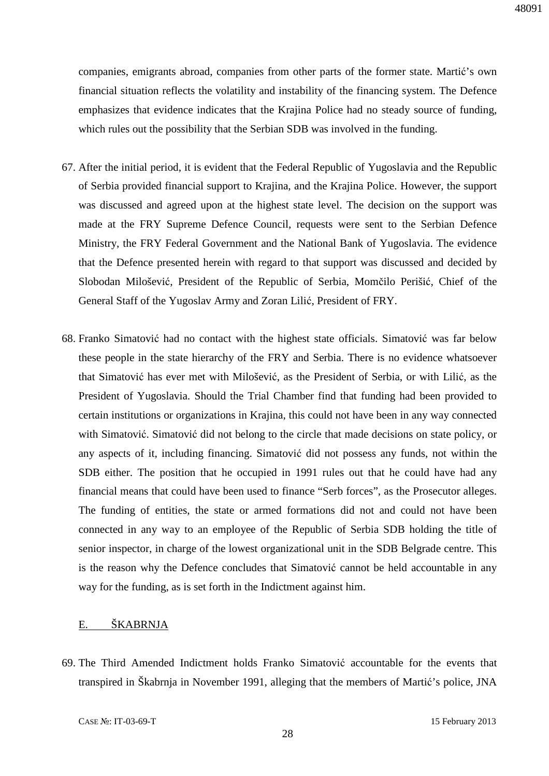companies, emigrants abroad, companies from other parts of the former state. Martić's own financial situation reflects the volatility and instability of the financing system. The Defence emphasizes that evidence indicates that the Krajina Police had no steady source of funding, which rules out the possibility that the Serbian SDB was involved in the funding.

- 67. After the initial period, it is evident that the Federal Republic of Yugoslavia and the Republic of Serbia provided financial support to Krajina, and the Krajina Police. However, the support was discussed and agreed upon at the highest state level. The decision on the support was made at the FRY Supreme Defence Council, requests were sent to the Serbian Defence Ministry, the FRY Federal Government and the National Bank of Yugoslavia. The evidence that the Defence presented herein with regard to that support was discussed and decided by Slobodan Milošević, President of the Republic of Serbia, Momčilo Perišić, Chief of the General Staff of the Yugoslav Army and Zoran Lilić, President of FRY.
- 68. Franko Simatović had no contact with the highest state officials. Simatović was far below these people in the state hierarchy of the FRY and Serbia. There is no evidence whatsoever that Simatović has ever met with Milošević, as the President of Serbia, or with Lilić, as the President of Yugoslavia. Should the Trial Chamber find that funding had been provided to certain institutions or organizations in Krajina, this could not have been in any way connected with Simatović. Simatović did not belong to the circle that made decisions on state policy, or any aspects of it, including financing. Simatović did not possess any funds, not within the SDB either. The position that he occupied in 1991 rules out that he could have had any financial means that could have been used to finance "Serb forces", as the Prosecutor alleges. The funding of entities, the state or armed formations did not and could not have been connected in any way to an employee of the Republic of Serbia SDB holding the title of senior inspector, in charge of the lowest organizational unit in the SDB Belgrade centre. This is the reason why the Defence concludes that Simatović cannot be held accountable in any way for the funding, as is set forth in the Indictment against him.

#### E. ŠKABRNJA

69. The Third Amended Indictment holds Franko Simatović accountable for the events that transpired in Škabrnja in November 1991, alleging that the members of Martić's police, JNA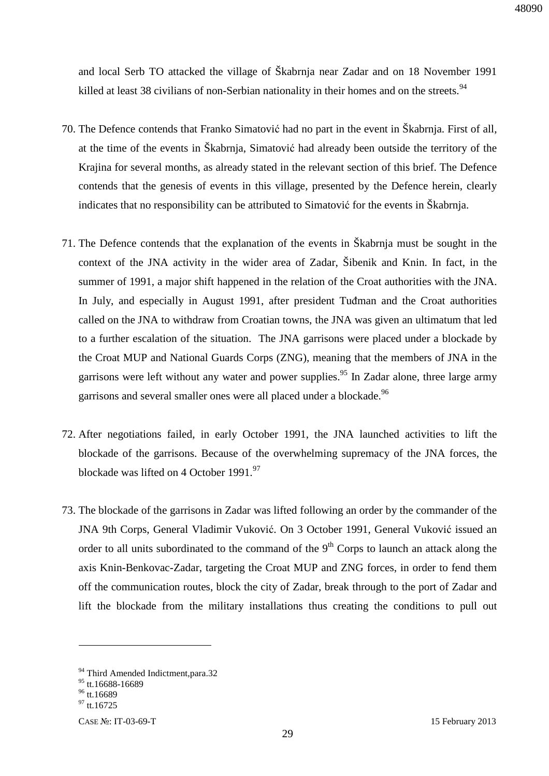and local Serb TO attacked the village of Škabrnja near Zadar and on 18 November 1991 killed at least 38 civilians of non-Serbian nationality in their homes and on the streets.<sup>94</sup>

- 70. The Defence contends that Franko Simatović had no part in the event in Škabrnja. First of all, at the time of the events in Škabrnja, Simatović had already been outside the territory of the Krajina for several months, as already stated in the relevant section of this brief. The Defence contends that the genesis of events in this village, presented by the Defence herein, clearly indicates that no responsibility can be attributed to Simatović for the events in Škabrnja.
- 71. The Defence contends that the explanation of the events in Škabrnja must be sought in the context of the JNA activity in the wider area of Zadar, Šibenik and Knin. In fact, in the summer of 1991, a major shift happened in the relation of the Croat authorities with the JNA. In July, and especially in August 1991, after president Tuđman and the Croat authorities called on the JNA to withdraw from Croatian towns, the JNA was given an ultimatum that led to a further escalation of the situation. The JNA garrisons were placed under a blockade by the Croat MUP and National Guards Corps (ZNG), meaning that the members of JNA in the garrisons were left without any water and power supplies.<sup>95</sup> In Zadar alone, three large army garrisons and several smaller ones were all placed under a blockade.<sup>96</sup>
- 72. After negotiations failed, in early October 1991, the JNA launched activities to lift the blockade of the garrisons. Because of the overwhelming supremacy of the JNA forces, the blockade was lifted on 4 October 1991. $97$
- 73. The blockade of the garrisons in Zadar was lifted following an order by the commander of the JNA 9th Corps, General Vladimir Vuković. On 3 October 1991, General Vuković issued an order to all units subordinated to the command of the  $9<sup>th</sup>$  Corps to launch an attack along the axis Knin-Benkovac-Zadar, targeting the Croat MUP and ZNG forces, in order to fend them off the communication routes, block the city of Zadar, break through to the port of Zadar and lift the blockade from the military installations thus creating the conditions to pull out

<sup>&</sup>lt;sup>94</sup> Third Amended Indictment, para.32

 $^{95}$  tt.16688-16689

 $96$  tt.16689

 $^{97}$  tt.16725

CASE №: IT-03-69-T 15 February 2013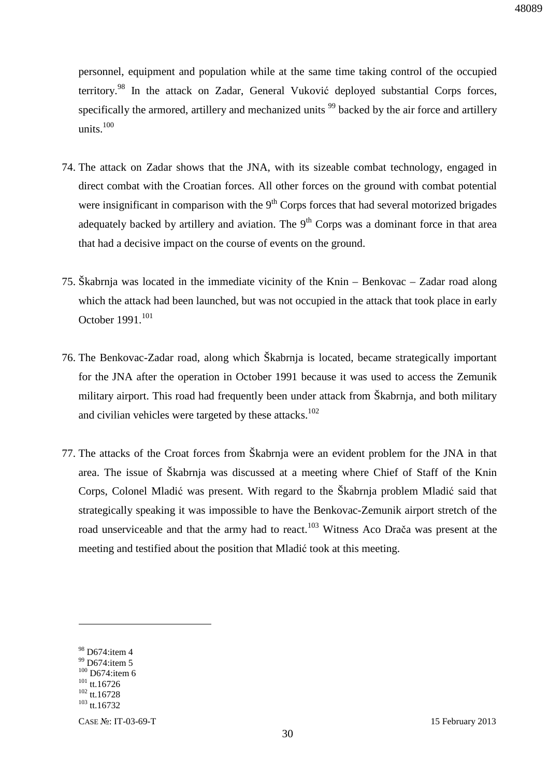personnel, equipment and population while at the same time taking control of the occupied territory.<sup>98</sup> In the attack on Zadar, General Vuković deployed substantial Corps forces, specifically the armored, artillery and mechanized units<sup>99</sup> backed by the air force and artillery units. $100$ 

- 74. The attack on Zadar shows that the JNA, with its sizeable combat technology, engaged in direct combat with the Croatian forces. All other forces on the ground with combat potential were insignificant in comparison with the  $9<sup>th</sup>$  Corps forces that had several motorized brigades adequately backed by artillery and aviation. The  $9<sup>th</sup>$  Corps was a dominant force in that area that had a decisive impact on the course of events on the ground.
- 75. Škabrnja was located in the immediate vicinity of the Knin Benkovac Zadar road along which the attack had been launched, but was not occupied in the attack that took place in early October 1991.<sup>101</sup>
- 76. The Benkovac-Zadar road, along which Škabrnja is located, became strategically important for the JNA after the operation in October 1991 because it was used to access the Zemunik military airport. This road had frequently been under attack from Škabrnja, and both military and civilian vehicles were targeted by these attacks.<sup>102</sup>
- 77. The attacks of the Croat forces from Škabrnja were an evident problem for the JNA in that area. The issue of Škabrnja was discussed at a meeting where Chief of Staff of the Knin Corps, Colonel Mladić was present. With regard to the Škabrnja problem Mladić said that strategically speaking it was impossible to have the Benkovac-Zemunik airport stretch of the road unserviceable and that the army had to react.<sup>103</sup> Witness Aco Drača was present at the meeting and testified about the position that Mladić took at this meeting.

 $98$  D674: item 4

<sup>&</sup>lt;sup>99</sup> D674:item 5  $100$  D674:item 6

 $101$  tt.16726

<sup>&</sup>lt;sup>102</sup> tt.16728

 $103$  tt.16732

CASE №: IT-03-69-T 15 February 2013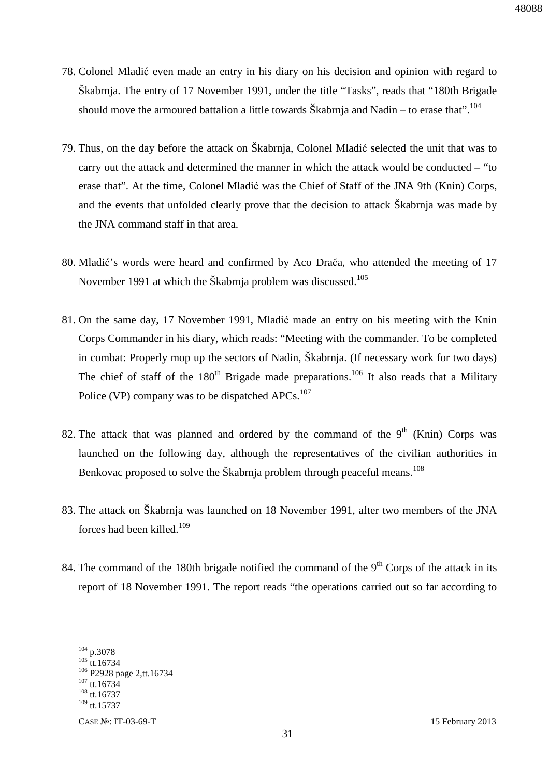- 78. Colonel Mladić even made an entry in his diary on his decision and opinion with regard to Škabrnja. The entry of 17 November 1991, under the title "Tasks", reads that "180th Brigade should move the armoured battalion a little towards Škabrnja and Nadin – to erase that".<sup>104</sup>
- 79. Thus, on the day before the attack on Škabrnja, Colonel Mladić selected the unit that was to carry out the attack and determined the manner in which the attack would be conducted – "to erase that". At the time, Colonel Mladić was the Chief of Staff of the JNA 9th (Knin) Corps, and the events that unfolded clearly prove that the decision to attack Škabrnja was made by the JNA command staff in that area.
- 80. Mladić's words were heard and confirmed by Aco Drača, who attended the meeting of 17 November 1991 at which the Škabrnja problem was discussed.<sup>105</sup>
- 81. On the same day, 17 November 1991, Mladić made an entry on his meeting with the Knin Corps Commander in his diary, which reads: "Meeting with the commander. To be completed in combat: Properly mop up the sectors of Nadin, Škabrnja. (If necessary work for two days) The chief of staff of the  $180<sup>th</sup>$  Brigade made preparations.<sup>106</sup> It also reads that a Military Police (VP) company was to be dispatched APCs.<sup>107</sup>
- 82. The attack that was planned and ordered by the command of the  $9<sup>th</sup>$  (Knin) Corps was launched on the following day, although the representatives of the civilian authorities in Benkovac proposed to solve the Škabrnja problem through peaceful means.<sup>108</sup>
- 83. The attack on Škabrnja was launched on 18 November 1991, after two members of the JNA forces had been killed.<sup>109</sup>
- 84. The command of the 180th brigade notified the command of the  $9<sup>th</sup>$  Corps of the attack in its report of 18 November 1991. The report reads "the operations carried out so far according to

<sup>104</sup> p.3078

 $105$  tt.16734 <sup>106</sup> P2928 page 2,tt.16734

 $107$  tt.16734

<sup>108</sup> tt.16737

 $109$  tt.15737

CASE №: IT-03-69-T 15 February 2013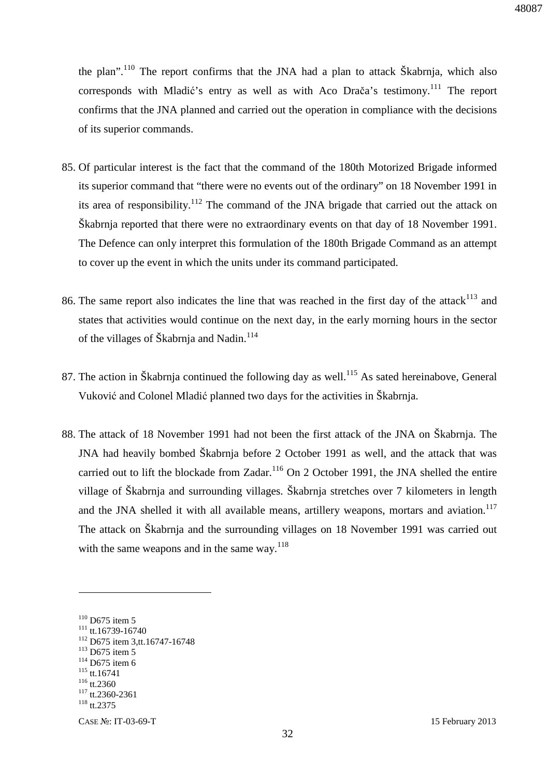the plan".<sup>110</sup> The report confirms that the JNA had a plan to attack Skabrnja, which also corresponds with Mladić's entry as well as with Aco Drača's testimony.<sup>111</sup> The report confirms that the JNA planned and carried out the operation in compliance with the decisions of its superior commands.

- 85. Of particular interest is the fact that the command of the 180th Motorized Brigade informed its superior command that "there were no events out of the ordinary" on 18 November 1991 in its area of responsibility.<sup>112</sup> The command of the JNA brigade that carried out the attack on Škabrnja reported that there were no extraordinary events on that day of 18 November 1991. The Defence can only interpret this formulation of the 180th Brigade Command as an attempt to cover up the event in which the units under its command participated.
- 86. The same report also indicates the line that was reached in the first day of the attack<sup>113</sup> and states that activities would continue on the next day, in the early morning hours in the sector of the villages of Škabrnia and Nadin.<sup>114</sup>
- 87. The action in Škabrnja continued the following day as well.<sup>115</sup> As sated hereinabove, General Vuković and Colonel Mladić planned two days for the activities in Škabrnja.
- 88. The attack of 18 November 1991 had not been the first attack of the JNA on Škabrnja. The JNA had heavily bombed Škabrnja before 2 October 1991 as well, and the attack that was carried out to lift the blockade from Zadar.<sup>116</sup> On 2 October 1991, the JNA shelled the entire village of Škabrnja and surrounding villages. Škabrnja stretches over 7 kilometers in length and the JNA shelled it with all available means, artillery weapons, mortars and aviation.<sup>117</sup> The attack on Škabrnja and the surrounding villages on 18 November 1991 was carried out with the same weapons and in the same way.<sup>118</sup>

<sup>&</sup>lt;sup>110</sup> D675 item 5

 $111$  tt.16739-16740

<sup>112</sup> D675 item 3,tt.16747-16748

<sup>&</sup>lt;sup>113</sup> D675 item 5

 $114$  D675 item 6

<sup>115</sup> tt.16741

 $116$  tt.2360

 $117$  tt.2360-2361

 $118$  tt.2375

CASE №: IT-03-69-T 15 February 2013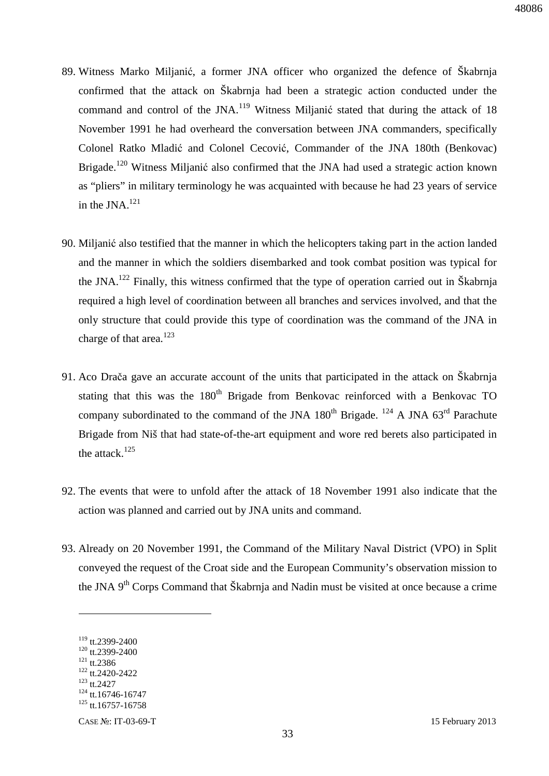- 89. Witness Marko Miljanić, a former JNA officer who organized the defence of Škabrnja confirmed that the attack on Škabrnja had been a strategic action conducted under the command and control of the JNA.<sup>119</sup> Witness Miljanić stated that during the attack of 18 November 1991 he had overheard the conversation between JNA commanders, specifically Colonel Ratko Mladić and Colonel Cecović, Commander of the JNA 180th (Benkovac) Brigade.<sup>120</sup> Witness Miljanić also confirmed that the JNA had used a strategic action known as "pliers" in military terminology he was acquainted with because he had 23 years of service in the JNA $^{121}$
- 90. Miljanić also testified that the manner in which the helicopters taking part in the action landed and the manner in which the soldiers disembarked and took combat position was typical for the JNA.<sup>122</sup> Finally, this witness confirmed that the type of operation carried out in Škabrnja required a high level of coordination between all branches and services involved, and that the only structure that could provide this type of coordination was the command of the JNA in charge of that area.<sup>123</sup>
- 91. Aco Drača gave an accurate account of the units that participated in the attack on Škabrnja stating that this was the 180<sup>th</sup> Brigade from Benkovac reinforced with a Benkovac TO company subordinated to the command of the JNA  $180^{th}$  Brigade. <sup>124</sup> A JNA  $63^{rd}$  Parachute Brigade from Niš that had state-of-the-art equipment and wore red berets also participated in the attack. $125$
- 92. The events that were to unfold after the attack of 18 November 1991 also indicate that the action was planned and carried out by JNA units and command.
- 93. Already on 20 November 1991, the Command of the Military Naval District (VPO) in Split conveyed the request of the Croat side and the European Community's observation mission to the JNA 9<sup>th</sup> Corps Command that Škabrnja and Nadin must be visited at once because a crime

<sup>119</sup> tt.2399-2400

<sup>&</sup>lt;sup>120</sup> tt.2399-2400 <sup>121</sup> tt.2386

<sup>122</sup> tt.2420-2422

 $123$  tt.2427

 $124$  tt.16746-16747

 $125$  tt.16757-16758

CASE №: IT-03-69-T 15 February 2013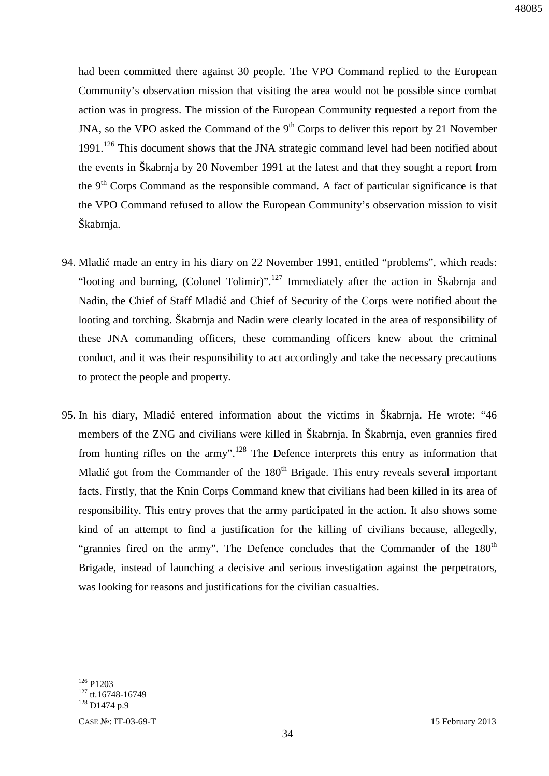had been committed there against 30 people. The VPO Command replied to the European Community's observation mission that visiting the area would not be possible since combat action was in progress. The mission of the European Community requested a report from the JNA, so the VPO asked the Command of the  $9<sup>th</sup>$  Corps to deliver this report by 21 November 1991.<sup>126</sup> This document shows that the JNA strategic command level had been notified about the events in Škabrnja by 20 November 1991 at the latest and that they sought a report from the  $9<sup>th</sup>$  Corps Command as the responsible command. A fact of particular significance is that the VPO Command refused to allow the European Community's observation mission to visit Škabrnja.

- 94. Mladić made an entry in his diary on 22 November 1991, entitled "problems", which reads: "looting and burning, (Colonel Tolimir)".<sup>127</sup> Immediately after the action in Škabrnja and Nadin, the Chief of Staff Mladić and Chief of Security of the Corps were notified about the looting and torching. Škabrnja and Nadin were clearly located in the area of responsibility of these JNA commanding officers, these commanding officers knew about the criminal conduct, and it was their responsibility to act accordingly and take the necessary precautions to protect the people and property.
- 95. In his diary, Mladić entered information about the victims in Škabrnja. He wrote: "46 members of the ZNG and civilians were killed in Škabrnja. In Škabrnja, even grannies fired from hunting rifles on the army".<sup>128</sup> The Defence interprets this entry as information that Mladić got from the Commander of the  $180<sup>th</sup>$  Brigade. This entry reveals several important facts. Firstly, that the Knin Corps Command knew that civilians had been killed in its area of responsibility. This entry proves that the army participated in the action. It also shows some kind of an attempt to find a justification for the killing of civilians because, allegedly, "grannies fired on the army". The Defence concludes that the Commander of the  $180<sup>th</sup>$ Brigade, instead of launching a decisive and serious investigation against the perpetrators, was looking for reasons and justifications for the civilian casualties.

<sup>126</sup> P1203

 $127$  tt.16748-16749

<sup>128</sup> D1474 p.9

CASE №: IT-03-69-T 15 February 2013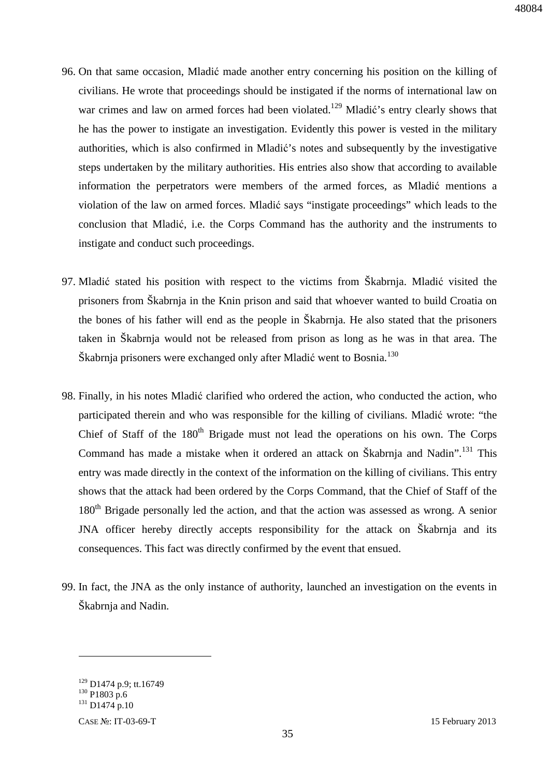- 96. On that same occasion, Mladić made another entry concerning his position on the killing of civilians. He wrote that proceedings should be instigated if the norms of international law on war crimes and law on armed forces had been violated.<sup>129</sup> Mladić's entry clearly shows that he has the power to instigate an investigation. Evidently this power is vested in the military authorities, which is also confirmed in Mladić's notes and subsequently by the investigative steps undertaken by the military authorities. His entries also show that according to available information the perpetrators were members of the armed forces, as Mladić mentions a violation of the law on armed forces. Mladić says "instigate proceedings" which leads to the conclusion that Mladić, i.e. the Corps Command has the authority and the instruments to instigate and conduct such proceedings.
- 97. Mladić stated his position with respect to the victims from Škabrnja. Mladić visited the prisoners from Škabrnja in the Knin prison and said that whoever wanted to build Croatia on the bones of his father will end as the people in Škabrnja. He also stated that the prisoners taken in Škabrnja would not be released from prison as long as he was in that area. The Škabrnja prisoners were exchanged only after Mladić went to Bosnia.<sup>130</sup>
- 98. Finally, in his notes Mladić clarified who ordered the action, who conducted the action, who participated therein and who was responsible for the killing of civilians. Mladić wrote: "the Chief of Staff of the  $180<sup>th</sup>$  Brigade must not lead the operations on his own. The Corps Command has made a mistake when it ordered an attack on Škabrnja and Nadin".<sup>131</sup> This entry was made directly in the context of the information on the killing of civilians. This entry shows that the attack had been ordered by the Corps Command, that the Chief of Staff of the 180<sup>th</sup> Brigade personally led the action, and that the action was assessed as wrong. A senior JNA officer hereby directly accepts responsibility for the attack on Škabrnja and its consequences. This fact was directly confirmed by the event that ensued.
- 99. In fact, the JNA as the only instance of authority, launched an investigation on the events in Škabrnja and Nadin.

<sup>&</sup>lt;sup>129</sup> D1474 p.9; tt.16749

 $130$  P1803 p.6

<sup>131</sup> D1474 p.10

CASE №: IT-03-69-T 15 February 2013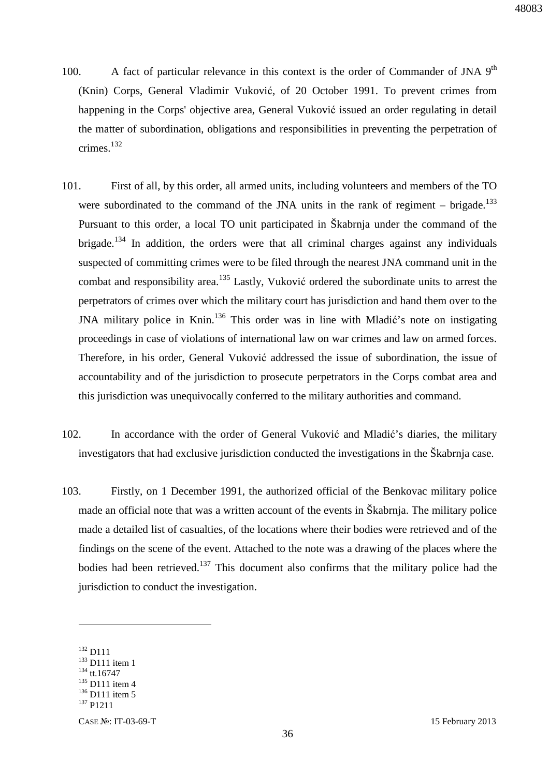- 100. A fact of particular relevance in this context is the order of Commander of JNA  $9<sup>th</sup>$ (Knin) Corps, General Vladimir Vuković, of 20 October 1991. To prevent crimes from happening in the Corps' objective area, General Vuković issued an order regulating in detail the matter of subordination, obligations and responsibilities in preventing the perpetration of crimes.<sup>132</sup>
- 101. First of all, by this order, all armed units, including volunteers and members of the TO were subordinated to the command of the JNA units in the rank of regiment – brigade.<sup>133</sup> Pursuant to this order, a local TO unit participated in Škabrnja under the command of the brigade.<sup>134</sup> In addition, the orders were that all criminal charges against any individuals suspected of committing crimes were to be filed through the nearest JNA command unit in the combat and responsibility area.<sup>135</sup> Lastly, Vuković ordered the subordinate units to arrest the perpetrators of crimes over which the military court has jurisdiction and hand them over to the JNA military police in Knin.<sup>136</sup> This order was in line with Mladić's note on instigating proceedings in case of violations of international law on war crimes and law on armed forces. Therefore, in his order, General Vuković addressed the issue of subordination, the issue of accountability and of the jurisdiction to prosecute perpetrators in the Corps combat area and this jurisdiction was unequivocally conferred to the military authorities and command.
- 102. In accordance with the order of General Vuković and Mladić's diaries, the military investigators that had exclusive jurisdiction conducted the investigations in the Škabrnja case.
- 103. Firstly, on 1 December 1991, the authorized official of the Benkovac military police made an official note that was a written account of the events in Škabrnja. The military police made a detailed list of casualties, of the locations where their bodies were retrieved and of the findings on the scene of the event. Attached to the note was a drawing of the places where the bodies had been retrieved.<sup>137</sup> This document also confirms that the military police had the jurisdiction to conduct the investigation.

<sup>132</sup> D111

<sup>&</sup>lt;sup>133</sup> D111 item 1

<sup>&</sup>lt;sup>134</sup> tt.16747

 $135$  D111 item 4

<sup>&</sup>lt;sup>136</sup> D111 item 5

<sup>137</sup> P1211

CASE №: IT-03-69-T 15 February 2013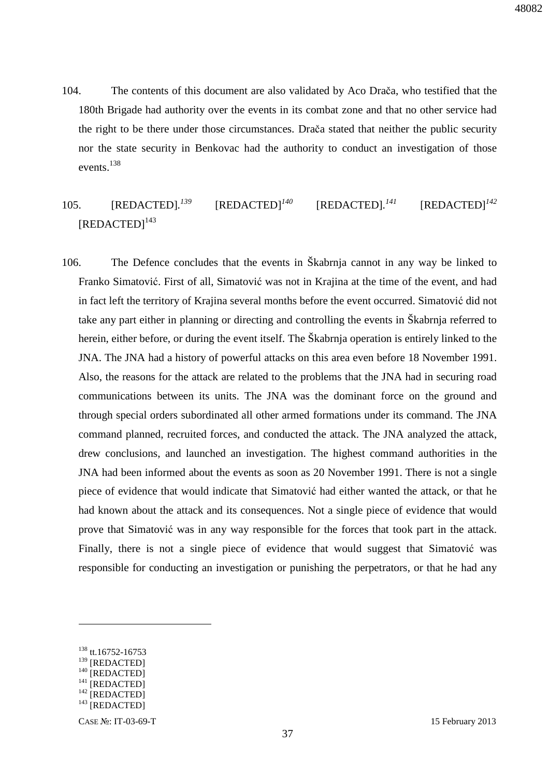104. The contents of this document are also validated by Aco Drača, who testified that the 180th Brigade had authority over the events in its combat zone and that no other service had the right to be there under those circumstances. Drača stated that neither the public security nor the state security in Benkovac had the authority to conduct an investigation of those events.<sup>138</sup>

#### 105. **[REDACTED**].<sup>139</sup>  $[REDACTED]$ <sup> $140$ </sup> *<sup>141</sup>* [REDACTED]*<sup>142</sup>* [REDACTED]<sup>143</sup>

106. The Defence concludes that the events in Škabrnja cannot in any way be linked to Franko Simatović. First of all, Simatović was not in Krajina at the time of the event, and had in fact left the territory of Krajina several months before the event occurred. Simatović did not take any part either in planning or directing and controlling the events in Škabrnja referred to herein, either before, or during the event itself. The Škabrnja operation is entirely linked to the JNA. The JNA had a history of powerful attacks on this area even before 18 November 1991. Also, the reasons for the attack are related to the problems that the JNA had in securing road communications between its units. The JNA was the dominant force on the ground and through special orders subordinated all other armed formations under its command. The JNA command planned, recruited forces, and conducted the attack. The JNA analyzed the attack, drew conclusions, and launched an investigation. The highest command authorities in the JNA had been informed about the events as soon as 20 November 1991. There is not a single piece of evidence that would indicate that Simatović had either wanted the attack, or that he had known about the attack and its consequences. Not a single piece of evidence that would prove that Simatović was in any way responsible for the forces that took part in the attack. Finally, there is not a single piece of evidence that would suggest that Simatović was responsible for conducting an investigation or punishing the perpetrators, or that he had any

<sup>138</sup> tt.16752-16753

<sup>&</sup>lt;sup>139</sup> [REDACTED]

 $140$  [REDACTED]

 $^{141}$  [REDACTED]

 $142$  [REDACTED]

 $143$  [REDACTED]

CASE №: IT-03-69-T 15 February 2013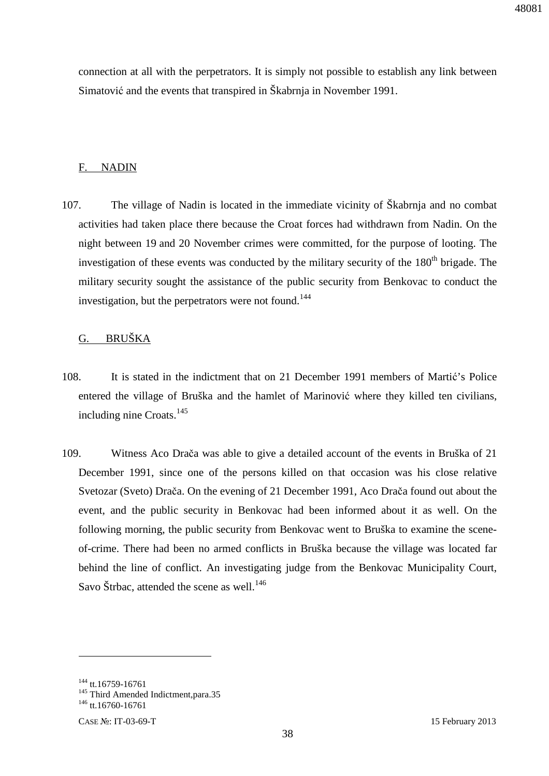connection at all with the perpetrators. It is simply not possible to establish any link between Simatović and the events that transpired in Škabrnja in November 1991.

#### F. NADIN

107. The village of Nadin is located in the immediate vicinity of Škabrnja and no combat activities had taken place there because the Croat forces had withdrawn from Nadin. On the night between 19 and 20 November crimes were committed, for the purpose of looting. The investigation of these events was conducted by the military security of the 180<sup>th</sup> brigade. The military security sought the assistance of the public security from Benkovac to conduct the investigation, but the perpetrators were not found.<sup>144</sup>

### G. BRUŠKA

- 108. It is stated in the indictment that on 21 December 1991 members of Martić's Police entered the village of Bruška and the hamlet of Marinović where they killed ten civilians, including nine Croats.<sup>145</sup>
- 109. Witness Aco Drača was able to give a detailed account of the events in Bruška of 21 December 1991, since one of the persons killed on that occasion was his close relative Svetozar (Sveto) Drača. On the evening of 21 December 1991, Aco Drača found out about the event, and the public security in Benkovac had been informed about it as well. On the following morning, the public security from Benkovac went to Bruška to examine the sceneof-crime. There had been no armed conflicts in Bruška because the village was located far behind the line of conflict. An investigating judge from the Benkovac Municipality Court, Savo Štrbac, attended the scene as well.<sup>146</sup>

<u>.</u>

<sup>&</sup>lt;sup>144</sup> tt.16759-16761

<sup>&</sup>lt;sup>145</sup> Third Amended Indictment, para.35

<sup>&</sup>lt;sup>146</sup> tt.16760-16761

CASE №: IT-03-69-T 15 February 2013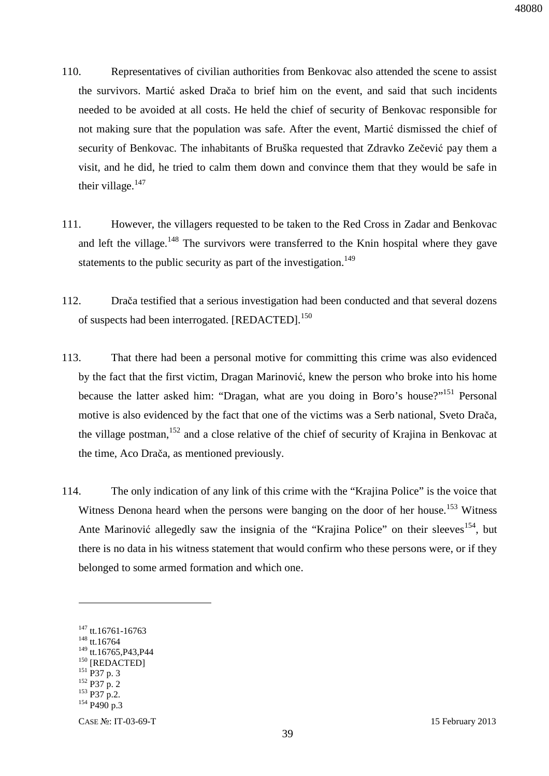- 110. Representatives of civilian authorities from Benkovac also attended the scene to assist the survivors. Martić asked Drača to brief him on the event, and said that such incidents needed to be avoided at all costs. He held the chief of security of Benkovac responsible for not making sure that the population was safe. After the event, Martić dismissed the chief of security of Benkovac. The inhabitants of Bruška requested that Zdravko Zečević pay them a visit, and he did, he tried to calm them down and convince them that they would be safe in their village. $147$
- 111. However, the villagers requested to be taken to the Red Cross in Zadar and Benkovac and left the village.<sup>148</sup> The survivors were transferred to the Knin hospital where they gave statements to the public security as part of the investigation.<sup>149</sup>
- 112. Drača testified that a serious investigation had been conducted and that several dozens of suspects had been interrogated. [REDACTED].<sup>150</sup>
- 113. That there had been a personal motive for committing this crime was also evidenced by the fact that the first victim, Dragan Marinović, knew the person who broke into his home because the latter asked him: "Dragan, what are you doing in Boro's house?"<sup>151</sup> Personal motive is also evidenced by the fact that one of the victims was a Serb national, Sveto Drača, the village postman,  $152$  and a close relative of the chief of security of Krajina in Benkovac at the time, Aco Drača, as mentioned previously.
- 114. The only indication of any link of this crime with the "Krajina Police" is the voice that Witness Denona heard when the persons were banging on the door of her house.<sup>153</sup> Witness Ante Marinović allegedly saw the insignia of the "Krajina Police" on their sleeves<sup>154</sup>, but there is no data in his witness statement that would confirm who these persons were, or if they belonged to some armed formation and which one.

<sup>&</sup>lt;sup>147</sup> tt.16761-16763

<sup>&</sup>lt;sup>148</sup> tt.16764

 $149$  tt.16765, P43, P44

<sup>&</sup>lt;sup>150</sup> [REDACTED]

 $^{151}$  P37 p. 3

<sup>152</sup> P37 p. 2

<sup>153</sup> P37 p.2. <sup>154</sup> P490 p.3

CASE №: IT-03-69-T 15 February 2013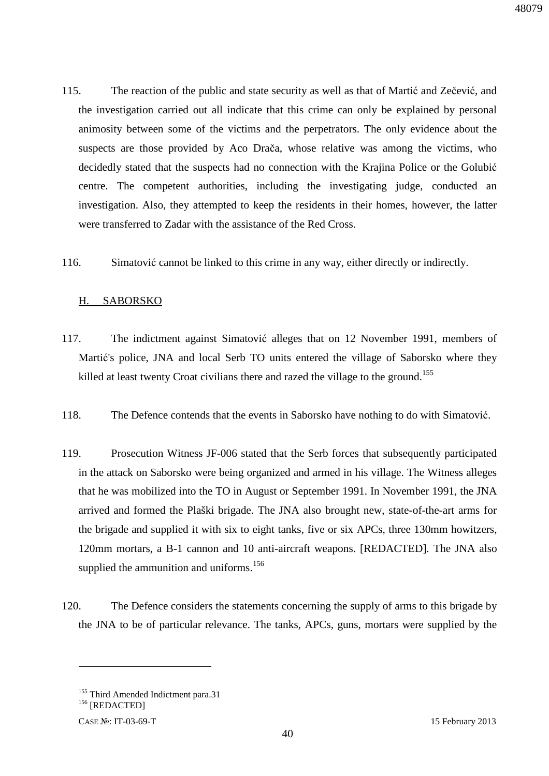- 115. The reaction of the public and state security as well as that of Martić and Zečević, and the investigation carried out all indicate that this crime can only be explained by personal animosity between some of the victims and the perpetrators. The only evidence about the suspects are those provided by Aco Drača, whose relative was among the victims, who decidedly stated that the suspects had no connection with the Krajina Police or the Golubić centre. The competent authorities, including the investigating judge, conducted an investigation. Also, they attempted to keep the residents in their homes, however, the latter were transferred to Zadar with the assistance of the Red Cross.
- 116. Simatović cannot be linked to this crime in any way, either directly or indirectly.

### H. SABORSKO

- 117. The indictment against Simatović alleges that on 12 November 1991, members of Martić's police, JNA and local Serb TO units entered the village of Saborsko where they killed at least twenty Croat civilians there and razed the village to the ground.<sup>155</sup>
- 118. The Defence contends that the events in Saborsko have nothing to do with Simatović.
- 119. Prosecution Witness JF-006 stated that the Serb forces that subsequently participated in the attack on Saborsko were being organized and armed in his village. The Witness alleges that he was mobilized into the TO in August or September 1991. In November 1991, the JNA arrived and formed the Plaški brigade. The JNA also brought new, state-of-the-art arms for the brigade and supplied it with six to eight tanks, five or six APCs, three 130mm howitzers, 120mm mortars, a B-1 cannon and 10 anti-aircraft weapons. [REDACTED]*.* The JNA also supplied the ammunition and uniforms.<sup>156</sup>
- 120. The Defence considers the statements concerning the supply of arms to this brigade by the JNA to be of particular relevance. The tanks, APCs, guns, mortars were supplied by the

<sup>&</sup>lt;sup>155</sup> Third Amended Indictment para.31

<sup>156</sup> [REDACTED]

CASE №: IT-03-69-T 15 February 2013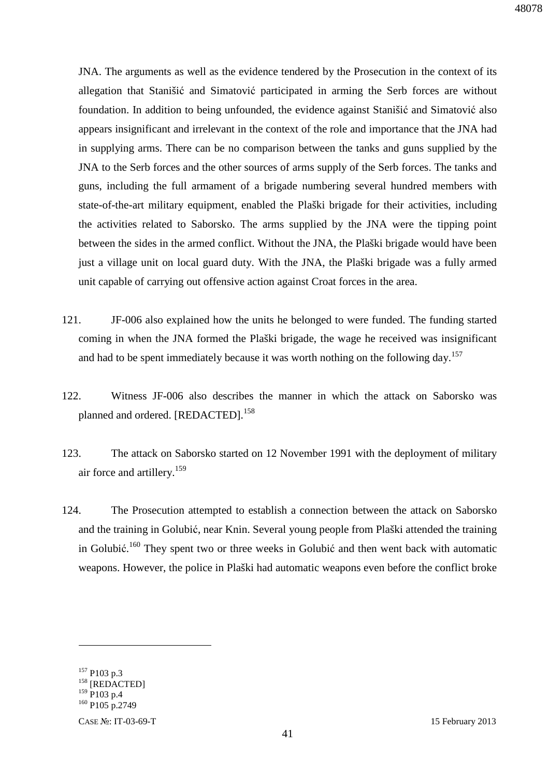JNA. The arguments as well as the evidence tendered by the Prosecution in the context of its allegation that Stanišić and Simatović participated in arming the Serb forces are without foundation. In addition to being unfounded, the evidence against Stanišić and Simatović also appears insignificant and irrelevant in the context of the role and importance that the JNA had in supplying arms. There can be no comparison between the tanks and guns supplied by the JNA to the Serb forces and the other sources of arms supply of the Serb forces. The tanks and guns, including the full armament of a brigade numbering several hundred members with state-of-the-art military equipment, enabled the Plaški brigade for their activities, including the activities related to Saborsko. The arms supplied by the JNA were the tipping point between the sides in the armed conflict. Without the JNA, the Plaški brigade would have been just a village unit on local guard duty. With the JNA, the Plaški brigade was a fully armed unit capable of carrying out offensive action against Croat forces in the area.

- 121. JF-006 also explained how the units he belonged to were funded. The funding started coming in when the JNA formed the Plaški brigade, the wage he received was insignificant and had to be spent immediately because it was worth nothing on the following day.<sup>157</sup>
- 122. Witness JF-006 also describes the manner in which the attack on Saborsko was planned and ordered. [REDACTED].<sup>158</sup>
- 123. The attack on Saborsko started on 12 November 1991 with the deployment of military air force and artillery.<sup>159</sup>
- 124. The Prosecution attempted to establish a connection between the attack on Saborsko and the training in Golubić, near Knin. Several young people from Plaški attended the training in Golubić.<sup>160</sup> They spent two or three weeks in Golubić and then went back with automatic weapons. However, the police in Plaški had automatic weapons even before the conflict broke

<sup>157</sup> P103 p.3

<sup>&</sup>lt;sup>158</sup> [REDACTED]

<sup>159</sup> P103 p.4

<sup>&</sup>lt;sup>160</sup> P105 p.2749

CASE №: IT-03-69-T 15 February 2013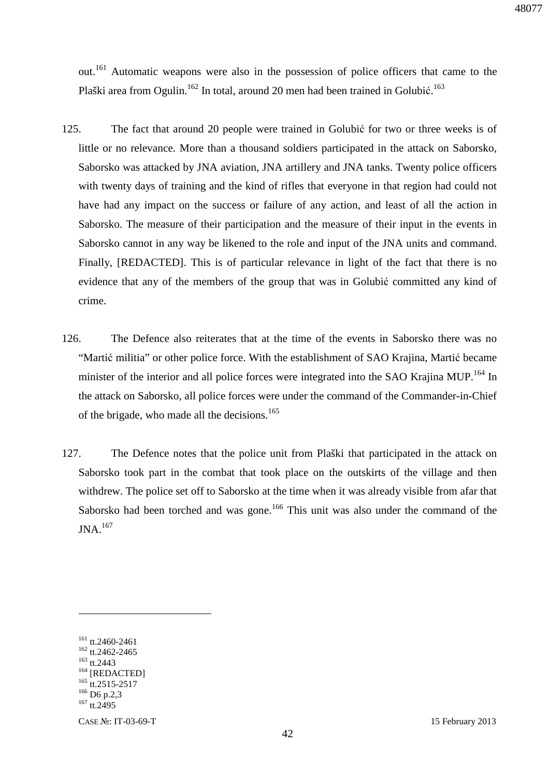out.<sup>161</sup> Automatic weapons were also in the possession of police officers that came to the Plaški area from Ogulin.<sup>162</sup> In total, around 20 men had been trained in Golubić.<sup>163</sup>

- 125. The fact that around 20 people were trained in Golubić for two or three weeks is of little or no relevance. More than a thousand soldiers participated in the attack on Saborsko, Saborsko was attacked by JNA aviation, JNA artillery and JNA tanks. Twenty police officers with twenty days of training and the kind of rifles that everyone in that region had could not have had any impact on the success or failure of any action, and least of all the action in Saborsko. The measure of their participation and the measure of their input in the events in Saborsko cannot in any way be likened to the role and input of the JNA units and command. Finally, [REDACTED]. This is of particular relevance in light of the fact that there is no evidence that any of the members of the group that was in Golubić committed any kind of crime.
- 126. The Defence also reiterates that at the time of the events in Saborsko there was no "Martić militia" or other police force. With the establishment of SAO Krajina, Martić became minister of the interior and all police forces were integrated into the SAO Krajina MUP.<sup>164</sup> In the attack on Saborsko, all police forces were under the command of the Commander-in-Chief of the brigade, who made all the decisions.<sup>165</sup>
- 127. The Defence notes that the police unit from Plaški that participated in the attack on Saborsko took part in the combat that took place on the outskirts of the village and then withdrew. The police set off to Saborsko at the time when it was already visible from afar that Saborsko had been torched and was gone.<sup>166</sup> This unit was also under the command of the JNA.<sup>167</sup>

<sup>161</sup> tt.2460-2461 <sup>162</sup> tt.2462-2465

<sup>163</sup> tt.2443

<sup>&</sup>lt;sup>164</sup> [REDACTED]

 $165$  tt.2515-2517

<sup>&</sup>lt;sup>166</sup> D6 p.2,3

<sup>&</sup>lt;sup>167</sup> tt.2495

CASE №: IT-03-69-T 15 February 2013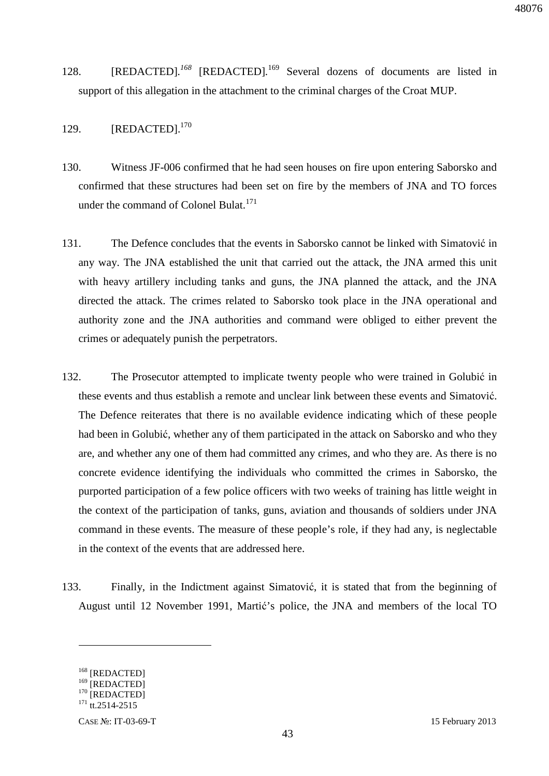- 128. [REDACTED].<sup>168</sup> [REDACTED].<sup>169</sup> Several dozens of documents are listed in support of this allegation in the attachment to the criminal charges of the Croat MUP.
- 129. [REDACTED].<sup>170</sup>
- 130. Witness JF-006 confirmed that he had seen houses on fire upon entering Saborsko and confirmed that these structures had been set on fire by the members of JNA and TO forces under the command of Colonel Bulat.<sup>171</sup>
- 131. The Defence concludes that the events in Saborsko cannot be linked with Simatović in any way. The JNA established the unit that carried out the attack, the JNA armed this unit with heavy artillery including tanks and guns, the JNA planned the attack, and the JNA directed the attack. The crimes related to Saborsko took place in the JNA operational and authority zone and the JNA authorities and command were obliged to either prevent the crimes or adequately punish the perpetrators.
- 132. The Prosecutor attempted to implicate twenty people who were trained in Golubić in these events and thus establish a remote and unclear link between these events and Simatović. The Defence reiterates that there is no available evidence indicating which of these people had been in Golubić, whether any of them participated in the attack on Saborsko and who they are, and whether any one of them had committed any crimes, and who they are. As there is no concrete evidence identifying the individuals who committed the crimes in Saborsko, the purported participation of a few police officers with two weeks of training has little weight in the context of the participation of tanks, guns, aviation and thousands of soldiers under JNA command in these events. The measure of these people's role, if they had any, is neglectable in the context of the events that are addressed here.
- 133. Finally, in the Indictment against Simatović, it is stated that from the beginning of August until 12 November 1991, Martić's police, the JNA and members of the local TO

<sup>&</sup>lt;sup>168</sup> [REDACTED]

<sup>&</sup>lt;sup>169</sup> [REDACTED]

<sup>&</sup>lt;sup>170</sup> [REDACTED]

 $171$  tt.2514-2515

CASE №: IT-03-69-T 15 February 2013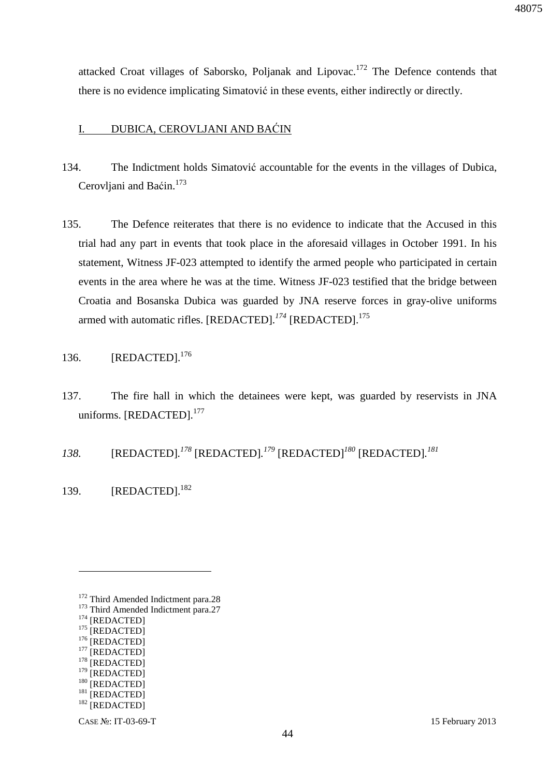attacked Croat villages of Saborsko, Poljanak and Lipovac.<sup>172</sup> The Defence contends that there is no evidence implicating Simatović in these events, either indirectly or directly.

### I. DUBICA, CEROVLJANI AND BAĆIN

- 134. The Indictment holds Simatović accountable for the events in the villages of Dubica, Cerovljani and Baćin.<sup>173</sup>
- 135. The Defence reiterates that there is no evidence to indicate that the Accused in this trial had any part in events that took place in the aforesaid villages in October 1991. In his statement, Witness JF-023 attempted to identify the armed people who participated in certain events in the area where he was at the time. Witness JF-023 testified that the bridge between Croatia and Bosanska Dubica was guarded by JNA reserve forces in gray-olive uniforms armed with automatic rifles. [REDACTED].<sup>174</sup> [REDACTED].<sup>175</sup>

### 136. [REDACTED].<sup>176</sup>

- 137. The fire hall in which the detainees were kept, was guarded by reservists in JNA uniforms. [REDACTED].<sup>177</sup>
- *138.* [REDACTED]*. <sup>178</sup>* [REDACTED]*. <sup>179</sup>* [REDACTED]*<sup>180</sup>* [REDACTED]*. 181*
- 139. [REDACTED].<sup>182</sup>

 $\overline{a}$ 

<sup>176</sup> [REDACTED]

 $^{178}$  [REDACTED] [REDACTED]

<sup>&</sup>lt;sup>172</sup> Third Amended Indictment para.28

<sup>&</sup>lt;sup>173</sup> Third Amended Indictment para.27

 $^{174}$  [REDACTED]

 $175$  [REDACTED]

<sup>&</sup>lt;sup>177</sup> [REDACTED]

<sup>&</sup>lt;sup>180</sup> [REDACTED]

 $181$  [REDACTED]

<sup>&</sup>lt;sup>182</sup> [REDACTED]

CASE №: IT-03-69-T 15 February 2013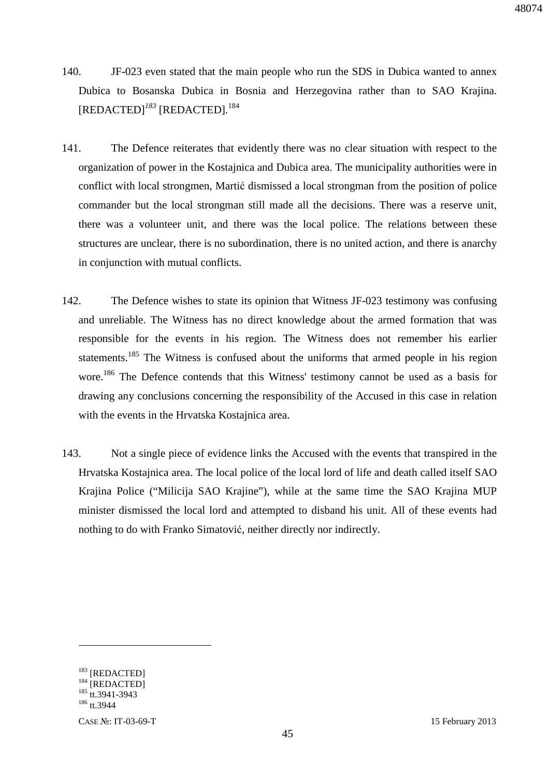- 140. JF-023 even stated that the main people who run the SDS in Dubica wanted to annex Dubica to Bosanska Dubica in Bosnia and Herzegovina rather than to SAO Krajina. [REDACTED]*<sup>183</sup>* [REDACTED]*.* 184
- 141. The Defence reiterates that evidently there was no clear situation with respect to the organization of power in the Kostajnica and Dubica area. The municipality authorities were in conflict with local strongmen, Martić dismissed a local strongman from the position of police commander but the local strongman still made all the decisions. There was a reserve unit, there was a volunteer unit, and there was the local police. The relations between these structures are unclear, there is no subordination, there is no united action, and there is anarchy in conjunction with mutual conflicts.
- 142. The Defence wishes to state its opinion that Witness JF-023 testimony was confusing and unreliable. The Witness has no direct knowledge about the armed formation that was responsible for the events in his region. The Witness does not remember his earlier statements.<sup>185</sup> The Witness is confused about the uniforms that armed people in his region wore. <sup>186</sup> The Defence contends that this Witness' testimony cannot be used as a basis for drawing any conclusions concerning the responsibility of the Accused in this case in relation with the events in the Hrvatska Kostajnica area.
- 143. Not a single piece of evidence links the Accused with the events that transpired in the Hrvatska Kostajnica area. The local police of the local lord of life and death called itself SAO Krajina Police ("Milicija SAO Krajine"), while at the same time the SAO Krajina MUP minister dismissed the local lord and attempted to disband his unit. All of these events had nothing to do with Franko Simatović, neither directly nor indirectly.

<sup>&</sup>lt;sup>183</sup> [REDACTED]

 $184$  [REDACTED]

<sup>&</sup>lt;sup>185</sup> tt.3941-3943

<sup>&</sup>lt;sup>186</sup> tt.3944

CASE №: IT-03-69-T 15 February 2013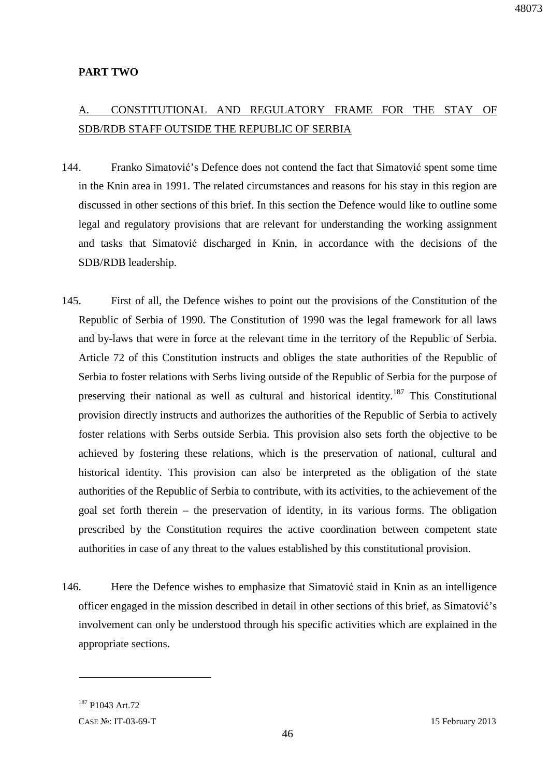#### **PART TWO**

## A. CONSTITUTIONAL AND REGULATORY FRAME FOR THE STAY OF SDB/RDB STAFF OUTSIDE THE REPUBLIC OF SERBIA

- 144. Franko Simatović's Defence does not contend the fact that Simatović spent some time in the Knin area in 1991. The related circumstances and reasons for his stay in this region are discussed in other sections of this brief. In this section the Defence would like to outline some legal and regulatory provisions that are relevant for understanding the working assignment and tasks that Simatović discharged in Knin, in accordance with the decisions of the SDB/RDB leadership.
- 145. First of all, the Defence wishes to point out the provisions of the Constitution of the Republic of Serbia of 1990. The Constitution of 1990 was the legal framework for all laws and by-laws that were in force at the relevant time in the territory of the Republic of Serbia. Article 72 of this Constitution instructs and obliges the state authorities of the Republic of Serbia to foster relations with Serbs living outside of the Republic of Serbia for the purpose of preserving their national as well as cultural and historical identity.<sup>187</sup> This Constitutional provision directly instructs and authorizes the authorities of the Republic of Serbia to actively foster relations with Serbs outside Serbia. This provision also sets forth the objective to be achieved by fostering these relations, which is the preservation of national, cultural and historical identity. This provision can also be interpreted as the obligation of the state authorities of the Republic of Serbia to contribute, with its activities, to the achievement of the goal set forth therein – the preservation of identity, in its various forms. The obligation prescribed by the Constitution requires the active coordination between competent state authorities in case of any threat to the values established by this constitutional provision.
- 146. Here the Defence wishes to emphasize that Simatović staid in Knin as an intelligence officer engaged in the mission described in detail in other sections of this brief, as Simatović's involvement can only be understood through his specific activities which are explained in the appropriate sections.

-

<sup>&</sup>lt;sup>187</sup> P1043 Art 72

CASE №: IT-03-69-T 15 February 2013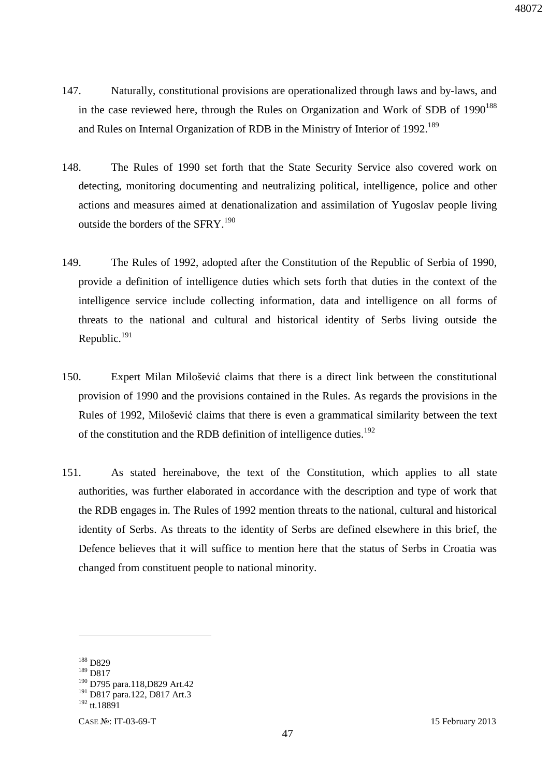- 147. Naturally, constitutional provisions are operationalized through laws and by-laws, and in the case reviewed here, through the Rules on Organization and Work of SDB of  $1990^{188}$ and Rules on Internal Organization of RDB in the Ministry of Interior of 1992.<sup>189</sup>
- 148. The Rules of 1990 set forth that the State Security Service also covered work on detecting, monitoring documenting and neutralizing political, intelligence, police and other actions and measures aimed at denationalization and assimilation of Yugoslav people living outside the borders of the SFRY.<sup>190</sup>
- 149. The Rules of 1992, adopted after the Constitution of the Republic of Serbia of 1990, provide a definition of intelligence duties which sets forth that duties in the context of the intelligence service include collecting information, data and intelligence on all forms of threats to the national and cultural and historical identity of Serbs living outside the Republic.<sup>191</sup>
- 150. Expert Milan Milošević claims that there is a direct link between the constitutional provision of 1990 and the provisions contained in the Rules. As regards the provisions in the Rules of 1992, Milošević claims that there is even a grammatical similarity between the text of the constitution and the RDB definition of intelligence duties.<sup>192</sup>
- 151. As stated hereinabove, the text of the Constitution, which applies to all state authorities, was further elaborated in accordance with the description and type of work that the RDB engages in. The Rules of 1992 mention threats to the national, cultural and historical identity of Serbs. As threats to the identity of Serbs are defined elsewhere in this brief, the Defence believes that it will suffice to mention here that the status of Serbs in Croatia was changed from constituent people to national minority.

<sup>&</sup>lt;sup>188</sup> D829

<sup>189</sup> D817

<sup>190</sup> D795 para.118,D829 Art.42

<sup>191</sup> D817 para.122, D817 Art.3

<sup>192</sup> tt.18891

CASE №: IT-03-69-T 15 February 2013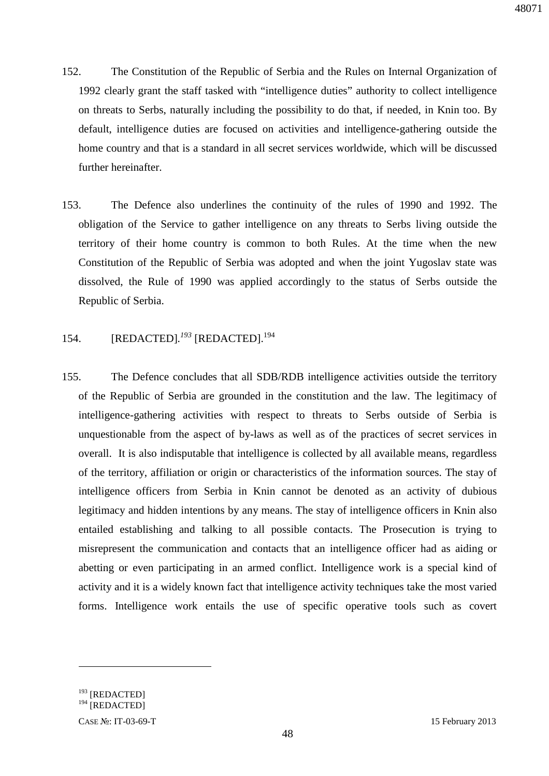- 152. The Constitution of the Republic of Serbia and the Rules on Internal Organization of 1992 clearly grant the staff tasked with "intelligence duties" authority to collect intelligence on threats to Serbs, naturally including the possibility to do that, if needed, in Knin too. By default, intelligence duties are focused on activities and intelligence-gathering outside the home country and that is a standard in all secret services worldwide, which will be discussed further hereinafter.
- 153. The Defence also underlines the continuity of the rules of 1990 and 1992. The obligation of the Service to gather intelligence on any threats to Serbs living outside the territory of their home country is common to both Rules. At the time when the new Constitution of the Republic of Serbia was adopted and when the joint Yugoslav state was dissolved, the Rule of 1990 was applied accordingly to the status of Serbs outside the Republic of Serbia.
- 154. [REDACTED]*. <sup>193</sup>* [REDACTED].<sup>194</sup>
- 155. The Defence concludes that all SDB/RDB intelligence activities outside the territory of the Republic of Serbia are grounded in the constitution and the law. The legitimacy of intelligence-gathering activities with respect to threats to Serbs outside of Serbia is unquestionable from the aspect of by-laws as well as of the practices of secret services in overall. It is also indisputable that intelligence is collected by all available means, regardless of the territory, affiliation or origin or characteristics of the information sources. The stay of intelligence officers from Serbia in Knin cannot be denoted as an activity of dubious legitimacy and hidden intentions by any means. The stay of intelligence officers in Knin also entailed establishing and talking to all possible contacts. The Prosecution is trying to misrepresent the communication and contacts that an intelligence officer had as aiding or abetting or even participating in an armed conflict. Intelligence work is a special kind of activity and it is a widely known fact that intelligence activity techniques take the most varied forms. Intelligence work entails the use of specific operative tools such as covert

<sup>&</sup>lt;sup>193</sup> [REDACTED]

<sup>&</sup>lt;sup>194</sup> [REDACTED]

CASE №: IT-03-69-T 15 February 2013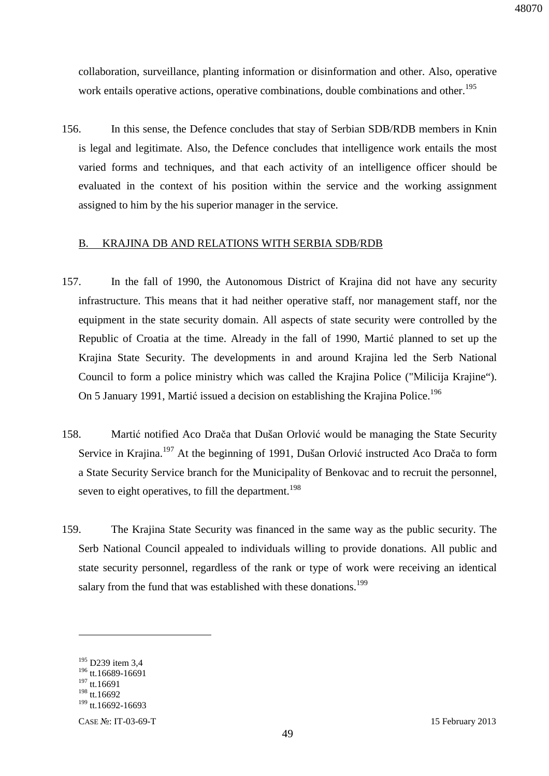collaboration, surveillance, planting information or disinformation and other. Also, operative work entails operative actions, operative combinations, double combinations and other.<sup>195</sup>

156. In this sense, the Defence concludes that stay of Serbian SDB/RDB members in Knin is legal and legitimate. Also, the Defence concludes that intelligence work entails the most varied forms and techniques, and that each activity of an intelligence officer should be evaluated in the context of his position within the service and the working assignment assigned to him by the his superior manager in the service.

### B. KRAJINA DB AND RELATIONS WITH SERBIA SDB/RDB

- 157. In the fall of 1990, the Autonomous District of Krajina did not have any security infrastructure. This means that it had neither operative staff, nor management staff, nor the equipment in the state security domain. All aspects of state security were controlled by the Republic of Croatia at the time. Already in the fall of 1990, Martić planned to set up the Krajina State Security. The developments in and around Krajina led the Serb National Council to form a police ministry which was called the Krajina Police ("Мilicija Krajine"). On 5 January 1991, Martić issued a decision on establishing the Krajina Police.<sup>196</sup>
- 158. Martić notified Aco Drača that Dušan Orlović would be managing the State Security Service in Krajina.<sup>197</sup> At the beginning of 1991, Dušan Orlović instructed Aco Drača to form a State Security Service branch for the Municipality of Benkovac and to recruit the personnel, seven to eight operatives, to fill the department.<sup>198</sup>
- 159. The Krajina State Security was financed in the same way as the public security. The Serb National Council appealed to individuals willing to provide donations. All public and state security personnel, regardless of the rank or type of work were receiving an identical salary from the fund that was established with these donations.<sup>199</sup>

 $195$  D239 item 3.4

<sup>196</sup> tt.16689-16691

 $197$  tt.16691

<sup>198</sup> tt.16692

<sup>199</sup> tt.16692-16693

CASE №: IT-03-69-T 15 February 2013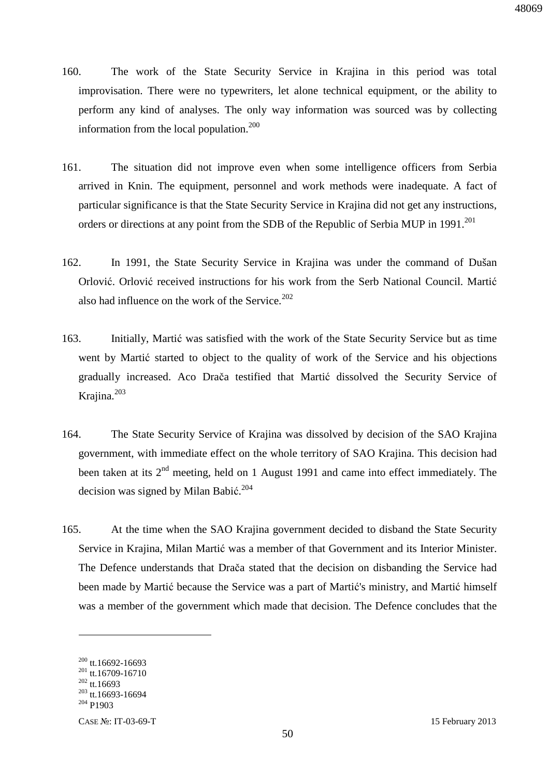- 160. The work of the State Security Service in Krajina in this period was total improvisation. There were no typewriters, let alone technical equipment, or the ability to perform any kind of analyses. The only way information was sourced was by collecting information from the local population.<sup>200</sup>
- 161. The situation did not improve even when some intelligence officers from Serbia arrived in Knin. The equipment, personnel and work methods were inadequate. A fact of particular significance is that the State Security Service in Krajina did not get any instructions, orders or directions at any point from the SDB of the Republic of Serbia MUP in 1991.<sup>201</sup>
- 162. In 1991, the State Security Service in Krajina was under the command of Dušan Orlović. Orlović received instructions for his work from the Serb National Council. Martić also had influence on the work of the Service. $202$
- 163. Initially, Martić was satisfied with the work of the State Security Service but as time went by Martić started to object to the quality of work of the Service and his objections gradually increased. Aco Drača testified that Martić dissolved the Security Service of Krajina.<sup>203</sup>
- 164. The State Security Service of Krajina was dissolved by decision of the SAO Krajina government, with immediate effect on the whole territory of SAO Krajina. This decision had been taken at its  $2<sup>nd</sup>$  meeting, held on 1 August 1991 and came into effect immediately. The decision was signed by Milan Babić. 204
- 165. At the time when the SAO Krajina government decided to disband the State Security Service in Krajina, Milan Martić was a member of that Government and its Interior Minister. The Defence understands that Drača stated that the decision on disbanding the Service had been made by Martić because the Service was a part of Martić's ministry, and Martić himself was a member of the government which made that decision. The Defence concludes that the

 $200$  tt.16692-16693

<sup>201</sup> tt.16709-16710

 $202$  tt.16693

 $203$  tt.16693-16694

<sup>204</sup> P1903

CASE №: IT-03-69-T 15 February 2013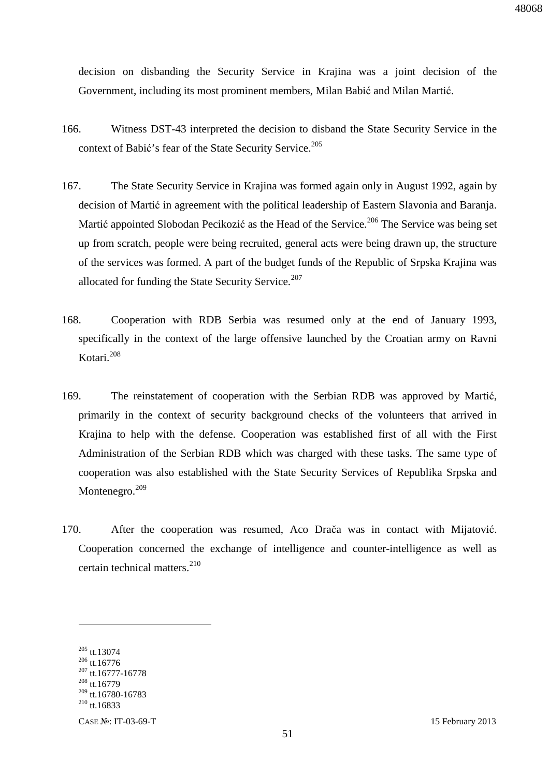decision on disbanding the Security Service in Krajina was a joint decision of the Government, including its most prominent members, Milan Babić and Milan Martić.

- 166. Witness DST-43 interpreted the decision to disband the State Security Service in the context of Babić's fear of the State Security Service.<sup>205</sup>
- 167. The State Security Service in Krajina was formed again only in August 1992, again by decision of Martić in agreement with the political leadership of Eastern Slavonia and Baranja. Martić appointed Slobodan Pecikozić as the Head of the Service.<sup>206</sup> The Service was being set up from scratch, people were being recruited, general acts were being drawn up, the structure of the services was formed. A part of the budget funds of the Republic of Srpska Krajina was allocated for funding the State Security Service. $207$
- 168. Cooperation with RDB Serbia was resumed only at the end of January 1993, specifically in the context of the large offensive launched by the Croatian army on Ravni Kotari.<sup>208</sup>
- 169. The reinstatement of cooperation with the Serbian RDB was approved by Martić, primarily in the context of security background checks of the volunteers that arrived in Krajina to help with the defense. Cooperation was established first of all with the First Administration of the Serbian RDB which was charged with these tasks. The same type of cooperation was also established with the State Security Services of Republika Srpska and Montenegro.<sup>209</sup>
- 170. After the cooperation was resumed, Aco Drača was in contact with Mijatović. Cooperation concerned the exchange of intelligence and counter-intelligence as well as certain technical matters. $^{210}$

<sup>205</sup> tt.13074

<sup>206</sup> tt.16776 <sup>207</sup> tt.16777-16778

<sup>208</sup> tt.16779

<sup>209</sup> tt.16780-16783

 $^{210}$  tt.16833

CASE №: IT-03-69-T 15 February 2013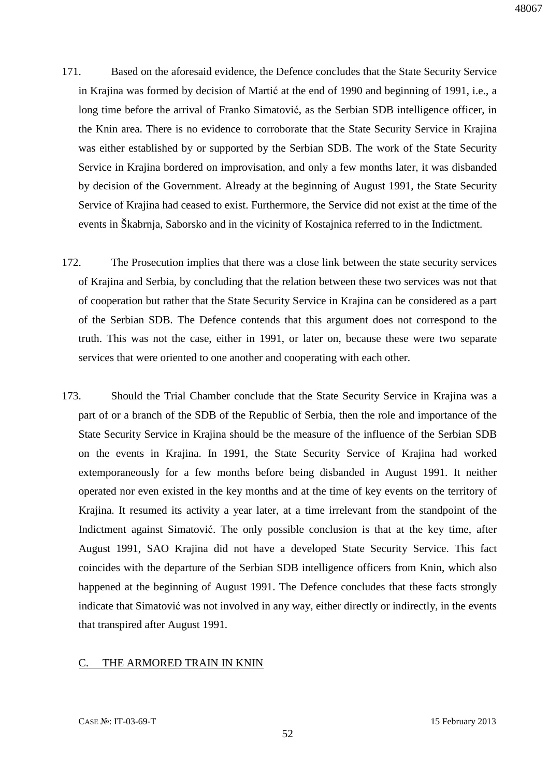- 171. Based on the aforesaid evidence, the Defence concludes that the State Security Service in Krajina was formed by decision of Martić at the end of 1990 and beginning of 1991, i.e., a long time before the arrival of Franko Simatović, as the Serbian SDB intelligence officer, in the Knin area. There is no evidence to corroborate that the State Security Service in Krajina was either established by or supported by the Serbian SDB. The work of the State Security Service in Krajina bordered on improvisation, and only a few months later, it was disbanded by decision of the Government. Already at the beginning of August 1991, the State Security Service of Krajina had ceased to exist. Furthermore, the Service did not exist at the time of the events in Škabrnja, Saborsko and in the vicinity of Kostajnica referred to in the Indictment.
- 172. The Prosecution implies that there was a close link between the state security services of Krajina and Serbia, by concluding that the relation between these two services was not that of cooperation but rather that the State Security Service in Krajina can be considered as a part of the Serbian SDB. The Defence contends that this argument does not correspond to the truth. This was not the case, either in 1991, or later on, because these were two separate services that were oriented to one another and cooperating with each other.
- 173. Should the Trial Chamber conclude that the State Security Service in Krajina was a part of or a branch of the SDB of the Republic of Serbia, then the role and importance of the State Security Service in Krajina should be the measure of the influence of the Serbian SDB on the events in Krajina. In 1991, the State Security Service of Krajina had worked extemporaneously for a few months before being disbanded in August 1991. It neither operated nor even existed in the key months and at the time of key events on the territory of Krajina. It resumed its activity a year later, at a time irrelevant from the standpoint of the Indictment against Simatović. The only possible conclusion is that at the key time, after August 1991, SAO Krajina did not have a developed State Security Service. This fact coincides with the departure of the Serbian SDB intelligence officers from Knin, which also happened at the beginning of August 1991. The Defence concludes that these facts strongly indicate that Simatović was not involved in any way, either directly or indirectly, in the events that transpired after August 1991.

#### C. THE ARMORED TRAIN IN KNIN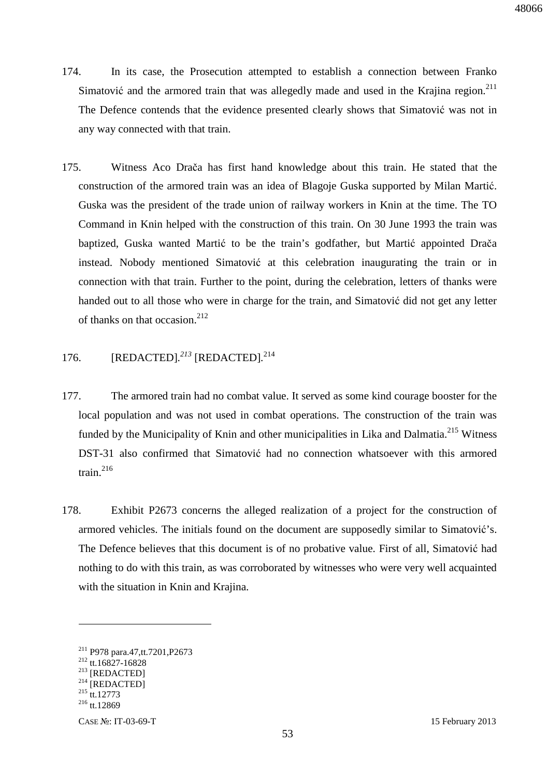- 174. In its case, the Prosecution attempted to establish a connection between Franko Simatović and the armored train that was allegedly made and used in the Krajina region. $211$ The Defence contends that the evidence presented clearly shows that Simatović was not in any way connected with that train.
- 175. Witness Aco Drača has first hand knowledge about this train. He stated that the construction of the armored train was an idea of Blagoje Guska supported by Milan Martić. Guska was the president of the trade union of railway workers in Knin at the time. The TO Command in Knin helped with the construction of this train. On 30 June 1993 the train was baptized, Guska wanted Martić to be the train's godfather, but Martić appointed Drača instead. Nobody mentioned Simatović at this celebration inaugurating the train or in connection with that train. Further to the point, during the celebration, letters of thanks were handed out to all those who were in charge for the train, and Simatović did not get any letter of thanks on that occasion.<sup>212</sup>

### 176. [REDACTED]*. <sup>213</sup>* [REDACTED]*.* 214

- 177. The armored train had no combat value. It served as some kind courage booster for the local population and was not used in combat operations. The construction of the train was funded by the Municipality of Knin and other municipalities in Lika and Dalmatia.<sup>215</sup> Witness DST-31 also confirmed that Simatović had no connection whatsoever with this armored train.<sup>216</sup>
- 178. Exhibit P2673 concerns the alleged realization of a project for the construction of armored vehicles. The initials found on the document are supposedly similar to Simatović's. The Defence believes that this document is of no probative value. First of all, Simatović had nothing to do with this train, as was corroborated by witnesses who were very well acquainted with the situation in Knin and Krajina.

<sup>211</sup> P978 para.47,tt.7201,P2673

<sup>212</sup> tt.16827-16828

<sup>&</sup>lt;sup>213</sup> [REDACTED]

 $^{214}$  [REDACTED]

 $^{215}$  tt.12773

 $^{216}$  tt.12869

CASE №: IT-03-69-T 15 February 2013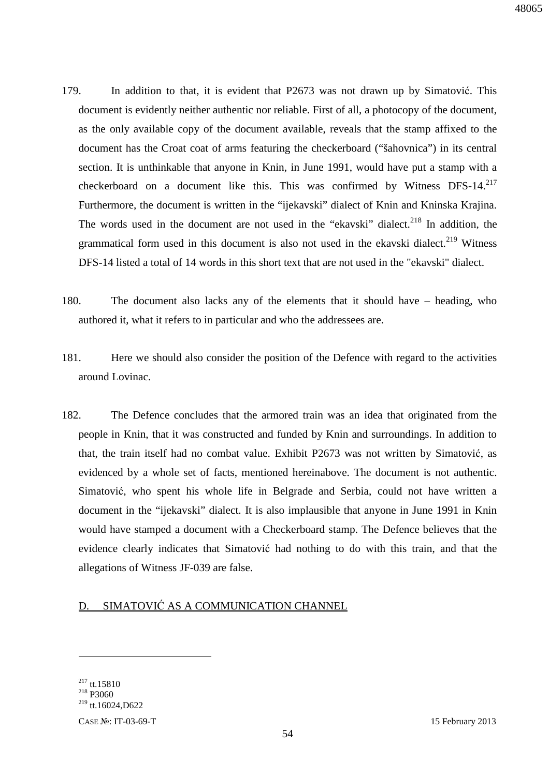- 179. In addition to that, it is evident that P2673 was not drawn up by Simatović. This document is evidently neither authentic nor reliable. First of all, a photocopy of the document, as the only available copy of the document available, reveals that the stamp affixed to the document has the Croat coat of arms featuring the checkerboard ("šahovnica") in its central section. It is unthinkable that anyone in Knin, in June 1991, would have put a stamp with a checkerboard on a document like this. This was confirmed by Witness DFS-14.<sup>217</sup> Furthermore, the document is written in the "ijekavski" dialect of Knin and Kninska Krajina. The words used in the document are not used in the "ekavski" dialect.<sup>218</sup> In addition, the grammatical form used in this document is also not used in the ekavski dialect.<sup>219</sup> Witness DFS-14 listed a total of 14 words in this short text that are not used in the "ekavski" dialect.
- 180. The document also lacks any of the elements that it should have heading, who authored it, what it refers to in particular and who the addressees are.
- 181. Here we should also consider the position of the Defence with regard to the activities around Lovinac.
- 182. The Defence concludes that the armored train was an idea that originated from the people in Knin, that it was constructed and funded by Knin and surroundings. In addition to that, the train itself had no combat value. Exhibit P2673 was not written by Simatović, as evidenced by a whole set of facts, mentioned hereinabove. The document is not authentic. Simatović, who spent his whole life in Belgrade and Serbia, could not have written a document in the "ijekavski" dialect. It is also implausible that anyone in June 1991 in Knin would have stamped a document with a Checkerboard stamp. The Defence believes that the evidence clearly indicates that Simatović had nothing to do with this train, and that the allegations of Witness JF-039 are false.

### D. SIMATOVIĆ AS A COMMUNICATION CHANNEL

<sup>217</sup> tt.15810

<sup>218</sup> P3060

 $^{219}$  tt.16024,D622

CASE №: IT-03-69-T 15 February 2013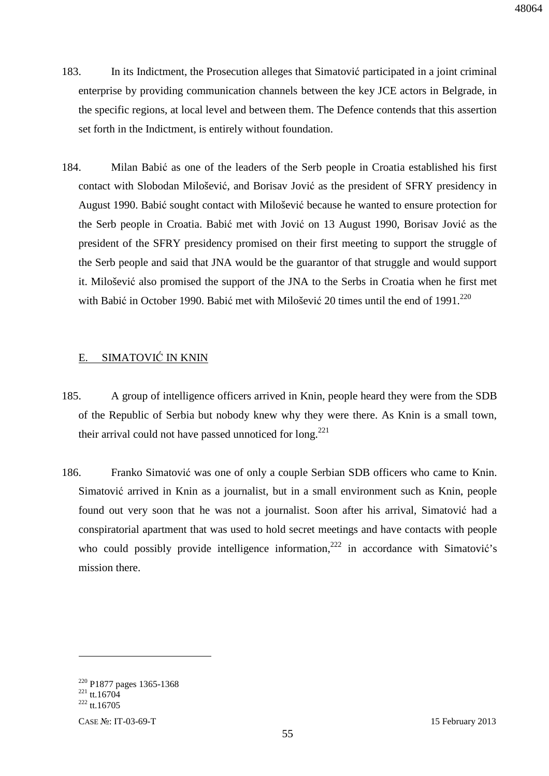- 183. In its Indictment, the Prosecution alleges that Simatović participated in a joint criminal enterprise by providing communication channels between the key JCE actors in Belgrade, in the specific regions, at local level and between them. The Defence contends that this assertion set forth in the Indictment, is entirely without foundation.
- 184. Milan Babić as one of the leaders of the Serb people in Croatia established his first contact with Slobodan Milošević, and Borisav Jović as the president of SFRY presidency in August 1990. Babić sought contact with Milošević because he wanted to ensure protection for the Serb people in Croatia. Babić met with Jović on 13 August 1990, Borisav Jović as the president of the SFRY presidency promised on their first meeting to support the struggle of the Serb people and said that JNA would be the guarantor of that struggle and would support it. Milošević also promised the support of the JNA to the Serbs in Croatia when he first met with Babić in October 1990. Babić met with Milošević 20 times until the end of 1991.<sup>220</sup>

### E. SIMATOVIĆ IN KNIN

- 185. A group of intelligence officers arrived in Knin, people heard they were from the SDB of the Republic of Serbia but nobody knew why they were there. As Knin is a small town, their arrival could not have passed unnoticed for long.<sup>221</sup>
- 186. Franko Simatović was one of only a couple Serbian SDB officers who came to Knin. Simatović arrived in Knin as a journalist, but in a small environment such as Knin, people found out very soon that he was not a journalist. Soon after his arrival, Simatović had a conspiratorial apartment that was used to hold secret meetings and have contacts with people who could possibly provide intelligence information,<sup>222</sup> in accordance with Simatović's mission there.

<sup>&</sup>lt;sup>220</sup> P1877 pages 1365-1368

 $^{221}$  tt.16704

 $^{222}$  tt.16705

CASE №: IT-03-69-T 15 February 2013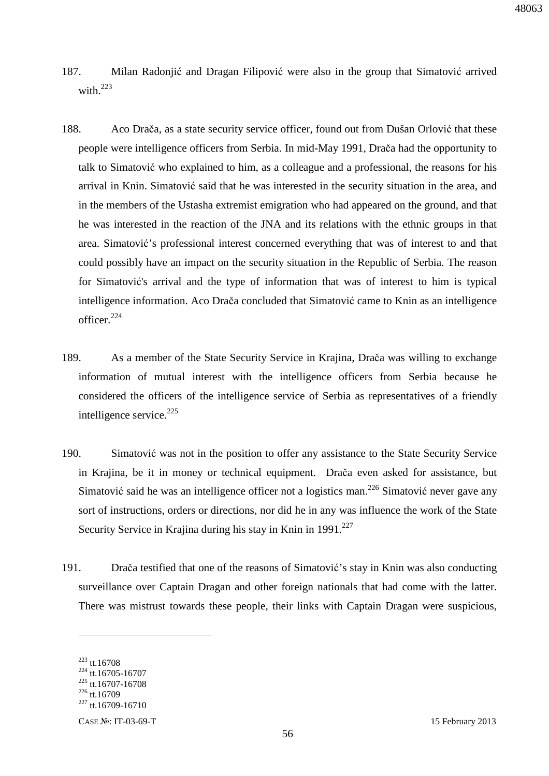- 187. Milan Radonjić and Dragan Filipović were also in the group that Simatović arrived with.<sup>223</sup>
- 188. Aco Drača, as a state security service officer, found out from Dušan Orlović that these people were intelligence officers from Serbia. In mid-May 1991, Drača had the opportunity to talk to Simatović who explained to him, as a colleague and a professional, the reasons for his arrival in Knin. Simatović said that he was interested in the security situation in the area, and in the members of the Ustasha extremist emigration who had appeared on the ground, and that he was interested in the reaction of the JNA and its relations with the ethnic groups in that area. Simatović's professional interest concerned everything that was of interest to and that could possibly have an impact on the security situation in the Republic of Serbia. The reason for Simatović's arrival and the type of information that was of interest to him is typical intelligence information. Aco Drača concluded that Simatović came to Knin as an intelligence officer. $224$
- 189. As a member of the State Security Service in Krajina, Drača was willing to exchange information of mutual interest with the intelligence officers from Serbia because he considered the officers of the intelligence service of Serbia as representatives of a friendly intelligence service.<sup>225</sup>
- 190. Simatović was not in the position to offer any assistance to the State Security Service in Krajina, be it in money or technical equipment. Drača even asked for assistance, but Simatović said he was an intelligence officer not a logistics man.<sup>226</sup> Simatović never gave any sort of instructions, orders or directions, nor did he in any was influence the work of the State Security Service in Krajina during his stay in Knin in  $1991.<sup>227</sup>$
- 191. Drača testified that one of the reasons of Simatović's stay in Knin was also conducting surveillance over Captain Dragan and other foreign nationals that had come with the latter. There was mistrust towards these people, their links with Captain Dragan were suspicious,

<sup>223</sup> tt.16708

<sup>224</sup> tt.16705-16707

 $225$  tt.16707-16708

 $226$  tt.16709

 $227$  tt.16709-16710

CASE №: IT-03-69-T 15 February 2013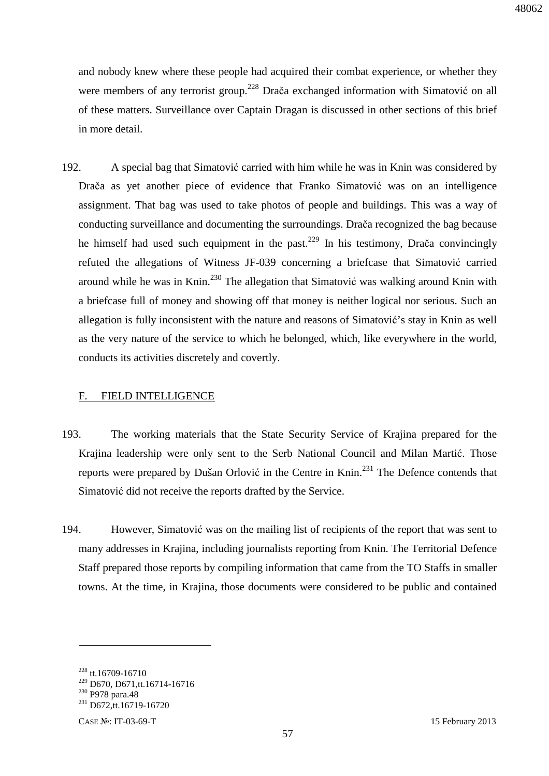and nobody knew where these people had acquired their combat experience, or whether they were members of any terrorist group.<sup>228</sup> Drača exchanged information with Simatović on all of these matters. Surveillance over Captain Dragan is discussed in other sections of this brief in more detail.

192. A special bag that Simatović carried with him while he was in Knin was considered by Drača as yet another piece of evidence that Franko Simatović was on an intelligence assignment. That bag was used to take photos of people and buildings. This was a way of conducting surveillance and documenting the surroundings. Drača recognized the bag because he himself had used such equipment in the past.<sup>229</sup> In his testimony, Drača convincingly refuted the allegations of Witness JF-039 concerning a briefcase that Simatović carried around while he was in Knin.<sup>230</sup> The allegation that Simatović was walking around Knin with a briefcase full of money and showing off that money is neither logical nor serious. Such an allegation is fully inconsistent with the nature and reasons of Simatović's stay in Knin as well as the very nature of the service to which he belonged, which, like everywhere in the world, conducts its activities discretely and covertly.

#### F. FIELD INTELLIGENCE

- 193. The working materials that the State Security Service of Krajina prepared for the Krajina leadership were only sent to the Serb National Council and Milan Martić. Those reports were prepared by Dušan Orlović in the Centre in Knin.<sup>231</sup> The Defence contends that Simatović did not receive the reports drafted by the Service.
- 194. However, Simatović was on the mailing list of recipients of the report that was sent to many addresses in Krajina, including journalists reporting from Knin. The Territorial Defence Staff prepared those reports by compiling information that came from the TO Staffs in smaller towns. At the time, in Krajina, those documents were considered to be public and contained

<sup>&</sup>lt;sup>228</sup> tt.16709-16710

<sup>229</sup> D670, D671,tt.16714-16716

<sup>230</sup> P978 para.48

<sup>&</sup>lt;sup>231</sup> D672,tt.16719-16720

CASE №: IT-03-69-T 15 February 2013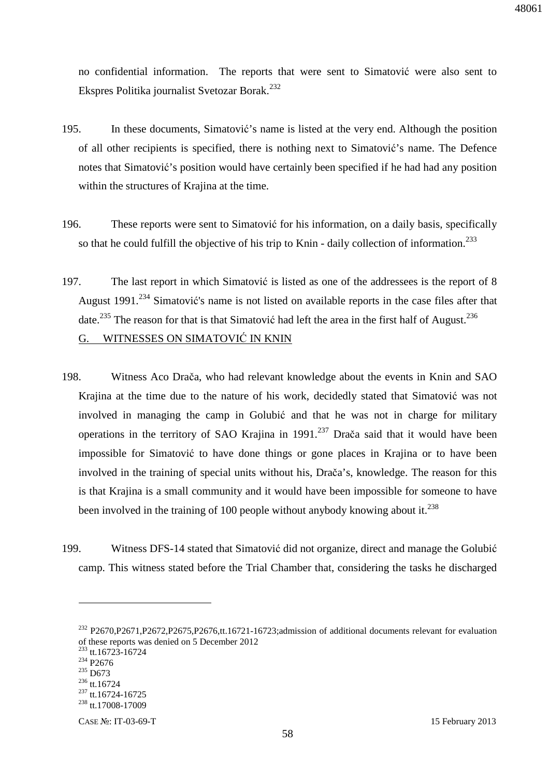no confidential information. The reports that were sent to Simatović were also sent to Ekspres Politika journalist Svetozar Borak.<sup>232</sup>

- 195. In these documents, Simatović's name is listed at the very end. Although the position of all other recipients is specified, there is nothing next to Simatović's name. The Defence notes that Simatović's position would have certainly been specified if he had had any position within the structures of Krajina at the time.
- 196. These reports were sent to Simatović for his information, on a daily basis, specifically so that he could fulfill the objective of his trip to Knin - daily collection of information.<sup>233</sup>
- 197. The last report in which Simatović is listed as one of the addressees is the report of 8 August 1991.<sup>234</sup> Simatović's name is not listed on available reports in the case files after that date.<sup>235</sup> The reason for that is that Simatović had left the area in the first half of August.<sup>236</sup> G. WITNESSES ON SIMATOVIĆ IN KNIN
- 198. Witness Aco Drača, who had relevant knowledge about the events in Knin and SAO Krajina at the time due to the nature of his work, decidedly stated that Simatović was not involved in managing the camp in Golubić and that he was not in charge for military operations in the territory of SAO Krajina in  $1991<sup>237</sup>$  Drača said that it would have been impossible for Simatović to have done things or gone places in Krajina or to have been involved in the training of special units without his, Drača's, knowledge. The reason for this is that Krajina is a small community and it would have been impossible for someone to have been involved in the training of 100 people without anybody knowing about it.<sup>238</sup>
- 199. Witness DFS-14 stated that Simatović did not organize, direct and manage the Golubić camp. This witness stated before the Trial Chamber that, considering the tasks he discharged

<sup>&</sup>lt;sup>232</sup> P2670,P2671,P2672,P2675,P2676,tt.16721-16723;admission of additional documents relevant for evaluation of these reports was denied on 5 December 2012

<sup>&</sup>lt;sup>233</sup> tt.16723-16724

<sup>234</sup> P2676

<sup>235</sup> D673

<sup>236</sup> tt.16724

<sup>237</sup> tt.16724-16725

<sup>238</sup> tt.17008-17009

CASE №: IT-03-69-T 15 February 2013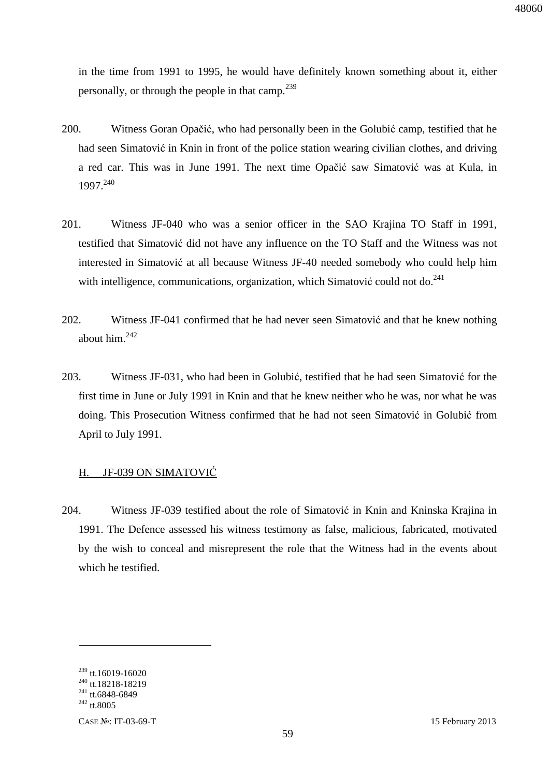in the time from 1991 to 1995, he would have definitely known something about it, either personally, or through the people in that camp.<sup>239</sup>

- 200. Witness Goran Opačić, who had personally been in the Golubić camp, testified that he had seen Simatović in Knin in front of the police station wearing civilian clothes, and driving a red car. This was in June 1991. The next time Opačić saw Simatović was at Kula, in 1997.<sup>240</sup>
- 201. Witness JF-040 who was a senior officer in the SAO Krajina TO Staff in 1991, testified that Simatović did not have any influence on the TO Staff and the Witness was not interested in Simatović at all because Witness JF-40 needed somebody who could help him with intelligence, communications, organization, which Simatović could not do.<sup>241</sup>
- 202. Witness JF-041 confirmed that he had never seen Simatović and that he knew nothing about him. $242$
- 203. Witness JF-031, who had been in Golubić, testified that he had seen Simatović for the first time in June or July 1991 in Knin and that he knew neither who he was, nor what he was doing. This Prosecution Witness confirmed that he had not seen Simatović in Golubić from April to July 1991.

#### H. JF-039 ON SIMATOVIĆ

204. Witness JF-039 testified about the role of Simatović in Knin and Kninska Krajina in 1991. The Defence assessed his witness testimony as false, malicious, fabricated, motivated by the wish to conceal and misrepresent the role that the Witness had in the events about which he testified.

<sup>239</sup> tt.16019-16020

<sup>&</sup>lt;sup>240</sup> tt.18218-18219

 $241$  tt.6848-6849

 $^{242}$  tt.8005

CASE №: IT-03-69-T 15 February 2013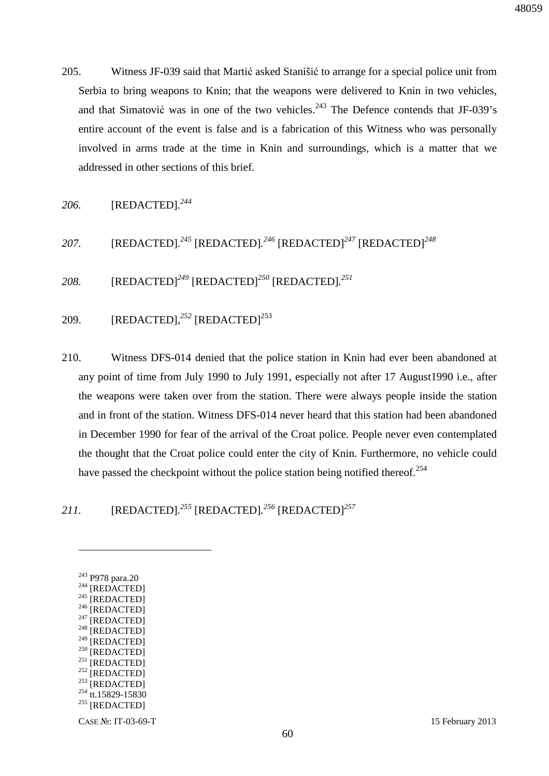205. Witness JF-039 said that Martić asked Stanišić to arrange for a special police unit from Serbia to bring weapons to Knin; that the weapons were delivered to Knin in two vehicles, and that Simatović was in one of the two vehicles.<sup>243</sup> The Defence contends that JF-039's entire account of the event is false and is a fabrication of this Witness who was personally involved in arms trade at the time in Knin and surroundings, which is a matter that we addressed in other sections of this brief.

*206.* [REDACTED]*. 244*

*207.* [REDACTED]*. <sup>245</sup>* [REDACTED]*. <sup>246</sup>* [REDACTED]*<sup>247</sup>* [REDACTED]*<sup>248</sup>*

*208.* [REDACTED]*<sup>249</sup>* [REDACTED]*<sup>250</sup>* [REDACTED]*. 251*

209. [REDACTED],<sup>252</sup> [REDACTED]<sup>253</sup>

210. Witness DFS-014 denied that the police station in Knin had ever been abandoned at any point of time from July 1990 to July 1991, especially not after 17 August1990 i.e., after the weapons were taken over from the station. There were always people inside the station and in front of the station. Witness DFS-014 never heard that this station had been abandoned in December 1990 for fear of the arrival of the Croat police. People never even contemplated the thought that the Croat police could enter the city of Knin. Furthermore, no vehicle could have passed the checkpoint without the police station being notified thereof.<sup>254</sup>

*211.* [REDACTED]*. <sup>255</sup>* [REDACTED]*. <sup>256</sup>* [REDACTED]*<sup>257</sup>*

 $\overline{a}$ 

- $^{248}$  [REDACTED]
- [REDACTED]
- $250$  [REDACTED]
- $^{251}$  [REDACTED]
- $252$  [REDACTED]
- $253$  [REDACTED]
- <sup>254</sup> tt.15829-15830
- <sup>255</sup> [REDACTED]

CASE №: IT-03-69-T 15 February 2013

48059

<sup>243</sup> P978 para.20

 $244$  [REDACTED]

 $245$ <sup>[REDACTED]</sup>  $246$  [REDACTED]

 $247$  [REDACTED]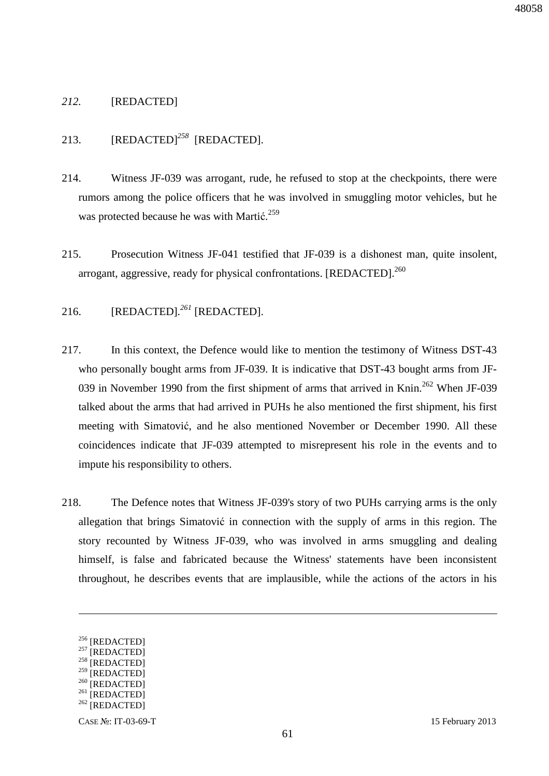### *212.* [REDACTED]

### 213. [REDACTED]<sup>258</sup> [REDACTED].

- 214. Witness JF-039 was arrogant, rude, he refused to stop at the checkpoints, there were rumors among the police officers that he was involved in smuggling motor vehicles, but he was protected because he was with Martić.<sup>259</sup>
- 215. Prosecution Witness JF-041 testified that JF-039 is a dishonest man, quite insolent, arrogant, aggressive, ready for physical confrontations. [REDACTED].<sup>260</sup>

### 216. [REDACTED]*. <sup>261</sup>* [REDACTED].

- 217. In this context, the Defence would like to mention the testimony of Witness DST-43 who personally bought arms from JF-039. It is indicative that DST-43 bought arms from JF-039 in November 1990 from the first shipment of arms that arrived in Knin.<sup>262</sup> When JF-039 talked about the arms that had arrived in PUHs he also mentioned the first shipment, his first meeting with Simatović, and he also mentioned November or December 1990. All these coincidences indicate that JF-039 attempted to misrepresent his role in the events and to impute his responsibility to others.
- 218. The Defence notes that Witness JF-039's story of two PUHs carrying arms is the only allegation that brings Simatović in connection with the supply of arms in this region. The story recounted by Witness JF-039, who was involved in arms smuggling and dealing himself, is false and fabricated because the Witness' statements have been inconsistent throughout, he describes events that are implausible, while the actions of the actors in his

<u>.</u>

<sup>&</sup>lt;sup>256</sup> [REDACTED]

 $257$  [REDACTED]

 $^{258}$  [REDACTED] **[REDACTED]** 

 $260$  [REDACTED]

 $^{261}$  [REDACTED]

 $262$  [REDACTED]

CASE №: IT-03-69-T 15 February 2013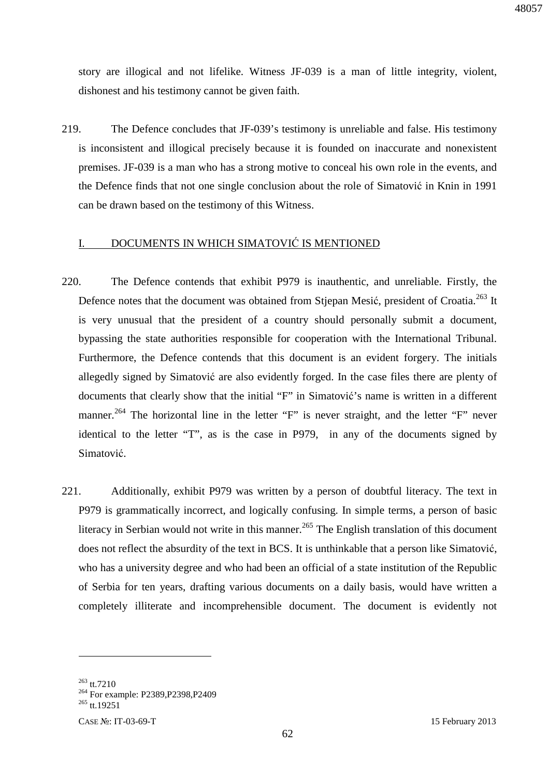story are illogical and not lifelike. Witness JF-039 is a man of little integrity, violent, dishonest and his testimony cannot be given faith.

219. The Defence concludes that JF-039's testimony is unreliable and false. His testimony is inconsistent and illogical precisely because it is founded on inaccurate and nonexistent premises. JF-039 is a man who has a strong motive to conceal his own role in the events, and the Defence finds that not one single conclusion about the role of Simatović in Knin in 1991 can be drawn based on the testimony of this Witness.

#### I. DOCUMENTS IN WHICH SIMATOVIĆ IS MENTIONED

- 220. The Defence contends that exhibit P979 is inauthentic, and unreliable. Firstly, the Defence notes that the document was obtained from Stjepan Mesić, president of Croatia.<sup>263</sup> It is very unusual that the president of a country should personally submit a document, bypassing the state authorities responsible for cooperation with the International Tribunal. Furthermore, the Defence contends that this document is an evident forgery. The initials allegedly signed by Simatović are also evidently forged. In the case files there are plenty of documents that clearly show that the initial "F" in Simatović's name is written in a different manner.<sup>264</sup> The horizontal line in the letter "F" is never straight, and the letter "F" never identical to the letter "T", as is the case in P979, in any of the documents signed by Simatović.
- 221. Additionally, exhibit P979 was written by a person of doubtful literacy. The text in P979 is grammatically incorrect, and logically confusing. In simple terms, a person of basic literacy in Serbian would not write in this manner.<sup>265</sup> The English translation of this document does not reflect the absurdity of the text in BCS. It is unthinkable that a person like Simatović, who has a university degree and who had been an official of a state institution of the Republic of Serbia for ten years, drafting various documents on a daily basis, would have written a completely illiterate and incomprehensible document. The document is evidently not

<sup>263</sup> tt.7210

<sup>&</sup>lt;sup>264</sup> For example: P2389, P2398, P2409

<sup>&</sup>lt;sup>265</sup> tt.19251

CASE №: IT-03-69-T 15 February 2013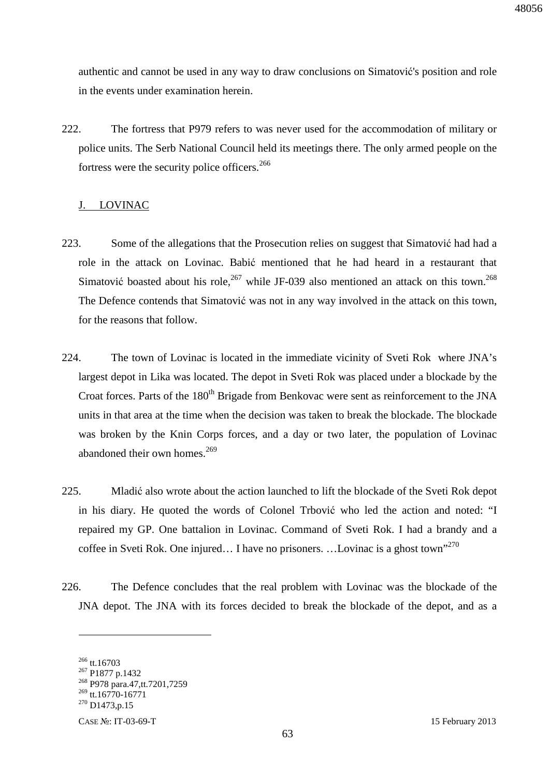authentic and cannot be used in any way to draw conclusions on Simatović's position and role in the events under examination herein.

222. The fortress that P979 refers to was never used for the accommodation of military or police units. The Serb National Council held its meetings there. The only armed people on the fortress were the security police officers.<sup>266</sup>

### J. LOVINAC

- 223. Some of the allegations that the Prosecution relies on suggest that Simatović had had a role in the attack on Lovinac. Babić mentioned that he had heard in a restaurant that Simatović boasted about his role,  $267$  while JF-039 also mentioned an attack on this town.  $268$ The Defence contends that Simatović was not in any way involved in the attack on this town, for the reasons that follow.
- 224. The town of Lovinac is located in the immediate vicinity of Sveti Rok where JNA's largest depot in Lika was located. The depot in Sveti Rok was placed under a blockade by the Croat forces. Parts of the 180<sup>th</sup> Brigade from Benkovac were sent as reinforcement to the JNA units in that area at the time when the decision was taken to break the blockade. The blockade was broken by the Knin Corps forces, and a day or two later, the population of Lovinac abandoned their own homes. $269$
- 225. Mladić also wrote about the action launched to lift the blockade of the Sveti Rok depot in his diary. He quoted the words of Colonel Trbović who led the action and noted: "I repaired my GP. One battalion in Lovinac. Command of Sveti Rok. I had a brandy and a coffee in Sveti Rok. One injured... I have no prisoners. ...Lovinac is a ghost town"<sup>270</sup>
- 226. The Defence concludes that the real problem with Lovinac was the blockade of the JNA depot. The JNA with its forces decided to break the blockade of the depot, and as a

<sup>266</sup> tt.16703

<sup>&</sup>lt;sup>267</sup> P1877 p.1432

<sup>&</sup>lt;sup>268</sup> P978 para.47,tt.7201,7259

 $269$  tt.16770-16771

 $^{270}$  D1473,p.15

CASE №: IT-03-69-T 15 February 2013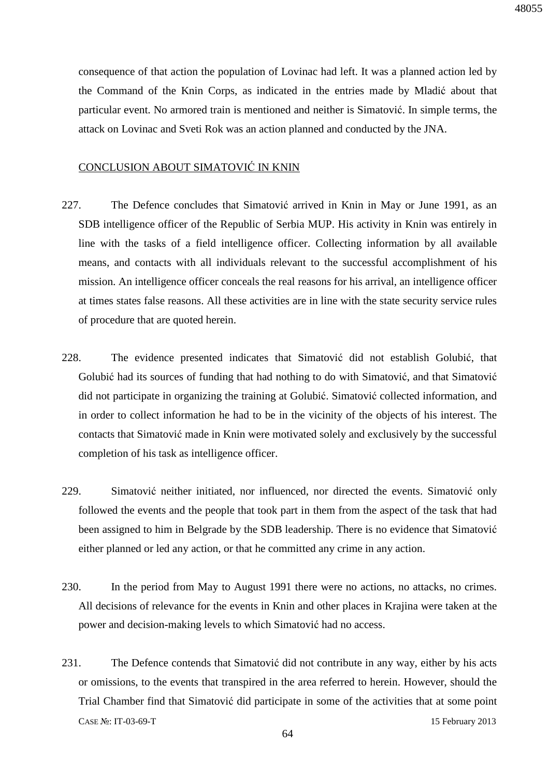consequence of that action the population of Lovinac had left. It was a planned action led by the Command of the Knin Corps, as indicated in the entries made by Mladić about that particular event. No armored train is mentioned and neither is Simatović. In simple terms, the attack on Lovinac and Sveti Rok was an action planned and conducted by the JNA.

### CONCLUSION ABOUT SIMATOVIĆ IN KNIN

- 227. The Defence concludes that Simatović arrived in Knin in May or June 1991, as an SDB intelligence officer of the Republic of Serbia MUP. His activity in Knin was entirely in line with the tasks of a field intelligence officer. Collecting information by all available means, and contacts with all individuals relevant to the successful accomplishment of his mission. An intelligence officer conceals the real reasons for his arrival, an intelligence officer at times states false reasons. All these activities are in line with the state security service rules of procedure that are quoted herein.
- 228. The evidence presented indicates that Simatović did not establish Golubić, that Golubić had its sources of funding that had nothing to do with Simatović, and that Simatović did not participate in organizing the training at Golubić. Simatović collected information, and in order to collect information he had to be in the vicinity of the objects of his interest. The contacts that Simatović made in Knin were motivated solely and exclusively by the successful completion of his task as intelligence officer.
- 229. Simatović neither initiated, nor influenced, nor directed the events. Simatović only followed the events and the people that took part in them from the aspect of the task that had been assigned to him in Belgrade by the SDB leadership. There is no evidence that Simatović either planned or led any action, or that he committed any crime in any action.
- 230. In the period from May to August 1991 there were no actions, no attacks, no crimes. All decisions of relevance for the events in Knin and other places in Krajina were taken at the power and decision-making levels to which Simatović had no access.
- CASE №: IT-03-69-T 15 February 2013 231. The Defence contends that Simatović did not contribute in any way, either by his acts or omissions, to the events that transpired in the area referred to herein. However, should the Trial Chamber find that Simatović did participate in some of the activities that at some point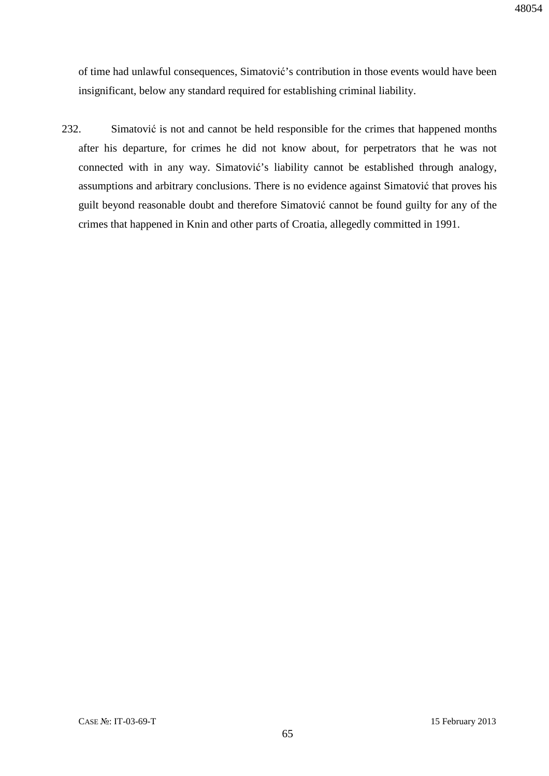of time had unlawful consequences, Simatović's contribution in those events would have been insignificant, below any standard required for establishing criminal liability.

232. Simatović is not and cannot be held responsible for the crimes that happened months after his departure, for crimes he did not know about, for perpetrators that he was not connected with in any way. Simatović's liability cannot be established through analogy, assumptions and arbitrary conclusions. There is no evidence against Simatović that proves his guilt beyond reasonable doubt and therefore Simatović cannot be found guilty for any of the crimes that happened in Knin and other parts of Croatia, allegedly committed in 1991.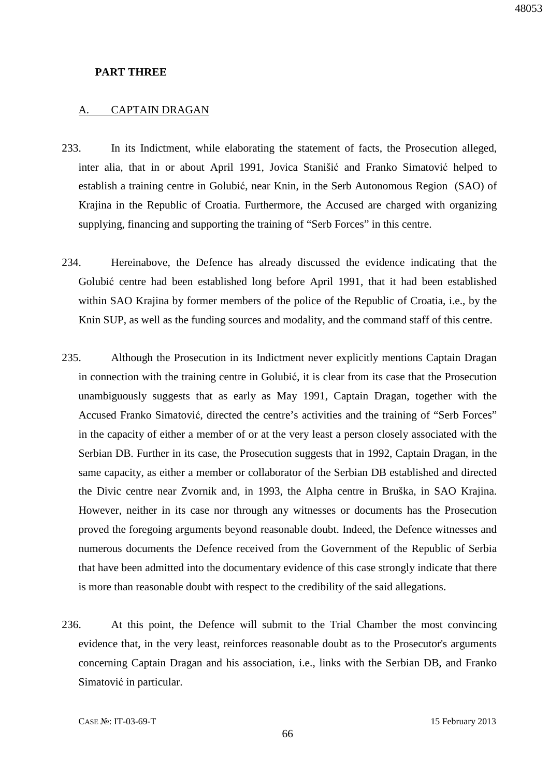#### **PART THREE**

#### A. CAPTAIN DRAGAN

- 233. In its Indictment, while elaborating the statement of facts, the Prosecution alleged, inter alia, that in or about April 1991, Jovica Stanišić and Franko Simatović helped to establish a training centre in Golubić, near Knin, in the Serb Autonomous Region (SAO) of Krajina in the Republic of Croatia. Furthermore, the Accused are charged with organizing supplying, financing and supporting the training of "Serb Forces" in this centre.
- 234. Hereinabove, the Defence has already discussed the evidence indicating that the Golubić centre had been established long before April 1991, that it had been established within SAO Krajina by former members of the police of the Republic of Croatia, i.e., by the Knin SUP, as well as the funding sources and modality, and the command staff of this centre.
- 235. Although the Prosecution in its Indictment never explicitly mentions Captain Dragan in connection with the training centre in Golubić, it is clear from its case that the Prosecution unambiguously suggests that as early as May 1991, Captain Dragan, together with the Accused Franko Simatović, directed the centre's activities and the training of "Serb Forces" in the capacity of either a member of or at the very least a person closely associated with the Serbian DB. Further in its case, the Prosecution suggests that in 1992, Captain Dragan, in the same capacity, as either a member or collaborator of the Serbian DB established and directed the Divic centre near Zvornik and, in 1993, the Alpha centre in Bruška, in SAO Krajina. However, neither in its case nor through any witnesses or documents has the Prosecution proved the foregoing arguments beyond reasonable doubt. Indeed, the Defence witnesses and numerous documents the Defence received from the Government of the Republic of Serbia that have been admitted into the documentary evidence of this case strongly indicate that there is more than reasonable doubt with respect to the credibility of the said allegations.
- 236. At this point, the Defence will submit to the Trial Chamber the most convincing evidence that, in the very least, reinforces reasonable doubt as to the Prosecutor's arguments concerning Captain Dragan and his association, i.e., links with the Serbian DB, and Franko Simatović in particular.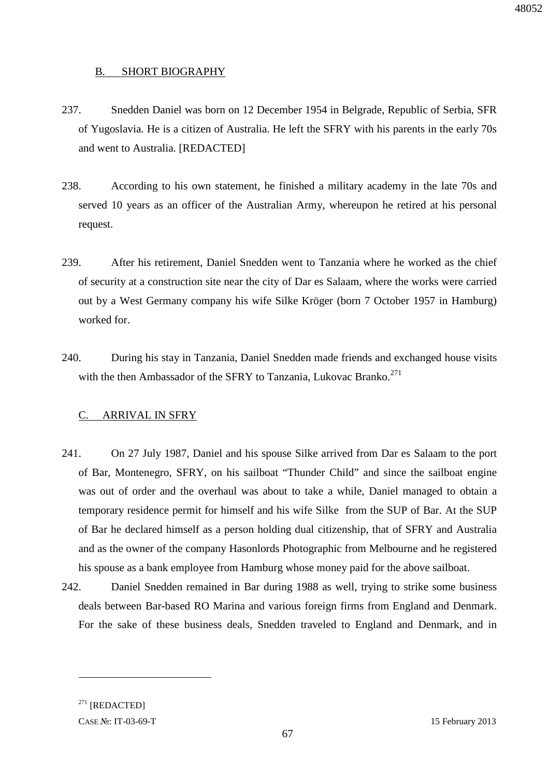#### B. SHORT BIOGRAPHY

- 237. Snedden Daniel was born on 12 December 1954 in Belgrade, Republic of Serbia, SFR of Yugoslavia. He is a citizen of Australia. He left the SFRY with his parents in the early 70s and went to Australia. [REDACTED]
- 238. According to his own statement, he finished a military academy in the late 70s and served 10 years as an officer of the Australian Army, whereupon he retired at his personal request.
- 239. After his retirement, Daniel Snedden went to Tanzania where he worked as the chief of security at a construction site near the city of Dar es Salaam, where the works were carried out by a West Germany company his wife Silke Kröger (born 7 October 1957 in Hamburg) worked for.
- 240. During his stay in Tanzania, Daniel Snedden made friends and exchanged house visits with the then Ambassador of the SFRY to Tanzania, Lukovac Branko.<sup>271</sup>

#### C. ARRIVAL IN SFRY

- 241. On 27 July 1987, Daniel and his spouse Silke arrived from Dar es Salaam to the port of Bar, Montenegro, SFRY, on his sailboat "Thunder Child" and since the sailboat engine was out of order and the overhaul was about to take a while, Daniel managed to obtain a temporary residence permit for himself and his wife Silke from the SUP of Bar. At the SUP of Bar he declared himself as a person holding dual citizenship, that of SFRY and Australia and as the owner of the company Hasonlords Photographic from Melbourne and he registered his spouse as a bank employee from Hamburg whose money paid for the above sailboat.
- 242. Daniel Snedden remained in Bar during 1988 as well, trying to strike some business deals between Bar-based RO Marina and various foreign firms from England and Denmark. For the sake of these business deals, Snedden traveled to England and Denmark, and in

 $271$  [REDACTED]

-

CASE №: IT-03-69-T 15 February 2013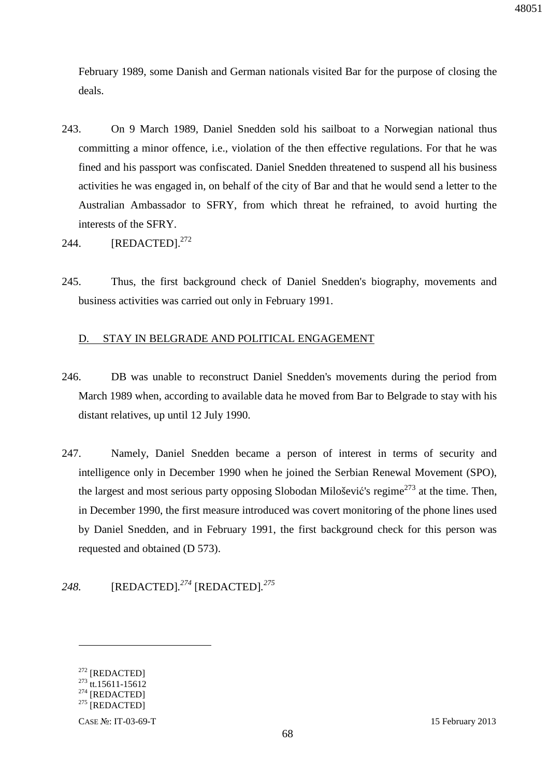48051

February 1989, some Danish and German nationals visited Bar for the purpose of closing the deals.

- 243. On 9 March 1989, Daniel Snedden sold his sailboat to a Norwegian national thus committing a minor offence, i.e., violation of the then effective regulations. For that he was fined and his passport was confiscated. Daniel Snedden threatened to suspend all his business activities he was engaged in, on behalf of the city of Bar and that he would send a letter to the Australian Ambassador to SFRY, from which threat he refrained, to avoid hurting the interests of the SFRY.
- 244.  $[REDACTED]^{272}$
- 245. Thus, the first background check of Daniel Snedden's biography, movements and business activities was carried out only in February 1991.

### D. STAY IN BELGRADE AND POLITICAL ENGAGEMENT

- 246. DB was unable to reconstruct Daniel Snedden's movements during the period from March 1989 when, according to available data he moved from Bar to Belgrade to stay with his distant relatives, up until 12 July 1990.
- 247. Namely, Daniel Snedden became a person of interest in terms of security and intelligence only in December 1990 when he joined the Serbian Renewal Movement (SPO), the largest and most serious party opposing Slobodan Milošević's regime<sup>273</sup> at the time. Then, in December 1990, the first measure introduced was covert monitoring of the phone lines used by Daniel Snedden, and in February 1991, the first background check for this person was requested and obtained (D 573).

## *248.* [REDACTED]*. <sup>274</sup>* [REDACTED]*. 275*

<sup>&</sup>lt;sup>272</sup> [REDACTED]

 $273$  tt.15611-15612

 $^{274}$  [REDACTED]

 $^{275}$  [REDACTED]

CASE №: IT-03-69-T 15 February 2013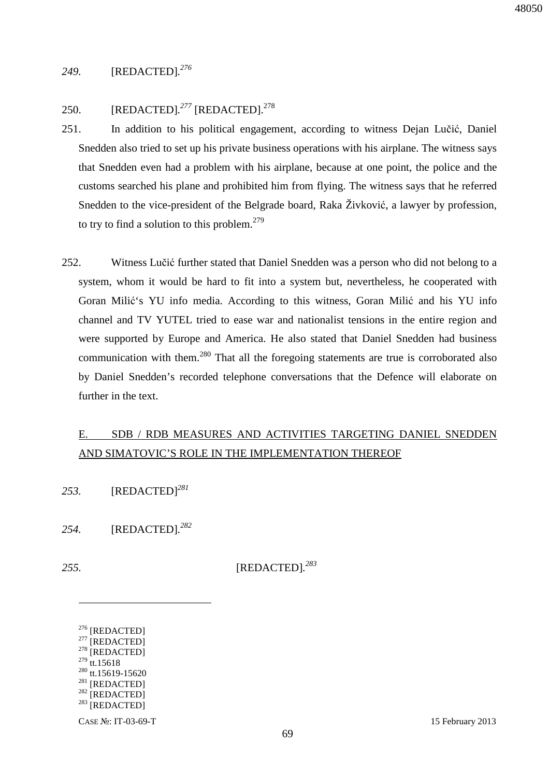### *249.* [REDACTED]*. 276*

### 250. [REDACTED]*. <sup>277</sup>* [REDACTED].<sup>278</sup>

- 251. In addition to his political engagement, according to witness Dejan Lučić, Daniel Snedden also tried to set up his private business operations with his airplane. The witness says that Snedden even had a problem with his airplane, because at one point, the police and the customs searched his plane and prohibited him from flying. The witness says that he referred Snedden to the vice-president of the Belgrade board, Raka Živković, a lawyer by profession, to try to find a solution to this problem. $279$
- 252. Witness Lučić further stated that Daniel Snedden was a person who did not belong to a system, whom it would be hard to fit into a system but, nevertheless, he cooperated with Goran Milić's YU info media. According to this witness, Goran Milić and his YU info channel and TV YUTEL tried to ease war and nationalist tensions in the entire region and were supported by Europe and America. He also stated that Daniel Snedden had business communication with them.<sup>280</sup> That all the foregoing statements are true is corroborated also by Daniel Snedden's recorded telephone conversations that the Defence will elaborate on further in the text.

## E. SDB / RDB MEASURES AND ACTIVITIES TARGETING DANIEL SNEDDEN AND SIMATOVIC'S ROLE IN THE IMPLEMENTATION THEREOF

- *253.* [REDACTED]*<sup>281</sup>*
- *254.* [REDACTED]*. 282*
- 

<u>.</u>

*255.* [REDACTED]*. 283*

- $277$  [REDACTED]
- $278$  [REDACTED]  $279$  tt.15618
- <sup>280</sup> tt.15619-15620
- $281$  [REDACTED]
- $282$  [REDACTED]
- $283$  [REDACTED]

<sup>276</sup> [REDACTED]

CASE №: IT-03-69-T 15 February 2013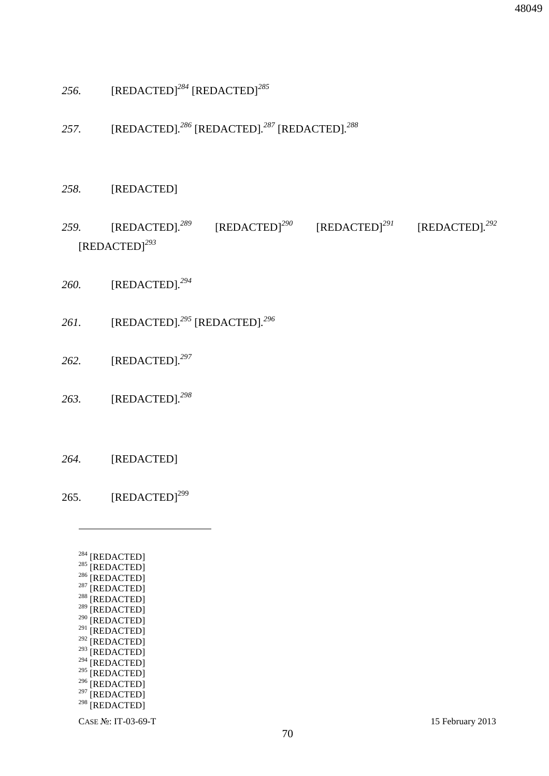- CASE №: IT-03-69-T 15 February 2013
- $^{292}$  [REDACTED]  $^{293}$  [REDACTED]  $^{294}$  [REDACTED]  $^{295}$  [REDACTED]

 $296$  [REDACTED]  $297$  [REDACTED]  $298$  [REDACTED]

- $^{291}$  [REDACTED]
- $290$  [REDACTED]
- <sup>288</sup> [REDACTED]  $289$  [REDACTED]
- $^{287}$  [REDACTED]
- $^{286}$  [REDACTED]
- $285$  [REDACTED]
- <sup>284</sup> [REDACTED]

 $\overline{a}$ 

265.  $[REDACTED]^{299}$ 

*264.* [REDACTED]

- 
- *263.* [REDACTED]*. 298*
- *262.* [REDACTED]*. 297*
- *261.* [REDACTED]*. <sup>295</sup>* [REDACTED]*. 296*
- *260.* [REDACTED]*. 294*
- [REDACTED]*<sup>293</sup>*
- *259.* [REDACTED]*. <sup>289</sup>* [REDACTED]*<sup>290</sup>* [REDACTED]*<sup>291</sup>* [REDACTED]*. 292*

70

- *258.* [REDACTED]
- *257.* [REDACTED]*. <sup>286</sup>* [REDACTED]*. <sup>287</sup>* [REDACTED]*. 288*
- *256.* [REDACTED]*<sup>284</sup>* [REDACTED]*<sup>285</sup>*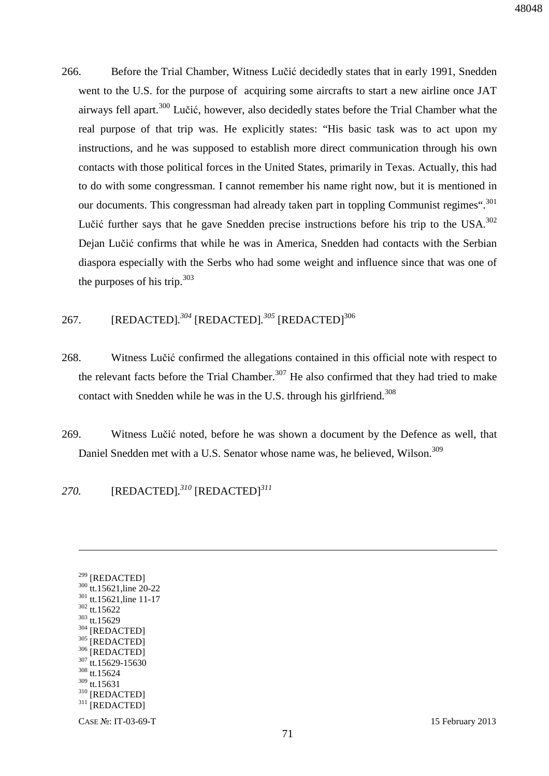266. Before the Trial Chamber, Witness Lučić decidedly states that in early 1991, Snedden went to the U.S. for the purpose of acquiring some aircrafts to start a new airline once JAT airways fell apart.<sup>300</sup> Lučić, however, also decidedly states before the Trial Chamber what the real purpose of that trip was. He explicitly states: "His basic task was to act upon my instructions, and he was supposed to establish more direct communication through his own contacts with those political forces in the United States, primarily in Texas. Actually, this had to do with some congressman. I cannot remember his name right now, but it is mentioned in our documents. This congressman had already taken part in toppling Communist regimes".<sup>301</sup> Lučić further says that he gave Snedden precise instructions before his trip to the USA.<sup>302</sup> Dejan Lučić confirms that while he was in America, Snedden had contacts with the Serbian diaspora especially with the Serbs who had some weight and influence since that was one of the purposes of his trip.  $303$ 

### 267. [REDACTED].<sup>304</sup> [REDACTED].<sup>305</sup> [REDACTED]<sup>306</sup>

- 268. Witness Lučić confirmed the allegations contained in this official note with respect to the relevant facts before the Trial Chamber.<sup>307</sup> He also confirmed that they had tried to make contact with Snedden while he was in the U.S. through his girlfriend.<sup>308</sup>
- 269. Witness Lučić noted, before he was shown a document by the Defence as well, that Daniel Snedden met with a U.S. Senator whose name was, he believed, Wilson.<sup>309</sup>

*270.* [REDACTED]*. <sup>310</sup>* [REDACTED]*<sup>311</sup>*

<sup>299</sup> [REDACTED] <sup>300</sup> tt.15621, line 20-22 <sup>301</sup> tt.15621,line 11-17 <sup>302</sup> tt.15622 <sup>303</sup> tt.15629  $304$  [REDACTED]  $\frac{305}{306}$  [REDACTED]  $^{306}$  [REDACTED] tt.15629-15630 <sup>308</sup> tt.15624  $309$  tt.15631 <sup>310</sup> [REDACTED]  $311$  [REDACTED]

<u>.</u>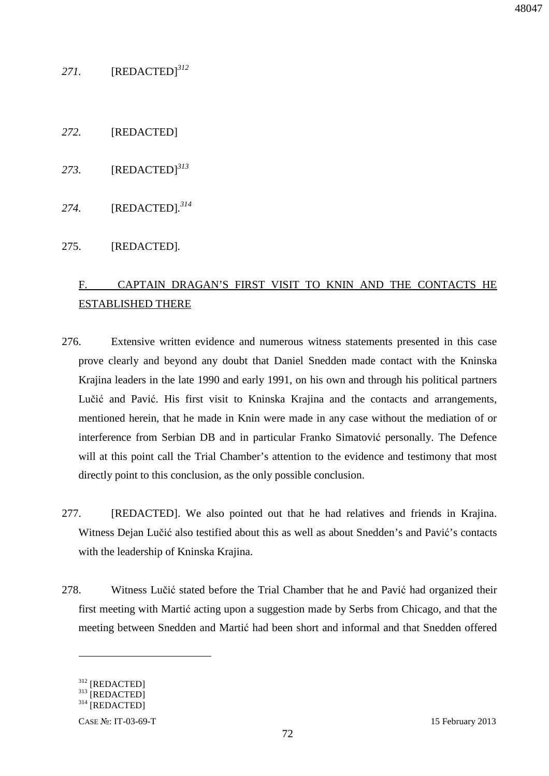## *271.* [REDACTED]*<sup>312</sup>*

- *272.* [REDACTED]
- *273.* [REDACTED]*<sup>313</sup>*
- *274.* [REDACTED]*. 314*

#### 275. [REDACTED]*.*

# F. CAPTAIN DRAGAN'S FIRST VISIT TO KNIN AND THE CONTACTS HE ESTABLISHED THERE

- 276. Extensive written evidence and numerous witness statements presented in this case prove clearly and beyond any doubt that Daniel Snedden made contact with the Kninska Krajina leaders in the late 1990 and early 1991, on his own and through his political partners Lučić and Pavić. His first visit to Kninska Krajina and the contacts and arrangements, mentioned herein, that he made in Knin were made in any case without the mediation of or interference from Serbian DB and in particular Franko Simatović personally. The Defence will at this point call the Trial Chamber's attention to the evidence and testimony that most directly point to this conclusion, as the only possible conclusion.
- 277. [REDACTED]. We also pointed out that he had relatives and friends in Krajina. Witness Dejan Lučić also testified about this as well as about Snedden's and Pavić's contacts with the leadership of Kninska Krajina.
- 278. Witness Lučić stated before the Trial Chamber that he and Pavić had organized their first meeting with Martić acting upon a suggestion made by Serbs from Chicago, and that the meeting between Snedden and Martić had been short and informal and that Snedden offered

<u>.</u>

<sup>312</sup> [REDACTED]

<sup>313</sup> [REDACTED]

<sup>314</sup> [REDACTED]

CASE №: IT-03-69-T 15 February 2013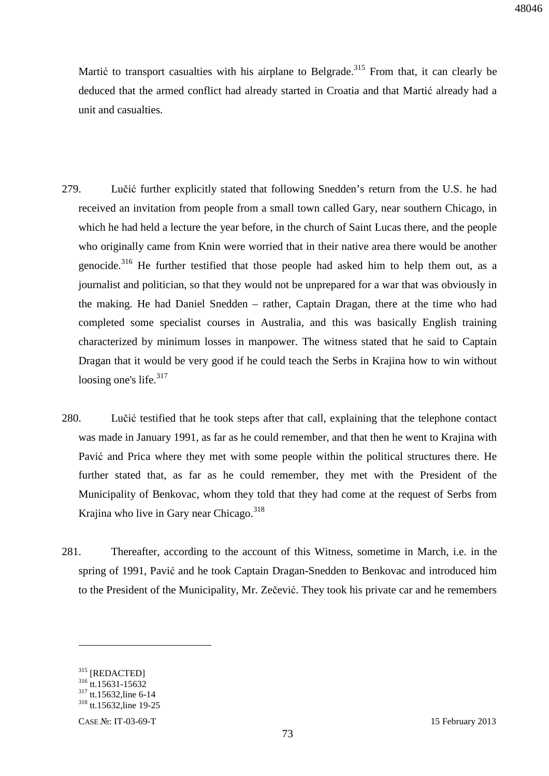Martić to transport casualties with his airplane to Belgrade.<sup>315</sup> From that, it can clearly be deduced that the armed conflict had already started in Croatia and that Martić already had a unit and casualties.

- 279. Lučić further explicitly stated that following Snedden's return from the U.S. he had received an invitation from people from a small town called Gary, near southern Chicago, in which he had held a lecture the year before, in the church of Saint Lucas there, and the people who originally came from Knin were worried that in their native area there would be another genocide.<sup>316</sup> He further testified that those people had asked him to help them out, as a journalist and politician, so that they would not be unprepared for a war that was obviously in the making. He had Daniel Snedden – rather, Captain Dragan, there at the time who had completed some specialist courses in Australia, and this was basically English training characterized by minimum losses in manpower. The witness stated that he said to Captain Dragan that it would be very good if he could teach the Serbs in Krajina how to win without loosing one's life. $317$
- 280. Lučić testified that he took steps after that call, explaining that the telephone contact was made in January 1991, as far as he could remember, and that then he went to Krajina with Pavić and Prica where they met with some people within the political structures there. He further stated that, as far as he could remember, they met with the President of the Municipality of Benkovac, whom they told that they had come at the request of Serbs from Krajina who live in Gary near Chicago. $318$
- 281. Thereafter, according to the account of this Witness, sometime in March, i.e. in the spring of 1991, Pavić and he took Captain Dragan-Snedden to Benkovac and introduced him to the President of the Municipality, Mr. Zečević. They took his private car and he remembers

<sup>315 [</sup>REDACTED]

 $316$  tt.15631-15632

<sup>&</sup>lt;sup>317</sup> tt.15632, line 6-14 <sup>318</sup> tt.15632, line 19-25

CASE №: IT-03-69-T 15 February 2013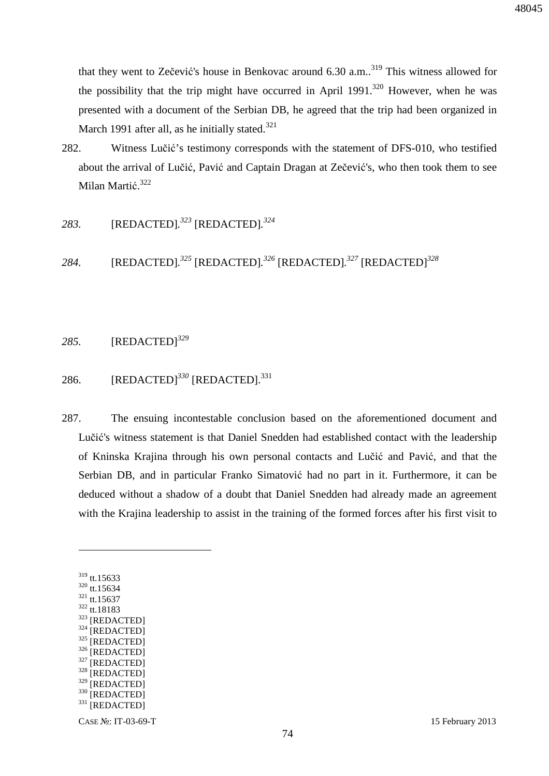that they went to Zečević's house in Benkovac around  $6.30$  a.m.<sup>319</sup> This witness allowed for the possibility that the trip might have occurred in April 1991.<sup>320</sup> However, when he was presented with a document of the Serbian DB, he agreed that the trip had been organized in March 1991 after all, as he initially stated.<sup>321</sup>

- 282. Witness Lučić's testimony corresponds with the statement of DFS-010, who testified about the arrival of Lučić, Pavić and Captain Dragan at Zečević's, who then took them to see Milan Martić.<sup>322</sup>
- *283.* [REDACTED]*. <sup>323</sup>* [REDACTED]*. 324*

*284.* [REDACTED]*. <sup>325</sup>* [REDACTED]*. <sup>326</sup>* [REDACTED]*. <sup>327</sup>* [REDACTED]*<sup>328</sup>*

#### *285.* [REDACTED]*<sup>329</sup>*

## 286. [REDACTED]*<sup>330</sup>* [REDACTED].<sup>331</sup>

287. The ensuing incontestable conclusion based on the aforementioned document and Lučić's witness statement is that Daniel Snedden had established contact with the leadership of Kninska Krajina through his own personal contacts and Lučić and Pavić, and that the Serbian DB, and in particular Franko Simatović had no part in it. Furthermore, it can be deduced without a shadow of a doubt that Daniel Snedden had already made an agreement with the Krajina leadership to assist in the training of the formed forces after his first visit to

 $\overline{a}$ 

- <sup>321</sup> tt.15637 <sup>322</sup> tt.18183
- <sup>323</sup> [REDACTED]
- $324$  [REDACTED]
- [REDACTED]
- $326$  [REDACTED]
- $\frac{327}{328}$  [REDACTED]
- $\frac{328}{329}$  [REDACTED]
- [REDACTED]
- 330 [REDACTED]
- $331$  [REDACTED]

<sup>319</sup> tt.15633

<sup>320</sup> tt.15634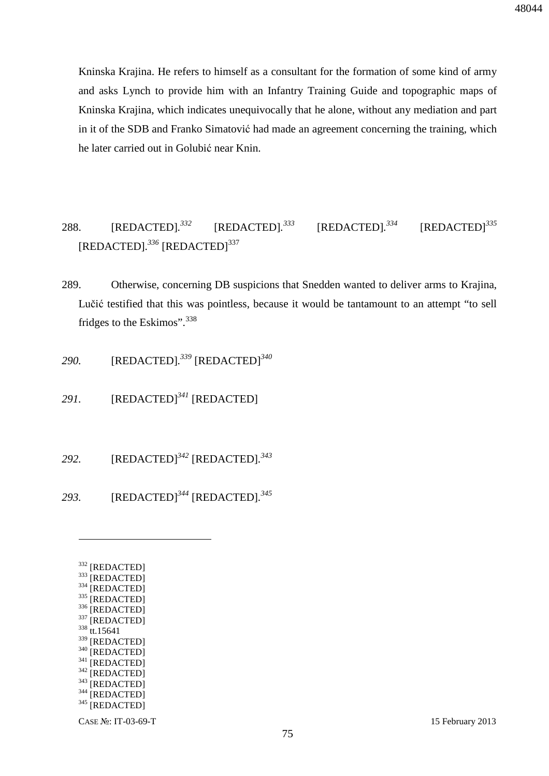Kninska Krajina. He refers to himself as a consultant for the formation of some kind of army and asks Lynch to provide him with an Infantry Training Guide and topographic maps of Kninska Krajina, which indicates unequivocally that he alone, without any mediation and part in it of the SDB and Franko Simatović had made an agreement concerning the training, which he later carried out in Golubić near Knin.

#### 288. [REDACTED]*. <sup>332</sup>* [REDACTED]*. <sup>333</sup>* [REDACTED]*. <sup>334</sup>* [REDACTED]*<sup>335</sup>* [REDACTED]*. <sup>336</sup>* [REDACTED]<sup>337</sup>

289. Otherwise, concerning DB suspicions that Snedden wanted to deliver arms to Krajina, Lučić testified that this was pointless, because it would be tantamount to an attempt "to sell fridges to the Eskimos".<sup>338</sup>

*290.* [REDACTED]*. <sup>339</sup>* [REDACTED]*<sup>340</sup>*

*291.* [REDACTED]*<sup>341</sup>* [REDACTED]

*292.* [REDACTED]*<sup>342</sup>* [REDACTED]*. 343*

*293.* [REDACTED]*<sup>344</sup>* [REDACTED]*. 345*

| 332 | [REDACTED]        |
|-----|-------------------|
| 333 | [REDACTED]        |
| 334 | [REDACTED]        |
| 335 | [REDACTED]        |
| 336 | [REDACTED]        |
| 337 | [REDACTED]        |
| 338 | tt.15641          |
| 339 | [REDACTED]        |
| 340 | <b>[REDACTED]</b> |
| 341 | [REDACTED]        |
| 342 | [REDACTED]        |
| 343 | [REDACTED]        |
| 344 | [REDACTED]        |
| 345 | [REDACTED]        |
|     |                   |
|     |                   |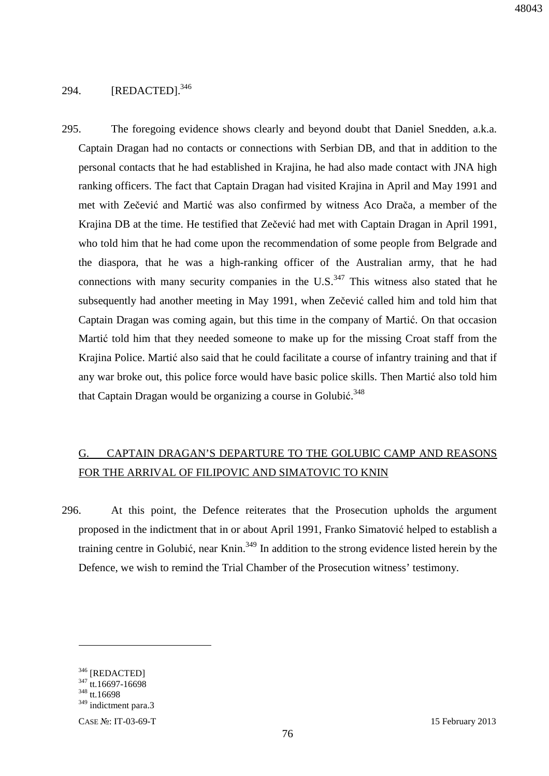### 294. [REDACTED].<sup>346</sup>

295. The foregoing evidence shows clearly and beyond doubt that Daniel Snedden, a.k.a. Captain Dragan had no contacts or connections with Serbian DB, and that in addition to the personal contacts that he had established in Krajina, he had also made contact with JNA high ranking officers. The fact that Captain Dragan had visited Krajina in April and May 1991 and met with Zečević and Martić was also confirmed by witness Aco Drača, a member of the Krajina DB at the time. He testified that Zečević had met with Captain Dragan in April 1991, who told him that he had come upon the recommendation of some people from Belgrade and the diaspora, that he was a high-ranking officer of the Australian army, that he had connections with many security companies in the  $U.S.<sup>347</sup>$  This witness also stated that he subsequently had another meeting in May 1991, when Zečević called him and told him that Captain Dragan was coming again, but this time in the company of Martić. On that occasion Martić told him that they needed someone to make up for the missing Croat staff from the Krajina Police. Martić also said that he could facilitate a course of infantry training and that if any war broke out, this police force would have basic police skills. Then Martić also told him that Captain Dragan would be organizing a course in Golubić.<sup>348</sup>

# G. CAPTAIN DRAGAN'S DEPARTURE TO THE GOLUBIC CAMP AND REASONS FOR THE ARRIVAL OF FILIPOVIC AND SIMATOVIC TO KNIN

296. At this point, the Defence reiterates that the Prosecution upholds the argument proposed in the indictment that in or about April 1991, Franko Simatović helped to establish a training centre in Golubić, near Knin.<sup>349</sup> In addition to the strong evidence listed herein by the Defence, we wish to remind the Trial Chamber of the Prosecution witness' testimony.

<u>.</u>

<sup>346 [</sup>REDACTED]

 $347$  tt.16697-16698

<sup>348</sup> tt.16698

<sup>349</sup> indictment para.3

CASE №: IT-03-69-T 15 February 2013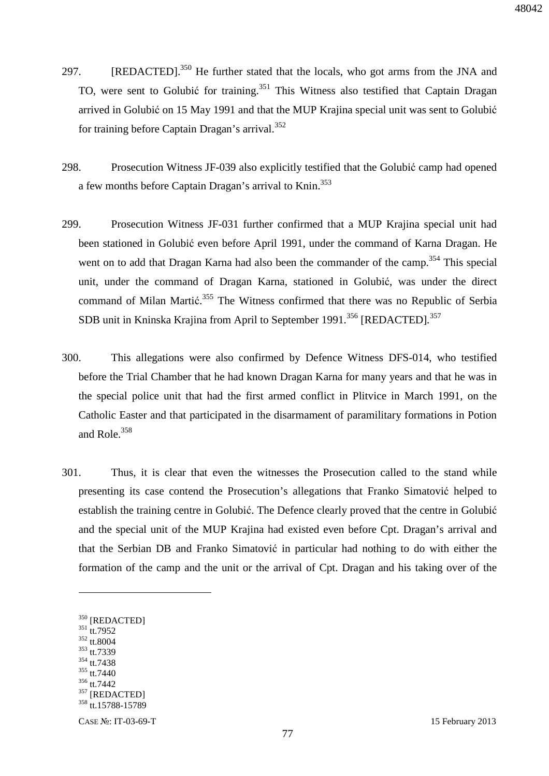- 297. [REDACTED].<sup>350</sup> He further stated that the locals, who got arms from the JNA and TO, were sent to Golubić for training.<sup>351</sup> This Witness also testified that Captain Dragan arrived in Golubić on 15 May 1991 and that the MUP Krajina special unit was sent to Golubić for training before Captain Dragan's arrival.<sup>352</sup>
- 298. Prosecution Witness JF-039 also explicitly testified that the Golubić camp had opened a few months before Captain Dragan's arrival to Knin.<sup>353</sup>
- 299. Prosecution Witness JF-031 further confirmed that a MUP Krajina special unit had been stationed in Golubić even before April 1991, under the command of Karna Dragan. He went on to add that Dragan Karna had also been the commander of the camp.<sup>354</sup> This special unit, under the command of Dragan Karna, stationed in Golubić, was under the direct command of Milan Martić.<sup>355</sup> The Witness confirmed that there was no Republic of Serbia SDB unit in Kninska Krajina from April to September 1991.<sup>356</sup> [REDACTED].<sup>357</sup>
- 300. This allegations were also confirmed by Defence Witness DFS-014, who testified before the Trial Chamber that he had known Dragan Karna for many years and that he was in the special police unit that had the first armed conflict in Plitvice in March 1991, on the Catholic Easter and that participated in the disarmament of paramilitary formations in Potion and Role.<sup>358</sup>
- 301. Thus, it is clear that even the witnesses the Prosecution called to the stand while presenting its case contend the Prosecution's allegations that Franko Simatović helped to establish the training centre in Golubić. The Defence clearly proved that the centre in Golubić and the special unit of the MUP Krajina had existed even before Cpt. Dragan's arrival and that the Serbian DB and Franko Simatović in particular had nothing to do with either the formation of the camp and the unit or the arrival of Cpt. Dragan and his taking over of the

<sup>351</sup> tt.7952

- <sup>352</sup> tt.8004 <sup>353</sup> tt.7339
- $354$  tt.7438
- <sup>355</sup> tt.7440
- <sup>356</sup> tt.7442

<sup>350</sup> [REDACTED]

<sup>&</sup>lt;sup>357</sup> [REDACTED]

<sup>&</sup>lt;sup>358</sup> tt.15788-15789

CASE №: IT-03-69-T 15 February 2013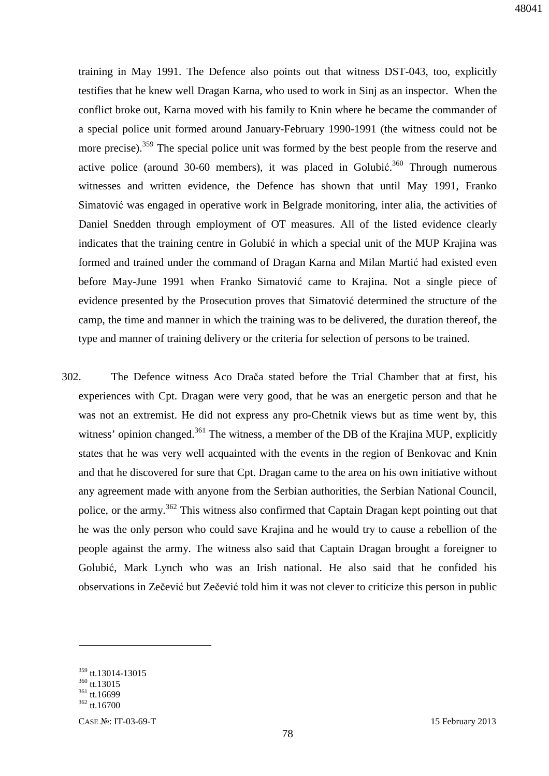training in May 1991. The Defence also points out that witness DST-043, too, explicitly testifies that he knew well Dragan Karna, who used to work in Sinj as an inspector. When the conflict broke out, Karna moved with his family to Knin where he became the commander of a special police unit formed around January-February 1990-1991 (the witness could not be more precise).<sup>359</sup> The special police unit was formed by the best people from the reserve and active police (around 30-60 members), it was placed in Golubić.<sup>360</sup> Through numerous witnesses and written evidence, the Defence has shown that until May 1991, Franko Simatović was engaged in operative work in Belgrade monitoring, inter alia, the activities of Daniel Snedden through employment of OT measures. All of the listed evidence clearly indicates that the training centre in Golubić in which a special unit of the MUP Krajina was formed and trained under the command of Dragan Karna and Milan Martić had existed even before May-June 1991 when Franko Simatović came to Krajina. Not a single piece of evidence presented by the Prosecution proves that Simatović determined the structure of the camp, the time and manner in which the training was to be delivered, the duration thereof, the type and manner of training delivery or the criteria for selection of persons to be trained.

302. The Defence witness Aco Drača stated before the Trial Chamber that at first, his experiences with Cpt. Dragan were very good, that he was an energetic person and that he was not an extremist. He did not express any pro-Chetnik views but as time went by, this witness' opinion changed.<sup>361</sup> The witness, a member of the DB of the Krajina MUP, explicitly states that he was very well acquainted with the events in the region of Benkovac and Knin and that he discovered for sure that Cpt. Dragan came to the area on his own initiative without any agreement made with anyone from the Serbian authorities, the Serbian National Council, police, or the army.<sup>362</sup> This witness also confirmed that Captain Dragan kept pointing out that he was the only person who could save Krajina and he would try to cause a rebellion of the people against the army. The witness also said that Captain Dragan brought a foreigner to Golubić, Mark Lynch who was an Irish national. He also said that he confided his observations in Zečević but Zečević told him it was not clever to criticize this person in public

<sup>359</sup> tt.13014-13015

 $360$  tt.13015

 $361$  tt.16699

<sup>362</sup> tt.16700

CASE №: IT-03-69-T 15 February 2013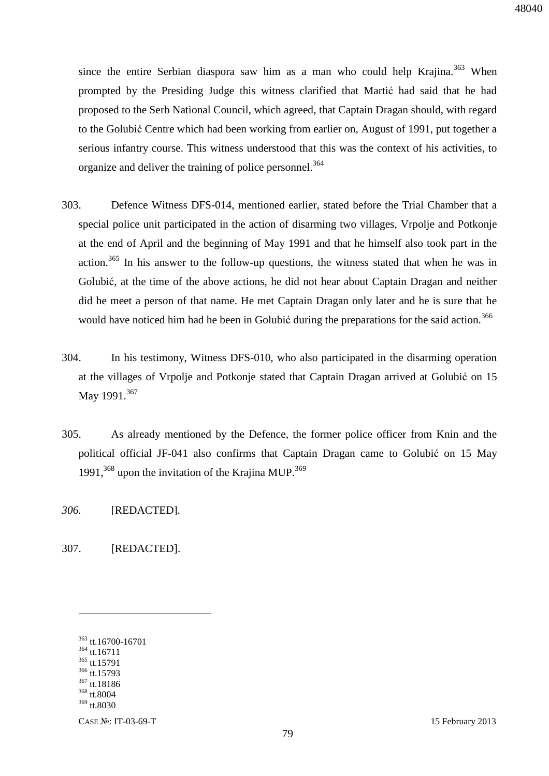since the entire Serbian diaspora saw him as a man who could help Krajina.<sup>363</sup> When prompted by the Presiding Judge this witness clarified that Martić had said that he had proposed to the Serb National Council, which agreed, that Captain Dragan should, with regard to the Golubić Centre which had been working from earlier on, August of 1991, put together a serious infantry course. This witness understood that this was the context of his activities, to organize and deliver the training of police personnel.<sup>364</sup>

- 303. Defence Witness DFS-014, mentioned earlier, stated before the Trial Chamber that a special police unit participated in the action of disarming two villages, Vrpolje and Potkonje at the end of April and the beginning of May 1991 and that he himself also took part in the action.<sup>365</sup> In his answer to the follow-up questions, the witness stated that when he was in Golubić, at the time of the above actions, he did not hear about Captain Dragan and neither did he meet a person of that name. He met Captain Dragan only later and he is sure that he would have noticed him had he been in Golubić during the preparations for the said action.<sup>366</sup>
- 304. In his testimony, Witness DFS-010, who also participated in the disarming operation at the villages of Vrpolje and Potkonje stated that Captain Dragan arrived at Golubić on 15 May 1991.<sup>367</sup>
- 305. As already mentioned by the Defence, the former police officer from Knin and the political official JF-041 also confirms that Captain Dragan came to Golubić on 15 May 1991, $368$  upon the invitation of the Krajina MUP. $369$

*306.* [REDACTED]*.* 

307. [REDACTED].

 tt.16700-16701 tt.16711 tt.15791 tt.15793 tt.18186 <sup>368</sup> tt.8004 <sup>369</sup> tt.8030

 $\overline{a}$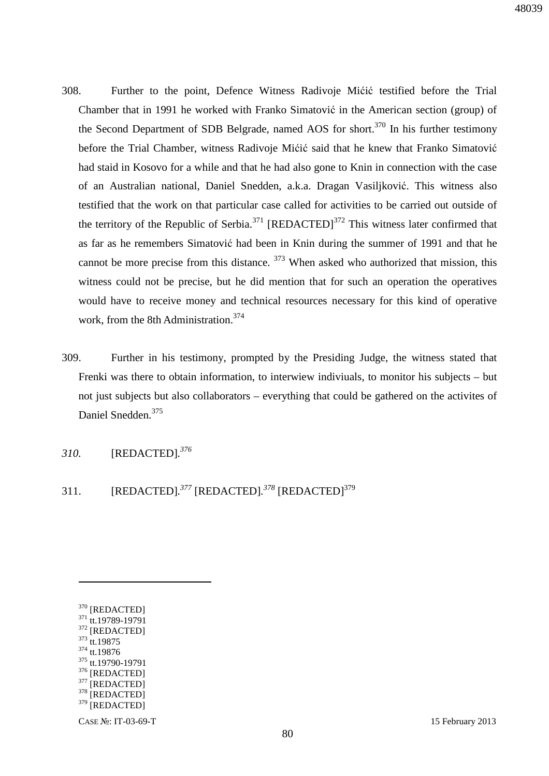- 308. Further to the point, Defence Witness Radivoje Mićić testified before the Trial Chamber that in 1991 he worked with Franko Simatović in the American section (group) of the Second Department of SDB Belgrade, named AOS for short.<sup>370</sup> In his further testimony before the Trial Chamber, witness Radivoje Mićić said that he knew that Franko Simatović had staid in Kosovo for a while and that he had also gone to Knin in connection with the case of an Australian national, Daniel Snedden, a.k.a. Dragan Vasiljković. This witness also testified that the work on that particular case called for activities to be carried out outside of the territory of the Republic of Serbia.<sup>371</sup> [REDACTED]<sup>372</sup> This witness later confirmed that as far as he remembers Simatović had been in Knin during the summer of 1991 and that he cannot be more precise from this distance.  $373$  When asked who authorized that mission, this witness could not be precise, but he did mention that for such an operation the operatives would have to receive money and technical resources necessary for this kind of operative work, from the 8th Administration.<sup>374</sup>
- 309. Further in his testimony, prompted by the Presiding Judge, the witness stated that Frenki was there to obtain information, to interwiew indiviuals, to monitor his subjects – but not just subjects but also collaborators – everything that could be gathered on the activites of Daniel Snedden.<sup>375</sup>
- *310.* [REDACTED]*. 376*
- 311. [REDACTED].<sup>377</sup> [REDACTED].<sup>378</sup> [REDACTED]<sup>379</sup>

<sup>370</sup> [REDACTED] <sup>371</sup> tt.19789-19791 <sup>372</sup> [REDACTED] <sup>373</sup> tt.19875 <sup>374</sup> tt.19876 <sup>375</sup> tt.19790-19791  $376$  [REDACTED]

<sup>[</sup>REDACTED]

 $378$  [REDACTED]  $379$  [REDACTED]

CASE №: IT-03-69-T 15 February 2013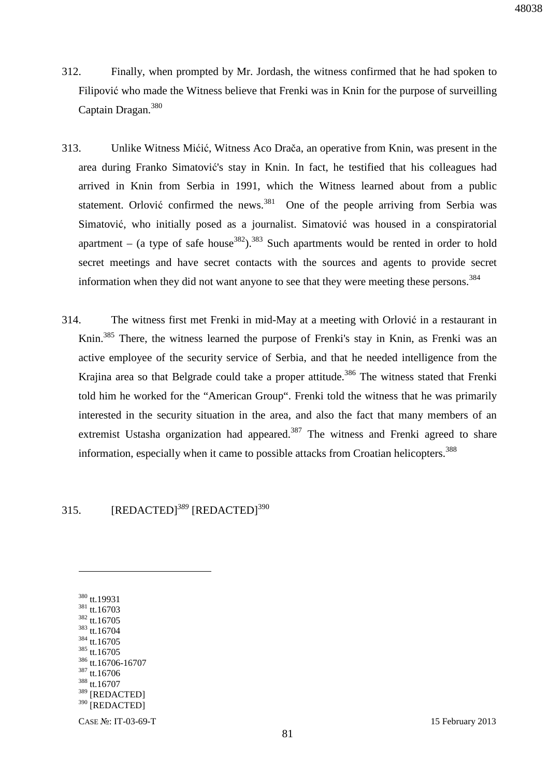- 312. Finally, when prompted by Mr. Jordash, the witness confirmed that he had spoken to Filipović who made the Witness believe that Frenki was in Knin for the purpose of surveilling Captain Dragan.<sup>380</sup>
- 313. Unlike Witness Mićić, Witness Aco Drača, an operative from Knin, was present in the area during Franko Simatović's stay in Knin. In fact, he testified that his colleagues had arrived in Knin from Serbia in 1991, which the Witness learned about from a public statement. Orlović confirmed the news. $381$  One of the people arriving from Serbia was Simatović, who initially posed as a journalist. Simatović was housed in a conspiratorial apartment – (a type of safe house<sup>382</sup>).<sup>383</sup> Such apartments would be rented in order to hold secret meetings and have secret contacts with the sources and agents to provide secret information when they did not want anyone to see that they were meeting these persons.<sup>384</sup>
- 314. The witness first met Frenki in mid-May at a meeting with Orlović in a restaurant in Knin.<sup>385</sup> There, the witness learned the purpose of Frenki's stay in Knin, as Frenki was an active employee of the security service of Serbia, and that he needed intelligence from the Krajina area so that Belgrade could take a proper attitude.<sup>386</sup> The witness stated that Frenki told him he worked for the "American Group". Frenki told the witness that he was primarily interested in the security situation in the area, and also the fact that many members of an extremist Ustasha organization had appeared.<sup>387</sup> The witness and Frenki agreed to share information, especially when it came to possible attacks from Croatian helicopters.<sup>388</sup>

### 315. [REDACTED]*<sup>389</sup>* [REDACTED]<sup>390</sup>

 tt.19931 tt.16703 tt.16705 tt.16704 tt.16705 tt.16705 tt.16706-16707 tt.16706 tt.16707 389 [REDACTED] <sup>390</sup> [REDACTED]

 $\overline{a}$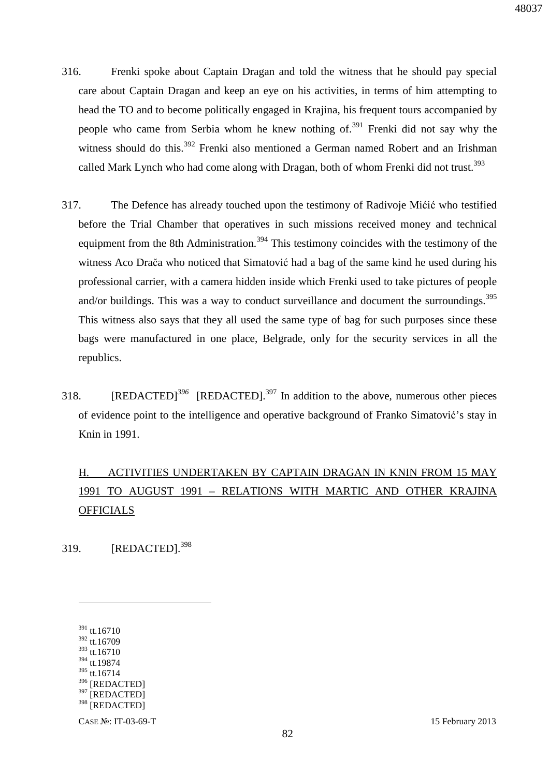- 316. Frenki spoke about Captain Dragan and told the witness that he should pay special care about Captain Dragan and keep an eye on his activities, in terms of him attempting to head the TO and to become politically engaged in Krajina, his frequent tours accompanied by people who came from Serbia whom he knew nothing of.<sup>391</sup> Frenki did not say why the witness should do this.<sup>392</sup> Frenki also mentioned a German named Robert and an Irishman called Mark Lynch who had come along with Dragan, both of whom Frenki did not trust.<sup>393</sup>
- 317. The Defence has already touched upon the testimony of Radivoje Mićić who testified before the Trial Chamber that operatives in such missions received money and technical equipment from the 8th Administration.<sup>394</sup> This testimony coincides with the testimony of the witness Aco Drača who noticed that Simatović had a bag of the same kind he used during his professional carrier, with a camera hidden inside which Frenki used to take pictures of people and/or buildings. This was a way to conduct surveillance and document the surroundings.<sup>395</sup> This witness also says that they all used the same type of bag for such purposes since these bags were manufactured in one place, Belgrade, only for the security services in all the republics.
- 318.  $[REDACTER]^3\%$   $[REDACTER]^3\%$  In addition to the above, numerous other pieces of evidence point to the intelligence and operative background of Franko Simatović's stay in Knin in 1991.

# H. ACTIVITIES UNDERTAKEN BY CAPTAIN DRAGAN IN KNIN FROM 15 MAY 1991 TO AUGUST 1991 – RELATIONS WITH MARTIC AND OTHER KRAJINA **OFFICIALS**

319. [REDACTED].<sup>398</sup>

<u>.</u>

<sup>393</sup> tt.16710 <sup>394</sup> tt.19874

<sup>397</sup> [REDACTED]

<sup>391</sup> tt.16710

<sup>392</sup> tt.16709

<sup>395</sup> tt.16714

<sup>396</sup> [REDACTED]

<sup>398 [</sup>REDACTED]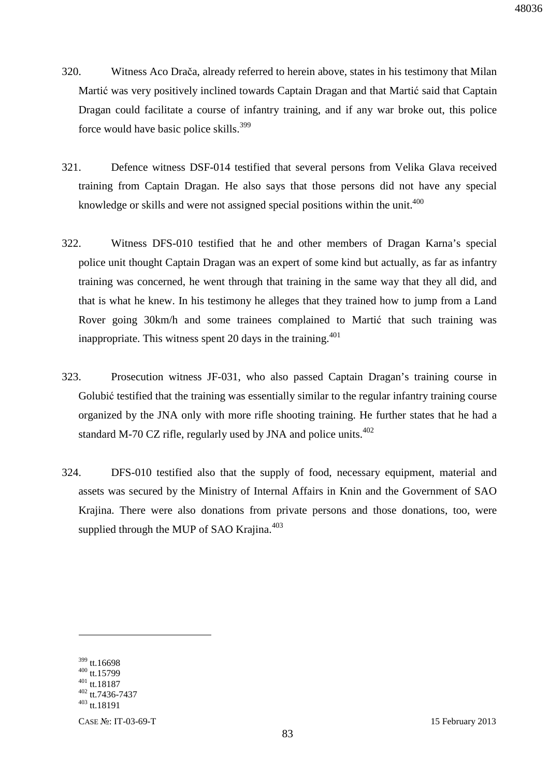- 320. Witness Aco Drača, already referred to herein above, states in his testimony that Milan Martić was very positively inclined towards Captain Dragan and that Martić said that Captain Dragan could facilitate a course of infantry training, and if any war broke out, this police force would have basic police skills.<sup>399</sup>
- 321. Defence witness DSF-014 testified that several persons from Velika Glava received training from Captain Dragan. He also says that those persons did not have any special knowledge or skills and were not assigned special positions within the unit.<sup>400</sup>
- 322. Witness DFS-010 testified that he and other members of Dragan Karna's special police unit thought Captain Dragan was an expert of some kind but actually, as far as infantry training was concerned, he went through that training in the same way that they all did, and that is what he knew. In his testimony he alleges that they trained how to jump from a Land Rover going 30km/h and some trainees complained to Martić that such training was inappropriate. This witness spent 20 days in the training.<sup>401</sup>
- 323. Prosecution witness JF-031, who also passed Captain Dragan's training course in Golubić testified that the training was essentially similar to the regular infantry training course organized by the JNA only with more rifle shooting training. He further states that he had a standard M-70 CZ rifle, regularly used by JNA and police units. $402$
- 324. DFS-010 testified also that the supply of food, necessary equipment, material and assets was secured by the Ministry of Internal Affairs in Knin and the Government of SAO Krajina. There were also donations from private persons and those donations, too, were supplied through the MUP of SAO Krajina. $403$

 tt.16698 tt.15799  $401$  tt.18187 tt.7436-7437 tt.18191

 $\overline{a}$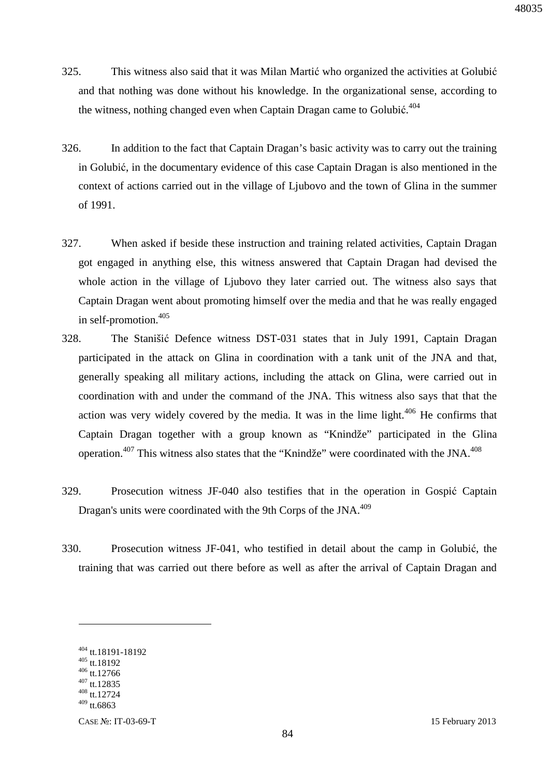- 325. This witness also said that it was Milan Martić who organized the activities at Golubić and that nothing was done without his knowledge. In the organizational sense, according to the witness, nothing changed even when Captain Dragan came to Golubić.<sup>404</sup>
- 326. In addition to the fact that Captain Dragan's basic activity was to carry out the training in Golubić, in the documentary evidence of this case Captain Dragan is also mentioned in the context of actions carried out in the village of Ljubovo and the town of Glina in the summer of 1991.
- 327. When asked if beside these instruction and training related activities, Captain Dragan got engaged in anything else, this witness answered that Captain Dragan had devised the whole action in the village of Ljubovo they later carried out. The witness also says that Captain Dragan went about promoting himself over the media and that he was really engaged in self-promotion.<sup>405</sup>
- 328. The Stanišić Defence witness DST-031 states that in July 1991, Captain Dragan participated in the attack on Glina in coordination with a tank unit of the JNA and that, generally speaking all military actions, including the attack on Glina, were carried out in coordination with and under the command of the JNA. This witness also says that that the action was very widely covered by the media. It was in the lime light. $406$  He confirms that Captain Dragan together with a group known as "Knindže" participated in the Glina operation.<sup>407</sup> This witness also states that the "Knindže" were coordinated with the JNA.<sup>408</sup>
- 329. Prosecution witness JF-040 also testifies that in the operation in Gospić Captain Dragan's units were coordinated with the 9th Corps of the JNA.<sup>409</sup>
- 330. Prosecution witness JF-041, who testified in detail about the camp in Golubić, the training that was carried out there before as well as after the arrival of Captain Dragan and

<sup>404</sup> tt.18191-18192

<sup>405</sup> tt.18192

<sup>406</sup> tt.12766  $407$  tt.12835

<sup>408</sup> tt.12724  $409$  tt.6863

CASE №: IT-03-69-T 15 February 2013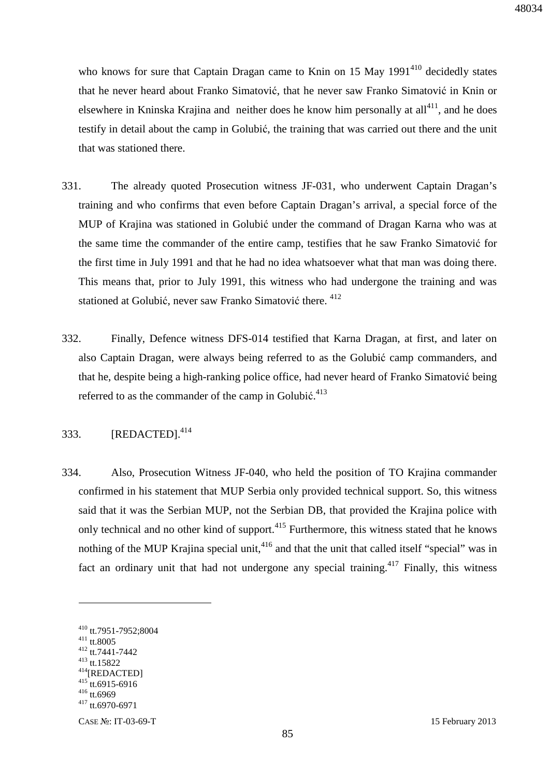who knows for sure that Captain Dragan came to Knin on  $15$  May  $1991<sup>410</sup>$  decidedly states that he never heard about Franko Simatović, that he never saw Franko Simatović in Knin or elsewhere in Kninska Krajina and neither does he know him personally at  $all^{411}$ , and he does testify in detail about the camp in Golubić, the training that was carried out there and the unit that was stationed there.

- 331. The already quoted Prosecution witness JF-031, who underwent Captain Dragan's training and who confirms that even before Captain Dragan's arrival, a special force of the MUP of Krajina was stationed in Golubić under the command of Dragan Karna who was at the same time the commander of the entire camp, testifies that he saw Franko Simatović for the first time in July 1991 and that he had no idea whatsoever what that man was doing there. This means that, prior to July 1991, this witness who had undergone the training and was stationed at Golubić, never saw Franko Simatović there. <sup>412</sup>
- 332. Finally, Defence witness DFS-014 testified that Karna Dragan, at first, and later on also Captain Dragan, were always being referred to as the Golubić camp commanders, and that he, despite being a high-ranking police office, had never heard of Franko Simatović being referred to as the commander of the camp in Golubić.<sup>413</sup>

## 333. [REDACTED].<sup>414</sup>

334. Also, Prosecution Witness JF-040, who held the position of TO Krajina commander confirmed in his statement that MUP Serbia only provided technical support. So, this witness said that it was the Serbian MUP, not the Serbian DB, that provided the Krajina police with only technical and no other kind of support.<sup>415</sup> Furthermore, this witness stated that he knows nothing of the MUP Krajina special unit,<sup>416</sup> and that the unit that called itself "special" was in fact an ordinary unit that had not undergone any special training.<sup>417</sup> Finally, this witness

<sup>410</sup> tt.7951-7952;8004

<sup>411</sup> tt.8005

<sup>412</sup> tt.7441-7442

<sup>413</sup> tt.15822 <sup>414</sup>[REDACTED]

 $415$  tt.6915-6916

<sup>416</sup> tt.6969

<sup>417</sup> tt.6970-6971

CASE №: IT-03-69-T 15 February 2013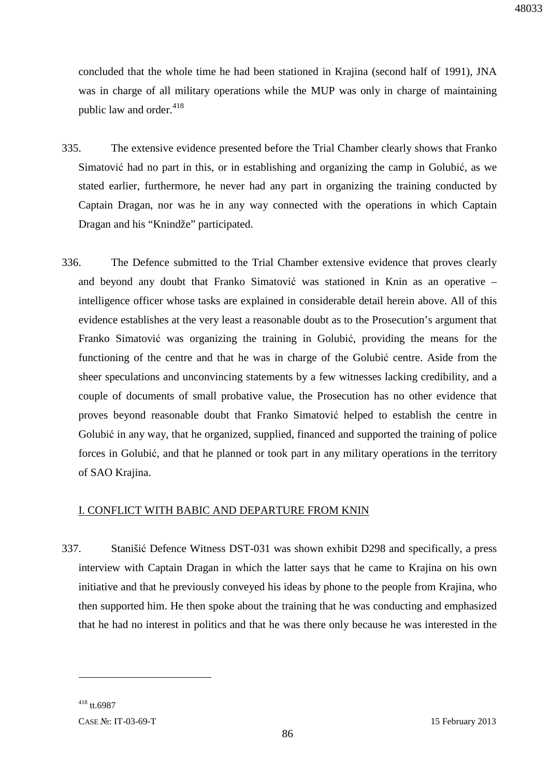concluded that the whole time he had been stationed in Krajina (second half of 1991), JNA was in charge of all military operations while the MUP was only in charge of maintaining public law and order.<sup>418</sup>

- 335. The extensive evidence presented before the Trial Chamber clearly shows that Franko Simatović had no part in this, or in establishing and organizing the camp in Golubić, as we stated earlier, furthermore, he never had any part in organizing the training conducted by Captain Dragan, nor was he in any way connected with the operations in which Captain Dragan and his "Knindže" participated.
- 336. The Defence submitted to the Trial Chamber extensive evidence that proves clearly and beyond any doubt that Franko Simatović was stationed in Knin as an operative – intelligence officer whose tasks are explained in considerable detail herein above. All of this evidence establishes at the very least a reasonable doubt as to the Prosecution's argument that Franko Simatović was organizing the training in Golubić, providing the means for the functioning of the centre and that he was in charge of the Golubić centre. Aside from the sheer speculations and unconvincing statements by a few witnesses lacking credibility, and a couple of documents of small probative value, the Prosecution has no other evidence that proves beyond reasonable doubt that Franko Simatović helped to establish the centre in Golubić in any way, that he organized, supplied, financed and supported the training of police forces in Golubić, and that he planned or took part in any military operations in the territory of SAO Krajina.

#### I. CONFLICT WITH BABIC AND DEPARTURE FROM KNIN

337. Stanišić Defence Witness DST-031 was shown exhibit D298 and specifically, a press interview with Captain Dragan in which the latter says that he came to Krajina on his own initiative and that he previously conveyed his ideas by phone to the people from Krajina, who then supported him. He then spoke about the training that he was conducting and emphasized that he had no interest in politics and that he was there only because he was interested in the

 $418$  tt. 6987

CASE №: IT-03-69-T 15 February 2013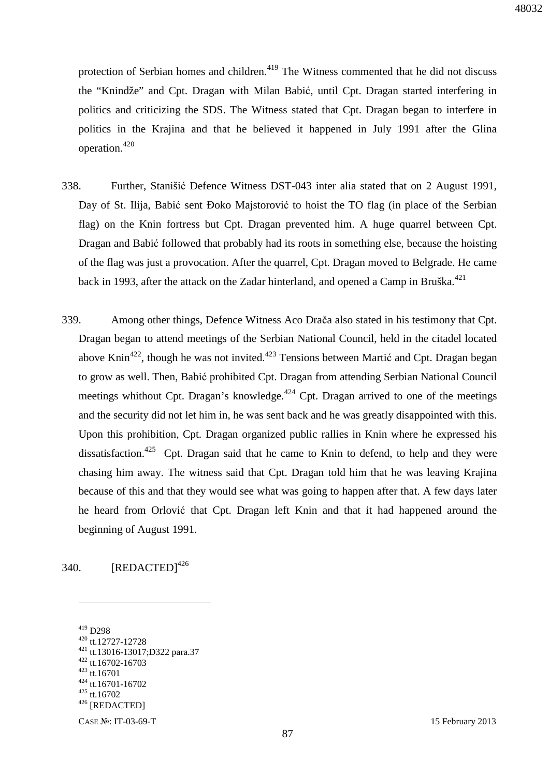protection of Serbian homes and children.<sup>419</sup> The Witness commented that he did not discuss the "Knindže" and Cpt. Dragan with Milan Babić, until Cpt. Dragan started interfering in politics and criticizing the SDS. The Witness stated that Cpt. Dragan began to interfere in politics in the Krajina and that he believed it happened in July 1991 after the Glina operation.<sup>420</sup>

- 338. Further, Stanišić Defence Witness DST-043 inter alia stated that on 2 August 1991, Day of St. Ilija, Babić sent Đoko Majstorović to hoist the TO flag (in place of the Serbian flag) on the Knin fortress but Cpt. Dragan prevented him. A huge quarrel between Cpt. Dragan and Babić followed that probably had its roots in something else, because the hoisting of the flag was just a provocation. After the quarrel, Cpt. Dragan moved to Belgrade. He came back in 1993, after the attack on the Zadar hinterland, and opened a Camp in Bruška.<sup>421</sup>
- 339. Among other things, Defence Witness Aco Drača also stated in his testimony that Cpt. Dragan began to attend meetings of the Serbian National Council, held in the citadel located above Knin<sup>422</sup>, though he was not invited.<sup>423</sup> Tensions between Martić and Cpt. Dragan began to grow as well. Then, Babić prohibited Cpt. Dragan from attending Serbian National Council meetings whithout Cpt. Dragan's knowledge. $424$  Cpt. Dragan arrived to one of the meetings and the security did not let him in, he was sent back and he was greatly disappointed with this. Upon this prohibition, Cpt. Dragan organized public rallies in Knin where he expressed his dissatisfaction.<sup>425</sup> Cpt. Dragan said that he came to Knin to defend, to help and they were chasing him away. The witness said that Cpt. Dragan told him that he was leaving Krajina because of this and that they would see what was going to happen after that. A few days later he heard from Orlović that Cpt. Dragan left Knin and that it had happened around the beginning of August 1991.

340.  $[REDACTED]^{426}$ 

 $\overline{a}$ 

<sup>422</sup> tt.16702-16703  $423$  tt.16701

<sup>419</sup> D298

<sup>420</sup> tt.12727-12728

<sup>421</sup> tt.13016-13017;D322 para.37

<sup>424</sup> tt.16701-16702

<sup>425</sup> tt.16702

<sup>426</sup> [REDACTED]

CASE №: IT-03-69-T 15 February 2013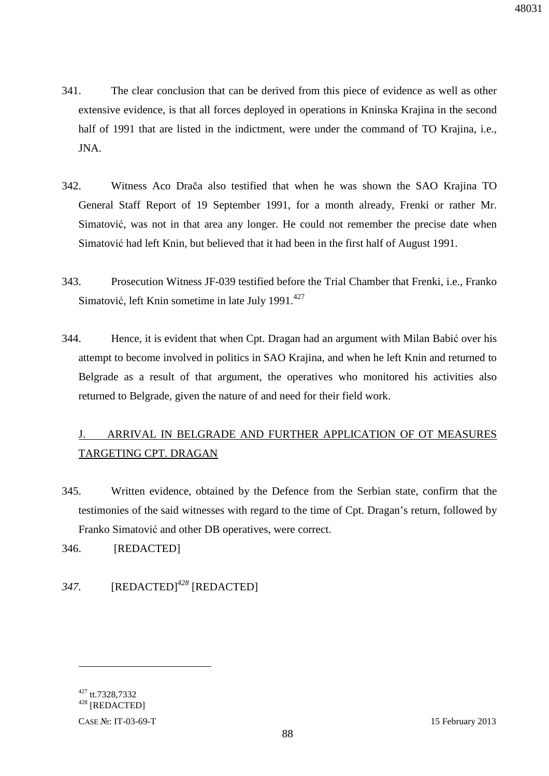- 341. The clear conclusion that can be derived from this piece of evidence as well as other extensive evidence, is that all forces deployed in operations in Kninska Krajina in the second half of 1991 that are listed in the indictment, were under the command of TO Krajina, i.e., JNA.
- 342. Witness Aco Drača also testified that when he was shown the SAO Krajina TO General Staff Report of 19 September 1991, for a month already, Frenki or rather Mr. Simatović, was not in that area any longer. He could not remember the precise date when Simatović had left Knin, but believed that it had been in the first half of August 1991.
- 343. Prosecution Witness JF-039 testified before the Trial Chamber that Frenki, i.e., Franko Simatović, left Knin sometime in late July 1991. $427$
- 344. Hence, it is evident that when Cpt. Dragan had an argument with Milan Babić over his attempt to become involved in politics in SAO Krajina, and when he left Knin and returned to Belgrade as a result of that argument, the operatives who monitored his activities also returned to Belgrade, given the nature of and need for their field work.

# J. ARRIVAL IN BELGRADE AND FURTHER APPLICATION OF OT MEASURES TARGETING CPT. DRAGAN

345. Written evidence, obtained by the Defence from the Serbian state, confirm that the testimonies of the said witnesses with regard to the time of Cpt. Dragan's return, followed by Franko Simatović and other DB operatives, were correct.

346. [REDACTED]

## *347.* [REDACTED]*<sup>428</sup>* [REDACTED]

<u>.</u>

<sup>&</sup>lt;sup>427</sup> tt.7328,7332

<sup>428</sup> [REDACTED]

CASE №: IT-03-69-T 15 February 2013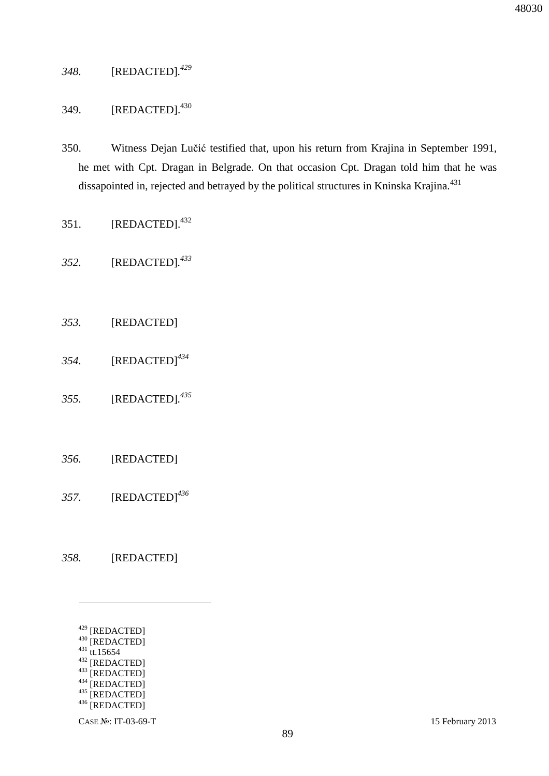### *348.* [REDACTED]*. 429*

## 349. [REDACTED].<sup>430</sup>

- 350. Witness Dejan Lučić testified that, upon his return from Krajina in September 1991, he met with Cpt. Dragan in Belgrade. On that occasion Cpt. Dragan told him that he was dissapointed in, rejected and betrayed by the political structures in Kninska Krajina.<sup>431</sup>
- 351.  $[REDACTED].<sup>432</sup>$
- *352.* [REDACTED]*. 433*
- *353.* [REDACTED]
- *354.* [REDACTED]*<sup>434</sup>*
- *355.* [REDACTED]*. 435*
- *356.* [REDACTED]
- *357.* [REDACTED]*<sup>436</sup>*
- *358.* [REDACTED]
	- <sup>429</sup> [REDACTED]
	- $^{430}$  [REDACTED]
	- $431$  tt.15654

 $\overline{a}$ 

- $432$  [REDACTED]  $^{433}$  [REDACTED]
- $^{434}$  [REDACTED]
- $435$  [REDACTED]
- $436$  [REDACTED]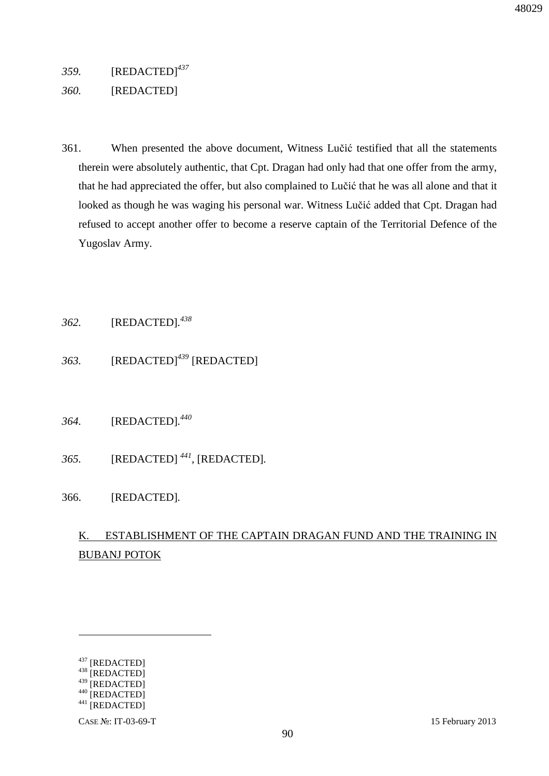*359.* [REDACTED]*<sup>437</sup>*

#### *360.* [REDACTED]

361. When presented the above document, Witness Lučić testified that all the statements therein were absolutely authentic, that Cpt. Dragan had only had that one offer from the army, that he had appreciated the offer, but also complained to Lučić that he was all alone and that it looked as though he was waging his personal war. Witness Lučić added that Cpt. Dragan had refused to accept another offer to become a reserve captain of the Territorial Defence of the Yugoslav Army.

### *362.* [REDACTED]*. 438*

- *363.* [REDACTED]*<sup>439</sup>* [REDACTED]
- *364.* [REDACTED]*. 440*
- *365.* [REDACTED] *<sup>441</sup> ,* [REDACTED]*.*
- 366. [REDACTED]*.*

# K. ESTABLISHMENT OF THE CAPTAIN DRAGAN FUND AND THE TRAINING IN BUBANJ POTOK

<u>.</u>

<sup>437</sup> [REDACTED]

<sup>438 [</sup>REDACTED]

<sup>439 [</sup>REDACTED]

<sup>440 [</sup>REDACTED]

 $^{441}$  [REDACTED]

CASE №: IT-03-69-T 15 February 2013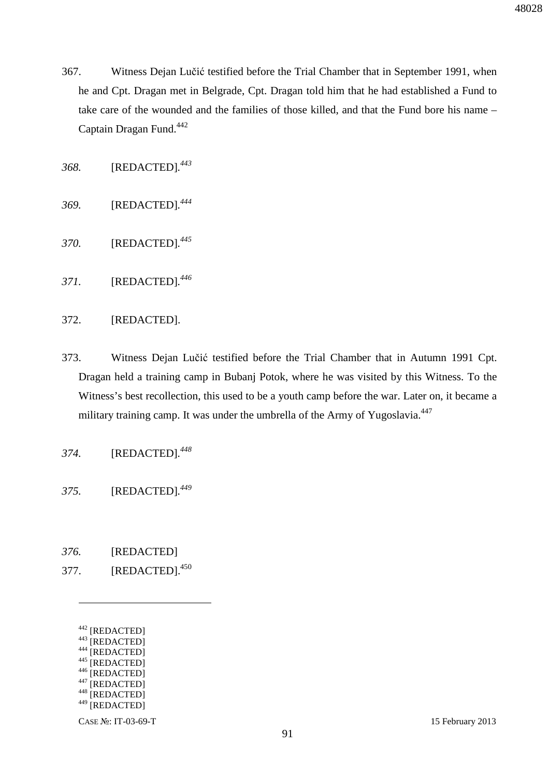- 367. Witness Dejan Lučić testified before the Trial Chamber that in September 1991, when he and Cpt. Dragan met in Belgrade, Cpt. Dragan told him that he had established a Fund to take care of the wounded and the families of those killed, and that the Fund bore his name – Captain Dragan Fund.<sup>442</sup>
- *368.* [REDACTED]*. 443*
- *369.* [REDACTED]*. 444*
- *370.* [REDACTED]*. 445*
- *371.* [REDACTED]*. 446*
- 372. [REDACTED].
- 373. Witness Dejan Lučić testified before the Trial Chamber that in Autumn 1991 Cpt. Dragan held a training camp in Bubanj Potok, where he was visited by this Witness. To the Witness's best recollection, this used to be a youth camp before the war. Later on, it became a military training camp. It was under the umbrella of the Army of Yugoslavia.<sup>447</sup>
- *374.* [REDACTED]*. 448*
- *375.* [REDACTED]*. 449*
- *376.* [REDACTED]
- 377. **[REDACTED].**<sup>450</sup>
	- <sup>442</sup> [REDACTED]

 $\overline{a}$ 

- 443 [REDACTED]
- <sup>444</sup> [REDACTED] 445 [REDACTED]
- 
- $^{446}$  [REDACTED] [REDACTED]
- <sup>448</sup> [REDACTED]
- <sup>449</sup> [REDACTED]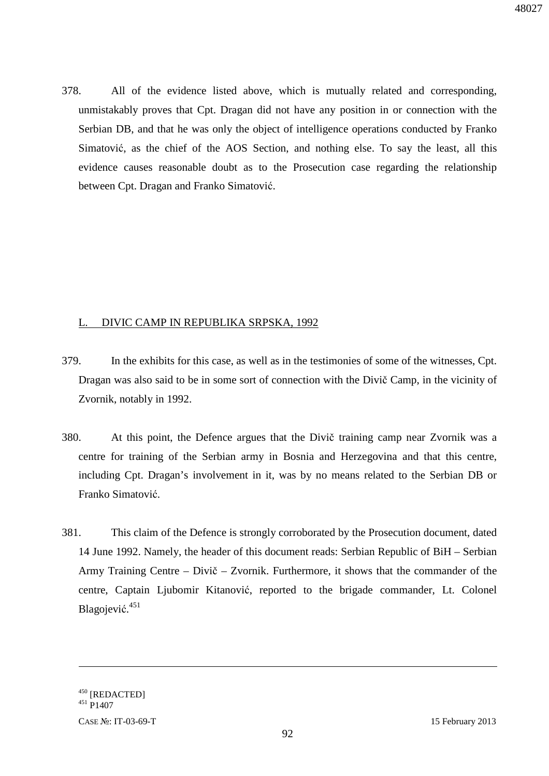378. All of the evidence listed above, which is mutually related and corresponding, unmistakably proves that Cpt. Dragan did not have any position in or connection with the Serbian DB, and that he was only the object of intelligence operations conducted by Franko Simatović, as the chief of the AOS Section, and nothing else. To say the least, all this evidence causes reasonable doubt as to the Prosecution case regarding the relationship between Cpt. Dragan and Franko Simatović.

#### L. DIVIC CAMP IN REPUBLIKA SRPSKA, 1992

- 379. In the exhibits for this case, as well as in the testimonies of some of the witnesses, Cpt. Dragan was also said to be in some sort of connection with the Divič Camp, in the vicinity of Zvornik, notably in 1992.
- 380. At this point, the Defence argues that the Divič training camp near Zvornik was a centre for training of the Serbian army in Bosnia and Herzegovina and that this centre, including Cpt. Dragan's involvement in it, was by no means related to the Serbian DB or Franko Simatović.
- 381. This claim of the Defence is strongly corroborated by the Prosecution document, dated 14 June 1992. Namely, the header of this document reads: Serbian Republic of BiH – Serbian Army Training Centre – Divič – Zvornik. Furthermore, it shows that the commander of the centre, Captain Ljubomir Kitanović, reported to the brigade commander, Lt. Colonel Blagojević. 451

<u>.</u>

<sup>&</sup>lt;sup>450</sup> [REDACTED]

<sup>451</sup> P1407

CASE №: IT-03-69-T 15 February 2013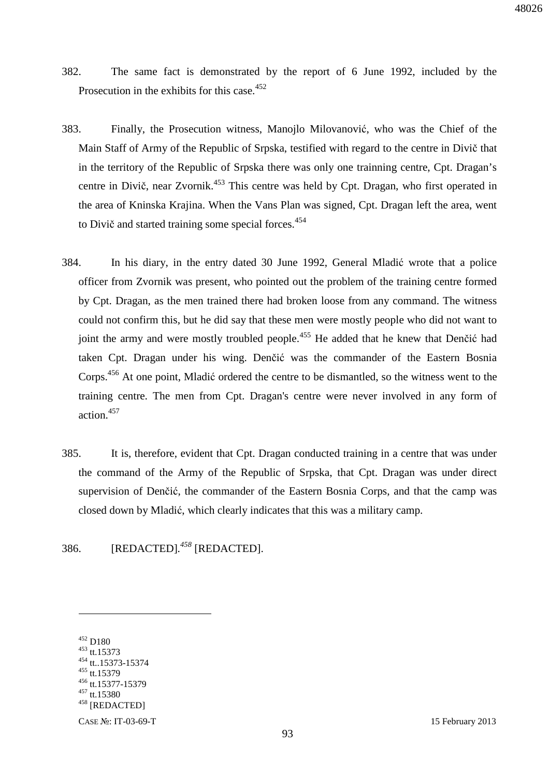- 382. The same fact is demonstrated by the report of 6 June 1992, included by the Prosecution in the exhibits for this case.<sup>452</sup>
- 383. Finally, the Prosecution witness, Manojlo Milovanović, who was the Chief of the Main Staff of Army of the Republic of Srpska, testified with regard to the centre in Divič that in the territory of the Republic of Srpska there was only one trainning centre, Cpt. Dragan's centre in Divič, near Zvornik.<sup>453</sup> This centre was held by Cpt. Dragan, who first operated in the area of Kninska Krajina. When the Vans Plan was signed, Cpt. Dragan left the area, went to Divič and started training some special forces.<sup>454</sup>
- 384. In his diary, in the entry dated 30 June 1992, General Mladić wrote that a police officer from Zvornik was present, who pointed out the problem of the training centre formed by Cpt. Dragan, as the men trained there had broken loose from any command. The witness could not confirm this, but he did say that these men were mostly people who did not want to joint the army and were mostly troubled people.<sup>455</sup> He added that he knew that Denčić had taken Cpt. Dragan under his wing. Denčić was the commander of the Eastern Bosnia Corps.<sup>456</sup> At one point, Mladić ordered the centre to be dismantled, so the witness went to the training centre. The men from Cpt. Dragan's centre were never involved in any form of action.<sup>457</sup>
- 385. It is, therefore, evident that Cpt. Dragan conducted training in a centre that was under the command of the Army of the Republic of Srpska, that Cpt. Dragan was under direct supervision of Denčić, the commander of the Eastern Bosnia Corps, and that the camp was closed down by Mladić, which clearly indicates that this was a military camp.

386. [REDACTED]*. <sup>458</sup>* [REDACTED].

<sup>452</sup> D180

<sup>453</sup> tt.15373 tt..15373-15374

<sup>455</sup> tt.15379

<sup>456</sup> tt.15377-15379

<sup>&</sup>lt;sup>457</sup> tt.15380

<sup>458</sup> [REDACTED]

CASE №: IT-03-69-T 15 February 2013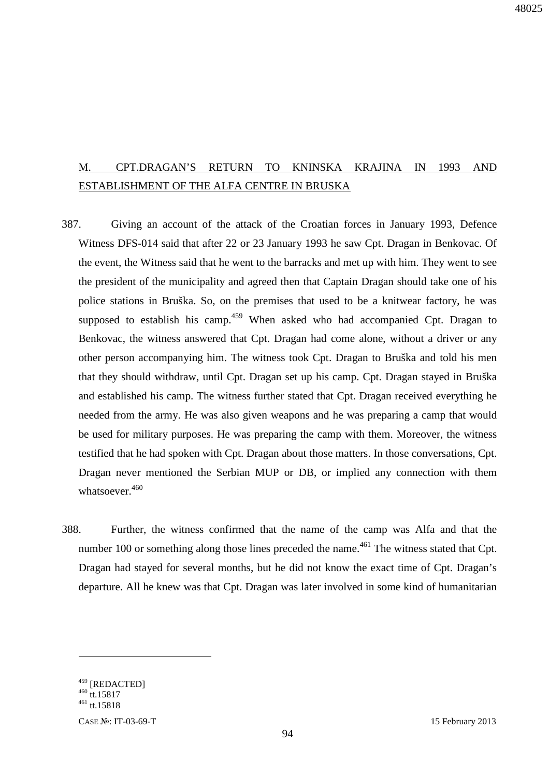# M. CPT.DRAGAN'S RETURN TO KNINSKA KRAJINA IN 1993 AND ESTABLISHMENT OF THE ALFA CENTRE IN BRUSKA

- 387. Giving an account of the attack of the Croatian forces in January 1993, Defence Witness DFS-014 said that after 22 or 23 January 1993 he saw Cpt. Dragan in Benkovac. Of the event, the Witness said that he went to the barracks and met up with him. They went to see the president of the municipality and agreed then that Captain Dragan should take one of his police stations in Bruška. So, on the premises that used to be a knitwear factory, he was supposed to establish his camp.<sup>459</sup> When asked who had accompanied Cpt. Dragan to Benkovac, the witness answered that Cpt. Dragan had come alone, without a driver or any other person accompanying him. The witness took Cpt. Dragan to Bruška and told his men that they should withdraw, until Cpt. Dragan set up his camp. Cpt. Dragan stayed in Bruška and established his camp. The witness further stated that Cpt. Dragan received everything he needed from the army. He was also given weapons and he was preparing a camp that would be used for military purposes. He was preparing the camp with them. Moreover, the witness testified that he had spoken with Cpt. Dragan about those matters. In those conversations, Cpt. Dragan never mentioned the Serbian MUP or DB, or implied any connection with them whatsoever $460$
- 388. Further, the witness confirmed that the name of the camp was Alfa and that the number 100 or something along those lines preceded the name.<sup> $461$ </sup> The witness stated that Cpt. Dragan had stayed for several months, but he did not know the exact time of Cpt. Dragan's departure. All he knew was that Cpt. Dragan was later involved in some kind of humanitarian

<u>.</u>

<sup>&</sup>lt;sup>459</sup> [REDACTED]

<sup>&</sup>lt;sup>460</sup> tt.15817

 $^{461}$  tt.15818

CASE №: IT-03-69-T 15 February 2013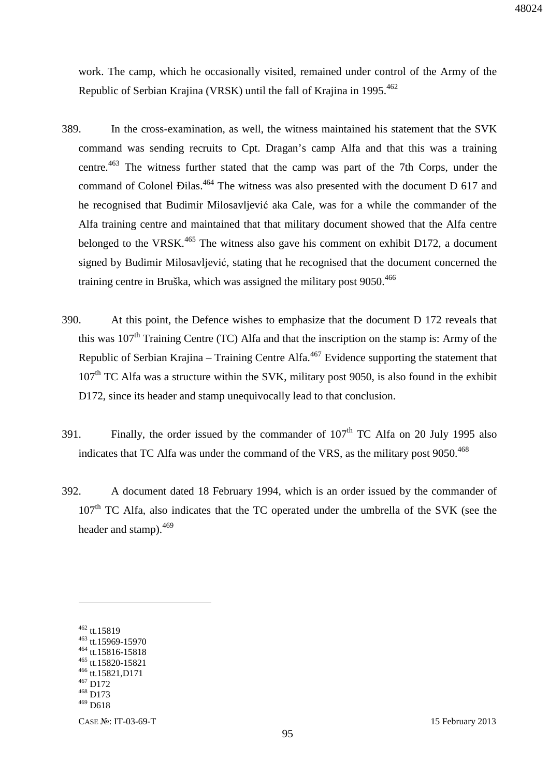work. The camp, which he occasionally visited, remained under control of the Army of the Republic of Serbian Krajina (VRSK) until the fall of Krajina in 1995.<sup>462</sup>

- 389. In the cross-examination, as well, the witness maintained his statement that the SVK command was sending recruits to Cpt. Dragan's camp Alfa and that this was a training centre.<sup>463</sup> The witness further stated that the camp was part of the 7th Corps, under the command of Colonel Đilas.<sup>464</sup> The witness was also presented with the document D 617 and he recognised that Budimir Milosavljević aka Cale, was for a while the commander of the Alfa training centre and maintained that that military document showed that the Alfa centre belonged to the VRSK.<sup>465</sup> The witness also gave his comment on exhibit D172, a document signed by Budimir Milosavljević, stating that he recognised that the document concerned the training centre in Bruška, which was assigned the military post 9050.<sup>466</sup>
- 390. At this point, the Defence wishes to emphasize that the document D 172 reveals that this was  $107<sup>th</sup>$  Training Centre (TC) Alfa and that the inscription on the stamp is: Army of the Republic of Serbian Krajina – Training Centre Alfa.<sup>467</sup> Evidence supporting the statement that  $107<sup>th</sup>$  TC Alfa was a structure within the SVK, military post 9050, is also found in the exhibit D172, since its header and stamp unequivocally lead to that conclusion.
- 391. Finally, the order issued by the commander of  $107<sup>th</sup> TC$  Alfa on 20 July 1995 also indicates that TC Alfa was under the command of the VRS, as the military post  $9050.<sup>468</sup>$
- 392. A document dated 18 February 1994, which is an order issued by the commander of  $107<sup>th</sup>$  TC Alfa, also indicates that the TC operated under the umbrella of the SVK (see the header and stamp).<sup>469</sup>

<sup>462</sup> tt.15819

<sup>463</sup> tt.15969-15970

<sup>464</sup> tt.15816-15818 <sup>465</sup> tt.15820-15821

<sup>466</sup> tt.15821,D171

<sup>467</sup> D172

<sup>468</sup> D173

 $469$  D618

CASE №: IT-03-69-T 15 February 2013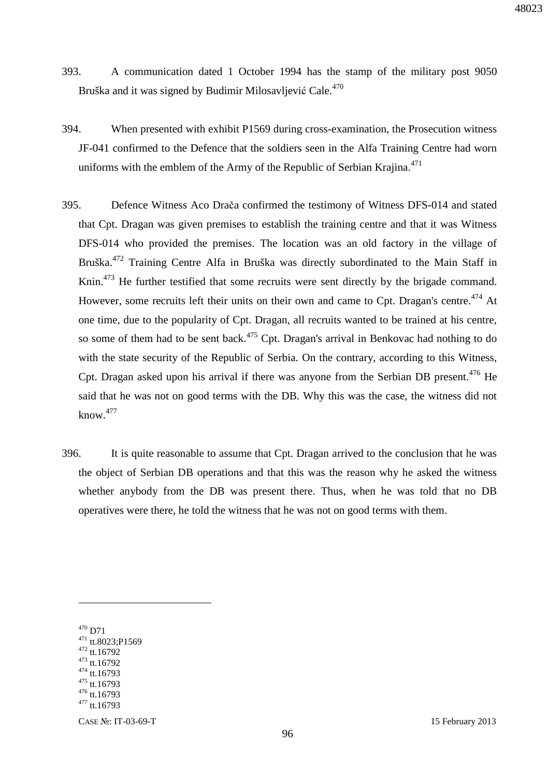- 393. A communication dated 1 October 1994 has the stamp of the military post 9050 Bruška and it was signed by Budimir Milosavljević Cale.<sup>470</sup>
- 394. When presented with exhibit P1569 during cross-examination, the Prosecution witness JF-041 confirmed to the Defence that the soldiers seen in the Alfa Training Centre had worn uniforms with the emblem of the Army of the Republic of Serbian Krajina.<sup>471</sup>
- 395. Defence Witness Aco Drača confirmed the testimony of Witness DFS-014 and stated that Cpt. Dragan was given premises to establish the training centre and that it was Witness DFS-014 who provided the premises. The location was an old factory in the village of Bruška.<sup>472</sup> Training Centre Alfa in Bruška was directly subordinated to the Main Staff in Knin.<sup>473</sup> He further testified that some recruits were sent directly by the brigade command. However, some recruits left their units on their own and came to Cpt. Dragan's centre.<sup>474</sup> At one time, due to the popularity of Cpt. Dragan, all recruits wanted to be trained at his centre, so some of them had to be sent back.<sup>475</sup> Cpt. Dragan's arrival in Benkovac had nothing to do with the state security of the Republic of Serbia. On the contrary, according to this Witness, Cpt. Dragan asked upon his arrival if there was anyone from the Serbian DB present.<sup>476</sup> He said that he was not on good terms with the DB. Why this was the case, the witness did not  $know.<sup>477</sup>$
- 396. It is quite reasonable to assume that Cpt. Dragan arrived to the conclusion that he was the object of Serbian DB operations and that this was the reason why he asked the witness whether anybody from the DB was present there. Thus, when he was told that no DB operatives were there, he told the witness that he was not on good terms with them.

 $470$  D71

<sup>471</sup> tt.8023;P1569

<sup>472</sup> tt.16792

<sup>473</sup> tt.16792 <sup>474</sup> tt.16793

<sup>475</sup> tt.16793

<sup>476</sup> tt.16793

<sup>477</sup> tt.16793

CASE №: IT-03-69-T 15 February 2013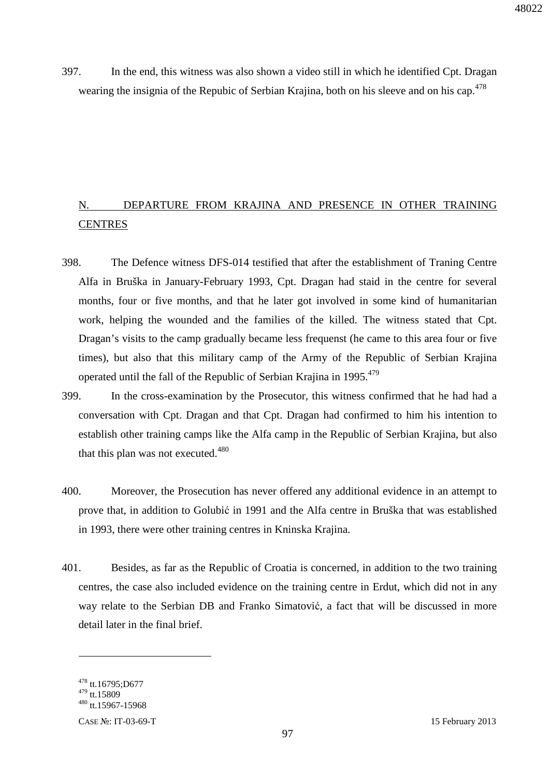397. In the end, this witness was also shown a video still in which he identified Cpt. Dragan wearing the insignia of the Repubic of Serbian Krajina, both on his sleeve and on his cap.<sup>478</sup>

# N. DEPARTURE FROM KRAJINA AND PRESENCE IN OTHER TRAINING **CENTRES**

- 398. The Defence witness DFS-014 testified that after the establishment of Traning Centre Alfa in Bruška in January-February 1993, Cpt. Dragan had staid in the centre for several months, four or five months, and that he later got involved in some kind of humanitarian work, helping the wounded and the families of the killed. The witness stated that Cpt. Dragan's visits to the camp gradually became less frequenst (he came to this area four or five times), but also that this military camp of the Army of the Republic of Serbian Krajina operated until the fall of the Republic of Serbian Krajina in 1995.<sup>479</sup>
- 399. In the cross-examination by the Prosecutor, this witness confirmed that he had had a conversation with Cpt. Dragan and that Cpt. Dragan had confirmed to him his intention to establish other training camps like the Alfa camp in the Republic of Serbian Krajina, but also that this plan was not executed.<sup>480</sup>
- 400. Moreover, the Prosecution has never offered any additional evidence in an attempt to prove that, in addition to Golubić in 1991 and the Alfa centre in Bruška that was established in 1993, there were other training centres in Kninska Krajina.
- 401. Besides, as far as the Republic of Croatia is concerned, in addition to the two training centres, the case also included evidence on the training centre in Erdut, which did not in any way relate to the Serbian DB and Franko Simatović, a fact that will be discussed in more detail later in the final brief.

<u>.</u>

 $478$  tt.16795;D677

<sup>479</sup> tt.15809

 $480$  tt.15967-15968

CASE №: IT-03-69-T 15 February 2013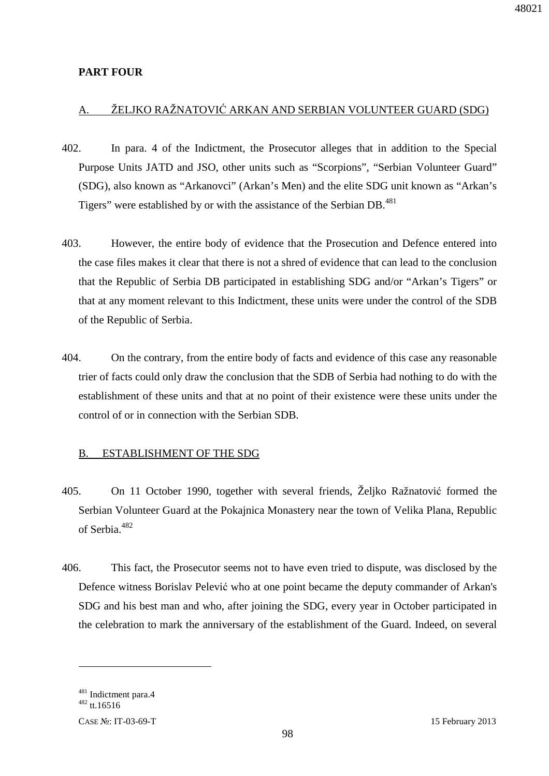## **PART FOUR**

# A. ŽELJKO RAŽNATOVIĆ ARKAN AND SERBIAN VOLUNTEER GUARD (SDG)

- 402. In para. 4 of the Indictment, the Prosecutor alleges that in addition to the Special Purpose Units JATD and JSO, other units such as "Scorpions", "Serbian Volunteer Guard" (SDG), also known as "Arkanovci" (Arkan's Men) and the elite SDG unit known as "Arkan's Tigers" were established by or with the assistance of the Serbian DB.<sup>481</sup>
- 403. However, the entire body of evidence that the Prosecution and Defence entered into the case files makes it clear that there is not a shred of evidence that can lead to the conclusion that the Republic of Serbia DB participated in establishing SDG and/or "Arkan's Tigers" or that at any moment relevant to this Indictment, these units were under the control of the SDB of the Republic of Serbia.
- 404. On the contrary, from the entire body of facts and evidence of this case any reasonable trier of facts could only draw the conclusion that the SDB of Serbia had nothing to do with the establishment of these units and that at no point of their existence were these units under the control of or in connection with the Serbian SDB.

## B. ESTABLISHMENT OF THE SDG

- 405. On 11 October 1990, together with several friends, Željko Ražnatović formed the Serbian Volunteer Guard at the Pokajnica Monastery near the town of Velika Plana, Republic of Serbia.<sup>482</sup>
- 406. This fact, the Prosecutor seems not to have even tried to dispute, was disclosed by the Defence witness Borislav Pelević who at one point became the deputy commander of Arkan's SDG and his best man and who, after joining the SDG, every year in October participated in the celebration to mark the anniversary of the establishment of the Guard. Indeed, on several

<u>.</u>

<sup>&</sup>lt;sup>481</sup> Indictment para.4

 $482$  tt.16516

CASE №: IT-03-69-T 15 February 2013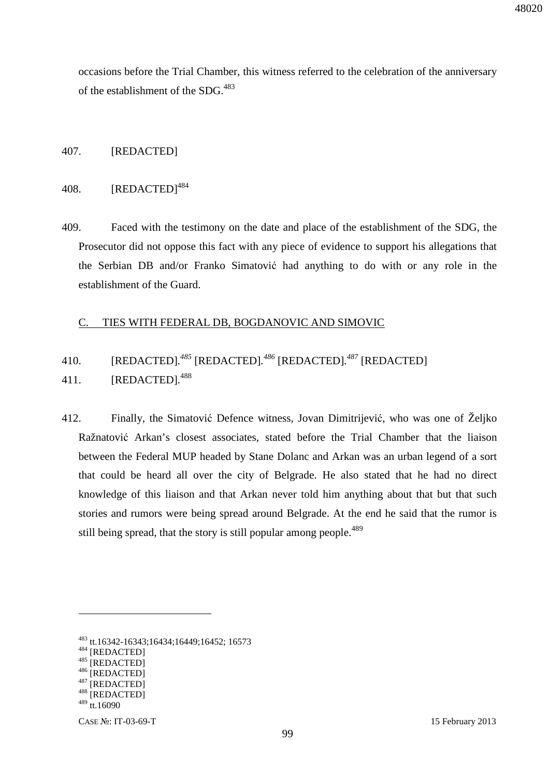occasions before the Trial Chamber, this witness referred to the celebration of the anniversary of the establishment of the SDG.<sup>483</sup>

#### 407. [REDACTED]

#### 408. [REDACTED]<sup>484</sup>

409. Faced with the testimony on the date and place of the establishment of the SDG, the Prosecutor did not oppose this fact with any piece of evidence to support his allegations that the Serbian DB and/or Franko Simatović had anything to do with or any role in the establishment of the Guard.

#### C. TIES WITH FEDERAL DB, BOGDANOVIC AND SIMOVIC

# 410. [REDACTED]*. <sup>485</sup>* [REDACTED]*. <sup>486</sup>* [REDACTED]*. <sup>487</sup>* [REDACTED]

- 411. [REDACTED]*.* 488
- 412. Finally, the Simatović Defence witness, Jovan Dimitrijević, who was one of Željko Ražnatović Arkan's closest associates, stated before the Trial Chamber that the liaison between the Federal MUP headed by Stane Dolanc and Arkan was an urban legend of a sort that could be heard all over the city of Belgrade. He also stated that he had no direct knowledge of this liaison and that Arkan never told him anything about that but that such stories and rumors were being spread around Belgrade. At the end he said that the rumor is still being spread, that the story is still popular among people.<sup>489</sup>

<sup>484</sup> [REDACTED]

<sup>483</sup> tt.16342-16343;16434;16449;16452; 16573

<sup>485 [</sup>REDACTED]

 $^{486}$  [REDACTED] [REDACTED]

<sup>488 [</sup>REDACTED]

 $489$  tt.16090

CASE №: IT-03-69-T 15 February 2013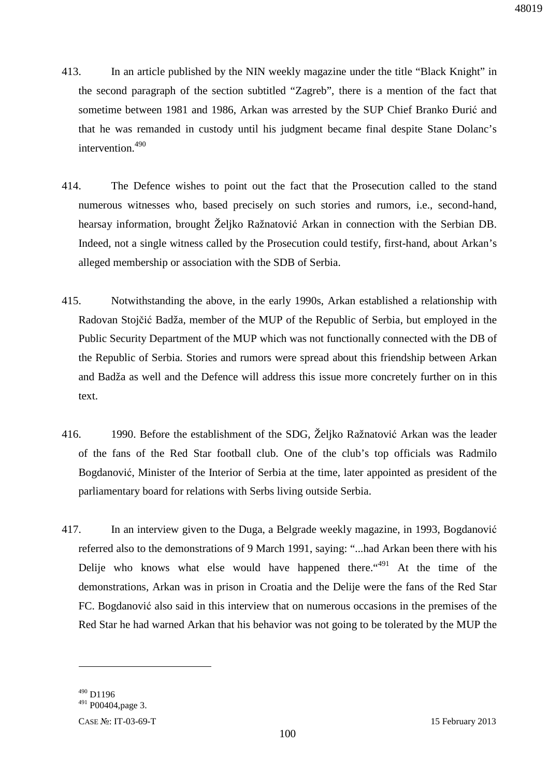- 413. In an article published by the NIN weekly magazine under the title "Black Knight" in the second paragraph of the section subtitled "Zagreb", there is a mention of the fact that sometime between 1981 and 1986, Arkan was arrested by the SUP Chief Branko Đurić and that he was remanded in custody until his judgment became final despite Stane Dolanc's intervention.<sup>490</sup>
- 414. The Defence wishes to point out the fact that the Prosecution called to the stand numerous witnesses who, based precisely on such stories and rumors, i.e., second-hand, hearsay information, brought Željko Ražnatović Arkan in connection with the Serbian DB. Indeed, not a single witness called by the Prosecution could testify, first-hand, about Arkan's alleged membership or association with the SDB of Serbia.
- 415. Notwithstanding the above, in the early 1990s, Arkan established a relationship with Radovan Stojčić Badža, member of the MUP of the Republic of Serbia, but employed in the Public Security Department of the MUP which was not functionally connected with the DB of the Republic of Serbia. Stories and rumors were spread about this friendship between Arkan and Badža as well and the Defence will address this issue more concretely further on in this text.
- 416. 1990. Before the establishment of the SDG, Željko Ražnatović Arkan was the leader of the fans of the Red Star football club. One of the club's top officials was Radmilo Bogdanović, Minister of the Interior of Serbia at the time, later appointed as president of the parliamentary board for relations with Serbs living outside Serbia.
- 417. In an interview given to the Duga, a Belgrade weekly magazine, in 1993, Bogdanović referred also to the demonstrations of 9 March 1991, saying: "...had Arkan been there with his Delije who knows what else would have happened there. "<sup>491</sup> At the time of the demonstrations, Arkan was in prison in Croatia and the Delije were the fans of the Red Star FC. Bogdanović also said in this interview that on numerous occasions in the premises of the Red Star he had warned Arkan that his behavior was not going to be tolerated by the MUP the

 $490$  D<sub>1196</sub>

<sup>491</sup> P00404,page 3.

CASE №: IT-03-69-T 15 February 2013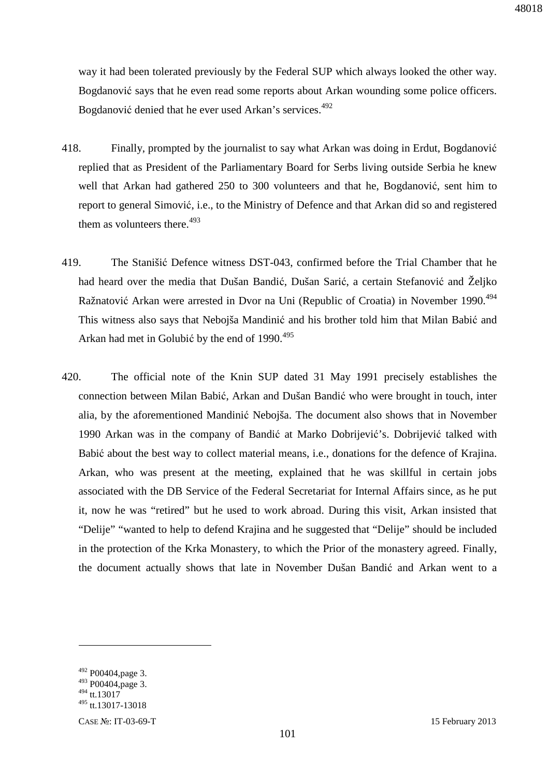way it had been tolerated previously by the Federal SUP which always looked the other way. Bogdanović says that he even read some reports about Arkan wounding some police officers. Bogdanović denied that he ever used Arkan's services.<sup>492</sup>

- 418. Finally, prompted by the journalist to say what Arkan was doing in Erdut, Bogdanović replied that as President of the Parliamentary Board for Serbs living outside Serbia he knew well that Arkan had gathered 250 to 300 volunteers and that he, Bogdanović, sent him to report to general Simović, i.e., to the Ministry of Defence and that Arkan did so and registered them as volunteers there. $493$
- 419. The Stanišić Defence witness DST-043, confirmed before the Trial Chamber that he had heard over the media that Dušan Bandić, Dušan Sarić, a certain Stefanović and Željko Ražnatović Arkan were arrested in Dvor na Uni (Republic of Croatia) in November 1990.<sup>494</sup> This witness also says that Nebojša Mandinić and his brother told him that Milan Babić and Arkan had met in Golubić by the end of 1990.<sup>495</sup>
- 420. The official note of the Knin SUP dated 31 May 1991 precisely establishes the connection between Milan Babić, Arkan and Dušan Bandić who were brought in touch, inter alia, by the aforementioned Mandinić Nebojša. The document also shows that in November 1990 Arkan was in the company of Bandić at Marko Dobrijević's. Dobrijević talked with Babić about the best way to collect material means, i.e., donations for the defence of Krajina. Arkan, who was present at the meeting, explained that he was skillful in certain jobs associated with the DB Service of the Federal Secretariat for Internal Affairs since, as he put it, now he was "retired" but he used to work abroad. During this visit, Arkan insisted that "Delije" "wanted to help to defend Krajina and he suggested that "Delije" should be included in the protection of the Krka Monastery, to which the Prior of the monastery agreed. Finally, the document actually shows that late in November Dušan Bandić and Arkan went to a

 $492$  P00404, page 3.

<sup>493</sup> P00404,page 3.

 $494$  tt.13017

 $495$  tt.13017-13018

CASE №: IT-03-69-T 15 February 2013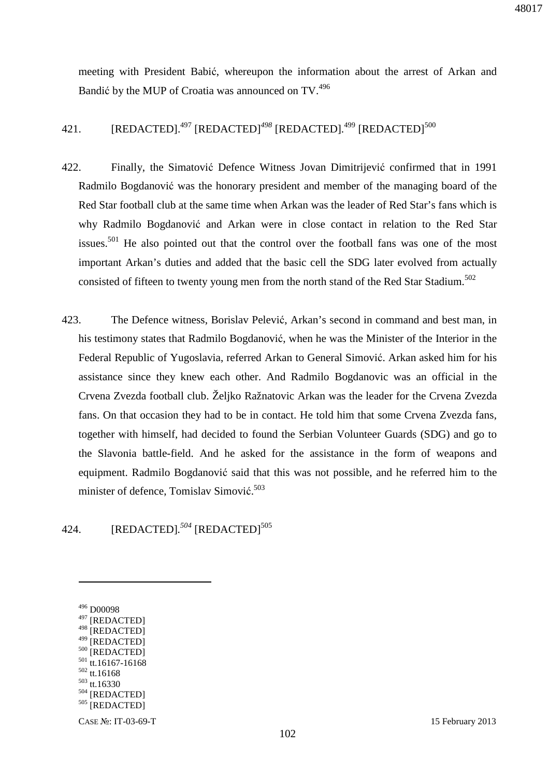meeting with President Babić, whereupon the information about the arrest of Arkan and Bandić by the MUP of Croatia was announced on TV.<sup>496</sup>

421. [REDACTED].<sup>497</sup> [REDACTED]<sup>498</sup> [REDACTED].<sup>499</sup> [REDACTED]<sup>500</sup>

- 422. Finally, the Simatović Defence Witness Jovan Dimitrijević confirmed that in 1991 Radmilo Bogdanović was the honorary president and member of the managing board of the Red Star football club at the same time when Arkan was the leader of Red Star's fans which is why Radmilo Bogdanović and Arkan were in close contact in relation to the Red Star issues.<sup>501</sup> He also pointed out that the control over the football fans was one of the most important Arkan's duties and added that the basic cell the SDG later evolved from actually consisted of fifteen to twenty young men from the north stand of the Red Star Stadium.<sup>502</sup>
- 423. The Defence witness, Borislav Pelević, Arkan's second in command and best man, in his testimony states that Radmilo Bogdanović, when he was the Minister of the Interior in the Federal Republic of Yugoslavia, referred Arkan to General Simović. Arkan asked him for his assistance since they knew each other. And Radmilo Bogdanovic was an official in the Crvena Zvezda football club. Željko Ražnatovic Arkan was the leader for the Crvena Zvezda fans. On that occasion they had to be in contact. He told him that some Crvena Zvezda fans, together with himself, had decided to found the Serbian Volunteer Guards (SDG) and go to the Slavonia battle-field. And he asked for the assistance in the form of weapons and equipment. Radmilo Bogdanović said that this was not possible, and he referred him to the minister of defence, Tomislav Simović. 503

## 424. [REDACTED].<sup>504</sup> [REDACTED]<sup>505</sup>

- <sup>498</sup> [REDACTED]
- [REDACTED] 500 [REDACTED]
- $501$  tt.16167-16168
- <sup>502</sup> tt.16168
- <sup>503</sup> tt.16330
- <sup>504</sup> [REDACTED]
- 505 [REDACTED]
- CASE №: IT-03-69-T 15 February 2013

<sup>496</sup> D00098

<sup>&</sup>lt;sup>497</sup> [REDACTED]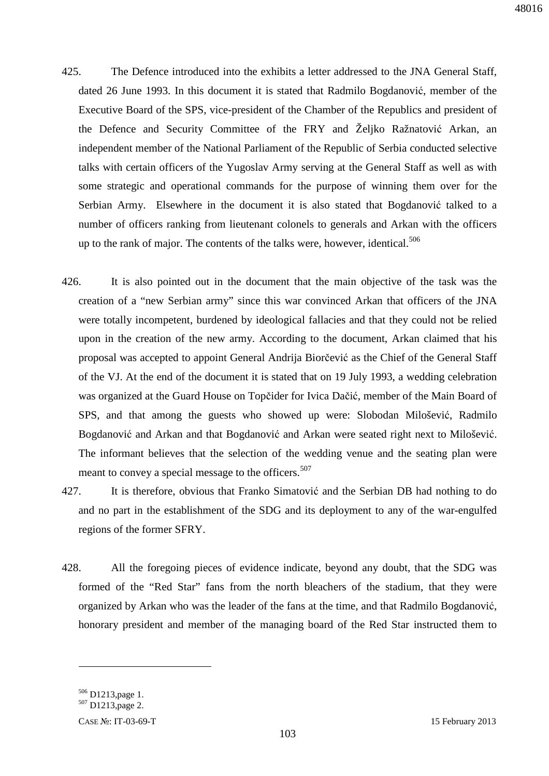- 425. The Defence introduced into the exhibits a letter addressed to the JNA General Staff, dated 26 June 1993. In this document it is stated that Radmilo Bogdanović, member of the Executive Board of the SPS, vice-president of the Chamber of the Republics and president of the Defence and Security Committee of the FRY and Željko Ražnatović Arkan, an independent member of the National Parliament of the Republic of Serbia conducted selective talks with certain officers of the Yugoslav Army serving at the General Staff as well as with some strategic and operational commands for the purpose of winning them over for the Serbian Army. Elsewhere in the document it is also stated that Bogdanović talked to a number of officers ranking from lieutenant colonels to generals and Arkan with the officers up to the rank of major. The contents of the talks were, however, identical.<sup>506</sup>
- 426. It is also pointed out in the document that the main objective of the task was the creation of a "new Serbian army" since this war convinced Arkan that officers of the JNA were totally incompetent, burdened by ideological fallacies and that they could not be relied upon in the creation of the new army. According to the document, Arkan claimed that his proposal was accepted to appoint General Andrija Biorčević as the Chief of the General Staff of the VJ. At the end of the document it is stated that on 19 July 1993, a wedding celebration was organized at the Guard House on Topčider for Ivica Dačić, member of the Main Board of SPS, and that among the guests who showed up were: Slobodan Milošević, Radmilo Bogdanović and Arkan and that Bogdanović and Arkan were seated right next to Milošević. The informant believes that the selection of the wedding venue and the seating plan were meant to convey a special message to the officers.<sup>507</sup>
- 427. It is therefore, obvious that Franko Simatović and the Serbian DB had nothing to do and no part in the establishment of the SDG and its deployment to any of the war-engulfed regions of the former SFRY.
- 428. All the foregoing pieces of evidence indicate, beyond any doubt, that the SDG was formed of the "Red Star" fans from the north bleachers of the stadium, that they were organized by Arkan who was the leader of the fans at the time, and that Radmilo Bogdanović, honorary president and member of the managing board of the Red Star instructed them to

<sup>506</sup> D1213,page 1.

<sup>507</sup> D1213,page 2.

CASE №: IT-03-69-T 15 February 2013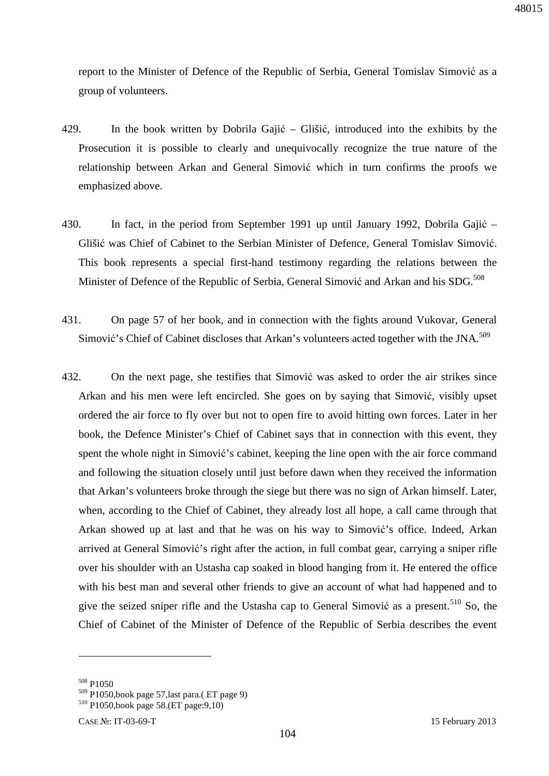report to the Minister of Defence of the Republic of Serbia, General Tomislav Simović as a group of volunteers.

- 429. In the book written by Dobrila Gajić Glišić, introduced into the exhibits by the Prosecution it is possible to clearly and unequivocally recognize the true nature of the relationship between Arkan and General Simović which in turn confirms the proofs we emphasized above.
- 430. In fact, in the period from September 1991 up until January 1992, Dobrila Gajić Glišić was Chief of Cabinet to the Serbian Minister of Defence, General Tomislav Simović. This book represents a special first-hand testimony regarding the relations between the Minister of Defence of the Republic of Serbia, General Simović and Arkan and his SDG.<sup>508</sup>
- 431. On page 57 of her book, and in connection with the fights around Vukovar, General Simović's Chief of Cabinet discloses that Arkan's volunteers acted together with the JNA.<sup>509</sup>
- 432. On the next page, she testifies that Simović was asked to order the air strikes since Arkan and his men were left encircled. She goes on by saying that Simović, visibly upset ordered the air force to fly over but not to open fire to avoid hitting own forces. Later in her book, the Defence Minister's Chief of Cabinet says that in connection with this event, they spent the whole night in Simović's cabinet, keeping the line open with the air force command and following the situation closely until just before dawn when they received the information that Arkan's volunteers broke through the siege but there was no sign of Arkan himself. Later, when, according to the Chief of Cabinet, they already lost all hope, a call came through that Arkan showed up at last and that he was on his way to Simović's office. Indeed, Arkan arrived at General Simović's right after the action, in full combat gear, carrying a sniper rifle over his shoulder with an Ustasha cap soaked in blood hanging from it. He entered the office with his best man and several other friends to give an account of what had happened and to give the seized sniper rifle and the Ustasha cap to General Simović as a present.<sup>510</sup> So, the Chief of Cabinet of the Minister of Defence of the Republic of Serbia describes the event

<sup>508</sup> P1050

<sup>509</sup> P1050,book page 57,last para.( ET page 9)

<sup>510</sup> P1050,book page 58.(ET page:9,10)

CASE №: IT-03-69-T 15 February 2013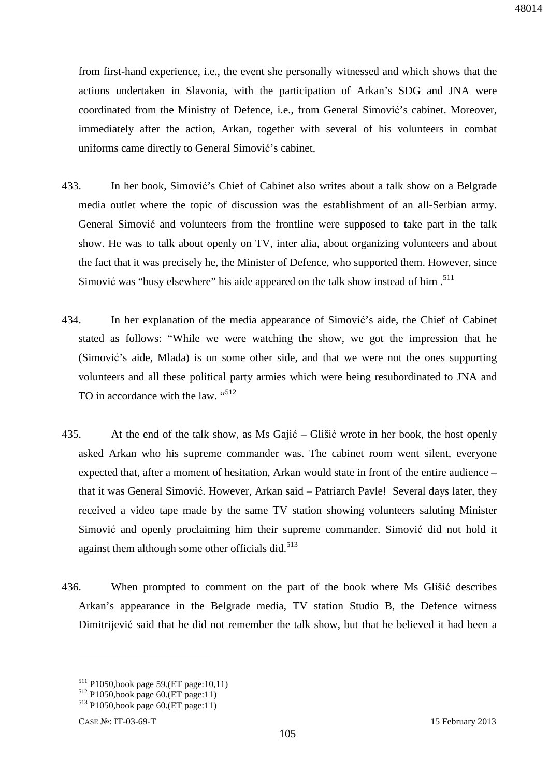from first-hand experience, i.e., the event she personally witnessed and which shows that the actions undertaken in Slavonia, with the participation of Arkan's SDG and JNA were coordinated from the Ministry of Defence, i.e., from General Simović's cabinet. Moreover, immediately after the action, Arkan, together with several of his volunteers in combat uniforms came directly to General Simović's cabinet.

- 433. In her book, Simović's Chief of Cabinet also writes about a talk show on a Belgrade media outlet where the topic of discussion was the establishment of an all-Serbian army. General Simović and volunteers from the frontline were supposed to take part in the talk show. He was to talk about openly on TV, inter alia, about organizing volunteers and about the fact that it was precisely he, the Minister of Defence, who supported them. However, since Simović was "busy elsewhere" his aide appeared on the talk show instead of him. $511$
- 434. In her explanation of the media appearance of Simović's aide, the Chief of Cabinet stated as follows: "While we were watching the show, we got the impression that he (Simović's aide, Mlađa) is on some other side, and that we were not the ones supporting volunteers and all these political party armies which were being resubordinated to JNA and TO in accordance with the law. "<sup>512</sup>
- 435. At the end of the talk show, as Ms Gajić Glišić wrote in her book, the host openly asked Arkan who his supreme commander was. The cabinet room went silent, everyone expected that, after a moment of hesitation, Arkan would state in front of the entire audience – that it was General Simović. However, Arkan said – Patriarch Pavle! Several days later, they received a video tape made by the same TV station showing volunteers saluting Minister Simović and openly proclaiming him their supreme commander. Simović did not hold it against them although some other officials did. $513$
- 436. When prompted to comment on the part of the book where Ms Glišić describes Arkan's appearance in the Belgrade media, TV station Studio B, the Defence witness Dimitrijević said that he did not remember the talk show, but that he believed it had been a

<sup>511</sup> P1050,book page 59.(ET page:10,11)

<sup>512</sup> P1050,book page 60.(ET page:11)

<sup>513</sup> P1050,book page 60.(ET page:11)

CASE №: IT-03-69-T 15 February 2013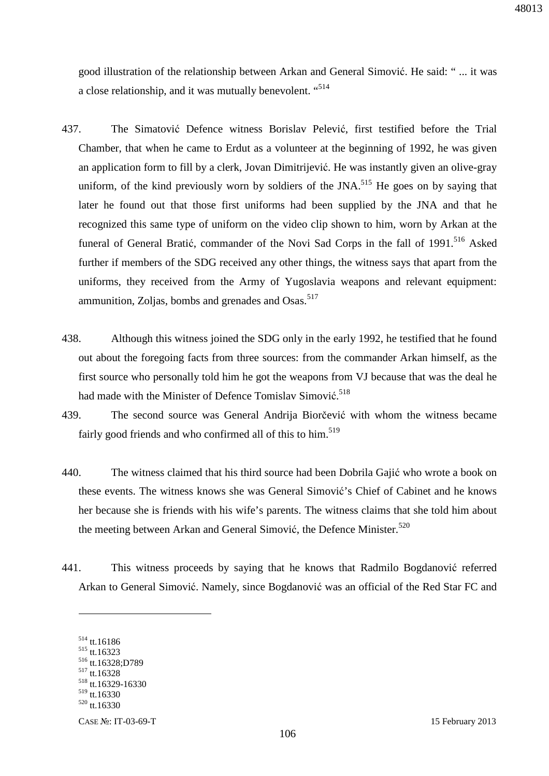good illustration of the relationship between Arkan and General Simović. He said: " ... it was a close relationship, and it was mutually benevolent. "514

- 437. The Simatović Defence witness Borislav Pelević, first testified before the Trial Chamber, that when he came to Erdut as a volunteer at the beginning of 1992, he was given an application form to fill by a clerk, Jovan Dimitrijević. He was instantly given an olive-gray uniform, of the kind previously worn by soldiers of the JNA.<sup>515</sup> He goes on by saying that later he found out that those first uniforms had been supplied by the JNA and that he recognized this same type of uniform on the video clip shown to him, worn by Arkan at the funeral of General Bratić, commander of the Novi Sad Corps in the fall of 1991.<sup>516</sup> Asked further if members of the SDG received any other things, the witness says that apart from the uniforms, they received from the Army of Yugoslavia weapons and relevant equipment: ammunition, Zoljas, bombs and grenades and Osas.<sup>517</sup>
- 438. Although this witness joined the SDG only in the early 1992, he testified that he found out about the foregoing facts from three sources: from the commander Arkan himself, as the first source who personally told him he got the weapons from VJ because that was the deal he had made with the Minister of Defence Tomislav Simović.<sup>518</sup>
- 439. The second source was General Andrija Biorčević with whom the witness became fairly good friends and who confirmed all of this to him.<sup>519</sup>
- 440. The witness claimed that his third source had been Dobrila Gajić who wrote a book on these events. The witness knows she was General Simović's Chief of Cabinet and he knows her because she is friends with his wife's parents. The witness claims that she told him about the meeting between Arkan and General Simović, the Defence Minister.<sup>520</sup>
- 441. This witness proceeds by saying that he knows that Radmilo Bogdanović referred Arkan to General Simović. Namely, since Bogdanović was an official of the Red Star FC and

<sup>514</sup> tt.16186

<sup>515</sup> tt.16323 <sup>516</sup> tt.16328;D789

<sup>517</sup> tt.16328

<sup>518</sup> tt.16329-16330

<sup>519</sup> tt.16330

<sup>520</sup> tt.16330

CASE №: IT-03-69-T 15 February 2013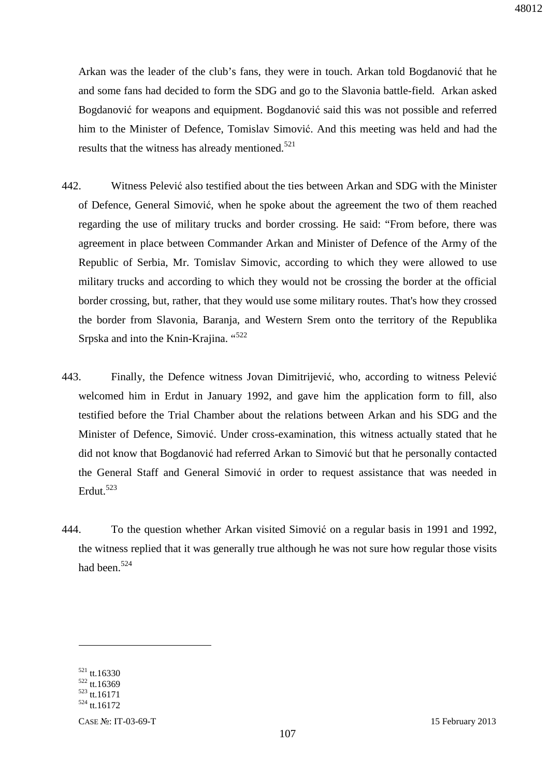Arkan was the leader of the club's fans, they were in touch. Arkan told Bogdanović that he and some fans had decided to form the SDG and go to the Slavonia battle-field. Arkan asked Bogdanović for weapons and equipment. Bogdanović said this was not possible and referred him to the Minister of Defence, Tomislav Simović. And this meeting was held and had the results that the witness has already mentioned.<sup>521</sup>

- 442. Witness Pelević also testified about the ties between Arkan and SDG with the Minister of Defence, General Simović, when he spoke about the agreement the two of them reached regarding the use of military trucks and border crossing. He said: "From before, there was agreement in place between Commander Arkan and Minister of Defence of the Army of the Republic of Serbia, Mr. Tomislav Simovic, according to which they were allowed to use military trucks and according to which they would not be crossing the border at the official border crossing, but, rather, that they would use some military routes. That's how they crossed the border from Slavonia, Baranja, and Western Srem onto the territory of the Republika Srpska and into the Knin-Krajina. "<sup>522</sup>
- 443. Finally, the Defence witness Jovan Dimitrijević, who, according to witness Pelević welcomed him in Erdut in January 1992, and gave him the application form to fill, also testified before the Trial Chamber about the relations between Arkan and his SDG and the Minister of Defence, Simović. Under cross-examination, this witness actually stated that he did not know that Bogdanović had referred Arkan to Simović but that he personally contacted the General Staff and General Simović in order to request assistance that was needed in Erdut.<sup>523</sup>
- 444. To the question whether Arkan visited Simović on a regular basis in 1991 and 1992, the witness replied that it was generally true although he was not sure how regular those visits had been.<sup>524</sup>

<sup>521</sup> tt.16330  $522$  tt.16369

<sup>523</sup> tt.16171

<sup>524</sup> tt.16172

CASE №: IT-03-69-T 15 February 2013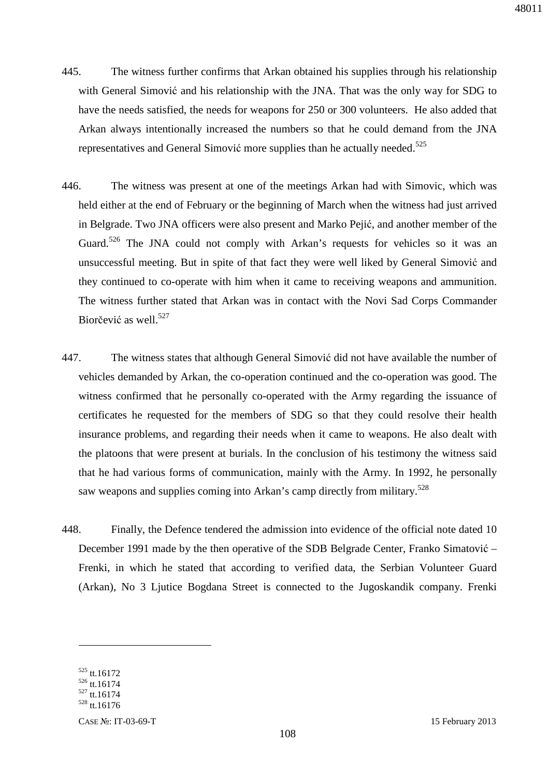- 445. The witness further confirms that Arkan obtained his supplies through his relationship with General Simović and his relationship with the JNA. That was the only way for SDG to have the needs satisfied, the needs for weapons for 250 or 300 volunteers. He also added that Arkan always intentionally increased the numbers so that he could demand from the JNA representatives and General Simović more supplies than he actually needed.<sup>525</sup>
- 446. The witness was present at one of the meetings Arkan had with Simovic, which was held either at the end of February or the beginning of March when the witness had just arrived in Belgrade. Two JNA officers were also present and Marko Pejić, and another member of the Guard.<sup>526</sup> The JNA could not comply with Arkan's requests for vehicles so it was an unsuccessful meeting. But in spite of that fact they were well liked by General Simović and they continued to co-operate with him when it came to receiving weapons and ammunition. The witness further stated that Arkan was in contact with the Novi Sad Corps Commander Biorčević as well.<sup>527</sup>
- 447. The witness states that although General Simović did not have available the number of vehicles demanded by Arkan, the co-operation continued and the co-operation was good. The witness confirmed that he personally co-operated with the Army regarding the issuance of certificates he requested for the members of SDG so that they could resolve their health insurance problems, and regarding their needs when it came to weapons. He also dealt with the platoons that were present at burials. In the conclusion of his testimony the witness said that he had various forms of communication, mainly with the Army. In 1992, he personally saw weapons and supplies coming into Arkan's camp directly from military.<sup>528</sup>
- 448. Finally, the Defence tendered the admission into evidence of the official note dated 10 December 1991 made by the then operative of the SDB Belgrade Center, Franko Simatović – Frenki, in which he stated that according to verified data, the Serbian Volunteer Guard (Arkan), No 3 Ljutice Bogdana Street is connected to the Jugoskandik company. Frenki

<sup>525</sup> tt.16172

 $526$  tt.16174

<sup>527</sup> tt.16174

 $528$  tt.16176

CASE №: IT-03-69-T 15 February 2013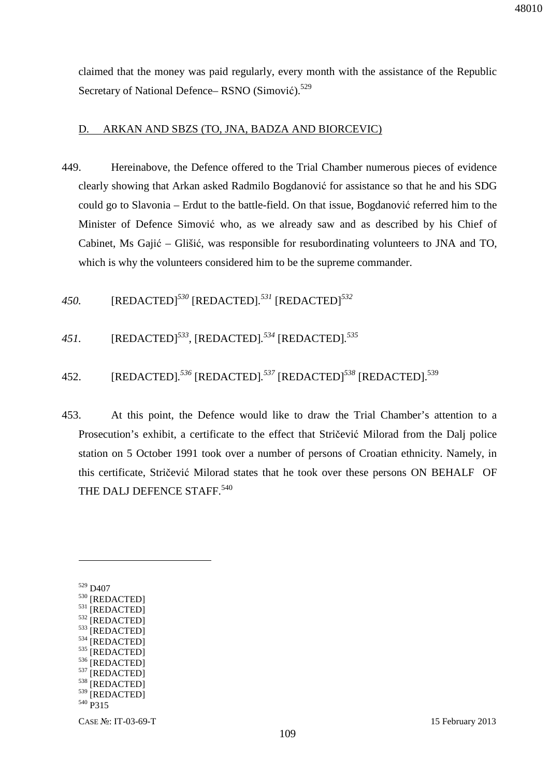claimed that the money was paid regularly, every month with the assistance of the Republic Secretary of National Defence– RSNO (Simović).<sup>529</sup>

#### D. ARKAN AND SBZS (TO, JNA, BADZA AND BIORCEVIC)

- 449. Hereinabove, the Defence offered to the Trial Chamber numerous pieces of evidence clearly showing that Arkan asked Radmilo Bogdanović for assistance so that he and his SDG could go to Slavonia – Erdut to the battle-field. On that issue, Bogdanović referred him to the Minister of Defence Simović who, as we already saw and as described by his Chief of Cabinet, Ms Gajić – Glišić, was responsible for resubordinating volunteers to JNA and TO, which is why the volunteers considered him to be the supreme commander.
- *450.* [REDACTED]*<sup>530</sup>* [REDACTED]*. <sup>531</sup>* [REDACTED]*<sup>532</sup>*
- *451.* [REDACTED]*<sup>533</sup> ,* [REDACTED]*. <sup>534</sup>* [REDACTED]*. 535*
- 452. [REDACTED]*. <sup>536</sup>* [REDACTED]*. <sup>537</sup>* [REDACTED]*<sup>538</sup>* [REDACTED].<sup>539</sup>
- 453. At this point, the Defence would like to draw the Trial Chamber's attention to a Prosecution's exhibit, a certificate to the effect that Stričević Milorad from the Dalj police station on 5 October 1991 took over a number of persons of Croatian ethnicity. Namely, in this certificate, Stričević Milorad states that he took over these persons ON BEHALF OF THE DALJ DEFENCE STAFF.<sup>540</sup>

 $\overline{a}$ 

<sup>529</sup> D407

<sup>530</sup> [REDACTED] 531 [REDACTED] 532 [REDACTED]  $533$  [REDACTED]  $^{534}$  [REDACTED]<br> $^{535}$  [DEDACTED] [REDACTED]  $536$  [REDACTED]  $^{537}$  [REDACTED] [REDACTED] <sup>539</sup> [REDACTED] <sup>540</sup> P315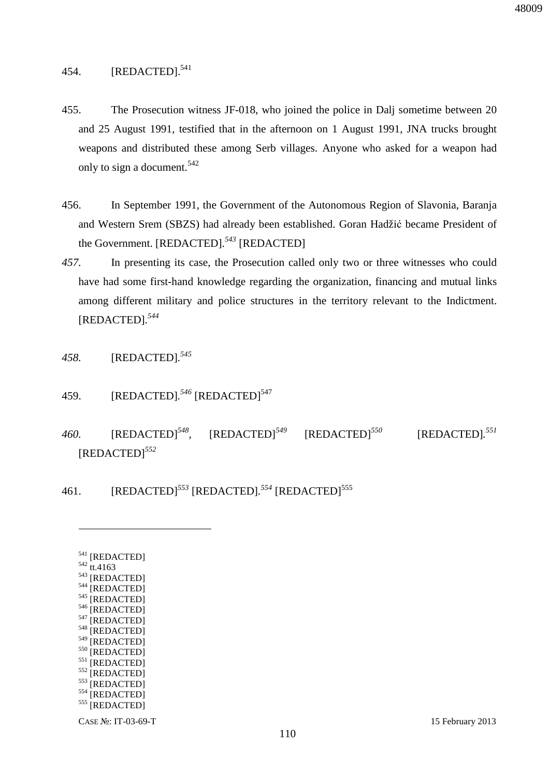## 454. [REDACTED].<sup>541</sup>

- 455. The Prosecution witness JF-018, who joined the police in Dalj sometime between 20 and 25 August 1991, testified that in the afternoon on 1 August 1991, JNA trucks brought weapons and distributed these among Serb villages. Anyone who asked for a weapon had only to sign a document.<sup>542</sup>
- 456. In September 1991, the Government of the Autonomous Region of Slavonia, Baranja and Western Srem (SBZS) had already been established. Goran Hadžić became President of the Government. [REDACTED]*. <sup>543</sup>* [REDACTED]
- *457.* In presenting its case, the Prosecution called only two or three witnesses who could have had some first-hand knowledge regarding the organization, financing and mutual links among different military and police structures in the territory relevant to the Indictment. [REDACTED]*. 544*
- *458.* [REDACTED]*. 545*
- 459. [REDACTED].<sup>546</sup> [REDACTED]<sup>547</sup>
- *460.* [REDACTED]*<sup>548</sup> ,* [REDACTED]*<sup>549</sup>* [REDACTED]*<sup>550</sup>* [REDACTED]*. 551* [REDACTED]*<sup>552</sup>*
- 461. [REDACTED]<sup>553</sup> [REDACTED].<sup>554</sup> [REDACTED]<sup>555</sup>

| 541 | [REDACTED]        |
|-----|-------------------|
| 542 | tt.4163           |
| 543 | [REDACTED]        |
| 544 | [REDACTED]        |
| 545 | [REDACTED]        |
| 546 | [REDACTED]        |
| 547 | [REDACTED]        |
| 548 | [REDACTED]        |
| 549 | [REDACTED]        |
| 550 | [REDACTED]        |
| 551 | [REDACTED]        |
| 552 | [REDACTED]        |
| 553 | [REDACTED]        |
| 554 | [REDACTED]        |
| 555 | <b>[REDACTED]</b> |
|     |                   |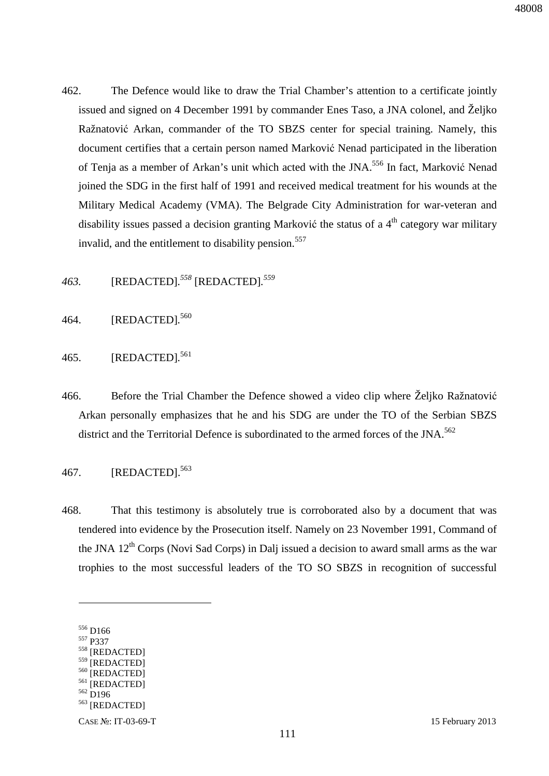462. The Defence would like to draw the Trial Chamber's attention to a certificate jointly issued and signed on 4 December 1991 by commander Enes Taso, a JNA colonel, and Željko Ražnatović Arkan, commander of the TO SBZS center for special training. Namely, this document certifies that a certain person named Marković Nenad participated in the liberation of Tenja as a member of Arkan's unit which acted with the JNA.<sup>556</sup> In fact, Marković Nenad joined the SDG in the first half of 1991 and received medical treatment for his wounds at the Military Medical Academy (VMA). The Belgrade City Administration for war-veteran and disability issues passed a decision granting Marković the status of a  $4<sup>th</sup>$  category war military invalid, and the entitlement to disability pension.<sup>557</sup>

*463.* [REDACTED]*. <sup>558</sup>* [REDACTED]*. 559*

- 464. [REDACTED]*.* 560
- 465. [REDACTED]*.* 561
- 466. Before the Trial Chamber the Defence showed a video clip where Željko Ražnatović Arkan personally emphasizes that he and his SDG are under the TO of the Serbian SBZS district and the Territorial Defence is subordinated to the armed forces of the JNA.<sup>562</sup>

## 467. [REDACTED].<sup>563</sup>

468. That this testimony is absolutely true is corroborated also by a document that was tendered into evidence by the Prosecution itself. Namely on 23 November 1991, Command of the JNA  $12<sup>th</sup>$  Corps (Novi Sad Corps) in Dalj issued a decision to award small arms as the war trophies to the most successful leaders of the TO SO SBZS in recognition of successful

 $\overline{a}$ 

<sup>557</sup> P337

<sup>562</sup> D196

<sup>556</sup> D166

<sup>558</sup> [REDACTED]

<sup>559 [</sup>REDACTED] 560 [REDACTED]

<sup>&</sup>lt;sup>561</sup> [REDACTED]

<sup>563</sup> [REDACTED]

CASE №: IT-03-69-T 15 February 2013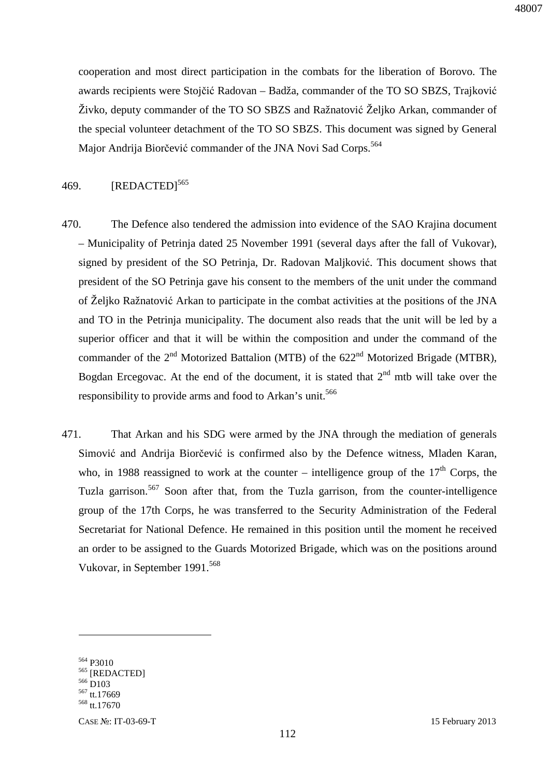cooperation and most direct participation in the combats for the liberation of Borovo. The awards recipients were Stojčić Radovan – Badža, commander of the TO SO SBZS, Trajković Živko, deputy commander of the TO SO SBZS and Ražnatović Željko Arkan, commander of the special volunteer detachment of the TO SO SBZS. This document was signed by General Major Andrija Biorčević commander of the JNA Novi Sad Corps.<sup>564</sup>

#### 469.  $[REDACTED]^{565}$

- 470. The Defence also tendered the admission into evidence of the SAO Krajina document – Municipality of Petrinja dated 25 November 1991 (several days after the fall of Vukovar), signed by president of the SO Petrinja, Dr. Radovan Maljković. This document shows that president of the SO Petrinja gave his consent to the members of the unit under the command of Željko Ražnatović Arkan to participate in the combat activities at the positions of the JNA and TO in the Petrinja municipality. The document also reads that the unit will be led by a superior officer and that it will be within the composition and under the command of the commander of the  $2<sup>nd</sup>$  Motorized Battalion (MTB) of the  $622<sup>nd</sup>$  Motorized Brigade (MTBR), Bogdan Ercegovac. At the end of the document, it is stated that  $2<sup>nd</sup>$  mtb will take over the responsibility to provide arms and food to Arkan's unit.<sup>566</sup>
- 471. That Arkan and his SDG were armed by the JNA through the mediation of generals Simović and Andrija Biorčević is confirmed also by the Defence witness, Mladen Karan, who, in 1988 reassigned to work at the counter – intelligence group of the  $17<sup>th</sup>$  Corps, the Tuzla garrison.<sup>567</sup> Soon after that, from the Tuzla garrison, from the counter-intelligence group of the 17th Corps, he was transferred to the Security Administration of the Federal Secretariat for National Defence. He remained in this position until the moment he received an order to be assigned to the Guards Motorized Brigade, which was on the positions around Vukovar, in September 1991.<sup>568</sup>

<sup>564</sup> P3010

<sup>565</sup> [REDACTED]

 $566$  D<sub>103</sub>

<sup>567</sup> tt.17669 <sup>568</sup> tt.17670

CASE №: IT-03-69-T 15 February 2013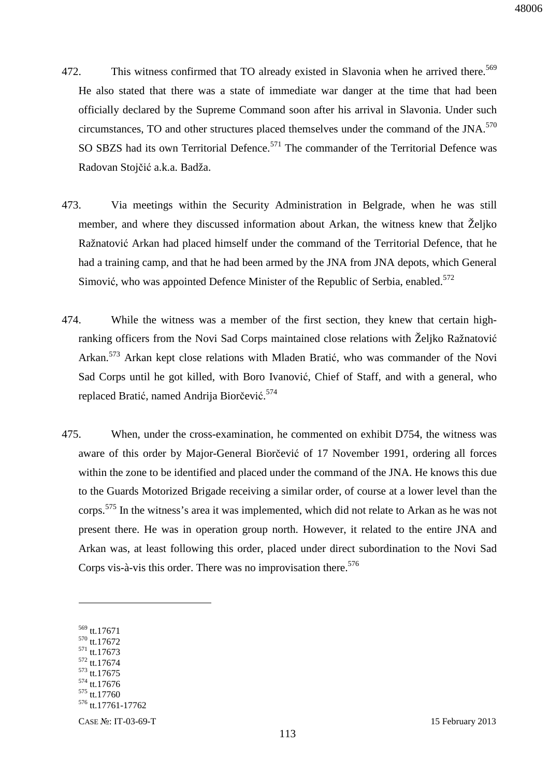- 472. This witness confirmed that TO already existed in Slavonia when he arrived there.<sup>569</sup> He also stated that there was a state of immediate war danger at the time that had been officially declared by the Supreme Command soon after his arrival in Slavonia. Under such circumstances, TO and other structures placed themselves under the command of the JNA.<sup>570</sup> SO SBZS had its own Territorial Defence.<sup>571</sup> The commander of the Territorial Defence was Radovan Stojčić a.k.a. Badža.
- 473. Via meetings within the Security Administration in Belgrade, when he was still member, and where they discussed information about Arkan, the witness knew that Željko Ražnatović Arkan had placed himself under the command of the Territorial Defence, that he had a training camp, and that he had been armed by the JNA from JNA depots, which General Simović, who was appointed Defence Minister of the Republic of Serbia, enabled.<sup>572</sup>
- 474. While the witness was a member of the first section, they knew that certain highranking officers from the Novi Sad Corps maintained close relations with Željko Ražnatović Arkan.<sup>573</sup> Arkan kept close relations with Mladen Bratić, who was commander of the Novi Sad Corps until he got killed, with Boro Ivanović, Chief of Staff, and with a general, who replaced Bratić, named Andrija Biorčević.<sup>574</sup>
- 475. When, under the cross-examination, he commented on exhibit D754, the witness was aware of this order by Major-General Biorčević of 17 November 1991, ordering all forces within the zone to be identified and placed under the command of the JNA. He knows this due to the Guards Motorized Brigade receiving a similar order, of course at a lower level than the corps.<sup>575</sup> In the witness's area it was implemented, which did not relate to Arkan as he was not present there. He was in operation group north. However, it related to the entire JNA and Arkan was, at least following this order, placed under direct subordination to the Novi Sad Corps vis-à-vis this order. There was no improvisation there.<sup>576</sup>

 $\overline{a}$ 

- <sup>570</sup> tt.17672
- <sup>571</sup> tt.17673  $572$  tt.17674
- <sup>573</sup> tt.17675

<sup>575</sup> tt.17760

<sup>569</sup> tt.17671

 $574$  tt.17676

<sup>576</sup> tt.17761-17762

CASE №: IT-03-69-T 15 February 2013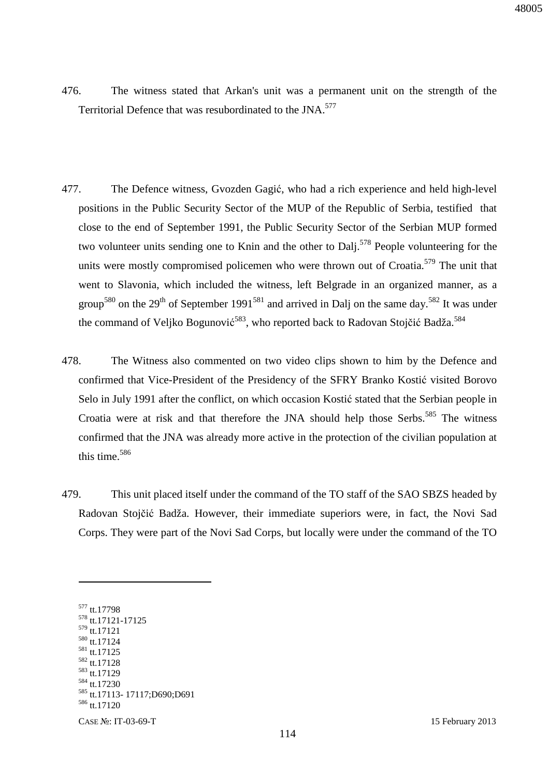- 476. The witness stated that Arkan's unit was a permanent unit on the strength of the Territorial Defence that was resubordinated to the JNA.<sup>577</sup>
- 477. The Defence witness, Gvozden Gagić, who had a rich experience and held high-level positions in the Public Security Sector of the MUP of the Republic of Serbia, testified that close to the end of September 1991, the Public Security Sector of the Serbian MUP formed two volunteer units sending one to Knin and the other to Dalj.<sup>578</sup> People volunteering for the units were mostly compromised policemen who were thrown out of Croatia.<sup>579</sup> The unit that went to Slavonia, which included the witness, left Belgrade in an organized manner, as a group<sup>580</sup> on the 29<sup>th</sup> of September 1991<sup>581</sup> and arrived in Dalj on the same day.<sup>582</sup> It was under the command of Veljko Bogunović<sup>583</sup>, who reported back to Radovan Stojčić Badža.<sup>584</sup>
- 478. The Witness also commented on two video clips shown to him by the Defence and confirmed that Vice-President of the Presidency of the SFRY Branko Kostić visited Borovo Selo in July 1991 after the conflict, on which occasion Kostić stated that the Serbian people in Croatia were at risk and that therefore the JNA should help those Serbs.<sup>585</sup> The witness confirmed that the JNA was already more active in the protection of the civilian population at this time.<sup>586</sup>
- 479. This unit placed itself under the command of the TO staff of the SAO SBZS headed by Radovan Stojčić Badža. However, their immediate superiors were, in fact, the Novi Sad Corps. They were part of the Novi Sad Corps, but locally were under the command of the TO

CASE №: IT-03-69-T 15 February 2013 tt.17798 tt.17121-17125 tt.17121 tt.17124 tt.17125 <sup>582</sup> tt.17128 tt.17129 tt.17230 tt.17113- 17117;D690;D691 tt.17120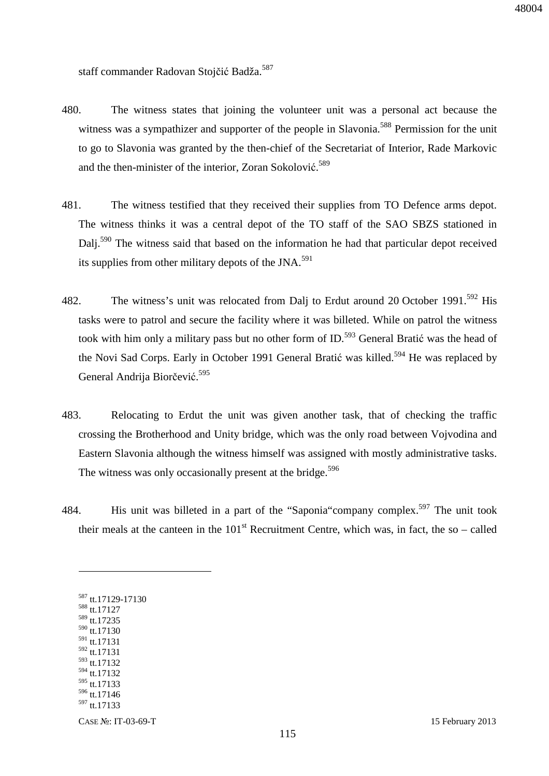staff commander Radovan Stojčić Badža.<sup>587</sup>

- 480. The witness states that joining the volunteer unit was a personal act because the witness was a sympathizer and supporter of the people in Slavonia.<sup>588</sup> Permission for the unit to go to Slavonia was granted by the then-chief of the Secretariat of Interior, Rade Markovic and the then-minister of the interior, Zoran Sokolović.<sup>589</sup>
- 481. The witness testified that they received their supplies from TO Defence arms depot. The witness thinks it was a central depot of the TO staff of the SAO SBZS stationed in Dalj.<sup>590</sup> The witness said that based on the information he had that particular depot received its supplies from other military depots of the JNA.<sup>591</sup>
- 482. The witness's unit was relocated from Dalj to Erdut around 20 October 1991.<sup>592</sup> His tasks were to patrol and secure the facility where it was billeted. While on patrol the witness took with him only a military pass but no other form of  $ID.^{593}$  General Bratić was the head of the Novi Sad Corps. Early in October 1991 General Bratić was killed.<sup>594</sup> He was replaced by General Andrija Biorčević.<sup>595</sup>
- 483. Relocating to Erdut the unit was given another task, that of checking the traffic crossing the Brotherhood and Unity bridge, which was the only road between Vojvodina and Eastern Slavonia although the witness himself was assigned with mostly administrative tasks. The witness was only occasionally present at the bridge.<sup>596</sup>
- 484. His unit was billeted in a part of the "Saponia" company complex.<sup>597</sup> The unit took their meals at the canteen in the  $101<sup>st</sup>$  Recruitment Centre, which was, in fact, the so – called

 tt.17127 tt.17235 tt.17130 tt.17131 tt.17131  $593$  tt.17132 tt.17132 tt.17133 tt.17146 tt.17133

<sup>587</sup> tt.17129-17130

 $\overline{a}$ 

CASE №: IT-03-69-T 15 February 2013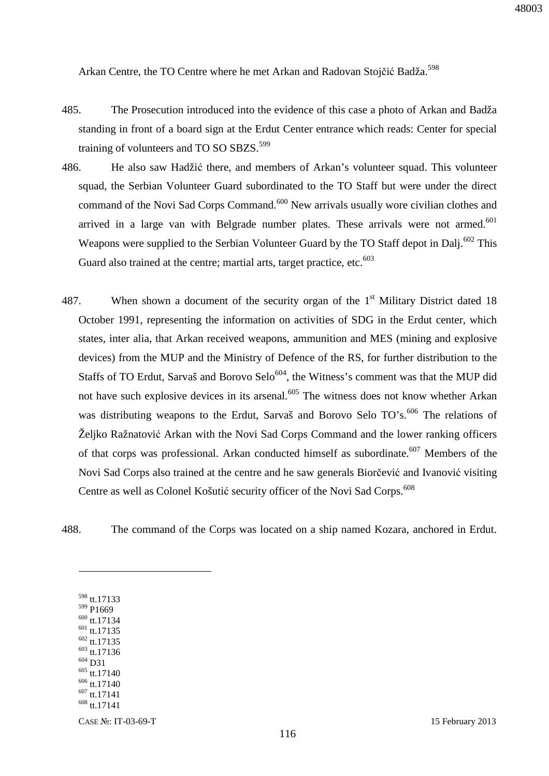48003

Arkan Centre, the TO Centre where he met Arkan and Radovan Stojčić Badža.<sup>598</sup>

- 485. The Prosecution introduced into the evidence of this case a photo of Arkan and Badža standing in front of a board sign at the Erdut Center entrance which reads: Center for special training of volunteers and TO SO SBZS.<sup>599</sup>
- 486. He also saw Hadžić there, and members of Arkan's volunteer squad. This volunteer squad, the Serbian Volunteer Guard subordinated to the TO Staff but were under the direct command of the Novi Sad Corps Command.<sup>600</sup> New arrivals usually wore civilian clothes and arrived in a large van with Belgrade number plates. These arrivals were not armed.<sup>601</sup> Weapons were supplied to the Serbian Volunteer Guard by the TO Staff depot in Dalj.<sup>602</sup> This Guard also trained at the centre; martial arts, target practice, etc. $603$
- 487. When shown a document of the security organ of the  $1<sup>st</sup>$  Military District dated 18 October 1991, representing the information on activities of SDG in the Erdut center, which states, inter alia, that Arkan received weapons, ammunition and MES (mining and explosive devices) from the MUP and the Ministry of Defence of the RS, for further distribution to the Staffs of TO Erdut, Sarvaš and Borovo Selo<sup>604</sup>, the Witness's comment was that the MUP did not have such explosive devices in its arsenal.<sup>605</sup> The witness does not know whether Arkan was distributing weapons to the Erdut, Sarvaš and Borovo Selo TO's.<sup>606</sup> The relations of Željko Ražnatović Arkan with the Novi Sad Corps Command and the lower ranking officers of that corps was professional. Arkan conducted himself as subordinate.<sup>607</sup> Members of the Novi Sad Corps also trained at the centre and he saw generals Biorčević and Ivanović visiting Centre as well as Colonel Košutić security officer of the Novi Sad Corps.<sup>608</sup>

488. The command of the Corps was located on a ship named Kozara, anchored in Erdut.

 tt.17133 <sup>599</sup> P1669 tt.17134  $601$  tt.17135 tt.17135 tt.17136 <sup>604</sup> D31 tt.17140 tt.17140 tt.17141 tt.17141

 $\overline{a}$ 

CASE №: IT-03-69-T 15 February 2013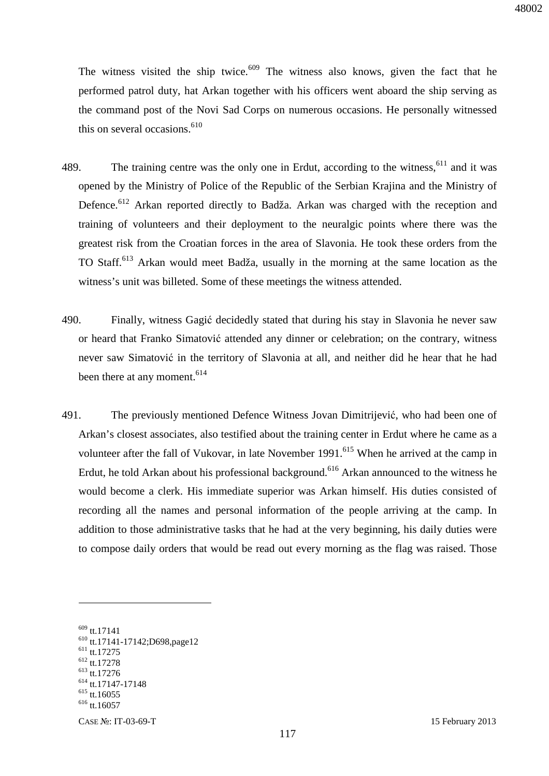The witness visited the ship twice. $609$  The witness also knows, given the fact that he performed patrol duty, hat Arkan together with his officers went aboard the ship serving as the command post of the Novi Sad Corps on numerous occasions. He personally witnessed this on several occasions. $610$ 

- 489. The training centre was the only one in Erdut, according to the witness,  $611$  and it was opened by the Ministry of Police of the Republic of the Serbian Krajina and the Ministry of Defence.<sup>612</sup> Arkan reported directly to Badža. Arkan was charged with the reception and training of volunteers and their deployment to the neuralgic points where there was the greatest risk from the Croatian forces in the area of Slavonia. He took these orders from the TO Staff.<sup>613</sup> Arkan would meet Badža, usually in the morning at the same location as the witness's unit was billeted. Some of these meetings the witness attended.
- 490. Finally, witness Gagić decidedly stated that during his stay in Slavonia he never saw or heard that Franko Simatović attended any dinner or celebration; on the contrary, witness never saw Simatović in the territory of Slavonia at all, and neither did he hear that he had been there at any moment.<sup>614</sup>
- 491. The previously mentioned Defence Witness Jovan Dimitrijević, who had been one of Arkan's closest associates, also testified about the training center in Erdut where he came as a volunteer after the fall of Vukovar, in late November 1991.<sup>615</sup> When he arrived at the camp in Erdut, he told Arkan about his professional background.<sup>616</sup> Arkan announced to the witness he would become a clerk. His immediate superior was Arkan himself. His duties consisted of recording all the names and personal information of the people arriving at the camp. In addition to those administrative tasks that he had at the very beginning, his daily duties were to compose daily orders that would be read out every morning as the flag was raised. Those

- <sup>611</sup> tt.17275
- <sup>612</sup> tt.17278 <sup>613</sup> tt.17276

<sup>609</sup> tt.17141

<sup>610</sup> tt.17141-17142;D698,page12

<sup>614</sup> tt.17147-17148

 $615$  tt.16055

 $616$  tt.16057

CASE №: IT-03-69-T 15 February 2013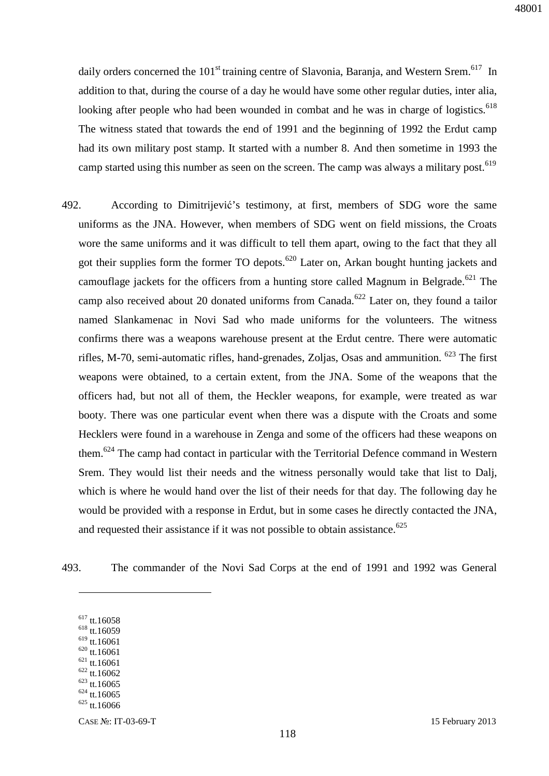daily orders concerned the  $101<sup>st</sup>$  training centre of Slavonia, Baranja, and Western Srem.<sup>617</sup> In addition to that, during the course of a day he would have some other regular duties, inter alia, looking after people who had been wounded in combat and he was in charge of logistics.<sup>618</sup> The witness stated that towards the end of 1991 and the beginning of 1992 the Erdut camp had its own military post stamp. It started with a number 8. And then sometime in 1993 the camp started using this number as seen on the screen. The camp was always a military post.<sup>619</sup>

- 492. According to Dimitrijević's testimony, at first, members of SDG wore the same uniforms as the JNA. However, when members of SDG went on field missions, the Croats wore the same uniforms and it was difficult to tell them apart, owing to the fact that they all got their supplies form the former TO depots.<sup>620</sup> Later on, Arkan bought hunting jackets and camouflage jackets for the officers from a hunting store called Magnum in Belgrade.<sup>621</sup> The camp also received about 20 donated uniforms from Canada.<sup>622</sup> Later on, they found a tailor named Slankamenac in Novi Sad who made uniforms for the volunteers. The witness confirms there was a weapons warehouse present at the Erdut centre. There were automatic rifles, M-70, semi-automatic rifles, hand-grenades, Zoljas, Osas and ammunition.  $623$  The first weapons were obtained, to a certain extent, from the JNA. Some of the weapons that the officers had, but not all of them, the Heckler weapons, for example, were treated as war booty. There was one particular event when there was a dispute with the Croats and some Hecklers were found in a warehouse in Zenga and some of the officers had these weapons on them.<sup>624</sup> The camp had contact in particular with the Territorial Defence command in Western Srem. They would list their needs and the witness personally would take that list to Dalj, which is where he would hand over the list of their needs for that day. The following day he would be provided with a response in Erdut, but in some cases he directly contacted the JNA, and requested their assistance if it was not possible to obtain assistance.<sup>625</sup>
- 493. The commander of the Novi Sad Corps at the end of 1991 and 1992 was General
	- <sup>617</sup> tt.16058

- <sup>618</sup> tt.16059
- $619$  tt.16061
- $620$  tt.16061  $621$  tt.16061
- $622$  tt.16062
- $623$  tt.16065
- $624$  tt.16065
- $625$  tt.16066

CASE №: IT-03-69-T 15 February 2013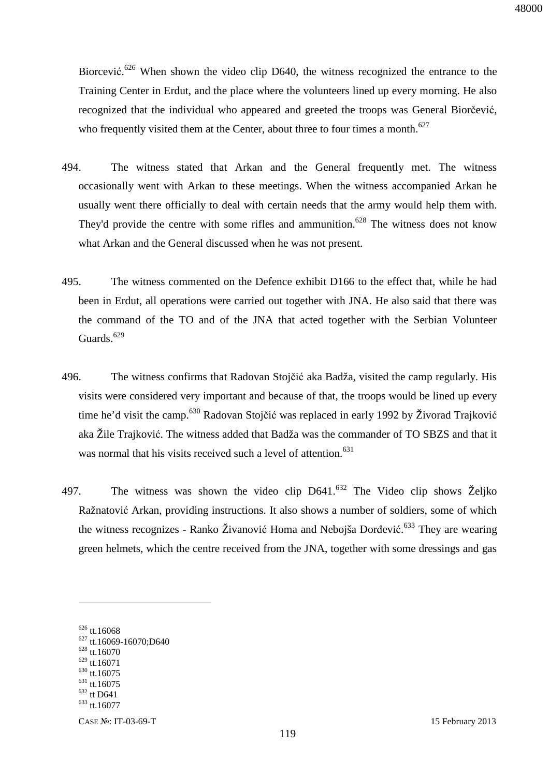Biorcević.<sup>626</sup> When shown the video clip D640, the witness recognized the entrance to the Training Center in Erdut, and the place where the volunteers lined up every morning. He also recognized that the individual who appeared and greeted the troops was General Biorčević, who frequently visited them at the Center, about three to four times a month.<sup>627</sup>

- 494. The witness stated that Arkan and the General frequently met. The witness occasionally went with Arkan to these meetings. When the witness accompanied Arkan he usually went there officially to deal with certain needs that the army would help them with. They'd provide the centre with some rifles and ammunition.<sup>628</sup> The witness does not know what Arkan and the General discussed when he was not present.
- 495. The witness commented on the Defence exhibit D166 to the effect that, while he had been in Erdut, all operations were carried out together with JNA. He also said that there was the command of the TO and of the JNA that acted together with the Serbian Volunteer Guards.<sup>629</sup>
- 496. The witness confirms that Radovan Stojčić aka Badža, visited the camp regularly. His visits were considered very important and because of that, the troops would be lined up every time he'd visit the camp.<sup>630</sup> Radovan Stojčić was replaced in early 1992 by Živorad Trajković aka Žile Trajković. The witness added that Badža was the commander of TO SBZS and that it was normal that his visits received such a level of attention.<sup>631</sup>
- 497. The witness was shown the video clip  $D641$ .<sup>632</sup> The Video clip shows Željko Ražnatović Arkan, providing instructions. It also shows a number of soldiers, some of which the witness recognizes - Ranko Živanović Homa and Nebojša Đorđević.<sup>633</sup> They are wearing green helmets, which the centre received from the JNA, together with some dressings and gas

<sup>&</sup>lt;sup>626</sup> tt.16068

 $627$  tt.16069-16070;D640

 $628$  tt.16070

<sup>629</sup> tt.16071

<sup>630</sup> tt.16075  $631$  tt. 16075

<sup>632</sup> tt D641 <sup>633</sup> tt.16077

CASE №: IT-03-69-T 15 February 2013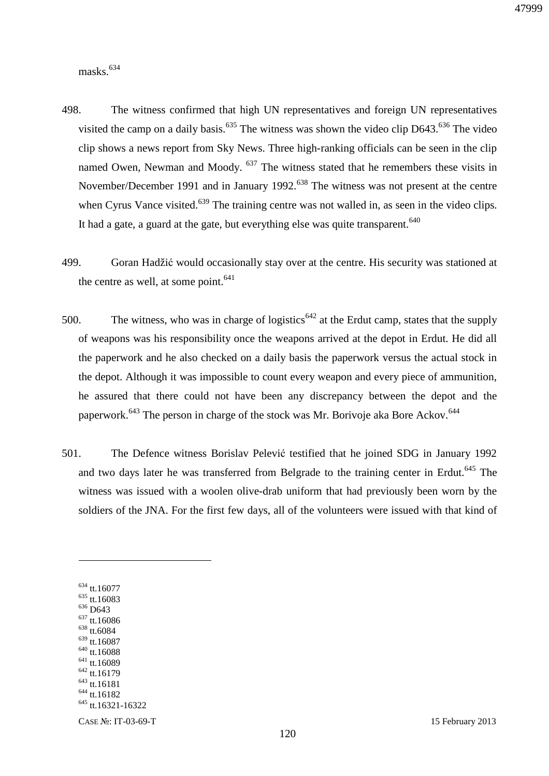masks.<sup>634</sup>

- 498. The witness confirmed that high UN representatives and foreign UN representatives visited the camp on a daily basis.<sup>635</sup> The witness was shown the video clip D643.<sup>636</sup> The video clip shows a news report from Sky News. Three high-ranking officials can be seen in the clip named Owen, Newman and Moody.  $637$  The witness stated that he remembers these visits in November/December 1991 and in January 1992.<sup>638</sup> The witness was not present at the centre when Cyrus Vance visited.<sup>639</sup> The training centre was not walled in, as seen in the video clips. It had a gate, a guard at the gate, but everything else was quite transparent. $640$
- 499. Goran Hadžić would occasionally stay over at the centre. His security was stationed at the centre as well, at some point. $641$
- 500. The witness, who was in charge of logistics<sup> $642$ </sup> at the Erdut camp, states that the supply of weapons was his responsibility once the weapons arrived at the depot in Erdut. He did all the paperwork and he also checked on a daily basis the paperwork versus the actual stock in the depot. Although it was impossible to count every weapon and every piece of ammunition, he assured that there could not have been any discrepancy between the depot and the paperwork.<sup>643</sup> The person in charge of the stock was Mr. Borivoje aka Bore Ackov.<sup>644</sup>
- 501. The Defence witness Borislav Pelević testified that he joined SDG in January 1992 and two days later he was transferred from Belgrade to the training center in Erdut.<sup>645</sup> The witness was issued with a woolen olive-drab uniform that had previously been worn by the soldiers of the JNA. For the first few days, all of the volunteers were issued with that kind of

<sup>634</sup> tt.16077 <sup>635</sup> tt.16083 <sup>636</sup> D643 <sup>637</sup> tt.16086 <sup>638</sup> tt.6084 <sup>639</sup> tt.16087  $640$  tt.16088 <sup>641</sup> tt.16089 <sup>642</sup> tt.16179 <sup>643</sup> tt.16181 <sup>644</sup> tt.16182 <sup>645</sup> tt.16321-16322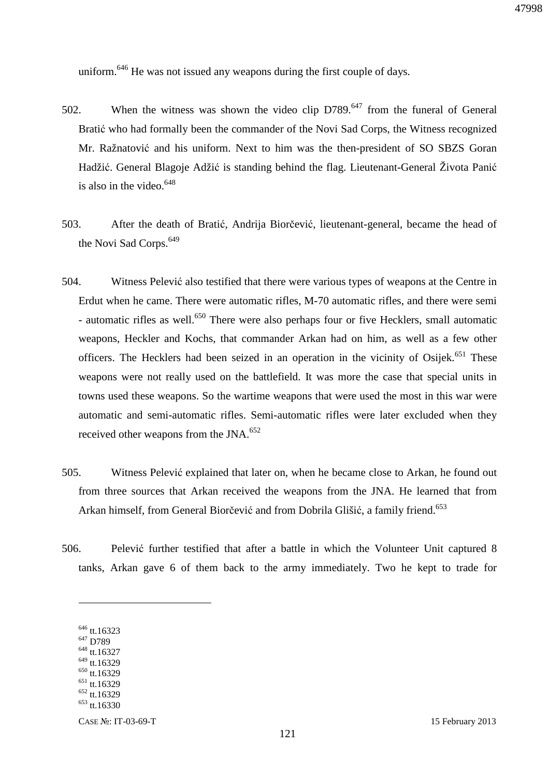uniform.<sup>646</sup> He was not issued any weapons during the first couple of days.

- 502. When the witness was shown the video clip D789.<sup>647</sup> from the funeral of General Bratić who had formally been the commander of the Novi Sad Corps, the Witness recognized Mr. Ražnatović and his uniform. Next to him was the then-president of SO SBZS Goran Hadžić. General Blagoje Adžić is standing behind the flag. Lieutenant-General Života Panić is also in the video.<sup>648</sup>
- 503. After the death of Bratić, Andrija Biorčević, lieutenant-general, became the head of the Novi Sad Corps.<sup>649</sup>
- 504. Witness Pelević also testified that there were various types of weapons at the Centre in Erdut when he came. There were automatic rifles, M-70 automatic rifles, and there were semi - automatic rifles as well.<sup>650</sup> There were also perhaps four or five Hecklers, small automatic weapons, Heckler and Kochs, that commander Arkan had on him, as well as a few other officers. The Hecklers had been seized in an operation in the vicinity of Osijek.<sup>651</sup> These weapons were not really used on the battlefield. It was more the case that special units in towns used these weapons. So the wartime weapons that were used the most in this war were automatic and semi-automatic rifles. Semi-automatic rifles were later excluded when they received other weapons from the JNA.<sup>652</sup>
- 505. Witness Pelević explained that later on, when he became close to Arkan, he found out from three sources that Arkan received the weapons from the JNA. He learned that from Arkan himself, from General Biorčević and from Dobrila Glišić, a family friend.<sup>653</sup>
- 506. Pelević further testified that after a battle in which the Volunteer Unit captured 8 tanks, Arkan gave 6 of them back to the army immediately. Two he kept to trade for

- <sup>647</sup> D789 <sup>648</sup> tt.16327
- <sup>649</sup> tt.16329
- <sup>650</sup> tt.16329
- $651$  tt.16329
- <sup>652</sup> tt.16329
- $653$  tt.16330

<sup>&</sup>lt;sup>646</sup> tt.16323

CASE №: IT-03-69-T 15 February 2013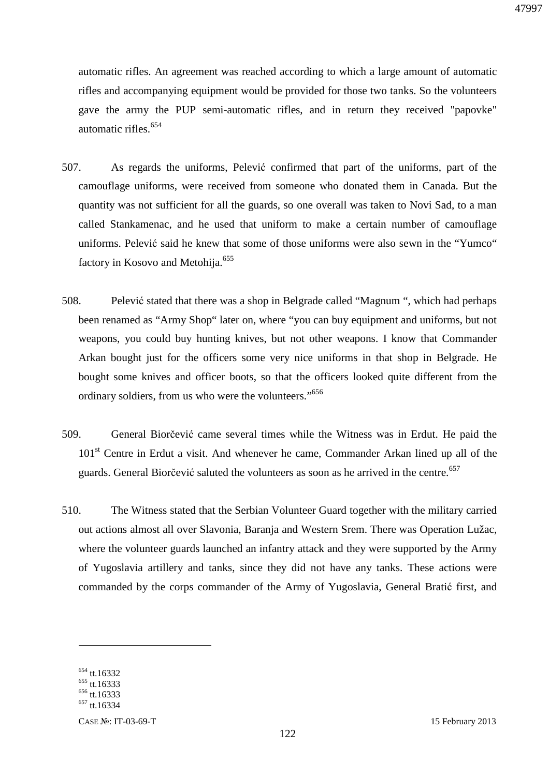automatic rifles. An agreement was reached according to which a large amount of automatic rifles and accompanying equipment would be provided for those two tanks. So the volunteers gave the army the PUP semi-automatic rifles, and in return they received "papovke" automatic rifles.<sup>654</sup>

- 507. As regards the uniforms, Pelević confirmed that part of the uniforms, part of the camouflage uniforms, were received from someone who donated them in Canada. But the quantity was not sufficient for all the guards, so one overall was taken to Novi Sad, to a man called Stankamenac, and he used that uniform to make a certain number of camouflage uniforms. Pelević said he knew that some of those uniforms were also sewn in the "Yumco" factory in Kosovo and Metohija.<sup>655</sup>
- 508. Pelević stated that there was a shop in Belgrade called "Magnum ", which had perhaps been renamed as "Army Shop" later on, where "you can buy equipment and uniforms, but not weapons, you could buy hunting knives, but not other weapons. I know that Commander Arkan bought just for the officers some very nice uniforms in that shop in Belgrade. He bought some knives and officer boots, so that the officers looked quite different from the ordinary soldiers, from us who were the volunteers."<sup>656</sup>
- 509. General Biorčević came several times while the Witness was in Erdut. He paid the 101<sup>st</sup> Centre in Erdut a visit. And whenever he came, Commander Arkan lined up all of the guards. General Biorčević saluted the volunteers as soon as he arrived in the centre.<sup>657</sup>
- 510. The Witness stated that the Serbian Volunteer Guard together with the military carried out actions almost all over Slavonia, Baranja and Western Srem. There was Operation Lužac, where the volunteer guards launched an infantry attack and they were supported by the Army of Yugoslavia artillery and tanks, since they did not have any tanks. These actions were commanded by the corps commander of the Army of Yugoslavia, General Bratić first, and

<sup>&</sup>lt;sup>654</sup> tt.16332

 $655$  tt.16333

<sup>&</sup>lt;sup>656</sup> tt.16333

<sup>&</sup>lt;sup>657</sup> tt.16334

CASE №: IT-03-69-T 15 February 2013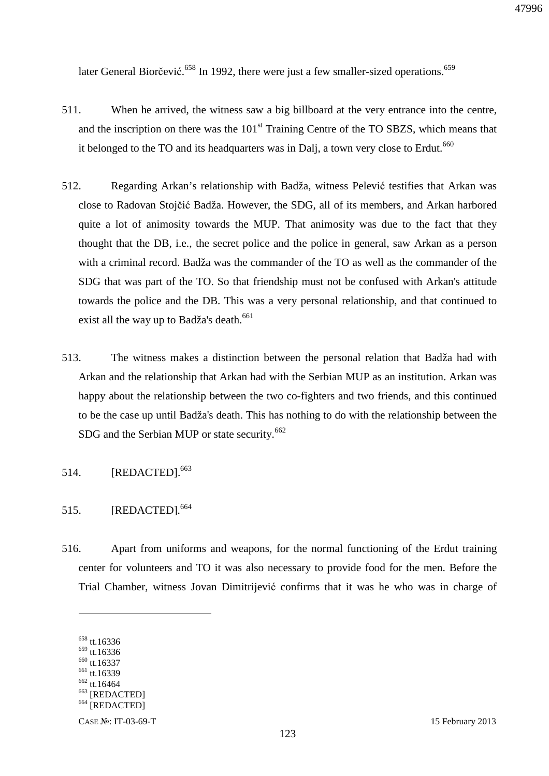later General Biorčević.<sup>658</sup> In 1992, there were just a few smaller-sized operations.<sup>659</sup>

- 511. When he arrived, the witness saw a big billboard at the very entrance into the centre, and the inscription on there was the  $101<sup>st</sup>$  Training Centre of the TO SBZS, which means that it belonged to the TO and its headquarters was in Dalj, a town very close to Erdut.<sup> $660$ </sup>
- 512. Regarding Arkan's relationship with Badža, witness Pelević testifies that Arkan was close to Radovan Stojčić Badža. However, the SDG, all of its members, and Arkan harbored quite a lot of animosity towards the MUP. That animosity was due to the fact that they thought that the DB, i.e., the secret police and the police in general, saw Arkan as a person with a criminal record. Badža was the commander of the TO as well as the commander of the SDG that was part of the TO. So that friendship must not be confused with Arkan's attitude towards the police and the DB. This was a very personal relationship, and that continued to exist all the way up to Badža's death.<sup>661</sup>
- 513. The witness makes a distinction between the personal relation that Badža had with Arkan and the relationship that Arkan had with the Serbian MUP as an institution. Arkan was happy about the relationship between the two co-fighters and two friends, and this continued to be the case up until Badža's death. This has nothing to do with the relationship between the SDG and the Serbian MUP or state security.<sup>662</sup>
- 514. **[REDACTED].**<sup>663</sup>
- 515. [REDACTED].<sup>664</sup>
- 516. Apart from uniforms and weapons, for the normal functioning of the Erdut training center for volunteers and TO it was also necessary to provide food for the men. Before the Trial Chamber, witness Jovan Dimitrijević confirms that it was he who was in charge of

<sup>658</sup> tt.16336

 $659$  tt.16336

<sup>660</sup> tt.16337 <sup>661</sup> tt.16339

<sup>662</sup> tt.16464

<sup>663</sup> [REDACTED]

<sup>&</sup>lt;sup>664</sup> [REDACTED]

CASE №: IT-03-69-T 15 February 2013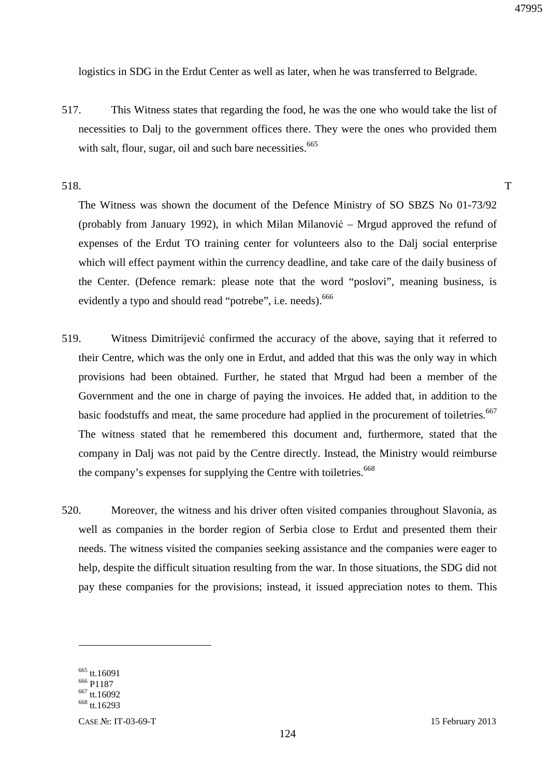logistics in SDG in the Erdut Center as well as later, when he was transferred to Belgrade.

517. This Witness states that regarding the food, he was the one who would take the list of necessities to Dalj to the government offices there. They were the ones who provided them with salt, flour, sugar, oil and such bare necessities.<sup>665</sup>

518. T

The Witness was shown the document of the Defence Ministry of SO SBZS No 01-73/92 (probably from January 1992), in which Milan Milanović – Mrgud approved the refund of expenses of the Erdut TO training center for volunteers also to the Dalj social enterprise which will effect payment within the currency deadline, and take care of the daily business of the Center. (Defence remark: please note that the word "poslovi", meaning business, is evidently a typo and should read "potrebe", i.e. needs).<sup>666</sup>

- 519. Witness Dimitrijević confirmed the accuracy of the above, saying that it referred to their Centre, which was the only one in Erdut, and added that this was the only way in which provisions had been obtained. Further, he stated that Mrgud had been a member of the Government and the one in charge of paying the invoices. He added that, in addition to the basic foodstuffs and meat, the same procedure had applied in the procurement of toiletries.<sup>667</sup> The witness stated that he remembered this document and, furthermore, stated that the company in Dalj was not paid by the Centre directly. Instead, the Ministry would reimburse the company's expenses for supplying the Centre with toiletries.<sup>668</sup>
- 520. Moreover, the witness and his driver often visited companies throughout Slavonia, as well as companies in the border region of Serbia close to Erdut and presented them their needs. The witness visited the companies seeking assistance and the companies were eager to help, despite the difficult situation resulting from the war. In those situations, the SDG did not pay these companies for the provisions; instead, it issued appreciation notes to them. This

<sup>665</sup> tt.16091

<sup>666</sup> P1187

<sup>667</sup> tt.16092

<sup>668</sup> tt.16293

CASE №: IT-03-69-T 15 February 2013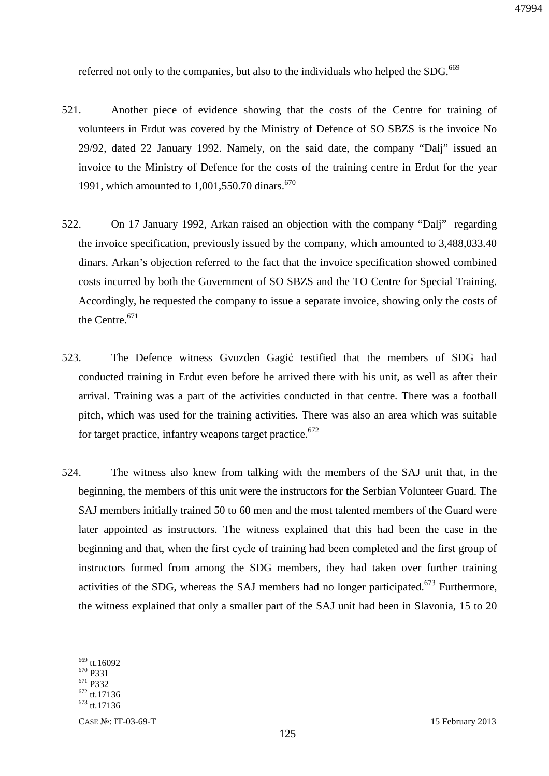referred not only to the companies, but also to the individuals who helped the SDG.<sup>669</sup>

- 521. Another piece of evidence showing that the costs of the Centre for training of volunteers in Erdut was covered by the Ministry of Defence of SO SBZS is the invoice No 29/92, dated 22 January 1992. Namely, on the said date, the company "Dalj" issued an invoice to the Ministry of Defence for the costs of the training centre in Erdut for the year 1991, which amounted to  $1,001,550.70$  dinars.<sup>670</sup>
- 522. On 17 January 1992, Arkan raised an objection with the company "Dalj" regarding the invoice specification, previously issued by the company, which amounted to 3,488,033.40 dinars. Arkan's objection referred to the fact that the invoice specification showed combined costs incurred by both the Government of SO SBZS and the TO Centre for Special Training. Accordingly, he requested the company to issue a separate invoice, showing only the costs of the Centre.<sup>671</sup>
- 523. The Defence witness Gvozden Gagić testified that the members of SDG had conducted training in Erdut even before he arrived there with his unit, as well as after their arrival. Training was a part of the activities conducted in that centre. There was a football pitch, which was used for the training activities. There was also an area which was suitable for target practice, infantry weapons target practice.<sup>672</sup>
- 524. The witness also knew from talking with the members of the SAJ unit that, in the beginning, the members of this unit were the instructors for the Serbian Volunteer Guard. The SAJ members initially trained 50 to 60 men and the most talented members of the Guard were later appointed as instructors. The witness explained that this had been the case in the beginning and that, when the first cycle of training had been completed and the first group of instructors formed from among the SDG members, they had taken over further training activities of the SDG, whereas the SAJ members had no longer participated.<sup>673</sup> Furthermore, the witness explained that only a smaller part of the SAJ unit had been in Slavonia, 15 to 20

<sup>&</sup>lt;sup>669</sup> tt.16092

<sup>670</sup> P331

<sup>671</sup> P332

<sup>672</sup> tt.17136 <sup>673</sup> tt.17136

CASE №: IT-03-69-T 15 February 2013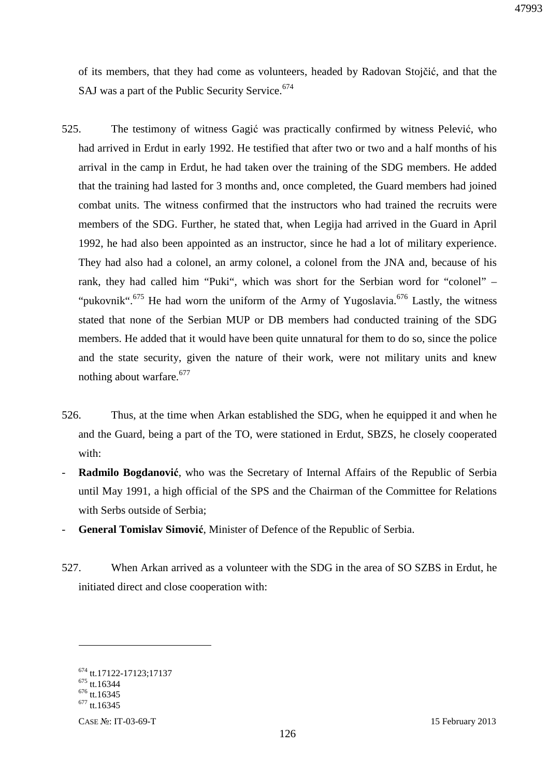of its members, that they had come as volunteers, headed by Radovan Stojčić, and that the SAJ was a part of the Public Security Service.<sup>674</sup>

- 525. The testimony of witness Gagić was practically confirmed by witness Pelević, who had arrived in Erdut in early 1992. He testified that after two or two and a half months of his arrival in the camp in Erdut, he had taken over the training of the SDG members. He added that the training had lasted for 3 months and, once completed, the Guard members had joined combat units. The witness confirmed that the instructors who had trained the recruits were members of the SDG. Further, he stated that, when Legija had arrived in the Guard in April 1992, he had also been appointed as an instructor, since he had a lot of military experience. They had also had a colonel, an army colonel, a colonel from the JNA and, because of his rank, they had called him "Puki", which was short for the Serbian word for "colonel" – "pukovnik".<sup>675</sup> He had worn the uniform of the Army of Yugoslavia.<sup>676</sup> Lastly, the witness stated that none of the Serbian MUP or DB members had conducted training of the SDG members. He added that it would have been quite unnatural for them to do so, since the police and the state security, given the nature of their work, were not military units and knew nothing about warfare.<sup>677</sup>
- 526. Thus, at the time when Arkan established the SDG, when he equipped it and when he and the Guard, being a part of the TO, were stationed in Erdut, SBZS, he closely cooperated with:
- **Radmilo Bogdanović**, who was the Secretary of Internal Affairs of the Republic of Serbia until May 1991, a high official of the SPS and the Chairman of the Committee for Relations with Serbs outside of Serbia;
- **General Tomislav Simović**, Minister of Defence of the Republic of Serbia.
- 527. When Arkan arrived as a volunteer with the SDG in the area of SO SZBS in Erdut, he initiated direct and close cooperation with:

<sup>674</sup> tt.17122-17123;17137

 $675$  tt.16344

 $676$  tt.16345

 $677$  tt.16345

CASE №: IT-03-69-T 15 February 2013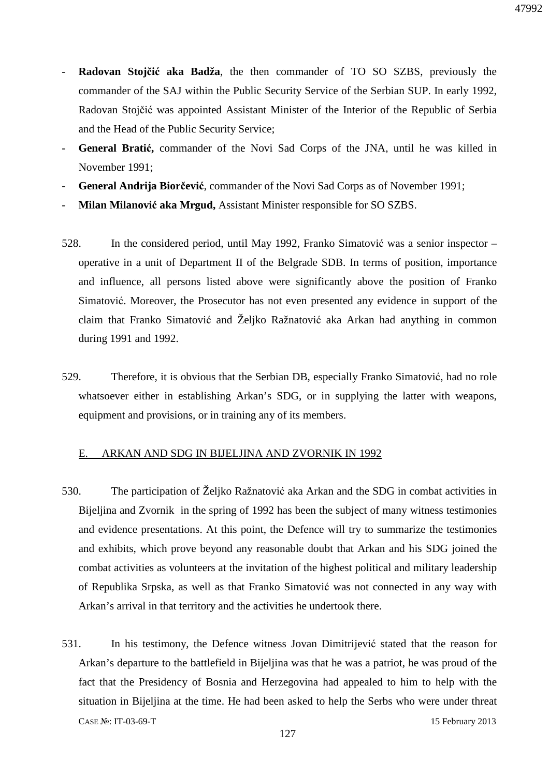- **Radovan Stojčić aka Badža**, the then commander of TO SO SZBS, previously the commander of the SAJ within the Public Security Service of the Serbian SUP. In early 1992, Radovan Stojčić was appointed Assistant Minister of the Interior of the Republic of Serbia and the Head of the Public Security Service;
- **General Bratić,** commander of the Novi Sad Corps of the JNA, until he was killed in November 1991;
- **General Andrija Biorčević**, commander of the Novi Sad Corps as of November 1991;
- **Milan Milanović aka Mrgud,** Assistant Minister responsible for SO SZBS.
- 528. In the considered period, until May 1992, Franko Simatović was a senior inspector operative in a unit of Department II of the Belgrade SDB. In terms of position, importance and influence, all persons listed above were significantly above the position of Franko Simatović. Moreover, the Prosecutor has not even presented any evidence in support of the claim that Franko Simatović and Željko Ražnatović aka Arkan had anything in common during 1991 and 1992.
- 529. Therefore, it is obvious that the Serbian DB, especially Franko Simatović, had no role whatsoever either in establishing Arkan's SDG, or in supplying the latter with weapons, equipment and provisions, or in training any of its members.

#### E. ARKAN AND SDG IN BIJELJINA AND ZVORNIK IN 1992

- 530. The participation of Željko Ražnatović aka Arkan and the SDG in combat activities in Bijeljina and Zvornik in the spring of 1992 has been the subject of many witness testimonies and evidence presentations. At this point, the Defence will try to summarize the testimonies and exhibits, which prove beyond any reasonable doubt that Arkan and his SDG joined the combat activities as volunteers at the invitation of the highest political and military leadership of Republika Srpska, as well as that Franko Simatović was not connected in any way with Arkan's arrival in that territory and the activities he undertook there.
- CASE №: IT-03-69-T 15 February 2013 531. In his testimony, the Defence witness Jovan Dimitrijević stated that the reason for Arkan's departure to the battlefield in Bijeljina was that he was a patriot, he was proud of the fact that the Presidency of Bosnia and Herzegovina had appealed to him to help with the situation in Bijeljina at the time. He had been asked to help the Serbs who were under threat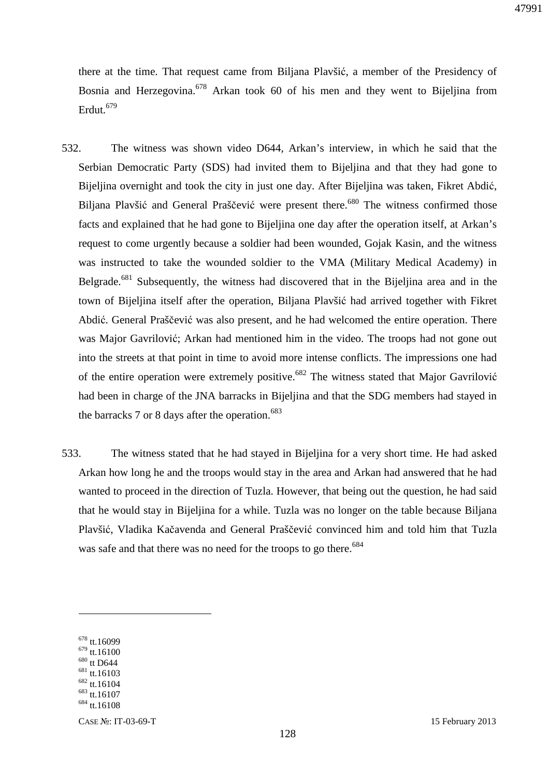there at the time. That request came from Biljana Plavšić, a member of the Presidency of Bosnia and Herzegovina.<sup>678</sup> Arkan took 60 of his men and they went to Bijeljina from Erdut.<sup>679</sup>

- 532. The witness was shown video D644, Arkan's interview, in which he said that the Serbian Democratic Party (SDS) had invited them to Bijeljina and that they had gone to Bijeljina overnight and took the city in just one day. After Bijeljina was taken, Fikret Abdić, Biljana Plavšić and General Praščević were present there.<sup>680</sup> The witness confirmed those facts and explained that he had gone to Bijeljina one day after the operation itself, at Arkan's request to come urgently because a soldier had been wounded, Gojak Kasin, and the witness was instructed to take the wounded soldier to the VMA (Military Medical Academy) in Belgrade.<sup>681</sup> Subsequently, the witness had discovered that in the Bijeljina area and in the town of Bijeljina itself after the operation, Biljana Plavšić had arrived together with Fikret Abdić. General Praščević was also present, and he had welcomed the entire operation. There was Major Gavrilović; Arkan had mentioned him in the video. The troops had not gone out into the streets at that point in time to avoid more intense conflicts. The impressions one had of the entire operation were extremely positive.<sup>682</sup> The witness stated that Major Gavrilović had been in charge of the JNA barracks in Bijeljina and that the SDG members had stayed in the barracks 7 or 8 days after the operation.<sup>683</sup>
- 533. The witness stated that he had stayed in Bijeljina for a very short time. He had asked Arkan how long he and the troops would stay in the area and Arkan had answered that he had wanted to proceed in the direction of Tuzla. However, that being out the question, he had said that he would stay in Bijeljina for a while. Tuzla was no longer on the table because Biljana Plavšić, Vladika Kačavenda and General Praščević convinced him and told him that Tuzla was safe and that there was no need for the troops to go there.<sup>684</sup>

<sup>678</sup> tt.16099

 $679$  tt.16100 <sup>680</sup> tt D644

<sup>681</sup> tt.16103

<sup>682</sup> tt.16104

<sup>&</sup>lt;sup>683</sup> tt.16107

<sup>684</sup> tt.16108

CASE №: IT-03-69-T 15 February 2013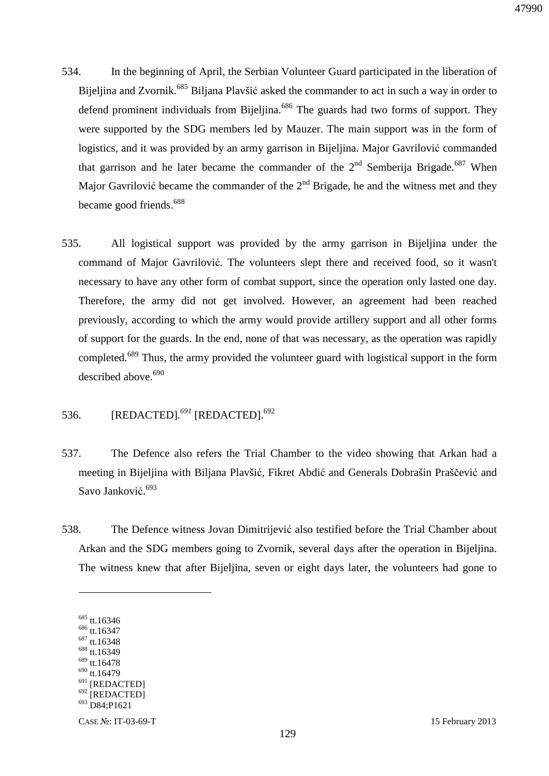- 534. In the beginning of April, the Serbian Volunteer Guard participated in the liberation of Bijeljina and Zvornik.<sup>685</sup> Biljana Plavšić asked the commander to act in such a way in order to defend prominent individuals from Bijeljina.<sup>686</sup> The guards had two forms of support. They were supported by the SDG members led by Mauzer. The main support was in the form of logistics, and it was provided by an army garrison in Bijeljina. Major Gavrilović commanded that garrison and he later became the commander of the  $2<sup>nd</sup>$  Semberija Brigade.<sup>687</sup> When Major Gavrilović became the commander of the  $2<sup>nd</sup>$  Brigade, he and the witness met and they became good friends.<sup>688</sup>
- 535. All logistical support was provided by the army garrison in Bijeljina under the command of Major Gavrilović. The volunteers slept there and received food, so it wasn't necessary to have any other form of combat support, since the operation only lasted one day. Therefore, the army did not get involved. However, an agreement had been reached previously, according to which the army would provide artillery support and all other forms of support for the guards. In the end, none of that was necessary, as the operation was rapidly completed.<sup>689</sup> Thus, the army provided the volunteer guard with logistical support in the form described above.<sup>690</sup>

## 536. [REDACTED]*. <sup>691</sup>* [REDACTED].<sup>692</sup>

- 537. The Defence also refers the Trial Chamber to the video showing that Arkan had a meeting in Bijeljina with Biljana Plavšić, Fikret Abdić and Generals Dobrašin Praščević and Savo Janković.<sup>693</sup>
- 538. The Defence witness Jovan Dimitrijević also testified before the Trial Chamber about Arkan and the SDG members going to Zvornik, several days after the operation in Bijeljina. The witness knew that after Bijeljina, seven or eight days later, the volunteers had gone to

 $\overline{a}$ 

<sup>688</sup> tt.16349 <sup>689</sup> tt.16478

<sup>685</sup> tt.16346

<sup>&</sup>lt;sup>686</sup> tt.16347

<sup>687</sup> tt.16348

<sup>690</sup> tt.16479

<sup>&</sup>lt;sup>691</sup> [REDACTED]

<sup>692</sup> [REDACTED]

<sup>693</sup> D84;P1621

CASE №: IT-03-69-T 15 February 2013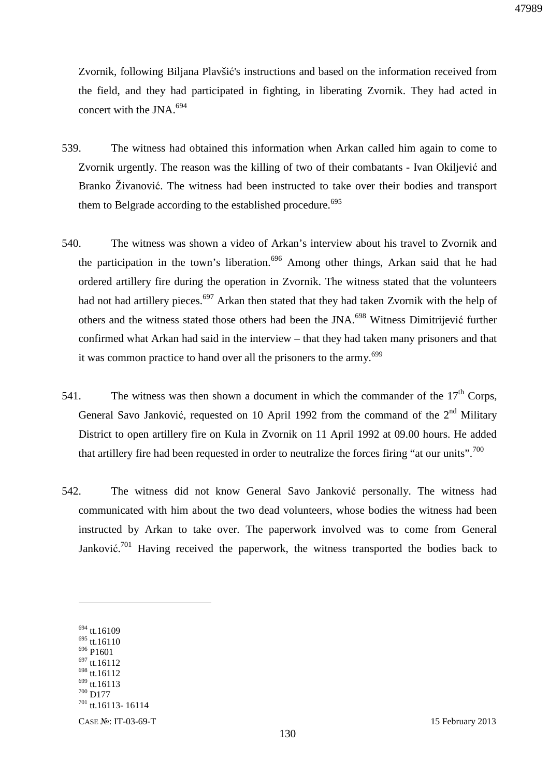Zvornik, following Biljana Plavšić's instructions and based on the information received from the field, and they had participated in fighting, in liberating Zvornik. They had acted in concert with the JNA. $^{694}$ 

- 539. The witness had obtained this information when Arkan called him again to come to Zvornik urgently. The reason was the killing of two of their combatants - Ivan Okiljević and Branko Živanović. The witness had been instructed to take over their bodies and transport them to Belgrade according to the established procedure.<sup>695</sup>
- 540. The witness was shown a video of Arkan's interview about his travel to Zvornik and the participation in the town's liberation.<sup>696</sup> Among other things, Arkan said that he had ordered artillery fire during the operation in Zvornik. The witness stated that the volunteers had not had artillery pieces.<sup>697</sup> Arkan then stated that they had taken Zvornik with the help of others and the witness stated those others had been the JNA.<sup>698</sup> Witness Dimitrijević further confirmed what Arkan had said in the interview – that they had taken many prisoners and that it was common practice to hand over all the prisoners to the army.<sup>699</sup>
- 541. The witness was then shown a document in which the commander of the  $17<sup>th</sup>$  Corps. General Savo Janković, requested on 10 April 1992 from the command of the  $2<sup>nd</sup>$  Military District to open artillery fire on Kula in Zvornik on 11 April 1992 at 09.00 hours. He added that artillery fire had been requested in order to neutralize the forces firing "at our units".<sup>700</sup>
- 542. The witness did not know General Savo Janković personally. The witness had communicated with him about the two dead volunteers, whose bodies the witness had been instructed by Arkan to take over. The paperwork involved was to come from General Janković.<sup>701</sup> Having received the paperwork, the witness transported the bodies back to

 $694$  tt.16109

<sup>695</sup> tt.16110

<sup>696</sup> P1601 <sup>697</sup> tt.16112

<sup>698</sup> tt.16112

 $699$  tt.16113

<sup>700</sup> D177

<sup>701</sup> tt.16113- 16114

CASE №: IT-03-69-T 15 February 2013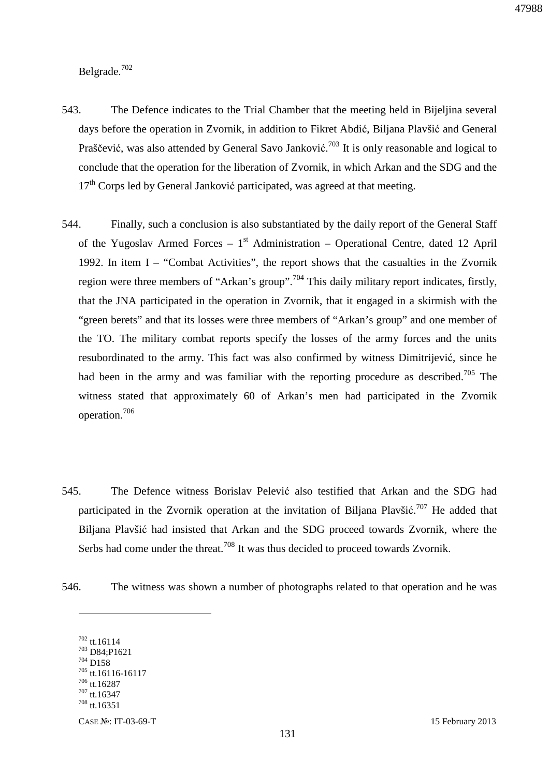Belgrade.<sup>702</sup>

- 543. The Defence indicates to the Trial Chamber that the meeting held in Bijeljina several days before the operation in Zvornik, in addition to Fikret Abdić, Biljana Plavšić and General Praščević, was also attended by General Savo Janković.<sup>703</sup> It is only reasonable and logical to conclude that the operation for the liberation of Zvornik, in which Arkan and the SDG and the  $17<sup>th</sup>$  Corps led by General Janković participated, was agreed at that meeting.
- 544. Finally, such a conclusion is also substantiated by the daily report of the General Staff of the Yugoslav Armed Forces –  $1<sup>st</sup>$  Administration – Operational Centre, dated 12 April 1992. In item I – "Combat Activities", the report shows that the casualties in the Zvornik region were three members of "Arkan's group".<sup>704</sup> This daily military report indicates, firstly, that the JNA participated in the operation in Zvornik, that it engaged in a skirmish with the "green berets" and that its losses were three members of "Arkan's group" and one member of the TO. The military combat reports specify the losses of the army forces and the units resubordinated to the army. This fact was also confirmed by witness Dimitrijević, since he had been in the army and was familiar with the reporting procedure as described.<sup>705</sup> The witness stated that approximately 60 of Arkan's men had participated in the Zvornik operation.<sup>706</sup>
- 545. The Defence witness Borislav Pelević also testified that Arkan and the SDG had participated in the Zvornik operation at the invitation of Biljana Plavšić.<sup>707</sup> He added that Biljana Plavšić had insisted that Arkan and the SDG proceed towards Zvornik, where the Serbs had come under the threat.<sup>708</sup> It was thus decided to proceed towards Zvornik.
- 546. The witness was shown a number of photographs related to that operation and he was

<sup>702</sup> tt.16114 <sup>703</sup> D84;P1621 <sup>704</sup> D158 <sup>705</sup> tt.16116-16117  $706$  tt. 16287  $707$  tt.16347  $^{708}$  tt.16351

CASE №: IT-03-69-T 15 February 2013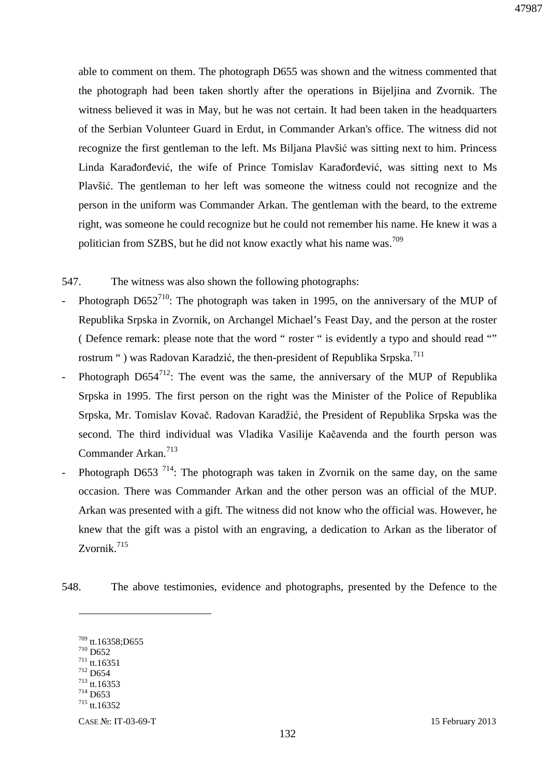able to comment on them. The photograph D655 was shown and the witness commented that the photograph had been taken shortly after the operations in Bijeljina and Zvornik. The witness believed it was in May, but he was not certain. It had been taken in the headquarters of the Serbian Volunteer Guard in Erdut, in Commander Arkan's office. The witness did not recognize the first gentleman to the left. Ms Biljana Plavšić was sitting next to him. Princess Linda Karađorđević, the wife of Prince Tomislav Karađorđević, was sitting next to Ms Plavšić. The gentleman to her left was someone the witness could not recognize and the person in the uniform was Commander Arkan. The gentleman with the beard, to the extreme right, was someone he could recognize but he could not remember his name. He knew it was a politician from SZBS, but he did not know exactly what his name was.<sup>709</sup>

547. The witness was also shown the following photographs:

- Photograph  $D652^{710}$ : The photograph was taken in 1995, on the anniversary of the MUP of Republika Srpska in Zvornik, on Archangel Michael's Feast Day, and the person at the roster ( Defence remark: please note that the word " roster " is evidently a typo and should read "" rostrum ") was Radovan Karadzić, the then-president of Republika Srpska.<sup>711</sup>
- Photograph  $D654^{712}$ : The event was the same, the anniversary of the MUP of Republika Srpska in 1995. The first person on the right was the Minister of the Police of Republika Srpska, Mr. Tomislav Kovač. Radovan Karadžić, the President of Republika Srpska was the second. The third individual was Vladika Vasilije Kačavenda and the fourth person was Commander Arkan.<sup>713</sup>
- Photograph D653<sup>714</sup>: The photograph was taken in Zvornik on the same day, on the same occasion. There was Commander Arkan and the other person was an official of the MUP. Arkan was presented with a gift. The witness did not know who the official was. However, he knew that the gift was a pistol with an engraving, a dedication to Arkan as the liberator of Zvornik.<sup>715</sup>
- 548. The above testimonies, evidence and photographs, presented by the Defence to the

<sup>709</sup> tt.16358;D655  $710$  D652  $^{711}$  tt.16351 <sup>712</sup> D654 <sup>713</sup> tt.16353 <sup>714</sup> D653

<sup>715</sup> tt.16352

CASE №: IT-03-69-T 15 February 2013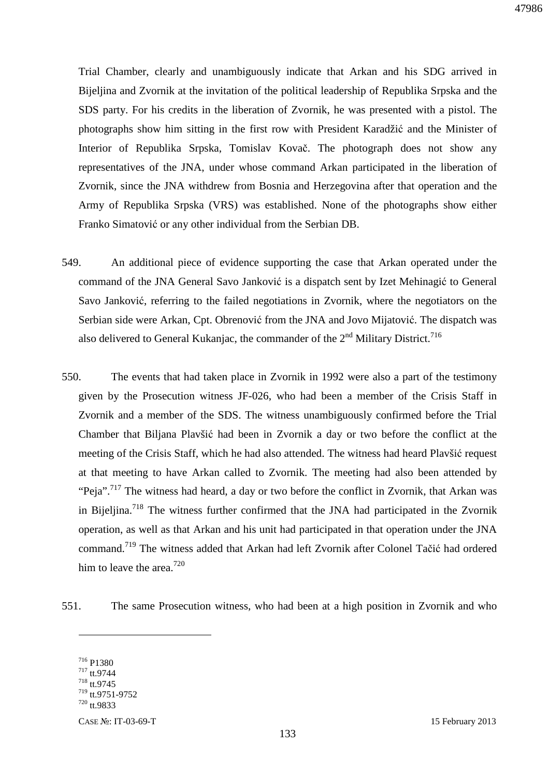Trial Chamber, clearly and unambiguously indicate that Arkan and his SDG arrived in Bijeljina and Zvornik at the invitation of the political leadership of Republika Srpska and the SDS party. For his credits in the liberation of Zvornik, he was presented with a pistol. The photographs show him sitting in the first row with President Karadžić and the Minister of Interior of Republika Srpska, Tomislav Kovač. The photograph does not show any representatives of the JNA, under whose command Arkan participated in the liberation of Zvornik, since the JNA withdrew from Bosnia and Herzegovina after that operation and the Army of Republika Srpska (VRS) was established. None of the photographs show either Franko Simatović or any other individual from the Serbian DB.

- 549. An additional piece of evidence supporting the case that Arkan operated under the command of the JNA General Savo Janković is a dispatch sent by Izet Mehinagić to General Savo Janković, referring to the failed negotiations in Zvornik, where the negotiators on the Serbian side were Arkan, Cpt. Obrenović from the JNA and Jovo Mijatović. The dispatch was also delivered to General Kukanjac, the commander of the  $2<sup>nd</sup>$  Military District.<sup>716</sup>
- 550. The events that had taken place in Zvornik in 1992 were also a part of the testimony given by the Prosecution witness JF-026, who had been a member of the Crisis Staff in Zvornik and a member of the SDS. The witness unambiguously confirmed before the Trial Chamber that Biljana Plavšić had been in Zvornik a day or two before the conflict at the meeting of the Crisis Staff, which he had also attended. The witness had heard Plavšić request at that meeting to have Arkan called to Zvornik. The meeting had also been attended by "Peja".<sup>717</sup> The witness had heard, a day or two before the conflict in Zvornik, that Arkan was in Bijeljina.<sup>718</sup> The witness further confirmed that the JNA had participated in the Zvornik operation, as well as that Arkan and his unit had participated in that operation under the JNA command.<sup>719</sup> The witness added that Arkan had left Zvornik after Colonel Tačić had ordered him to leave the area.<sup>720</sup>
- 551. The same Prosecution witness, who had been at a high position in Zvornik and who

<sup>716</sup> P1380 <sup>717</sup> tt.9744

 $718$  tt.9745

<sup>719</sup> tt.9751-9752

 $720$  tt.9833

CASE №: IT-03-69-T 15 February 2013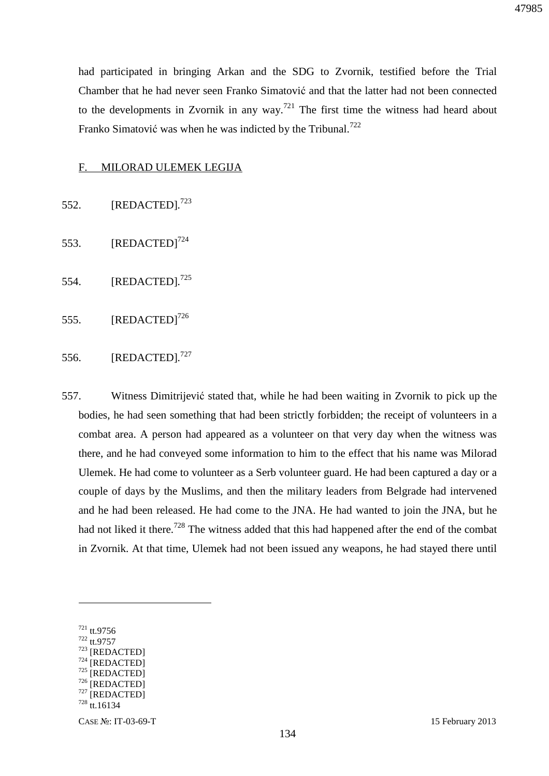had participated in bringing Arkan and the SDG to Zvornik, testified before the Trial Chamber that he had never seen Franko Simatović and that the latter had not been connected to the developments in Zvornik in any way.<sup>721</sup> The first time the witness had heard about Franko Simatović was when he was indicted by the Tribunal.<sup>722</sup>

#### F. MILORAD ULEMEK LEGIJA

- 552. [REDACTED]*.* 723
- 553.  $[REDACTED]^{724}$
- 554. [REDACTED]*.* 725
- 555.  $[REDACTED]^{726}$

## 556. [REDACTED]*.* 727

557. Witness Dimitrijević stated that, while he had been waiting in Zvornik to pick up the bodies, he had seen something that had been strictly forbidden; the receipt of volunteers in a combat area. A person had appeared as a volunteer on that very day when the witness was there, and he had conveyed some information to him to the effect that his name was Milorad Ulemek. He had come to volunteer as a Serb volunteer guard. He had been captured a day or a couple of days by the Muslims, and then the military leaders from Belgrade had intervened and he had been released. He had come to the JNA. He had wanted to join the JNA, but he had not liked it there.<sup>728</sup> The witness added that this had happened after the end of the combat in Zvornik. At that time, Ulemek had not been issued any weapons, he had stayed there until

 $\overline{a}$ 

- <sup>722</sup> tt.9757
- <sup>723</sup> [REDACTED]
- $724$  [REDACTED] [REDACTED]

47985

<sup>721</sup> tt.9756

<sup>726 [</sup>REDACTED]

<sup>727</sup> [REDACTED]

 $728$  tt.16134

CASE №: IT-03-69-T 15 February 2013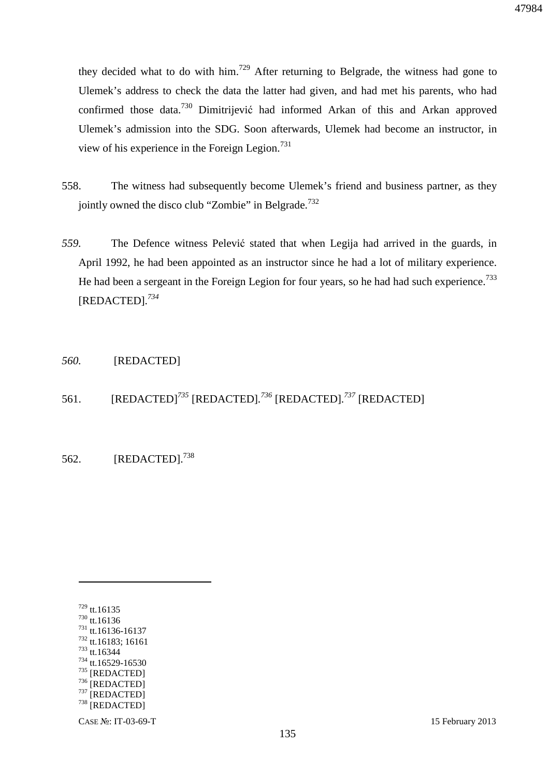they decided what to do with him.<sup>729</sup> After returning to Belgrade, the witness had gone to Ulemek's address to check the data the latter had given, and had met his parents, who had confirmed those data.<sup>730</sup> Dimitrijević had informed Arkan of this and Arkan approved Ulemek's admission into the SDG. Soon afterwards, Ulemek had become an instructor, in view of his experience in the Foreign Legion. $^{731}$ 

- 558. The witness had subsequently become Ulemek's friend and business partner, as they jointly owned the disco club "Zombie" in Belgrade.<sup>732</sup>
- *559.* The Defence witness Pelević stated that when Legija had arrived in the guards, in April 1992, he had been appointed as an instructor since he had a lot of military experience. He had been a sergeant in the Foreign Legion for four years, so he had had such experience.<sup>733</sup> [REDACTED]*. 734*

#### *560.* [REDACTED]

## 561. [REDACTED]*<sup>735</sup>* [REDACTED]*. <sup>736</sup>* [REDACTED]*. <sup>737</sup>* [REDACTED]

562. **[REDACTED].**<sup>738</sup>

<sup>729</sup> tt.16135 <sup>730</sup> tt.16136 <sup>731</sup> tt.16136-16137 <sup>732</sup> tt.16183; 16161 <sup>733</sup> tt.16344 <sup>734</sup> tt.16529-16530 <sup>735</sup> [REDACTED] 736 [REDACTED]  $737$  [REDACTED] <sup>738</sup> [REDACTED]

CASE №: IT-03-69-T 15 February 2013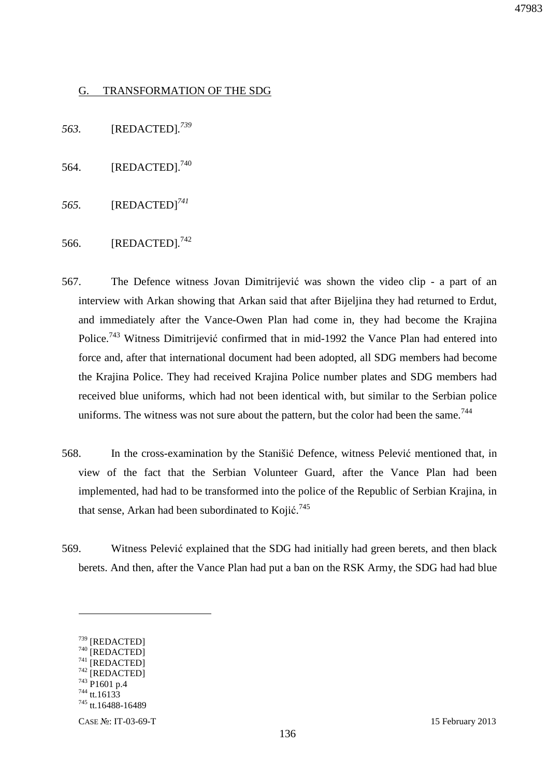### G. TRANSFORMATION OF THE SDG

*563.* [REDACTED]*. 739*

- 564. [REDACTED].<sup>740</sup>
- *565.* [REDACTED]*<sup>741</sup>*
- 566. [REDACTED]*.* 742
- 567. The Defence witness Jovan Dimitrijević was shown the video clip a part of an interview with Arkan showing that Arkan said that after Bijeljina they had returned to Erdut, and immediately after the Vance-Owen Plan had come in, they had become the Krajina Police.<sup>743</sup> Witness Dimitrijević confirmed that in mid-1992 the Vance Plan had entered into force and, after that international document had been adopted, all SDG members had become the Krajina Police. They had received Krajina Police number plates and SDG members had received blue uniforms, which had not been identical with, but similar to the Serbian police uniforms. The witness was not sure about the pattern, but the color had been the same.<sup>744</sup>
- 568. In the cross-examination by the Stanišić Defence, witness Pelević mentioned that, in view of the fact that the Serbian Volunteer Guard, after the Vance Plan had been implemented, had had to be transformed into the police of the Republic of Serbian Krajina, in that sense, Arkan had been subordinated to Kojić.<sup>745</sup>
- 569. Witness Pelević explained that the SDG had initially had green berets, and then black berets. And then, after the Vance Plan had put a ban on the RSK Army, the SDG had had blue

 $\overline{a}$ 

<sup>744</sup> tt.16133

<sup>739</sup> [REDACTED]

<sup>740 [</sup>REDACTED] 741 [REDACTED]

 $742$  [REDACTED]

<sup>743</sup> P1601 p.4

<sup>745</sup> tt.16488-16489

CASE №: IT-03-69-T 15 February 2013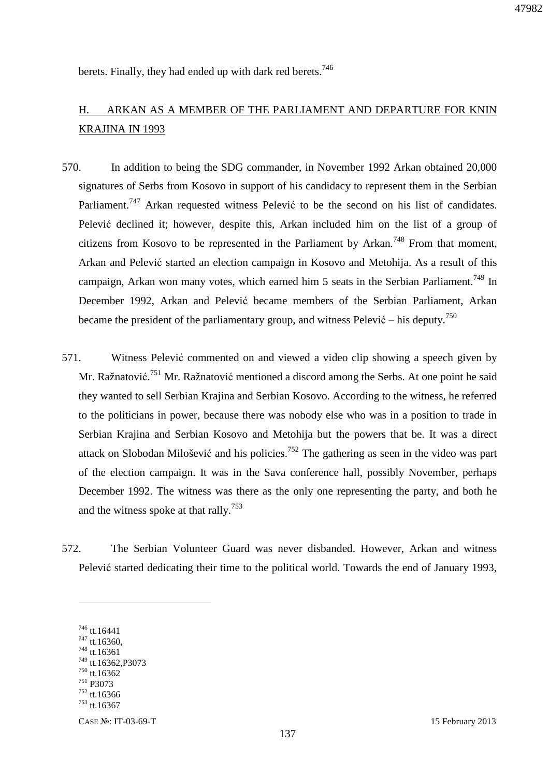47982

berets. Finally, they had ended up with dark red berets.<sup>746</sup>

# H. ARKAN AS A MEMBER OF THE PARLIAMENT AND DEPARTURE FOR KNIN KRAJINA IN 1993

- 570. In addition to being the SDG commander, in November 1992 Arkan obtained 20,000 signatures of Serbs from Kosovo in support of his candidacy to represent them in the Serbian Parliament.<sup>747</sup> Arkan requested witness Pelević to be the second on his list of candidates. Pelević declined it; however, despite this, Arkan included him on the list of a group of citizens from Kosovo to be represented in the Parliament by Arkan.<sup>748</sup> From that moment, Arkan and Pelević started an election campaign in Kosovo and Metohija. As a result of this campaign, Arkan won many votes, which earned him 5 seats in the Serbian Parliament.<sup>749</sup> In December 1992, Arkan and Pelević became members of the Serbian Parliament, Arkan became the president of the parliamentary group, and witness Pelević – his deputy.<sup>750</sup>
- 571. Witness Pelević commented on and viewed a video clip showing a speech given by Mr. Ražnatović.<sup>751</sup> Mr. Ražnatović mentioned a discord among the Serbs. At one point he said they wanted to sell Serbian Krajina and Serbian Kosovo. According to the witness, he referred to the politicians in power, because there was nobody else who was in a position to trade in Serbian Krajina and Serbian Kosovo and Metohija but the powers that be. It was a direct attack on Slobodan Milošević and his policies.<sup>752</sup> The gathering as seen in the video was part of the election campaign. It was in the Sava conference hall, possibly November, perhaps December 1992. The witness was there as the only one representing the party, and both he and the witness spoke at that rally.<sup>753</sup>
- 572. The Serbian Volunteer Guard was never disbanded. However, Arkan and witness Pelević started dedicating their time to the political world. Towards the end of January 1993,

<u>.</u>

<sup>746</sup> tt.16441

<sup>747</sup> tt.16360,

<sup>748</sup> tt.16361 <sup>749</sup> tt.16362,P3073

<sup>750</sup> tt.16362

<sup>751</sup> P3073

<sup>752</sup> tt.16366

 $753$  tt. 16367

CASE №: IT-03-69-T 15 February 2013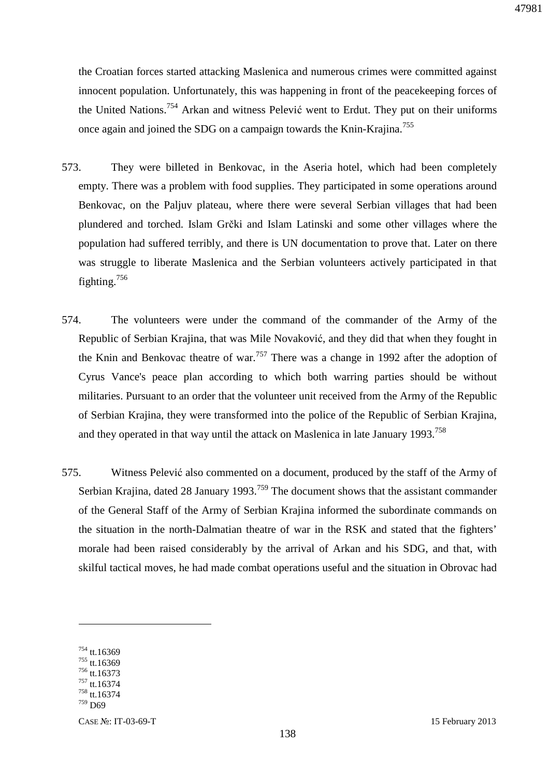the Croatian forces started attacking Maslenica and numerous crimes were committed against innocent population. Unfortunately, this was happening in front of the peacekeeping forces of the United Nations.<sup>754</sup> Arkan and witness Pelević went to Erdut. They put on their uniforms once again and joined the SDG on a campaign towards the Knin-Krajina.<sup>755</sup>

- 573. They were billeted in Benkovac, in the Aseria hotel, which had been completely empty. There was a problem with food supplies. They participated in some operations around Benkovac, on the Paljuv plateau, where there were several Serbian villages that had been plundered and torched. Islam Grčki and Islam Latinski and some other villages where the population had suffered terribly, and there is UN documentation to prove that. Later on there was struggle to liberate Maslenica and the Serbian volunteers actively participated in that fighting.<sup>756</sup>
- 574. The volunteers were under the command of the commander of the Army of the Republic of Serbian Krajina, that was Mile Novaković, and they did that when they fought in the Knin and Benkovac theatre of war.<sup>757</sup> There was a change in 1992 after the adoption of Cyrus Vance's peace plan according to which both warring parties should be without militaries. Pursuant to an order that the volunteer unit received from the Army of the Republic of Serbian Krajina, they were transformed into the police of the Republic of Serbian Krajina, and they operated in that way until the attack on Maslenica in late January 1993.<sup>758</sup>
- 575. Witness Pelević also commented on a document, produced by the staff of the Army of Serbian Krajina, dated 28 January 1993.<sup>759</sup> The document shows that the assistant commander of the General Staff of the Army of Serbian Krajina informed the subordinate commands on the situation in the north-Dalmatian theatre of war in the RSK and stated that the fighters' morale had been raised considerably by the arrival of Arkan and his SDG, and that, with skilful tactical moves, he had made combat operations useful and the situation in Obrovac had

<sup>754</sup> tt.16369

<sup>755</sup> tt.16369 <sup>756</sup> tt.16373

 $757$  tt.16374

<sup>758</sup> tt.16374 <sup>759</sup> D69

CASE №: IT-03-69-T 15 February 2013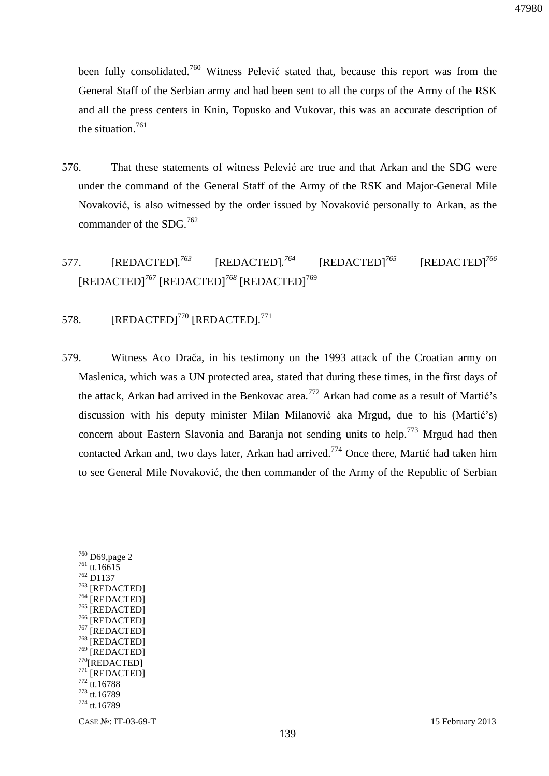been fully consolidated.<sup>760</sup> Witness Pelević stated that, because this report was from the General Staff of the Serbian army and had been sent to all the corps of the Army of the RSK and all the press centers in Knin, Topusko and Vukovar, this was an accurate description of the situation.<sup>761</sup>

- 576. That these statements of witness Pelević are true and that Arkan and the SDG were under the command of the General Staff of the Army of the RSK and Major-General Mile Novaković, is also witnessed by the order issued by Novaković personally to Arkan, as the commander of the SDG.<sup>762</sup>
- 577. [REDACTED]*. <sup>763</sup>* [REDACTED]*. <sup>764</sup>* [REDACTED]*<sup>765</sup>* [REDACTED]*<sup>766</sup>* [REDACTED]*<sup>767</sup>* [REDACTED]*<sup>768</sup>* [REDACTED]<sup>769</sup>

## 578. [REDACTED]<sup>770</sup> [REDACTED]*.* 771

- 579. Witness Aco Drača, in his testimony on the 1993 attack of the Croatian army on Maslenica, which was a UN protected area, stated that during these times, in the first days of the attack, Arkan had arrived in the Benkovac area.<sup>772</sup> Arkan had come as a result of Martić's discussion with his deputy minister Milan Milanović aka Mrgud, due to his (Martić's) concern about Eastern Slavonia and Baranja not sending units to help.<sup>773</sup> Mrgud had then contacted Arkan and, two days later, Arkan had arrived.<sup>774</sup> Once there, Martić had taken him to see General Mile Novaković, the then commander of the Army of the Republic of Serbian
	- <sup>760</sup> D69,page 2 <sup>761</sup> tt.16615 <sup>762</sup> D1137 <sup>763</sup> [REDACTED]  $^{764}$  [REDACTED]  $^{765}$  [REDACTED]  $^{766}$  [REDACTED]<br> $^{767}$  [BEDACTED]  $^{767}$  [REDACTED] [REDACTED] 769 [REDACTED]  $770$ [REDACTED] [REDACTED] <sup>772</sup> tt.16788 <sup>773</sup> tt.16789 <sup>774</sup> tt.16789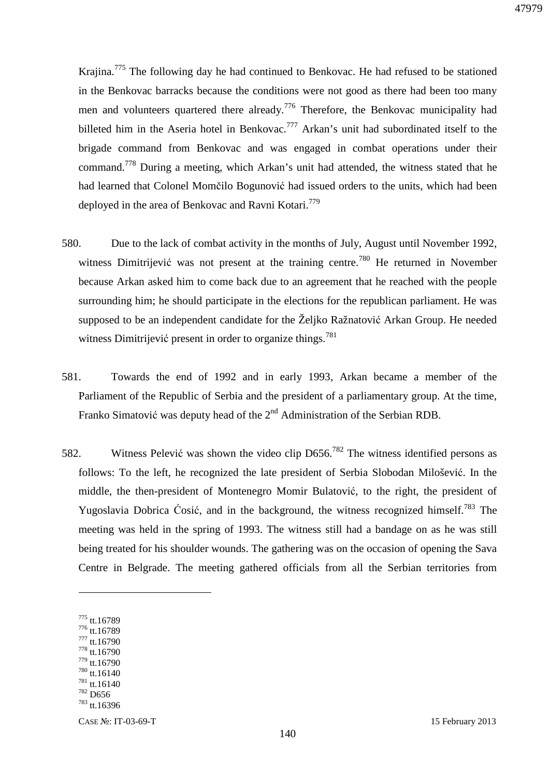Krajina.<sup>775</sup> The following day he had continued to Benkovac. He had refused to be stationed in the Benkovac barracks because the conditions were not good as there had been too many men and volunteers quartered there already.<sup>776</sup> Therefore, the Benkovac municipality had billeted him in the Aseria hotel in Benkovac.<sup>777</sup> Arkan's unit had subordinated itself to the brigade command from Benkovac and was engaged in combat operations under their command.<sup>778</sup> During a meeting, which Arkan's unit had attended, the witness stated that he had learned that Colonel Momčilo Bogunović had issued orders to the units, which had been deployed in the area of Benkovac and Ravni Kotari.<sup>779</sup>

- 580. Due to the lack of combat activity in the months of July, August until November 1992, witness Dimitrijević was not present at the training centre.<sup>780</sup> He returned in November because Arkan asked him to come back due to an agreement that he reached with the people surrounding him; he should participate in the elections for the republican parliament. He was supposed to be an independent candidate for the Željko Ražnatović Arkan Group. He needed witness Dimitrijević present in order to organize things.<sup>781</sup>
- 581. Towards the end of 1992 and in early 1993, Arkan became a member of the Parliament of the Republic of Serbia and the president of a parliamentary group. At the time, Franko Simatović was deputy head of the 2<sup>nd</sup> Administration of the Serbian RDB.
- 582. Witness Pelević was shown the video clip D656.<sup>782</sup> The witness identified persons as follows: To the left, he recognized the late president of Serbia Slobodan Milošević. In the middle, the then-president of Montenegro Momir Bulatović, to the right, the president of Yugoslavia Dobrica Ćosić, and in the background, the witness recognized himself.<sup>783</sup> The meeting was held in the spring of 1993. The witness still had a bandage on as he was still being treated for his shoulder wounds. The gathering was on the occasion of opening the Sava Centre in Belgrade. The meeting gathered officials from all the Serbian territories from

<sup>775</sup> tt.16789

- <sup>776</sup> tt.16789
- <sup>777</sup> tt.16790 <sup>778</sup> tt.16790
- $^{779}$  tt.16790
- <sup>780</sup> tt.16140
- $781$  tt.16140
- <sup>782</sup> D656
- <sup>783</sup> tt.16396

CASE №: IT-03-69-T 15 February 2013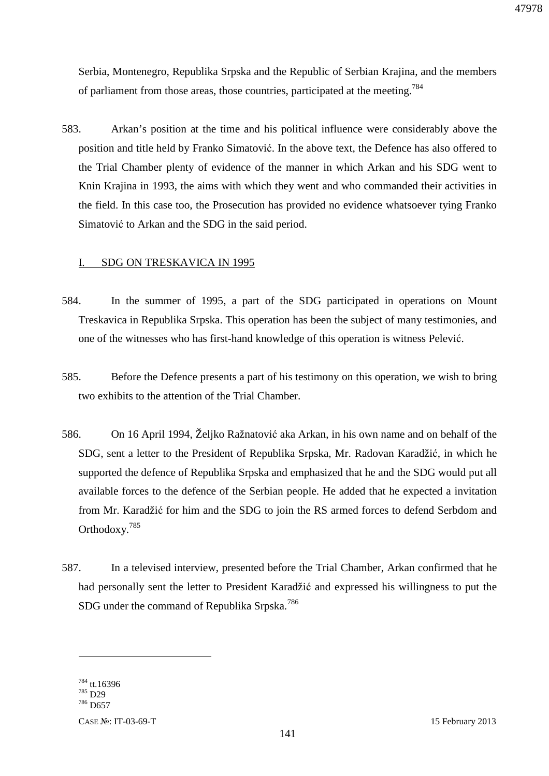Serbia, Montenegro, Republika Srpska and the Republic of Serbian Krajina, and the members of parliament from those areas, those countries, participated at the meeting.<sup>784</sup>

583. Arkan's position at the time and his political influence were considerably above the position and title held by Franko Simatović. In the above text, the Defence has also offered to the Trial Chamber plenty of evidence of the manner in which Arkan and his SDG went to Knin Krajina in 1993, the aims with which they went and who commanded their activities in the field. In this case too, the Prosecution has provided no evidence whatsoever tying Franko Simatović to Arkan and the SDG in the said period.

#### I. SDG ON TRESKAVICA IN 1995

- 584. In the summer of 1995, a part of the SDG participated in operations on Mount Treskavica in Republika Srpska. This operation has been the subject of many testimonies, and one of the witnesses who has first-hand knowledge of this operation is witness Pelević.
- 585. Before the Defence presents a part of his testimony on this operation, we wish to bring two exhibits to the attention of the Trial Chamber.
- 586. On 16 April 1994, Željko Ražnatović aka Arkan, in his own name and on behalf of the SDG, sent a letter to the President of Republika Srpska, Mr. Radovan Karadžić, in which he supported the defence of Republika Srpska and emphasized that he and the SDG would put all available forces to the defence of the Serbian people. He added that he expected a invitation from Mr. Karadžić for him and the SDG to join the RS armed forces to defend Serbdom and Orthodoxy.<sup>785</sup>
- 587. In a televised interview, presented before the Trial Chamber, Arkan confirmed that he had personally sent the letter to President Karadžić and expressed his willingness to put the SDG under the command of Republika Srpska.<sup>786</sup>

<sup>784</sup> tt.16396 <sup>785</sup> D29

<sup>786</sup> D657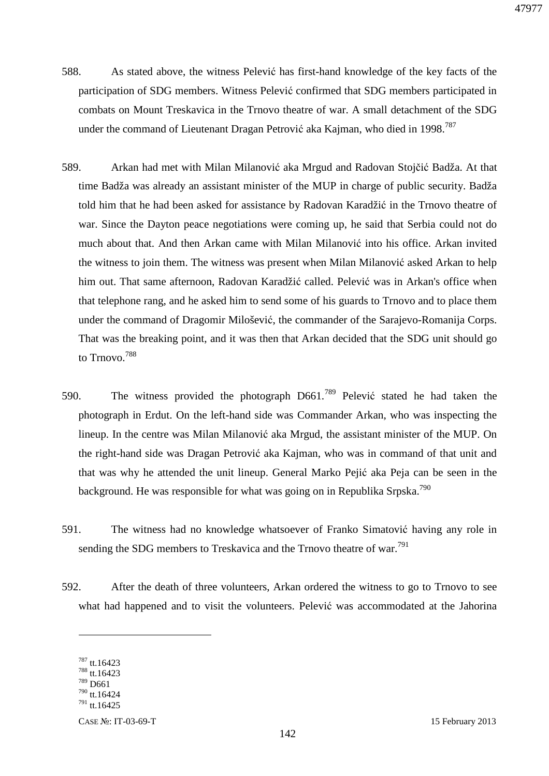- 588. As stated above, the witness Pelević has first-hand knowledge of the key facts of the participation of SDG members. Witness Pelević confirmed that SDG members participated in combats on Mount Treskavica in the Trnovo theatre of war. A small detachment of the SDG under the command of Lieutenant Dragan Petrović aka Kajman, who died in 1998.<sup>787</sup>
- 589. Arkan had met with Milan Milanović aka Mrgud and Radovan Stojčić Badža. At that time Badža was already an assistant minister of the MUP in charge of public security. Badža told him that he had been asked for assistance by Radovan Karadžić in the Trnovo theatre of war. Since the Dayton peace negotiations were coming up, he said that Serbia could not do much about that. And then Arkan came with Milan Milanović into his office. Arkan invited the witness to join them. The witness was present when Milan Milanović asked Arkan to help him out. That same afternoon, Radovan Karadžić called. Pelević was in Arkan's office when that telephone rang, and he asked him to send some of his guards to Trnovo and to place them under the command of Dragomir Milošević, the commander of the Sarajevo-Romanija Corps. That was the breaking point, and it was then that Arkan decided that the SDG unit should go to Trnovo.<sup>788</sup>
- 590. The witness provided the photograph  $D661$ .<sup>789</sup> Pelević stated he had taken the photograph in Erdut. On the left-hand side was Commander Arkan, who was inspecting the lineup. In the centre was Milan Milanović aka Mrgud, the assistant minister of the MUP. On the right-hand side was Dragan Petrović aka Kajman, who was in command of that unit and that was why he attended the unit lineup. General Marko Pejić aka Peja can be seen in the background. He was responsible for what was going on in Republika Srpska.<sup>790</sup>
- 591. The witness had no knowledge whatsoever of Franko Simatović having any role in sending the SDG members to Treskavica and the Trnovo theatre of war.<sup>791</sup>
- 592. After the death of three volunteers, Arkan ordered the witness to go to Trnovo to see what had happened and to visit the volunteers. Pelević was accommodated at the Jahorina

 $787$  tt.16423

 $788$  tt.16423  $789$  D661

<sup>790</sup> tt.16424  $^{791}$  tt.16425

CASE №: IT-03-69-T 15 February 2013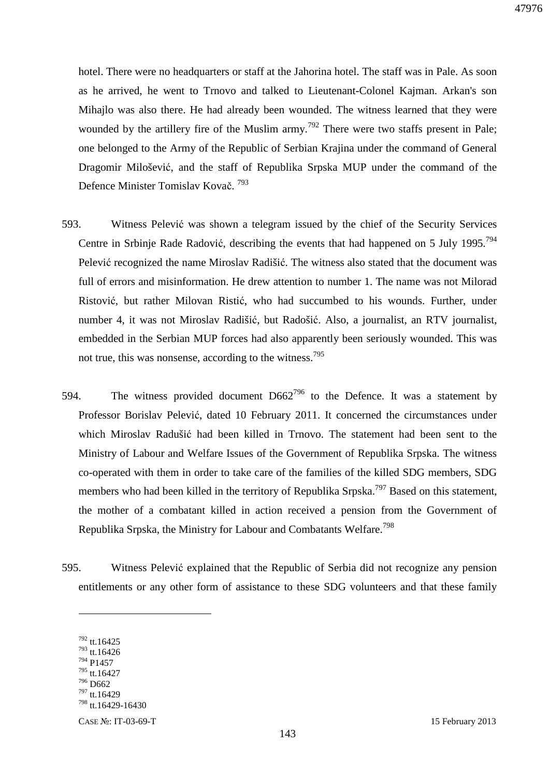hotel. There were no headquarters or staff at the Jahorina hotel. The staff was in Pale. As soon as he arrived, he went to Trnovo and talked to Lieutenant-Colonel Kajman. Arkan's son Mihajlo was also there. He had already been wounded. The witness learned that they were wounded by the artillery fire of the Muslim army.<sup>792</sup> There were two staffs present in Pale; one belonged to the Army of the Republic of Serbian Krajina under the command of General Dragomir Milošević, and the staff of Republika Srpska MUP under the command of the Defence Minister Tomislav Kovač. <sup>793</sup>

- 593. Witness Pelević was shown a telegram issued by the chief of the Security Services Centre in Srbinje Rade Radović, describing the events that had happened on 5 July 1995.<sup>794</sup> Pelević recognized the name Miroslav Radišić. The witness also stated that the document was full of errors and misinformation. He drew attention to number 1. The name was not Milorad Ristović, but rather Milovan Ristić, who had succumbed to his wounds. Further, under number 4, it was not Miroslav Radišić, but Radošić. Also, a journalist, an RTV journalist, embedded in the Serbian MUP forces had also apparently been seriously wounded. This was not true, this was nonsense, according to the witness.<sup>795</sup>
- 594. The witness provided document  $D662^{796}$  to the Defence. It was a statement by Professor Borislav Pelević, dated 10 February 2011. It concerned the circumstances under which Miroslav Radušić had been killed in Trnovo. The statement had been sent to the Ministry of Labour and Welfare Issues of the Government of Republika Srpska. The witness co-operated with them in order to take care of the families of the killed SDG members, SDG members who had been killed in the territory of Republika Srpska.<sup>797</sup> Based on this statement, the mother of a combatant killed in action received a pension from the Government of Republika Srpska, the Ministry for Labour and Combatants Welfare.<sup>798</sup>
- 595. Witness Pelević explained that the Republic of Serbia did not recognize any pension entitlements or any other form of assistance to these SDG volunteers and that these family

 $\overline{a}$ 

<sup>797</sup> tt.16429

<sup>792</sup> tt.16425

 $793$  tt.16426

<sup>794</sup> P1457 <sup>795</sup> tt.16427

<sup>796</sup> D662

<sup>798</sup> tt.16429-16430

CASE №: IT-03-69-T 15 February 2013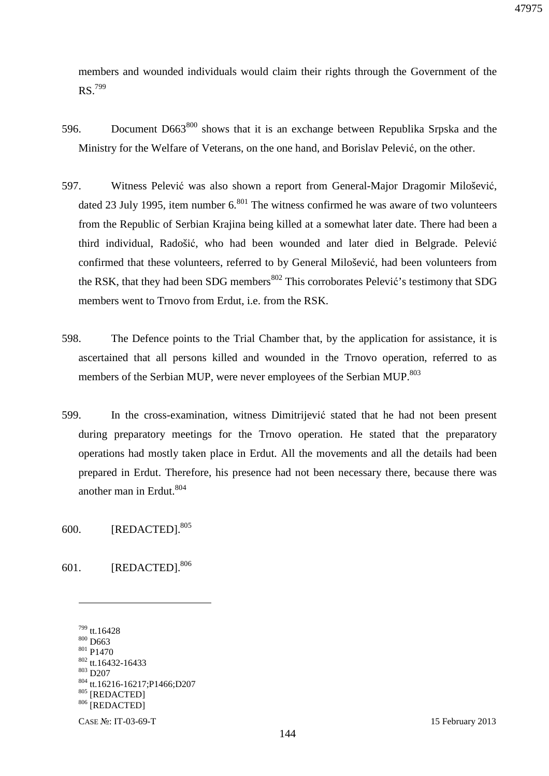members and wounded individuals would claim their rights through the Government of the RS.<sup>799</sup>

- 596. Document  $D663^{800}$  shows that it is an exchange between Republika Srpska and the Ministry for the Welfare of Veterans, on the one hand, and Borislav Pelević, on the other.
- 597. Witness Pelević was also shown a report from General-Major Dragomir Milošević, dated 23 July 1995, item number  $6^{801}$ . The witness confirmed he was aware of two volunteers from the Republic of Serbian Krajina being killed at a somewhat later date. There had been a third individual, Radošić, who had been wounded and later died in Belgrade. Pelević confirmed that these volunteers, referred to by General Milošević, had been volunteers from the RSK, that they had been SDG members<sup>802</sup> This corroborates Pelević's testimony that SDG members went to Trnovo from Erdut, i.e. from the RSK.
- 598. The Defence points to the Trial Chamber that, by the application for assistance, it is ascertained that all persons killed and wounded in the Trnovo operation, referred to as members of the Serbian MUP, were never employees of the Serbian MUP.<sup>803</sup>
- 599. In the cross-examination, witness Dimitrijević stated that he had not been present during preparatory meetings for the Trnovo operation. He stated that the preparatory operations had mostly taken place in Erdut. All the movements and all the details had been prepared in Erdut. Therefore, his presence had not been necessary there, because there was another man in Erdut.<sup>804</sup>

600. [REDACTED].<sup>805</sup>

601. [REDACTED].<sup>806</sup>

<sup>799</sup> tt.16428 <sup>800</sup> D663 <sup>801</sup> P1470  $802$  tt.16432-16433 <sup>803</sup> D207 <sup>804</sup> tt.16216-16217;P1466;D207 <sup>805</sup> [REDACTED] 806 [REDACTED]

CASE №: IT-03-69-T 15 February 2013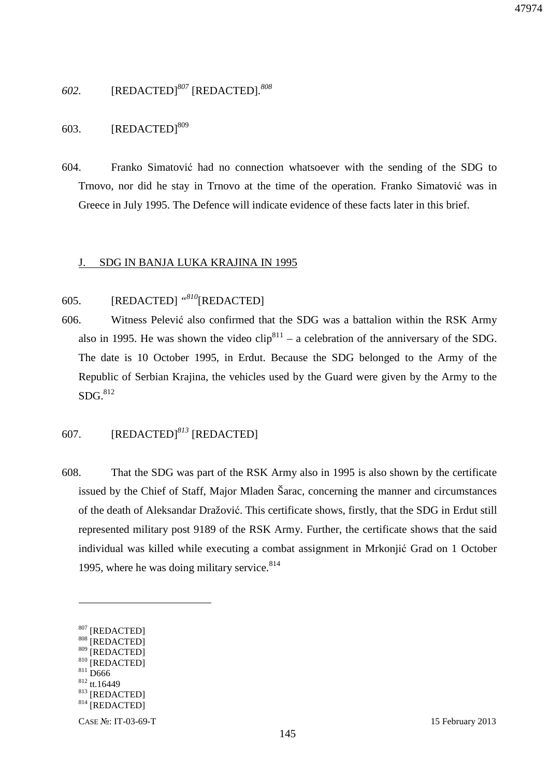## *602.* [REDACTED]*<sup>807</sup>* [REDACTED]*. 808*

# 603.  $[REDACTED]^{809}$

604. Franko Simatović had no connection whatsoever with the sending of the SDG to Trnovo, nor did he stay in Trnovo at the time of the operation. Franko Simatović was in Greece in July 1995. The Defence will indicate evidence of these facts later in this brief.

### J. SDG IN BANJA LUKA KRAJINA IN 1995

# 605. [REDACTED] *"<sup>810</sup>*[REDACTED]

606. Witness Pelević also confirmed that the SDG was a battalion within the RSK Army also in 1995. He was shown the video  $\text{clip}^{811}$  – a celebration of the anniversary of the SDG. The date is 10 October 1995, in Erdut. Because the SDG belonged to the Army of the Republic of Serbian Krajina, the vehicles used by the Guard were given by the Army to the  $SDG.$ <sup>812</sup>

# 607. [REDACTED]*<sup>813</sup>* [REDACTED]

608. That the SDG was part of the RSK Army also in 1995 is also shown by the certificate issued by the Chief of Staff, Major Mladen Šarac, concerning the manner and circumstances of the death of Aleksandar Dražović. This certificate shows, firstly, that the SDG in Erdut still represented military post 9189 of the RSK Army. Further, the certificate shows that the said individual was killed while executing a combat assignment in Mrkonjić Grad on 1 October 1995, where he was doing military service.  $814$ 

 $811$  D666

<sup>[</sup>REDACTED]

<sup>808 [</sup>REDACTED]

<sup>809 [</sup>REDACTED] 810 [REDACTED]

<sup>812</sup> tt.16449

<sup>813</sup> [REDACTED]

<sup>814 [</sup>REDACTED]

CASE №: IT-03-69-T 15 February 2013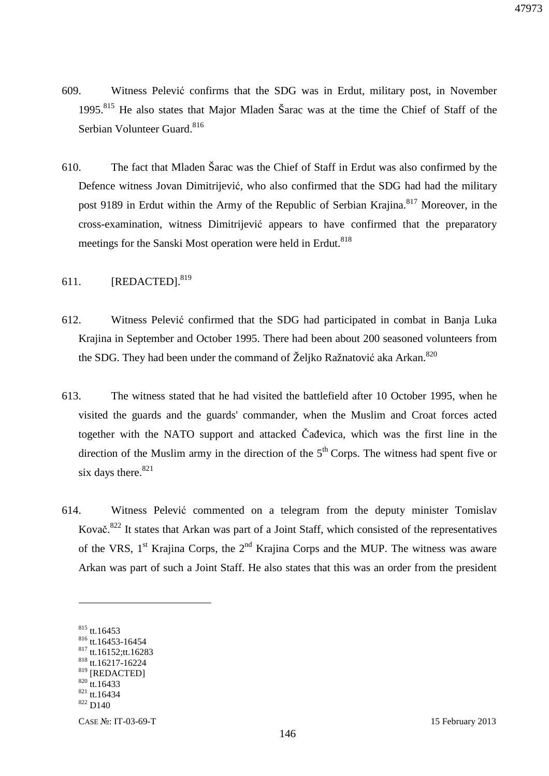- 609. Witness Pelević confirms that the SDG was in Erdut, military post, in November 1995.<sup>815</sup> He also states that Major Mladen Šarac was at the time the Chief of Staff of the Serbian Volunteer Guard.<sup>816</sup>
- 610. The fact that Mladen Šarac was the Chief of Staff in Erdut was also confirmed by the Defence witness Jovan Dimitrijević, who also confirmed that the SDG had had the military post 9189 in Erdut within the Army of the Republic of Serbian Krajina.<sup>817</sup> Moreover, in the cross-examination, witness Dimitrijević appears to have confirmed that the preparatory meetings for the Sanski Most operation were held in Erdut.<sup>818</sup>
- 611.  $[REDACTED]$ <sup>819</sup>
- 612. Witness Pelević confirmed that the SDG had participated in combat in Banja Luka Krajina in September and October 1995. There had been about 200 seasoned volunteers from the SDG. They had been under the command of Željko Ražnatović aka Arkan.<sup>820</sup>
- 613. The witness stated that he had visited the battlefield after 10 October 1995, when he visited the guards and the guards' commander, when the Muslim and Croat forces acted together with the NATO support and attacked Čađevica, which was the first line in the direction of the Muslim army in the direction of the  $5<sup>th</sup>$  Corps. The witness had spent five or six days there. $821$
- 614. Witness Pelević commented on a telegram from the deputy minister Tomislav Kovač.<sup>822</sup> It states that Arkan was part of a Joint Staff, which consisted of the representatives of the VRS,  $1<sup>st</sup>$  Krajina Corps, the  $2<sup>nd</sup>$  Krajina Corps and the MUP. The witness was aware Arkan was part of such a Joint Staff. He also states that this was an order from the president

<sup>815</sup> tt.16453

<sup>816</sup> tt.16453-16454

<sup>817</sup> tt.16152;tt.16283

<sup>818</sup> tt.16217-16224 819 [REDACTED]

 $820$  tt.16433

 $821$  tt.16434

 $822 \frac{\mu}{10140}$ 

CASE №: IT-03-69-T 15 February 2013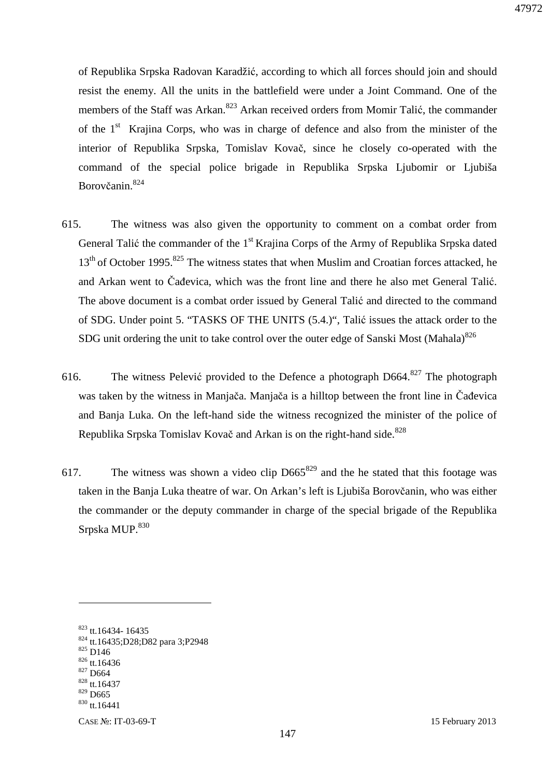of Republika Srpska Radovan Karadžić, according to which all forces should join and should resist the enemy. All the units in the battlefield were under a Joint Command. One of the members of the Staff was Arkan.<sup>823</sup> Arkan received orders from Momir Talić, the commander of the  $1<sup>st</sup>$  Krajina Corps, who was in charge of defence and also from the minister of the interior of Republika Srpska, Tomislav Kovač, since he closely co-operated with the command of the special police brigade in Republika Srpska Ljubomir or Ljubiša Borovčanin.<sup>824</sup>

- 615. The witness was also given the opportunity to comment on a combat order from General Talić the commander of the 1<sup>st</sup> Krajina Corps of the Army of Republika Srpska dated  $13<sup>th</sup>$  of October 1995.<sup>825</sup> The witness states that when Muslim and Croatian forces attacked, he and Arkan went to Čađevica, which was the front line and there he also met General Talić. The above document is a combat order issued by General Talić and directed to the command of SDG. Under point 5. "TASKS OF THE UNITS (5.4.)", Talić issues the attack order to the SDG unit ordering the unit to take control over the outer edge of Sanski Most (Mahala) $826$
- 616. The witness Pelević provided to the Defence a photograph  $D664$ <sup>827</sup> The photograph was taken by the witness in Manjača. Manjača is a hilltop between the front line in Čađevica and Banja Luka. On the left-hand side the witness recognized the minister of the police of Republika Srpska Tomislav Kovač and Arkan is on the right-hand side.<sup>828</sup>
- 617. The witness was shown a video clip  $D665^{829}$  and the he stated that this footage was taken in the Banja Luka theatre of war. On Arkan's left is Ljubiša Borovčanin, who was either the commander or the deputy commander in charge of the special brigade of the Republika  $S$ rpska MUP. $^{830}$

<sup>825</sup> D146

- $826$  tt.16436 <sup>827</sup> D664
- <sup>828</sup> tt.16437
- <sup>829</sup> D665
- <sup>830</sup> tt.16441

<sup>823</sup> tt.16434- 16435

<sup>824</sup> tt.16435;D28;D82 para 3;P2948

CASE №: IT-03-69-T 15 February 2013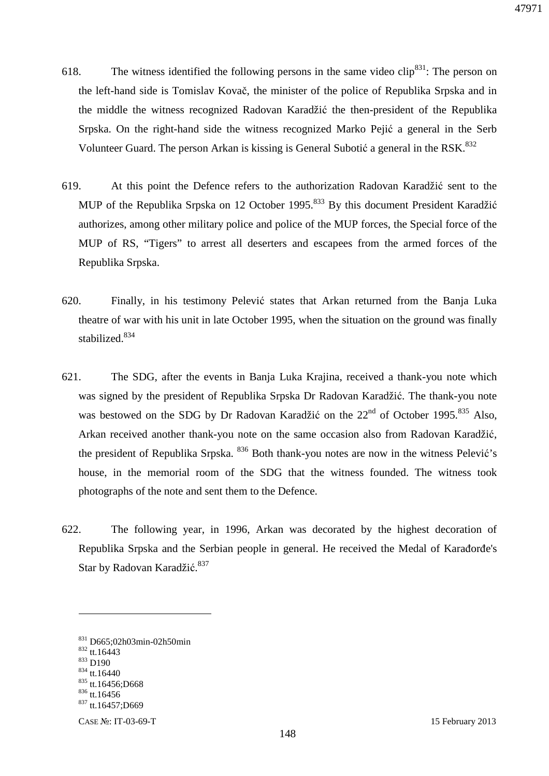- 618. The witness identified the following persons in the same video clip<sup>831</sup>: The person on the left-hand side is Tomislav Kovač, the minister of the police of Republika Srpska and in the middle the witness recognized Radovan Karadžić the then-president of the Republika Srpska. On the right-hand side the witness recognized Marko Pejić a general in the Serb Volunteer Guard. The person Arkan is kissing is General Subotić a general in the RSK. $832$
- 619. At this point the Defence refers to the authorization Radovan Karadžić sent to the MUP of the Republika Srpska on 12 October 1995.<sup>833</sup> By this document President Karadžić authorizes, among other military police and police of the MUP forces, the Special force of the MUP of RS, "Tigers" to arrest all deserters and escapees from the armed forces of the Republika Srpska.
- 620. Finally, in his testimony Pelević states that Arkan returned from the Banja Luka theatre of war with his unit in late October 1995, when the situation on the ground was finally stabilized.<sup>834</sup>
- 621. The SDG, after the events in Banja Luka Krajina, received a thank-you note which was signed by the president of Republika Srpska Dr Radovan Karadžić. The thank-you note was bestowed on the SDG by Dr Radovan Karadžić on the 22<sup>nd</sup> of October 1995.<sup>835</sup> Also, Arkan received another thank-you note on the same occasion also from Radovan Karadžić, the president of Republika Srpska. <sup>836</sup> Both thank-you notes are now in the witness Pelević's house, in the memorial room of the SDG that the witness founded. The witness took photographs of the note and sent them to the Defence.
- 622. The following year, in 1996, Arkan was decorated by the highest decoration of Republika Srpska and the Serbian people in general. He received the Medal of Karađorđe's Star by Radovan Karadžić.<sup>837</sup>

<sup>832</sup> tt.16443

 $\overline{a}$ 

<sup>833</sup> D190

<sup>831</sup> D665;02h03min-02h50min

<sup>834</sup> tt.16440

 $835$  tt.16456;D668 836 tt.16456

<sup>837</sup> tt.16457;D669

CASE №: IT-03-69-T 15 February 2013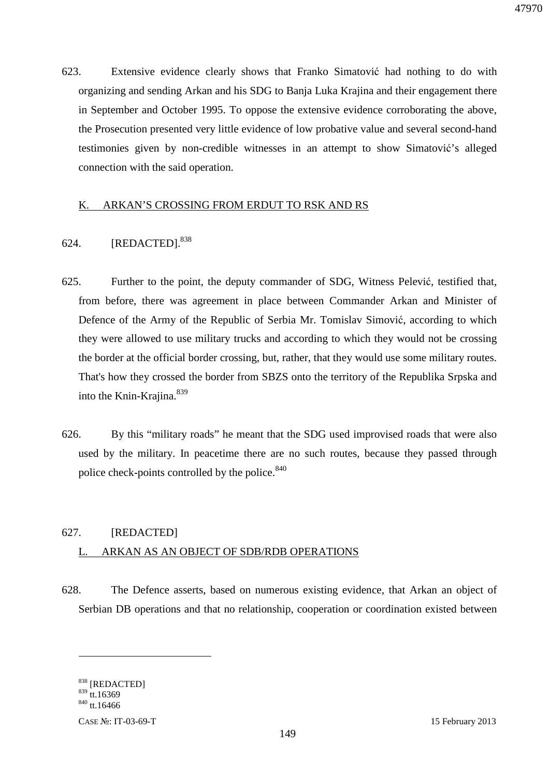623. Extensive evidence clearly shows that Franko Simatović had nothing to do with organizing and sending Arkan and his SDG to Banja Luka Krajina and their engagement there in September and October 1995. To oppose the extensive evidence corroborating the above, the Prosecution presented very little evidence of low probative value and several second-hand testimonies given by non-credible witnesses in an attempt to show Simatović's alleged connection with the said operation.

### K. ARKAN'S CROSSING FROM ERDUT TO RSK AND RS

## 624. [REDACTED].<sup>838</sup>

- 625. Further to the point, the deputy commander of SDG, Witness Pelević, testified that, from before, there was agreement in place between Commander Arkan and Minister of Defence of the Army of the Republic of Serbia Mr. Tomislav Simović, according to which they were allowed to use military trucks and according to which they would not be crossing the border at the official border crossing, but, rather, that they would use some military routes. That's how they crossed the border from SBZS onto the territory of the Republika Srpska and into the Knin-Krajina.<sup>839</sup>
- 626. By this "military roads" he meant that the SDG used improvised roads that were also used by the military. In peacetime there are no such routes, because they passed through police check-points controlled by the police.<sup>840</sup>

# 627. [REDACTED] L. ARKAN AS AN OBJECT OF SDB/RDB OPERATIONS

628. The Defence asserts, based on numerous existing evidence, that Arkan an object of Serbian DB operations and that no relationship, cooperation or coordination existed between

<u>.</u>

<sup>838</sup> [REDACTED]

 $839$  tt.16369  $840$  tt.16466

CASE №: IT-03-69-T 15 February 2013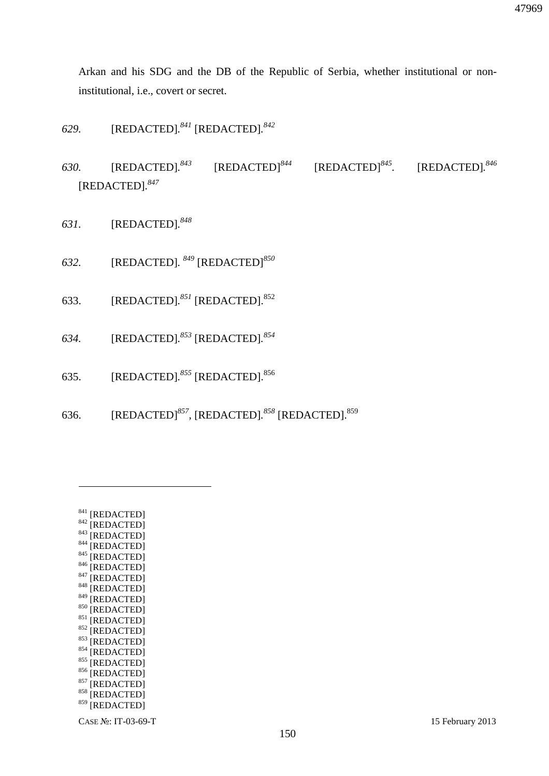Arkan and his SDG and the DB of the Republic of Serbia, whether institutional or noninstitutional, i.e., covert or secret.

- *629.* [REDACTED]*. <sup>841</sup>* [REDACTED]*. 842*
- *630.* [REDACTED]*. <sup>843</sup>* [REDACTED]*<sup>844</sup>* [REDACTED]*<sup>845</sup> .* [REDACTED]*. 846* [REDACTED]*. 847*
- *631.* [REDACTED]*. 848*
- *632.* [REDACTED]*. <sup>849</sup>* [REDACTED]*<sup>850</sup>*
- 633. [REDACTED]*. <sup>851</sup>* [REDACTED].<sup>852</sup>
- *634.* [REDACTED]*. <sup>853</sup>* [REDACTED]*. 854*
- 635. [REDACTED]*. <sup>855</sup>* [REDACTED].<sup>856</sup>
- 636. [REDACTED]*<sup>857</sup> ,* [REDACTED]*. <sup>858</sup>* [REDACTED].<sup>859</sup>

<sup>841 [</sup>REDACTED]  $842$  [REDACTED]  $843$  [REDACTED]  $844$  [REDACTED]  $845$  [REDACTED] 846 [REDACTED]  $847$  [REDACTED] 848 [REDACTED] 849 [REDACTED] 850 [REDACTED]  $851$  [REDACTED] 852 [REDACTED] 853 [REDACTED] 854 [REDACTED] 855 [REDACTED] 856 [REDACTED] 857 [REDACTED] 858 [REDACTED] 859 [REDACTED]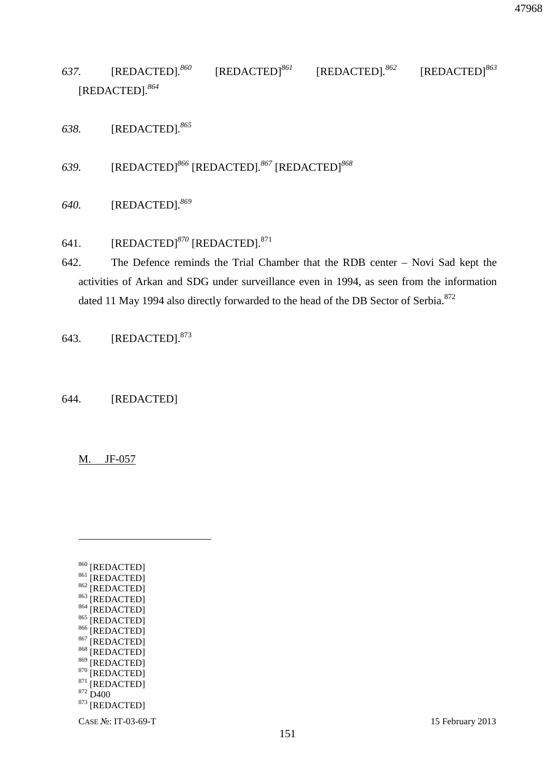*637.* [REDACTED]*. <sup>860</sup>* [REDACTED]*<sup>861</sup>* [REDACTED]*. <sup>862</sup>* [REDACTED]*<sup>863</sup>* [REDACTED]*. 864*

*638.* [REDACTED]*. 865* 

*639.* [REDACTED]*<sup>866</sup>* [REDACTED]*. <sup>867</sup>* [REDACTED]*<sup>868</sup>*

*640.* [REDACTED]*. 869* 

# 641. [REDACTED]<sup>870</sup> [REDACTED].<sup>871</sup>

642. The Defence reminds the Trial Chamber that the RDB center – Novi Sad kept the activities of Arkan and SDG under surveillance even in 1994, as seen from the information dated 11 May 1994 also directly forwarded to the head of the DB Sector of Serbia.<sup>872</sup>

643. [REDACTED].<sup>873</sup>

644. [REDACTED]

M. JF-057

 $\overline{a}$ 

| 860 | [REDACTED] |
|-----|------------|
| 861 | [REDACTED] |
| 862 | [REDACTED] |
| 863 | [REDACTED] |
| 864 | [REDACTED] |
| 865 | [REDACTED] |
| 866 | [REDACTED] |
| 867 | [REDACTED] |
| 868 | [REDACTED] |
| 869 | [REDACTED] |
| 870 | [REDACTED] |
| 871 | [REDACTED] |
| 872 | D400       |
| 873 | [REDACTED] |
|     |            |

CASE №: IT-03-69-T 15 February 2013

47968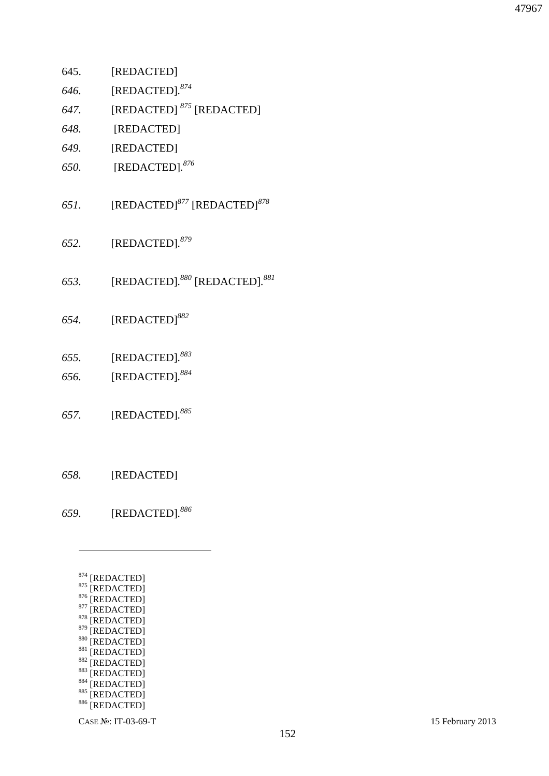- <sup>879</sup> [REDACTED] 880 [REDACTED]  $881$  [REDACTED] 882 [REDACTED] 883 [REDACTED] 884 [REDACTED] 885 [REDACTED] 886 [REDACTED]
- <sup>878</sup> [REDACTED]
- $877$  [REDACTED]
- $876$  [REDACTED]
- $875$  [REDACTED]
- <sup>874</sup> [REDACTED]
- 
- 
- $\overline{a}$
- *659.* [REDACTED]*. 886*

*658.* [REDACTED]

- *657.* [REDACTED]*. 885*
- *656.* [REDACTED]*. 884*
- *655.* [REDACTED]*. 883*
- *654.* [REDACTED]*<sup>882</sup>*
- *653.* [REDACTED]*. <sup>880</sup>* [REDACTED]*. 881*
- *652.* [REDACTED]*. 879*
- *651.* [REDACTED]*<sup>877</sup>* [REDACTED]*<sup>878</sup>*
- *650.* [REDACTED]*. 876*
- *649.* [REDACTED]
- *648.* [REDACTED]
- *647.* [REDACTED] *<sup>875</sup>* [REDACTED]
- *646.* [REDACTED]*. 874*
- 645. [REDACTED]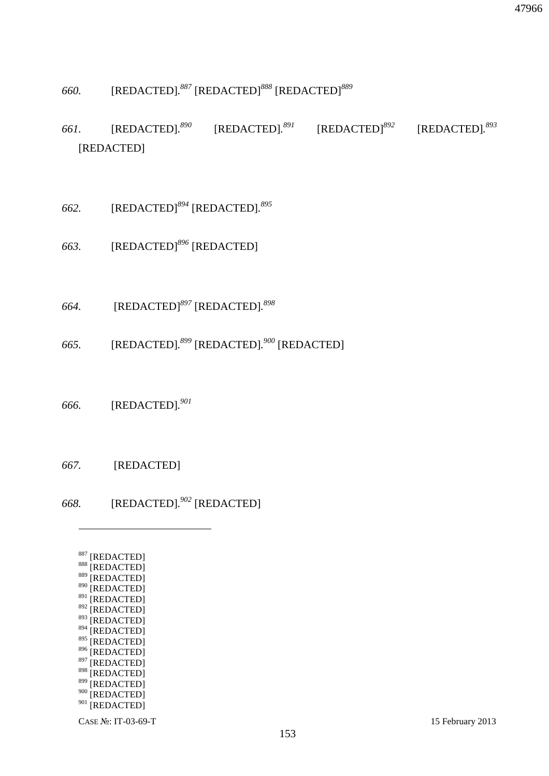898 [REDACTED] 899 [REDACTED] 900 [REDACTED]

<sup>901</sup> [REDACTED]

- 897 [REDACTED]
- 895 [REDACTED]  $896$  [REDACTED]
- 894 [REDACTED]
- <sup>892</sup> [REDACTED] 893 [REDACTED]
- $891$  [REDACTED]
- $890$  [REDACTED]
- 888 [REDACTED] 889 [REDACTED]
- <sup>887</sup> [REDACTED]

 $\overline{a}$ 

- *668.* [REDACTED]*. <sup>902</sup>* [REDACTED]
- *667.* [REDACTED]
- *666.* [REDACTED]*. 901*
- *665.* [REDACTED]*. <sup>899</sup>* [REDACTED]*. <sup>900</sup>* [REDACTED]
- *664.* [REDACTED]*<sup>897</sup>* [REDACTED]*. 898*
- *663.* [REDACTED]*<sup>896</sup>* [REDACTED]
- *662.* [REDACTED]*<sup>894</sup>* [REDACTED]*. 895*

# [REDACTED]

- *661.* [REDACTED]*.*  $[REDACTED]$ .  $891$  $[REDACTED]$ <sup>892</sup> *893*
- *660.* [REDACTED]*. <sup>887</sup>* [REDACTED]*<sup>888</sup>* [REDACTED]*<sup>889</sup>*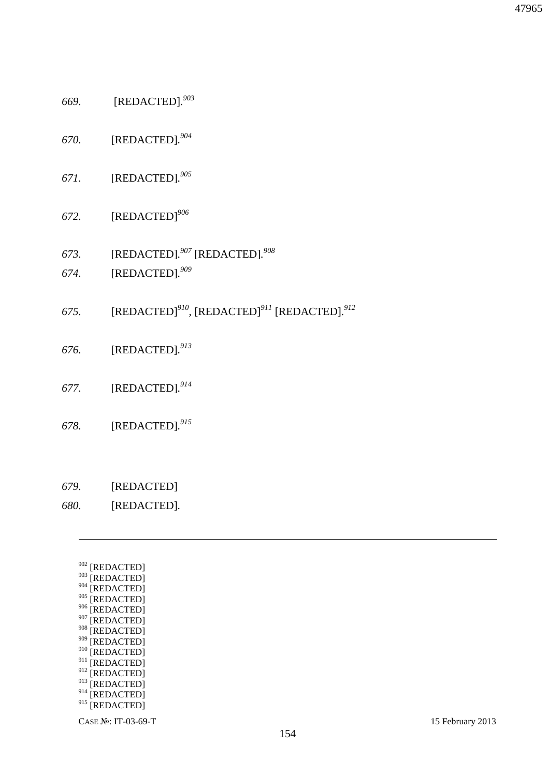- CASE №: IT-03-69-T 15 February 2013
- 908 [REDACTED]  $909$  [REDACTED] 910 [REDACTED] <sup>911</sup> [REDACTED] <sup>912</sup> [REDACTED]

<sup>913</sup> [REDACTED] <sup>914</sup> [REDACTED] <sup>915</sup> [REDACTED]

- <sup>907</sup> [REDACTED]
- 906 [REDACTED]
- 905 [REDACTED]
- $904$  [REDACTED]
- $903$  [REDACTED]
- <sup>902</sup> [REDACTED]

<u>.</u>

- *680.* [REDACTED]*.*
- *679.* [REDACTED]
- 
- 
- *678.* [REDACTED]*. 915*
- *677.* [REDACTED]*. 914*
- *676.* [REDACTED]*. 913*
- *675.* [REDACTED]*<sup>910</sup> ,* [REDACTED]*<sup>911</sup>* [REDACTED]*. 912*

154

- *674.* [REDACTED]*. 909*
- *673.* [REDACTED]*. <sup>907</sup>* [REDACTED]*. 908*
- *672.* [REDACTED]*<sup>906</sup>*
- *671.* [REDACTED]*. 905*
- *670.* [REDACTED]*. 904*
- *669.* [REDACTED]*. 903*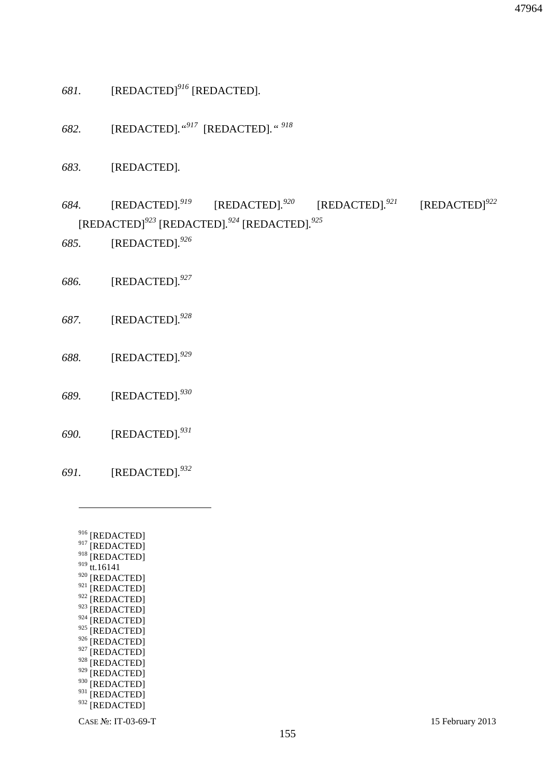- $927$  [REDACTED] 928 [REDACTED]  $929$  [REDACTED] 930 [REDACTED]  $931$ <sup>[REDACTED]</sup>  $932$  [REDACTED]
- $918$  [REDACTED]  $919$  tt.16141 920 [REDACTED]  $921$  [REDACTED] 922 [REDACTED] 923 [REDACTED]  $924$  [REDACTED]  $925$  [REDACTED]  $926$  [REDACTED]

<sup>916</sup> [REDACTED]  $917$  [REDACTED]

 $\overline{a}$ 

*691.* [REDACTED]*. 932* 

- *690.* [REDACTED]*. 931*
- *689.* [REDACTED]*. 930*
- 

*688.* [REDACTED]*. 929*

- *687.* [REDACTED]*. 928*
- *686.* [REDACTED]*. 927*
- *685.* [REDACTED]*. 926*

*683.* [REDACTED]*.* 

- *684.* [REDACTED]*. <sup>919</sup>* [REDACTED]*.*  $[REDACTED]$ <sup>921</sup> *<sup>921</sup>* [REDACTED]*<sup>922</sup>* [REDACTED]*<sup>923</sup>* [REDACTED]*. <sup>924</sup>* [REDACTED]*. 925*
- 
- *681.* [REDACTED]*<sup>916</sup>* [REDACTED]*.*

*682.* [REDACTED]*."<sup>917</sup>* [REDACTED]*." <sup>918</sup>*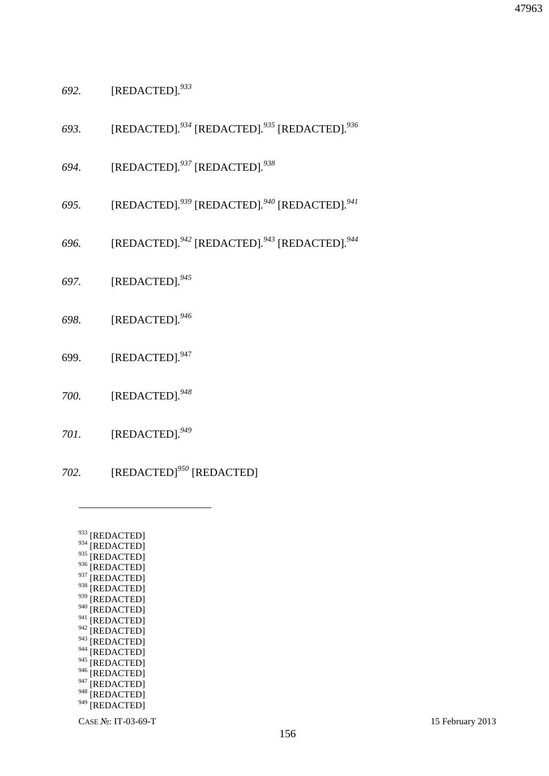$938$  [REDACTED] 939 [REDACTED] 940 [REDACTED]  $941$  [REDACTED]  $942$  [REDACTED]  $943$  [REDACTED]  $944$  [REDACTED]  $945$ <sup>[REDACTED]</sup>  $^{946}$  [REDACTED] [REDACTED] 948 [REDACTED]  $949$  [REDACTED]

<sup>933</sup> [REDACTED]  $934$  [REDACTED]  $^{935}$  [REDACTED] 936 [REDACTED]  $937$  [REDACTED]

- *702.* [REDACTED]*<sup>950</sup>* [REDACTED]
- *701.* [REDACTED]*. 949*
- *700.* [REDACTED]*. 948*
- 699. [REDACTED]*.* 947
- *698.* [REDACTED]*. 946*
- *697.* [REDACTED]*. 945*
- *696.* [REDACTED]*. <sup>942</sup>* [REDACTED]*. <sup>943</sup>* [REDACTED]*. 944*
- *695.* [REDACTED]*. <sup>939</sup>* [REDACTED]*. <sup>940</sup>* [REDACTED]*. 941*
- *694.* [REDACTED]*. <sup>937</sup>* [REDACTED]*. 938*
- *693.* [REDACTED]*. <sup>934</sup>* [REDACTED]*. <sup>935</sup>* [REDACTED]*. 936*
- *692.* [REDACTED]*. 933*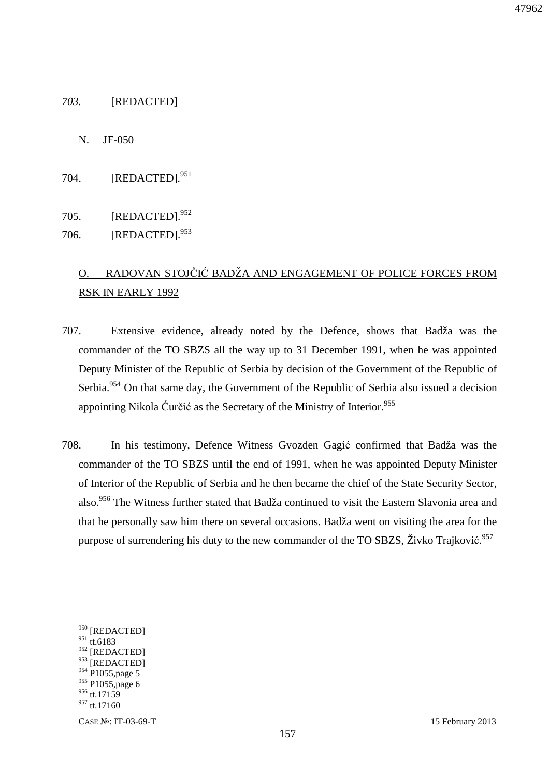### *703.* [REDACTED]

#### N. JF-050

704. [REDACTED]*.* 951

705. [REDACTED].<sup>952</sup> 706. [REDACTED].<sup>953</sup>

# O. RADOVAN STOJČIĆ BADŽA AND ENGAGEMENT OF POLICE FORCES FROM RSK IN EARLY 1992

- 707. Extensive evidence, already noted by the Defence, shows that Badža was the commander of the TO SBZS all the way up to 31 December 1991, when he was appointed Deputy Minister of the Republic of Serbia by decision of the Government of the Republic of Serbia.<sup>954</sup> On that same day, the Government of the Republic of Serbia also issued a decision appointing Nikola Ćurčić as the Secretary of the Ministry of Interior.<sup>955</sup>
- 708. In his testimony, Defence Witness Gvozden Gagić confirmed that Badža was the commander of the TO SBZS until the end of 1991, when he was appointed Deputy Minister of Interior of the Republic of Serbia and he then became the chief of the State Security Sector, also.<sup>956</sup> The Witness further stated that Badža continued to visit the Eastern Slavonia area and that he personally saw him there on several occasions. Badža went on visiting the area for the purpose of surrendering his duty to the new commander of the TO SBZS, Živko Trajković.<sup>957</sup>

<sup>950 [</sup>REDACTED]

 $951$  tt.6183

<sup>952 [</sup>REDACTED]

 $953$ <sup>[REDACTED]</sup>

 $954$  P1055, page 5

<sup>955</sup> P1055, page 6

<sup>956</sup> tt.17159

<sup>&</sup>lt;sup>957</sup> tt.17160

CASE №: IT-03-69-T 15 February 2013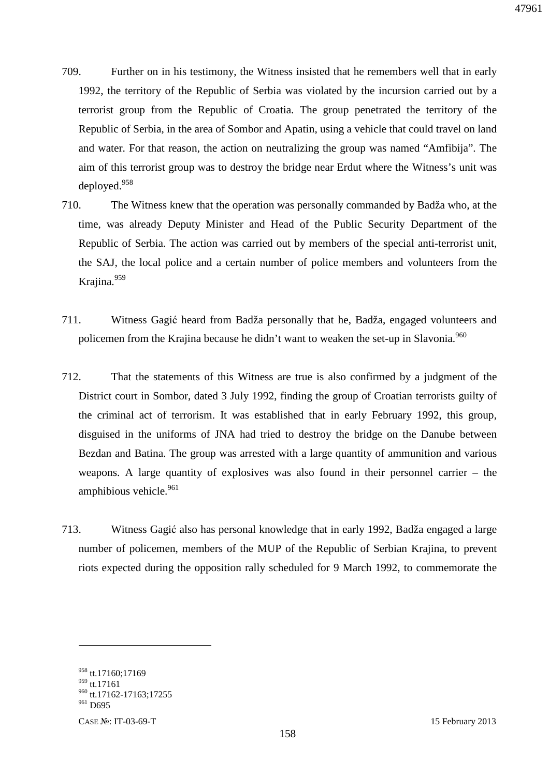- 709. Further on in his testimony, the Witness insisted that he remembers well that in early 1992, the territory of the Republic of Serbia was violated by the incursion carried out by a terrorist group from the Republic of Croatia. The group penetrated the territory of the Republic of Serbia, in the area of Sombor and Apatin, using a vehicle that could travel on land and water. For that reason, the action on neutralizing the group was named "Amfibija". The aim of this terrorist group was to destroy the bridge near Erdut where the Witness's unit was deployed.<sup>958</sup>
- 710. The Witness knew that the operation was personally commanded by Badža who, at the time, was already Deputy Minister and Head of the Public Security Department of the Republic of Serbia. The action was carried out by members of the special anti-terrorist unit, the SAJ, the local police and a certain number of police members and volunteers from the Krajina.<sup>959</sup>
- 711. Witness Gagić heard from Badža personally that he, Badža, engaged volunteers and policemen from the Krajina because he didn't want to weaken the set-up in Slavonia.<sup>960</sup>
- 712. That the statements of this Witness are true is also confirmed by a judgment of the District court in Sombor, dated 3 July 1992, finding the group of Croatian terrorists guilty of the criminal act of terrorism. It was established that in early February 1992, this group, disguised in the uniforms of JNA had tried to destroy the bridge on the Danube between Bezdan and Batina. The group was arrested with a large quantity of ammunition and various weapons. A large quantity of explosives was also found in their personnel carrier – the amphibious vehicle. $961$
- 713. Witness Gagić also has personal knowledge that in early 1992, Badža engaged a large number of policemen, members of the MUP of the Republic of Serbian Krajina, to prevent riots expected during the opposition rally scheduled for 9 March 1992, to commemorate the

<sup>958</sup> tt.17160;17169 959 tt.17161

<sup>&</sup>lt;sup>960</sup> tt.17162-17163;17255

<sup>&</sup>lt;sup>961</sup> D695

CASE №: IT-03-69-T 15 February 2013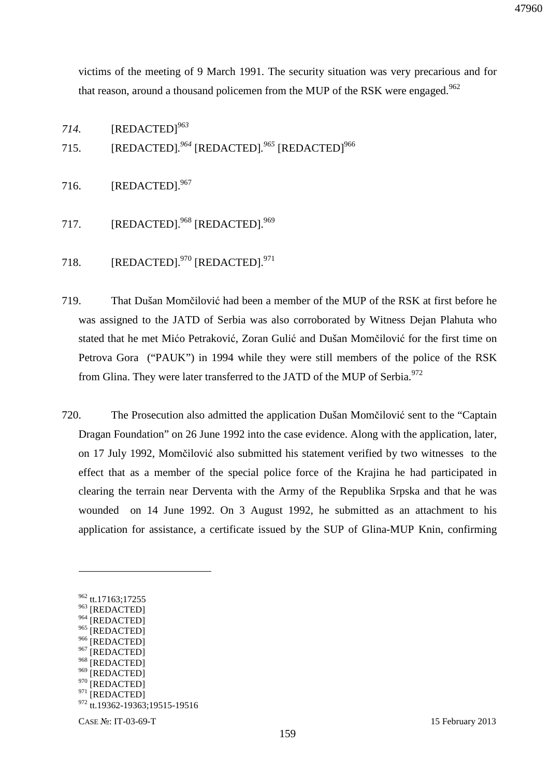victims of the meeting of 9 March 1991. The security situation was very precarious and for that reason, around a thousand policemen from the MUP of the RSK were engaged.<sup>962</sup>

*714.* [REDACTED]*<sup>963</sup>*

715. [REDACTED].<sup>964</sup> [REDACTED].<sup>965</sup> [REDACTED]<sup>966</sup>

716. [REDACTED].<sup>967</sup>

- 717. [REDACTED].<sup>968</sup> [REDACTED].<sup>969</sup>
- 718. [REDACTED]. $^{970}$  [REDACTED]. $^{971}$
- 719. That Dušan Momčilović had been a member of the MUP of the RSK at first before he was assigned to the JATD of Serbia was also corroborated by Witness Dejan Plahuta who stated that he met Mićo Petraković, Zoran Gulić and Dušan Momčilović for the first time on Petrova Gora ("PAUK") in 1994 while they were still members of the police of the RSK from Glina. They were later transferred to the JATD of the MUP of Serbia.<sup>972</sup>
- 720. The Prosecution also admitted the application Dušan Momčilović sent to the "Captain Dragan Foundation" on 26 June 1992 into the case evidence. Along with the application, later, on 17 July 1992, Momčilović also submitted his statement verified by two witnesses to the effect that as a member of the special police force of the Krajina he had participated in clearing the terrain near Derventa with the Army of the Republika Srpska and that he was wounded on 14 June 1992. On 3 August 1992, he submitted as an attachment to his application for assistance, a certificate issued by the SUP of Glina-MUP Knin, confirming

- $^{966}$  [REDACTED]
- $\frac{967}{968}$  [REDACTED]
- $\frac{968}{969}$  [REDACTED]
- <sup>969</sup> [REDACTED]<br><sup>970</sup> [PEDACTED]
- [REDACTED]  $971$  [REDACTED]

<sup>962</sup> tt.17163;17255

<sup>963 [</sup>REDACTED]

<sup>964 [</sup>REDACTED] 965 [REDACTED]

<sup>972</sup> tt.19362-19363;19515-19516

CASE №: IT-03-69-T 15 February 2013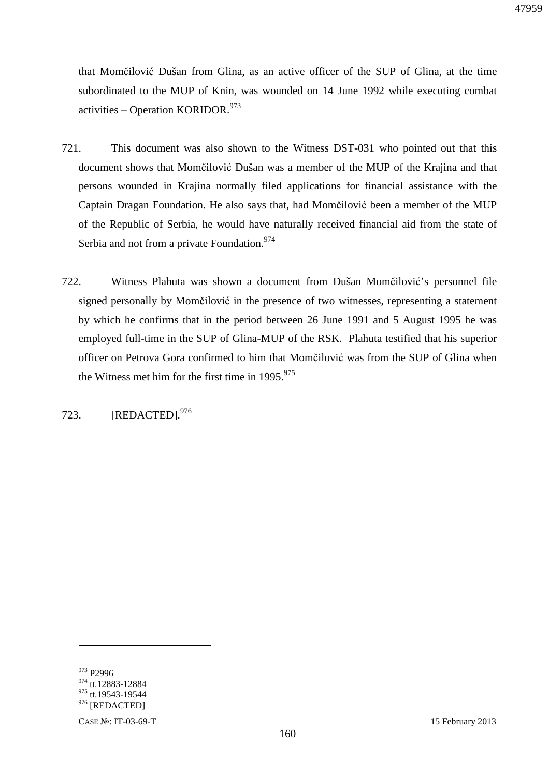that Momčilović Dušan from Glina, as an active officer of the SUP of Glina, at the time subordinated to the MUP of Knin, was wounded on 14 June 1992 while executing combat activities – Operation KORIDOR. $973$ 

- 721. This document was also shown to the Witness DST-031 who pointed out that this document shows that Momčilović Dušan was a member of the MUP of the Krajina and that persons wounded in Krajina normally filed applications for financial assistance with the Captain Dragan Foundation. He also says that, had Momčilović been a member of the MUP of the Republic of Serbia, he would have naturally received financial aid from the state of Serbia and not from a private Foundation.<sup>974</sup>
- 722. Witness Plahuta was shown a document from Dušan Momčilović's personnel file signed personally by Momčilović in the presence of two witnesses, representing a statement by which he confirms that in the period between 26 June 1991 and 5 August 1995 he was employed full-time in the SUP of Glina-MUP of the RSK. Plahuta testified that his superior officer on Petrova Gora confirmed to him that Momčilović was from the SUP of Glina when the Witness met him for the first time in  $1995.^{975}$

723. [REDACTED]*.* 976

<sup>973</sup> P<sub>2996</sub>

<sup>974</sup> tt.12883-12884

 $975$  tt.19543-19544 976 [REDACTED]

CASE №: IT-03-69-T 15 February 2013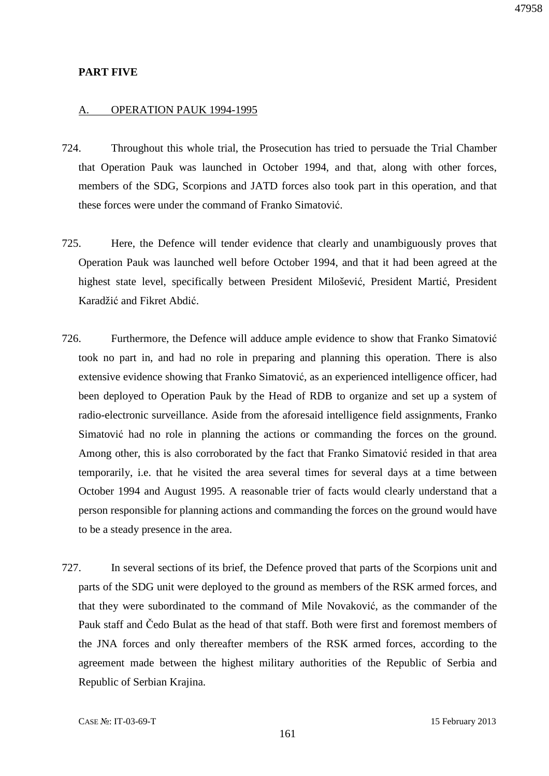### **PART FIVE**

#### A. OPERATION PAUK 1994-1995

- 724. Throughout this whole trial, the Prosecution has tried to persuade the Trial Chamber that Operation Pauk was launched in October 1994, and that, along with other forces, members of the SDG, Scorpions and JATD forces also took part in this operation, and that these forces were under the command of Franko Simatović.
- 725. Here, the Defence will tender evidence that clearly and unambiguously proves that Operation Pauk was launched well before October 1994, and that it had been agreed at the highest state level, specifically between President Milošević, President Martić, President Karadžić and Fikret Abdić.
- 726. Furthermore, the Defence will adduce ample evidence to show that Franko Simatović took no part in, and had no role in preparing and planning this operation. There is also extensive evidence showing that Franko Simatović, as an experienced intelligence officer, had been deployed to Operation Pauk by the Head of RDB to organize and set up a system of radio-electronic surveillance. Aside from the aforesaid intelligence field assignments, Franko Simatović had no role in planning the actions or commanding the forces on the ground. Among other, this is also corroborated by the fact that Franko Simatović resided in that area temporarily, i.e. that he visited the area several times for several days at a time between October 1994 and August 1995. A reasonable trier of facts would clearly understand that a person responsible for planning actions and commanding the forces on the ground would have to be a steady presence in the area.
- 727. In several sections of its brief, the Defence proved that parts of the Scorpions unit and parts of the SDG unit were deployed to the ground as members of the RSK armed forces, and that they were subordinated to the command of Mile Novaković, as the commander of the Pauk staff and Čedo Bulat as the head of that staff. Both were first and foremost members of the JNA forces and only thereafter members of the RSK armed forces, according to the agreement made between the highest military authorities of the Republic of Serbia and Republic of Serbian Krajina.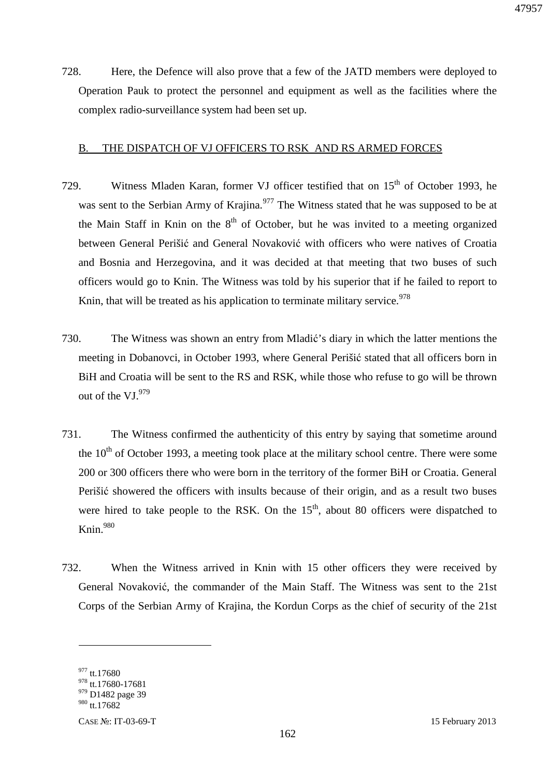728. Here, the Defence will also prove that a few of the JATD members were deployed to Operation Pauk to protect the personnel and equipment as well as the facilities where the complex radio-surveillance system had been set up.

### B. THE DISPATCH OF VJ OFFICERS TO RSK AND RS ARMED FORCES

- 729. Witness Mladen Karan, former VJ officer testified that on  $15<sup>th</sup>$  of October 1993, he was sent to the Serbian Army of Krajina.<sup>977</sup> The Witness stated that he was supposed to be at the Main Staff in Knin on the  $8<sup>th</sup>$  of October, but he was invited to a meeting organized between General Perišić and General Novaković with officers who were natives of Croatia and Bosnia and Herzegovina, and it was decided at that meeting that two buses of such officers would go to Knin. The Witness was told by his superior that if he failed to report to Knin, that will be treated as his application to terminate military service.<sup>978</sup>
- 730. The Witness was shown an entry from Mladić's diary in which the latter mentions the meeting in Dobanovci, in October 1993, where General Perišić stated that all officers born in BiH and Croatia will be sent to the RS and RSK, while those who refuse to go will be thrown out of the  $VI.^{979}$
- 731. The Witness confirmed the authenticity of this entry by saying that sometime around the  $10<sup>th</sup>$  of October 1993, a meeting took place at the military school centre. There were some 200 or 300 officers there who were born in the territory of the former BiH or Croatia. General Perišić showered the officers with insults because of their origin, and as a result two buses were hired to take people to the RSK. On the  $15<sup>th</sup>$ , about 80 officers were dispatched to Knin.<sup>980</sup>
- 732. When the Witness arrived in Knin with 15 other officers they were received by General Novaković, the commander of the Main Staff. The Witness was sent to the 21st Corps of the Serbian Army of Krajina, the Kordun Corps as the chief of security of the 21st

<sup>977</sup> tt.17680

<sup>978</sup> tt.17680-17681

<sup>&</sup>lt;sup>979</sup> D1482 page 39

<sup>980</sup> tt.17682

CASE №: IT-03-69-T 15 February 2013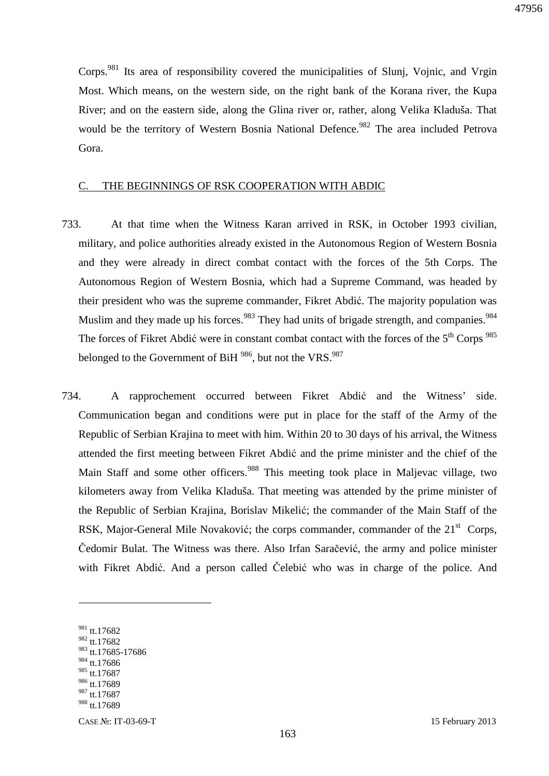Corps.<sup>981</sup> Its area of responsibility covered the municipalities of Slunj, Vojnic, and Vrgin Most. Which means, on the western side, on the right bank of the Korana river, the Kupa River; and on the eastern side, along the Glina river or, rather, along Velika Kladuša. That would be the territory of Western Bosnia National Defence.<sup>982</sup> The area included Petrova Gora.

#### C. THE BEGINNINGS OF RSK COOPERATION WITH ABDIC

- 733. At that time when the Witness Karan arrived in RSK, in October 1993 civilian, military, and police authorities already existed in the Autonomous Region of Western Bosnia and they were already in direct combat contact with the forces of the 5th Corps. The Autonomous Region of Western Bosnia, which had a Supreme Command, was headed by their president who was the supreme commander, Fikret Abdić. The majority population was Muslim and they made up his forces.<sup>983</sup> They had units of brigade strength, and companies.<sup>984</sup> The forces of Fikret Abdić were in constant combat contact with the forces of the  $5<sup>th</sup>$  Corps  $985$ belonged to the Government of BiH 986, but not the VRS.<sup>987</sup>
- 734. A rapprochement occurred between Fikret Abdić and the Witness' side. Communication began and conditions were put in place for the staff of the Army of the Republic of Serbian Krajina to meet with him. Within 20 to 30 days of his arrival, the Witness attended the first meeting between Fikret Abdić and the prime minister and the chief of the Main Staff and some other officers.<sup>988</sup> This meeting took place in Maljevac village, two kilometers away from Velika Kladuša. That meeting was attended by the prime minister of the Republic of Serbian Krajina, Borislav Mikelić; the commander of the Main Staff of the RSK, Major-General Mile Novaković; the corps commander, commander of the  $21<sup>st</sup>$  Corps, Čedomir Bulat. The Witness was there. Also Irfan Saračević, the army and police minister with Fikret Abdić. And a person called Čelebić who was in charge of the police. And

 $\overline{a}$ 

 $984$  tt.17686

<sup>981</sup> tt.17682

<sup>982</sup> tt.17682

<sup>983</sup> tt.17685-17686

<sup>985</sup> tt.17687

<sup>986</sup> tt.17689

<sup>987</sup> tt.17687

<sup>988</sup> tt.17689

CASE №: IT-03-69-T 15 February 2013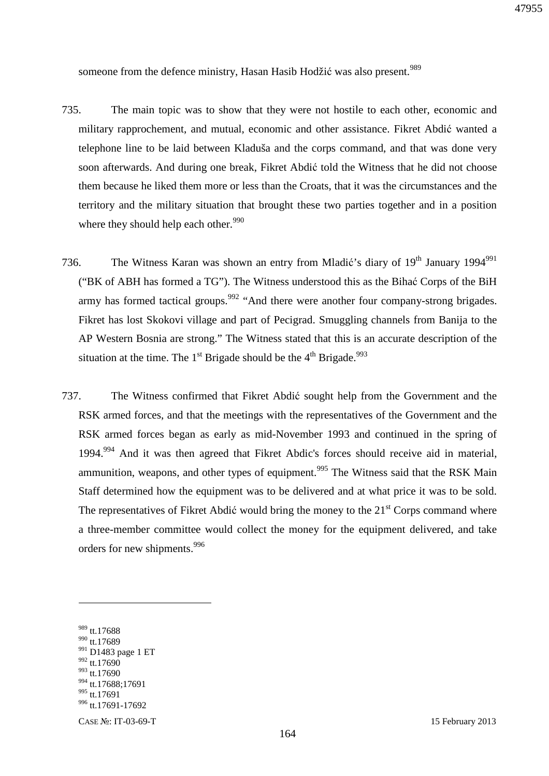someone from the defence ministry, Hasan Hasib Hodžić was also present.<sup>989</sup>

- 735. The main topic was to show that they were not hostile to each other, economic and military rapprochement, and mutual, economic and other assistance. Fikret Abdić wanted a telephone line to be laid between Kladuša and the corps command, and that was done very soon afterwards. And during one break, Fikret Abdić told the Witness that he did not choose them because he liked them more or less than the Croats, that it was the circumstances and the territory and the military situation that brought these two parties together and in a position where they should help each other. $990$
- 736. The Witness Karan was shown an entry from Mladić's diary of 19<sup>th</sup> January 1994<sup>991</sup> ("BK of ABH has formed a TG"). The Witness understood this as the Bihać Corps of the BiH army has formed tactical groups.<sup>992</sup> "And there were another four company-strong brigades. Fikret has lost Skokovi village and part of Pecigrad. Smuggling channels from Banija to the AP Western Bosnia are strong." The Witness stated that this is an accurate description of the situation at the time. The 1<sup>st</sup> Brigade should be the  $4<sup>th</sup>$  Brigade.<sup>993</sup>
- 737. The Witness confirmed that Fikret Abdić sought help from the Government and the RSK armed forces, and that the meetings with the representatives of the Government and the RSK armed forces began as early as mid-November 1993 and continued in the spring of 1994.<sup>994</sup> And it was then agreed that Fikret Abdic's forces should receive aid in material, ammunition, weapons, and other types of equipment.<sup>995</sup> The Witness said that the RSK Main Staff determined how the equipment was to be delivered and at what price it was to be sold. The representatives of Fikret Abdić would bring the money to the  $21<sup>st</sup>$  Corps command where a three-member committee would collect the money for the equipment delivered, and take orders for new shipments.<sup>996</sup>

 $\overline{a}$ 

 $992$  tt.17690 <sup>993</sup> tt.17690

<sup>989</sup> tt.17688

<sup>990</sup> tt.17689

<sup>&</sup>lt;sup>991</sup> D1483 page 1 ET

<sup>994</sup> tt.17688;17691

<sup>&</sup>lt;sup>995</sup> tt.17691

<sup>996</sup> tt.17691-17692

CASE №: IT-03-69-T 15 February 2013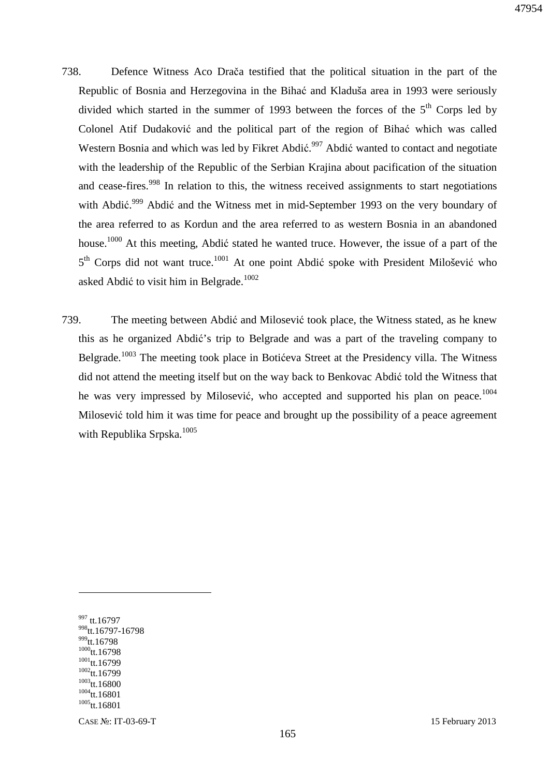- 738. Defence Witness Aco Drača testified that the political situation in the part of the Republic of Bosnia and Herzegovina in the Bihać and Kladuša area in 1993 were seriously divided which started in the summer of 1993 between the forces of the  $5<sup>th</sup>$  Corps led by Colonel Atif Dudaković and the political part of the region of Bihać which was called Western Bosnia and which was led by Fikret Abdić.<sup>997</sup> Abdić wanted to contact and negotiate with the leadership of the Republic of the Serbian Krajina about pacification of the situation and cease-fires.<sup>998</sup> In relation to this, the witness received assignments to start negotiations with Abdić.<sup>999</sup> Abdić and the Witness met in mid-September 1993 on the very boundary of the area referred to as Kordun and the area referred to as western Bosnia in an abandoned house.<sup>1000</sup> At this meeting, Abdić stated he wanted truce. However, the issue of a part of the 5<sup>th</sup> Corps did not want truce.<sup>1001</sup> At one point Abdić spoke with President Milošević who asked Abdić to visit him in Belgrade.<sup>1002</sup>
- 739. The meeting between Abdić and Milosević took place, the Witness stated, as he knew this as he organized Abdić's trip to Belgrade and was a part of the traveling company to Belgrade.<sup>1003</sup> The meeting took place in Botićeva Street at the Presidency villa. The Witness did not attend the meeting itself but on the way back to Benkovac Abdić told the Witness that he was very impressed by Milosević, who accepted and supported his plan on peace.<sup>1004</sup> Milosević told him it was time for peace and brought up the possibility of a peace agreement with Republika Srpska.<sup>1005</sup>

 $\overline{a}$ 

CASE №: IT-03-69-T 15 February 2013

<sup>997</sup> tt.16797 <sup>998</sup>tt.16797-16798 999<sub>tt.16798</sub>  $1000$ tt.16798  $1001$ <sub>tt.16799</sub>  $1002$ tt.16799  $1003$ <sub>tt.16800</sub>  $1004$ tt.16801  $1005$ tt.16801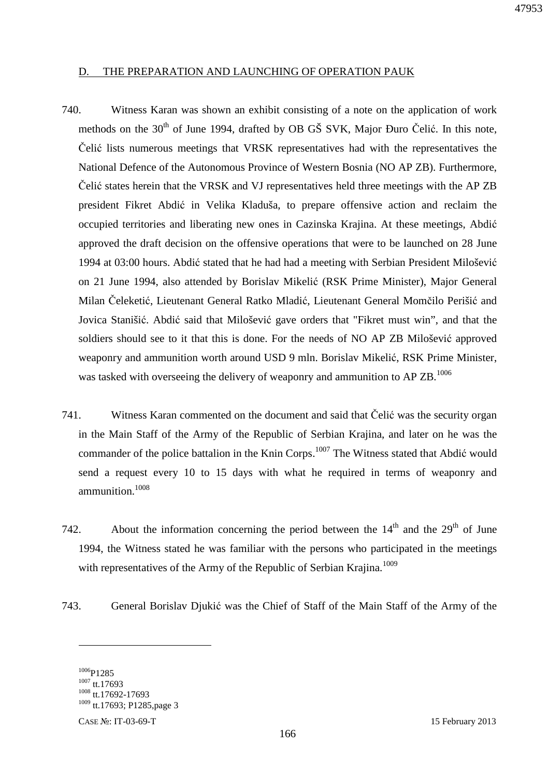### D. THE PREPARATION AND LAUNCHING OF OPERATION PAUK

- 740. Witness Karan was shown an exhibit consisting of a note on the application of work methods on the 30<sup>th</sup> of June 1994, drafted by OB GŠ SVK, Major Đuro Čelić. In this note, Čelić lists numerous meetings that VRSK representatives had with the representatives the National Defence of the Autonomous Province of Western Bosnia (NO AP ZB). Furthermore, Čelić states herein that the VRSK and VJ representatives held three meetings with the AP ZB president Fikret Abdić in Velika Kladuša, to prepare offensive action and reclaim the occupied territories and liberating new ones in Cazinska Krajina. At these meetings, Abdić approved the draft decision on the offensive operations that were to be launched on 28 June 1994 at 03:00 hours. Abdić stated that he had had a meeting with Serbian President Milošević on 21 June 1994, also attended by Borislav Mikelić (RSK Prime Minister), Major General Milan Čeleketić, Lieutenant General Ratko Mladić, Lieutenant General Momčilo Perišić and Jovica Stanišić. Abdić said that Milošević gave orders that "Fikret must win", and that the soldiers should see to it that this is done. For the needs of NO AP ZB Milošević approved weaponry and ammunition worth around USD 9 mln. Borislav Mikelić, RSK Prime Minister, was tasked with overseeing the delivery of weaponry and ammunition to AP  $ZB$ .<sup>1006</sup>
- 741. Witness Karan commented on the document and said that Čelić was the security organ in the Main Staff of the Army of the Republic of Serbian Krajina, and later on he was the commander of the police battalion in the Knin Corps.<sup>1007</sup> The Witness stated that Abdić would send a request every 10 to 15 days with what he required in terms of weaponry and ammunition.<sup>1008</sup>
- 742. About the information concerning the period between the  $14<sup>th</sup>$  and the  $29<sup>th</sup>$  of June 1994, the Witness stated he was familiar with the persons who participated in the meetings with representatives of the Army of the Republic of Serbian Krajina.<sup>1009</sup>
- 743. General Borislav Djukić was the Chief of Staff of the Main Staff of the Army of the

<sup>1006</sup>P1285 <sup>1007</sup> tt.17693 <sup>1008</sup> tt.17692-17693 <sup>1009</sup> tt.17693; P1285,page 3

CASE №: IT-03-69-T 15 February 2013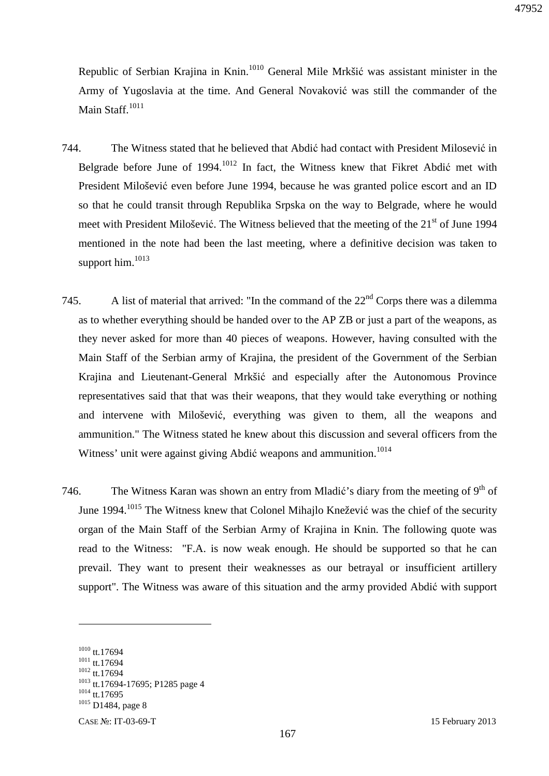Republic of Serbian Krajina in Knin.<sup>1010</sup> General Mile Mrkšić was assistant minister in the Army of Yugoslavia at the time. And General Novaković was still the commander of the Main Staff.<sup>1011</sup>

- 744. The Witness stated that he believed that Abdić had contact with President Milosević in Belgrade before June of 1994.<sup>1012</sup> In fact, the Witness knew that Fikret Abdić met with President Milošević even before June 1994, because he was granted police escort and an ID so that he could transit through Republika Srpska on the way to Belgrade, where he would meet with President Milošević. The Witness believed that the meeting of the  $21<sup>st</sup>$  of June 1994 mentioned in the note had been the last meeting, where a definitive decision was taken to support him.<sup>1013</sup>
- 745. A list of material that arrived: "In the command of the  $22<sup>nd</sup>$  Corps there was a dilemma as to whether everything should be handed over to the AP ZB or just a part of the weapons, as they never asked for more than 40 pieces of weapons. However, having consulted with the Main Staff of the Serbian army of Krajina, the president of the Government of the Serbian Krajina and Lieutenant-General Mrkšić and especially after the Autonomous Province representatives said that that was their weapons, that they would take everything or nothing and intervene with Milošević, everything was given to them, all the weapons and ammunition." The Witness stated he knew about this discussion and several officers from the Witness' unit were against giving Abdić weapons and ammunition.<sup>1014</sup>
- 746. The Witness Karan was shown an entry from Mladić's diary from the meeting of  $9<sup>th</sup>$  of June 1994.<sup>1015</sup> The Witness knew that Colonel Mihajlo Knežević was the chief of the security organ of the Main Staff of the Serbian Army of Krajina in Knin. The following quote was read to the Witness: "F.A. is now weak enough. He should be supported so that he can prevail. They want to present their weaknesses as our betrayal or insufficient artillery support". The Witness was aware of this situation and the army provided Abdić with support

<sup>1010</sup> tt.17694 <sup>1011</sup> tt.17694 <sup>1012</sup> tt.17694 <sup>1013</sup> tt.17694-17695; P1285 page 4  $1014$  tt.17695 <sup>1015</sup> D1484, page 8

CASE №: IT-03-69-T 15 February 2013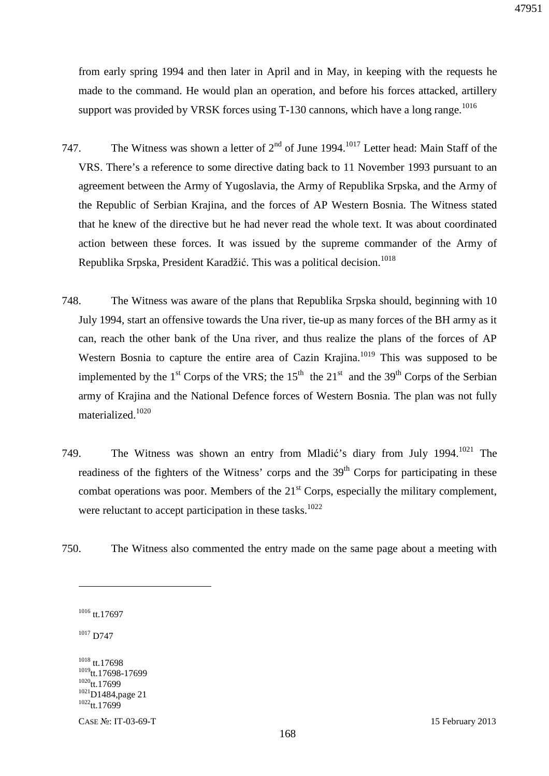from early spring 1994 and then later in April and in May, in keeping with the requests he made to the command. He would plan an operation, and before his forces attacked, artillery support was provided by VRSK forces using T-130 cannons, which have a long range.<sup>1016</sup>

- 747. The Witness was shown a letter of  $2<sup>nd</sup>$  of June 1994.<sup>1017</sup> Letter head: Main Staff of the VRS. There's a reference to some directive dating back to 11 November 1993 pursuant to an agreement between the Army of Yugoslavia, the Army of Republika Srpska, and the Army of the Republic of Serbian Krajina, and the forces of AP Western Bosnia. The Witness stated that he knew of the directive but he had never read the whole text. It was about coordinated action between these forces. It was issued by the supreme commander of the Army of Republika Srpska, President Karadžić. This was a political decision.<sup>1018</sup>
- 748. The Witness was aware of the plans that Republika Srpska should, beginning with 10 July 1994, start an offensive towards the Una river, tie-up as many forces of the BH army as it can, reach the other bank of the Una river, and thus realize the plans of the forces of AP Western Bosnia to capture the entire area of Cazin Krajina.<sup>1019</sup> This was supposed to be implemented by the  $1<sup>st</sup>$  Corps of the VRS; the  $15<sup>th</sup>$  the  $21<sup>st</sup>$  and the 39<sup>th</sup> Corps of the Serbian army of Krajina and the National Defence forces of Western Bosnia. The plan was not fully materialized.<sup>1020</sup>
- 749. The Witness was shown an entry from Mladić's diary from July 1994.<sup>1021</sup> The readiness of the fighters of the Witness' corps and the  $39<sup>th</sup>$  Corps for participating in these combat operations was poor. Members of the  $21<sup>st</sup>$  Corps, especially the military complement, were reluctant to accept participation in these tasks.<sup>1022</sup>
- 750. The Witness also commented the entry made on the same page about a meeting with

 $\overline{a}$ 

<sup>1018</sup> tt.17698 <sup>1019</sup>tt.17698-17699  $1020$ <sub>tt.17699</sub> <sup>1021</sup>D1484,page 21  $1022$ tt.17699

CASE №: IT-03-69-T 15 February 2013

<sup>1016</sup> tt.17697

<sup>&</sup>lt;sup>1017</sup> D747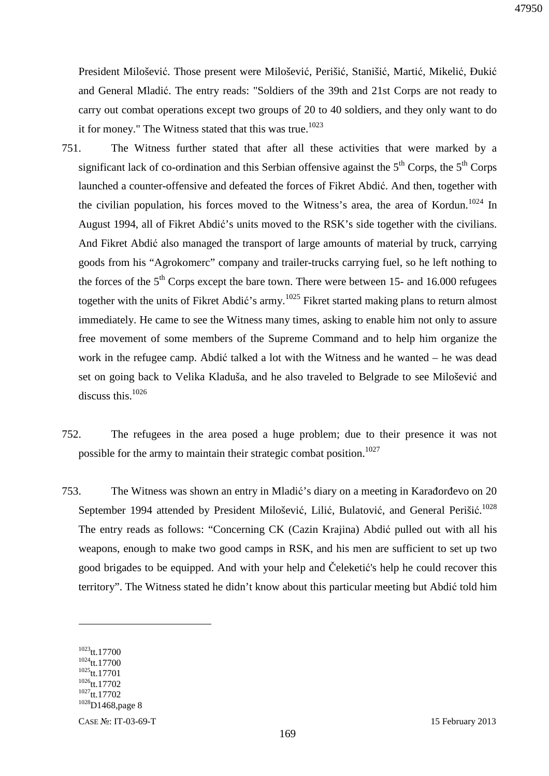President Milošević. Those present were Milošević, Perišić, Stanišić, Martić, Mikelić, Đukić and General Mladić. The entry reads: "Soldiers of the 39th and 21st Corps are not ready to carry out combat operations except two groups of 20 to 40 soldiers, and they only want to do it for money." The Witness stated that this was true.<sup>1023</sup>

- 751. The Witness further stated that after all these activities that were marked by a significant lack of co-ordination and this Serbian offensive against the  $5<sup>th</sup>$  Corps, the  $5<sup>th</sup>$  Corps launched a counter-offensive and defeated the forces of Fikret Abdić. And then, together with the civilian population, his forces moved to the Witness's area, the area of Kordun.<sup>1024</sup> In August 1994, all of Fikret Abdić's units moved to the RSK's side together with the civilians. And Fikret Abdić also managed the transport of large amounts of material by truck, carrying goods from his "Agrokomerc" company and trailer-trucks carrying fuel, so he left nothing to the forces of the  $5<sup>th</sup>$  Corps except the bare town. There were between 15- and 16.000 refugees together with the units of Fikret Abdić's army.<sup>1025</sup> Fikret started making plans to return almost immediately. He came to see the Witness many times, asking to enable him not only to assure free movement of some members of the Supreme Command and to help him organize the work in the refugee camp. Abdić talked a lot with the Witness and he wanted – he was dead set on going back to Velika Kladuša, and he also traveled to Belgrade to see Milošević and discuss this.<sup>1026</sup>
- 752. The refugees in the area posed a huge problem; due to their presence it was not possible for the army to maintain their strategic combat position.<sup>1027</sup>
- 753. The Witness was shown an entry in Mladić's diary on a meeting in Karađorđevo on 20 September 1994 attended by President Milošević, Lilić, Bulatović, and General Perišić.<sup>1028</sup> The entry reads as follows: "Concerning CK (Cazin Krajina) Abdić pulled out with all his weapons, enough to make two good camps in RSK, and his men are sufficient to set up two good brigades to be equipped. And with your help and Čeleketić's help he could recover this territory". The Witness stated he didn't know about this particular meeting but Abdić told him

<sup>1023</sup>tt.17700 <sup>1024</sup>tt.17700 <sup>1025</sup>tt.17701  $1026$ tt.17702  $1027$ tt.17702 1028<sub>D1468</sub>, page 8

CASE №: IT-03-69-T 15 February 2013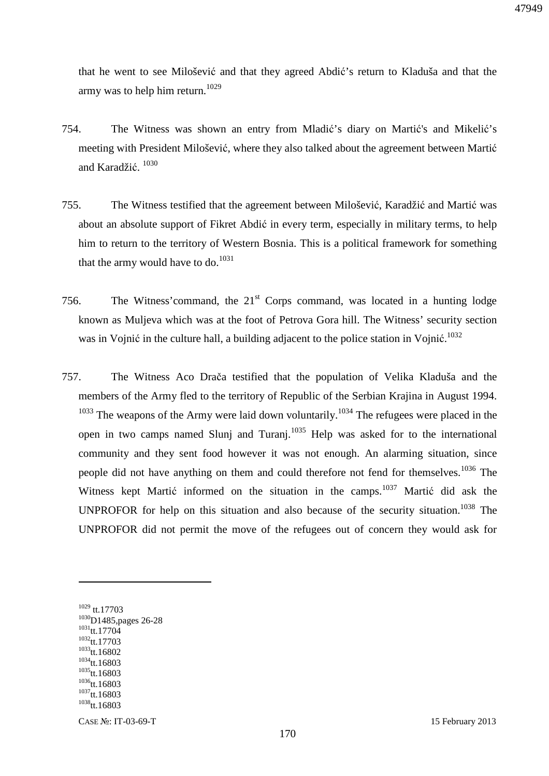that he went to see Milošević and that they agreed Abdić's return to Kladuša and that the army was to help him return.<sup>1029</sup>

- 754. The Witness was shown an entry from Mladić's diary on Martić's and Mikelić's meeting with President Milošević, where they also talked about the agreement between Martić and Karadžić. 1030
- 755. The Witness testified that the agreement between Milošević, Karadžić and Martić was about an absolute support of Fikret Abdić in every term, especially in military terms, to help him to return to the territory of Western Bosnia. This is a political framework for something that the army would have to do. $1031$
- 756. The Witness' command, the  $21<sup>st</sup>$  Corps command, was located in a hunting lodge known as Muljeva which was at the foot of Petrova Gora hill. The Witness' security section was in Vojnić in the culture hall, a building adjacent to the police station in Vojnić.<sup>1032</sup>
- 757. The Witness Aco Drača testified that the population of Velika Kladuša and the members of the Army fled to the territory of Republic of the Serbian Krajina in August 1994.  $1033$  The weapons of the Army were laid down voluntarily.<sup>1034</sup> The refugees were placed in the open in two camps named Slunj and Turanj.<sup>1035</sup> Help was asked for to the international community and they sent food however it was not enough. An alarming situation, since people did not have anything on them and could therefore not fend for themselves.<sup>1036</sup> The Witness kept Martić informed on the situation in the camps.<sup>1037</sup> Martić did ask the UNPROFOR for help on this situation and also because of the security situation.<sup>1038</sup> The UNPROFOR did not permit the move of the refugees out of concern they would ask for

<sup>1029</sup> tt.17703 <sup>1030</sup>D1485,pages 26-28 <sup>1031</sup>tt.17704 <sup>1032</sup>tt.17703  $1033$ tt.16802 <sup>1034</sup>tt.16803  $1035$ tt.16803  $1036$ tt.16803 <sup>1037</sup>tt.16803 <sup>1038</sup>tt.16803

 $\overline{a}$ 

CASE №: IT-03-69-T 15 February 2013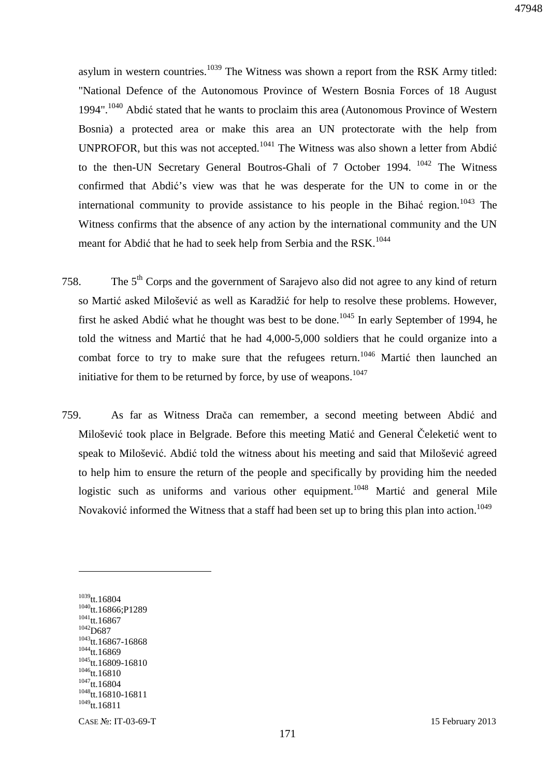asylum in western countries.<sup>1039</sup> The Witness was shown a report from the RSK Army titled: "National Defence of the Autonomous Province of Western Bosnia Forces of 18 August 1994".<sup>1040</sup> Abdić stated that he wants to proclaim this area (Autonomous Province of Western Bosnia) a protected area or make this area an UN protectorate with the help from UNPROFOR, but this was not accepted.<sup>1041</sup> The Witness was also shown a letter from Abdić to the then-UN Secretary General Boutros-Ghali of 7 October 1994.<sup>1042</sup> The Witness confirmed that Abdić's view was that he was desperate for the UN to come in or the international community to provide assistance to his people in the Bihać region.<sup>1043</sup> The Witness confirms that the absence of any action by the international community and the UN meant for Abdić that he had to seek help from Serbia and the RSK.<sup>1044</sup>

- 758. The 5<sup>th</sup> Corps and the government of Sarajevo also did not agree to any kind of return so Martić asked Milošević as well as Karadžić for help to resolve these problems. However, first he asked Abdić what he thought was best to be done.<sup>1045</sup> In early September of 1994, he told the witness and Martić that he had 4,000-5,000 soldiers that he could organize into a combat force to try to make sure that the refugees return.<sup>1046</sup> Martic then launched an initiative for them to be returned by force, by use of weapons.<sup>1047</sup>
- 759. As far as Witness Drača can remember, a second meeting between Abdić and Milošević took place in Belgrade. Before this meeting Matić and General Čeleketić went to speak to Milošević. Abdić told the witness about his meeting and said that Milošević agreed to help him to ensure the return of the people and specifically by providing him the needed logistic such as uniforms and various other equipment.<sup>1048</sup> Martić and general Mile Novaković informed the Witness that a staff had been set up to bring this plan into action.<sup>1049</sup>

 $1039$ tt.16804  $1040$ tt.16866;P1289  $1041$ tt.16867  $1042$ D687  $1043$ tt.16867-16868  $1044$ tt.16869 <sup>1045</sup>tt.16809-16810  $1046$ tt.16810  $1047$ tt.16804 <sup>1048</sup>tt.16810-16811  $^{1049}$ tt.16811

 $\overline{a}$ 

CASE №: IT-03-69-T 15 February 2013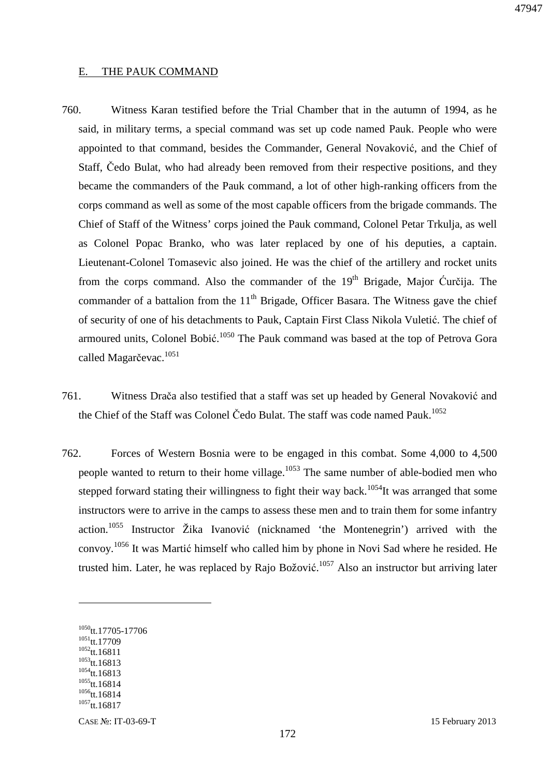#### E. THE PAUK COMMAND

- 760. Witness Karan testified before the Trial Chamber that in the autumn of 1994, as he said, in military terms, a special command was set up code named Pauk. People who were appointed to that command, besides the Commander, General Novaković, and the Chief of Staff, Čedo Bulat, who had already been removed from their respective positions, and they became the commanders of the Pauk command, a lot of other high-ranking officers from the corps command as well as some of the most capable officers from the brigade commands. The Chief of Staff of the Witness' corps joined the Pauk command, Colonel Petar Trkulja, as well as Colonel Popac Branko, who was later replaced by one of his deputies, a captain. Lieutenant-Colonel Tomasevic also joined. He was the chief of the artillery and rocket units from the corps command. Also the commander of the  $19<sup>th</sup>$  Brigade, Major Ćurčija. The commander of a battalion from the  $11<sup>th</sup>$  Brigade, Officer Basara. The Witness gave the chief of security of one of his detachments to Pauk, Captain First Class Nikola Vuletić. The chief of armoured units, Colonel Bobić.<sup>1050</sup> The Pauk command was based at the top of Petrova Gora called Magarčevac.<sup>1051</sup>
- 761. Witness Drača also testified that a staff was set up headed by General Novaković and the Chief of the Staff was Colonel Čedo Bulat. The staff was code named Pauk.<sup>1052</sup>
- 762. Forces of Western Bosnia were to be engaged in this combat. Some 4,000 to 4,500 people wanted to return to their home village.<sup>1053</sup> The same number of able-bodied men who stepped forward stating their willingness to fight their way back.<sup>1054</sup>It was arranged that some instructors were to arrive in the camps to assess these men and to train them for some infantry action.<sup>1055</sup> Instructor Žika Ivanović (nicknamed 'the Montenegrin') arrived with the convoy. <sup>1056</sup> It was Martić himself who called him by phone in Novi Sad where he resided. He trusted him. Later, he was replaced by Rajo Božović.<sup>1057</sup> Also an instructor but arriving later

<sup>1050</sup>tt.17705-17706  $1051$ tt.17709  $1052$ tt.16811 <sup>1053</sup>tt.16813  $1054$ tt.16813  $1055$ <sub>tt.16814</sub>  $1056$ tt.16814

 $1057$ tt.16817

CASE №: IT-03-69-T 15 February 2013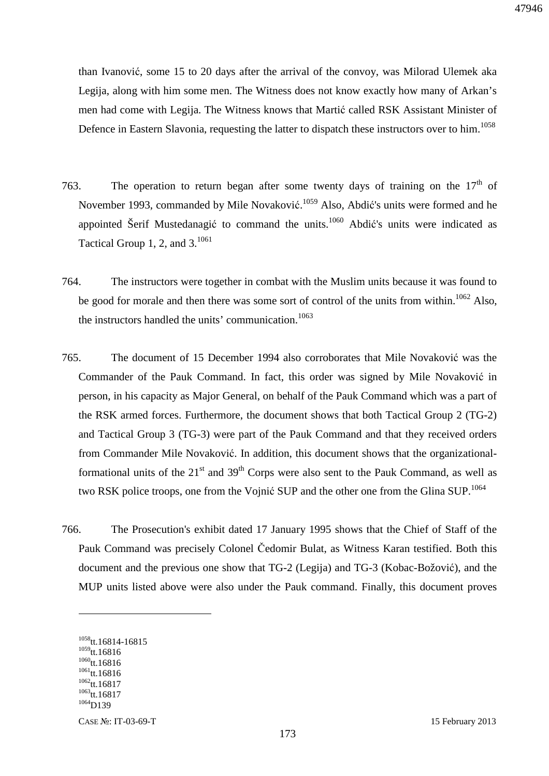than Ivanović, some 15 to 20 days after the arrival of the convoy, was Milorad Ulemek aka Legija, along with him some men. The Witness does not know exactly how many of Arkan's men had come with Legija. The Witness knows that Martić called RSK Assistant Minister of Defence in Eastern Slavonia, requesting the latter to dispatch these instructors over to him.<sup>1058</sup>

- 763. The operation to return began after some twenty days of training on the  $17<sup>th</sup>$  of November 1993, commanded by Mile Novaković.<sup>1059</sup> Also, Abdić's units were formed and he appointed Šerif Mustedanagić to command the units.<sup>1060</sup> Abdić's units were indicated as Tactical Group 1, 2, and  $3^{1061}$
- 764. The instructors were together in combat with the Muslim units because it was found to be good for morale and then there was some sort of control of the units from within.<sup>1062</sup> Also, the instructors handled the units' communication.<sup>1063</sup>
- 765. The document of 15 December 1994 also corroborates that Mile Novaković was the Commander of the Pauk Command. In fact, this order was signed by Mile Novaković in person, in his capacity as Major General, on behalf of the Pauk Command which was a part of the RSK armed forces. Furthermore, the document shows that both Tactical Group 2 (TG-2) and Tactical Group 3 (TG-3) were part of the Pauk Command and that they received orders from Commander Mile Novaković. In addition, this document shows that the organizationalformational units of the  $21<sup>st</sup>$  and  $39<sup>th</sup>$  Corps were also sent to the Pauk Command, as well as two RSK police troops, one from the Vojnić SUP and the other one from the Glina SUP.<sup>1064</sup>
- 766. The Prosecution's exhibit dated 17 January 1995 shows that the Chief of Staff of the Pauk Command was precisely Colonel Čedomir Bulat, as Witness Karan testified. Both this document and the previous one show that TG-2 (Legija) and TG-3 (Kobac-Božović), and the MUP units listed above were also under the Pauk command. Finally, this document proves

<sup>1058</sup>tt.16814-16815  $1059$ tt.16816  $1060$ tt.16816  $1061$ tt.16816  $1062$ <sub>tt.</sub> 16817  $1063$ tt.16817  $1064$ D139

CASE №: IT-03-69-T 15 February 2013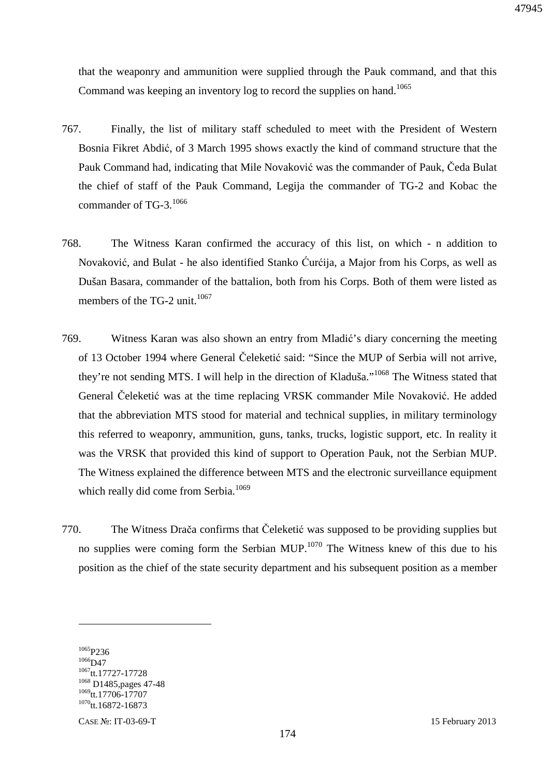that the weaponry and ammunition were supplied through the Pauk command, and that this Command was keeping an inventory log to record the supplies on hand.<sup>1065</sup>

- 767. Finally, the list of military staff scheduled to meet with the President of Western Bosnia Fikret Abdić, of 3 March 1995 shows exactly the kind of command structure that the Pauk Command had, indicating that Mile Novaković was the commander of Pauk, Čeda Bulat the chief of staff of the Pauk Command, Legija the commander of TG-2 and Kobac the commander of TG-3. $^{1066}$
- 768. The Witness Karan confirmed the accuracy of this list, on which n addition to Novaković, and Bulat - he also identified Stanko Ćurćija, a Major from his Corps, as well as Dušan Basara, commander of the battalion, both from his Corps. Both of them were listed as members of the TG-2 unit. $1067$
- 769. Witness Karan was also shown an entry from Mladić's diary concerning the meeting of 13 October 1994 where General Čeleketić said: "Since the MUP of Serbia will not arrive, they're not sending MTS. I will help in the direction of Kladuša."<sup>1068</sup> The Witness stated that General Čeleketić was at the time replacing VRSK commander Mile Novaković. He added that the abbreviation MTS stood for material and technical supplies, in military terminology this referred to weaponry, ammunition, guns, tanks, trucks, logistic support, etc. In reality it was the VRSK that provided this kind of support to Operation Pauk, not the Serbian MUP. The Witness explained the difference between MTS and the electronic surveillance equipment which really did come from Serbia.<sup>1069</sup>
- 770. The Witness Drača confirms that Čeleketić was supposed to be providing supplies but no supplies were coming form the Serbian MUP.<sup>1070</sup> The Witness knew of this due to his position as the chief of the state security department and his subsequent position as a member

<sup>1065</sup>P236  $1066$ D47 tt.17727-17728 D1485,pages 47-48 tt.17706-17707 tt.16872-16873

CASE №: IT-03-69-T 15 February 2013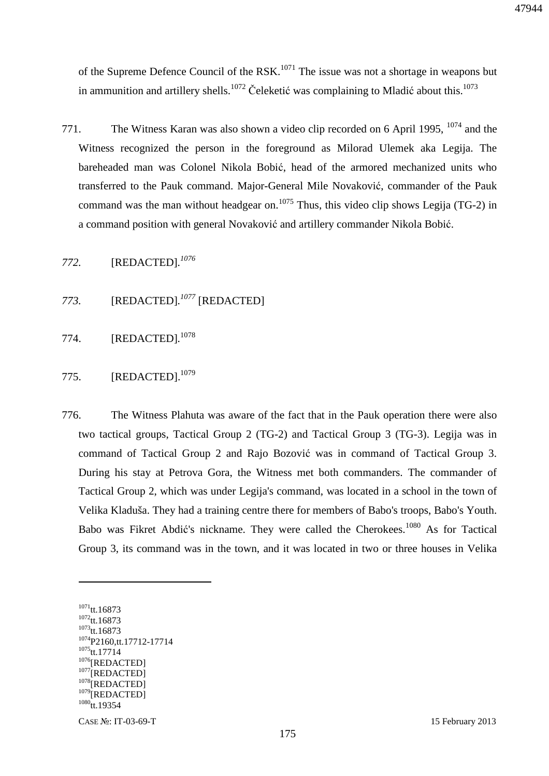of the Supreme Defence Council of the RSK.<sup>1071</sup> The issue was not a shortage in weapons but in ammunition and artillery shells.<sup>1072</sup> Čeleketić was complaining to Mladić about this.<sup>1073</sup>

771. The Witness Karan was also shown a video clip recorded on 6 April 1995,  $^{1074}$  and the Witness recognized the person in the foreground as Milorad Ulemek aka Legija. The bareheaded man was Colonel Nikola Bobić, head of the armored mechanized units who transferred to the Pauk command. Major-General Mile Novaković, commander of the Pauk command was the man without headgear on.<sup>1075</sup> Thus, this video clip shows Legija (TG-2) in a command position with general Novaković and artillery commander Nikola Bobić.

*772.* [REDACTED]*. 1076*

- *773.* [REDACTED]*. <sup>1077</sup>* [REDACTED]
- 774. [REDACTED]*.* 1078
- 775. [REDACTED].<sup>1079</sup>
- 776. The Witness Plahuta was aware of the fact that in the Pauk operation there were also two tactical groups, Tactical Group 2 (TG-2) and Tactical Group 3 (TG-3). Legija was in command of Tactical Group 2 and Rajo Bozović was in command of Tactical Group 3. During his stay at Petrova Gora, the Witness met both commanders. The commander of Tactical Group 2, which was under Legija's command, was located in a school in the town of Velika Kladuša. They had a training centre there for members of Babo's troops, Babo's Youth. Babo was Fikret Abdić's nickname. They were called the Cherokees.<sup>1080</sup> As for Tactical Group 3, its command was in the town, and it was located in two or three houses in Velika

<sup>1071</sup>tt.16873 <sup>1072</sup>tt.16873 <sup>1073</sup>tt.16873 <sup>1074</sup>P2160,tt.17712-17714  $1075$ tt.17714 <sup>1076</sup>[REDACTED] <sup>1077</sup>[REDACTED] <sup>1078</sup>[REDACTED] <sup>1079</sup>[REDACTED]  $1080$ tt.19354

 $\overline{a}$ 

CASE №: IT-03-69-T 15 February 2013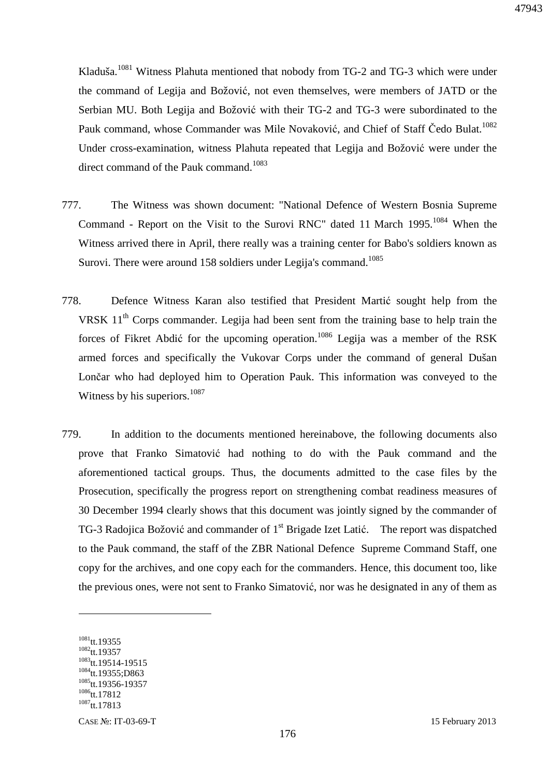Kladuša.<sup>1081</sup> Witness Plahuta mentioned that nobody from TG-2 and TG-3 which were under the command of Legija and Božović, not even themselves, were members of JATD or the Serbian MU. Both Legija and Božović with their TG-2 and TG-3 were subordinated to the Pauk command, whose Commander was Mile Novaković, and Chief of Staff Čedo Bulat.<sup>1082</sup> Under cross-examination, witness Plahuta repeated that Legija and Božović were under the direct command of the Pauk command.<sup>1083</sup>

- 777. The Witness was shown document: "National Defence of Western Bosnia Supreme Command - Report on the Visit to the Surovi RNC" dated 11 March 1995.<sup>1084</sup> When the Witness arrived there in April, there really was a training center for Babo's soldiers known as Surovi. There were around 158 soldiers under Legija's command.<sup>1085</sup>
- 778. Defence Witness Karan also testified that President Martić sought help from the VRSK  $11<sup>th</sup>$  Corps commander. Legija had been sent from the training base to help train the forces of Fikret Abdić for the upcoming operation.<sup>1086</sup> Legija was a member of the RSK armed forces and specifically the Vukovar Corps under the command of general Dušan Lončar who had deployed him to Operation Pauk. This information was conveyed to the Witness by his superiors. $1087$
- 779. In addition to the documents mentioned hereinabove, the following documents also prove that Franko Simatović had nothing to do with the Pauk command and the aforementioned tactical groups. Thus, the documents admitted to the case files by the Prosecution, specifically the progress report on strengthening combat readiness measures of 30 December 1994 clearly shows that this document was jointly signed by the commander of TG-3 Radojica Božović and commander of 1<sup>st</sup> Brigade Izet Latić. The report was dispatched to the Pauk command, the staff of the ZBR National Defence Supreme Command Staff, one copy for the archives, and one copy each for the commanders. Hence, this document too, like the previous ones, were not sent to Franko Simatović, nor was he designated in any of them as

 $1081$ tt.19355 <sup>1082</sup>tt.19357 <sup>1083</sup>tt.19514-19515 <sup>1084</sup>tt.19355;D863 <sup>1085</sup>tt.19356-19357 <sup>1086</sup>tt.17812 <sup>1087</sup>tt.17813

CASE №: IT-03-69-T 15 February 2013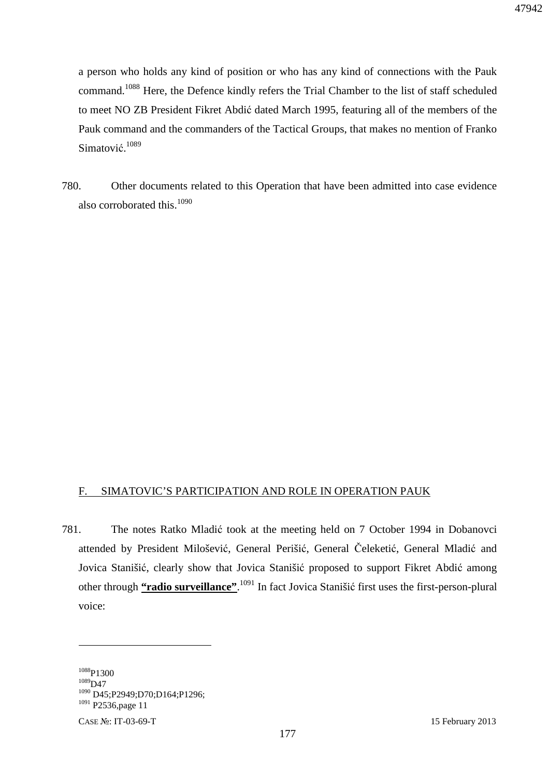a person who holds any kind of position or who has any kind of connections with the Pauk command.<sup>1088</sup> Here, the Defence kindly refers the Trial Chamber to the list of staff scheduled to meet NO ZB President Fikret Abdić dated March 1995, featuring all of the members of the Pauk command and the commanders of the Tactical Groups, that makes no mention of Franko Simatović.<sup>1089</sup>

780. Other documents related to this Operation that have been admitted into case evidence also corroborated this.<sup>1090</sup>

### F. SIMATOVIC'S PARTICIPATION AND ROLE IN OPERATION PAUK

781. The notes Ratko Mladić took at the meeting held on 7 October 1994 in Dobanovci attended by President Milošević, General Perišić, General Čeleketić, General Mladić and Jovica Stanišić, clearly show that Jovica Stanišić proposed to support Fikret Abdić among other through **"radio surveillance"**. <sup>1091</sup> In fact Jovica Stanišić first uses the first-person-plural voice:

<u>.</u>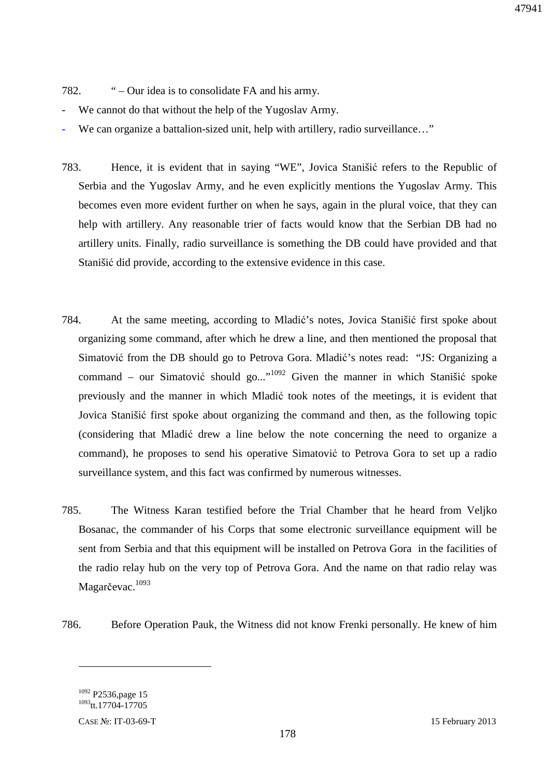47941

- 782. " Our idea is to consolidate FA and his army.
- We cannot do that without the help of the Yugoslav Army.
- We can organize a battalion-sized unit, help with artillery, radio surveillance..."
- 783. Hence, it is evident that in saying "WE", Jovica Stanišić refers to the Republic of Serbia and the Yugoslav Army, and he even explicitly mentions the Yugoslav Army. This becomes even more evident further on when he says, again in the plural voice, that they can help with artillery. Any reasonable trier of facts would know that the Serbian DB had no artillery units. Finally, radio surveillance is something the DB could have provided and that Stanišić did provide, according to the extensive evidence in this case.
- 784. At the same meeting, according to Mladić's notes, Jovica Stanišić first spoke about organizing some command, after which he drew a line, and then mentioned the proposal that Simatović from the DB should go to Petrova Gora. Mladić's notes read: "JS: Organizing a command – our Simatović should go..."<sup>1092</sup> Given the manner in which Stanišić spoke previously and the manner in which Mladić took notes of the meetings, it is evident that Jovica Stanišić first spoke about organizing the command and then, as the following topic (considering that Mladić drew a line below the note concerning the need to organize a command), he proposes to send his operative Simatović to Petrova Gora to set up a radio surveillance system, and this fact was confirmed by numerous witnesses.
- 785. The Witness Karan testified before the Trial Chamber that he heard from Veljko Bosanac, the commander of his Corps that some electronic surveillance equipment will be sent from Serbia and that this equipment will be installed on Petrova Gora in the facilities of the radio relay hub on the very top of Petrova Gora. And the name on that radio relay was Magarčevac.<sup>1093</sup>
- 786. Before Operation Pauk, the Witness did not know Frenki personally. He knew of him

<sup>&</sup>lt;sup>1092</sup> P2536, page 15 <sup>1093</sup>tt.17704-17705

CASE №: IT-03-69-T 15 February 2013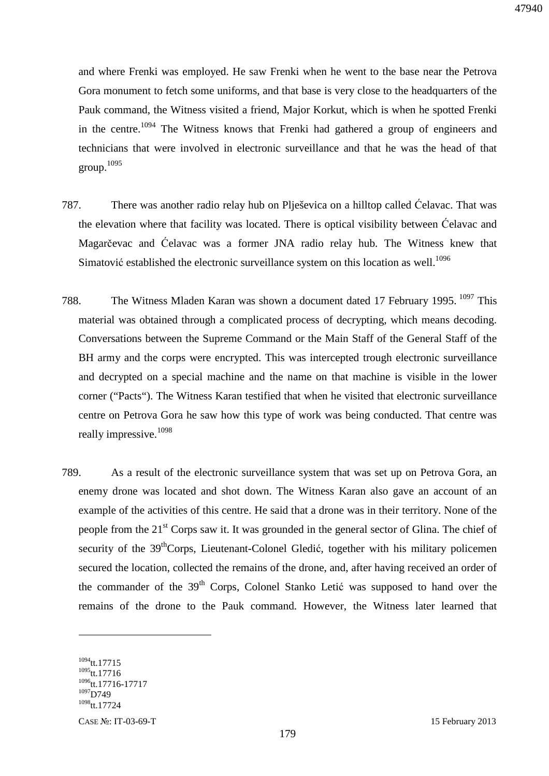and where Frenki was employed. He saw Frenki when he went to the base near the Petrova Gora monument to fetch some uniforms, and that base is very close to the headquarters of the Pauk command, the Witness visited a friend, Major Korkut, which is when he spotted Frenki in the centre.<sup>1094</sup> The Witness knows that Frenki had gathered a group of engineers and technicians that were involved in electronic surveillance and that he was the head of that group. 1095

- 787. There was another radio relay hub on Plješevica on a hilltop called Ćelavac. That was the elevation where that facility was located. There is optical visibility between Ćelavac and Magarčevac and Ćelavac was a former JNA radio relay hub. The Witness knew that Simatović established the electronic surveillance system on this location as well.<sup>1096</sup>
- 788. The Witness Mladen Karan was shown a document dated 17 February 1995.<sup>1097</sup> This material was obtained through a complicated process of decrypting, which means decoding. Conversations between the Supreme Command or the Main Staff of the General Staff of the BH army and the corps were encrypted. This was intercepted trough electronic surveillance and decrypted on a special machine and the name on that machine is visible in the lower corner ("Pacts"). The Witness Karan testified that when he visited that electronic surveillance centre on Petrova Gora he saw how this type of work was being conducted. That centre was really impressive.<sup>1098</sup>
- 789. As a result of the electronic surveillance system that was set up on Petrova Gora, an enemy drone was located and shot down. The Witness Karan also gave an account of an example of the activities of this centre. He said that a drone was in their territory. None of the people from the 21<sup>st</sup> Corps saw it. It was grounded in the general sector of Glina. The chief of security of the  $39<sup>th</sup>Corps$ , Lieutenant-Colonel Gledić, together with his military policemen secured the location, collected the remains of the drone, and, after having received an order of the commander of the 39<sup>th</sup> Corps, Colonel Stanko Letić was supposed to hand over the remains of the drone to the Pauk command. However, the Witness later learned that

 $1094$ tt.17715 <sup>1095</sup>tt.17716 <sup>1096</sup>tt.17716-17717  $1097$ D749 <sup>1098</sup>tt.17724

 $\overline{a}$ 

CASE №: IT-03-69-T 15 February 2013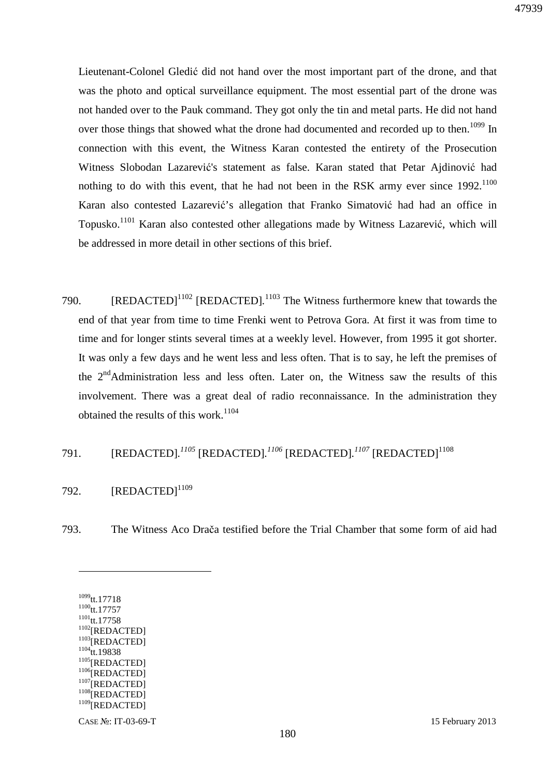Lieutenant-Colonel Gledić did not hand over the most important part of the drone, and that was the photo and optical surveillance equipment. The most essential part of the drone was not handed over to the Pauk command. They got only the tin and metal parts. He did not hand over those things that showed what the drone had documented and recorded up to then.<sup>1099</sup> In connection with this event, the Witness Karan contested the entirety of the Prosecution Witness Slobodan Lazarević's statement as false. Karan stated that Petar Ajdinović had nothing to do with this event, that he had not been in the RSK army ever since  $1992$ .<sup>1100</sup> Karan also contested Lazarević's allegation that Franko Simatović had had an office in Topusko.<sup>1101</sup> Karan also contested other allegations made by Witness Lazarević, which will be addressed in more detail in other sections of this brief.

- 790. [REDACTED]<sup>1102</sup> [REDACTED].<sup>1103</sup> The Witness furthermore knew that towards the end of that year from time to time Frenki went to Petrova Gora. At first it was from time to time and for longer stints several times at a weekly level. However, from 1995 it got shorter. It was only a few days and he went less and less often. That is to say, he left the premises of the  $2<sup>nd</sup>$ Administration less and less often. Later on, the Witness saw the results of this involvement. There was a great deal of radio reconnaissance. In the administration they obtained the results of this work.<sup>1104</sup>
- 791. [REDACTED]*. <sup>1105</sup>* [REDACTED]*. <sup>1106</sup>* [REDACTED]*. <sup>1107</sup>* [REDACTED]<sup>1108</sup>
- 792.  $[REDACTED]^{1109}$
- 793. The Witness Aco Drača testified before the Trial Chamber that some form of aid had

 $1099$ tt.17718  $1100$ tt.17757  $1101$ <sub>tt.17758</sub>  $1102$ [REDACTED] <sup>1103</sup>[REDACTED]  $1104$ tt.19838  $1105$ [REDACTED]  $1106$ [REDACTED]  $1107$ [REDACTED] <sup>1108</sup>[REDACTED] <sup>1109</sup>[REDACTED]

 $\overline{a}$ 

CASE №: IT-03-69-T 15 February 2013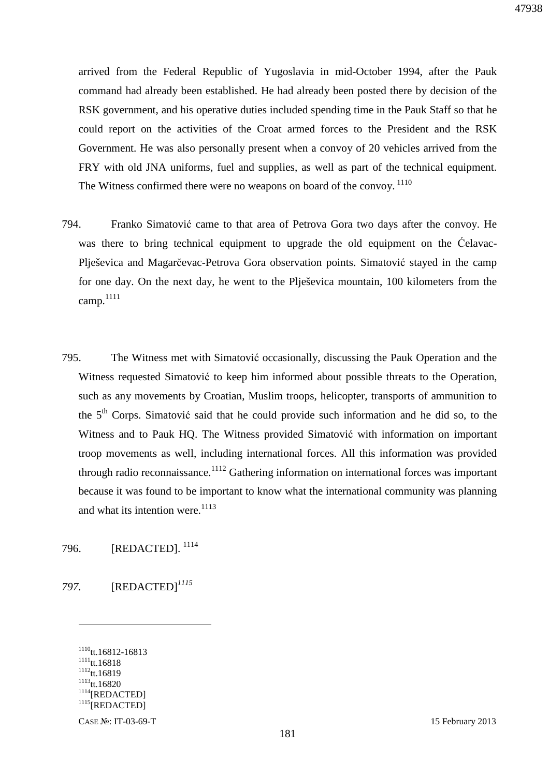arrived from the Federal Republic of Yugoslavia in mid-October 1994, after the Pauk command had already been established. He had already been posted there by decision of the RSK government, and his operative duties included spending time in the Pauk Staff so that he could report on the activities of the Croat armed forces to the President and the RSK Government. He was also personally present when a convoy of 20 vehicles arrived from the FRY with old JNA uniforms, fuel and supplies, as well as part of the technical equipment. The Witness confirmed there were no weapons on board of the convoy.<sup>1110</sup>

- 794. Franko Simatović came to that area of Petrova Gora two days after the convoy. He was there to bring technical equipment to upgrade the old equipment on the Ćelavac-Plješevica and Magarčevac-Petrova Gora observation points. Simatović stayed in the camp for one day. On the next day, he went to the Plješevica mountain, 100 kilometers from the camp. $1111$
- 795. The Witness met with Simatović occasionally, discussing the Pauk Operation and the Witness requested Simatović to keep him informed about possible threats to the Operation, such as any movements by Croatian, Muslim troops, helicopter, transports of ammunition to the 5<sup>th</sup> Corps. Simatović said that he could provide such information and he did so, to the Witness and to Pauk HQ. The Witness provided Simatović with information on important troop movements as well, including international forces. All this information was provided through radio reconnaissance.<sup>1112</sup> Gathering information on international forces was important because it was found to be important to know what the international community was planning and what its intention were. $1113$

796. [REDACTED].<sup>1114</sup>

*797.* [REDACTED]*<sup>1115</sup>*

<sup>1110</sup>tt.16812-16813  $1111$ tt.16818  $1112$ tt.16819  $1113$ <sub>tt.16820</sub>  $\,$ <sup>1114</sup>[REDACTED] <sup>1115</sup>[REDACTED]

 $\overline{a}$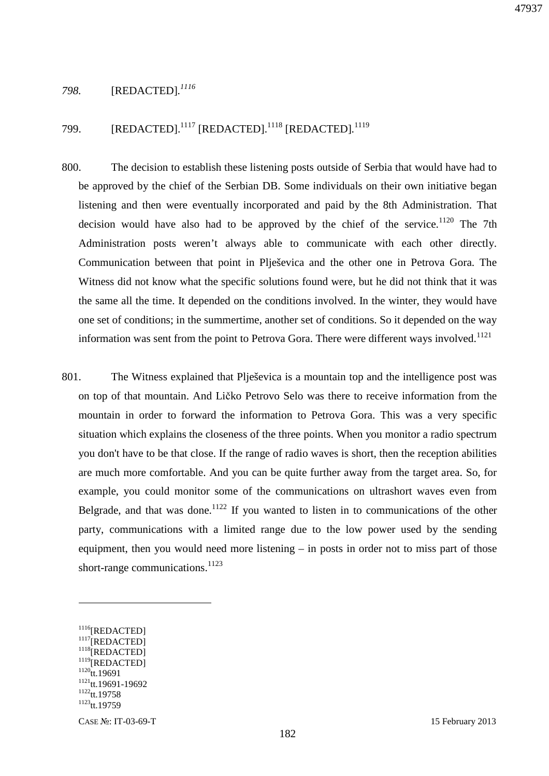### *798.* [REDACTED]*. 1116*

799. [REDACTED].<sup>1117</sup> [REDACTED].<sup>1118</sup> [REDACTED].<sup>1119</sup>

- 800. The decision to establish these listening posts outside of Serbia that would have had to be approved by the chief of the Serbian DB. Some individuals on their own initiative began listening and then were eventually incorporated and paid by the 8th Administration. That decision would have also had to be approved by the chief of the service.<sup>1120</sup> The 7th Administration posts weren't always able to communicate with each other directly. Communication between that point in Plješevica and the other one in Petrova Gora. The Witness did not know what the specific solutions found were, but he did not think that it was the same all the time. It depended on the conditions involved. In the winter, they would have one set of conditions; in the summertime, another set of conditions. So it depended on the way information was sent from the point to Petrova Gora. There were different ways involved.<sup>1121</sup>
- 801. The Witness explained that Plješevica is a mountain top and the intelligence post was on top of that mountain. And Ličko Petrovo Selo was there to receive information from the mountain in order to forward the information to Petrova Gora. This was a very specific situation which explains the closeness of the three points. When you monitor a radio spectrum you don't have to be that close. If the range of radio waves is short, then the reception abilities are much more comfortable. And you can be quite further away from the target area. So, for example, you could monitor some of the communications on ultrashort waves even from Belgrade, and that was done.<sup>1122</sup> If you wanted to listen in to communications of the other party, communications with a limited range due to the low power used by the sending equipment, then you would need more listening – in posts in order not to miss part of those short-range communications.<sup>1123</sup>

<sup>1116</sup>[REDACTED]  $1117$ [REDACTED] <sup>1118</sup>[REDACTED] <sup>1119</sup>[REDACTED]  $1120$ <sub>tt.19691</sub> <sup>1121</sup>tt.19691-19692  $1122_{tt.19758}$ <sup>1123</sup>tt.19759

CASE №: IT-03-69-T 15 February 2013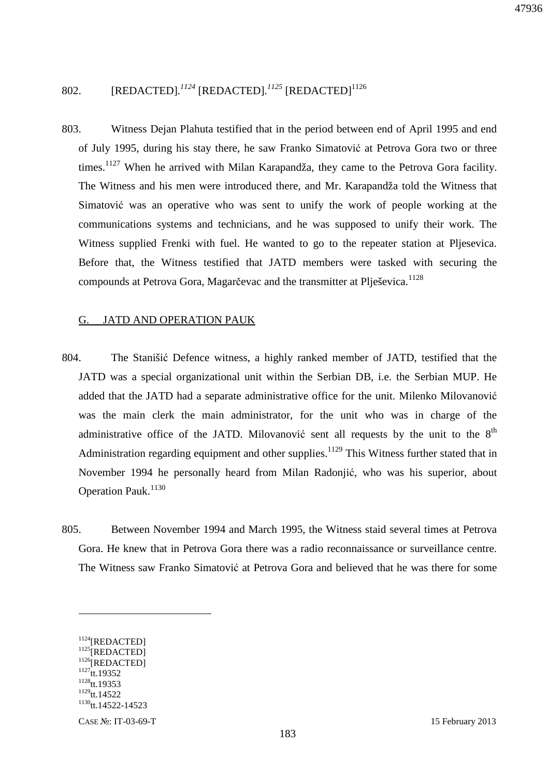## 802. [REDACTED].<sup>1124</sup> [REDACTED].<sup>1125</sup> [REDACTED]<sup>1126</sup>

803. Witness Dejan Plahuta testified that in the period between end of April 1995 and end of July 1995, during his stay there, he saw Franko Simatović at Petrova Gora two or three times.<sup>1127</sup> When he arrived with Milan Karapandža, they came to the Petrova Gora facility. The Witness and his men were introduced there, and Mr. Karapandža told the Witness that Simatović was an operative who was sent to unify the work of people working at the communications systems and technicians, and he was supposed to unify their work. The Witness supplied Frenki with fuel. He wanted to go to the repeater station at Pljesevica. Before that, the Witness testified that JATD members were tasked with securing the compounds at Petrova Gora, Magarčevac and the transmitter at Plieševica.<sup>1128</sup>

#### G. JATD AND OPERATION PAUK

- 804. The Stanišić Defence witness, a highly ranked member of JATD, testified that the JATD was a special organizational unit within the Serbian DB, i.e. the Serbian MUP. He added that the JATD had a separate administrative office for the unit. Milenko Milovanović was the main clerk the main administrator, for the unit who was in charge of the administrative office of the JATD. Milovanović sent all requests by the unit to the  $8<sup>th</sup>$ Administration regarding equipment and other supplies.<sup>1129</sup> This Witness further stated that in November 1994 he personally heard from Milan Radonjić, who was his superior, about Operation Pauk.<sup>1130</sup>
- 805. Between November 1994 and March 1995, the Witness staid several times at Petrova Gora. He knew that in Petrova Gora there was a radio reconnaissance or surveillance centre. The Witness saw Franko Simatović at Petrova Gora and believed that he was there for some

<sup>1124</sup>[REDACTED] <sup>1125</sup>[REDACTED] <sup>1126</sup>[REDACTED]  $1127$ tt.19352  $1128$ tt.19353  $1129$ tt.14522 <sup>1130</sup>tt.14522-14523

CASE №: IT-03-69-T 15 February 2013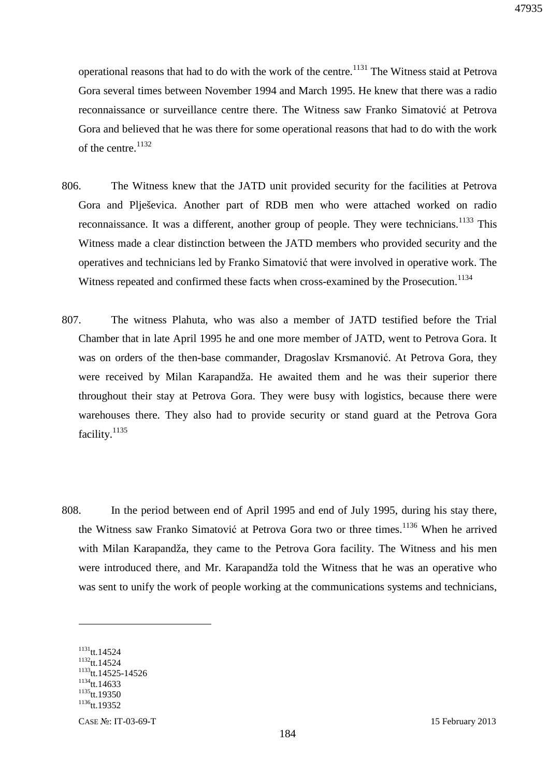operational reasons that had to do with the work of the centre.<sup>1131</sup> The Witness staid at Petrova Gora several times between November 1994 and March 1995. He knew that there was a radio reconnaissance or surveillance centre there. The Witness saw Franko Simatović at Petrova Gora and believed that he was there for some operational reasons that had to do with the work of the centre.<sup>1132</sup>

- 806. The Witness knew that the JATD unit provided security for the facilities at Petrova Gora and Plješevica. Another part of RDB men who were attached worked on radio reconnaissance. It was a different, another group of people. They were technicians.<sup>1133</sup> This Witness made a clear distinction between the JATD members who provided security and the operatives and technicians led by Franko Simatović that were involved in operative work. The Witness repeated and confirmed these facts when cross-examined by the Prosecution.<sup>1134</sup>
- 807. The witness Plahuta, who was also a member of JATD testified before the Trial Chamber that in late April 1995 he and one more member of JATD, went to Petrova Gora. It was on orders of the then-base commander, Dragoslav Krsmanović. At Petrova Gora, they were received by Milan Karapandža. He awaited them and he was their superior there throughout their stay at Petrova Gora. They were busy with logistics, because there were warehouses there. They also had to provide security or stand guard at the Petrova Gora facility.<sup>1135</sup>
- 808. In the period between end of April 1995 and end of July 1995, during his stay there, the Witness saw Franko Simatović at Petrova Gora two or three times.<sup>1136</sup> When he arrived with Milan Karapandža, they came to the Petrova Gora facility. The Witness and his men were introduced there, and Mr. Karapandža told the Witness that he was an operative who was sent to unify the work of people working at the communications systems and technicians,

 $1131$ <sub>tt.14524</sub> <sup>1132</sup>tt.14524 <sup>1133</sup>tt.14525-14526  $1134$ tt.14633  $1135$ <sub>tt.19350</sub>  $1136$ tt.19352

CASE №: IT-03-69-T 15 February 2013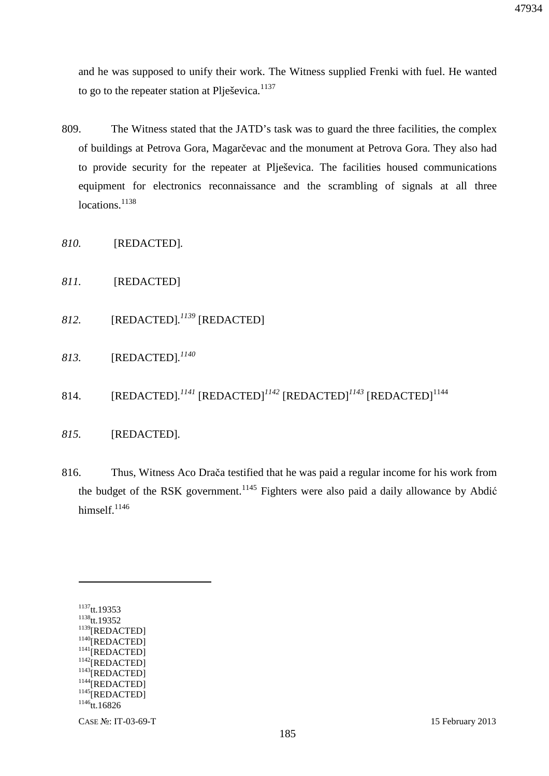and he was supposed to unify their work. The Witness supplied Frenki with fuel. He wanted to go to the repeater station at Plješevica. $1137$ 

- 809. The Witness stated that the JATD's task was to guard the three facilities, the complex of buildings at Petrova Gora, Magarčevac and the monument at Petrova Gora. They also had to provide security for the repeater at Plješevica. The facilities housed communications equipment for electronics reconnaissance and the scrambling of signals at all three locations.<sup>1138</sup>
- *810.* [REDACTED]*.*
- *811.* [REDACTED]
- *812.* [REDACTED]*. <sup>1139</sup>* [REDACTED]
- *813.* [REDACTED]*. 1140*
- 814. [REDACTED].<sup>1141</sup> [REDACTED]<sup>1142</sup> [REDACTED]<sup>1143</sup> [REDACTED]<sup>1144</sup>
- *815.* [REDACTED]*.*
- 816. Thus, Witness Aco Drača testified that he was paid a regular income for his work from the budget of the RSK government.<sup>1145</sup> Fighters were also paid a daily allowance by Abdić himself.<sup>1146</sup>

<sup>1137</sup>tt.19353 <sup>1138</sup>tt.19352  $^{1139}[\bf{REDACTED}]$ <sup>1140</sup>[REDACTED] <sup>1141</sup>[REDACTED] <sup>1142</sup>[REDACTED] <sup>1143</sup>[REDACTED] <sup>1144</sup>[REDACTED] <sup>1145</sup>[REDACTED]  $1146$ tt.16826

 $\overline{a}$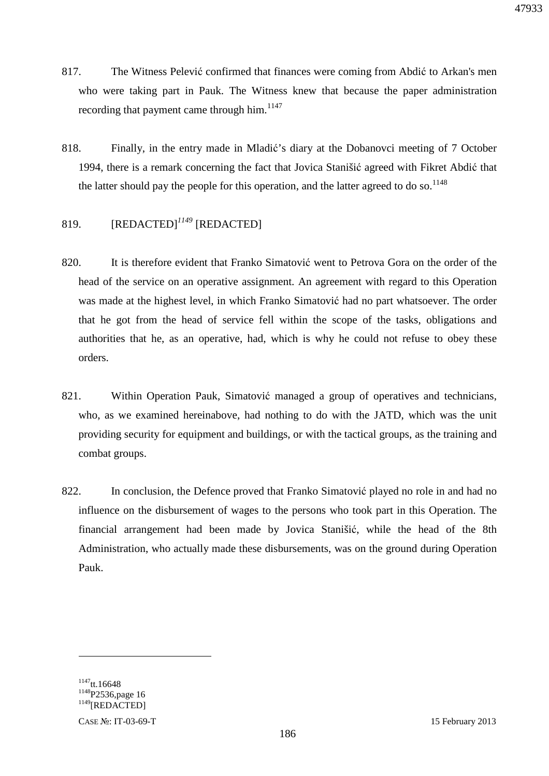- 817. The Witness Pelević confirmed that finances were coming from Abdić to Arkan's men who were taking part in Pauk. The Witness knew that because the paper administration recording that payment came through him.<sup>1147</sup>
- 818. Finally, in the entry made in Mladić's diary at the Dobanovci meeting of 7 October 1994, there is a remark concerning the fact that Jovica Stanišić agreed with Fikret Abdić that the latter should pay the people for this operation, and the latter agreed to do so.<sup>1148</sup>

## 819. [REDACTED]*<sup>1149</sup>* [REDACTED]

- 820. It is therefore evident that Franko Simatović went to Petrova Gora on the order of the head of the service on an operative assignment. An agreement with regard to this Operation was made at the highest level, in which Franko Simatović had no part whatsoever. The order that he got from the head of service fell within the scope of the tasks, obligations and authorities that he, as an operative, had, which is why he could not refuse to obey these orders.
- 821. Within Operation Pauk, Simatović managed a group of operatives and technicians, who, as we examined hereinabove, had nothing to do with the JATD, which was the unit providing security for equipment and buildings, or with the tactical groups, as the training and combat groups.
- 822. In conclusion, the Defence proved that Franko Simatović played no role in and had no influence on the disbursement of wages to the persons who took part in this Operation. The financial arrangement had been made by Jovica Stanišić, while the head of the 8th Administration, who actually made these disbursements, was on the ground during Operation Pauk.

 $1147$ tt.16648 <sup>1148</sup>P2536,page 16  $^{12227}$ <sub>T</sub>

CASE №: IT-03-69-T 15 February 2013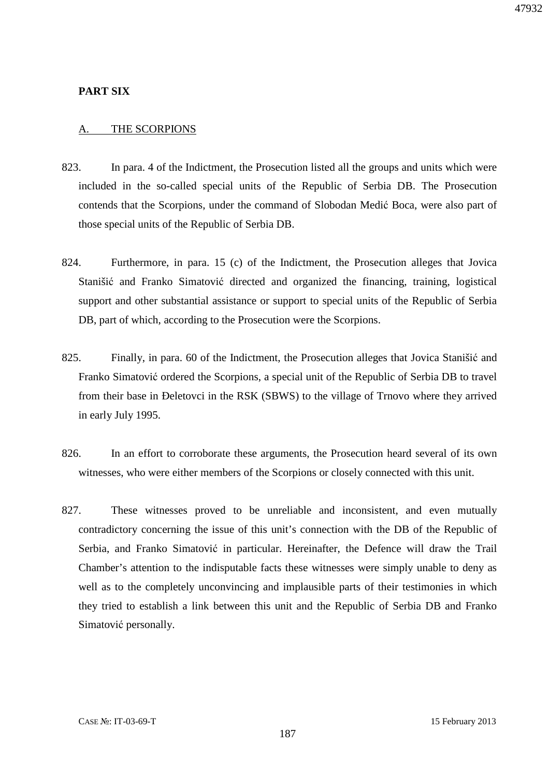#### **PART SIX**

#### A. THE SCORPIONS

- 823. In para. 4 of the Indictment, the Prosecution listed all the groups and units which were included in the so-called special units of the Republic of Serbia DB. The Prosecution contends that the Scorpions, under the command of Slobodan Medić Boca, were also part of those special units of the Republic of Serbia DB.
- 824. Furthermore, in para. 15 (c) of the Indictment, the Prosecution alleges that Jovica Stanišić and Franko Simatović directed and organized the financing, training, logistical support and other substantial assistance or support to special units of the Republic of Serbia DB, part of which, according to the Prosecution were the Scorpions.
- 825. Finally, in para. 60 of the Indictment, the Prosecution alleges that Jovica Stanišić and Franko Simatović ordered the Scorpions, a special unit of the Republic of Serbia DB to travel from their base in Đeletovci in the RSK (SBWS) to the village of Trnovo where they arrived in early July 1995.
- 826. In an effort to corroborate these arguments, the Prosecution heard several of its own witnesses, who were either members of the Scorpions or closely connected with this unit.
- 827. These witnesses proved to be unreliable and inconsistent, and even mutually contradictory concerning the issue of this unit's connection with the DB of the Republic of Serbia, and Franko Simatović in particular. Hereinafter, the Defence will draw the Trail Chamber's attention to the indisputable facts these witnesses were simply unable to deny as well as to the completely unconvincing and implausible parts of their testimonies in which they tried to establish a link between this unit and the Republic of Serbia DB and Franko Simatović personally.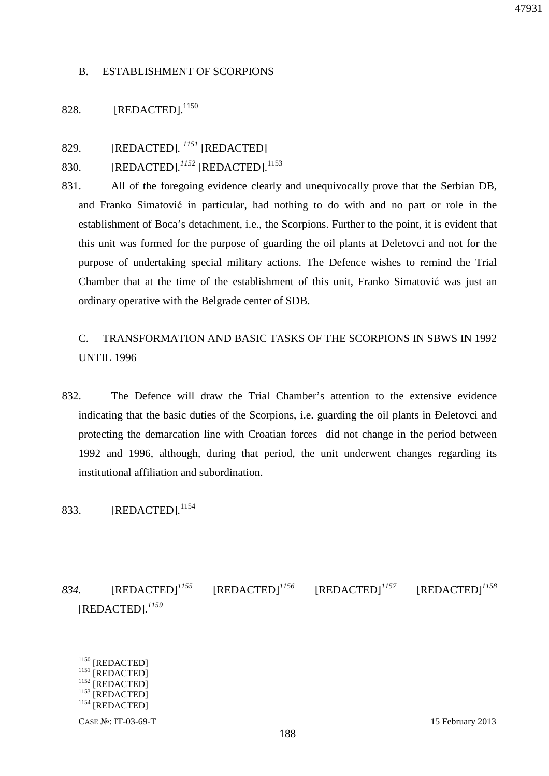#### B. ESTABLISHMENT OF SCORPIONS

## 828. [REDACTED].<sup>1150</sup>

829. [REDACTED]*. <sup>1151</sup>* [REDACTED]

### 830. [REDACTED].<sup>1152</sup> [REDACTED].<sup>1153</sup>

831. All of the foregoing evidence clearly and unequivocally prove that the Serbian DB, and Franko Simatović in particular, had nothing to do with and no part or role in the establishment of Boca's detachment, i.e., the Scorpions. Further to the point, it is evident that this unit was formed for the purpose of guarding the oil plants at Đeletovci and not for the purpose of undertaking special military actions. The Defence wishes to remind the Trial Chamber that at the time of the establishment of this unit, Franko Simatović was just an ordinary operative with the Belgrade center of SDB.

## C. TRANSFORMATION AND BASIC TASKS OF THE SCORPIONS IN SBWS IN 1992 UNTIL 1996

832. The Defence will draw the Trial Chamber's attention to the extensive evidence indicating that the basic duties of the Scorpions, i.e. guarding the oil plants in Đeletovci and protecting the demarcation line with Croatian forces did not change in the period between 1992 and 1996, although, during that period, the unit underwent changes regarding its institutional affiliation and subordination.

### 833. [REDACTED]*.* 1154

*834.* [REDACTED]*<sup>1155</sup>* [REDACTED]*<sup>1156</sup>* [REDACTED]*<sup>1157</sup>* [REDACTED]*<sup>1158</sup>* [REDACTED]*. 1159* 

<sup>1150</sup> [REDACTED] <sup>1151</sup> [REDACTED]  $^{1152}$  [REDACTED]  $1153$  [REDACTED] <sup>1154</sup> [REDACTED]

<u>.</u>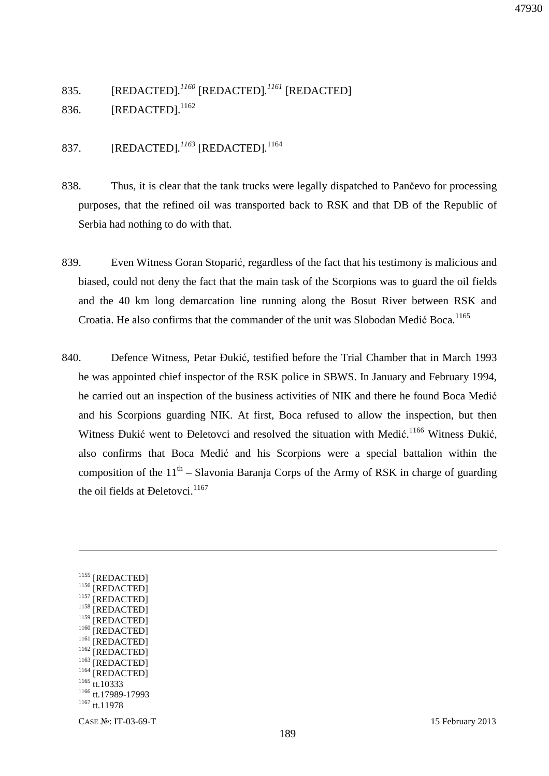# 835. [REDACTED]*. <sup>1160</sup>* [REDACTED]*. <sup>1161</sup>* [REDACTED] 836. **[REDACTED].**<sup>1162</sup>

## 837. [REDACTED]*. <sup>1163</sup>* [REDACTED]*.* 1164

- 838. Thus, it is clear that the tank trucks were legally dispatched to Pančevo for processing purposes, that the refined oil was transported back to RSK and that DB of the Republic of Serbia had nothing to do with that.
- 839. Even Witness Goran Stoparić, regardless of the fact that his testimony is malicious and biased, could not deny the fact that the main task of the Scorpions was to guard the oil fields and the 40 km long demarcation line running along the Bosut River between RSK and Croatia. He also confirms that the commander of the unit was Slobodan Medić Boca.<sup>1165</sup>
- 840. Defence Witness, Petar Đukić, testified before the Trial Chamber that in March 1993 he was appointed chief inspector of the RSK police in SBWS. In January and February 1994, he carried out an inspection of the business activities of NIK and there he found Boca Medić and his Scorpions guarding NIK. At first, Boca refused to allow the inspection, but then Witness Đukić went to Đeletovci and resolved the situation with Medić.<sup>1166</sup> Witness Đukić, also confirms that Boca Medić and his Scorpions were a special battalion within the composition of the  $11<sup>th</sup>$  – Slavonia Baranja Corps of the Army of RSK in charge of guarding the oil fields at Deletovci.<sup>1167</sup>

<sup>1155</sup> [REDACTED] <sup>1156</sup> [REDACTED] <sup>1157</sup> [REDACTED] <sup>1158</sup> [REDACTED] <sup>1159</sup> [REDACTED] <sup>1160</sup> [REDACTED] <sup>1161</sup> [REDACTED] <sup>1162</sup> [REDACTED] <sup>1163</sup> [REDACTED] <sup>1164</sup> [REDACTED] 1165 tt.10333 <sup>1166</sup> tt.17989-17993 <sup>1167</sup> tt.11978

<u>.</u>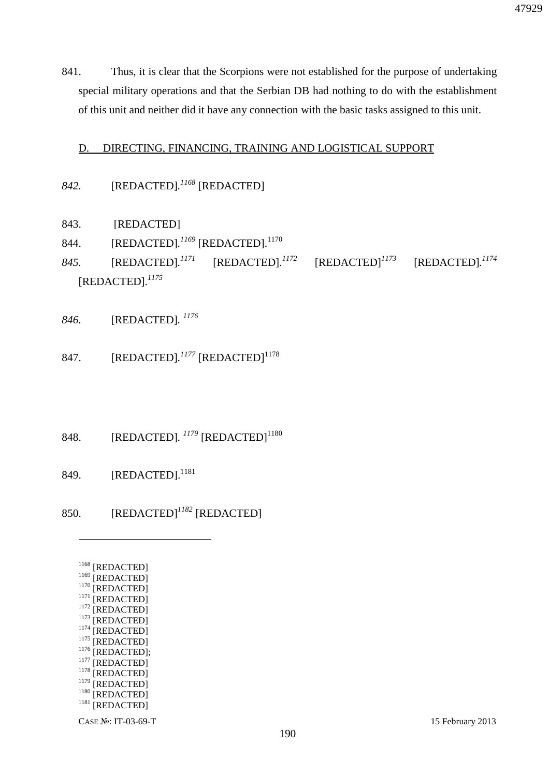841. Thus, it is clear that the Scorpions were not established for the purpose of undertaking special military operations and that the Serbian DB had nothing to do with the establishment of this unit and neither did it have any connection with the basic tasks assigned to this unit.

### D. DIRECTING, FINANCING, TRAINING AND LOGISTICAL SUPPORT

## *842.* [REDACTED]*. <sup>1168</sup>* [REDACTED]

- 843. [REDACTED]
- 844. [REDACTED].<sup>1169</sup> [REDACTED].<sup>1170</sup>
- *845.* [REDACTED]*. <sup>1171</sup>* [REDACTED]*.*  $[REDACTED]$ <sup> $1173$ </sup> *1174* [REDACTED]*. 1175*
- *846.* [REDACTED]*. 1176*
- 847. [REDACTED].<sup>1177</sup> [REDACTED]<sup>1178</sup>
- 848. [REDACTED]. <sup>1179</sup> [REDACTED]<sup>1180</sup>
- 849. [REDACTED].<sup>1181</sup>
- 850. [REDACTED]*<sup>1182</sup>* [REDACTED]

| 1168 | [REDACTED]        |
|------|-------------------|
| 1169 | [REDACTED]        |
| 1170 | [REDACTED]        |
| 1171 | [REDACTED]        |
| 1172 | [REDACTED]        |
| 1173 | [REDACTED]        |
| 1174 | [REDACTED]        |
| 1175 | [REDACTED]        |
| 1176 | [REDACTED];       |
| 1177 | [REDACTED]        |
| 1178 | <b>[REDACTED]</b> |
| 1179 | <b>[REDACTED]</b> |
| 1180 | [REDACTED]        |
| 1181 | [REDACTED]        |
|      |                   |

 $\overline{a}$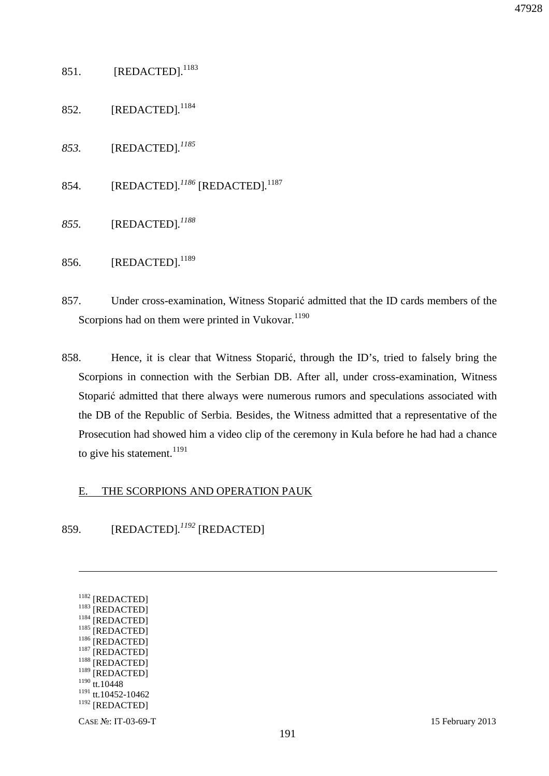### 851. [REDACTED].<sup>1183</sup>

- 852. [REDACTED]*.* 1184
- *853.* [REDACTED]*. 1185*
- 854. [REDACTED]*. <sup>1186</sup>* [REDACTED]*.* 1187
- *855.* [REDACTED]*. 1188*
- 856. [REDACTED].<sup>1189</sup>
- 857. Under cross-examination, Witness Stoparić admitted that the ID cards members of the Scorpions had on them were printed in Vukovar. $1190$
- 858. Hence, it is clear that Witness Stoparić, through the ID's, tried to falsely bring the Scorpions in connection with the Serbian DB. After all, under cross-examination, Witness Stoparić admitted that there always were numerous rumors and speculations associated with the DB of the Republic of Serbia. Besides, the Witness admitted that a representative of the Prosecution had showed him a video clip of the ceremony in Kula before he had had a chance to give his statement.<sup>1191</sup>

#### E. THE SCORPIONS AND OPERATION PAUK

859. [REDACTED]*. <sup>1192</sup>* [REDACTED]

| 1182<br>[REDACTED]     |
|------------------------|
| 1183<br>[REDACTED]     |
| 1184<br>[REDACTED]     |
| 1185<br>[REDACTED]     |
| 1186<br>[REDACTED]     |
| 1187<br>[REDACTED]     |
| 1188<br>[REDACTED]     |
| 1189<br>[REDACTED]     |
| 1190<br>tt.10448       |
| 1191<br>tt.10452-10462 |
| 1192<br>[REDACTED]     |
| ı<br>тг<br>.<br>⌒      |

<u>.</u>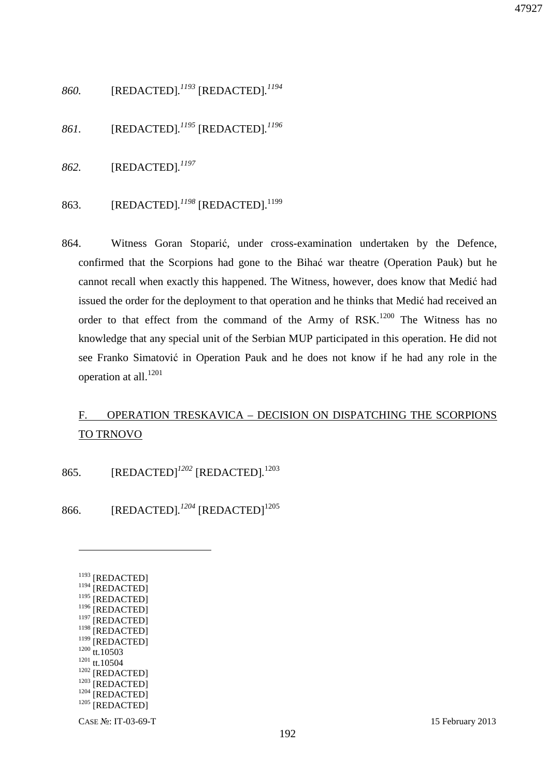- *860.* [REDACTED]*. <sup>1193</sup>* [REDACTED]*. 1194*
- *861.* [REDACTED]*. <sup>1195</sup>* [REDACTED]*. 1196*
- *862.* [REDACTED]*. 1197*
- 863. [REDACTED]*. <sup>1198</sup>* [REDACTED].<sup>1199</sup>
- 864. Witness Goran Stoparić, under cross-examination undertaken by the Defence, confirmed that the Scorpions had gone to the Bihać war theatre (Operation Pauk) but he cannot recall when exactly this happened. The Witness, however, does know that Medić had issued the order for the deployment to that operation and he thinks that Medić had received an order to that effect from the command of the Army of  $RSK<sup>1200</sup>$  The Witness has no knowledge that any special unit of the Serbian MUP participated in this operation. He did not see Franko Simatović in Operation Pauk and he does not know if he had any role in the operation at all.<sup>1201</sup>

# F. OPERATION TRESKAVICA – DECISION ON DISPATCHING THE SCORPIONS TO TRNOVO

865. [REDACTED]*<sup>1202</sup>* [REDACTED]*.* 1203

866. [REDACTED].<sup>1204</sup> [REDACTED]<sup>1205</sup>

| 1193<br>[REDACTED]        |
|---------------------------|
| 1194<br>[REDACTED]        |
| 1195<br>[REDACTED]        |
| 1196<br>[REDACTED]        |
| 1197<br>[REDACTED]        |
| 1198<br>[REDACTED]        |
| 1199<br><b>[REDACTED]</b> |
| 1200<br>tt.10503          |
| 1201<br>tt.10504          |
| 1202<br>[REDACTED]        |
| 1203<br>[REDACTED]        |
| 1204<br>[REDACTED]        |
| 1205                      |
| <b>IREDACTEDI</b>         |
|                           |

<u>.</u>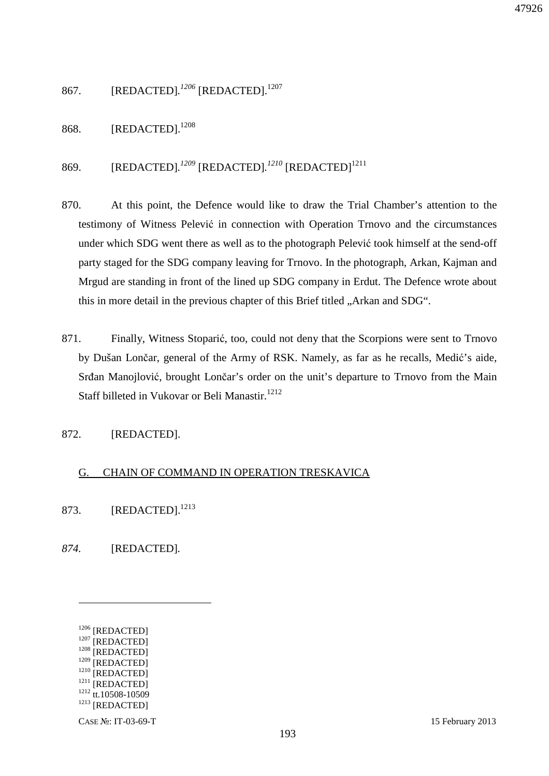867. [REDACTED].<sup>1206</sup> [REDACTED].<sup>1207</sup>

868. [REDACTED].<sup>1208</sup>

869. [REDACTED].<sup>1209</sup> [REDACTED].<sup>1210</sup> [REDACTED]<sup>1211</sup>

- 870. At this point, the Defence would like to draw the Trial Chamber's attention to the testimony of Witness Pelević in connection with Operation Trnovo and the circumstances under which SDG went there as well as to the photograph Pelević took himself at the send-off party staged for the SDG company leaving for Trnovo. In the photograph, Arkan, Kajman and Mrgud are standing in front of the lined up SDG company in Erdut. The Defence wrote about this in more detail in the previous chapter of this Brief titled "Arkan and SDG".
- 871. Finally, Witness Stoparić, too, could not deny that the Scorpions were sent to Trnovo by Dušan Lončar, general of the Army of RSK. Namely, as far as he recalls, Medić's aide, Srđan Manojlović, brought Lončar's order on the unit's departure to Trnovo from the Main Staff billeted in Vukovar or Beli Manastir.<sup>1212</sup>

872. [REDACTED].

### G. CHAIN OF COMMAND IN OPERATION TRESKAVICA

- 873. [REDACTED].<sup>1213</sup>
- *874.* [REDACTED]*.*

 $\overline{a}$ 

<sup>1206</sup> [REDACTED] <sup>1207</sup> [REDACTED] <sup>1208</sup> [REDACTED] <sup>1209</sup> [REDACTED] <sup>1210</sup> [REDACTED] <sup>1211</sup> [REDACTED] <sup>1212</sup> tt.10508-10509 <sup>1213</sup> [REDACTED]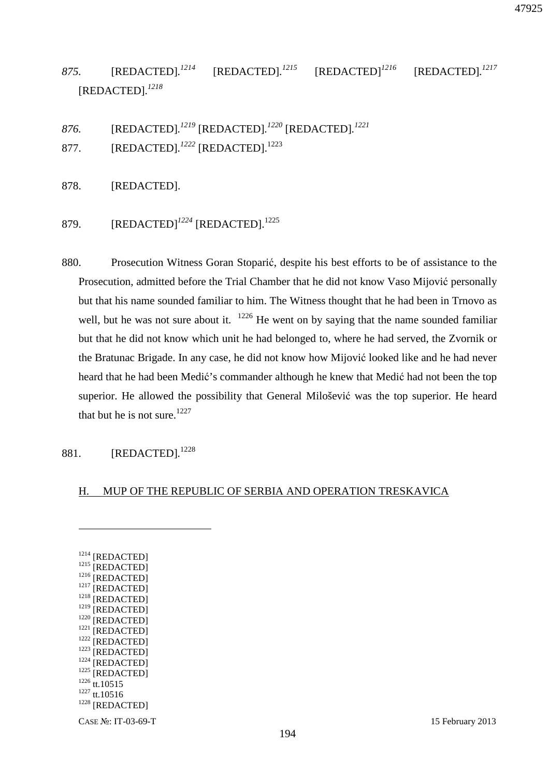*875.* [REDACTED]*. <sup>1214</sup>* [REDACTED]*. <sup>1215</sup>* [REDACTED]*<sup>1216</sup>* [REDACTED]*. 1217* [REDACTED]*. 1218*

*876.* [REDACTED]*. <sup>1219</sup>* [REDACTED]*. <sup>1220</sup>* [REDACTED]*. 1221*

877. **[REDACTED].**<sup>1222</sup> [REDACTED].<sup>1223</sup>

878. [REDACTED].

879. **[REDACTED]**<sup>1224</sup> [REDACTED].<sup>1225</sup>

880. Prosecution Witness Goran Stoparić, despite his best efforts to be of assistance to the Prosecution, admitted before the Trial Chamber that he did not know Vaso Mijović personally but that his name sounded familiar to him. The Witness thought that he had been in Trnovo as well, but he was not sure about it.  $1226$  He went on by saying that the name sounded familiar but that he did not know which unit he had belonged to, where he had served, the Zvornik or the Bratunac Brigade. In any case, he did not know how Mijović looked like and he had never heard that he had been Medić's commander although he knew that Medić had not been the top superior. He allowed the possibility that General Milošević was the top superior. He heard that but he is not sure.<sup>1227</sup>

### 881. [REDACTED]*.* 1228

#### H. MUP OF THE REPUBLIC OF SERBIA AND OPERATION TRESKAVICA

<sup>1214</sup> [REDACTED]  $1215$  [REDACTED]  $1216$  [REDACTED]  $1217$  [REDACTED] <sup>1218</sup> [REDACTED] <sup>1219</sup> [REDACTED] <sup>1220</sup> [REDACTED] <sup>1221</sup> [REDACTED] <sup>1222</sup> [REDACTED] <sup>1223</sup> [REDACTED] <sup>1224</sup> [REDACTED] <sup>1225</sup> [REDACTED] 1226 tt.10515 <sup>1227</sup> tt.10516 <sup>1228</sup> [REDACTED]

 $\overline{a}$ 

47925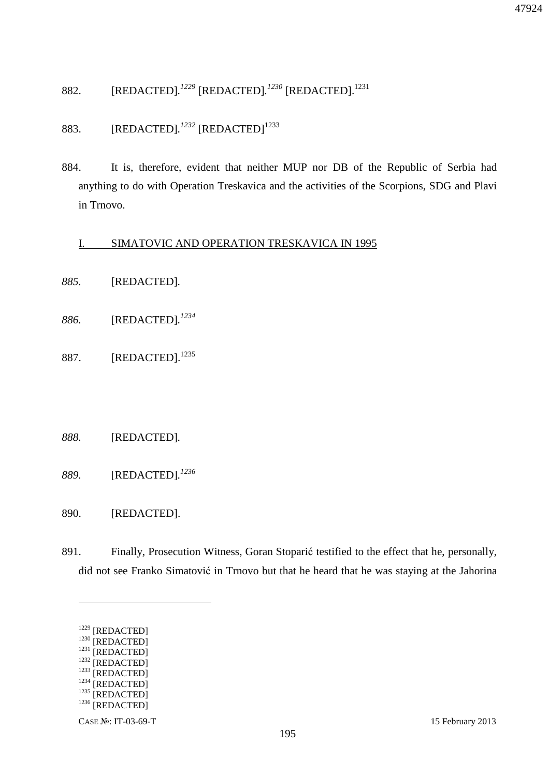882. [REDACTED]*. <sup>1229</sup>* [REDACTED]*. <sup>1230</sup>* [REDACTED].<sup>1231</sup>

883. [REDACTED].<sup>1232</sup> [REDACTED]<sup>1233</sup>

884. It is, therefore, evident that neither MUP nor DB of the Republic of Serbia had anything to do with Operation Treskavica and the activities of the Scorpions, SDG and Plavi in Trnovo.

### I. SIMATOVIC AND OPERATION TRESKAVICA IN 1995

- *885.* [REDACTED]*.*
- *886.* [REDACTED]*. 1234*
- 887. [REDACTED].<sup>1235</sup>

#### *888.* [REDACTED]*.*

- *889.* [REDACTED]*. 1236*
- 890. [REDACTED].
- 891. Finally, Prosecution Witness, Goran Stoparić testified to the effect that he, personally, did not see Franko Simatović in Trnovo but that he heard that he was staying at the Jahorina

<sup>1229</sup> [REDACTED]

<sup>1230</sup> [REDACTED]  $1231$  [REDACTED]

<sup>&</sup>lt;sup>1232</sup> [REDACTED]

<sup>&</sup>lt;sup>1233</sup> [REDACTED]

 $1234$  [REDACTED]

<sup>&</sup>lt;sup>1235</sup> [REDACTED]

<sup>&</sup>lt;sup>1236</sup> [REDACTED]

CASE №: IT-03-69-T 15 February 2013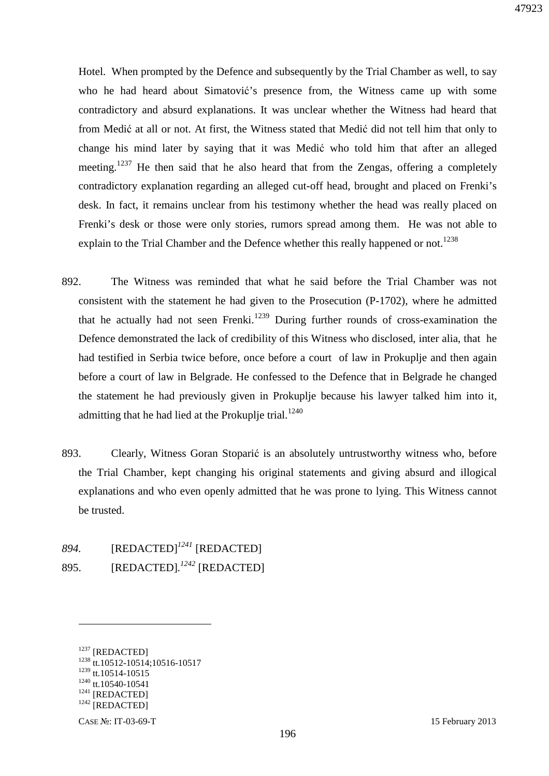Hotel. When prompted by the Defence and subsequently by the Trial Chamber as well, to say who he had heard about Simatović's presence from, the Witness came up with some contradictory and absurd explanations. It was unclear whether the Witness had heard that from Medić at all or not. At first, the Witness stated that Medić did not tell him that only to change his mind later by saying that it was Medić who told him that after an alleged meeting.<sup>1237</sup> He then said that he also heard that from the Zengas, offering a completely contradictory explanation regarding an alleged cut-off head, brought and placed on Frenki's desk. In fact, it remains unclear from his testimony whether the head was really placed on Frenki's desk or those were only stories, rumors spread among them. He was not able to explain to the Trial Chamber and the Defence whether this really happened or not.<sup>1238</sup>

- 892. The Witness was reminded that what he said before the Trial Chamber was not consistent with the statement he had given to the Prosecution (P-1702), where he admitted that he actually had not seen Frenki.<sup>1239</sup> During further rounds of cross-examination the Defence demonstrated the lack of credibility of this Witness who disclosed, inter alia, that he had testified in Serbia twice before, once before a court of law in Prokuplje and then again before a court of law in Belgrade. He confessed to the Defence that in Belgrade he changed the statement he had previously given in Prokuplje because his lawyer talked him into it, admitting that he had lied at the Prokuplje trial. $1240$
- 893. Clearly, Witness Goran Stoparić is an absolutely untrustworthy witness who, before the Trial Chamber, kept changing his original statements and giving absurd and illogical explanations and who even openly admitted that he was prone to lying. This Witness cannot be trusted.
- *894.* [REDACTED]*<sup>1241</sup>* [REDACTED] 895. [REDACTED]*. <sup>1242</sup>* [REDACTED]

<sup>1237</sup> [REDACTED] <sup>1238</sup> tt.10512-10514;10516-10517 <sup>1239</sup> tt.10514-10515  $1240$  tt. 10540-10541 <sup>1241</sup> [REDACTED]  $1242$  [REDACTED]

CASE №: IT-03-69-T 15 February 2013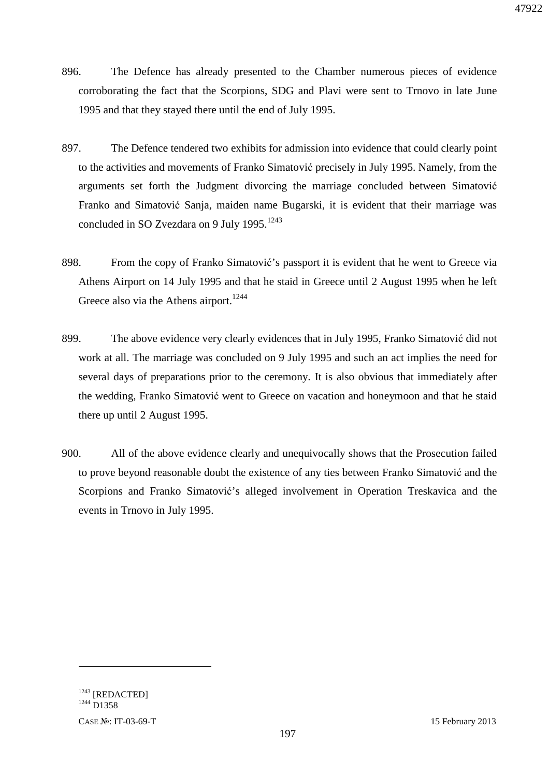- 896. The Defence has already presented to the Chamber numerous pieces of evidence corroborating the fact that the Scorpions, SDG and Plavi were sent to Trnovo in late June 1995 and that they stayed there until the end of July 1995.
- 897. The Defence tendered two exhibits for admission into evidence that could clearly point to the activities and movements of Franko Simatović precisely in July 1995. Namely, from the arguments set forth the Judgment divorcing the marriage concluded between Simatović Franko and Simatović Sanja, maiden name Bugarski, it is evident that their marriage was concluded in SO Zvezdara on 9 July 1995.<sup>1243</sup>
- 898. From the copy of Franko Simatović's passport it is evident that he went to Greece via Athens Airport on 14 July 1995 and that he staid in Greece until 2 August 1995 when he left Greece also via the Athens airport.<sup>1244</sup>
- 899. The above evidence very clearly evidences that in July 1995, Franko Simatović did not work at all. The marriage was concluded on 9 July 1995 and such an act implies the need for several days of preparations prior to the ceremony. It is also obvious that immediately after the wedding, Franko Simatović went to Greece on vacation and honeymoon and that he staid there up until 2 August 1995.
- 900. All of the above evidence clearly and unequivocally shows that the Prosecution failed to prove beyond reasonable doubt the existence of any ties between Franko Simatović and the Scorpions and Franko Simatović's alleged involvement in Operation Treskavica and the events in Trnovo in July 1995.

<sup>1243</sup> [REDACTED] <sup>1244</sup> D1358

CASE №: IT-03-69-T 15 February 2013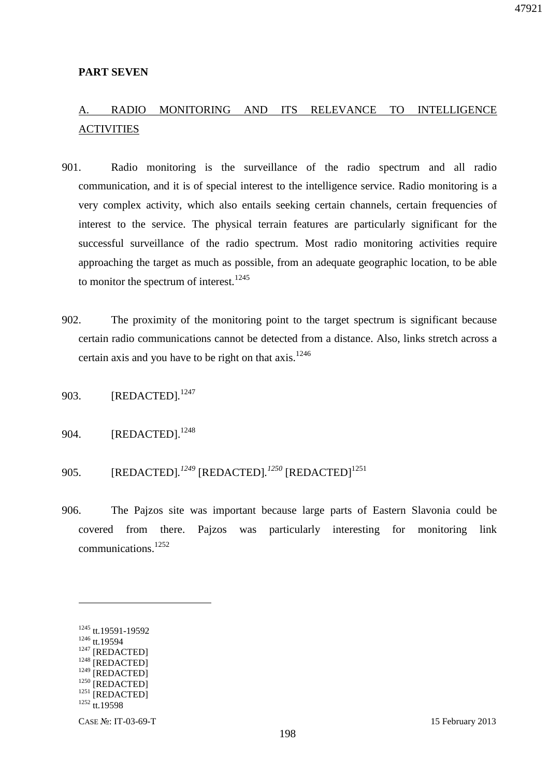#### **PART SEVEN**

# A. RADIO MONITORING AND ITS RELEVANCE TO INTELLIGENCE **ACTIVITIES**

- 901. Radio monitoring is the surveillance of the radio spectrum and all radio communication, and it is of special interest to the intelligence service. Radio monitoring is a very complex activity, which also entails seeking certain channels, certain frequencies of interest to the service. The physical terrain features are particularly significant for the successful surveillance of the radio spectrum. Most radio monitoring activities require approaching the target as much as possible, from an adequate geographic location, to be able to monitor the spectrum of interest. $1245$
- 902. The proximity of the monitoring point to the target spectrum is significant because certain radio communications cannot be detected from a distance. Also, links stretch across a certain axis and you have to be right on that axis.<sup>1246</sup>
- 903. [REDACTED]*.* 1247
- 904. [REDACTED].<sup>1248</sup>
- 905. [REDACTED].<sup>1249</sup> [REDACTED].<sup>1250</sup> [REDACTED]<sup>1251</sup>
- 906. The Pajzos site was important because large parts of Eastern Slavonia could be covered from there. Pajzos was particularly interesting for monitoring link communications.<sup>1252</sup>

<u>.</u>

<sup>1245</sup> tt.19591-19592 <sup>1246</sup> tt.19594 <sup>1247</sup> [REDACTED] <sup>1248</sup> [REDACTED]  $1249$  [REDACTED]  $1250$  [REDACTED] <sup>1251</sup> [REDACTED] <sup>1252</sup> tt.19598

CASE №: IT-03-69-T 15 February 2013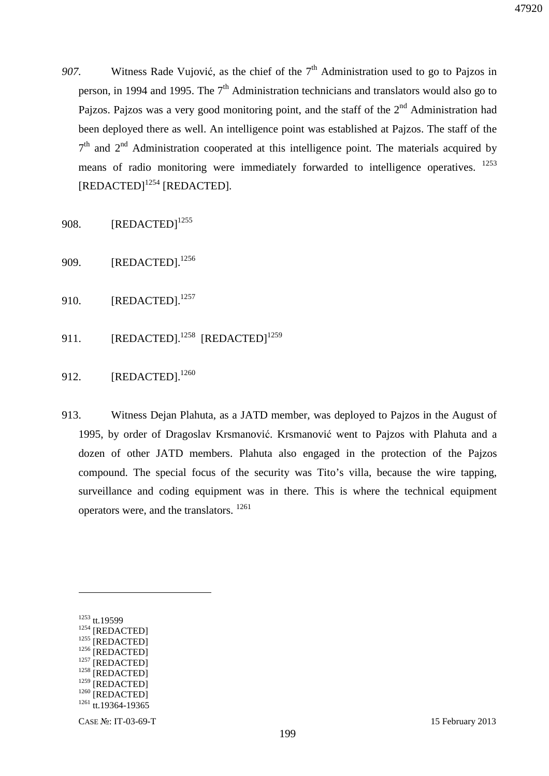- 907. Witness Rade Vujović, as the chief of the  $7<sup>th</sup>$  Administration used to go to Pajzos in person, in 1994 and 1995. The  $7<sup>th</sup>$  Administration technicians and translators would also go to Pajzos. Pajzos was a very good monitoring point, and the staff of the  $2<sup>nd</sup>$  Administration had been deployed there as well. An intelligence point was established at Pajzos. The staff of the  $7<sup>th</sup>$  and  $2<sup>nd</sup>$  Administration cooperated at this intelligence point. The materials acquired by means of radio monitoring were immediately forwarded to intelligence operatives. <sup>1253</sup> [REDACTED]<sup>1254</sup> [REDACTED]*.*
- 908.  $[REDACTED]^{1255}$
- 909. [REDACTED].<sup>1256</sup>
- 910. [REDACTED].<sup>1257</sup>
- 911.  $[REDACTER]$ .<sup>1258</sup>  $[REDACTER]$ <sup>1259</sup>
- 912. [REDACTED].<sup>1260</sup>
- 913. Witness Dejan Plahuta, as a JATD member, was deployed to Pajzos in the August of 1995, by order of Dragoslav Krsmanović. Krsmanović went to Pajzos with Plahuta and a dozen of other JATD members. Plahuta also engaged in the protection of the Pajzos compound. The special focus of the security was Tito's villa, because the wire tapping, surveillance and coding equipment was in there. This is where the technical equipment operators were, and the translators. <sup>1261</sup>

 $\overline{a}$ 

- $1256$  [REDACTED]  $1257$  [REDACTED]
- $1258$  [REDACTED]

 $1259$  [REDACTED]

47920

<sup>1253</sup> tt.19599

<sup>1254</sup> [REDACTED]

<sup>&</sup>lt;sup>1255</sup> [REDACTED]

<sup>&</sup>lt;sup>1260</sup> [REDACTED]

 $1261$  tt.19364-19365

CASE №: IT-03-69-T 15 February 2013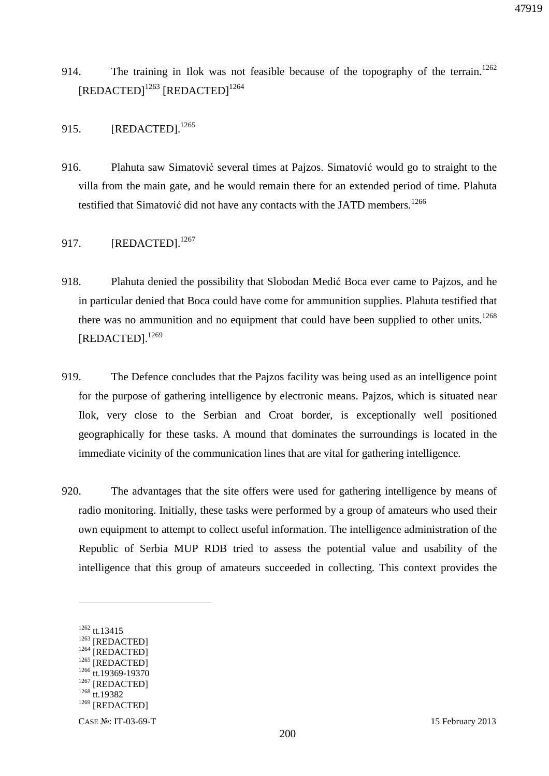- 914. The training in Ilok was not feasible because of the topography of the terrain.<sup>1262</sup> [REDACTED]<sup>1263</sup> [REDACTED]<sup>1264</sup>
- 915. [REDACTED].<sup>1265</sup>
- 916. Plahuta saw Simatović several times at Pajzos. Simatović would go to straight to the villa from the main gate, and he would remain there for an extended period of time. Plahuta testified that Simatović did not have any contacts with the JATD members.<sup>1266</sup>
- 917. [REDACTED].<sup>1267</sup>
- 918. Plahuta denied the possibility that Slobodan Medić Boca ever came to Pajzos, and he in particular denied that Boca could have come for ammunition supplies. Plahuta testified that there was no ammunition and no equipment that could have been supplied to other units.<sup>1268</sup> [REDACTED].<sup>1269</sup>
- 919. The Defence concludes that the Pajzos facility was being used as an intelligence point for the purpose of gathering intelligence by electronic means. Pajzos, which is situated near Ilok, very close to the Serbian and Croat border, is exceptionally well positioned geographically for these tasks. A mound that dominates the surroundings is located in the immediate vicinity of the communication lines that are vital for gathering intelligence.
- 920. The advantages that the site offers were used for gathering intelligence by means of radio monitoring. Initially, these tasks were performed by a group of amateurs who used their own equipment to attempt to collect useful information. The intelligence administration of the Republic of Serbia MUP RDB tried to assess the potential value and usability of the intelligence that this group of amateurs succeeded in collecting. This context provides the

<sup>1262</sup> tt.13415 <sup>1263</sup> [REDACTED]  $1264$  [REDACTED] <sup>1265</sup> [REDACTED] <sup>1266</sup> tt.19369-19370  $1267$  [REDACTED] 1268 tt.19382 <sup>1269</sup> [REDACTED]

CASE №: IT-03-69-T 15 February 2013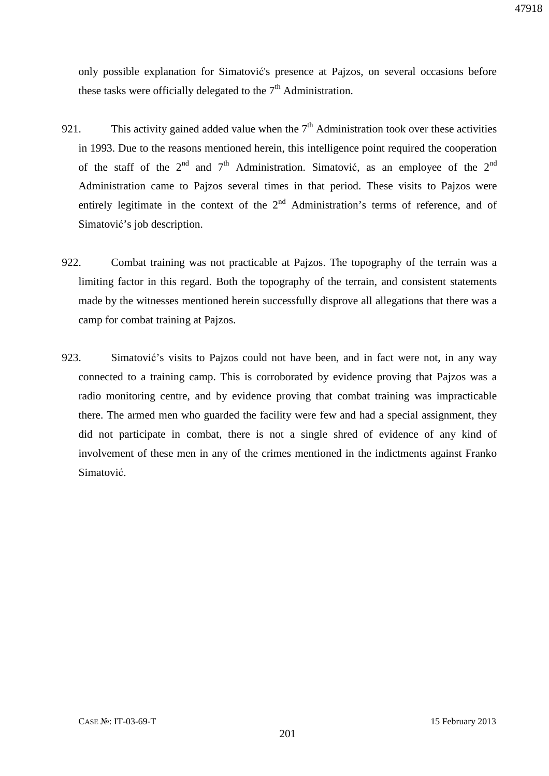only possible explanation for Simatović's presence at Pajzos, on several occasions before these tasks were officially delegated to the  $7<sup>th</sup>$  Administration.

- 921. This activity gained added value when the  $7<sup>th</sup>$  Administration took over these activities in 1993. Due to the reasons mentioned herein, this intelligence point required the cooperation of the staff of the  $2<sup>nd</sup>$  and  $7<sup>th</sup>$  Administration. Simatović, as an employee of the  $2<sup>nd</sup>$ Administration came to Pajzos several times in that period. These visits to Pajzos were entirely legitimate in the context of the  $2<sup>nd</sup>$  Administration's terms of reference, and of Simatović's job description.
- 922. Combat training was not practicable at Pajzos. The topography of the terrain was a limiting factor in this regard. Both the topography of the terrain, and consistent statements made by the witnesses mentioned herein successfully disprove all allegations that there was a camp for combat training at Pajzos.
- 923. Simatović's visits to Pajzos could not have been, and in fact were not, in any way connected to a training camp. This is corroborated by evidence proving that Pajzos was a radio monitoring centre, and by evidence proving that combat training was impracticable there. The armed men who guarded the facility were few and had a special assignment, they did not participate in combat, there is not a single shred of evidence of any kind of involvement of these men in any of the crimes mentioned in the indictments against Franko Simatović.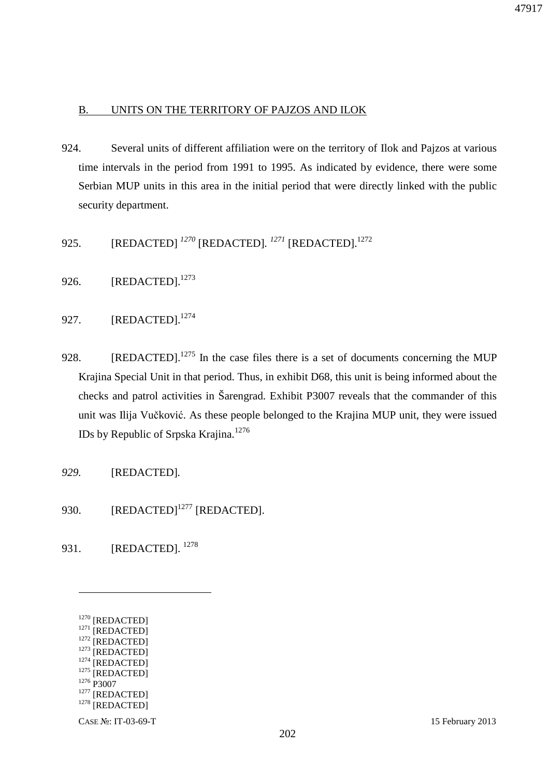### B. UNITS ON THE TERRITORY OF PAJZOS AND ILOK

- 924. Several units of different affiliation were on the territory of Ilok and Pajzos at various time intervals in the period from 1991 to 1995. As indicated by evidence, there were some Serbian MUP units in this area in the initial period that were directly linked with the public security department.
- 925. [REDACTED] <sup>1270</sup> [REDACTED]. <sup>1271</sup> [REDACTED].<sup>1272</sup>
- 926. [REDACTED].<sup>1273</sup>
- 927. **[REDACTED].**<sup>1274</sup>
- 928. [REDACTED].<sup>1275</sup> In the case files there is a set of documents concerning the MUP Krajina Special Unit in that period. Thus, in exhibit D68, this unit is being informed about the checks and patrol activities in Šarengrad. Exhibit P3007 reveals that the commander of this unit was Ilija Vučković. As these people belonged to the Krajina MUP unit, they were issued IDs by Republic of Srpska Krajina.<sup>1276</sup>
- *929.* [REDACTED]*.*
- 930. [REDACTED]<sup>1277</sup> [REDACTED].
- 931. [REDACTED]. <sup>1278</sup>
	- <sup>1270</sup> [REDACTED] <sup>1271</sup> [REDACTED] <sup>1272</sup> [REDACTED]  $1273$  [REDACTED]  $1274$  [REDACTED] <sup>1275</sup> [REDACTED] <sup>1276</sup> P3007 <sup>1277</sup> [REDACTED] <sup>1278</sup> [REDACTED]

 $\overline{a}$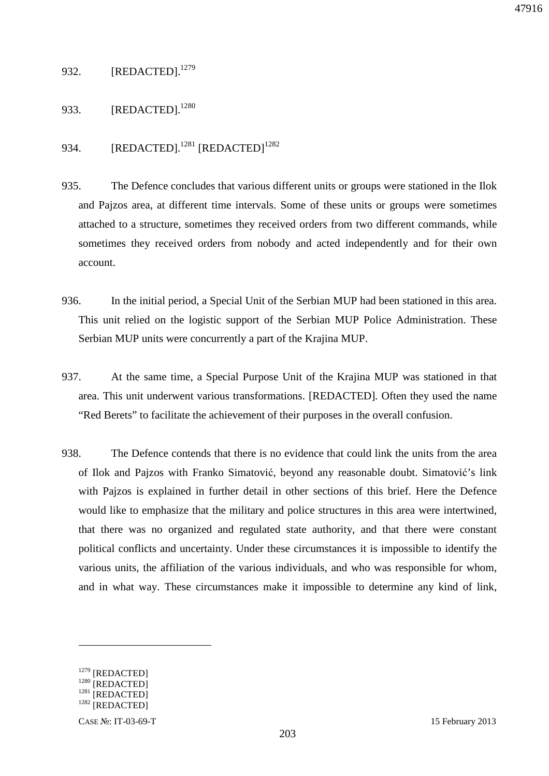## 932. [REDACTED].<sup>1279</sup>

## 933. [REDACTED].<sup>1280</sup>

## 934. [REDACTED].<sup>1281</sup> [REDACTED]<sup>1282</sup>

- 935. The Defence concludes that various different units or groups were stationed in the Ilok and Pajzos area, at different time intervals. Some of these units or groups were sometimes attached to a structure, sometimes they received orders from two different commands, while sometimes they received orders from nobody and acted independently and for their own account.
- 936. In the initial period, a Special Unit of the Serbian MUP had been stationed in this area. This unit relied on the logistic support of the Serbian MUP Police Administration. These Serbian MUP units were concurrently a part of the Krajina MUP.
- 937. At the same time, a Special Purpose Unit of the Krajina MUP was stationed in that area. This unit underwent various transformations. [REDACTED]*.* Often they used the name "Red Berets" to facilitate the achievement of their purposes in the overall confusion.
- 938. The Defence contends that there is no evidence that could link the units from the area of Ilok and Pajzos with Franko Simatović, beyond any reasonable doubt. Simatović's link with Pajzos is explained in further detail in other sections of this brief. Here the Defence would like to emphasize that the military and police structures in this area were intertwined, that there was no organized and regulated state authority, and that there were constant political conflicts and uncertainty. Under these circumstances it is impossible to identify the various units, the affiliation of the various individuals, and who was responsible for whom, and in what way. These circumstances make it impossible to determine any kind of link,

<sup>&</sup>lt;sup>1279</sup> [REDACTED]

<sup>&</sup>lt;sup>1280</sup> [REDACTED]

 $1281$  [REDACTED]  $1282$  [REDACTED]

CASE №: IT-03-69-T 15 February 2013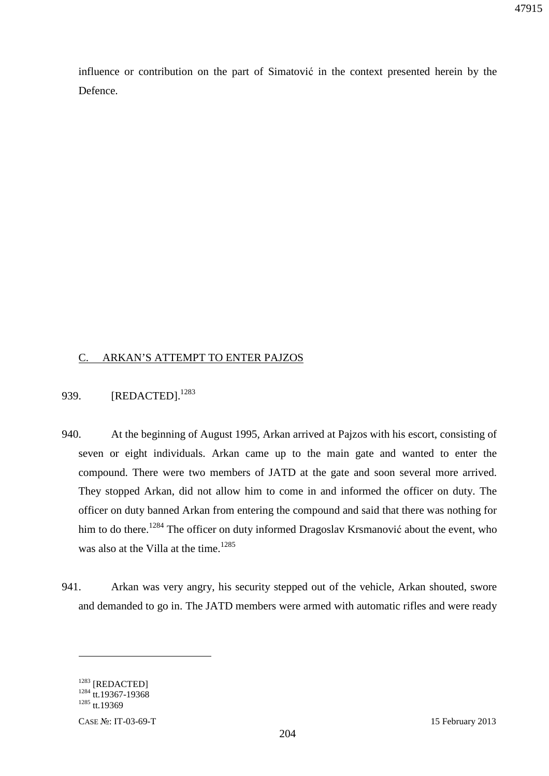influence or contribution on the part of Simatović in the context presented herein by the Defence.

### C. ARKAN'S ATTEMPT TO ENTER PAJZOS

### 939. **[REDACTED].**<sup>1283</sup>

- 940. At the beginning of August 1995, Arkan arrived at Pajzos with his escort, consisting of seven or eight individuals. Arkan came up to the main gate and wanted to enter the compound. There were two members of JATD at the gate and soon several more arrived. They stopped Arkan, did not allow him to come in and informed the officer on duty. The officer on duty banned Arkan from entering the compound and said that there was nothing for him to do there.<sup>1284</sup> The officer on duty informed Dragoslav Krsmanović about the event, who was also at the Villa at the time.<sup>1285</sup>
- 941. Arkan was very angry, his security stepped out of the vehicle, Arkan shouted, swore and demanded to go in. The JATD members were armed with automatic rifles and were ready

<sup>1283</sup> [REDACTED] <sup>1284</sup> tt.19367-19368  $1285$  tt.19369

 $\overline{a}$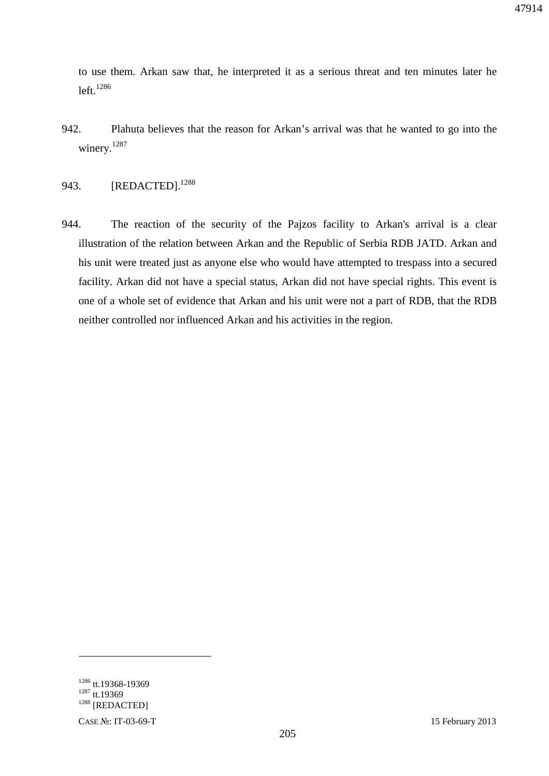to use them. Arkan saw that, he interpreted it as a serious threat and ten minutes later he  $left.1286$ 

942. Plahuta believes that the reason for Arkan's arrival was that he wanted to go into the winery.<sup>1287</sup>

## 943. [REDACTED].<sup>1288</sup>

944. The reaction of the security of the Pajzos facility to Arkan's arrival is a clear illustration of the relation between Arkan and the Republic of Serbia RDB JATD. Arkan and his unit were treated just as anyone else who would have attempted to trespass into a secured facility. Arkan did not have a special status, Arkan did not have special rights. This event is one of a whole set of evidence that Arkan and his unit were not a part of RDB, that the RDB neither controlled nor influenced Arkan and his activities in the region.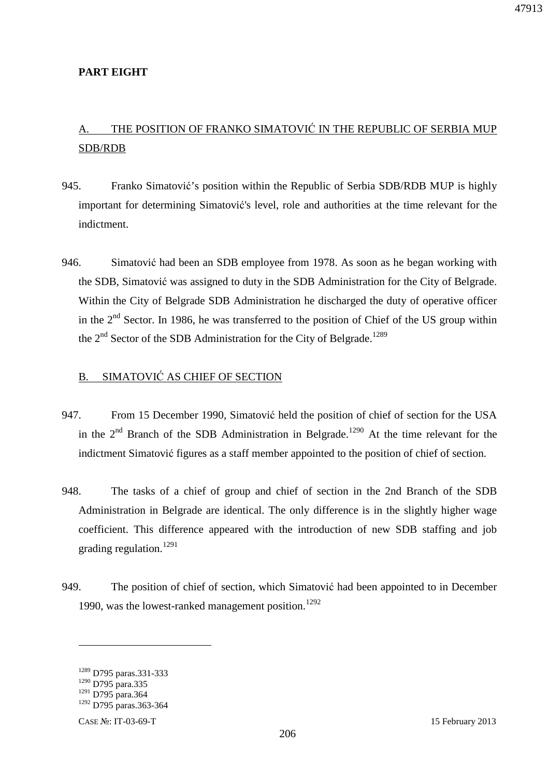### **PART EIGHT**

## A. THE POSITION OF FRANKO SIMATOVIĆ IN THE REPUBLIC OF SERBIA MUP SDB/RDB

- 945. Franko Simatović's position within the Republic of Serbia SDB/RDB MUP is highly important for determining Simatović's level, role and authorities at the time relevant for the indictment.
- 946. Simatović had been an SDB employee from 1978. As soon as he began working with the SDB, Simatović was assigned to duty in the SDB Administration for the City of Belgrade. Within the City of Belgrade SDB Administration he discharged the duty of operative officer in the  $2<sup>nd</sup>$  Sector. In 1986, he was transferred to the position of Chief of the US group within the  $2<sup>nd</sup>$  Sector of the SDB Administration for the City of Belgrade.<sup>1289</sup>

### B. SIMATOVIĆ AS CHIEF OF SECTION

- 947. From 15 December 1990, Simatović held the position of chief of section for the USA in the  $2<sup>nd</sup>$  Branch of the SDB Administration in Belgrade.<sup>1290</sup> At the time relevant for the indictment Simatović figures as a staff member appointed to the position of chief of section.
- 948. The tasks of a chief of group and chief of section in the 2nd Branch of the SDB Administration in Belgrade are identical. The only difference is in the slightly higher wage coefficient. This difference appeared with the introduction of new SDB staffing and job grading regulation. $1291$
- 949. The position of chief of section, which Simatović had been appointed to in December 1990, was the lowest-ranked management position.<sup>1292</sup>

<u>.</u>

<sup>1289</sup> D795 paras.331-333

<sup>1290</sup> D795 para.335

<sup>1291</sup> D795 para.364

<sup>1292</sup> D795 paras.363-364

CASE №: IT-03-69-T 15 February 2013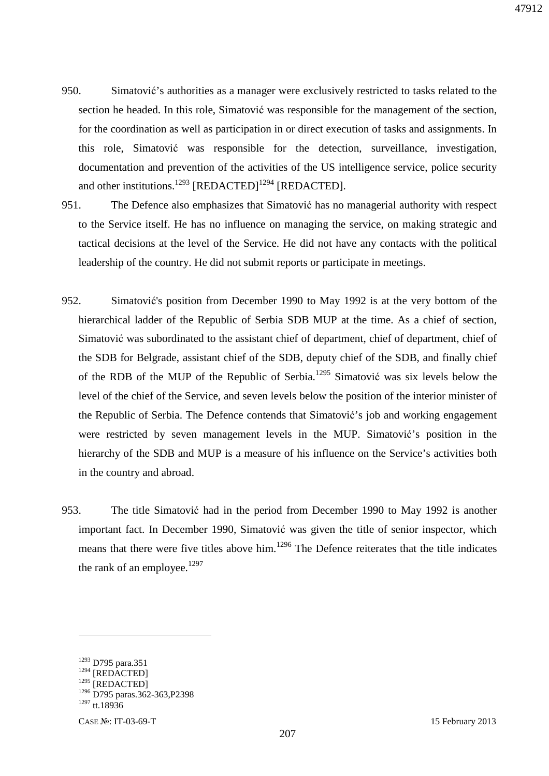- 950. Simatović's authorities as a manager were exclusively restricted to tasks related to the section he headed. In this role, Simatović was responsible for the management of the section, for the coordination as well as participation in or direct execution of tasks and assignments. In this role, Simatović was responsible for the detection, surveillance, investigation, documentation and prevention of the activities of the US intelligence service, police security and other institutions.<sup>1293</sup> [REDACTED]<sup>1294</sup> [REDACTED].
- 951. The Defence also emphasizes that Simatović has no managerial authority with respect to the Service itself. He has no influence on managing the service, on making strategic and tactical decisions at the level of the Service. He did not have any contacts with the political leadership of the country. He did not submit reports or participate in meetings.
- 952. Simatović's position from December 1990 to May 1992 is at the very bottom of the hierarchical ladder of the Republic of Serbia SDB MUP at the time. As a chief of section, Simatović was subordinated to the assistant chief of department, chief of department, chief of the SDB for Belgrade, assistant chief of the SDB, deputy chief of the SDB, and finally chief of the RDB of the MUP of the Republic of Serbia.<sup>1295</sup> Simatović was six levels below the level of the chief of the Service, and seven levels below the position of the interior minister of the Republic of Serbia. The Defence contends that Simatović's job and working engagement were restricted by seven management levels in the MUP. Simatović's position in the hierarchy of the SDB and MUP is a measure of his influence on the Service's activities both in the country and abroad.
- 953. The title Simatović had in the period from December 1990 to May 1992 is another important fact. In December 1990, Simatović was given the title of senior inspector, which means that there were five titles above him.<sup>1296</sup> The Defence reiterates that the title indicates the rank of an employee. $1297$

<sup>1293</sup> D795 para.351  $1294$  [REDACTED] <sup>1295</sup> [REDACTED] <sup>1296</sup> D795 paras.362-363,P2398  $1297$  tt.18936

CASE №: IT-03-69-T 15 February 2013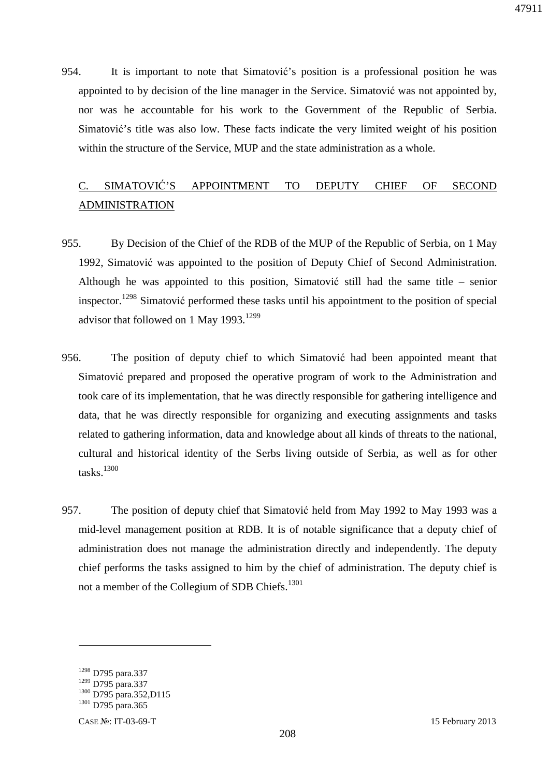954. It is important to note that Simatović's position is a professional position he was appointed to by decision of the line manager in the Service. Simatović was not appointed by, nor was he accountable for his work to the Government of the Republic of Serbia. Simatović's title was also low. These facts indicate the very limited weight of his position within the structure of the Service, MUP and the state administration as a whole.

# C. SIMATOVIĆ'S APPOINTMENT TO DEPUTY CHIEF OF SECOND ADMINISTRATION

- 955. By Decision of the Chief of the RDB of the MUP of the Republic of Serbia, on 1 May 1992, Simatović was appointed to the position of Deputy Chief of Second Administration. Although he was appointed to this position, Simatović still had the same title – senior inspector.<sup>1298</sup> Simatović performed these tasks until his appointment to the position of special advisor that followed on 1 May 1993.<sup>1299</sup>
- 956. The position of deputy chief to which Simatović had been appointed meant that Simatović prepared and proposed the operative program of work to the Administration and took care of its implementation, that he was directly responsible for gathering intelligence and data, that he was directly responsible for organizing and executing assignments and tasks related to gathering information, data and knowledge about all kinds of threats to the national, cultural and historical identity of the Serbs living outside of Serbia, as well as for other tasks. $1300$
- 957. The position of deputy chief that Simatović held from May 1992 to May 1993 was a mid-level management position at RDB. It is of notable significance that a deputy chief of administration does not manage the administration directly and independently. The deputy chief performs the tasks assigned to him by the chief of administration. The deputy chief is not a member of the Collegium of SDB Chiefs.<sup>1301</sup>

<u>.</u>

<sup>1298</sup> D795 para.337

<sup>1299</sup> D795 para.337

<sup>&</sup>lt;sup>1300</sup> D795 para.352,D115 <sup>1301</sup> D795 para.365

CASE №: IT-03-69-T 15 February 2013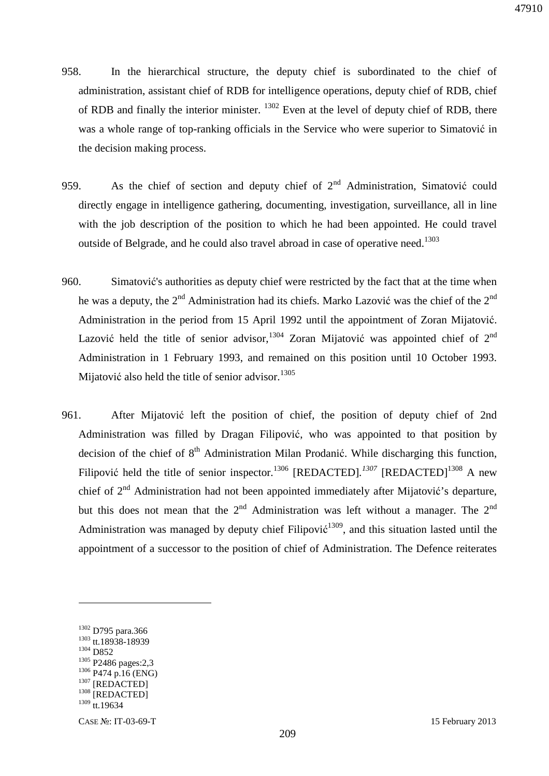- 958. In the hierarchical structure, the deputy chief is subordinated to the chief of administration, assistant chief of RDB for intelligence operations, deputy chief of RDB, chief of RDB and finally the interior minister. <sup>1302</sup> Even at the level of deputy chief of RDB, there was a whole range of top-ranking officials in the Service who were superior to Simatović in the decision making process.
- 959. As the chief of section and deputy chief of  $2<sup>nd</sup>$  Administration, Simatović could directly engage in intelligence gathering, documenting, investigation, surveillance, all in line with the job description of the position to which he had been appointed. He could travel outside of Belgrade, and he could also travel abroad in case of operative need.<sup>1303</sup>
- 960. Simatović's authorities as deputy chief were restricted by the fact that at the time when he was a deputy, the  $2<sup>nd</sup>$  Administration had its chiefs. Marko Lazović was the chief of the  $2<sup>nd</sup>$ Administration in the period from 15 April 1992 until the appointment of Zoran Mijatović. Lazović held the title of senior advisor,  $1304$  Zoran Mijatović was appointed chief of  $2<sup>nd</sup>$ Administration in 1 February 1993, and remained on this position until 10 October 1993. Mijatović also held the title of senior advisor. $1305$
- 961. After Mijatović left the position of chief, the position of deputy chief of 2nd Administration was filled by Dragan Filipović, who was appointed to that position by decision of the chief of  $8<sup>th</sup>$  Administration Milan Prodanić. While discharging this function, Filipović held the title of senior inspector.<sup>1306</sup> [REDACTED].<sup>1307</sup> [REDACTED]<sup>1308</sup> A new chief of  $2<sup>nd</sup>$  Administration had not been appointed immediately after Mijatović's departure, but this does not mean that the  $2^{nd}$  Administration was left without a manager. The  $2^{nd}$ Administration was managed by deputy chief Filipović<sup>1309</sup>, and this situation lasted until the appointment of a successor to the position of chief of Administration. The Defence reiterates

<sup>&</sup>lt;sup>1302</sup> D795 para.366 <sup>1303</sup> tt.18938-18939 <sup>1304</sup> D852 <sup>1305</sup> P2486 pages:2,3 <sup>1306</sup> P474 p.16 (ENG)  $1307$  [REDACTED] <sup>1308</sup> [REDACTED]  $1309$  tt.19634

CASE №: IT-03-69-T 15 February 2013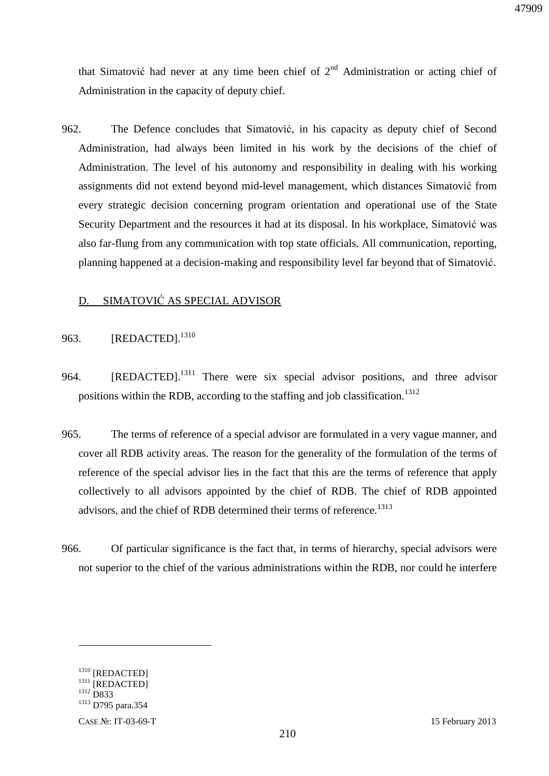that Simatović had never at any time been chief of  $2<sup>nd</sup>$  Administration or acting chief of Administration in the capacity of deputy chief.

962. The Defence concludes that Simatović, in his capacity as deputy chief of Second Administration, had always been limited in his work by the decisions of the chief of Administration. The level of his autonomy and responsibility in dealing with his working assignments did not extend beyond mid-level management, which distances Simatović from every strategic decision concerning program orientation and operational use of the State Security Department and the resources it had at its disposal. In his workplace, Simatović was also far-flung from any communication with top state officials. All communication, reporting, planning happened at a decision-making and responsibility level far beyond that of Simatović.

### D. SIMATOVIĆ AS SPECIAL ADVISOR

#### 963. **[REDACTED**].<sup>1310</sup>

- 964. [REDACTED].<sup>1311</sup> There were six special advisor positions, and three advisor positions within the RDB, according to the staffing and job classification.<sup>1312</sup>
- 965. The terms of reference of a special advisor are formulated in a very vague manner, and cover all RDB activity areas. The reason for the generality of the formulation of the terms of reference of the special advisor lies in the fact that this are the terms of reference that apply collectively to all advisors appointed by the chief of RDB. The chief of RDB appointed advisors, and the chief of RDB determined their terms of reference.<sup>1313</sup>
- 966. Of particular significance is the fact that, in terms of hierarchy, special advisors were not superior to the chief of the various administrations within the RDB, nor could he interfere

<sup>&</sup>lt;sup>1310</sup> [REDACTED] <sup>1311</sup> [REDACTED] <sup>1312</sup> D833 <sup>1313</sup> D795 para.354

CASE №: IT-03-69-T 15 February 2013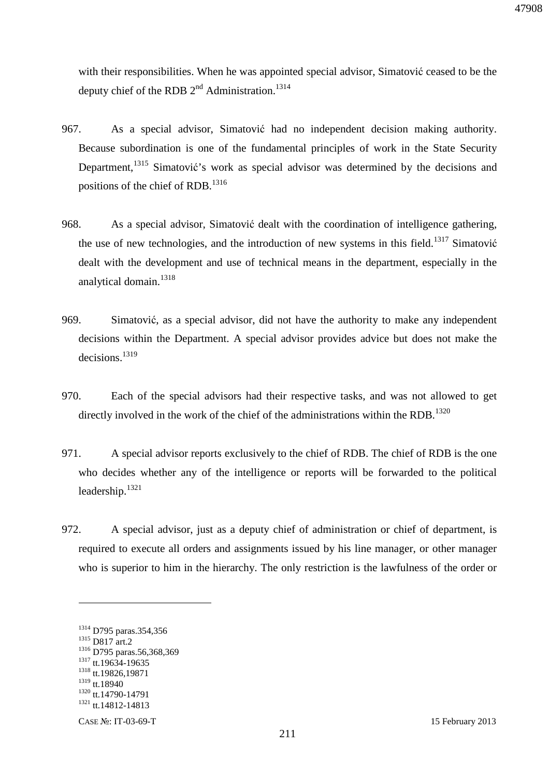with their responsibilities. When he was appointed special advisor, Simatović ceased to be the deputy chief of the RDB  $2<sup>nd</sup>$  Administration.<sup>1314</sup>

- 967. As a special advisor, Simatović had no independent decision making authority. Because subordination is one of the fundamental principles of work in the State Security Department, <sup>1315</sup> Simatović's work as special advisor was determined by the decisions and positions of the chief of RDB.<sup>1316</sup>
- 968. As a special advisor, Simatović dealt with the coordination of intelligence gathering, the use of new technologies, and the introduction of new systems in this field.<sup>1317</sup> Simatović dealt with the development and use of technical means in the department, especially in the analytical domain.<sup>1318</sup>
- 969. Simatović, as a special advisor, did not have the authority to make any independent decisions within the Department. A special advisor provides advice but does not make the decisions.<sup>1319</sup>
- 970. Each of the special advisors had their respective tasks, and was not allowed to get directly involved in the work of the chief of the administrations within the RDB.<sup>1320</sup>
- 971. A special advisor reports exclusively to the chief of RDB. The chief of RDB is the one who decides whether any of the intelligence or reports will be forwarded to the political leadership.<sup>1321</sup>
- 972. A special advisor, just as a deputy chief of administration or chief of department, is required to execute all orders and assignments issued by his line manager, or other manager who is superior to him in the hierarchy. The only restriction is the lawfulness of the order or

<sup>1314</sup> D795 paras.354,356 <sup>1315</sup> D817 art.2 <sup>1316</sup> D795 paras.56,368,369 <sup>1317</sup> tt.19634-19635 <sup>1318</sup> tt.19826,19871 1319 tt.18940 <sup>1320</sup> tt.14790-14791  $1321$  tt.14812-14813

CASE №: IT-03-69-T 15 February 2013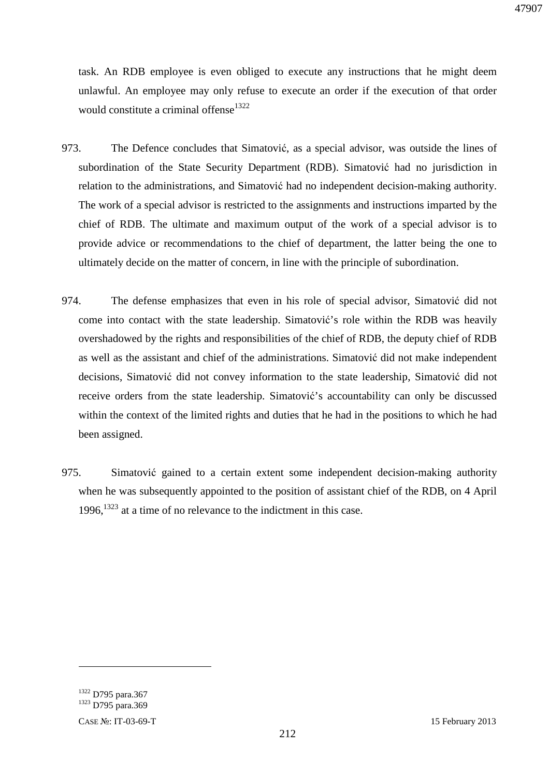task. An RDB employee is even obliged to execute any instructions that he might deem unlawful. An employee may only refuse to execute an order if the execution of that order would constitute a criminal offense<sup>1322</sup>

- 973. The Defence concludes that Simatović, as a special advisor, was outside the lines of subordination of the State Security Department (RDB). Simatović had no jurisdiction in relation to the administrations, and Simatović had no independent decision-making authority. The work of a special advisor is restricted to the assignments and instructions imparted by the chief of RDB. The ultimate and maximum output of the work of a special advisor is to provide advice or recommendations to the chief of department, the latter being the one to ultimately decide on the matter of concern, in line with the principle of subordination.
- 974. The defense emphasizes that even in his role of special advisor, Simatović did not come into contact with the state leadership. Simatović's role within the RDB was heavily overshadowed by the rights and responsibilities of the chief of RDB, the deputy chief of RDB as well as the assistant and chief of the administrations. Simatović did not make independent decisions, Simatović did not convey information to the state leadership, Simatović did not receive orders from the state leadership. Simatović's accountability can only be discussed within the context of the limited rights and duties that he had in the positions to which he had been assigned.
- 975. Simatović gained to a certain extent some independent decision-making authority when he was subsequently appointed to the position of assistant chief of the RDB, on 4 April  $1996$ ,  $1323$  at a time of no relevance to the indictment in this case.

<sup>&</sup>lt;sup>1322</sup> D795 para.367 <sup>1323</sup> D795 para.369

CASE №: IT-03-69-T 15 February 2013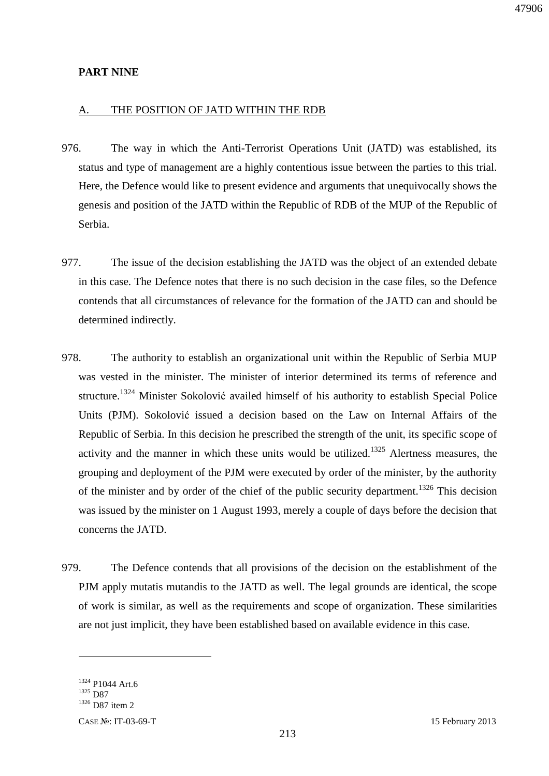#### **PART NINE**

#### A. THE POSITION OF JATD WITHIN THE RDB

- 976. The way in which the Anti-Terrorist Operations Unit (JATD) was established, its status and type of management are a highly contentious issue between the parties to this trial. Here, the Defence would like to present evidence and arguments that unequivocally shows the genesis and position of the JATD within the Republic of RDB of the MUP of the Republic of Serbia.
- 977. The issue of the decision establishing the JATD was the object of an extended debate in this case. The Defence notes that there is no such decision in the case files, so the Defence contends that all circumstances of relevance for the formation of the JATD can and should be determined indirectly.
- 978. The authority to establish an organizational unit within the Republic of Serbia MUP was vested in the minister. The minister of interior determined its terms of reference and structure.<sup>1324</sup> Minister Sokolović availed himself of his authority to establish Special Police Units (PJM). Sokolović issued a decision based on the Law on Internal Affairs of the Republic of Serbia. In this decision he prescribed the strength of the unit, its specific scope of activity and the manner in which these units would be utilized.<sup>1325</sup> Alertness measures, the grouping and deployment of the PJM were executed by order of the minister, by the authority of the minister and by order of the chief of the public security department.<sup>1326</sup> This decision was issued by the minister on 1 August 1993, merely a couple of days before the decision that concerns the JATD.
- 979. The Defence contends that all provisions of the decision on the establishment of the PJM apply mutatis mutandis to the JATD as well. The legal grounds are identical, the scope of work is similar, as well as the requirements and scope of organization. These similarities are not just implicit, they have been established based on available evidence in this case.

<sup>1324</sup> P1044 Art.6 <sup>1325</sup> D87 <sup>1326</sup> D87 item 2

CASE №: IT-03-69-T 15 February 2013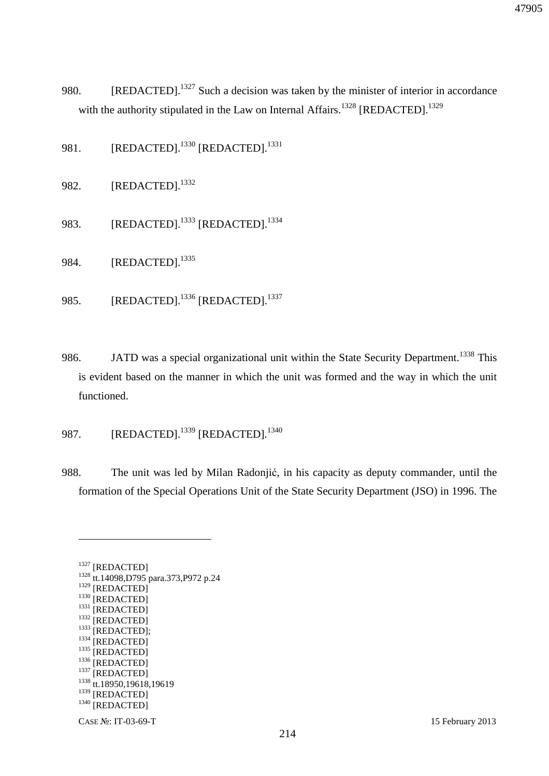- 980. [REDACTED].<sup>1327</sup> Such a decision was taken by the minister of interior in accordance with the authority stipulated in the Law on Internal Affairs.<sup>1328</sup> [REDACTED].<sup>1329</sup>
- 981. [REDACTED].<sup>1330</sup> [REDACTED].<sup>1331</sup>
- 982. [REDACTED].<sup>1332</sup>
- 983. [REDACTED].<sup>1333</sup> [REDACTED].<sup>1334</sup>
- 984. **[REDACTED**].<sup>1335</sup>
- 985. [REDACTED].<sup>1336</sup> [REDACTED].<sup>1337</sup>
- 986. JATD was a special organizational unit within the State Security Department.<sup>1338</sup> This is evident based on the manner in which the unit was formed and the way in which the unit functioned.
- 987. [REDACTED].<sup>1339</sup> [REDACTED].<sup>1340</sup>
- 988. The unit was led by Milan Radonjić, in his capacity as deputy commander, until the formation of the Special Operations Unit of the State Security Department (JSO) in 1996. The

<sup>1327</sup> [REDACTED] <sup>1328</sup> tt.14098,D795 para.373,P972 p.24 <sup>1329</sup> [REDACTED] <sup>1330</sup> [REDACTED] <sup>1331</sup> [REDACTED] <sup>1332</sup> [REDACTED] 1333 [REDACTED]; <sup>1334</sup> [REDACTED]  $1335$  [REDACTED] <sup>1336</sup> [REDACTED] <sup>1337</sup> [REDACTED]  $1338$  tt.18950,19618,19619 <sup>1339</sup> [REDACTED] <sup>1340</sup> [REDACTED]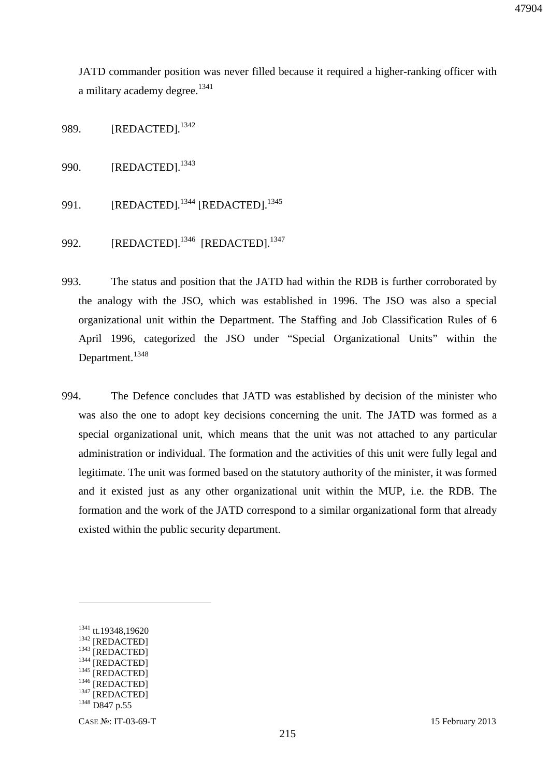JATD commander position was never filled because it required a higher-ranking officer with a military academy degree.<sup>1341</sup>

989. [REDACTED]*.* 1342

990. [REDACTED].<sup>1343</sup>

991. [REDACTED].<sup>1344</sup> [REDACTED].<sup>1345</sup>

992. [REDACTED].<sup>1346</sup> [REDACTED].<sup>1347</sup>

- 993. The status and position that the JATD had within the RDB is further corroborated by the analogy with the JSO, which was established in 1996. The JSO was also a special organizational unit within the Department. The Staffing and Job Classification Rules of 6 April 1996, categorized the JSO under "Special Organizational Units" within the Department.<sup>1348</sup>
- 994. The Defence concludes that JATD was established by decision of the minister who was also the one to adopt key decisions concerning the unit. The JATD was formed as a special organizational unit, which means that the unit was not attached to any particular administration or individual. The formation and the activities of this unit were fully legal and legitimate. The unit was formed based on the statutory authority of the minister, it was formed and it existed just as any other organizational unit within the MUP, i.e. the RDB. The formation and the work of the JATD correspond to a similar organizational form that already existed within the public security department.

<sup>1341</sup> tt.19348,19620 <sup>1342</sup> [REDACTED]

 $1343$  [REDACTED] <sup>1344</sup> [REDACTED]

<sup>&</sup>lt;sup>1345</sup> [REDACTED]

<sup>&</sup>lt;sup>1346</sup> [REDACTED]

 $1347$  [REDACTED]

<sup>1348</sup> D847 p.55

CASE №: IT-03-69-T 15 February 2013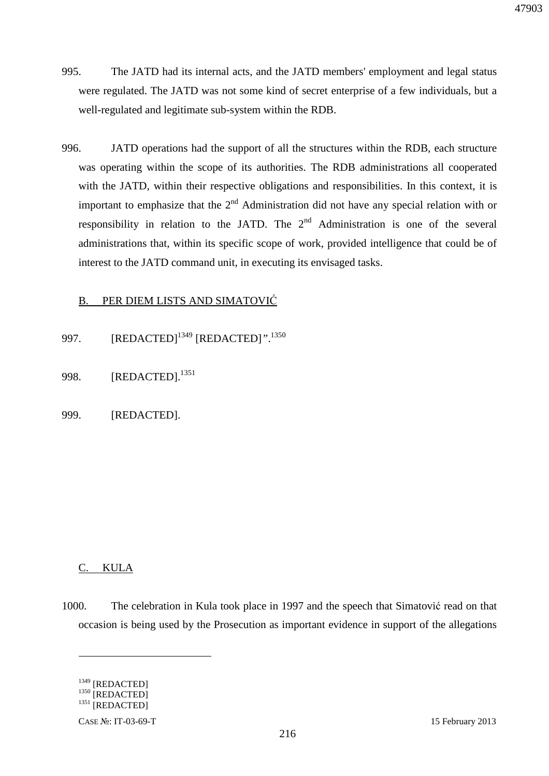- 995. The JATD had its internal acts, and the JATD members' employment and legal status were regulated. The JATD was not some kind of secret enterprise of a few individuals, but a well-regulated and legitimate sub-system within the RDB.
- 996. JATD operations had the support of all the structures within the RDB, each structure was operating within the scope of its authorities. The RDB administrations all cooperated with the JATD, within their respective obligations and responsibilities. In this context, it is important to emphasize that the  $2<sup>nd</sup>$  Administration did not have any special relation with or responsibility in relation to the JATD. The  $2<sup>nd</sup>$  Administration is one of the several administrations that, within its specific scope of work, provided intelligence that could be of interest to the JATD command unit, in executing its envisaged tasks.

### B. PER DIEM LISTS AND SIMATOVIĆ

- 997. [REDACTED]<sup>1349</sup> [REDACTED]*"*. 1350
- 998. [REDACTED].<sup>1351</sup>
- 999. [REDACTED].

### C. KULA

1000. The celebration in Kula took place in 1997 and the speech that Simatović read on that occasion is being used by the Prosecution as important evidence in support of the allegations

<u>.</u>

<sup>1349 [</sup>REDACTED]  $^{1350}$  [REDACTED]  $^{1351}$  [REDACTED]

CASE №: IT-03-69-T 15 February 2013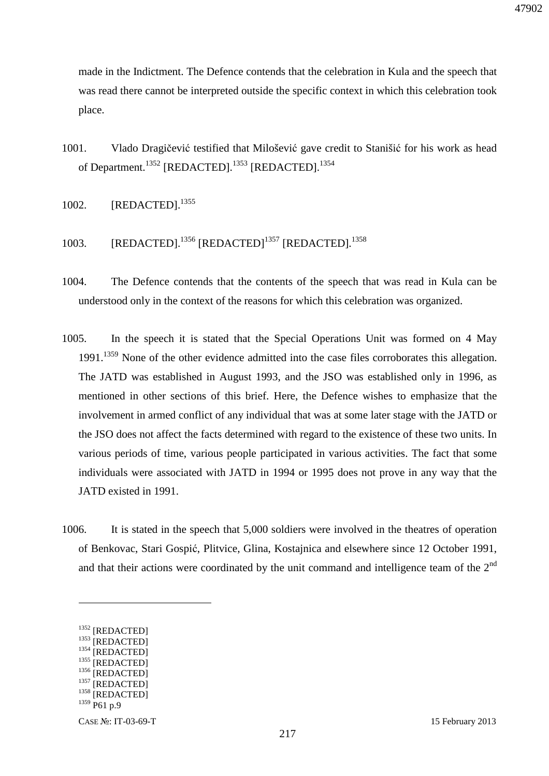made in the Indictment. The Defence contends that the celebration in Kula and the speech that was read there cannot be interpreted outside the specific context in which this celebration took place.

- 1001. Vlado Dragičević testified that Milošević gave credit to Stanišić for his work as head of Department.<sup>1352</sup> [REDACTED].<sup>1353</sup> [REDACTED].<sup>1354</sup>
- 1002. **[REDACTED].**<sup>1355</sup>
- 1003. [REDACTED].<sup>1356</sup> [REDACTED]<sup>1357</sup> [REDACTED].<sup>1358</sup>
- 1004. The Defence contends that the contents of the speech that was read in Kula can be understood only in the context of the reasons for which this celebration was organized.
- 1005. In the speech it is stated that the Special Operations Unit was formed on 4 May 1991.<sup>1359</sup> None of the other evidence admitted into the case files corroborates this allegation. The JATD was established in August 1993, and the JSO was established only in 1996, as mentioned in other sections of this brief. Here, the Defence wishes to emphasize that the involvement in armed conflict of any individual that was at some later stage with the JATD or the JSO does not affect the facts determined with regard to the existence of these two units. In various periods of time, various people participated in various activities. The fact that some individuals were associated with JATD in 1994 or 1995 does not prove in any way that the JATD existed in 1991.
- 1006. It is stated in the speech that 5,000 soldiers were involved in the theatres of operation of Benkovac, Stari Gospić, Plitvice, Glina, Kostajnica and elsewhere since 12 October 1991, and that their actions were coordinated by the unit command and intelligence team of the  $2<sup>nd</sup>$

<sup>1352</sup> [REDACTED]

 $\frac{1353}{1354}$  [REDACTED] [REDACTED]

 $^{1355}$  [REDACTED]

<sup>[</sup>REDACTED] <sup>1357</sup> [REDACTED]

<sup>&</sup>lt;sup>1358</sup> [REDACTED]

 $1359$  P61 p.9

CASE №: IT-03-69-T 15 February 2013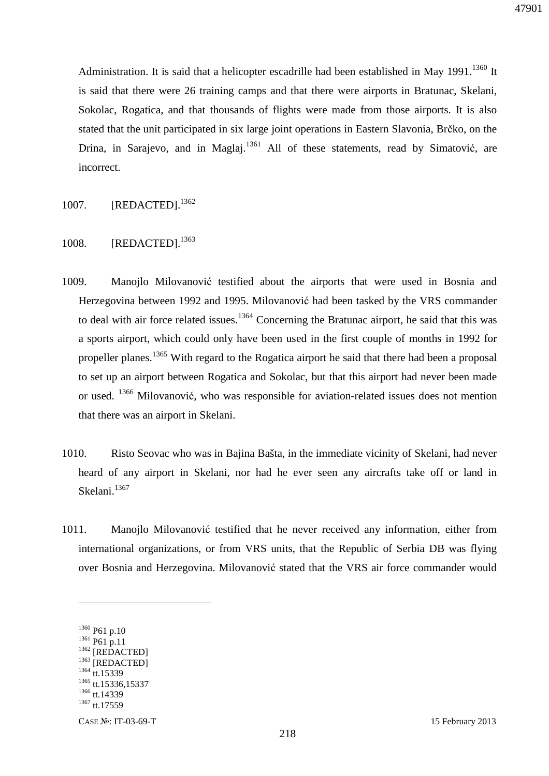Administration. It is said that a helicopter escadrille had been established in May  $1991$ .<sup>1360</sup> It is said that there were 26 training camps and that there were airports in Bratunac, Skelani, Sokolac, Rogatica, and that thousands of flights were made from those airports. It is also stated that the unit participated in six large joint operations in Eastern Slavonia, Brčko, on the Drina, in Sarajevo, and in Maglaj.<sup>1361</sup> All of these statements, read by Simatović, are incorrect.

- 1007. **[REDACTED].**<sup>1362</sup>
- 1008. [REDACTED].<sup>1363</sup>
- 1009. Manojlo Milovanović testified about the airports that were used in Bosnia and Herzegovina between 1992 and 1995. Milovanović had been tasked by the VRS commander to deal with air force related issues.<sup>1364</sup> Concerning the Bratunac airport, he said that this was a sports airport, which could only have been used in the first couple of months in 1992 for propeller planes.<sup>1365</sup> With regard to the Rogatica airport he said that there had been a proposal to set up an airport between Rogatica and Sokolac, but that this airport had never been made or used. <sup>1366</sup> Milovanović, who was responsible for aviation-related issues does not mention that there was an airport in Skelani.
- 1010. Risto Seovac who was in Bajina Bašta, in the immediate vicinity of Skelani, had never heard of any airport in Skelani, nor had he ever seen any aircrafts take off or land in Skelani.<sup>1367</sup>
- 1011. Manojlo Milovanović testified that he never received any information, either from international organizations, or from VRS units, that the Republic of Serbia DB was flying over Bosnia and Herzegovina. Milovanović stated that the VRS air force commander would

<sup>1360</sup> P61 p.10 <sup>1361</sup> P61 p.11 <sup>1362</sup> [REDACTED] <sup>1363</sup> [REDACTED] 1364 tt.15339 <sup>1365</sup> tt.15336,15337 <sup>1366</sup> tt.14339 1367 tt.17559

CASE №: IT-03-69-T 15 February 2013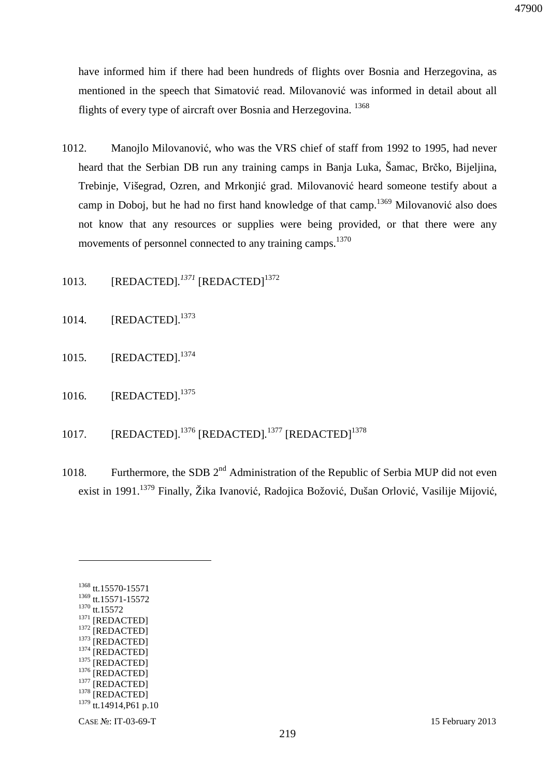have informed him if there had been hundreds of flights over Bosnia and Herzegovina, as mentioned in the speech that Simatović read. Milovanović was informed in detail about all flights of every type of aircraft over Bosnia and Herzegovina. <sup>1368</sup>

- 1012. Manojlo Milovanović, who was the VRS chief of staff from 1992 to 1995, had never heard that the Serbian DB run any training camps in Banja Luka, Šamac, Brčko, Bijeljina, Trebinje, Višegrad, Ozren, and Mrkonjić grad. Milovanović heard someone testify about a camp in Doboj, but he had no first hand knowledge of that camp.<sup>1369</sup> Milovanović also does not know that any resources or supplies were being provided, or that there were any movements of personnel connected to any training camps.<sup>1370</sup>
- 1013. [REDACTED].<sup>1371</sup> [REDACTED]<sup>1372</sup>
- 1014. **[REDACTED].**<sup>1373</sup>
- 1015. [REDACTED].<sup>1374</sup>
- 1016. [REDACTED].<sup>1375</sup>
- 1017. [REDACTED].<sup>1376</sup> [REDACTED].<sup>1377</sup> [REDACTED]<sup>1378</sup>
- 1018. Furthermore, the SDB  $2<sup>nd</sup>$  Administration of the Republic of Serbia MUP did not even exist in 1991.<sup>1379</sup> Finally, Žika Ivanović, Radojica Božović, Dušan Orlović, Vasilije Mijović,

| 1368 | tt.15570-15571     |
|------|--------------------|
| 1369 | tt.15571-15572     |
| 1370 | tt.15572           |
| 1371 | [REDACTED]         |
| 1372 | [REDACTED]         |
| 1373 | [REDACTED]         |
| 1374 | [REDACTED]         |
| 1375 | [REDACTED]         |
| 1376 | [REDACTED]         |
| 1377 | [REDACTED]         |
| 1378 | [REDACTED]         |
| 1379 | tt.14914, P61 p.10 |
|      |                    |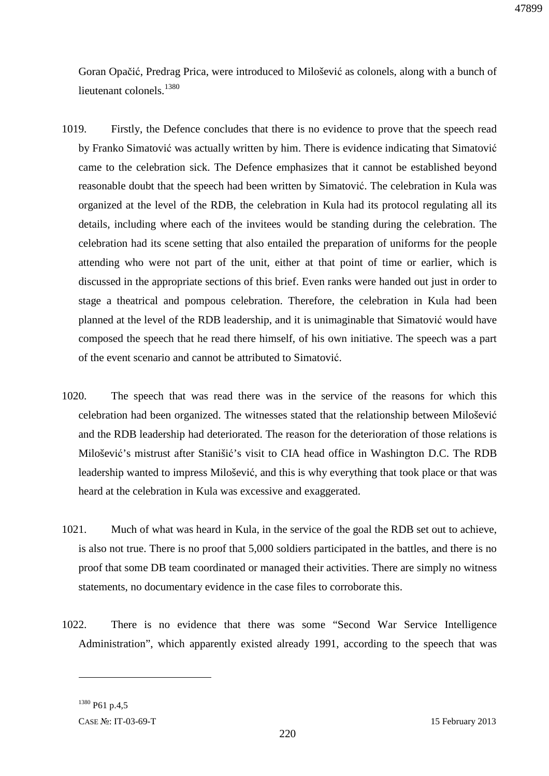Goran Opačić, Predrag Prica, were introduced to Milošević as colonels, along with a bunch of lieutenant colonels.<sup>1380</sup>

- 1019. Firstly, the Defence concludes that there is no evidence to prove that the speech read by Franko Simatović was actually written by him. There is evidence indicating that Simatović came to the celebration sick. The Defence emphasizes that it cannot be established beyond reasonable doubt that the speech had been written by Simatović. The celebration in Kula was organized at the level of the RDB, the celebration in Kula had its protocol regulating all its details, including where each of the invitees would be standing during the celebration. The celebration had its scene setting that also entailed the preparation of uniforms for the people attending who were not part of the unit, either at that point of time or earlier, which is discussed in the appropriate sections of this brief. Even ranks were handed out just in order to stage a theatrical and pompous celebration. Therefore, the celebration in Kula had been planned at the level of the RDB leadership, and it is unimaginable that Simatović would have composed the speech that he read there himself, of his own initiative. The speech was a part of the event scenario and cannot be attributed to Simatović.
- 1020. The speech that was read there was in the service of the reasons for which this celebration had been organized. The witnesses stated that the relationship between Milošević and the RDB leadership had deteriorated. The reason for the deterioration of those relations is Milošević's mistrust after Stanišić's visit to CIA head office in Washington D.C. The RDB leadership wanted to impress Milošević, and this is why everything that took place or that was heard at the celebration in Kula was excessive and exaggerated.
- 1021. Much of what was heard in Kula, in the service of the goal the RDB set out to achieve, is also not true. There is no proof that 5,000 soldiers participated in the battles, and there is no proof that some DB team coordinated or managed their activities. There are simply no witness statements, no documentary evidence in the case files to corroborate this.
- 1022. There is no evidence that there was some "Second War Service Intelligence Administration", which apparently existed already 1991, according to the speech that was

<sup>1380</sup> P61 p.4,5

CASE №: IT-03-69-T 15 February 2013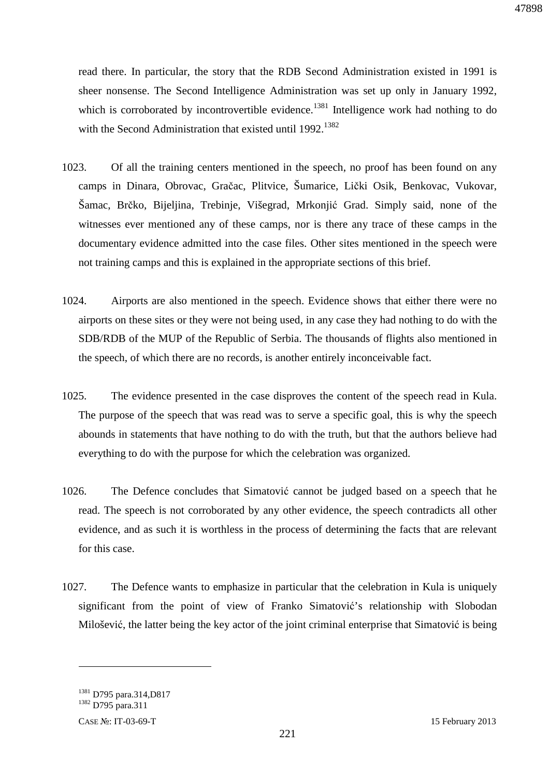read there. In particular, the story that the RDB Second Administration existed in 1991 is sheer nonsense. The Second Intelligence Administration was set up only in January 1992, which is corroborated by incontrovertible evidence.<sup>1381</sup> Intelligence work had nothing to do with the Second Administration that existed until  $1992$ <sup>1382</sup>

- 1023. Of all the training centers mentioned in the speech, no proof has been found on any camps in Dinara, Obrovac, Gračac, Plitvice, Šumarice, Lički Osik, Benkovac, Vukovar, Šamac, Brčko, Bijeljina, Trebinje, Višegrad, Mrkonjić Grad. Simply said, none of the witnesses ever mentioned any of these camps, nor is there any trace of these camps in the documentary evidence admitted into the case files. Other sites mentioned in the speech were not training camps and this is explained in the appropriate sections of this brief.
- 1024. Airports are also mentioned in the speech. Evidence shows that either there were no airports on these sites or they were not being used, in any case they had nothing to do with the SDB/RDB of the MUP of the Republic of Serbia. The thousands of flights also mentioned in the speech, of which there are no records, is another entirely inconceivable fact.
- 1025. The evidence presented in the case disproves the content of the speech read in Kula. The purpose of the speech that was read was to serve a specific goal, this is why the speech abounds in statements that have nothing to do with the truth, but that the authors believe had everything to do with the purpose for which the celebration was organized.
- 1026. The Defence concludes that Simatović cannot be judged based on a speech that he read. The speech is not corroborated by any other evidence, the speech contradicts all other evidence, and as such it is worthless in the process of determining the facts that are relevant for this case.
- 1027. The Defence wants to emphasize in particular that the celebration in Kula is uniquely significant from the point of view of Franko Simatović's relationship with Slobodan Milošević, the latter being the key actor of the joint criminal enterprise that Simatović is being

<sup>&</sup>lt;sup>1381</sup> D795 para.314,D817

<sup>1382</sup> D795 para.311

CASE №: IT-03-69-T 15 February 2013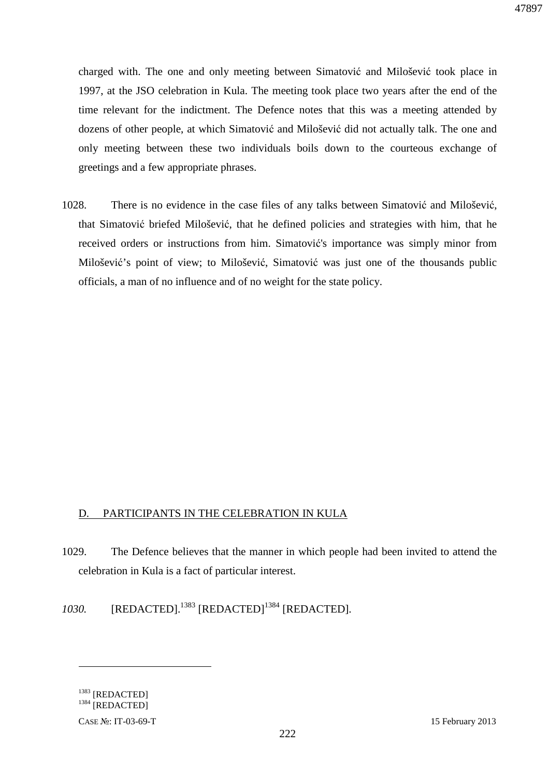charged with. The one and only meeting between Simatović and Milošević took place in 1997, at the JSO celebration in Kula. The meeting took place two years after the end of the time relevant for the indictment. The Defence notes that this was a meeting attended by dozens of other people, at which Simatović and Milošević did not actually talk. The one and only meeting between these two individuals boils down to the courteous exchange of greetings and a few appropriate phrases.

1028. There is no evidence in the case files of any talks between Simatović and Milošević, that Simatović briefed Milošević, that he defined policies and strategies with him, that he received orders or instructions from him. Simatović's importance was simply minor from Milošević's point of view; to Milošević, Simatović was just one of the thousands public officials, a man of no influence and of no weight for the state policy.

### D. PARTICIPANTS IN THE CELEBRATION IN KULA

- 1029. The Defence believes that the manner in which people had been invited to attend the celebration in Kula is a fact of particular interest.
- *1030.* [REDACTED].<sup>1383</sup> [REDACTED]<sup>1384</sup> [REDACTED].

<sup>1383</sup> [REDACTED] <sup>1384</sup> [REDACTED]

CASE №: IT-03-69-T 15 February 2013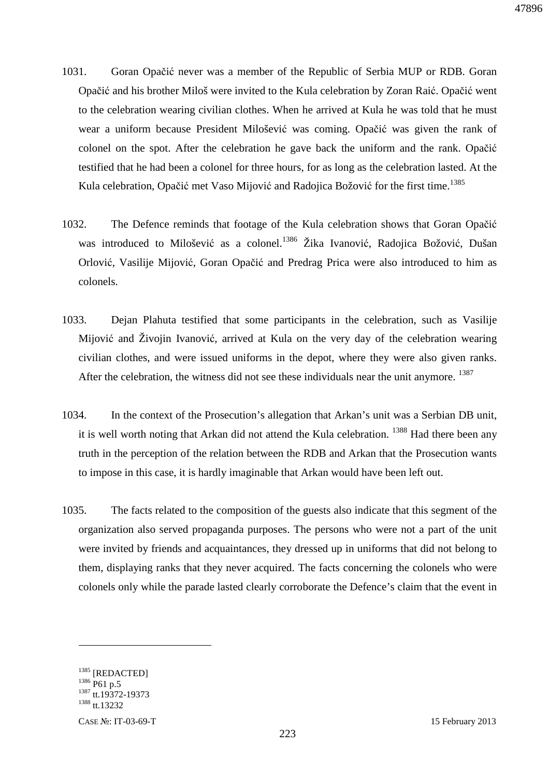- 1031. Goran Opačić never was a member of the Republic of Serbia MUP or RDB. Goran Opačić and his brother Miloš were invited to the Kula celebration by Zoran Raić. Opačić went to the celebration wearing civilian clothes. When he arrived at Kula he was told that he must wear a uniform because President Milošević was coming. Opačić was given the rank of colonel on the spot. After the celebration he gave back the uniform and the rank. Opačić testified that he had been a colonel for three hours, for as long as the celebration lasted. At the Kula celebration, Opačić met Vaso Mijović and Radojica Božović for the first time.<sup>1385</sup>
- 1032. The Defence reminds that footage of the Kula celebration shows that Goran Opačić was introduced to Milošević as a colonel.<sup>1386</sup> Žika Ivanović, Radojica Božović, Dušan Orlović, Vasilije Mijović, Goran Opačić and Predrag Prica were also introduced to him as colonels.
- 1033. Dejan Plahuta testified that some participants in the celebration, such as Vasilije Mijović and Živojin Ivanović, arrived at Kula on the very day of the celebration wearing civilian clothes, and were issued uniforms in the depot, where they were also given ranks. After the celebration, the witness did not see these individuals near the unit anymore. <sup>1387</sup>
- 1034. In the context of the Prosecution's allegation that Arkan's unit was a Serbian DB unit, it is well worth noting that Arkan did not attend the Kula celebration. <sup>1388</sup> Had there been any truth in the perception of the relation between the RDB and Arkan that the Prosecution wants to impose in this case, it is hardly imaginable that Arkan would have been left out.
- 1035. The facts related to the composition of the guests also indicate that this segment of the organization also served propaganda purposes. The persons who were not a part of the unit were invited by friends and acquaintances, they dressed up in uniforms that did not belong to them, displaying ranks that they never acquired. The facts concerning the colonels who were colonels only while the parade lasted clearly corroborate the Defence's claim that the event in

<sup>&</sup>lt;sup>1385</sup> [REDACTED] 1386 P61 p.5 <sup>1387</sup> tt.19372-19373 1388 tt.13232

CASE №: IT-03-69-T 15 February 2013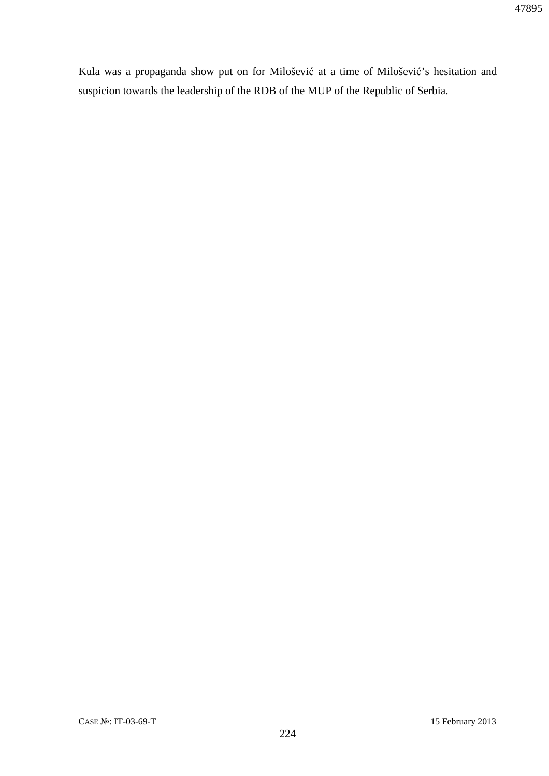Kula was a propaganda show put on for Milošević at a time of Milošević's hesitation and suspicion towards the leadership of the RDB of the MUP of the Republic of Serbia.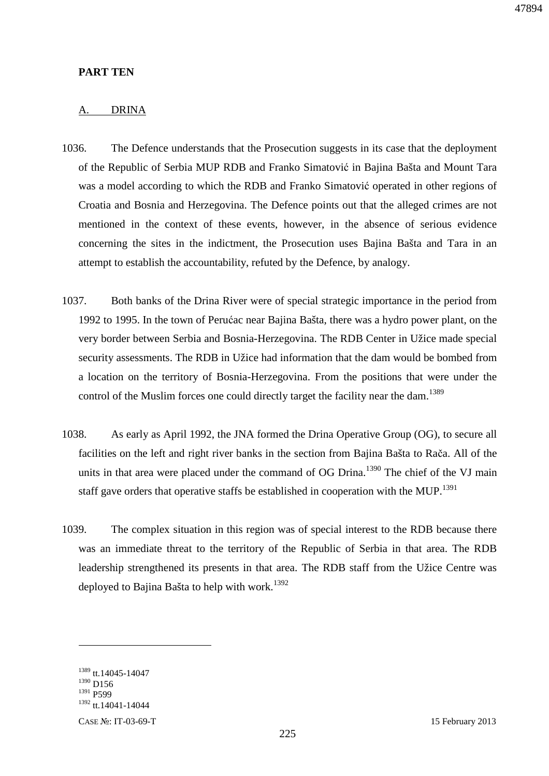### **PART TEN**

#### A. DRINA

- 1036. The Defence understands that the Prosecution suggests in its case that the deployment of the Republic of Serbia MUP RDB and Franko Simatović in Bajina Bašta and Mount Tara was a model according to which the RDB and Franko Simatović operated in other regions of Croatia and Bosnia and Herzegovina. The Defence points out that the alleged crimes are not mentioned in the context of these events, however, in the absence of serious evidence concerning the sites in the indictment, the Prosecution uses Bajina Bašta and Tara in an attempt to establish the accountability, refuted by the Defence, by analogy.
- 1037. Both banks of the Drina River were of special strategic importance in the period from 1992 to 1995. In the town of Perućac near Bajina Bašta, there was a hydro power plant, on the very border between Serbia and Bosnia-Herzegovina. The RDB Center in Užice made special security assessments. The RDB in Užice had information that the dam would be bombed from a location on the territory of Bosnia-Herzegovina. From the positions that were under the control of the Muslim forces one could directly target the facility near the dam.<sup>1389</sup>
- 1038. As early as April 1992, the JNA formed the Drina Operative Group (OG), to secure all facilities on the left and right river banks in the section from Bajina Bašta to Rača. All of the units in that area were placed under the command of OG Drina.<sup>1390</sup> The chief of the VJ main staff gave orders that operative staffs be established in cooperation with the MUP.<sup>1391</sup>
- 1039. The complex situation in this region was of special interest to the RDB because there was an immediate threat to the territory of the Republic of Serbia in that area. The RDB leadership strengthened its presents in that area. The RDB staff from the Užice Centre was deployed to Bajina Bašta to help with work.<sup>1392</sup>

<sup>1389</sup> tt.14045-14047  $1390$  D<sub>156</sub> <sup>1391</sup> P599 <sup>1392</sup> tt.14041-14044

CASE №: IT-03-69-T 15 February 2013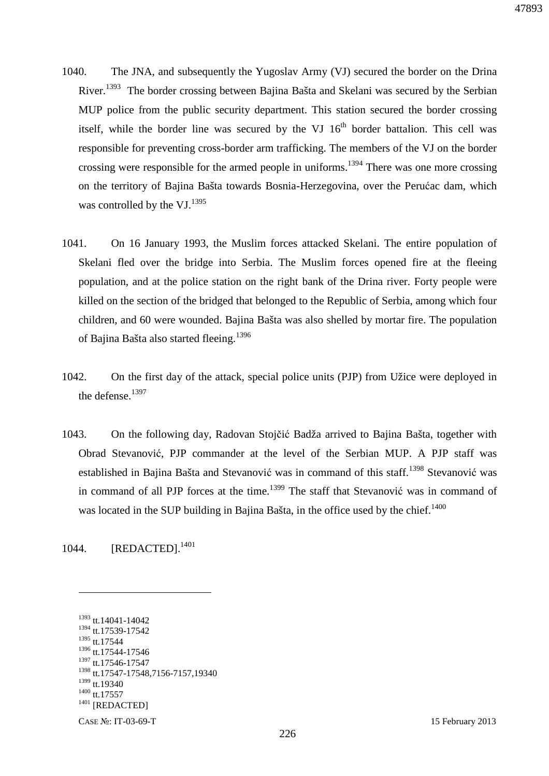- 1040. The JNA, and subsequently the Yugoslav Army (VJ) secured the border on the Drina River.<sup>1393</sup> The border crossing between Bajina Bašta and Skelani was secured by the Serbian MUP police from the public security department. This station secured the border crossing itself, while the border line was secured by the VJ  $16<sup>th</sup>$  border battalion. This cell was responsible for preventing cross-border arm trafficking. The members of the VJ on the border crossing were responsible for the armed people in uniforms.<sup>1394</sup> There was one more crossing on the territory of Bajina Bašta towards Bosnia-Herzegovina, over the Perućac dam, which was controlled by the VJ.<sup>1395</sup>
- 1041. On 16 January 1993, the Muslim forces attacked Skelani. The entire population of Skelani fled over the bridge into Serbia. The Muslim forces opened fire at the fleeing population, and at the police station on the right bank of the Drina river. Forty people were killed on the section of the bridged that belonged to the Republic of Serbia, among which four children, and 60 were wounded. Bajina Bašta was also shelled by mortar fire. The population of Bajina Bašta also started fleeing.<sup>1396</sup>
- 1042. On the first day of the attack, special police units (PJP) from Užice were deployed in the defense.<sup>1397</sup>
- 1043. On the following day, Radovan Stojčić Badža arrived to Bajina Bašta, together with Obrad Stevanović, PJP commander at the level of the Serbian MUP. A PJP staff was established in Bajina Bašta and Stevanović was in command of this staff.<sup>1398</sup> Stevanović was in command of all PJP forces at the time.<sup>1399</sup> The staff that Stevanović was in command of was located in the SUP building in Bajina Bašta, in the office used by the chief.<sup>1400</sup>

1044. **[REDACTED].**<sup>1401</sup>

 $\overline{a}$ 

 tt.14041-14042 tt.17539-17542 tt.17544 1396 tt.17544-17546 tt.17546-17547 tt.17547-17548,7156-7157,19340 tt.19340 <sup>1400</sup> tt.17557 [REDACTED]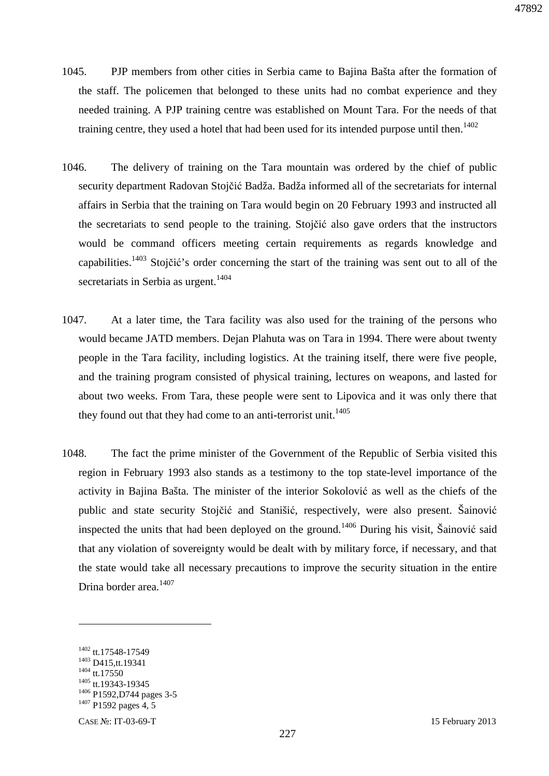- 1045. PJP members from other cities in Serbia came to Bajina Bašta after the formation of the staff. The policemen that belonged to these units had no combat experience and they needed training. A PJP training centre was established on Mount Tara. For the needs of that training centre, they used a hotel that had been used for its intended purpose until then.<sup>1402</sup>
- 1046. The delivery of training on the Tara mountain was ordered by the chief of public security department Radovan Stojčić Badža. Badža informed all of the secretariats for internal affairs in Serbia that the training on Tara would begin on 20 February 1993 and instructed all the secretariats to send people to the training. Stojčić also gave orders that the instructors would be command officers meeting certain requirements as regards knowledge and capabilities.<sup>1403</sup> Stojčić's order concerning the start of the training was sent out to all of the secretariats in Serbia as urgent.<sup>1404</sup>
- 1047. At a later time, the Tara facility was also used for the training of the persons who would became JATD members. Dejan Plahuta was on Tara in 1994. There were about twenty people in the Tara facility, including logistics. At the training itself, there were five people, and the training program consisted of physical training, lectures on weapons, and lasted for about two weeks. From Tara, these people were sent to Lipovica and it was only there that they found out that they had come to an anti-terrorist unit.<sup>1405</sup>
- 1048. The fact the prime minister of the Government of the Republic of Serbia visited this region in February 1993 also stands as a testimony to the top state-level importance of the activity in Bajina Bašta. The minister of the interior Sokolović as well as the chiefs of the public and state security Stojčić and Stanišić, respectively, were also present. Šainović inspected the units that had been deployed on the ground.<sup>1406</sup> During his visit, Šainović said that any violation of sovereignty would be dealt with by military force, if necessary, and that the state would take all necessary precautions to improve the security situation in the entire Drina border area.<sup>1407</sup>

<sup>&</sup>lt;sup>1402</sup> tt.17548-17549 <sup>1403</sup> D415,tt.19341 <sup>1404</sup> tt.17550 <sup>1405</sup> tt.19343-19345 <sup>1406</sup> P1592, D744 pages 3-5  $1407$  P1592 pages 4, 5

CASE №: IT-03-69-T 15 February 2013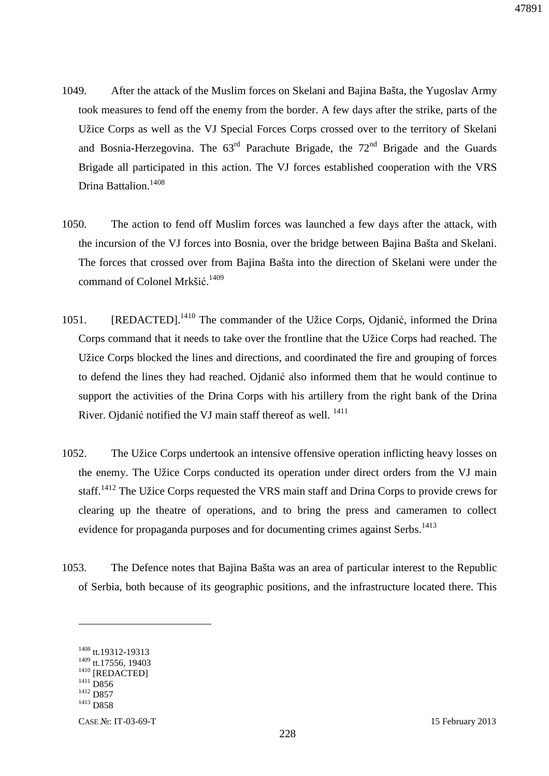- 1049. After the attack of the Muslim forces on Skelani and Bajina Bašta, the Yugoslav Army took measures to fend off the enemy from the border. A few days after the strike, parts of the Užice Corps as well as the VJ Special Forces Corps crossed over to the territory of Skelani and Bosnia-Herzegovina. The  $63<sup>rd</sup>$  Parachute Brigade, the  $72<sup>nd</sup>$  Brigade and the Guards Brigade all participated in this action. The VJ forces established cooperation with the VRS Drina Battalion.<sup>1408</sup>
- 1050. The action to fend off Muslim forces was launched a few days after the attack, with the incursion of the VJ forces into Bosnia, over the bridge between Bajina Bašta and Skelani. The forces that crossed over from Bajina Bašta into the direction of Skelani were under the command of Colonel Mrkšić. 1409
- 1051. [REDACTED].<sup>1410</sup> The commander of the Užice Corps, Ojdanić, informed the Drina Corps command that it needs to take over the frontline that the Užice Corps had reached. The Užice Corps blocked the lines and directions, and coordinated the fire and grouping of forces to defend the lines they had reached. Ojdanić also informed them that he would continue to support the activities of the Drina Corps with his artillery from the right bank of the Drina River. Ojdanić notified the VJ main staff thereof as well. <sup>1411</sup>
- 1052. The Užice Corps undertook an intensive offensive operation inflicting heavy losses on the enemy. The Užice Corps conducted its operation under direct orders from the VJ main staff.<sup>1412</sup> The Užice Corps requested the VRS main staff and Drina Corps to provide crews for clearing up the theatre of operations, and to bring the press and cameramen to collect evidence for propaganda purposes and for documenting crimes against Serbs.<sup>1413</sup>
- 1053. The Defence notes that Bajina Bašta was an area of particular interest to the Republic of Serbia, both because of its geographic positions, and the infrastructure located there. This

<sup>1408</sup> tt.19312-19313 <sup>1409</sup> tt.17556, 19403 <sup>1410</sup> [REDACTED] 1411 **D856** <sup>1412</sup> D857 <sup>1413</sup> D858

CASE №: IT-03-69-T 15 February 2013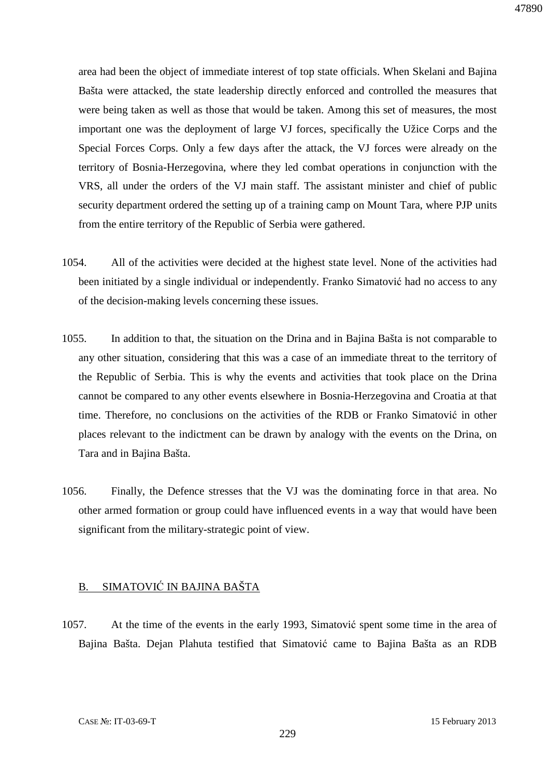area had been the object of immediate interest of top state officials. When Skelani and Bajina Bašta were attacked, the state leadership directly enforced and controlled the measures that were being taken as well as those that would be taken. Among this set of measures, the most important one was the deployment of large VJ forces, specifically the Užice Corps and the Special Forces Corps. Only a few days after the attack, the VJ forces were already on the territory of Bosnia-Herzegovina, where they led combat operations in conjunction with the VRS, all under the orders of the VJ main staff. The assistant minister and chief of public security department ordered the setting up of a training camp on Mount Tara, where PJP units from the entire territory of the Republic of Serbia were gathered.

- 1054. All of the activities were decided at the highest state level. None of the activities had been initiated by a single individual or independently. Franko Simatović had no access to any of the decision-making levels concerning these issues.
- 1055. In addition to that, the situation on the Drina and in Bajina Bašta is not comparable to any other situation, considering that this was a case of an immediate threat to the territory of the Republic of Serbia. This is why the events and activities that took place on the Drina cannot be compared to any other events elsewhere in Bosnia-Herzegovina and Croatia at that time. Therefore, no conclusions on the activities of the RDB or Franko Simatović in other places relevant to the indictment can be drawn by analogy with the events on the Drina, on Tara and in Bajina Bašta.
- 1056. Finally, the Defence stresses that the VJ was the dominating force in that area. No other armed formation or group could have influenced events in a way that would have been significant from the military-strategic point of view.

### B. SIMATOVIĆ IN BAJINA BAŠTA

1057. At the time of the events in the early 1993, Simatović spent some time in the area of Bajina Bašta. Dejan Plahuta testified that Simatović came to Bajina Bašta as an RDB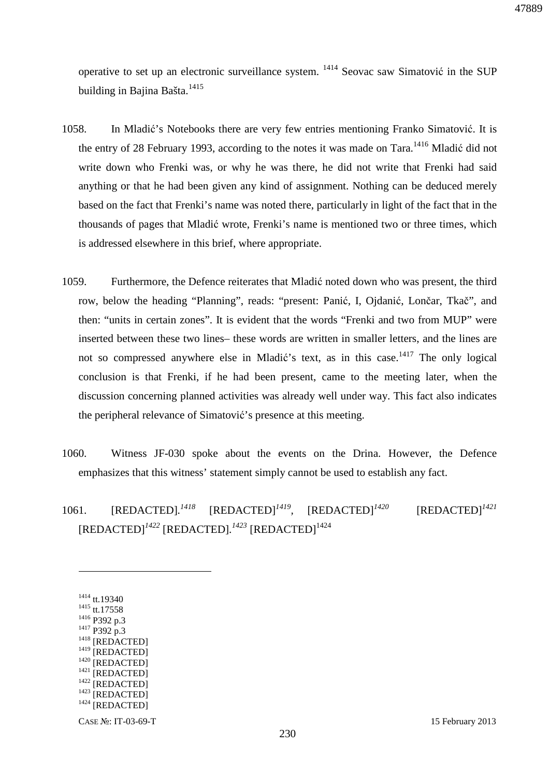47889

operative to set up an electronic surveillance system.  $1414$  Seovac saw Simatović in the SUP building in Bajina Bašta.<sup>1415</sup>

- 1058. In Mladić's Notebooks there are very few entries mentioning Franko Simatović. It is the entry of 28 February 1993, according to the notes it was made on Tara.<sup>1416</sup> Mladić did not write down who Frenki was, or why he was there, he did not write that Frenki had said anything or that he had been given any kind of assignment. Nothing can be deduced merely based on the fact that Frenki's name was noted there, particularly in light of the fact that in the thousands of pages that Mladić wrote, Frenki's name is mentioned two or three times, which is addressed elsewhere in this brief, where appropriate.
- 1059. Furthermore, the Defence reiterates that Mladić noted down who was present, the third row, below the heading "Planning", reads: "present: Panić, I, Ojdanić, Lončar, Tkač", and then: "units in certain zones". It is evident that the words "Frenki and two from MUP" were inserted between these two lines– these words are written in smaller letters, and the lines are not so compressed anywhere else in Mladić's text, as in this case.<sup>1417</sup> The only logical conclusion is that Frenki, if he had been present, came to the meeting later, when the discussion concerning planned activities was already well under way. This fact also indicates the peripheral relevance of Simatović's presence at this meeting.
- 1060. Witness JF-030 spoke about the events on the Drina. However, the Defence emphasizes that this witness' statement simply cannot be used to establish any fact.
- 1061. [REDACTED]*. <sup>1418</sup>* [REDACTED]*<sup>1419</sup> ,* [REDACTED]*<sup>1420</sup>* [REDACTED]*<sup>1421</sup>* [REDACTED]*<sup>1422</sup>* [REDACTED]*. <sup>1423</sup>* [REDACTED]<sup>1424</sup>

 tt.19340 tt.17558 P392 p.3 P392 p.3 <sup>1418</sup> [REDACTED] <sup>1419</sup> [REDACTED] <sup>1420</sup> [REDACTED] [REDACTED] [REDACTED] [REDACTED] [REDACTED]

 $\overline{a}$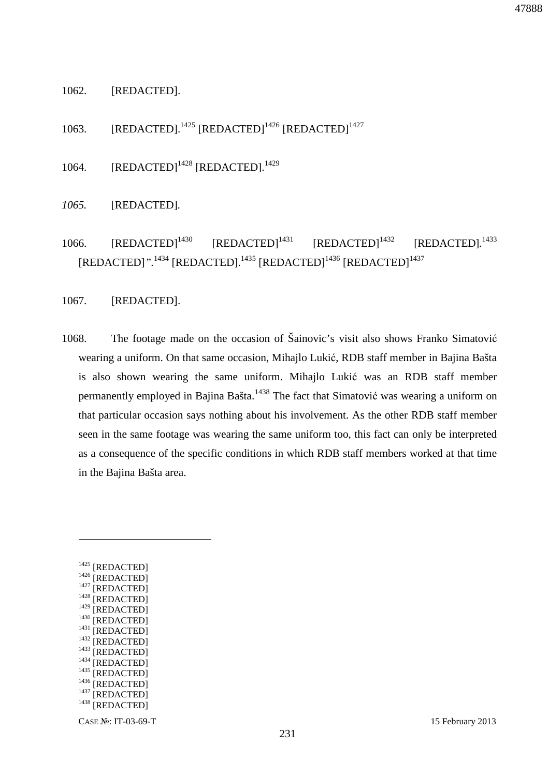#### 1062. [REDACTED].

1063. [REDACTED].<sup>1425</sup> [REDACTED]<sup>1426</sup> [REDACTED]<sup>1427</sup>

1064. [REDACTED]<sup>1428</sup> [REDACTED].<sup>1429</sup>

*1065.* [REDACTED]*.* 

1066. [REDACTED]<sup>1430</sup> [REDACTED]<sup>1431</sup> [REDACTED]<sup>1432</sup> [REDACTED].<sup>1433</sup> [REDACTED]".<sup>1434</sup> [REDACTED].<sup>1435</sup> [REDACTED]<sup>1436</sup> [REDACTED]<sup>1437</sup>

1067. [REDACTED].

1068. The footage made on the occasion of Šainovic's visit also shows Franko Simatović wearing a uniform. On that same occasion, Mihajlo Lukić, RDB staff member in Bajina Bašta is also shown wearing the same uniform. Mihajlo Lukić was an RDB staff member permanently employed in Bajina Bašta.<sup>1438</sup> The fact that Simatović was wearing a uniform on that particular occasion says nothing about his involvement. As the other RDB staff member seen in the same footage was wearing the same uniform too, this fact can only be interpreted as a consequence of the specific conditions in which RDB staff members worked at that time in the Bajina Bašta area.

| 1425 | [REDACTED] |
|------|------------|
| 1426 | [REDACTED] |
| 1427 | [REDACTED] |
| 1428 | [REDACTED] |
| 1429 | [REDACTED] |
| 1430 | [REDACTED] |
| 1431 | [REDACTED] |
| 1432 | [REDACTED] |
| 1433 | [REDACTED] |
| 1434 | [REDACTED] |
| 1435 | [REDACTED] |
| 1436 | [REDACTED] |
| 1437 | [REDACTED] |
| 1438 | [REDACTED] |
|      |            |

 $\overline{a}$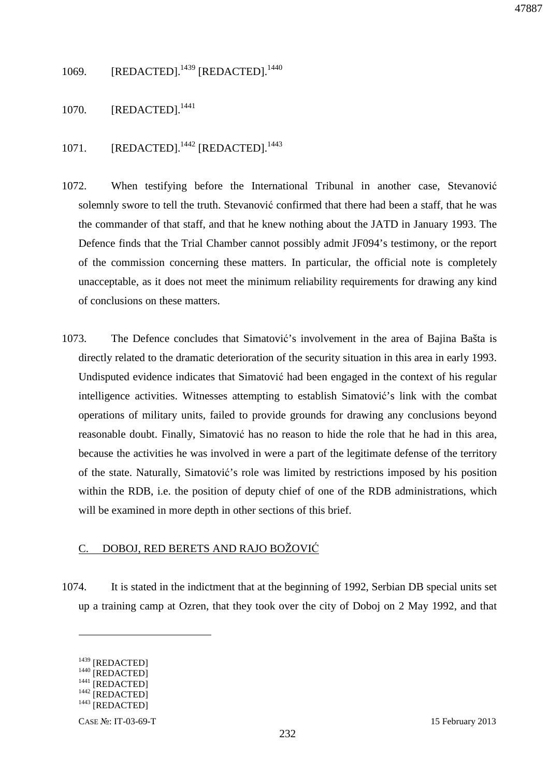1069. [REDACTED].<sup>1439</sup> [REDACTED].<sup>1440</sup>

1070. [REDACTED].<sup>1441</sup>

### 1071. [REDACTED].<sup>1442</sup> [REDACTED].<sup>1443</sup>

- 1072. When testifying before the International Tribunal in another case, Stevanović solemnly swore to tell the truth. Stevanović confirmed that there had been a staff, that he was the commander of that staff, and that he knew nothing about the JATD in January 1993. The Defence finds that the Trial Chamber cannot possibly admit JF094's testimony, or the report of the commission concerning these matters. In particular, the official note is completely unacceptable, as it does not meet the minimum reliability requirements for drawing any kind of conclusions on these matters.
- 1073. The Defence concludes that Simatović's involvement in the area of Bajina Bašta is directly related to the dramatic deterioration of the security situation in this area in early 1993. Undisputed evidence indicates that Simatović had been engaged in the context of his regular intelligence activities. Witnesses attempting to establish Simatović's link with the combat operations of military units, failed to provide grounds for drawing any conclusions beyond reasonable doubt. Finally, Simatović has no reason to hide the role that he had in this area, because the activities he was involved in were a part of the legitimate defense of the territory of the state. Naturally, Simatović's role was limited by restrictions imposed by his position within the RDB, i.e. the position of deputy chief of one of the RDB administrations, which will be examined in more depth in other sections of this brief.

### C. DOBOJ, RED BERETS AND RAJO BOŽOVIĆ

1074. It is stated in the indictment that at the beginning of 1992, Serbian DB special units set up a training camp at Ozren, that they took over the city of Doboj on 2 May 1992, and that

<sup>&</sup>lt;sup>1439</sup> [REDACTED]  $1440$  [REDACTED]  $^{1441}$  [REDACTED]

<sup>&</sup>lt;sup>1442</sup> [REDACTED]

 $1443$  [REDACTED]

CASE №: IT-03-69-T 15 February 2013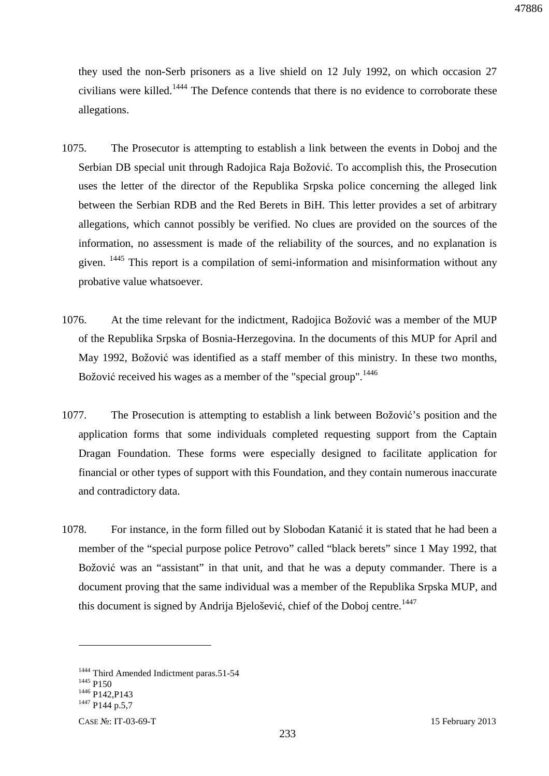they used the non-Serb prisoners as a live shield on 12 July 1992, on which occasion 27 civilians were killed.<sup>1444</sup> The Defence contends that there is no evidence to corroborate these allegations.

- 1075. The Prosecutor is attempting to establish a link between the events in Doboj and the Serbian DB special unit through Radojica Raja Božović. To accomplish this, the Prosecution uses the letter of the director of the Republika Srpska police concerning the alleged link between the Serbian RDB and the Red Berets in BiH. This letter provides a set of arbitrary allegations, which cannot possibly be verified. No clues are provided on the sources of the information, no assessment is made of the reliability of the sources, and no explanation is given. <sup>1445</sup> This report is a compilation of semi-information and misinformation without any probative value whatsoever.
- 1076. At the time relevant for the indictment, Radojica Božović was a member of the MUP of the Republika Srpska of Bosnia-Herzegovina. In the documents of this MUP for April and May 1992, Božović was identified as a staff member of this ministry. In these two months, Božović received his wages as a member of the "special group".<sup>1446</sup>
- 1077. The Prosecution is attempting to establish a link between Božović's position and the application forms that some individuals completed requesting support from the Captain Dragan Foundation. These forms were especially designed to facilitate application for financial or other types of support with this Foundation, and they contain numerous inaccurate and contradictory data.
- 1078. For instance, in the form filled out by Slobodan Katanić it is stated that he had been a member of the "special purpose police Petrovo" called "black berets" since 1 May 1992, that Božović was an "assistant" in that unit, and that he was a deputy commander. There is a document proving that the same individual was a member of the Republika Srpska MUP, and this document is signed by Andrija Bjelošević, chief of the Doboj centre.<sup>1447</sup>

<sup>&</sup>lt;sup>1444</sup> Third Amended Indictment paras.51-54  $1445$  P<sub>150</sub> <sup>1446</sup> P142, P143 <sup>1447</sup> P144 p.5,7

CASE №: IT-03-69-T 15 February 2013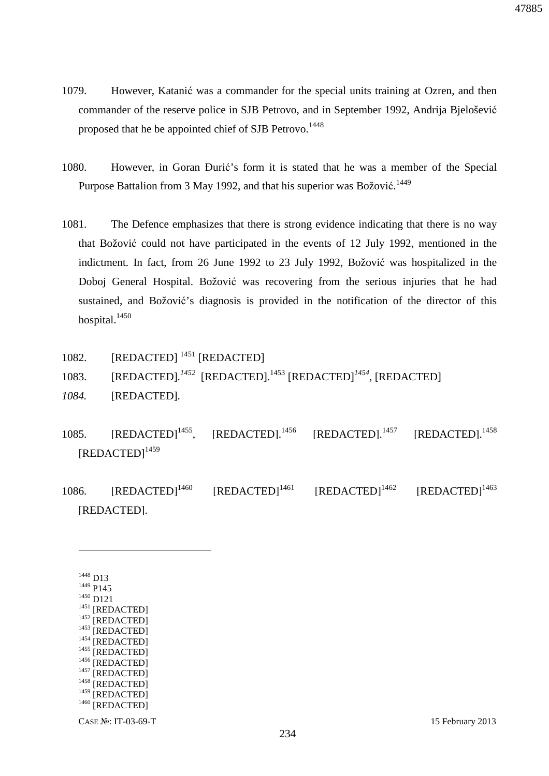- 1079. However, Katanić was a commander for the special units training at Ozren, and then commander of the reserve police in SJB Petrovo, and in September 1992, Andrija Bjelošević proposed that he be appointed chief of SJB Petrovo.<sup>1448</sup>
- 1080. However, in Goran Đurić's form it is stated that he was a member of the Special Purpose Battalion from 3 May 1992, and that his superior was Božović.<sup>1449</sup>
- 1081. The Defence emphasizes that there is strong evidence indicating that there is no way that Božović could not have participated in the events of 12 July 1992, mentioned in the indictment. In fact, from 26 June 1992 to 23 July 1992, Božović was hospitalized in the Doboj General Hospital. Božović was recovering from the serious injuries that he had sustained, and Božović's diagnosis is provided in the notification of the director of this hospital.<sup>1450</sup>
- 1082. [REDACTED]<sup>1451</sup> [REDACTED]
- 1083. [REDACTED].<sup>1452</sup> [REDACTED].<sup>1453</sup> [REDACTED]<sup>1454</sup>, [REDACTED]
- *1084.* [REDACTED]*.*
- 1085. [REDACTED]<sup>1455</sup>, [REDACTED].<sup>1456</sup> [REDACTED].<sup>1457</sup> [REDACTED].<sup>1458</sup> [REDACTED]<sup>1459</sup>
- 1086. [REDACTED]<sup>1460</sup> [REDACTED]<sup>1461</sup> [REDACTED]<sup>1462</sup> [REDACTED]<sup>1463</sup> [REDACTED]*.*

<sup>1448</sup> D13 <sup>1449</sup> P145 <sup>1450</sup> D121 <sup>1451</sup> [REDACTED] <sup>1452</sup> [REDACTED]  $1453$  [REDACTED] <sup>1454</sup> [REDACTED]  $1455$  [REDACTED] <sup>1456</sup> [REDACTED]  $1457$  [REDACTED] <sup>1458</sup> [REDACTED]  $1459$  [REDACTED] <sup>1460</sup> [REDACTED]

 $\overline{a}$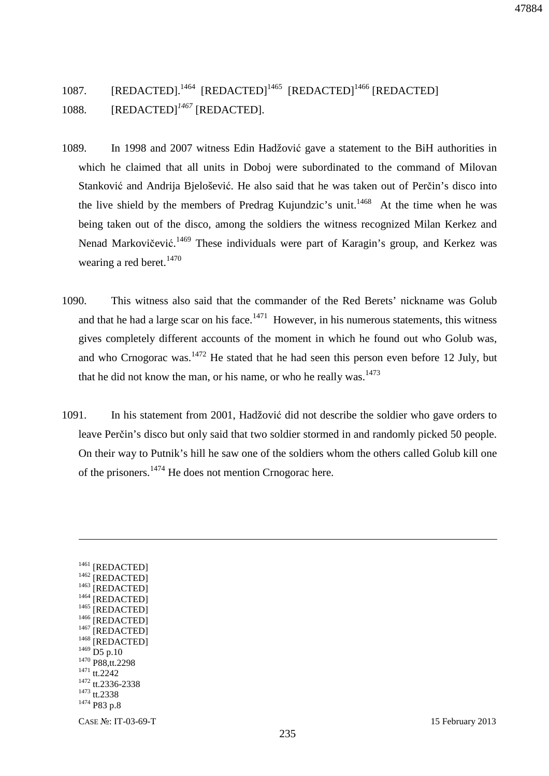47884

# 1087. [REDACTED].<sup>1464</sup> [REDACTED]<sup>1465</sup> [REDACTED]<sup>1466</sup> [REDACTED] 1088. [REDACTED]<sup>1467</sup> [REDACTED].

- 1089. In 1998 and 2007 witness Edin Hadžović gave a statement to the BiH authorities in which he claimed that all units in Doboj were subordinated to the command of Milovan Stanković and Andrija Bjelošević. He also said that he was taken out of Perčin's disco into the live shield by the members of Predrag Kujundzic's unit.<sup>1468</sup> At the time when he was being taken out of the disco, among the soldiers the witness recognized Milan Kerkez and Nenad Markovičević.<sup>1469</sup> These individuals were part of Karagin's group, and Kerkez was wearing a red beret. $1470$
- 1090. This witness also said that the commander of the Red Berets' nickname was Golub and that he had a large scar on his face.<sup>1471</sup> However, in his numerous statements, this witness gives completely different accounts of the moment in which he found out who Golub was, and who Crnogorac was.<sup>1472</sup> He stated that he had seen this person even before 12 July, but that he did not know the man, or his name, or who he really was. $1473$
- 1091. In his statement from 2001, Hadžović did not describe the soldier who gave orders to leave Perčin's disco but only said that two soldier stormed in and randomly picked 50 people. On their way to Putnik's hill he saw one of the soldiers whom the others called Golub kill one of the prisoners. $1474$  He does not mention Crnogorac here.

CASE №: IT-03-69-T 15 February 2013 <sup>1461</sup> [REDACTED] <sup>1462</sup> [REDACTED]  $1463$  [REDACTED] <sup>1464</sup> [REDACTED] <sup>1465</sup> [REDACTED] <sup>1466</sup> [REDACTED]  $1467$  [REDACTED] <sup>1468</sup> [REDACTED]  $1469$  D5 p.10 <sup>1470</sup> P88,tt.2298 <sup>1471</sup> tt.2242 <sup>1472</sup> tt.2336-2338 <sup>1473</sup> tt.2338 <sup>1474</sup> P83 p.8

<u>.</u>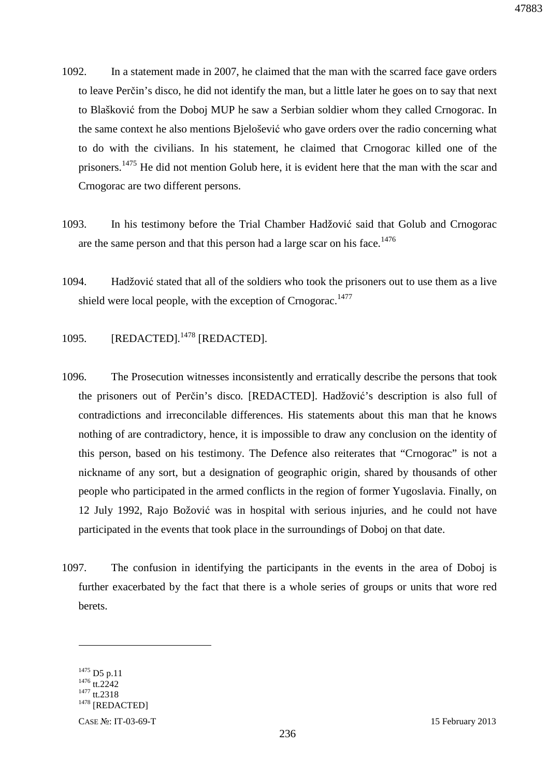- 1092. In a statement made in 2007, he claimed that the man with the scarred face gave orders to leave Perčin's disco, he did not identify the man, but a little later he goes on to say that next to Blašković from the Doboj MUP he saw a Serbian soldier whom they called Crnogorac. In the same context he also mentions Bjelošević who gave orders over the radio concerning what to do with the civilians. In his statement, he claimed that Crnogorac killed one of the prisoners.<sup>1475</sup> He did not mention Golub here, it is evident here that the man with the scar and Crnogorac are two different persons.
- 1093. In his testimony before the Trial Chamber Hadžović said that Golub and Crnogorac are the same person and that this person had a large scar on his face.<sup>1476</sup>
- 1094. Hadžović stated that all of the soldiers who took the prisoners out to use them as a live shield were local people, with the exception of Crnogorac.<sup>1477</sup>
- 1095. [REDACTED].<sup>1478</sup> [REDACTED].
- 1096. The Prosecution witnesses inconsistently and erratically describe the persons that took the prisoners out of Perčin's disco*.* [REDACTED]. Hadžović's description is also full of contradictions and irreconcilable differences. His statements about this man that he knows nothing of are contradictory, hence, it is impossible to draw any conclusion on the identity of this person, based on his testimony. The Defence also reiterates that "Crnogorac" is not a nickname of any sort, but a designation of geographic origin, shared by thousands of other people who participated in the armed conflicts in the region of former Yugoslavia. Finally, on 12 July 1992, Rajo Božović was in hospital with serious injuries, and he could not have participated in the events that took place in the surroundings of Doboj on that date.
- 1097. The confusion in identifying the participants in the events in the area of Doboj is further exacerbated by the fact that there is a whole series of groups or units that wore red berets.

 $1475$  D5 p.11  $1476$  tt.2242 <sup>1477</sup> tt.2318  $1478$  [REDACTED]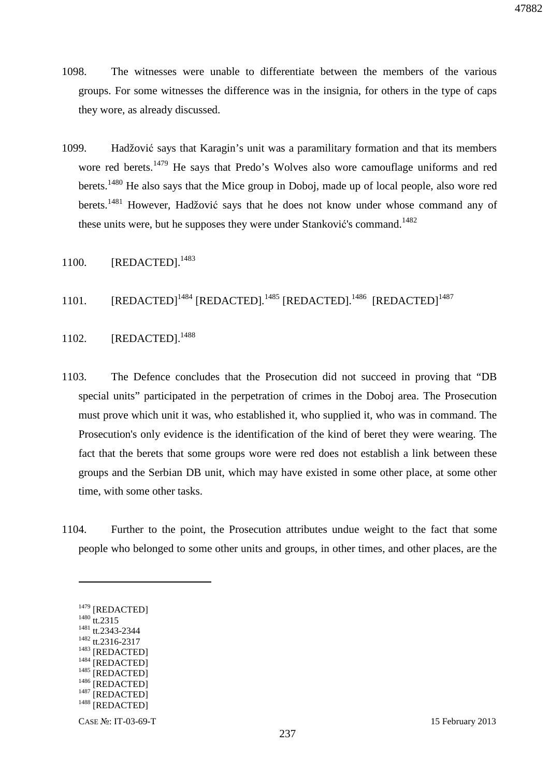- 1098. The witnesses were unable to differentiate between the members of the various groups. For some witnesses the difference was in the insignia, for others in the type of caps they wore, as already discussed.
- 1099. Hadžović says that Karagin's unit was a paramilitary formation and that its members wore red berets.<sup>1479</sup> He says that Predo's Wolves also wore camouflage uniforms and red berets.<sup>1480</sup> He also says that the Mice group in Doboj, made up of local people, also wore red berets.<sup>1481</sup> However. Hadžović says that he does not know under whose command any of these units were, but he supposes they were under Stanković's command.<sup>1482</sup>
- 1100. [REDACTED].<sup>1483</sup>
- 1101. [REDACTED]<sup>1484</sup> [REDACTED].<sup>1485</sup> [REDACTED].<sup>1486</sup> [REDACTED]<sup>1487</sup>
- 1102. [REDACTED].<sup>1488</sup>
- 1103. The Defence concludes that the Prosecution did not succeed in proving that "DB special units" participated in the perpetration of crimes in the Doboj area. The Prosecution must prove which unit it was, who established it, who supplied it, who was in command. The Prosecution's only evidence is the identification of the kind of beret they were wearing. The fact that the berets that some groups wore were red does not establish a link between these groups and the Serbian DB unit, which may have existed in some other place, at some other time, with some other tasks.
- 1104. Further to the point, the Prosecution attributes undue weight to the fact that some people who belonged to some other units and groups, in other times, and other places, are the

<sup>1479</sup> [REDACTED] <sup>1480</sup> tt.2315 <sup>1481</sup> tt.2343-2344 <sup>1482</sup> tt.2316-2317 <sup>1483</sup> [REDACTED] <sup>1484</sup> [REDACTED] <sup>1485</sup> [REDACTED] <sup>1486</sup> [REDACTED]  $1487$  [REDACTED] <sup>1488</sup> [REDACTED]

 $\overline{a}$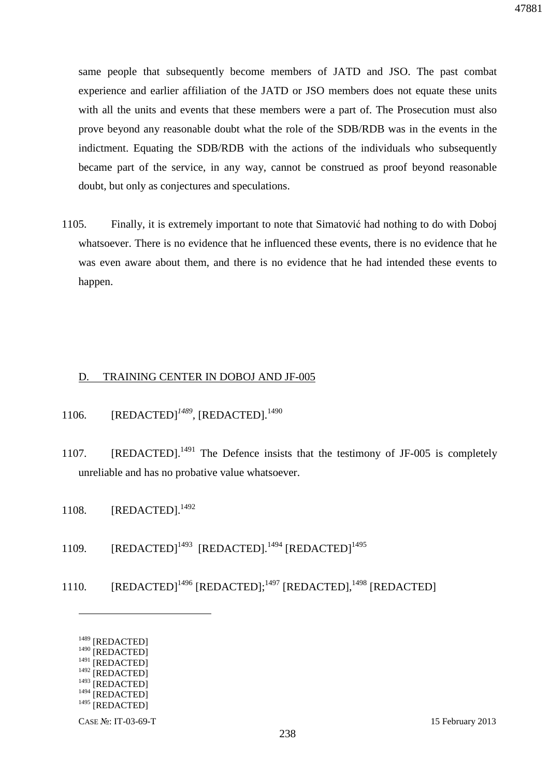same people that subsequently become members of JATD and JSO. The past combat experience and earlier affiliation of the JATD or JSO members does not equate these units with all the units and events that these members were a part of. The Prosecution must also prove beyond any reasonable doubt what the role of the SDB/RDB was in the events in the indictment. Equating the SDB/RDB with the actions of the individuals who subsequently became part of the service, in any way, cannot be construed as proof beyond reasonable doubt, but only as conjectures and speculations.

1105. Finally, it is extremely important to note that Simatović had nothing to do with Doboj whatsoever. There is no evidence that he influenced these events, there is no evidence that he was even aware about them, and there is no evidence that he had intended these events to happen.

#### D. TRAINING CENTER IN DOBOJ AND JF-005

- 1106. [REDACTED]<sup>1489</sup>, [REDACTED].<sup>1490</sup>
- 1107. **[REDACTED].**<sup>1491</sup> The Defence insists that the testimony of JF-005 is completely unreliable and has no probative value whatsoever.
- 1108. [REDACTED].<sup>1492</sup>
- 1109.  $[REDACTER]^{1493} [REDACTER]^{1494} [REDACTER]^{1495}$
- 1110. [REDACTED]<sup>1496</sup> [REDACTED];<sup>1497</sup> [REDACTED],<sup>1498</sup> [REDACTED]

<sup>&</sup>lt;sup>1489</sup> [REDACTED]

<sup>&</sup>lt;sup>1490</sup> [REDACTED]

<sup>&</sup>lt;sup>1491</sup> [REDACTED]  $1492$  [REDACTED]

 $1493$  [REDACTED]

 $1494$  [REDACTED]

 $1495$  [REDACTED]

CASE №: IT-03-69-T 15 February 2013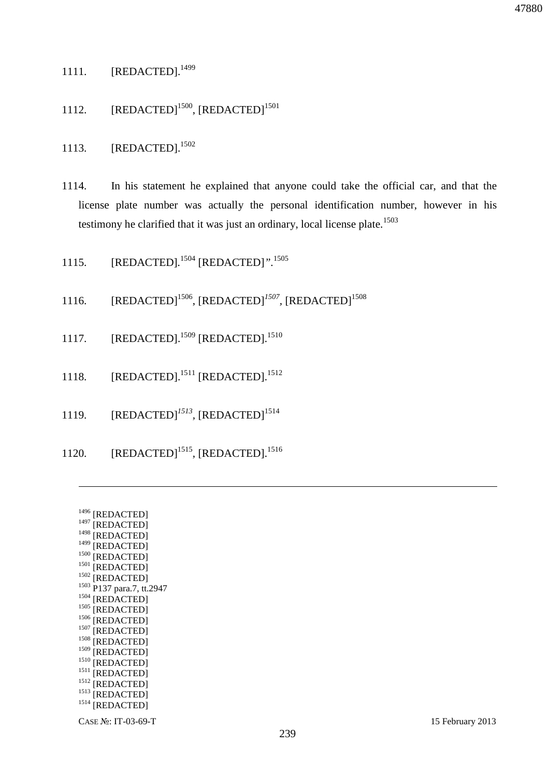- 1111. [REDACTED].<sup>1499</sup>
- 1112.  $[REDACTER]^{1500}$ ,  $[REDACTER]^{1501}$
- 1113. **[REDACTED].**<sup>1502</sup>
- 1114. In his statement he explained that anyone could take the official car, and that the license plate number was actually the personal identification number, however in his testimony he clarified that it was just an ordinary, local license plate.<sup>1503</sup>
- 1115. [REDACTED]*.* <sup>1504</sup> [REDACTED]*".*<sup>1505</sup>
- 1116. [REDACTED]<sup>1506</sup>, [REDACTED]<sup>1507</sup>, [REDACTED]<sup>1508</sup>
- 1117. [REDACTED].<sup>1509</sup> [REDACTED].<sup>1510</sup>
- 1118. [REDACTED].<sup>1511</sup> [REDACTED].<sup>1512</sup>
- 1119. **[REDACTED]**<sup>1513</sup>, **[REDACTED]**<sup>1514</sup>
- 1120. [REDACTED]<sup>1515</sup>, [REDACTED].<sup>1516</sup>

| 1496 | [REDACTED]           |
|------|----------------------|
| 1497 | [REDACTED]           |
| 1498 | [REDACTED]           |
| 1499 | [REDACTED]           |
| 1500 | [REDACTED]           |
| 1501 | [REDACTED]           |
| 1502 | [REDACTED]           |
| 1503 | P137 para.7, tt.2947 |
| 1504 | [REDACTED]           |
| 1505 | [REDACTED]           |
| 1506 | [REDACTED]           |
| 1507 | [REDACTED]           |
| 1508 | [REDACTED]           |
| 1509 | [REDACTED]           |
| 1510 | [REDACTED]           |
| 1511 | [REDACTED]           |
| 1512 | [REDACTED]           |
| 1513 | [REDACTED]           |
| 1514 | [REDACTED]           |
|      |                      |

<u>.</u>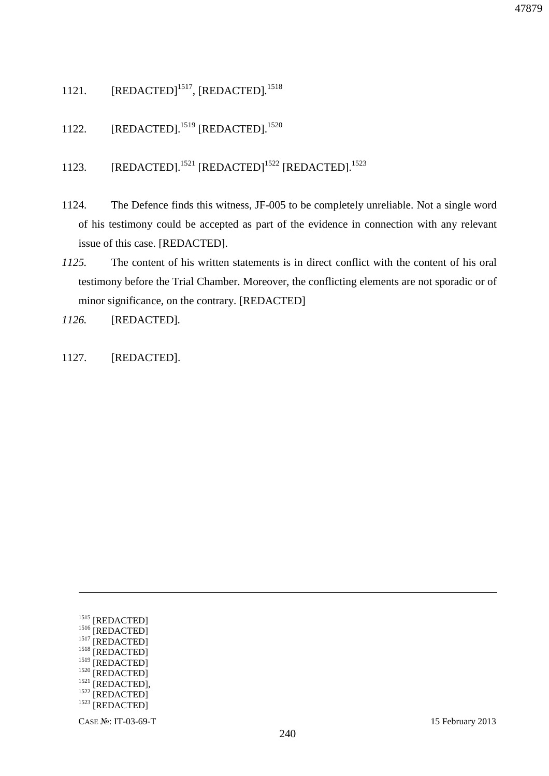- 1121. [REDACTED]<sup>1517</sup>, [REDACTED]*.* 1518
- 1122. [REDACTED].<sup>1519</sup> [REDACTED].<sup>1520</sup>
- 1123. [REDACTED].<sup>1521</sup> [REDACTED]<sup>1522</sup> [REDACTED].<sup>1523</sup>
- 1124. The Defence finds this witness, JF-005 to be completely unreliable. Not a single word of his testimony could be accepted as part of the evidence in connection with any relevant issue of this case. [REDACTED].
- *1125.* The content of his written statements is in direct conflict with the content of his oral testimony before the Trial Chamber. Moreover, the conflicting elements are not sporadic or of minor significance, on the contrary. [REDACTED]
- *1126.* [REDACTED]*.*
- 1127. [REDACTED].

<u>.</u>

<sup>1515</sup> [REDACTED] <sup>1516</sup> [REDACTED] <sup>1517</sup> [REDACTED] <sup>1518</sup> [REDACTED] <sup>1519</sup> [REDACTED] <sup>1520</sup> [REDACTED]  $1521$  [REDACTED], <sup>1522</sup> [REDACTED] <sup>1523</sup> [REDACTED]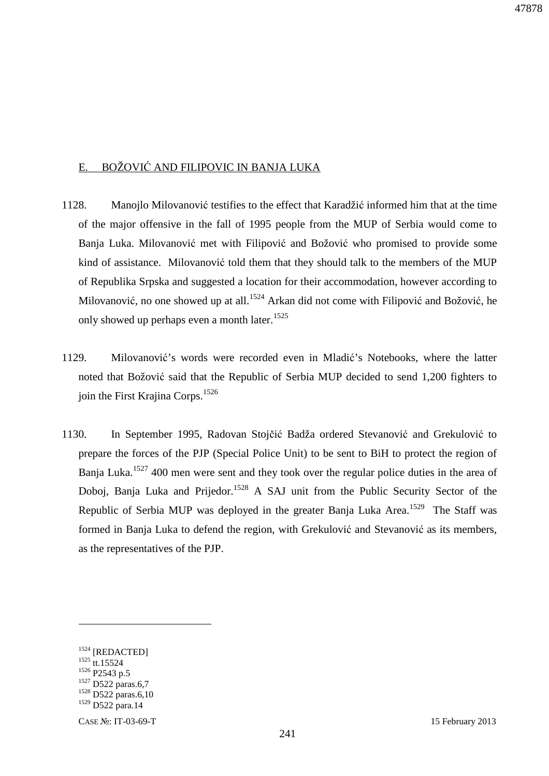### E. BOŽOVIĆ AND FILIPOVIC IN BANJA LUKA

- 1128. Manojlo Milovanović testifies to the effect that Karadžić informed him that at the time of the major offensive in the fall of 1995 people from the MUP of Serbia would come to Banja Luka. Milovanović met with Filipović and Božović who promised to provide some kind of assistance. Milovanović told them that they should talk to the members of the MUP of Republika Srpska and suggested a location for their accommodation, however according to Milovanović, no one showed up at all.<sup>1524</sup> Arkan did not come with Filipović and Božović, he only showed up perhaps even a month later.<sup>1525</sup>
- 1129. Milovanović's words were recorded even in Mladić's Notebooks, where the latter noted that Božović said that the Republic of Serbia MUP decided to send 1,200 fighters to join the First Krajina Corps.<sup>1526</sup>
- 1130. In September 1995, Radovan Stojčić Badža ordered Stevanović and Grekulović to prepare the forces of the PJP (Special Police Unit) to be sent to BiH to protect the region of Banja Luka.<sup>1527</sup> 400 men were sent and they took over the regular police duties in the area of Doboj, Banja Luka and Prijedor.<sup>1528</sup> A SAJ unit from the Public Security Sector of the Republic of Serbia MUP was deployed in the greater Banja Luka Area.<sup>1529</sup> The Staff was formed in Banja Luka to defend the region, with Grekulović and Stevanović as its members, as the representatives of the PJP.

<sup>&</sup>lt;sup>1524</sup> [REDACTED] <sup>1525</sup> tt.15524 1526 P<sub>2543</sub> p.5  $^{125}$  D522 paras.6,7 <sup>1528</sup> D522 paras.6,10 <sup>1529</sup> D522 para.14

CASE №: IT-03-69-T 15 February 2013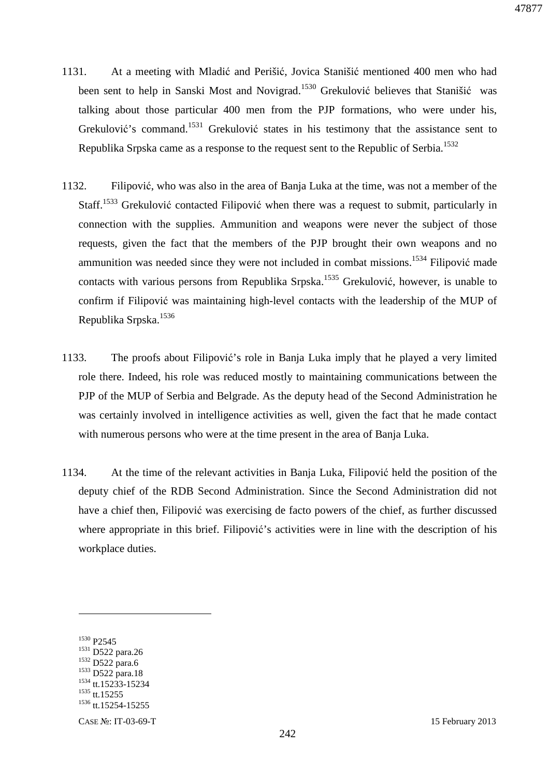- 1131. At a meeting with Mladić and Perišić, Jovica Stanišić mentioned 400 men who had been sent to help in Sanski Most and Novigrad.<sup>1530</sup> Grekulović believes that Stanišić was talking about those particular 400 men from the PJP formations, who were under his, Grekulović's command.<sup>1531</sup> Grekulović states in his testimony that the assistance sent to Republika Srpska came as a response to the request sent to the Republic of Serbia.<sup>1532</sup>
- 1132. Filipović, who was also in the area of Banja Luka at the time, was not a member of the Staff.<sup>1533</sup> Grekulović contacted Filipović when there was a request to submit, particularly in connection with the supplies. Ammunition and weapons were never the subject of those requests, given the fact that the members of the PJP brought their own weapons and no ammunition was needed since they were not included in combat missions.<sup>1534</sup> Filipović made contacts with various persons from Republika Srpska.<sup>1535</sup> Grekulović, however, is unable to confirm if Filipović was maintaining high-level contacts with the leadership of the MUP of Republika Srpska.<sup>1536</sup>
- 1133. The proofs about Filipović's role in Banja Luka imply that he played a very limited role there. Indeed, his role was reduced mostly to maintaining communications between the PJP of the MUP of Serbia and Belgrade. As the deputy head of the Second Administration he was certainly involved in intelligence activities as well, given the fact that he made contact with numerous persons who were at the time present in the area of Banja Luka.
- 1134. At the time of the relevant activities in Banja Luka, Filipović held the position of the deputy chief of the RDB Second Administration. Since the Second Administration did not have a chief then, Filipović was exercising de facto powers of the chief, as further discussed where appropriate in this brief. Filipović's activities were in line with the description of his workplace duties.

<sup>1530</sup> P2545

<sup>1531</sup> D522 para.26 <sup>1532</sup> D522 para.6 <sup>1533</sup> D522 para.18 <sup>1534</sup> tt.15233-15234 <sup>1535</sup> tt.15255 <sup>1536</sup> tt.15254-15255

CASE №: IT-03-69-T 15 February 2013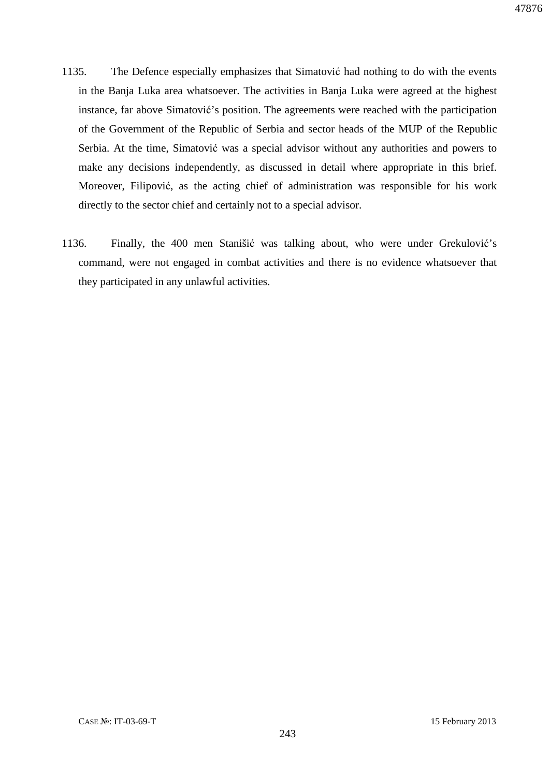- 1135. The Defence especially emphasizes that Simatović had nothing to do with the events in the Banja Luka area whatsoever. The activities in Banja Luka were agreed at the highest instance, far above Simatović's position. The agreements were reached with the participation of the Government of the Republic of Serbia and sector heads of the MUP of the Republic Serbia. At the time, Simatović was a special advisor without any authorities and powers to make any decisions independently, as discussed in detail where appropriate in this brief. Moreover, Filipović, as the acting chief of administration was responsible for his work directly to the sector chief and certainly not to a special advisor.
- 1136. Finally, the 400 men Stanišić was talking about, who were under Grekulović's command, were not engaged in combat activities and there is no evidence whatsoever that they participated in any unlawful activities.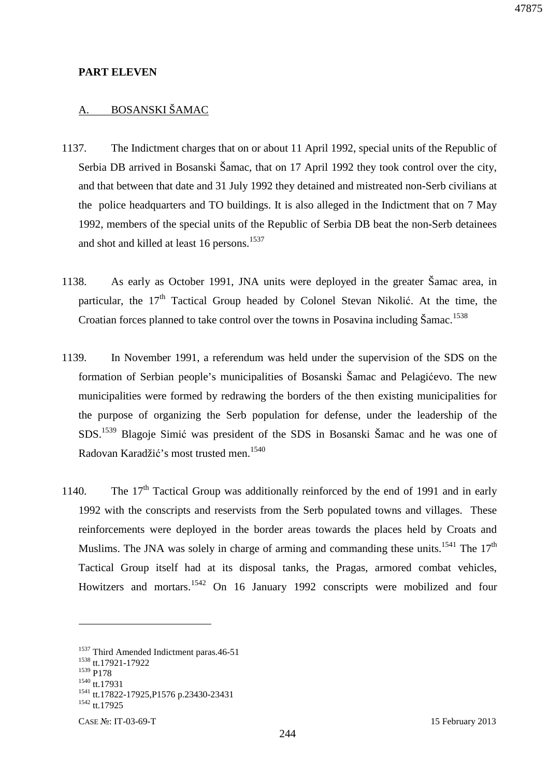### **PART ELEVEN**

### A. BOSANSKI ŠAMAC

- 1137. The Indictment charges that on or about 11 April 1992, special units of the Republic of Serbia DB arrived in Bosanski Šamac, that on 17 April 1992 they took control over the city, and that between that date and 31 July 1992 they detained and mistreated non-Serb civilians at the police headquarters and TO buildings. It is also alleged in the Indictment that on 7 May 1992, members of the special units of the Republic of Serbia DB beat the non-Serb detainees and shot and killed at least 16 persons.<sup>1537</sup>
- 1138. As early as October 1991, JNA units were deployed in the greater Šamac area, in particular, the  $17<sup>th</sup>$  Tactical Group headed by Colonel Stevan Nikolić. At the time, the Croatian forces planned to take control over the towns in Posavina including Šamac.<sup>1538</sup>
- 1139. In November 1991, a referendum was held under the supervision of the SDS on the formation of Serbian people's municipalities of Bosanski Šamac and Pelagićevo. The new municipalities were formed by redrawing the borders of the then existing municipalities for the purpose of organizing the Serb population for defense, under the leadership of the SDS.<sup>1539</sup> Blagoje Simić was president of the SDS in Bosanski Šamac and he was one of Radovan Karadžić's most trusted men.<sup>1540</sup>
- 1140. The  $17<sup>th</sup>$  Tactical Group was additionally reinforced by the end of 1991 and in early 1992 with the conscripts and reservists from the Serb populated towns and villages. These reinforcements were deployed in the border areas towards the places held by Croats and Muslims. The JNA was solely in charge of arming and commanding these units.<sup>1541</sup> The  $17<sup>th</sup>$ Tactical Group itself had at its disposal tanks, the Pragas, armored combat vehicles, Howitzers and mortars.<sup>1542</sup> On 16 January 1992 conscripts were mobilized and four

<sup>&</sup>lt;sup>1537</sup> Third Amended Indictment paras.46-51 <sup>1538</sup> tt.17921-17922 <sup>1539</sup> P178 <sup>1540</sup> tt.17931 <sup>1541</sup> tt.17822-17925,P1576 p.23430-23431  $1542$  tt.17925

CASE №: IT-03-69-T 15 February 2013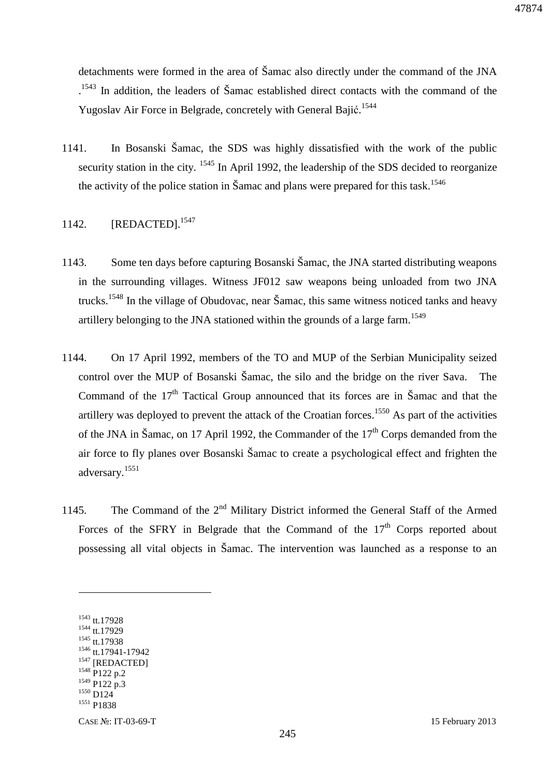detachments were formed in the area of Šamac also directly under the command of the JNA <sup>1543</sup> In addition, the leaders of Šamac established direct contacts with the command of the Yugoslav Air Force in Belgrade, concretely with General Bajić.<sup>1544</sup>

1141. In Bosanski Šamac, the SDS was highly dissatisfied with the work of the public security station in the city. <sup>1545</sup> In April 1992, the leadership of the SDS decided to reorganize the activity of the police station in Šamac and plans were prepared for this task.<sup>1546</sup>

### 1142. **[REDACTED].**<sup>1547</sup>

- 1143. Some ten days before capturing Bosanski Šamac, the JNA started distributing weapons in the surrounding villages. Witness JF012 saw weapons being unloaded from two JNA trucks.<sup>1548</sup> In the village of Obudovac, near Šamac, this same witness noticed tanks and heavy artillery belonging to the JNA stationed within the grounds of a large farm.<sup>1549</sup>
- 1144. On 17 April 1992, members of the TO and MUP of the Serbian Municipality seized control over the MUP of Bosanski Šamac, the silo and the bridge on the river Sava. The Command of the 17<sup>th</sup> Tactical Group announced that its forces are in Šamac and that the artillery was deployed to prevent the attack of the Croatian forces.<sup>1550</sup> As part of the activities of the JNA in Šamac, on 17 April 1992, the Commander of the  $17<sup>th</sup>$  Corps demanded from the air force to fly planes over Bosanski Šamac to create a psychological effect and frighten the adversary.<sup>1551</sup>
- 1145. The Command of the 2<sup>nd</sup> Military District informed the General Staff of the Armed Forces of the SFRY in Belgrade that the Command of the  $17<sup>th</sup>$  Corps reported about possessing all vital objects in Šamac. The intervention was launched as a response to an

<sup>1543</sup> tt.17928 <sup>1544</sup> tt.17929 <sup>1545</sup> tt.17938 <sup>1546</sup> tt.17941-17942 <sup>1547</sup> [REDACTED] 1548 P122 p.2  $1549$  P122 p.3 <sup>1550</sup> D124 <sup>1551</sup> P1838

 $\overline{a}$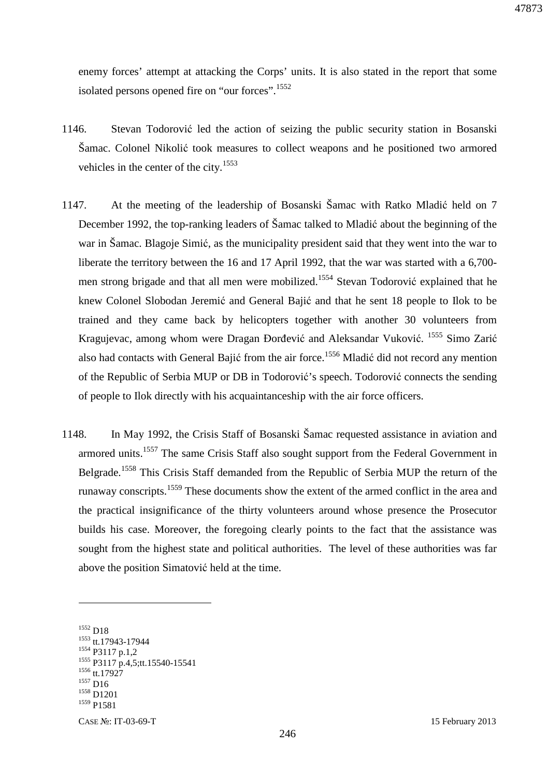enemy forces' attempt at attacking the Corps' units. It is also stated in the report that some isolated persons opened fire on "our forces".<sup>1552</sup>

- 1146. Stevan Todorović led the action of seizing the public security station in Bosanski Šamac. Colonel Nikolić took measures to collect weapons and he positioned two armored vehicles in the center of the city.<sup>1553</sup>
- 1147. At the meeting of the leadership of Bosanski Šamac with Ratko Mladić held on 7 December 1992, the top-ranking leaders of Šamac talked to Mladić about the beginning of the war in Šamac. Blagoje Simić, as the municipality president said that they went into the war to liberate the territory between the 16 and 17 April 1992, that the war was started with a 6,700 men strong brigade and that all men were mobilized.<sup>1554</sup> Stevan Todorović explained that he knew Colonel Slobodan Jeremić and General Bajić and that he sent 18 people to Ilok to be trained and they came back by helicopters together with another 30 volunteers from Kragujevac, among whom were Dragan Đorđević and Aleksandar Vuković. <sup>1555</sup> Simo Zarić also had contacts with General Bajić from the air force.<sup>1556</sup> Mladić did not record any mention of the Republic of Serbia MUP or DB in Todorović's speech. Todorović connects the sending of people to Ilok directly with his acquaintanceship with the air force officers.
- 1148. In May 1992, the Crisis Staff of Bosanski Šamac requested assistance in aviation and armored units.<sup>1557</sup> The same Crisis Staff also sought support from the Federal Government in Belgrade.<sup>1558</sup> This Crisis Staff demanded from the Republic of Serbia MUP the return of the runaway conscripts.<sup>1559</sup> These documents show the extent of the armed conflict in the area and the practical insignificance of the thirty volunteers around whose presence the Prosecutor builds his case. Moreover, the foregoing clearly points to the fact that the assistance was sought from the highest state and political authorities. The level of these authorities was far above the position Simatović held at the time.

<sup>1552</sup> D18 <sup>1553</sup> tt.17943-17944 <sup>1554</sup> P3117 p.1,2 <sup>1555</sup> P3117 p.4,5;tt.15540-15541 <sup>1556</sup> tt.17927  $1557$  D<sub>16</sub> <sup>1558</sup> D1201 <sup>1559</sup> P1581

CASE №: IT-03-69-T 15 February 2013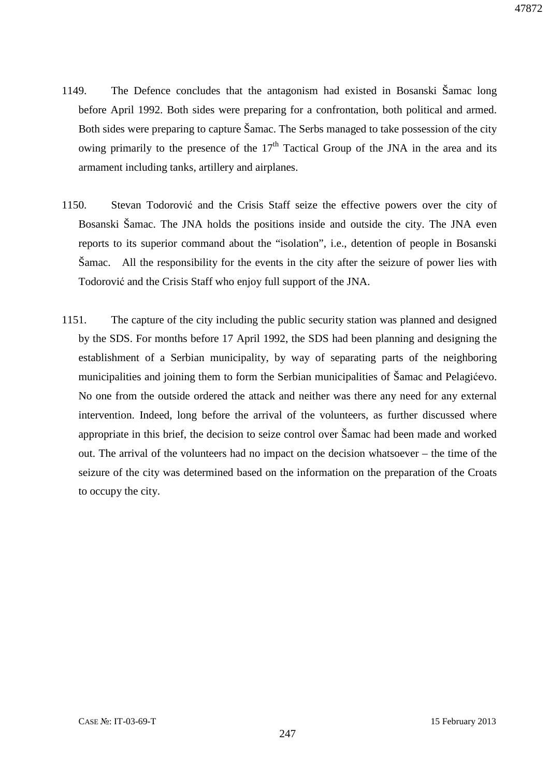- 1149. The Defence concludes that the antagonism had existed in Bosanski Šamac long before April 1992. Both sides were preparing for a confrontation, both political and armed. Both sides were preparing to capture Šamac. The Serbs managed to take possession of the city owing primarily to the presence of the  $17<sup>th</sup>$  Tactical Group of the JNA in the area and its armament including tanks, artillery and airplanes.
- 1150. Stevan Todorović and the Crisis Staff seize the effective powers over the city of Bosanski Šamac. The JNA holds the positions inside and outside the city. The JNA even reports to its superior command about the "isolation", i.e., detention of people in Bosanski Šamac. All the responsibility for the events in the city after the seizure of power lies with Todorović and the Crisis Staff who enjoy full support of the JNA.
- 1151. The capture of the city including the public security station was planned and designed by the SDS. For months before 17 April 1992, the SDS had been planning and designing the establishment of a Serbian municipality, by way of separating parts of the neighboring municipalities and joining them to form the Serbian municipalities of Šamac and Pelagićevo. No one from the outside ordered the attack and neither was there any need for any external intervention. Indeed, long before the arrival of the volunteers, as further discussed where appropriate in this brief, the decision to seize control over Šamac had been made and worked out. The arrival of the volunteers had no impact on the decision whatsoever – the time of the seizure of the city was determined based on the information on the preparation of the Croats to occupy the city.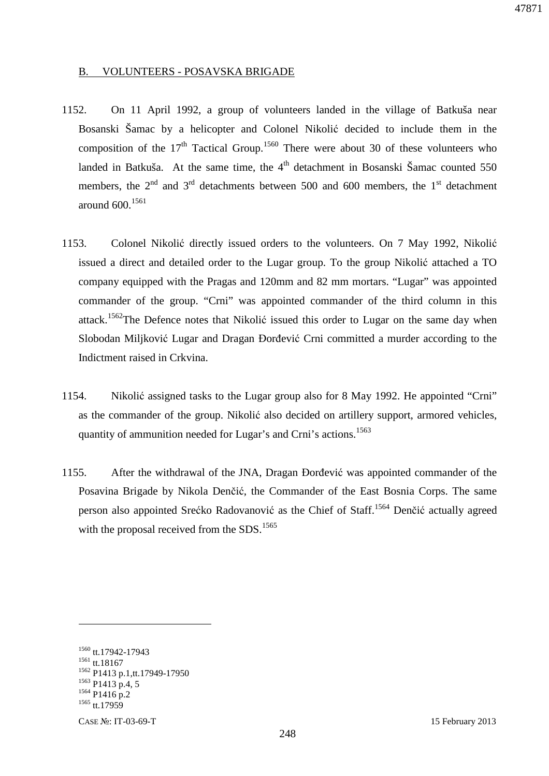#### B. VOLUNTEERS - POSAVSKA BRIGADE

- 1152. On 11 April 1992, a group of volunteers landed in the village of Batkuša near Bosanski Šamac by a helicopter and Colonel Nikolić decided to include them in the composition of the  $17<sup>th</sup>$  Tactical Group.<sup>1560</sup> There were about 30 of these volunteers who landed in Batkuša. At the same time, the  $4<sup>th</sup>$  detachment in Bosanski Šamac counted 550 members, the  $2<sup>nd</sup>$  and  $3<sup>rd</sup>$  detachments between 500 and 600 members, the 1<sup>st</sup> detachment around  $600^{1561}$
- 1153. Colonel Nikolić directly issued orders to the volunteers. On 7 May 1992, Nikolić issued a direct and detailed order to the Lugar group. To the group Nikolić attached a TO company equipped with the Pragas and 120mm and 82 mm mortars. "Lugar" was appointed commander of the group. "Crni" was appointed commander of the third column in this attack.<sup>1562</sup>The Defence notes that Nikolić issued this order to Lugar on the same day when Slobodan Miljković Lugar and Dragan Đorđević Crni committed a murder according to the Indictment raised in Crkvina.
- 1154. Nikolić assigned tasks to the Lugar group also for 8 May 1992. He appointed "Crni" as the commander of the group. Nikolić also decided on artillery support, armored vehicles, quantity of ammunition needed for Lugar's and Crni's actions.<sup>1563</sup>
- 1155. After the withdrawal of the JNA, Dragan Đorđević was appointed commander of the Posavina Brigade by Nikola Denčić, the Commander of the East Bosnia Corps. The same person also appointed Srećko Radovanović as the Chief of Staff.<sup>1564</sup> Denčić actually agreed with the proposal received from the SDS.<sup>1565</sup>

 tt.17942-17943 tt.18167 P1413 p.1,tt.17949-17950 P1413 p.4, 5 P1416 p.2  $1565$  tt.17959

CASE №: IT-03-69-T 15 February 2013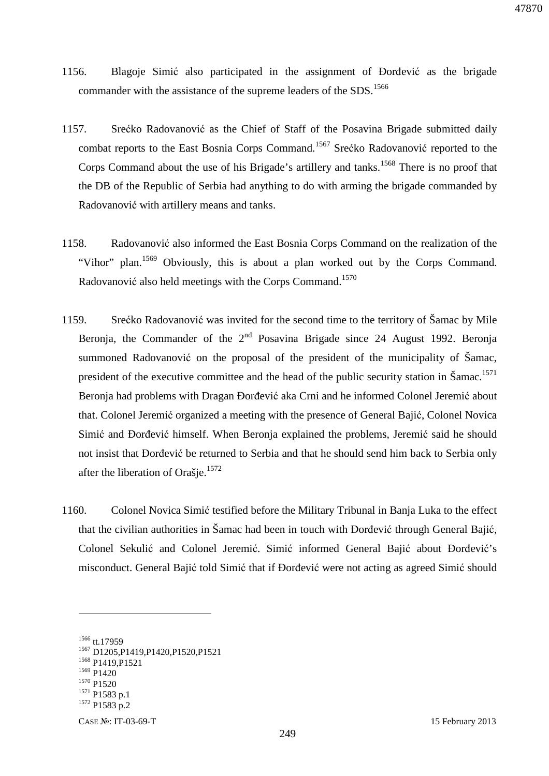- 1156. Blagoje Simić also participated in the assignment of Đorđević as the brigade commander with the assistance of the supreme leaders of the SDS.<sup>1566</sup>
- 1157. Srećko Radovanović as the Chief of Staff of the Posavina Brigade submitted daily combat reports to the East Bosnia Corps Command.<sup>1567</sup> Srećko Radovanović reported to the Corps Command about the use of his Brigade's artillery and tanks.<sup>1568</sup> There is no proof that the DB of the Republic of Serbia had anything to do with arming the brigade commanded by Radovanović with artillery means and tanks.
- 1158. Radovanović also informed the East Bosnia Corps Command on the realization of the "Vihor" plan.<sup>1569</sup> Obviously, this is about a plan worked out by the Corps Command. Radovanović also held meetings with the Corps Command.<sup>1570</sup>
- 1159. Srećko Radovanović was invited for the second time to the territory of Šamac by Mile Beronia, the Commander of the  $2<sup>nd</sup>$  Posavina Brigade since 24 August 1992. Beronia summoned Radovanović on the proposal of the president of the municipality of Šamac, president of the executive committee and the head of the public security station in Šamac.<sup>1571</sup> Beronja had problems with Dragan Đorđević aka Crni and he informed Colonel Jeremić about that. Colonel Jeremić organized a meeting with the presence of General Bajić, Colonel Novica Simić and Đorđević himself. When Beronja explained the problems, Jeremić said he should not insist that Đorđević be returned to Serbia and that he should send him back to Serbia only after the liberation of Orašie.<sup>1572</sup>
- 1160. Colonel Novica Simić testified before the Military Tribunal in Banja Luka to the effect that the civilian authorities in Šamac had been in touch with Đorđević through General Bajić, Colonel Sekulić and Colonel Jeremić. Simić informed General Bajić about Đorđević's misconduct. General Bajić told Simić that if Đorđević were not acting as agreed Simić should

<sup>&</sup>lt;sup>1566</sup> tt.17959 <sup>1567</sup> D1205,P1419,P1420,P1520,P1521 <sup>1568</sup> P1419, P1521 <sup>1569</sup> P1420  $1570$  P1520 <sup>1571</sup> P1583 p.1 <sup>1572</sup> P1583 p.2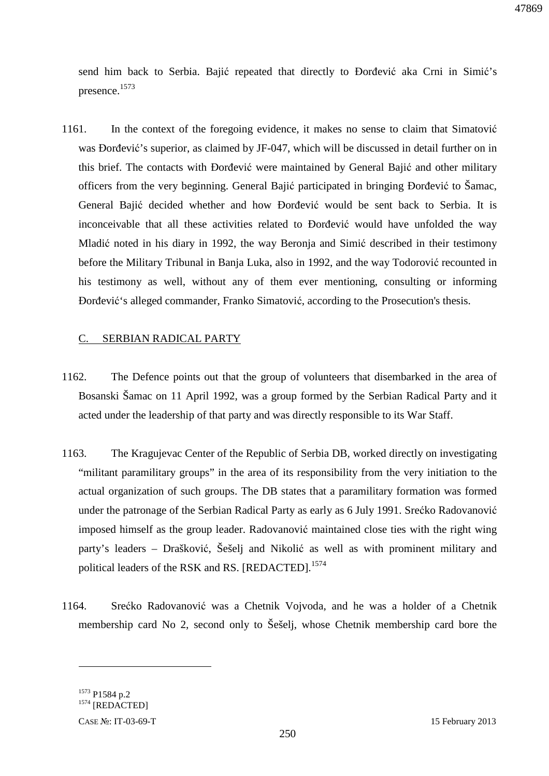send him back to Serbia. Bajić repeated that directly to Đorđević aka Crni in Simić's presence. 1573

1161. In the context of the foregoing evidence, it makes no sense to claim that Simatović was Đorđević's superior, as claimed by JF-047, which will be discussed in detail further on in this brief. The contacts with Đorđević were maintained by General Bajić and other military officers from the very beginning. General Bajić participated in bringing Đorđević to Šamac, General Bajić decided whether and how Đorđević would be sent back to Serbia. It is inconceivable that all these activities related to Đorđević would have unfolded the way Mladić noted in his diary in 1992, the way Beronja and Simić described in their testimony before the Military Tribunal in Banja Luka, also in 1992, and the way Todorović recounted in his testimony as well, without any of them ever mentioning, consulting or informing Đorđević's alleged commander, Franko Simatović, according to the Prosecution's thesis.

### C. SERBIAN RADICAL PARTY

- 1162. The Defence points out that the group of volunteers that disembarked in the area of Bosanski Šamac on 11 April 1992, was a group formed by the Serbian Radical Party and it acted under the leadership of that party and was directly responsible to its War Staff.
- 1163. The Kragujevac Center of the Republic of Serbia DB, worked directly on investigating "militant paramilitary groups" in the area of its responsibility from the very initiation to the actual organization of such groups. The DB states that a paramilitary formation was formed under the patronage of the Serbian Radical Party as early as 6 July 1991. Srećko Radovanović imposed himself as the group leader. Radovanović maintained close ties with the right wing party's leaders – Drašković, Šešelj and Nikolić as well as with prominent military and political leaders of the RSK and RS. [REDACTED]*.* 1574
- 1164. Srećko Radovanović was a Chetnik Vojvoda, and he was a holder of a Chetnik membership card No 2, second only to Šešelj, whose Chetnik membership card bore the

<sup>1573</sup> P1584 p.2 <sup>1574</sup> [REDACTED]

CASE №: IT-03-69-T 15 February 2013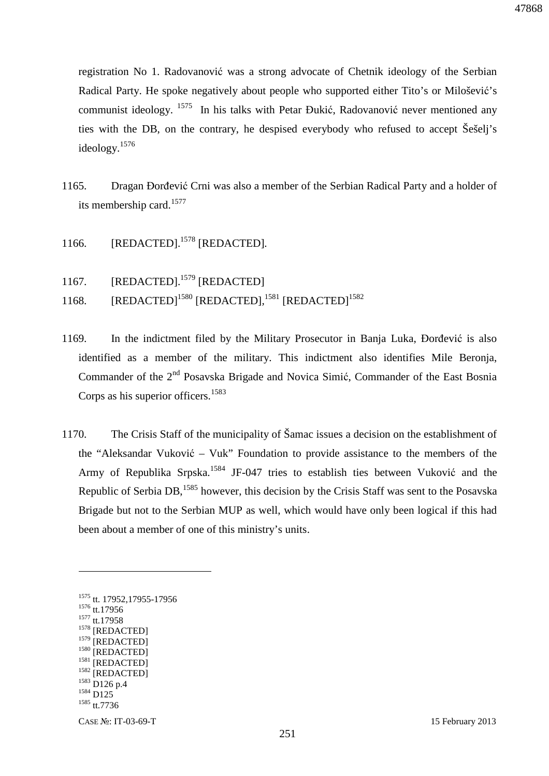registration No 1. Radovanović was a strong advocate of Chetnik ideology of the Serbian Radical Party. He spoke negatively about people who supported either Tito's or Milošević's communist ideology. <sup>1575</sup> In his talks with Petar Đukić, Radovanović never mentioned any ties with the DB, on the contrary, he despised everybody who refused to accept Šešelj's ideology.<sup>1576</sup>

- 1165. Dragan Đorđević Crni was also a member of the Serbian Radical Party and a holder of its membership card.<sup>1577</sup>
- 1166. [REDACTED].<sup>1578</sup> [REDACTED]*.*
- 1167. [REDACTED].<sup>1579</sup> [REDACTED]
- 1168. [REDACTED]<sup>1580</sup> [REDACTED],<sup>1581</sup> [REDACTED]<sup>1582</sup>
- 1169. In the indictment filed by the Military Prosecutor in Banja Luka, Đorđević is also identified as a member of the military. This indictment also identifies Mile Beronja, Commander of the 2<sup>nd</sup> Posavska Brigade and Novica Simić, Commander of the East Bosnia Corps as his superior officers.<sup>1583</sup>
- 1170. The Crisis Staff of the municipality of Šamac issues a decision on the establishment of the "Aleksandar Vuković – Vuk" Foundation to provide assistance to the members of the Army of Republika Srpska.<sup>1584</sup> JF-047 tries to establish ties between Vuković and the Republic of Serbia DB, <sup>1585</sup> however, this decision by the Crisis Staff was sent to the Posavska Brigade but not to the Serbian MUP as well, which would have only been logical if this had been about a member of one of this ministry's units.

<sup>1575</sup> tt. 17952,17955-17956 <sup>1576</sup> tt.17956 <sup>1577</sup> tt.17958  $^{1578}$  [REDACTED] [REDACTED] [REDACTED] <sup>1581</sup> [REDACTED] <sup>1582</sup> [REDACTED] <sup>1583</sup> D126 p.4 <sup>1584</sup> D125  $1585$  tt.7736

 $\overline{a}$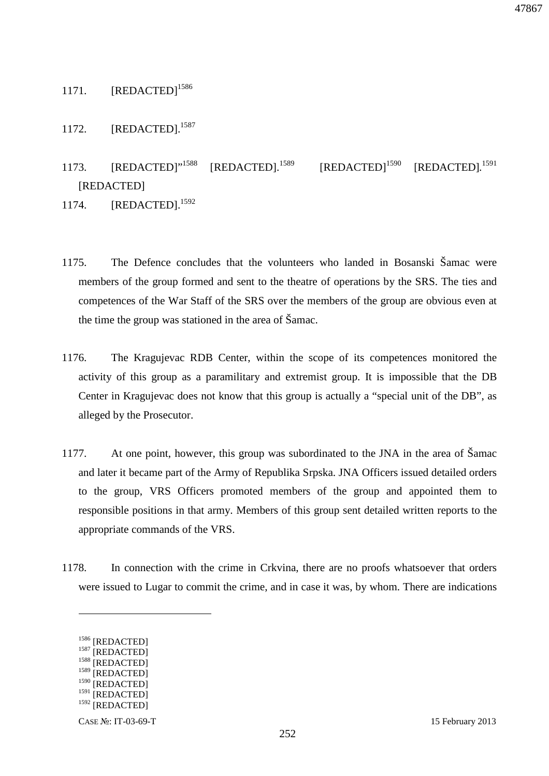# 1171. [REDACTED]<sup>1586</sup>

# 1172. [REDACTED].<sup>1587</sup>

1173. [REDACTED]"<sup>1588</sup> [REDACTED].<sup>1589</sup> [REDACTED]<sup>1590</sup>  $[REDACTED]$ <sup>1591</sup> [REDACTED]

1174. **[REDACTED].**<sup>1592</sup>

- 1175. The Defence concludes that the volunteers who landed in Bosanski Šamac were members of the group formed and sent to the theatre of operations by the SRS. The ties and competences of the War Staff of the SRS over the members of the group are obvious even at the time the group was stationed in the area of Šamac.
- 1176. The Kragujevac RDB Center, within the scope of its competences monitored the activity of this group as a paramilitary and extremist group. It is impossible that the DB Center in Kragujevac does not know that this group is actually a "special unit of the DB", as alleged by the Prosecutor.
- 1177. At one point, however, this group was subordinated to the JNA in the area of Šamac and later it became part of the Army of Republika Srpska. JNA Officers issued detailed orders to the group, VRS Officers promoted members of the group and appointed them to responsible positions in that army. Members of this group sent detailed written reports to the appropriate commands of the VRS.
- 1178. In connection with the crime in Crkvina, there are no proofs whatsoever that orders were issued to Lugar to commit the crime, and in case it was, by whom. There are indications

 $\overline{a}$ 

47867

<sup>1586 [</sup>REDACTED]

<sup>&</sup>lt;sup>1587</sup> [REDACTED]

 $^{1588}$  [REDACTED] [REDACTED]

<sup>&</sup>lt;sup>1590</sup> [REDACTED]

<sup>&</sup>lt;sup>1591</sup> [REDACTED]

<sup>&</sup>lt;sup>1592</sup> [REDACTED]

CASE №: IT-03-69-T 15 February 2013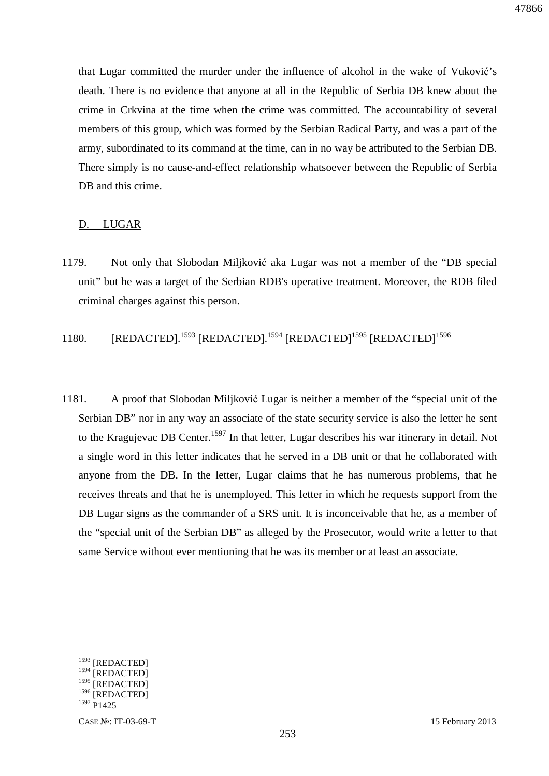that Lugar committed the murder under the influence of alcohol in the wake of Vuković's death. There is no evidence that anyone at all in the Republic of Serbia DB knew about the crime in Crkvina at the time when the crime was committed. The accountability of several members of this group, which was formed by the Serbian Radical Party, and was a part of the army, subordinated to its command at the time, can in no way be attributed to the Serbian DB. There simply is no cause-and-effect relationship whatsoever between the Republic of Serbia DB and this crime.

### D. LUGAR

- 1179. Not only that Slobodan Miljković aka Lugar was not a member of the "DB special unit" but he was a target of the Serbian RDB's operative treatment. Moreover, the RDB filed criminal charges against this person.
- 1180. [REDACTED].<sup>1593</sup> [REDACTED].<sup>1594</sup> [REDACTED]<sup>1595</sup> [REDACTED]<sup>1596</sup>
- 1181. A proof that Slobodan Miljković Lugar is neither a member of the "special unit of the Serbian DB" nor in any way an associate of the state security service is also the letter he sent to the Kragujevac DB Center.<sup>1597</sup> In that letter, Lugar describes his war itinerary in detail. Not a single word in this letter indicates that he served in a DB unit or that he collaborated with anyone from the DB. In the letter, Lugar claims that he has numerous problems, that he receives threats and that he is unemployed. This letter in which he requests support from the DB Lugar signs as the commander of a SRS unit. It is inconceivable that he, as a member of the "special unit of the Serbian DB" as alleged by the Prosecutor, would write a letter to that same Service without ever mentioning that he was its member or at least an associate.

<sup>&</sup>lt;sup>1593</sup> [REDACTED] <sup>1594</sup> [REDACTED] <sup>1595</sup> [REDACTED] <sup>1596</sup> [REDACTED] <sup>1597</sup> P1425

CASE №: IT-03-69-T 15 February 2013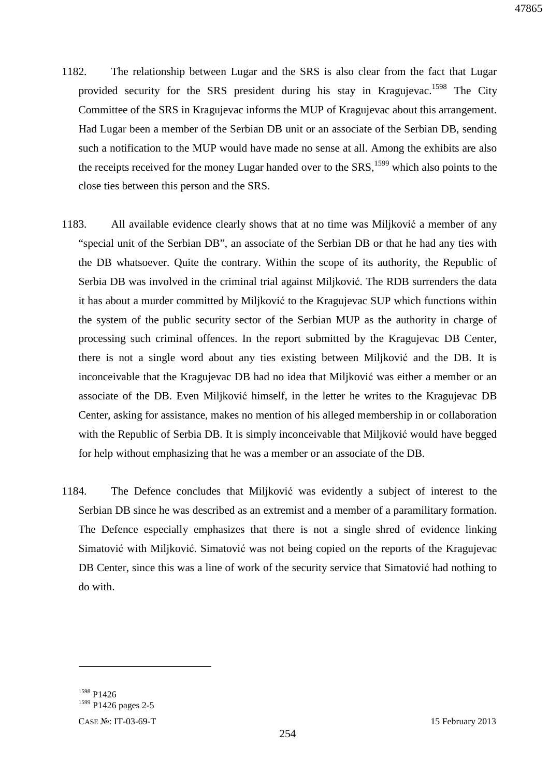- 1182. The relationship between Lugar and the SRS is also clear from the fact that Lugar provided security for the SRS president during his stay in Kragujevac.<sup>1598</sup> The City Committee of the SRS in Kragujevac informs the MUP of Kragujevac about this arrangement. Had Lugar been a member of the Serbian DB unit or an associate of the Serbian DB, sending such a notification to the MUP would have made no sense at all. Among the exhibits are also the receipts received for the money Lugar handed over to the  $SRS$ ,<sup>1599</sup> which also points to the close ties between this person and the SRS.
- 1183. All available evidence clearly shows that at no time was Miljković a member of any "special unit of the Serbian DB", an associate of the Serbian DB or that he had any ties with the DB whatsoever. Quite the contrary. Within the scope of its authority, the Republic of Serbia DB was involved in the criminal trial against Miljković. The RDB surrenders the data it has about a murder committed by Miljković to the Kragujevac SUP which functions within the system of the public security sector of the Serbian MUP as the authority in charge of processing such criminal offences. In the report submitted by the Kragujevac DB Center, there is not a single word about any ties existing between Miljković and the DB. It is inconceivable that the Kragujevac DB had no idea that Miljković was either a member or an associate of the DB. Even Miljković himself, in the letter he writes to the Kragujevac DB Center, asking for assistance, makes no mention of his alleged membership in or collaboration with the Republic of Serbia DB. It is simply inconceivable that Miljković would have begged for help without emphasizing that he was a member or an associate of the DB.
- 1184. The Defence concludes that Miljković was evidently a subject of interest to the Serbian DB since he was described as an extremist and a member of a paramilitary formation. The Defence especially emphasizes that there is not a single shred of evidence linking Simatović with Miljković. Simatović was not being copied on the reports of the Kragujevac DB Center, since this was a line of work of the security service that Simatović had nothing to do with.

<sup>1598</sup> P1426 <sup>1599</sup> P1426 pages 2-5

CASE №: IT-03-69-T 15 February 2013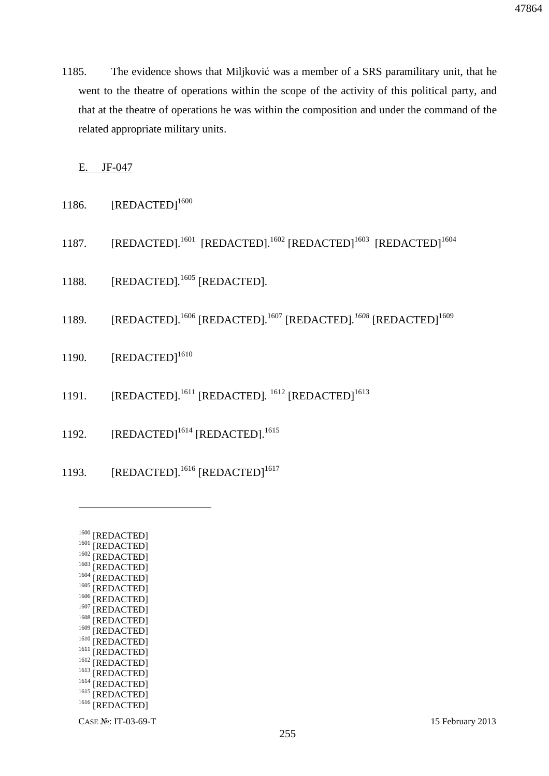1185. The evidence shows that Miljković was a member of a SRS paramilitary unit, that he went to the theatre of operations within the scope of the activity of this political party, and that at the theatre of operations he was within the composition and under the command of the related appropriate military units.

E. JF-047

- 1186.  $[REDACTED]^{1600}$
- 1187. [REDACTED].<sup>1601</sup> [REDACTED].<sup>1602</sup> [REDACTED]<sup>1603</sup> [REDACTED]<sup>1604</sup>
- 1188. [REDACTED].<sup>1605</sup> [REDACTED].
- 1189. [REDACTED].<sup>1606</sup> [REDACTED].<sup>1607</sup> [REDACTED].<sup>1608</sup> [REDACTED]<sup>1609</sup>
- 1190.  $[REDACTER]^{1610}$
- 1191. [REDACTED].<sup>1611</sup> [REDACTED].<sup>1612</sup> [REDACTED]<sup>1613</sup>
- 1192. [REDACTED]<sup>1614</sup> [REDACTED].<sup>1615</sup>
- 1193. [REDACTED].<sup>1616</sup> [REDACTED]<sup>1617</sup>
	- $1600$  [REDACTED] <sup>1601</sup> [REDACTED]  $1602$  [REDACTED]  $^{1603}$  [REDACTED] <sup>1604</sup> [REDACTED]  $1605$  [REDACTED] <sup>1606</sup> [REDACTED]  $1607$  [REDACTED] <sup>1608</sup> [REDACTED] 1609 [REDACTED] <sup>1610</sup> [REDACTED]  $^{1611}$  [REDACTED] <sup>1612</sup> [REDACTED] <sup>1613</sup> [REDACTED] <sup>1614</sup> [REDACTED] <sup>1615</sup> [REDACTED]

<sup>1616</sup> [REDACTED]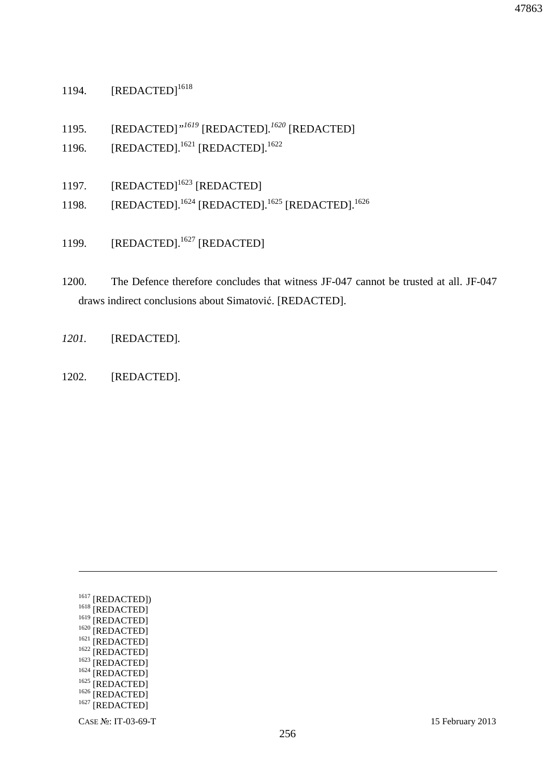# 1194. [REDACTED]<sup>1618</sup>

1195. [REDACTED]*" <sup>1619</sup>* [REDACTED]*. <sup>1620</sup>* [REDACTED]

- 1196. [REDACTED].<sup>1621</sup> [REDACTED].<sup>1622</sup>
- 1197. [REDACTED]<sup>1623</sup> [REDACTED]
- 1198. [REDACTED].<sup>1624</sup> [REDACTED].<sup>1625</sup> [REDACTED].<sup>1626</sup>
- 1199. [REDACTED].<sup>1627</sup> [REDACTED]
- 1200. The Defence therefore concludes that witness JF-047 cannot be trusted at all. JF-047 draws indirect conclusions about Simatović. [REDACTED].
- *1201.* [REDACTED]*.*
- 1202. [REDACTED].

| 1617 |             |
|------|-------------|
|      | [REDACTED]) |
| 1618 | [REDACTED]  |
| 1619 |             |
|      | [REDACTED]  |
| 1620 | [REDACTED]  |
| 1621 | [REDACTED]  |
|      |             |
| 1622 | [REDACTED]  |
| 1623 |             |
|      | [REDACTED]  |
| 1624 | [REDACTED]  |
|      |             |
| 1625 | [REDACTED]  |
| 1626 |             |
|      | [REDACTED]  |
| 1627 | [REDACTED]  |
|      |             |
|      |             |

<u>.</u>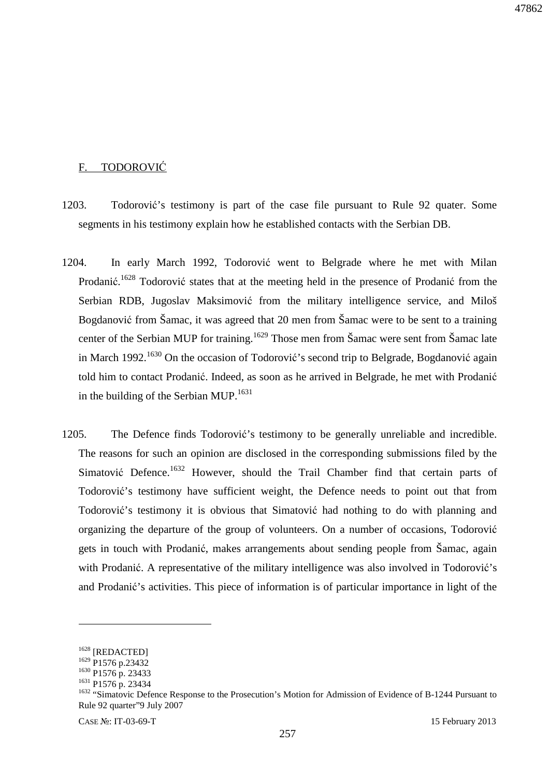## F. TODOROVIĆ

- 1203. Todorović's testimony is part of the case file pursuant to Rule 92 quater. Some segments in his testimony explain how he established contacts with the Serbian DB.
- 1204. In early March 1992, Todorović went to Belgrade where he met with Milan Prodanić.<sup>1628</sup> Todorović states that at the meeting held in the presence of Prodanić from the Serbian RDB, Jugoslav Maksimović from the military intelligence service, and Miloš Bogdanović from Šamac, it was agreed that 20 men from Šamac were to be sent to a training center of the Serbian MUP for training.<sup>1629</sup> Those men from Šamac were sent from Šamac late in March 1992.<sup>1630</sup> On the occasion of Todorović's second trip to Belgrade, Bogdanović again told him to contact Prodanić. Indeed, as soon as he arrived in Belgrade, he met with Prodanić in the building of the Serbian MUP.<sup>1631</sup>
- 1205. The Defence finds Todorović's testimony to be generally unreliable and incredible. The reasons for such an opinion are disclosed in the corresponding submissions filed by the Simatović Defence.<sup>1632</sup> However, should the Trail Chamber find that certain parts of Todorović's testimony have sufficient weight, the Defence needs to point out that from Todorović's testimony it is obvious that Simatović had nothing to do with planning and organizing the departure of the group of volunteers. On a number of occasions, Todorović gets in touch with Prodanić, makes arrangements about sending people from Šamac, again with Prodanić. A representative of the military intelligence was also involved in Todorović's and Prodanić's activities. This piece of information is of particular importance in light of the

<sup>&</sup>lt;sup>1628</sup> [REDACTED]

<sup>&</sup>lt;sup>1629</sup> P1576 p.23432

<sup>1630</sup> P1576 p. 23433

<sup>1631</sup> P1576 p. 23434

<sup>&</sup>lt;sup>1632</sup> "Simatovic Defence Response to the Prosecution's Motion for Admission of Evidence of B-1244 Pursuant to Rule 92 quarter"9 July 2007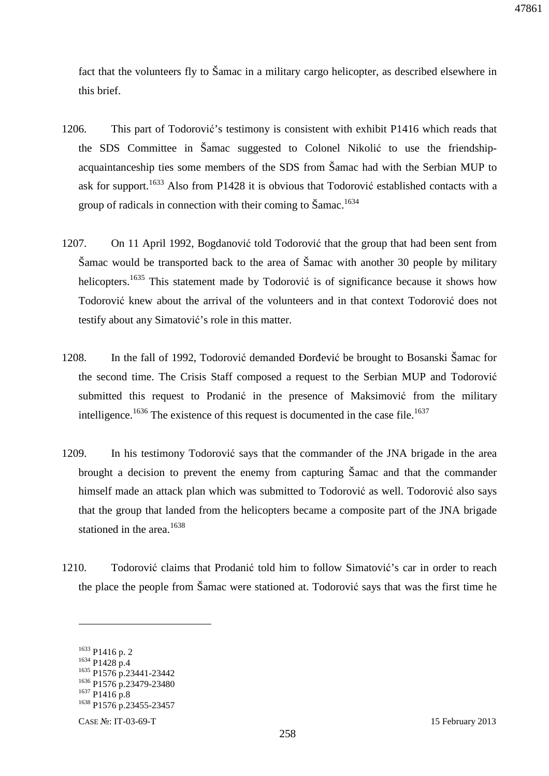fact that the volunteers fly to Šamac in a military cargo helicopter, as described elsewhere in this brief.

- 1206. This part of Todorović's testimony is consistent with exhibit P1416 which reads that the SDS Committee in Šamac suggested to Colonel Nikolić to use the friendshipacquaintanceship ties some members of the SDS from Šamac had with the Serbian MUP to ask for support.<sup>1633</sup> Also from P1428 it is obvious that Todorović established contacts with a group of radicals in connection with their coming to Šamac.<sup>1634</sup>
- 1207. On 11 April 1992, Bogdanović told Todorović that the group that had been sent from Šamac would be transported back to the area of Šamac with another 30 people by military helicopters.<sup>1635</sup> This statement made by Todorović is of significance because it shows how Todorović knew about the arrival of the volunteers and in that context Todorović does not testify about any Simatović's role in this matter.
- 1208. In the fall of 1992, Todorović demanded Đorđević be brought to Bosanski Šamac for the second time. The Crisis Staff composed a request to the Serbian MUP and Todorović submitted this request to Prodanić in the presence of Maksimović from the military intelligence.<sup>1636</sup> The existence of this request is documented in the case file.<sup>1637</sup>
- 1209. In his testimony Todorović says that the commander of the JNA brigade in the area brought a decision to prevent the enemy from capturing Šamac and that the commander himself made an attack plan which was submitted to Todorović as well. Todorović also says that the group that landed from the helicopters became a composite part of the JNA brigade stationed in the area.<sup>1638</sup>
- 1210. Todorović claims that Prodanić told him to follow Simatović's car in order to reach the place the people from Šamac were stationed at. Todorović says that was the first time he

<sup>1633</sup> P1416 p. 2

<sup>1634</sup> P1428 p.4 <sup>1635</sup> P1576 p.23441-23442

<sup>1636</sup> P1576 p.23479-23480

<sup>1637</sup> P1416 p.8

<sup>1638</sup> P1576 p.23455-23457

CASE №: IT-03-69-T 15 February 2013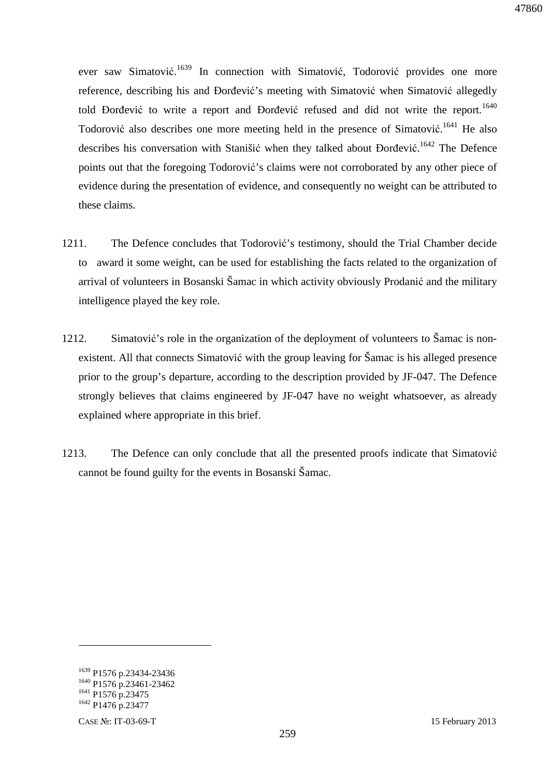ever saw Simatović.<sup>1639</sup> In connection with Simatović, Todorović provides one more reference, describing his and Đorđević's meeting with Simatović when Simatović allegedly told Đorđević to write a report and Đorđević refused and did not write the report.<sup>1640</sup> Todorović also describes one more meeting held in the presence of Simatović.<sup>1641</sup> He also describes his conversation with Stanišić when they talked about Đorđević.<sup>1642</sup> The Defence points out that the foregoing Todorović's claims were not corroborated by any other piece of evidence during the presentation of evidence, and consequently no weight can be attributed to these claims.

- 1211. The Defence concludes that Todorović's testimony, should the Trial Chamber decide to award it some weight, can be used for establishing the facts related to the organization of arrival of volunteers in Bosanski Šamac in which activity obviously Prodanić and the military intelligence played the key role.
- 1212. Simatović's role in the organization of the deployment of volunteers to Šamac is nonexistent. All that connects Simatović with the group leaving for Šamac is his alleged presence prior to the group's departure, according to the description provided by JF-047. The Defence strongly believes that claims engineered by JF-047 have no weight whatsoever, as already explained where appropriate in this brief.
- 1213. The Defence can only conclude that all the presented proofs indicate that Simatović cannot be found guilty for the events in Bosanski Šamac.

<sup>&</sup>lt;sup>1639</sup> P1576 p.23434-23436 <sup>1640</sup> P1576 p.23461-23462 <sup>1641</sup> P1576 p.23475 <sup>1642</sup> P1476 p.23477

CASE №: IT-03-69-T 15 February 2013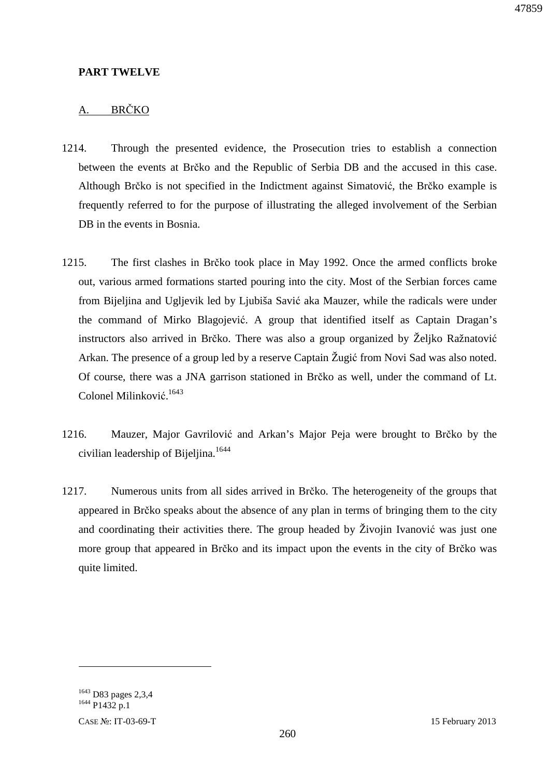### **PART TWELVE**

## A. BRČKO

- 1214. Through the presented evidence, the Prosecution tries to establish a connection between the events at Brčko and the Republic of Serbia DB and the accused in this case. Although Brčko is not specified in the Indictment against Simatović, the Brčko example is frequently referred to for the purpose of illustrating the alleged involvement of the Serbian DB in the events in Bosnia.
- 1215. The first clashes in Brčko took place in May 1992. Once the armed conflicts broke out, various armed formations started pouring into the city. Most of the Serbian forces came from Bijeljina and Ugljevik led by Ljubiša Savić aka Mauzer, while the radicals were under the command of Mirko Blagojević. A group that identified itself as Captain Dragan's instructors also arrived in Brčko. There was also a group organized by Željko Ražnatović Arkan. The presence of a group led by a reserve Captain Žugić from Novi Sad was also noted. Of course, there was a JNA garrison stationed in Brčko as well, under the command of Lt. Colonel Milinković.<sup>1643</sup>
- 1216. Mauzer, Major Gavrilović and Arkan's Major Peja were brought to Brčko by the civilian leadership of Bijeljina.<sup>1644</sup>
- 1217. Numerous units from all sides arrived in Brčko. The heterogeneity of the groups that appeared in Brčko speaks about the absence of any plan in terms of bringing them to the city and coordinating their activities there. The group headed by Živojin Ivanović was just one more group that appeared in Brčko and its impact upon the events in the city of Brčko was quite limited.

 $\overline{a}$ 

<sup>1643</sup> D83 pages 2,3,4 <sup>1644</sup> P1432 p.1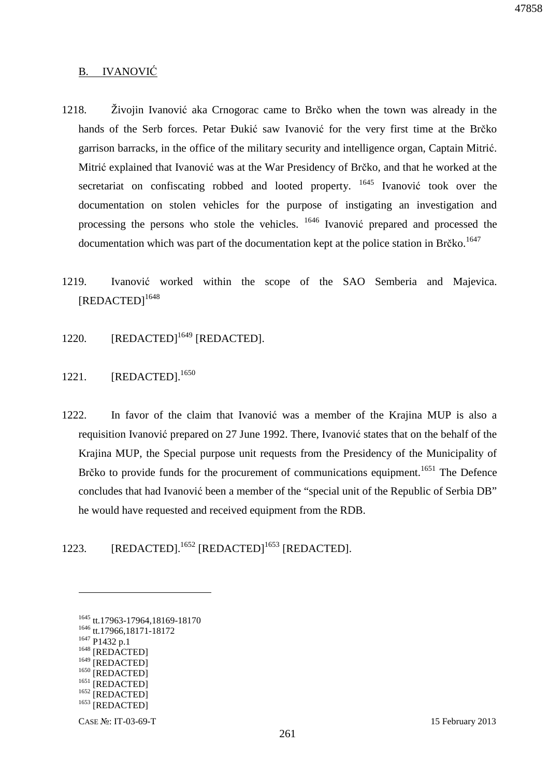#### B. IVANOVIĆ

- 1218. Živojin Ivanović aka Crnogorac came to Brčko when the town was already in the hands of the Serb forces. Petar Đukić saw Ivanović for the very first time at the Brčko garrison barracks, in the office of the military security and intelligence organ, Captain Mitrić. Mitrić explained that Ivanović was at the War Presidency of Brčko, and that he worked at the secretariat on confiscating robbed and looted property. <sup>1645</sup> Ivanović took over the documentation on stolen vehicles for the purpose of instigating an investigation and processing the persons who stole the vehicles.  $1646$  Ivanović prepared and processed the documentation which was part of the documentation kept at the police station in Brčko.<sup>1647</sup>
- 1219. Ivanović worked within the scope of the SAO Semberia and Majevica. [REDACTED]<sup>1648</sup>
- 1220. [REDACTED]<sup>1649</sup> [REDACTED].
- 1221. [REDACTED].<sup>1650</sup>
- 1222. In favor of the claim that Ivanović was a member of the Krajina MUP is also a requisition Ivanović prepared on 27 June 1992. There, Ivanović states that on the behalf of the Krajina MUP, the Special purpose unit requests from the Presidency of the Municipality of Brčko to provide funds for the procurement of communications equipment.<sup>1651</sup> The Defence concludes that had Ivanović been a member of the "special unit of the Republic of Serbia DB" he would have requested and received equipment from the RDB.
- 1223. [REDACTED].<sup>1652</sup> [REDACTED]<sup>1653</sup> [REDACTED].

<sup>1645</sup> tt.17963-17964,18169-18170 <sup>1646</sup> tt.17966,18171-18172 <sup>1647</sup> P1432 p.1 1648 [REDACTED]  $^{1649}$  [REDACTED] [REDACTED] <sup>1651</sup> [REDACTED] <sup>1652</sup> [REDACTED] <sup>1653</sup> [REDACTED]

CASE №: IT-03-69-T 15 February 2013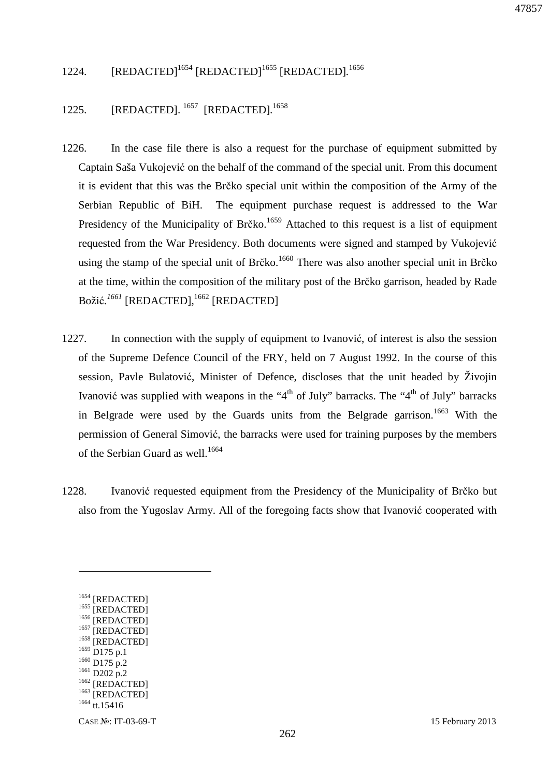## 1224. [REDACTED]<sup>1654</sup> [REDACTED]<sup>1655</sup> [REDACTED].<sup>1656</sup>

## 1225. [REDACTED]. <sup>1657</sup> [REDACTED]*.* 1658

- 1226. In the case file there is also a request for the purchase of equipment submitted by Captain Saša Vukojević on the behalf of the command of the special unit. From this document it is evident that this was the Brčko special unit within the composition of the Army of the Serbian Republic of BiH. The equipment purchase request is addressed to the War Presidency of the Municipality of Brčko.<sup>1659</sup> Attached to this request is a list of equipment requested from the War Presidency. Both documents were signed and stamped by Vukojević using the stamp of the special unit of Brčko.<sup>1660</sup> There was also another special unit in Brčko at the time, within the composition of the military post of the Brčko garrison, headed by Rade Božić.<sup>1661</sup> [REDACTED],<sup>1662</sup> [REDACTED]
- 1227. In connection with the supply of equipment to Ivanović, of interest is also the session of the Supreme Defence Council of the FRY, held on 7 August 1992. In the course of this session, Pavle Bulatović, Minister of Defence, discloses that the unit headed by Živojin Ivanović was supplied with weapons in the "4<sup>th</sup> of July" barracks. The "4<sup>th</sup> of July" barracks in Belgrade were used by the Guards units from the Belgrade garrison.<sup>1663</sup> With the permission of General Simović, the barracks were used for training purposes by the members of the Serbian Guard as well.<sup>1664</sup>
- 1228. Ivanović requested equipment from the Presidency of the Municipality of Brčko but also from the Yugoslav Army. All of the foregoing facts show that Ivanović cooperated with

<sup>&</sup>lt;sup>1654</sup> [REDACTED] <sup>1655</sup> [REDACTED] <sup>1656</sup> [REDACTED] <sup>1657</sup> [REDACTED] <sup>1658</sup> [REDACTED] 1659 D<sub>175</sub> p.1  $1660$  D175 p.2 <sup>1661</sup> D202 p.2 <sup>1662</sup> [REDACTED] <sup>1663</sup> [REDACTED] <sup>1664</sup> tt.15416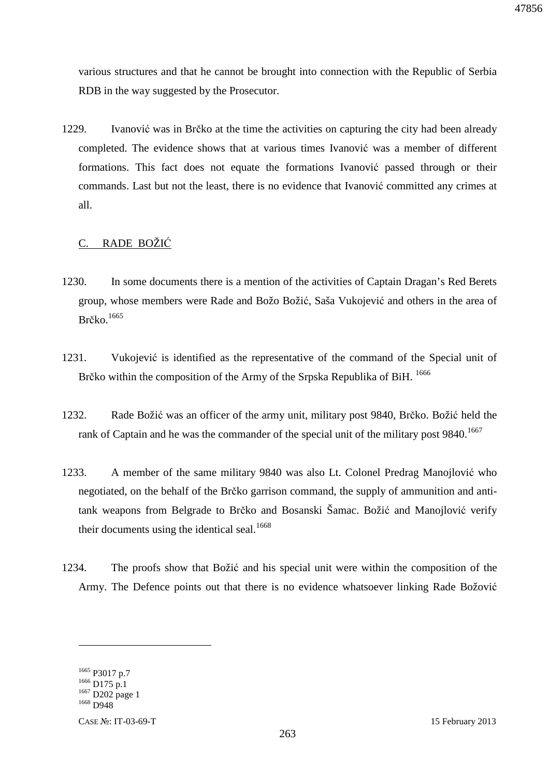various structures and that he cannot be brought into connection with the Republic of Serbia RDB in the way suggested by the Prosecutor.

1229. Ivanović was in Brčko at the time the activities on capturing the city had been already completed. The evidence shows that at various times Ivanović was a member of different formations. This fact does not equate the formations Ivanović passed through or their commands. Last but not the least, there is no evidence that Ivanović committed any crimes at all.

## C. RADE BOŽIĆ

- 1230. In some documents there is a mention of the activities of Captain Dragan's Red Berets group, whose members were Rade and Božo Božić, Saša Vukojević and others in the area of Brčko. $1665$
- 1231. Vukojević is identified as the representative of the command of the Special unit of Brčko within the composition of the Army of the Srpska Republika of BiH. <sup>1666</sup>
- 1232. Rade Božić was an officer of the army unit, military post 9840, Brčko. Božić held the rank of Captain and he was the commander of the special unit of the military post 9840.<sup>1667</sup>
- 1233. A member of the same military 9840 was also Lt. Colonel Predrag Manojlović who negotiated, on the behalf of the Brčko garrison command, the supply of ammunition and antitank weapons from Belgrade to Brčko and Bosanski Šamac. Božić and Manojlović verify their documents using the identical seal.<sup>1668</sup>
- 1234. The proofs show that Božić and his special unit were within the composition of the Army. The Defence points out that there is no evidence whatsoever linking Rade Božović

<sup>1665</sup> P3017 p.7  $1666$  D175 p.1 <sup>1667</sup> D202 page 1 <sup>1668</sup> D948

CASE №: IT-03-69-T 15 February 2013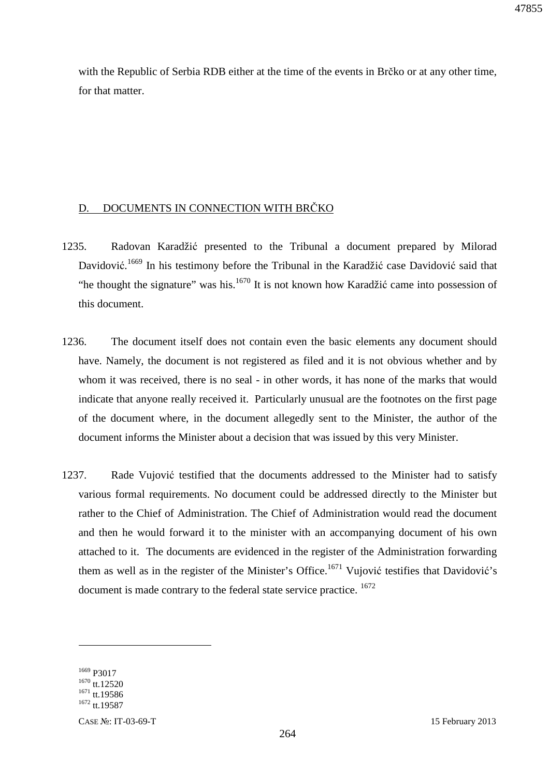47855

with the Republic of Serbia RDB either at the time of the events in Brčko or at any other time, for that matter.

## D. DOCUMENTS IN CONNECTION WITH BRČKO

- 1235. Radovan Karadžić presented to the Tribunal a document prepared by Milorad Davidović.<sup>1669</sup> In his testimony before the Tribunal in the Karadžić case Davidović said that "he thought the signature" was his.<sup>1670</sup> It is not known how Karadžić came into possession of this document.
- 1236. The document itself does not contain even the basic elements any document should have. Namely, the document is not registered as filed and it is not obvious whether and by whom it was received, there is no seal - in other words, it has none of the marks that would indicate that anyone really received it. Particularly unusual are the footnotes on the first page of the document where, in the document allegedly sent to the Minister, the author of the document informs the Minister about a decision that was issued by this very Minister.
- 1237. Rade Vujović testified that the documents addressed to the Minister had to satisfy various formal requirements. No document could be addressed directly to the Minister but rather to the Chief of Administration. The Chief of Administration would read the document and then he would forward it to the minister with an accompanying document of his own attached to it. The documents are evidenced in the register of the Administration forwarding them as well as in the register of the Minister's Office.<sup>1671</sup> Vujović testifies that Davidović's document is made contrary to the federal state service practice. <sup>1672</sup>

<sup>1669</sup> P3017  $1670$  tt.12520 <sup>1671</sup> tt.19586  $1672$  tt.19587

CASE №: IT-03-69-T 15 February 2013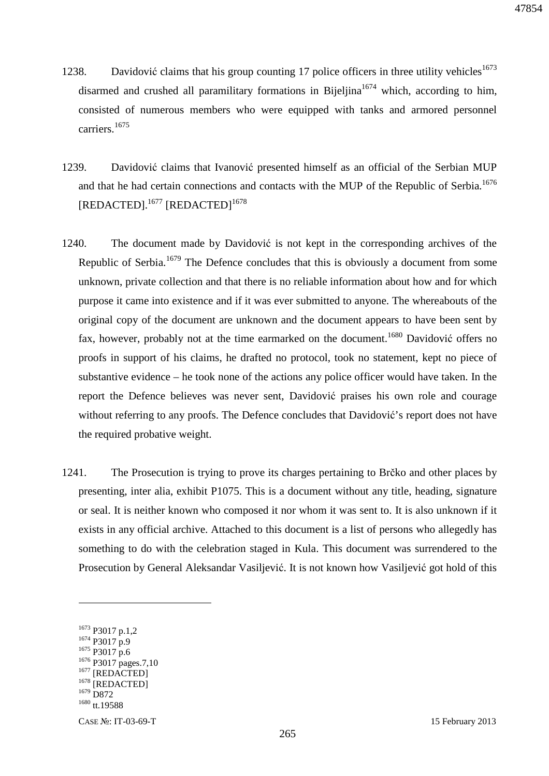- 1238. Davidović claims that his group counting 17 police officers in three utility vehicles<sup>1673</sup> disarmed and crushed all paramilitary formations in Bijeljina<sup>1674</sup> which, according to him, consisted of numerous members who were equipped with tanks and armored personnel carriers.<sup>1675</sup>
- 1239. Davidović claims that Ivanović presented himself as an official of the Serbian MUP and that he had certain connections and contacts with the MUP of the Republic of Serbia.<sup>1676</sup> [REDACTED].<sup>1677</sup> [REDACTED]<sup>1678</sup>
- 1240. The document made by Davidović is not kept in the corresponding archives of the Republic of Serbia.<sup>1679</sup> The Defence concludes that this is obviously a document from some unknown, private collection and that there is no reliable information about how and for which purpose it came into existence and if it was ever submitted to anyone. The whereabouts of the original copy of the document are unknown and the document appears to have been sent by fax, however, probably not at the time earmarked on the document.<sup>1680</sup> Davidović offers no proofs in support of his claims, he drafted no protocol, took no statement, kept no piece of substantive evidence – he took none of the actions any police officer would have taken. In the report the Defence believes was never sent, Davidović praises his own role and courage without referring to any proofs. The Defence concludes that Davidović's report does not have the required probative weight.
- 1241. The Prosecution is trying to prove its charges pertaining to Brčko and other places by presenting, inter alia, exhibit P1075. This is a document without any title, heading, signature or seal. It is neither known who composed it nor whom it was sent to. It is also unknown if it exists in any official archive. Attached to this document is a list of persons who allegedly has something to do with the celebration staged in Kula. This document was surrendered to the Prosecution by General Aleksandar Vasiljević. It is not known how Vasiljević got hold of this

<sup>&</sup>lt;sup>1673</sup> P3017 p.1,2 <sup>1674</sup> P3017 p.9 <sup>1675</sup> P3017 p.6 <sup>1676</sup> P3017 pages.7,10 [REDACTED] <sup>1678</sup> [REDACTED] <sup>1679</sup> D872 <sup>1680</sup> tt.19588

CASE №: IT-03-69-T 15 February 2013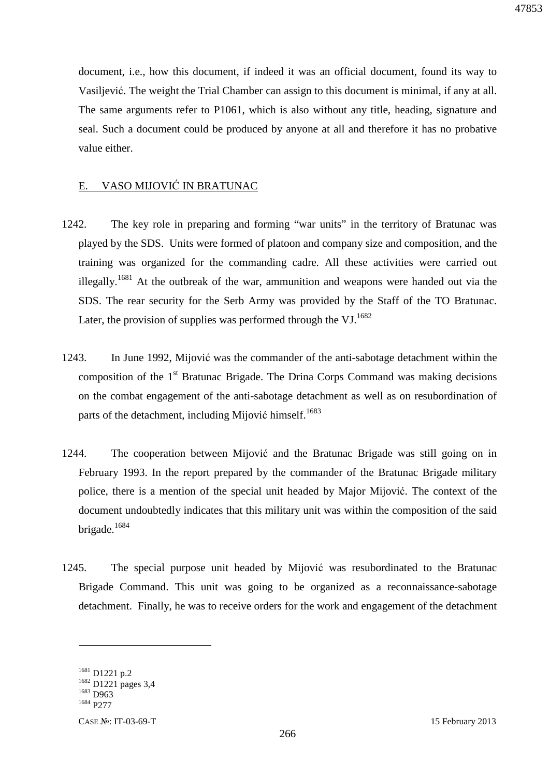document, i.e., how this document, if indeed it was an official document, found its way to Vasiljević. The weight the Trial Chamber can assign to this document is minimal, if any at all. The same arguments refer to P1061, which is also without any title, heading, signature and seal. Such a document could be produced by anyone at all and therefore it has no probative value either.

#### E. VASO MIJOVIĆ IN BRATUNAC

- 1242. The key role in preparing and forming "war units" in the territory of Bratunac was played by the SDS. Units were formed of platoon and company size and composition, and the training was organized for the commanding cadre. All these activities were carried out illegally.<sup>1681</sup> At the outbreak of the war, ammunition and weapons were handed out via the SDS. The rear security for the Serb Army was provided by the Staff of the TO Bratunac. Later, the provision of supplies was performed through the VJ. $^{1682}$
- 1243. In June 1992, Mijović was the commander of the anti-sabotage detachment within the composition of the 1<sup>st</sup> Bratunac Brigade. The Drina Corps Command was making decisions on the combat engagement of the anti-sabotage detachment as well as on resubordination of parts of the detachment, including Mijović himself.<sup>1683</sup>
- 1244. The cooperation between Mijović and the Bratunac Brigade was still going on in February 1993. In the report prepared by the commander of the Bratunac Brigade military police, there is a mention of the special unit headed by Major Mijović. The context of the document undoubtedly indicates that this military unit was within the composition of the said brigade.<sup>1684</sup>
- 1245. The special purpose unit headed by Mijović was resubordinated to the Bratunac Brigade Command. This unit was going to be organized as a reconnaissance-sabotage detachment. Finally, he was to receive orders for the work and engagement of the detachment

<sup>1681</sup> D1221 p.2 <sup>1682</sup> D1221 pages 3,4 <sup>1683</sup> D963 <sup>1684</sup> P277

CASE №: IT-03-69-T 15 February 2013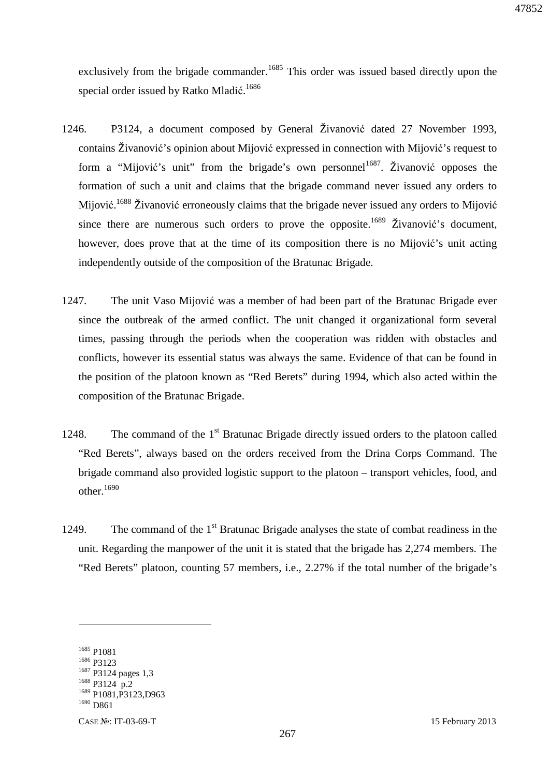exclusively from the brigade commander.<sup>1685</sup> This order was issued based directly upon the special order issued by Ratko Mladić.<sup>1686</sup>

- 1246. P3124, a document composed by General Živanović dated 27 November 1993, contains Živanović's opinion about Mijović expressed in connection with Mijović's request to form a "Mijović's unit" from the brigade's own personnel<sup>1687</sup>. Živanović opposes the formation of such a unit and claims that the brigade command never issued any orders to Mijović.<sup>1688</sup> Živanović erroneously claims that the brigade never issued any orders to Mijović since there are numerous such orders to prove the opposite.<sup>1689</sup> Živanović's document, however, does prove that at the time of its composition there is no Mijović's unit acting independently outside of the composition of the Bratunac Brigade.
- 1247. The unit Vaso Mijović was a member of had been part of the Bratunac Brigade ever since the outbreak of the armed conflict. The unit changed it organizational form several times, passing through the periods when the cooperation was ridden with obstacles and conflicts, however its essential status was always the same. Evidence of that can be found in the position of the platoon known as "Red Berets" during 1994, which also acted within the composition of the Bratunac Brigade.
- 1248. The command of the  $1<sup>st</sup>$  Bratunac Brigade directly issued orders to the platoon called "Red Berets", always based on the orders received from the Drina Corps Command. The brigade command also provided logistic support to the platoon – transport vehicles, food, and other.<sup>1690</sup>
- 1249. The command of the  $1<sup>st</sup>$  Bratunac Brigade analyses the state of combat readiness in the unit. Regarding the manpower of the unit it is stated that the brigade has 2,274 members. The "Red Berets" platoon, counting 57 members, i.e., 2.27% if the total number of the brigade's

<sup>1685</sup> P1081 <sup>1686</sup> P3123 <sup>1687</sup> P3124 pages 1,3 <sup>1688</sup> P3124 p.2 <sup>1689</sup> P1081,P3123,D963  $1690$  D<sub>861</sub>

CASE №: IT-03-69-T 15 February 2013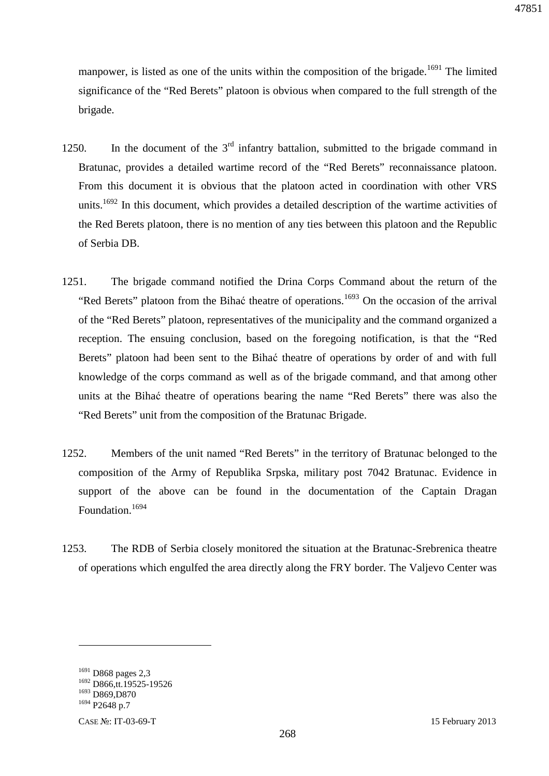manpower, is listed as one of the units within the composition of the brigade.<sup>1691</sup> The limited significance of the "Red Berets" platoon is obvious when compared to the full strength of the brigade.

- 1250. In the document of the  $3<sup>rd</sup>$  infantry battalion, submitted to the brigade command in Bratunac, provides a detailed wartime record of the "Red Berets" reconnaissance platoon. From this document it is obvious that the platoon acted in coordination with other VRS units.<sup>1692</sup> In this document, which provides a detailed description of the wartime activities of the Red Berets platoon, there is no mention of any ties between this platoon and the Republic of Serbia DB.
- 1251. The brigade command notified the Drina Corps Command about the return of the "Red Berets" platoon from the Bihać theatre of operations.<sup>1693</sup> On the occasion of the arrival of the "Red Berets" platoon, representatives of the municipality and the command organized a reception. The ensuing conclusion, based on the foregoing notification, is that the "Red Berets" platoon had been sent to the Bihać theatre of operations by order of and with full knowledge of the corps command as well as of the brigade command, and that among other units at the Bihać theatre of operations bearing the name "Red Berets" there was also the "Red Berets" unit from the composition of the Bratunac Brigade.
- 1252. Members of the unit named "Red Berets" in the territory of Bratunac belonged to the composition of the Army of Republika Srpska, military post 7042 Bratunac. Evidence in support of the above can be found in the documentation of the Captain Dragan Foundation.<sup>1694</sup>
- 1253. The RDB of Serbia closely monitored the situation at the Bratunac-Srebrenica theatre of operations which engulfed the area directly along the FRY border. The Valjevo Center was

<sup>1691</sup> D868 pages 2,3 <sup>1692</sup> D866,tt.19525-19526

<sup>1693</sup> D869,D870

<sup>1694</sup> P2648 p.7

CASE №: IT-03-69-T 15 February 2013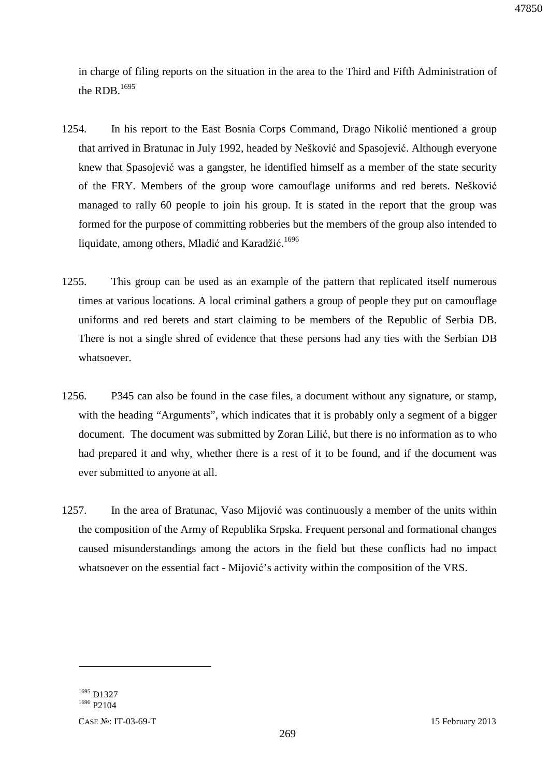47850

in charge of filing reports on the situation in the area to the Third and Fifth Administration of the RDB.<sup>1695</sup>

- 1254. In his report to the East Bosnia Corps Command, Drago Nikolić mentioned a group that arrived in Bratunac in July 1992, headed by Nešković and Spasojević. Although everyone knew that Spasojević was a gangster, he identified himself as a member of the state security of the FRY. Members of the group wore camouflage uniforms and red berets. Nešković managed to rally 60 people to join his group. It is stated in the report that the group was formed for the purpose of committing robberies but the members of the group also intended to liquidate, among others, Mladić and Karadžić.<sup>1696</sup>
- 1255. This group can be used as an example of the pattern that replicated itself numerous times at various locations. A local criminal gathers a group of people they put on camouflage uniforms and red berets and start claiming to be members of the Republic of Serbia DB. There is not a single shred of evidence that these persons had any ties with the Serbian DB whatsoever.
- 1256. P345 can also be found in the case files, a document without any signature, or stamp, with the heading "Arguments", which indicates that it is probably only a segment of a bigger document. The document was submitted by Zoran Lilić, but there is no information as to who had prepared it and why, whether there is a rest of it to be found, and if the document was ever submitted to anyone at all.
- 1257. In the area of Bratunac, Vaso Mijović was continuously a member of the units within the composition of the Army of Republika Srpska. Frequent personal and formational changes caused misunderstandings among the actors in the field but these conflicts had no impact whatsoever on the essential fact - Mijović's activity within the composition of the VRS.

<sup>1695</sup> D1327 <sup>1696</sup> P2104

 $\overline{a}$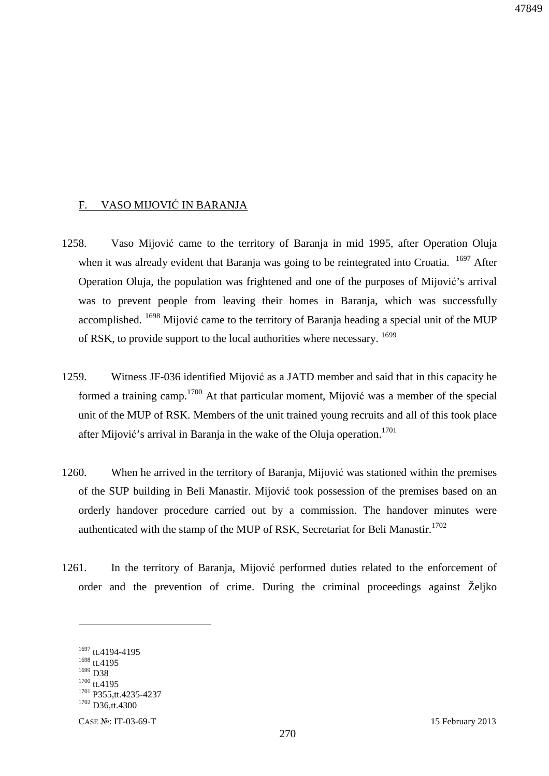## F. VASO MIJOVIĆ IN BARANJA

- 1258. Vaso Mijović came to the territory of Baranja in mid 1995, after Operation Oluja when it was already evident that Baranja was going to be reintegrated into Croatia. <sup>1697</sup> After Operation Oluja, the population was frightened and one of the purposes of Mijović's arrival was to prevent people from leaving their homes in Baranja, which was successfully accomplished.  $1698$  Mijović came to the territory of Baranja heading a special unit of the MUP of RSK, to provide support to the local authorities where necessary. <sup>1699</sup>
- 1259. Witness JF-036 identified Mijović as a JATD member and said that in this capacity he formed a training camp.<sup>1700</sup> At that particular moment, Mijović was a member of the special unit of the MUP of RSK. Members of the unit trained young recruits and all of this took place after Mijović's arrival in Baranja in the wake of the Oluja operation.<sup>1701</sup>
- 1260. When he arrived in the territory of Baranja, Mijović was stationed within the premises of the SUP building in Beli Manastir. Mijović took possession of the premises based on an orderly handover procedure carried out by a commission. The handover minutes were authenticated with the stamp of the MUP of RSK, Secretariat for Beli Manastir.<sup>1702</sup>
- 1261. In the territory of Baranja, Mijović performed duties related to the enforcement of order and the prevention of crime. During the criminal proceedings against Željko

<sup>1697</sup> tt.4194-4195 <sup>1698</sup> tt.4195 <sup>1699</sup> D38  $1700$  tt.4195 <sup>1701</sup> P355,tt.4235-4237 <sup>1702</sup> D36,tt.4300

 $\overline{a}$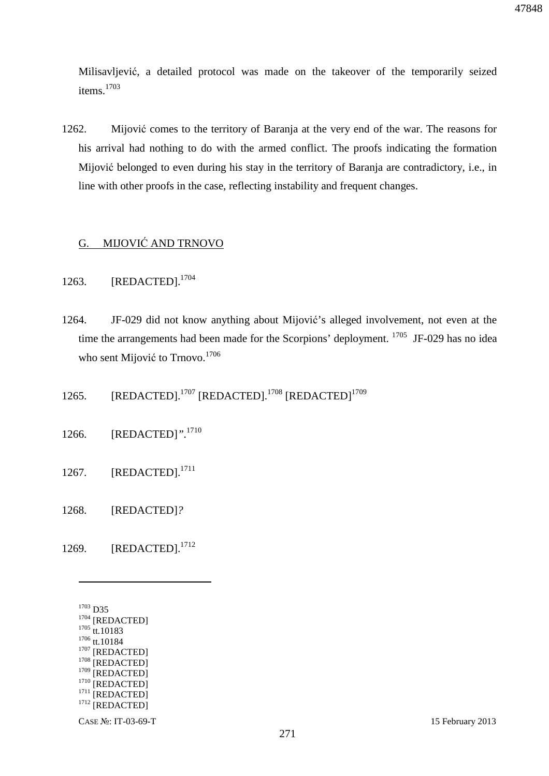Milisavljević, a detailed protocol was made on the takeover of the temporarily seized items.<sup>1703</sup>

1262. Mijović comes to the territory of Baranja at the very end of the war. The reasons for his arrival had nothing to do with the armed conflict. The proofs indicating the formation Mijović belonged to even during his stay in the territory of Baranja are contradictory, i.e., in line with other proofs in the case, reflecting instability and frequent changes.

## G. MIJOVIĆ AND TRNOVO

- 1263. [REDACTED].<sup>1704</sup>
- 1264. JF-029 did not know anything about Mijović's alleged involvement, not even at the time the arrangements had been made for the Scorpions' deployment. <sup>1705</sup> JF-029 has no idea who sent Mijović to Trnovo.<sup>1706</sup>
- 1265. [REDACTED].<sup>1707</sup> [REDACTED].<sup>1708</sup> [REDACTED]<sup>1709</sup>
- 1266. [REDACTED]*".*<sup>1710</sup>
- 1267. [REDACTED].<sup>1711</sup>
- 1268. [REDACTED]*?*
- 1269. [REDACTED].<sup>1712</sup>

<sup>1703</sup> D35 <sup>1704</sup> [REDACTED]  $1705$  tt.10183  $1706$  tt.10184  $1707$  [REDACTED] <sup>1708</sup> [REDACTED]  $1709$  [REDACTED]  $1710$  [REDACTED]  $^{1711}$  [REDACTED] <sup>1712</sup> [REDACTED]

 $\overline{a}$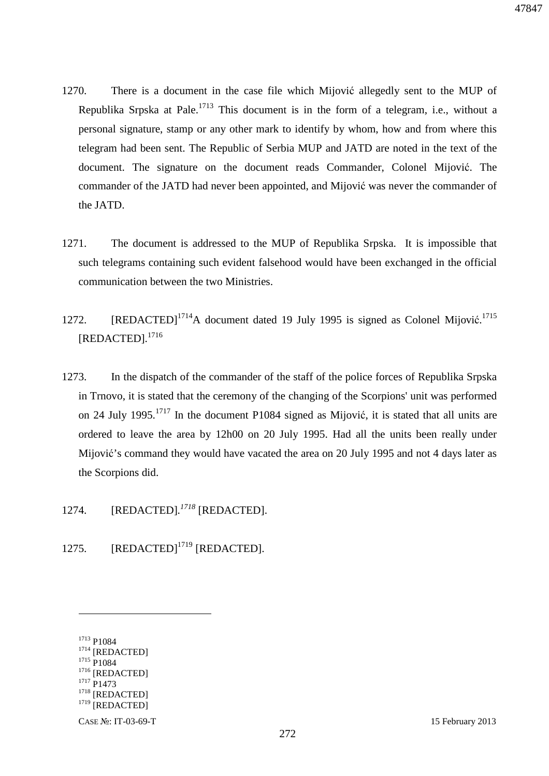- 1270. There is a document in the case file which Mijović allegedly sent to the MUP of Republika Srpska at Pale.<sup>1713</sup> This document is in the form of a telegram, i.e., without a personal signature, stamp or any other mark to identify by whom, how and from where this telegram had been sent. The Republic of Serbia MUP and JATD are noted in the text of the document. The signature on the document reads Commander, Colonel Mijović. The commander of the JATD had never been appointed, and Mijović was never the commander of the JATD.
- 1271. The document is addressed to the MUP of Republika Srpska. It is impossible that such telegrams containing such evident falsehood would have been exchanged in the official communication between the two Ministries.
- 1272. [REDACTED]<sup>1714</sup>A document dated 19 July 1995 is signed as Colonel Mijović.<sup>1715</sup> [REDACTED]*.* 1716
- 1273. In the dispatch of the commander of the staff of the police forces of Republika Srpska in Trnovo, it is stated that the ceremony of the changing of the Scorpions' unit was performed on 24 July 1995.<sup>1717</sup> In the document P1084 signed as Mijović, it is stated that all units are ordered to leave the area by 12h00 on 20 July 1995. Had all the units been really under Mijović's command they would have vacated the area on 20 July 1995 and not 4 days later as the Scorpions did.
- 1274. [REDACTED]*. <sup>1718</sup>* [REDACTED].
- 1275. [REDACTED]<sup>1719</sup> [REDACTED].

 $\overline{a}$ 

<sup>1713</sup> P1084 <sup>1714</sup> [REDACTED] <sup>1715</sup> P1084 <sup>1716</sup> [REDACTED] <sup>1717</sup> P1473 <sup>1718</sup> [REDACTED]  $1719$  [REDACTED]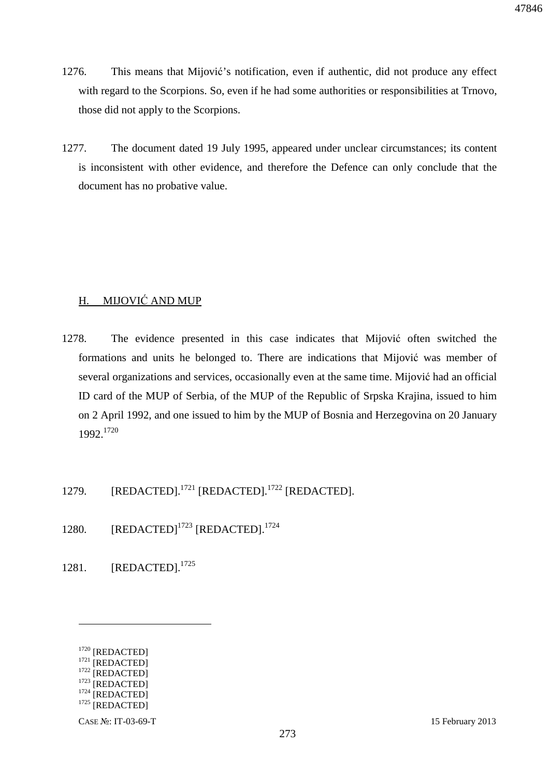- 1276. This means that Mijović's notification, even if authentic, did not produce any effect with regard to the Scorpions. So, even if he had some authorities or responsibilities at Trnovo, those did not apply to the Scorpions.
- 1277. The document dated 19 July 1995, appeared under unclear circumstances; its content is inconsistent with other evidence, and therefore the Defence can only conclude that the document has no probative value.

## H. MIJOVIĆ AND MUP

- 1278. The evidence presented in this case indicates that Mijović often switched the formations and units he belonged to. There are indications that Mijović was member of several organizations and services, occasionally even at the same time. Mijović had an official ID card of the MUP of Serbia, of the MUP of the Republic of Srpska Krajina, issued to him on 2 April 1992, and one issued to him by the MUP of Bosnia and Herzegovina on 20 January 1992.<sup>1720</sup>
- 1279. [REDACTED].<sup>1721</sup> [REDACTED].<sup>1722</sup> [REDACTED].
- 1280.  $[REDACTER]^{1723}$   $[REDACTER]^{1724}$
- 1281. [REDACTED].<sup>1725</sup>

<sup>1720 [</sup>REDACTED] <sup>1721</sup> [REDACTED] <sup>1722</sup> [REDACTED]  $1723$  [REDACTED]

<sup>&</sup>lt;sup>1724</sup> [REDACTED]

 $1725$  [REDACTED]

CASE №: IT-03-69-T 15 February 2013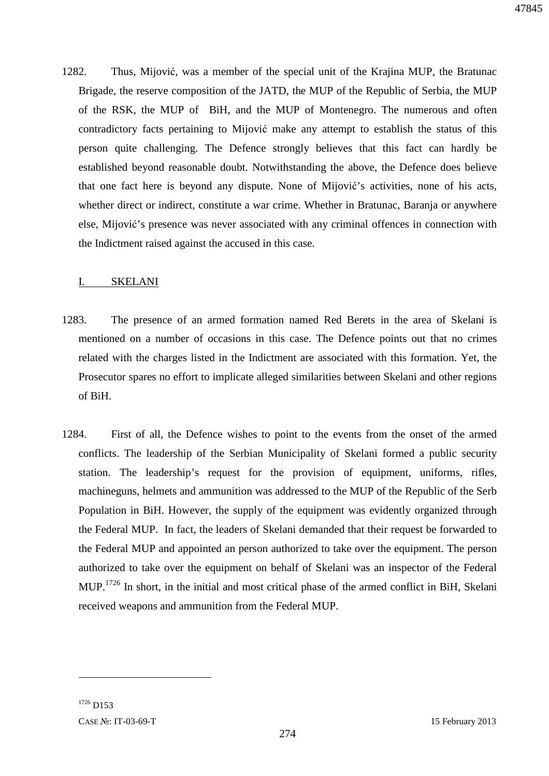1282. Thus, Mijović, was a member of the special unit of the Krajina MUP, the Bratunac Brigade, the reserve composition of the JATD, the MUP of the Republic of Serbia, the MUP of the RSK, the MUP of BiH, and the MUP of Montenegro. The numerous and often contradictory facts pertaining to Mijović make any attempt to establish the status of this person quite challenging. The Defence strongly believes that this fact can hardly be established beyond reasonable doubt. Notwithstanding the above, the Defence does believe that one fact here is beyond any dispute. None of Mijović's activities, none of his acts, whether direct or indirect, constitute a war crime. Whether in Bratunac, Baranja or anywhere else, Mijović's presence was never associated with any criminal offences in connection with the Indictment raised against the accused in this case.

### I. SKELANI

- 1283. The presence of an armed formation named Red Berets in the area of Skelani is mentioned on a number of occasions in this case. The Defence points out that no crimes related with the charges listed in the Indictment are associated with this formation. Yet, the Prosecutor spares no effort to implicate alleged similarities between Skelani and other regions of BiH.
- 1284. First of all, the Defence wishes to point to the events from the onset of the armed conflicts. The leadership of the Serbian Municipality of Skelani formed a public security station. The leadership's request for the provision of equipment, uniforms, rifles, machineguns, helmets and ammunition was addressed to the MUP of the Republic of the Serb Population in BiH. However, the supply of the equipment was evidently organized through the Federal MUP. In fact, the leaders of Skelani demanded that their request be forwarded to the Federal MUP and appointed an person authorized to take over the equipment. The person authorized to take over the equipment on behalf of Skelani was an inspector of the Federal MUP.<sup>1726</sup> In short, in the initial and most critical phase of the armed conflict in BiH, Skelani received weapons and ammunition from the Federal MUP.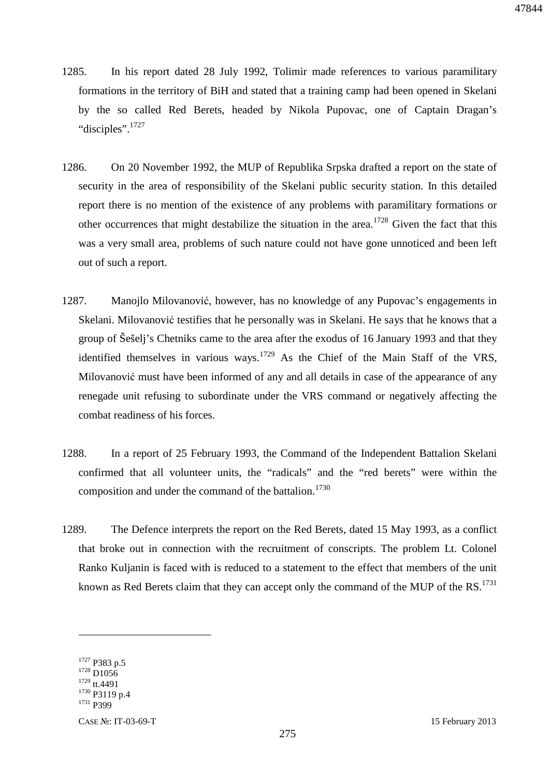- 1285. In his report dated 28 July 1992, Tolimir made references to various paramilitary formations in the territory of BiH and stated that a training camp had been opened in Skelani by the so called Red Berets, headed by Nikola Pupovac, one of Captain Dragan's "disciples".<sup>1727</sup>
- 1286. On 20 November 1992, the MUP of Republika Srpska drafted a report on the state of security in the area of responsibility of the Skelani public security station. In this detailed report there is no mention of the existence of any problems with paramilitary formations or other occurrences that might destabilize the situation in the area.<sup>1728</sup> Given the fact that this was a very small area, problems of such nature could not have gone unnoticed and been left out of such a report.
- 1287. Manojlo Milovanović, however, has no knowledge of any Pupovac's engagements in Skelani. Milovanović testifies that he personally was in Skelani. He says that he knows that a group of Šešelj's Chetniks came to the area after the exodus of 16 January 1993 and that they identified themselves in various ways.<sup>1729</sup> As the Chief of the Main Staff of the VRS, Milovanović must have been informed of any and all details in case of the appearance of any renegade unit refusing to subordinate under the VRS command or negatively affecting the combat readiness of his forces.
- 1288. In a report of 25 February 1993, the Command of the Independent Battalion Skelani confirmed that all volunteer units, the "radicals" and the "red berets" were within the composition and under the command of the battalion.<sup>1730</sup>
- 1289. The Defence interprets the report on the Red Berets, dated 15 May 1993, as a conflict that broke out in connection with the recruitment of conscripts. The problem Lt. Colonel Ranko Kuljanin is faced with is reduced to a statement to the effect that members of the unit known as Red Berets claim that they can accept only the command of the MUP of the RS.<sup>1731</sup>

<sup>1727</sup> P383 p.5 <sup>1728</sup> D1056 <sup>1729</sup> tt.4491 <sup>1730</sup> P3119 p.4 <sup>1731</sup> P399

CASE №: IT-03-69-T 15 February 2013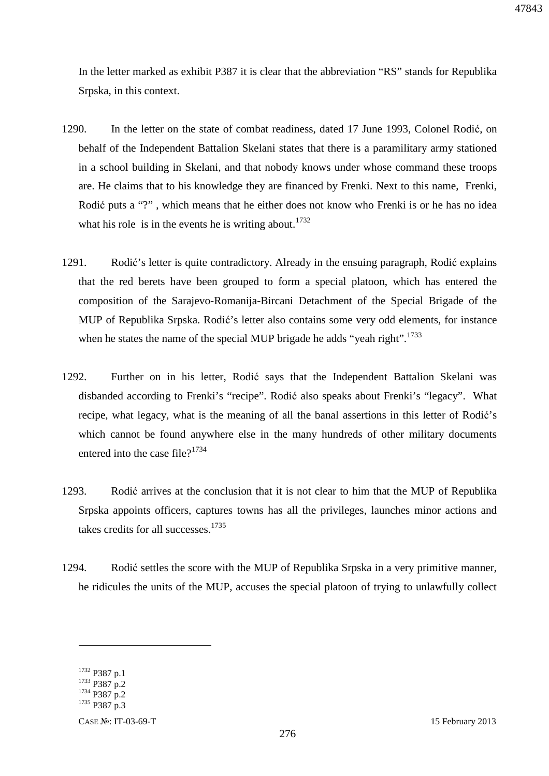In the letter marked as exhibit P387 it is clear that the abbreviation "RS" stands for Republika Srpska, in this context.

- 1290. In the letter on the state of combat readiness, dated 17 June 1993, Colonel Rodić, on behalf of the Independent Battalion Skelani states that there is a paramilitary army stationed in a school building in Skelani, and that nobody knows under whose command these troops are. He claims that to his knowledge they are financed by Frenki. Next to this name, Frenki, Rodić puts a "?" , which means that he either does not know who Frenki is or he has no idea what his role is in the events he is writing about.<sup>1732</sup>
- 1291. Rodić's letter is quite contradictory. Already in the ensuing paragraph, Rodić explains that the red berets have been grouped to form a special platoon, which has entered the composition of the Sarajevo-Romanija-Bircani Detachment of the Special Brigade of the MUP of Republika Srpska. Rodić's letter also contains some very odd elements, for instance when he states the name of the special MUP brigade he adds "yeah right".<sup>1733</sup>
- 1292. Further on in his letter, Rodić says that the Independent Battalion Skelani was disbanded according to Frenki's "recipe". Rodić also speaks about Frenki's "legacy". What recipe, what legacy, what is the meaning of all the banal assertions in this letter of Rodić's which cannot be found anywhere else in the many hundreds of other military documents entered into the case file? $1734$
- 1293. Rodić arrives at the conclusion that it is not clear to him that the MUP of Republika Srpska appoints officers, captures towns has all the privileges, launches minor actions and takes credits for all successes.<sup>1735</sup>
- 1294. Rodić settles the score with the MUP of Republika Srpska in a very primitive manner, he ridicules the units of the MUP, accuses the special platoon of trying to unlawfully collect

<sup>1732</sup> P387 p.1

<sup>1733</sup> P387 p.2

<sup>1734</sup> P387 p.2 <sup>1735</sup> P387 p.3

CASE №: IT-03-69-T 15 February 2013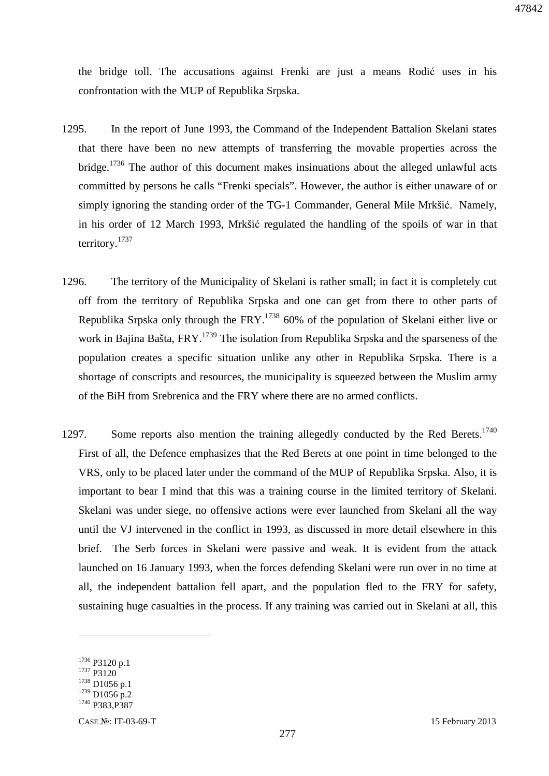the bridge toll. The accusations against Frenki are just a means Rodić uses in his confrontation with the MUP of Republika Srpska.

- 1295. In the report of June 1993, the Command of the Independent Battalion Skelani states that there have been no new attempts of transferring the movable properties across the bridge.<sup>1736</sup> The author of this document makes insinuations about the alleged unlawful acts committed by persons he calls "Frenki specials". However, the author is either unaware of or simply ignoring the standing order of the TG-1 Commander, General Mile Mrkšić. Namely, in his order of 12 March 1993, Mrkšić regulated the handling of the spoils of war in that territory.<sup>1737</sup>
- 1296. The territory of the Municipality of Skelani is rather small; in fact it is completely cut off from the territory of Republika Srpska and one can get from there to other parts of Republika Srpska only through the  $FRY$ <sup> $1738$ </sup> 60% of the population of Skelani either live or work in Bajina Bašta, FRY.<sup>1739</sup> The isolation from Republika Srpska and the sparseness of the population creates a specific situation unlike any other in Republika Srpska. There is a shortage of conscripts and resources, the municipality is squeezed between the Muslim army of the BiH from Srebrenica and the FRY where there are no armed conflicts.
- 1297. Some reports also mention the training allegedly conducted by the Red Berets.<sup>1740</sup> First of all, the Defence emphasizes that the Red Berets at one point in time belonged to the VRS, only to be placed later under the command of the MUP of Republika Srpska. Also, it is important to bear I mind that this was a training course in the limited territory of Skelani. Skelani was under siege, no offensive actions were ever launched from Skelani all the way until the VJ intervened in the conflict in 1993, as discussed in more detail elsewhere in this brief. The Serb forces in Skelani were passive and weak. It is evident from the attack launched on 16 January 1993, when the forces defending Skelani were run over in no time at all, the independent battalion fell apart, and the population fled to the FRY for safety, sustaining huge casualties in the process. If any training was carried out in Skelani at all, this

<sup>1736</sup> P3120 p.1 <sup>1737</sup> P3120 <sup>1738</sup> D1056 p.1  $1739$  D1056 p.2 <sup>1740</sup> P383,P387

CASE №: IT-03-69-T 15 February 2013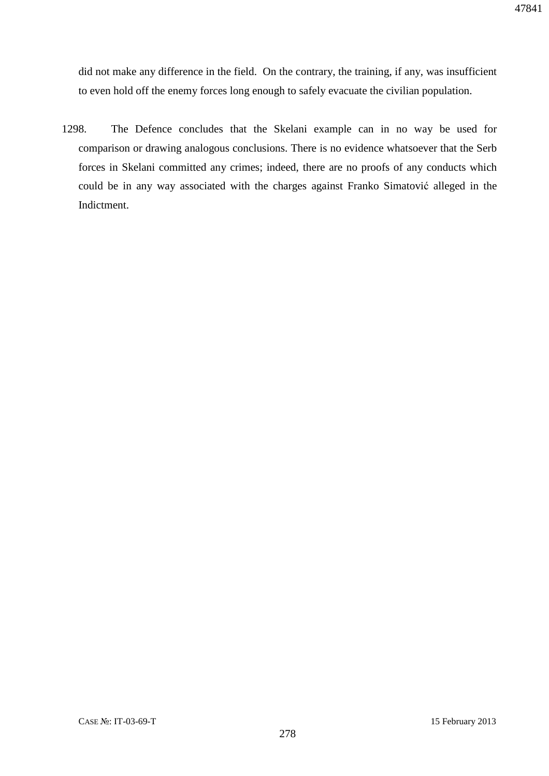did not make any difference in the field. On the contrary, the training, if any, was insufficient to even hold off the enemy forces long enough to safely evacuate the civilian population.

1298. The Defence concludes that the Skelani example can in no way be used for comparison or drawing analogous conclusions. There is no evidence whatsoever that the Serb forces in Skelani committed any crimes; indeed, there are no proofs of any conducts which could be in any way associated with the charges against Franko Simatović alleged in the Indictment.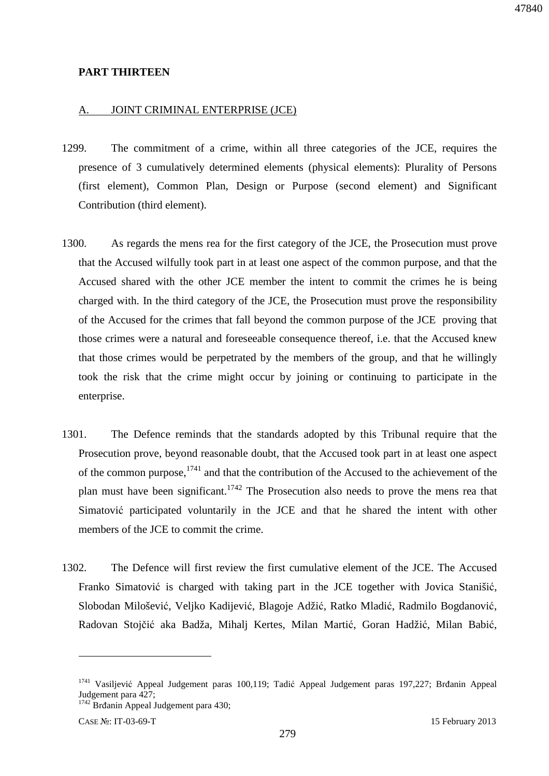#### **PART THIRTEEN**

#### A. JOINT CRIMINAL ENTERPRISE (JCE)

- 1299. The commitment of a crime, within all three categories of the JCE, requires the presence of 3 cumulatively determined elements (physical elements): Plurality of Persons (first element), Common Plan, Design or Purpose (second element) and Significant Contribution (third element).
- 1300. As regards the mens rea for the first category of the JCE, the Prosecution must prove that the Accused wilfully took part in at least one aspect of the common purpose, and that the Accused shared with the other JCE member the intent to commit the crimes he is being charged with. In the third category of the JCE, the Prosecution must prove the responsibility of the Accused for the crimes that fall beyond the common purpose of the JCE proving that those crimes were a natural and foreseeable consequence thereof, i.e. that the Accused knew that those crimes would be perpetrated by the members of the group, and that he willingly took the risk that the crime might occur by joining or continuing to participate in the enterprise.
- 1301. The Defence reminds that the standards adopted by this Tribunal require that the Prosecution prove, beyond reasonable doubt, that the Accused took part in at least one aspect of the common purpose, $1741$  and that the contribution of the Accused to the achievement of the plan must have been significant.<sup>1742</sup> The Prosecution also needs to prove the mens rea that Simatović participated voluntarily in the JCE and that he shared the intent with other members of the JCE to commit the crime.
- 1302. The Defence will first review the first cumulative element of the JCE. The Accused Franko Simatović is charged with taking part in the JCE together with Jovica Stanišić, Slobodan Milošević, Veljko Kadijević, Blagoje Adžić, Ratko Mladić, Radmilo Bogdanović, Radovan Stojčić aka Badža, Mihalj Kertes, Milan Martić, Goran Hadžić, Milan Babić,

<sup>&</sup>lt;sup>1741</sup> Vasiljević Appeal Judgement paras 100,119; Tadić Appeal Judgement paras 197,227; Brđanin Appeal Judgement para 427; <sup>1742</sup> Brđanin Appeal Judgement para 430;

CASE №: IT-03-69-T 15 February 2013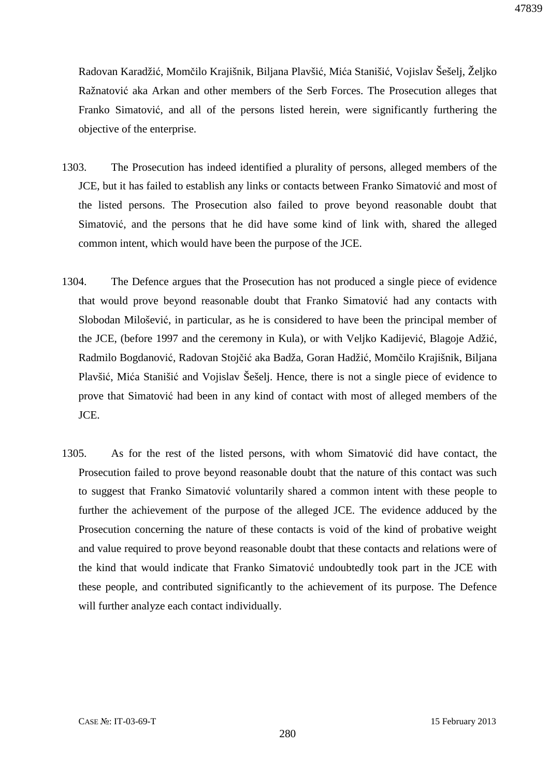Radovan Karadžić, Momčilo Krajišnik, Biljana Plavšić, Mića Stanišić, Vojislav Šešelj, Željko Ražnatović aka Arkan and other members of the Serb Forces. The Prosecution alleges that Franko Simatović, and all of the persons listed herein, were significantly furthering the objective of the enterprise.

- 1303. The Prosecution has indeed identified a plurality of persons, alleged members of the JCE, but it has failed to establish any links or contacts between Franko Simatović and most of the listed persons. The Prosecution also failed to prove beyond reasonable doubt that Simatović, and the persons that he did have some kind of link with, shared the alleged common intent, which would have been the purpose of the JCE.
- 1304. The Defence argues that the Prosecution has not produced a single piece of evidence that would prove beyond reasonable doubt that Franko Simatović had any contacts with Slobodan Milošević, in particular, as he is considered to have been the principal member of the JCE, (before 1997 and the ceremony in Kula), or with Veljko Kadijević, Blagoje Adžić, Radmilo Bogdanović, Radovan Stojčić aka Badža, Goran Hadžić, Momčilo Krajišnik, Biljana Plavšić, Mića Stanišić and Vojislav Šešelj. Hence, there is not a single piece of evidence to prove that Simatović had been in any kind of contact with most of alleged members of the JCE.
- 1305. As for the rest of the listed persons, with whom Simatović did have contact, the Prosecution failed to prove beyond reasonable doubt that the nature of this contact was such to suggest that Franko Simatović voluntarily shared a common intent with these people to further the achievement of the purpose of the alleged JCE. The evidence adduced by the Prosecution concerning the nature of these contacts is void of the kind of probative weight and value required to prove beyond reasonable doubt that these contacts and relations were of the kind that would indicate that Franko Simatović undoubtedly took part in the JCE with these people, and contributed significantly to the achievement of its purpose. The Defence will further analyze each contact individually.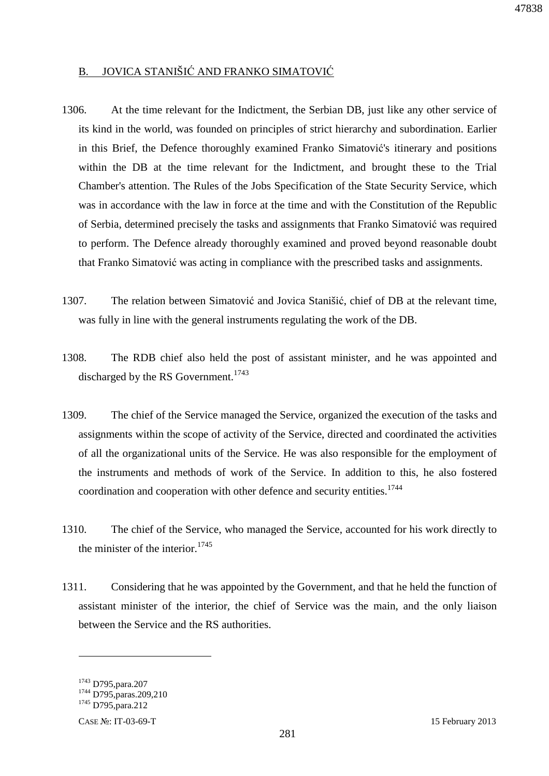## B. JOVICA STANIŠIĆ AND FRANKO SIMATOVIĆ

- 1306. At the time relevant for the Indictment, the Serbian DB, just like any other service of its kind in the world, was founded on principles of strict hierarchy and subordination. Earlier in this Brief, the Defence thoroughly examined Franko Simatović's itinerary and positions within the DB at the time relevant for the Indictment, and brought these to the Trial Chamber's attention. The Rules of the Jobs Specification of the State Security Service, which was in accordance with the law in force at the time and with the Constitution of the Republic of Serbia, determined precisely the tasks and assignments that Franko Simatović was required to perform. The Defence already thoroughly examined and proved beyond reasonable doubt that Franko Simatović was acting in compliance with the prescribed tasks and assignments.
- 1307. The relation between Simatović and Jovica Stanišić, chief of DB at the relevant time, was fully in line with the general instruments regulating the work of the DB.
- 1308. The RDB chief also held the post of assistant minister, and he was appointed and discharged by the RS Government.<sup>1743</sup>
- 1309. The chief of the Service managed the Service, organized the execution of the tasks and assignments within the scope of activity of the Service, directed and coordinated the activities of all the organizational units of the Service. He was also responsible for the employment of the instruments and methods of work of the Service. In addition to this, he also fostered coordination and cooperation with other defence and security entities.<sup>1744</sup>
- 1310. The chief of the Service, who managed the Service, accounted for his work directly to the minister of the interior. $1745$
- 1311. Considering that he was appointed by the Government, and that he held the function of assistant minister of the interior, the chief of Service was the main, and the only liaison between the Service and the RS authorities.

<sup>1743</sup> D795,para.207

<sup>&</sup>lt;sup>1744</sup> D795, paras. 209, 210

<sup>1745</sup> D795,para.212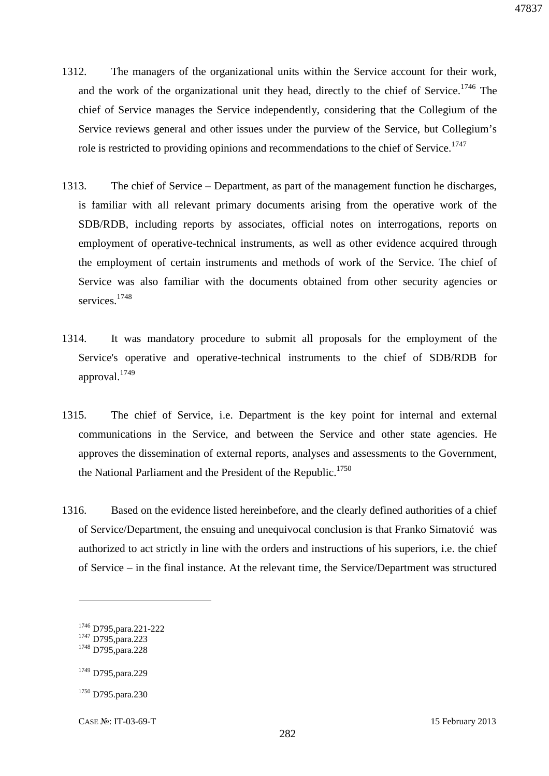- 1312. The managers of the organizational units within the Service account for their work, and the work of the organizational unit they head, directly to the chief of Service.<sup>1746</sup> The chief of Service manages the Service independently, considering that the Collegium of the Service reviews general and other issues under the purview of the Service, but Collegium's role is restricted to providing opinions and recommendations to the chief of Service.<sup>1747</sup>
- 1313. The chief of Service Department, as part of the management function he discharges, is familiar with all relevant primary documents arising from the operative work of the SDB/RDB, including reports by associates, official notes on interrogations, reports on employment of operative-technical instruments, as well as other evidence acquired through the employment of certain instruments and methods of work of the Service. The chief of Service was also familiar with the documents obtained from other security agencies or services<sup>1748</sup>
- 1314. It was mandatory procedure to submit all proposals for the employment of the Service's operative and operative-technical instruments to the chief of SDB/RDB for approval.<sup>1749</sup>
- 1315. The chief of Service, i.e. Department is the key point for internal and external communications in the Service, and between the Service and other state agencies. He approves the dissemination of external reports, analyses and assessments to the Government, the National Parliament and the President of the Republic.<sup>1750</sup>
- 1316. Based on the evidence listed hereinbefore, and the clearly defined authorities of a chief of Service/Department, the ensuing and unequivocal conclusion is that Franko Simatović was authorized to act strictly in line with the orders and instructions of his superiors, i.e. the chief of Service – in the final instance. At the relevant time, the Service/Department was structured

 $\overline{a}$ 

<sup>1750</sup> D795.para.230

<sup>1746</sup> D795,para.221-222

<sup>&</sup>lt;sup>1747</sup> D795, para.223 <sup>1748</sup> D795,para.228

<sup>1749</sup> D795,para.229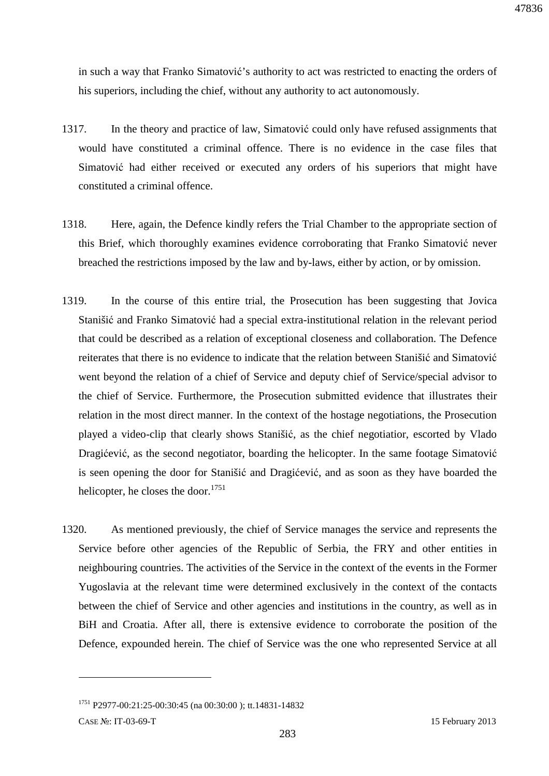in such a way that Franko Simatović's authority to act was restricted to enacting the orders of his superiors, including the chief, without any authority to act autonomously.

- 1317. In the theory and practice of law, Simatović could only have refused assignments that would have constituted a criminal offence. There is no evidence in the case files that Simatović had either received or executed any orders of his superiors that might have constituted a criminal offence.
- 1318. Here, again, the Defence kindly refers the Trial Chamber to the appropriate section of this Brief, which thoroughly examines evidence corroborating that Franko Simatović never breached the restrictions imposed by the law and by-laws, either by action, or by omission.
- 1319. In the course of this entire trial, the Prosecution has been suggesting that Jovica Stanišić and Franko Simatović had a special extra-institutional relation in the relevant period that could be described as a relation of exceptional closeness and collaboration. The Defence reiterates that there is no evidence to indicate that the relation between Stanišić and Simatović went beyond the relation of a chief of Service and deputy chief of Service/special advisor to the chief of Service. Furthermore, the Prosecution submitted evidence that illustrates their relation in the most direct manner. In the context of the hostage negotiations, the Prosecution played a video-clip that clearly shows Stanišić, as the chief negotiatior, escorted by Vlado Dragićević, as the second negotiator, boarding the helicopter. In the same footage Simatović is seen opening the door for Stanišić and Dragićević, and as soon as they have boarded the helicopter, he closes the door. $1751$
- 1320. As mentioned previously, the chief of Service manages the service and represents the Service before other agencies of the Republic of Serbia, the FRY and other entities in neighbouring countries. The activities of the Service in the context of the events in the Former Yugoslavia at the relevant time were determined exclusively in the context of the contacts between the chief of Service and other agencies and institutions in the country, as well as in BiH and Croatia. After all, there is extensive evidence to corroborate the position of the Defence, expounded herein. The chief of Service was the one who represented Service at all

CASE №: IT-03-69-T 15 February 2013

<sup>1751</sup> P2977-00:21:25-00:30:45 (na 00:30:00 ); tt.14831-14832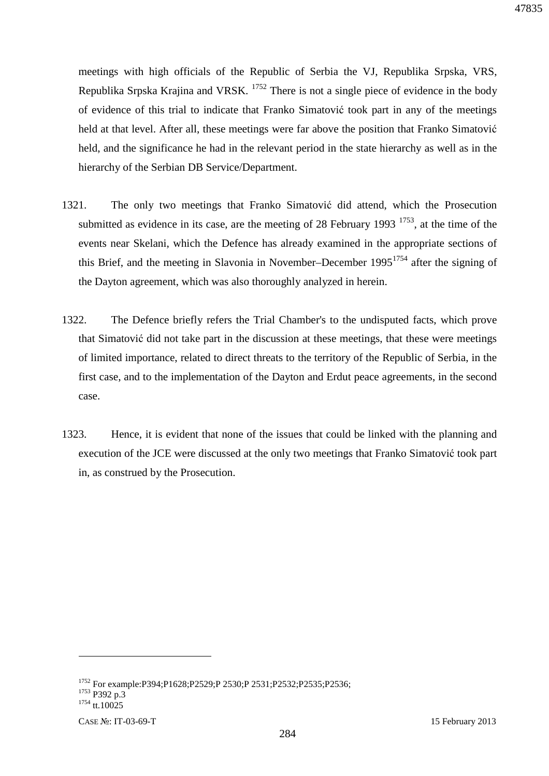meetings with high officials of the Republic of Serbia the VJ, Republika Srpska, VRS, Republika Srpska Krajina and VRSK. <sup>1752</sup> There is not a single piece of evidence in the body of evidence of this trial to indicate that Franko Simatović took part in any of the meetings held at that level. After all, these meetings were far above the position that Franko Simatović held, and the significance he had in the relevant period in the state hierarchy as well as in the hierarchy of the Serbian DB Service/Department.

- 1321. The only two meetings that Franko Simatović did attend, which the Prosecution submitted as evidence in its case, are the meeting of 28 February 1993  $^{1753}$ , at the time of the events near Skelani, which the Defence has already examined in the appropriate sections of this Brief, and the meeting in Slavonia in November–December  $1995^{1754}$  after the signing of the Dayton agreement, which was also thoroughly analyzed in herein.
- 1322. The Defence briefly refers the Trial Chamber's to the undisputed facts, which prove that Simatović did not take part in the discussion at these meetings, that these were meetings of limited importance, related to direct threats to the territory of the Republic of Serbia, in the first case, and to the implementation of the Dayton and Erdut peace agreements, in the second case.
- 1323. Hence, it is evident that none of the issues that could be linked with the planning and execution of the JCE were discussed at the only two meetings that Franko Simatović took part in, as construed by the Prosecution.

<sup>1752</sup> For example:P394;P1628;P2529;P 2530;P 2531;P2532;P2535;P2536; <sup>1753</sup> P392 p.3 <sup>1754</sup> tt.10025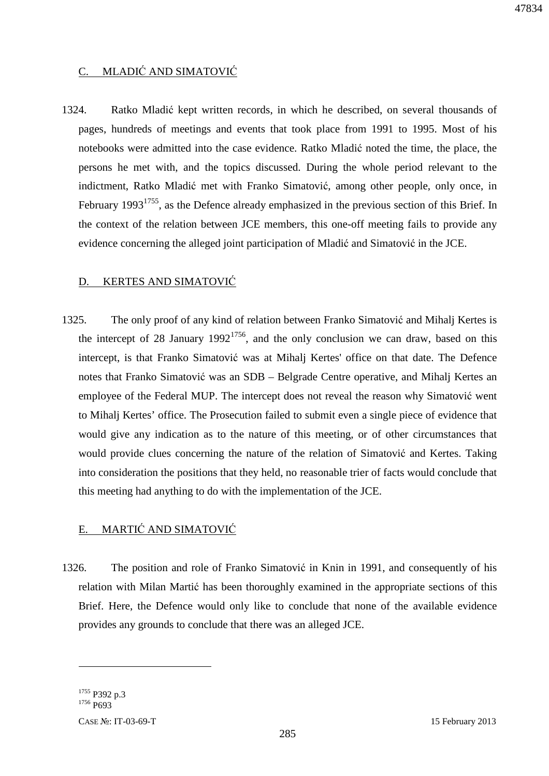## C. MLADIĆ AND SIMATOVIĆ

1324. Ratko Mladić kept written records, in which he described, on several thousands of pages, hundreds of meetings and events that took place from 1991 to 1995. Most of his notebooks were admitted into the case evidence. Ratko Mladić noted the time, the place, the persons he met with, and the topics discussed. During the whole period relevant to the indictment, Ratko Mladić met with Franko Simatović, among other people, only once, in February 1993<sup>1755</sup>, as the Defence already emphasized in the previous section of this Brief. In the context of the relation between JCE members, this one-off meeting fails to provide any evidence concerning the alleged joint participation of Mladić and Simatović in the JCE.

#### D. KERTES AND SIMATOVIĆ

1325. The only proof of any kind of relation between Franko Simatović and Mihalj Kertes is the intercept of 28 January 1992<sup>1756</sup>, and the only conclusion we can draw, based on this intercept, is that Franko Simatović was at Mihalj Kertes' office on that date. The Defence notes that Franko Simatović was an SDB – Belgrade Centre operative, and Mihalj Kertes an employee of the Federal MUP. The intercept does not reveal the reason why Simatović went to Mihalj Kertes' office. The Prosecution failed to submit even a single piece of evidence that would give any indication as to the nature of this meeting, or of other circumstances that would provide clues concerning the nature of the relation of Simatović and Kertes. Taking into consideration the positions that they held, no reasonable trier of facts would conclude that this meeting had anything to do with the implementation of the JCE.

### E. MARTIĆ AND SIMATOVIĆ

1326. The position and role of Franko Simatović in Knin in 1991, and consequently of his relation with Milan Martić has been thoroughly examined in the appropriate sections of this Brief. Here, the Defence would only like to conclude that none of the available evidence provides any grounds to conclude that there was an alleged JCE.

<sup>1755</sup> P392 p.3 <sup>1756</sup> P693

<u>.</u>

CASE №: IT-03-69-T 15 February 2013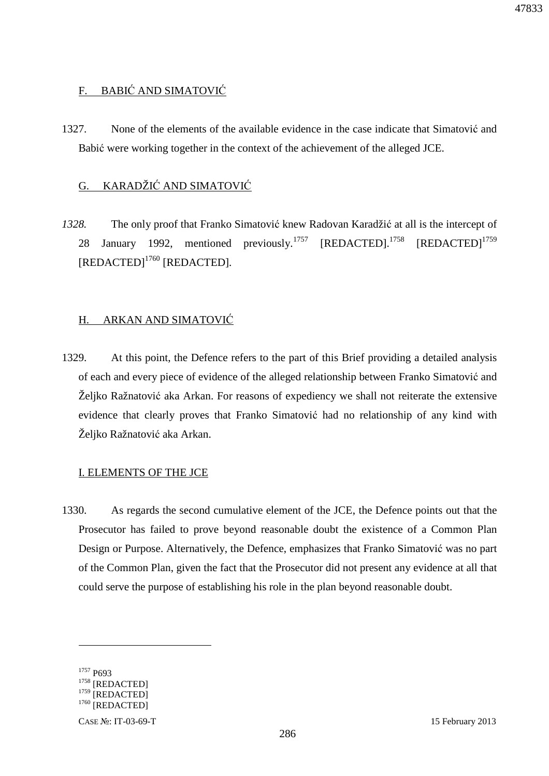## F. BABIĆ AND SIMATOVIĆ

1327. None of the elements of the available evidence in the case indicate that Simatović and Babić were working together in the context of the achievement of the alleged JCE.

## G. KARADŽIĆ AND SIMATOVIĆ

*1328.* The only proof that Franko Simatović knew Radovan Karadžić at all is the intercept of 28 January 1992, mentioned previously.<sup>1757</sup> [REDACTED].<sup>1758</sup> [REDACTED]<sup>1759</sup> [REDACTED]<sup>1760</sup> [REDACTED]*.* 

## H. ARKAN AND SIMATOVIĆ

1329. At this point, the Defence refers to the part of this Brief providing a detailed analysis of each and every piece of evidence of the alleged relationship between Franko Simatović and Željko Ražnatović aka Arkan. For reasons of expediency we shall not reiterate the extensive evidence that clearly proves that Franko Simatović had no relationship of any kind with Željko Ražnatović aka Arkan.

## I. ELEMENTS OF THE JCE

1330. As regards the second cumulative element of the JCE, the Defence points out that the Prosecutor has failed to prove beyond reasonable doubt the existence of a Common Plan Design or Purpose. Alternatively, the Defence, emphasizes that Franko Simatović was no part of the Common Plan, given the fact that the Prosecutor did not present any evidence at all that could serve the purpose of establishing his role in the plan beyond reasonable doubt.

<sup>1757</sup> P693 [REDACTED] [REDACTED] [REDACTED]

-

CASE №: IT-03-69-T 15 February 2013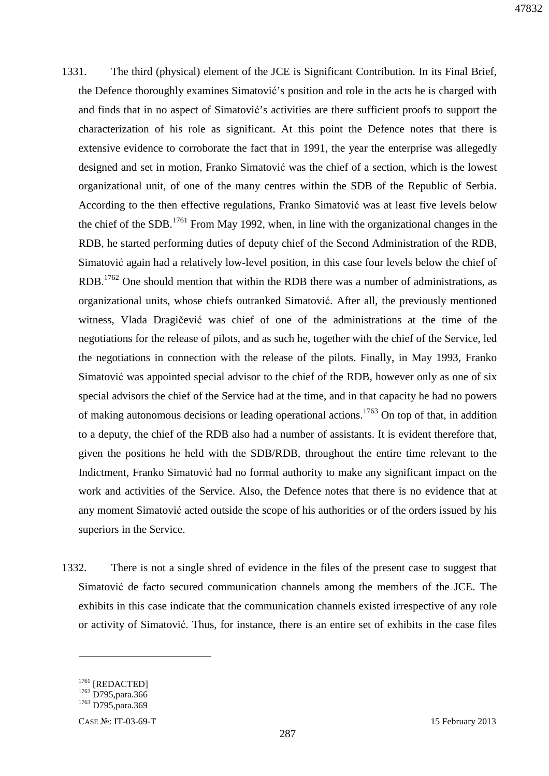- 1331. The third (physical) element of the JCE is Significant Contribution. In its Final Brief, the Defence thoroughly examines Simatović's position and role in the acts he is charged with and finds that in no aspect of Simatović's activities are there sufficient proofs to support the characterization of his role as significant. At this point the Defence notes that there is extensive evidence to corroborate the fact that in 1991, the year the enterprise was allegedly designed and set in motion, Franko Simatović was the chief of a section, which is the lowest organizational unit, of one of the many centres within the SDB of the Republic of Serbia. According to the then effective regulations, Franko Simatović was at least five levels below the chief of the SDB.<sup>1761</sup> From May 1992, when, in line with the organizational changes in the RDB, he started performing duties of deputy chief of the Second Administration of the RDB, Simatović again had a relatively low-level position, in this case four levels below the chief of RDB.<sup>1762</sup> One should mention that within the RDB there was a number of administrations, as organizational units, whose chiefs outranked Simatović. After all, the previously mentioned witness, Vlada Dragičević was chief of one of the administrations at the time of the negotiations for the release of pilots, and as such he, together with the chief of the Service, led the negotiations in connection with the release of the pilots. Finally, in May 1993, Franko Simatović was appointed special advisor to the chief of the RDB, however only as one of six special advisors the chief of the Service had at the time, and in that capacity he had no powers of making autonomous decisions or leading operational actions.<sup>1763</sup> On top of that, in addition to a deputy, the chief of the RDB also had a number of assistants. It is evident therefore that, given the positions he held with the SDB/RDB, throughout the entire time relevant to the Indictment, Franko Simatović had no formal authority to make any significant impact on the work and activities of the Service. Also, the Defence notes that there is no evidence that at any moment Simatović acted outside the scope of his authorities or of the orders issued by his superiors in the Service.
- 1332. There is not a single shred of evidence in the files of the present case to suggest that Simatović de facto secured communication channels among the members of the JCE. The exhibits in this case indicate that the communication channels existed irrespective of any role or activity of Simatović. Thus, for instance, there is an entire set of exhibits in the case files

<sup>&</sup>lt;sup>1761</sup> [REDACTED]

<sup>&</sup>lt;sup>1762</sup> D795, para.366

<sup>&</sup>lt;sup>1763</sup> D795, para.369

CASE №: IT-03-69-T 15 February 2013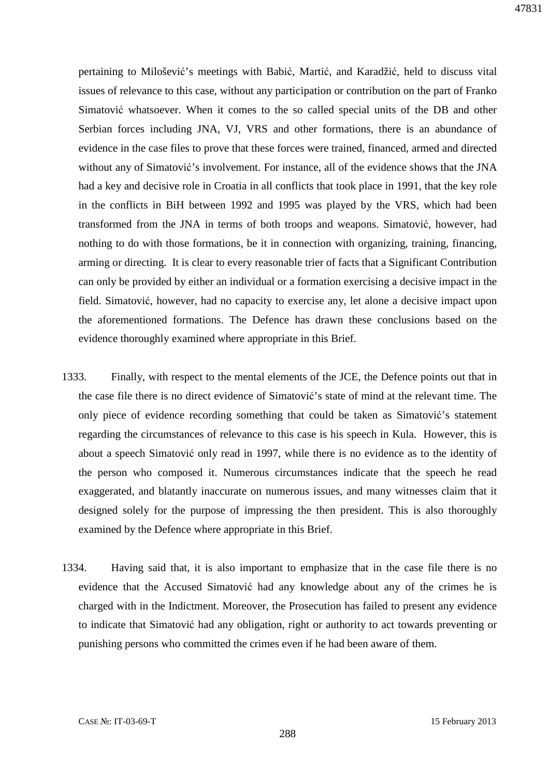pertaining to Milošević's meetings with Babić, Martić, and Karadžić, held to discuss vital issues of relevance to this case, without any participation or contribution on the part of Franko Simatović whatsoever. When it comes to the so called special units of the DB and other Serbian forces including JNA, VJ, VRS and other formations, there is an abundance of evidence in the case files to prove that these forces were trained, financed, armed and directed without any of Simatović's involvement. For instance, all of the evidence shows that the JNA had a key and decisive role in Croatia in all conflicts that took place in 1991, that the key role in the conflicts in BiH between 1992 and 1995 was played by the VRS, which had been transformed from the JNA in terms of both troops and weapons. Simatović, however, had nothing to do with those formations, be it in connection with organizing, training, financing, arming or directing. It is clear to every reasonable trier of facts that a Significant Contribution can only be provided by either an individual or a formation exercising a decisive impact in the field. Simatović, however, had no capacity to exercise any, let alone a decisive impact upon the aforementioned formations. The Defence has drawn these conclusions based on the evidence thoroughly examined where appropriate in this Brief.

- 1333. Finally, with respect to the mental elements of the JCE, the Defence points out that in the case file there is no direct evidence of Simatović's state of mind at the relevant time. The only piece of evidence recording something that could be taken as Simatović's statement regarding the circumstances of relevance to this case is his speech in Kula. However, this is about a speech Simatović only read in 1997, while there is no evidence as to the identity of the person who composed it. Numerous circumstances indicate that the speech he read exaggerated, and blatantly inaccurate on numerous issues, and many witnesses claim that it designed solely for the purpose of impressing the then president. This is also thoroughly examined by the Defence where appropriate in this Brief.
- 1334. Having said that, it is also important to emphasize that in the case file there is no evidence that the Accused Simatović had any knowledge about any of the crimes he is charged with in the Indictment. Moreover, the Prosecution has failed to present any evidence to indicate that Simatović had any obligation, right or authority to act towards preventing or punishing persons who committed the crimes even if he had been aware of them.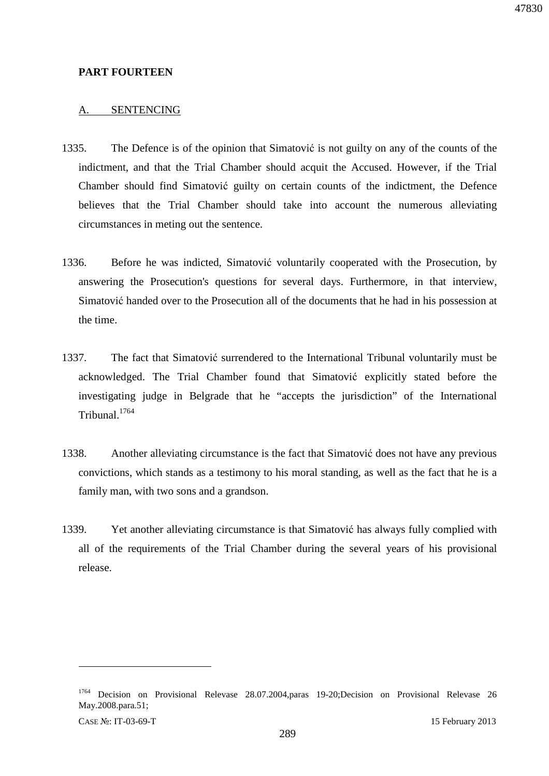## **PART FOURTEEN**

## A. SENTENCING

- 1335. The Defence is of the opinion that Simatović is not guilty on any of the counts of the indictment, and that the Trial Chamber should acquit the Accused. However, if the Trial Chamber should find Simatović guilty on certain counts of the indictment, the Defence believes that the Trial Chamber should take into account the numerous alleviating circumstances in meting out the sentence.
- 1336. Before he was indicted, Simatović voluntarily cooperated with the Prosecution, by answering the Prosecution's questions for several days. Furthermore, in that interview, Simatović handed over to the Prosecution all of the documents that he had in his possession at the time.
- 1337. The fact that Simatović surrendered to the International Tribunal voluntarily must be acknowledged. The Trial Chamber found that Simatović explicitly stated before the investigating judge in Belgrade that he "accepts the jurisdiction" of the International Tribunal.<sup>1764</sup>
- 1338. Another alleviating circumstance is the fact that Simatović does not have any previous convictions, which stands as a testimony to his moral standing, as well as the fact that he is a family man, with two sons and a grandson.
- 1339. Yet another alleviating circumstance is that Simatović has always fully complied with all of the requirements of the Trial Chamber during the several years of his provisional release.

 $\overline{a}$ 

<sup>&</sup>lt;sup>1764</sup> Decision on Provisional Relevase 28.07.2004,paras 19-20;Decision on Provisional Relevase 26 May.2008.para.51;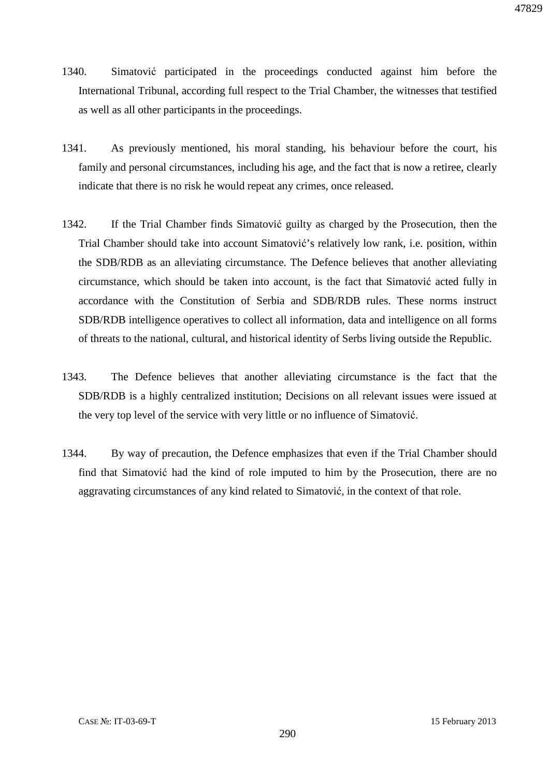- 1340. Simatović participated in the proceedings conducted against him before the International Tribunal, according full respect to the Trial Chamber, the witnesses that testified as well as all other participants in the proceedings.
- 1341. As previously mentioned, his moral standing, his behaviour before the court, his family and personal circumstances, including his age, and the fact that is now a retiree, clearly indicate that there is no risk he would repeat any crimes, once released.
- 1342. If the Trial Chamber finds Simatović guilty as charged by the Prosecution, then the Trial Chamber should take into account Simatović's relatively low rank, i.e. position, within the SDB/RDB as an alleviating circumstance. The Defence believes that another alleviating circumstance, which should be taken into account, is the fact that Simatović acted fully in accordance with the Constitution of Serbia and SDB/RDB rules. These norms instruct SDB/RDB intelligence operatives to collect all information, data and intelligence on all forms of threats to the national, cultural, and historical identity of Serbs living outside the Republic.
- 1343. The Defence believes that another alleviating circumstance is the fact that the SDB/RDB is a highly centralized institution; Decisions on all relevant issues were issued at the very top level of the service with very little or no influence of Simatović.
- 1344. By way of precaution, the Defence emphasizes that even if the Trial Chamber should find that Simatović had the kind of role imputed to him by the Prosecution, there are no aggravating circumstances of any kind related to Simatović, in the context of that role.